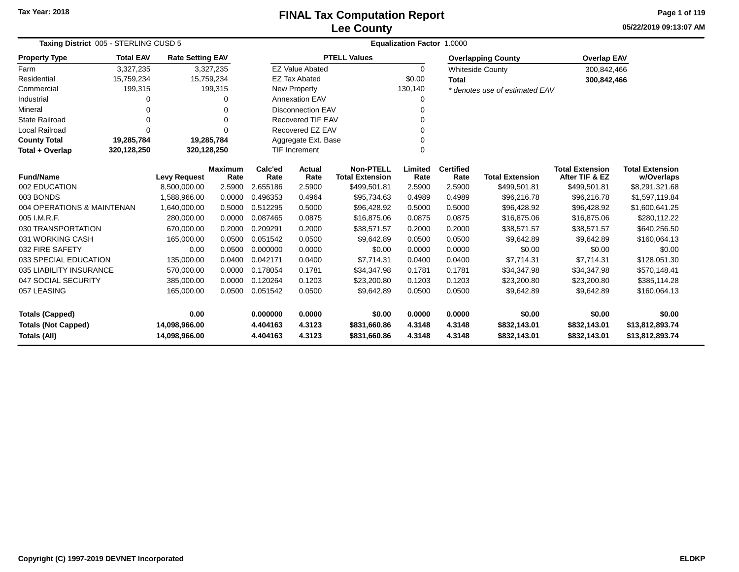# **Lee CountyFINAL Tax Computation Report**

**05/22/2019 09:13:07 AM Page 1 of 119**

| Taxing District 005 - STERLING CUSD 5 |                     |                         | <b>Equalization Factor</b><br>1.0000 |                          |                        |                                            |                 |                          |                                |                                          |                                      |  |
|---------------------------------------|---------------------|-------------------------|--------------------------------------|--------------------------|------------------------|--------------------------------------------|-----------------|--------------------------|--------------------------------|------------------------------------------|--------------------------------------|--|
| <b>Property Type</b>                  | <b>Total EAV</b>    | <b>Rate Setting EAV</b> |                                      |                          |                        | <b>PTELL Values</b>                        |                 |                          | <b>Overlapping County</b>      | <b>Overlap EAV</b>                       |                                      |  |
| Farm                                  | 3,327,235           | 3,327,235               |                                      |                          | <b>EZ Value Abated</b> |                                            | 0               |                          | <b>Whiteside County</b>        | 300,842,466                              |                                      |  |
| Residential                           | 15,759,234          | 15,759,234              |                                      |                          | <b>EZ Tax Abated</b>   |                                            | \$0.00          | <b>Total</b>             |                                | 300,842,466                              |                                      |  |
| Commercial                            | 199,315             |                         | 199,315                              |                          | <b>New Property</b>    |                                            | 130,140         |                          | * denotes use of estimated EAV |                                          |                                      |  |
| Industrial                            | o                   |                         | 0                                    | <b>Annexation EAV</b>    |                        |                                            | 0               |                          |                                |                                          |                                      |  |
| Mineral                               |                     |                         | 0                                    | <b>Disconnection EAV</b> |                        |                                            | 0               |                          |                                |                                          |                                      |  |
| <b>State Railroad</b>                 | 0                   |                         | $\Omega$                             | <b>Recovered TIF EAV</b> |                        |                                            | $\Omega$        |                          |                                |                                          |                                      |  |
| <b>Local Railroad</b>                 | $\Omega$            |                         | $\Omega$                             | Recovered EZ EAV         |                        |                                            | 0               |                          |                                |                                          |                                      |  |
| <b>County Total</b>                   | 19,285,784          | 19,285,784              |                                      |                          | Aggregate Ext. Base    |                                            | 0               |                          |                                |                                          |                                      |  |
| Total + Overlap                       | 320,128,250         | 320,128,250             |                                      |                          | <b>TIF Increment</b>   |                                            | 0               |                          |                                |                                          |                                      |  |
| <b>Fund/Name</b>                      | <b>Levy Request</b> |                         | <b>Maximum</b><br>Rate               | Calc'ed<br>Rate          | Actual<br>Rate         | <b>Non-PTELL</b><br><b>Total Extension</b> | Limited<br>Rate | <b>Certified</b><br>Rate | <b>Total Extension</b>         | <b>Total Extension</b><br>After TIF & EZ | <b>Total Extension</b><br>w/Overlaps |  |
| 002 EDUCATION                         | 8,500,000.00        |                         | 2.5900                               | 2.655186                 | 2.5900                 | \$499,501.81                               | 2.5900          | 2.5900                   | \$499,501.81                   | \$499,501.81                             | \$8,291,321.68                       |  |
| 003 BONDS                             |                     | 1,588,966.00            | 0.0000                               | 0.496353                 | 0.4964                 | \$95,734.63                                | 0.4989          | 0.4989                   | \$96,216.78                    | \$96,216.78                              | \$1,597,119.84                       |  |
| 004 OPERATIONS & MAINTENAN            |                     | 1,640,000.00            | 0.5000                               | 0.512295                 | 0.5000                 | \$96,428.92                                | 0.5000          | 0.5000                   | \$96,428.92                    | \$96,428.92                              | \$1,600,641.25                       |  |
| 005 I.M.R.F.                          |                     | 280,000.00              | 0.0000                               | 0.087465                 | 0.0875                 | \$16,875.06                                | 0.0875          | 0.0875                   | \$16,875.06                    | \$16,875.06                              | \$280,112.22                         |  |
| 030 TRANSPORTATION                    |                     | 670,000.00              | 0.2000                               | 0.209291                 | 0.2000                 | \$38,571.57                                | 0.2000          | 0.2000                   | \$38,571.57                    | \$38,571.57                              | \$640,256.50                         |  |
| 031 WORKING CASH                      |                     | 165,000.00              | 0.0500                               | 0.051542                 | 0.0500                 | \$9,642.89                                 | 0.0500          | 0.0500                   | \$9,642.89                     | \$9,642.89                               | \$160,064.13                         |  |
| 032 FIRE SAFETY                       |                     | 0.00                    | 0.0500                               | 0.000000                 | 0.0000                 | \$0.00                                     | 0.0000          | 0.0000                   | \$0.00                         | \$0.00                                   | \$0.00                               |  |
| 033 SPECIAL EDUCATION                 |                     | 135,000.00              | 0.0400                               | 0.042171                 | 0.0400                 | \$7,714.31                                 | 0.0400          | 0.0400                   | \$7,714.31                     | \$7,714.31                               | \$128,051.30                         |  |
| 035 LIABILITY INSURANCE               |                     | 570,000.00              | 0.0000                               | 0.178054                 | 0.1781                 | \$34,347.98                                | 0.1781          | 0.1781                   | \$34,347.98                    | \$34,347.98                              | \$570,148.41                         |  |
| 047 SOCIAL SECURITY                   |                     | 385,000.00              | 0.0000                               | 0.120264                 | 0.1203                 | \$23,200.80                                | 0.1203          | 0.1203                   | \$23,200.80                    | \$23,200.80                              | \$385,114.28                         |  |
| 057 LEASING                           |                     | 165,000.00              | 0.0500                               | 0.051542                 | 0.0500                 | \$9,642.89                                 | 0.0500          | 0.0500                   | \$9,642.89                     | \$9,642.89                               | \$160,064.13                         |  |
| <b>Totals (Capped)</b>                |                     | 0.00                    |                                      | 0.000000                 | 0.0000                 | \$0.00                                     | 0.0000          | 0.0000                   | \$0.00                         | \$0.00                                   | \$0.00                               |  |
| <b>Totals (Not Capped)</b>            |                     | 14,098,966.00           |                                      | 4.404163                 | 4.3123                 | \$831,660.86                               | 4.3148          | 4.3148                   | \$832,143.01                   | \$832,143.01                             | \$13,812,893.74                      |  |
| Totals (All)                          |                     | 14,098,966.00           |                                      | 4.404163                 | 4.3123                 | \$831,660.86                               | 4.3148          | 4.3148                   | \$832,143.01                   | \$832,143.01                             | \$13,812,893.74                      |  |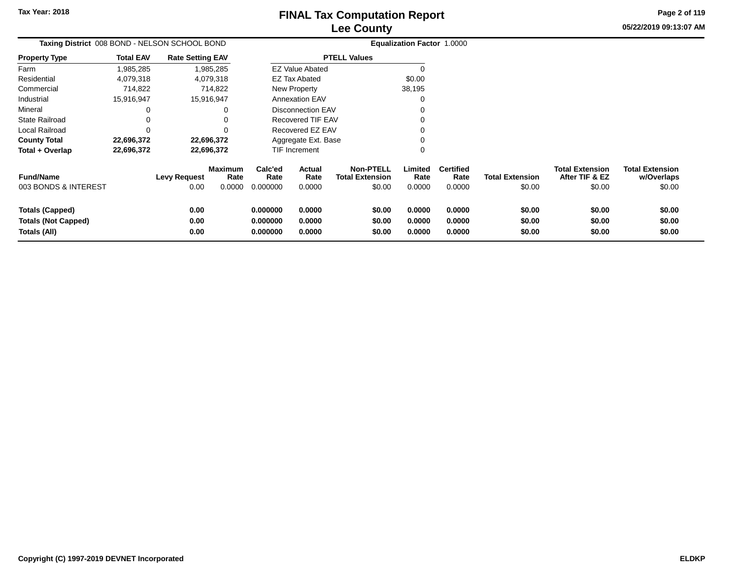**Totals (All)**

**0.00**

## **Lee CountyFINAL Tax Computation Report**

**0.000000 0.0000 \$0.00 0.0000 0.0000 \$0.00 \$0.00 \$0.00**

**05/22/2019 09:13:07 AMPage 2 of 119**

> **w/Overlaps**\$0.00

| Taxing District 008 BOND - NELSON SCHOOL BOND |                  |                         |                        | Equalization Factor 1.0000 |                        |                                            |                 |                          |                        |                                          |                                      |
|-----------------------------------------------|------------------|-------------------------|------------------------|----------------------------|------------------------|--------------------------------------------|-----------------|--------------------------|------------------------|------------------------------------------|--------------------------------------|
| <b>Property Type</b>                          | <b>Total EAV</b> | <b>Rate Setting EAV</b> |                        |                            |                        | <b>PTELL Values</b>                        |                 |                          |                        |                                          |                                      |
| Farm                                          | 1,985,285        |                         | 1,985,285              |                            | <b>EZ Value Abated</b> |                                            |                 |                          |                        |                                          |                                      |
| Residential                                   | 4,079,318        |                         | 4,079,318              |                            | <b>EZ Tax Abated</b>   |                                            | \$0.00          |                          |                        |                                          |                                      |
| Commercial                                    | 714,822          |                         | 714,822                |                            | New Property           |                                            | 38,195          |                          |                        |                                          |                                      |
| Industrial                                    | 15,916,947       | 15,916,947              |                        |                            | <b>Annexation EAV</b>  |                                            |                 |                          |                        |                                          |                                      |
| Mineral                                       |                  |                         | 0                      |                            | Disconnection EAV      |                                            |                 |                          |                        |                                          |                                      |
| <b>State Railroad</b>                         |                  |                         | 0                      |                            | Recovered TIF EAV      |                                            |                 |                          |                        |                                          |                                      |
| Local Railroad                                |                  |                         |                        |                            | Recovered EZ EAV       |                                            |                 |                          |                        |                                          |                                      |
| <b>County Total</b>                           | 22,696,372       | 22,696,372              |                        |                            | Aggregate Ext. Base    |                                            |                 |                          |                        |                                          |                                      |
| Total + Overlap                               | 22,696,372       |                         | 22,696,372             |                            | TIF Increment          |                                            |                 |                          |                        |                                          |                                      |
| <b>Fund/Name</b>                              |                  | <b>Levy Request</b>     | <b>Maximum</b><br>Rate | Calc'ed<br>Rate            | Actual<br>Rate         | <b>Non-PTELL</b><br><b>Total Extension</b> | Limited<br>Rate | <b>Certified</b><br>Rate | <b>Total Extension</b> | <b>Total Extension</b><br>After TIF & EZ | <b>Total Extension</b><br>w/Overlaps |
| 003 BONDS & INTEREST                          |                  | 0.00                    | 0.0000                 | 0.000000                   | 0.0000                 | \$0.00                                     | 0.0000          | 0.0000                   | \$0.00                 | \$0.00                                   | \$0.00                               |
| <b>Totals (Capped)</b>                        | 0.00             |                         |                        | 0.000000                   | 0.0000                 | \$0.00                                     | 0.0000          | 0.0000                   | \$0.00                 | \$0.00                                   | \$0.00                               |
| <b>Totals (Not Capped)</b><br>0.00            |                  |                         |                        | 0.000000                   | 0.0000                 | \$0.00                                     | 0.0000          | 0.0000                   | \$0.00                 | \$0.00                                   | \$0.00                               |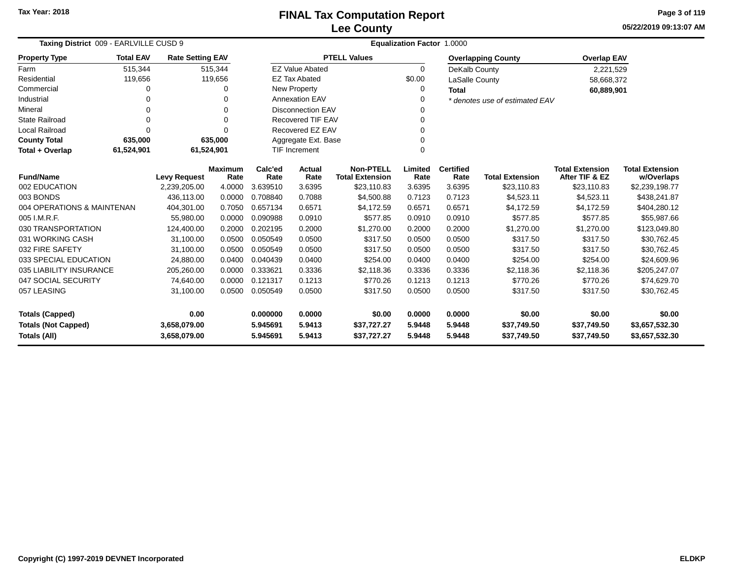**05/22/2019 09:13:07 AM Page 3 of 119**

| Taxing District 009 - EARLVILLE CUSD 9 |                  |                         |                        | <b>Equalization Factor 1.0000</b> |                          |                                            |                 |                          |                                |                                          |                                      |  |  |
|----------------------------------------|------------------|-------------------------|------------------------|-----------------------------------|--------------------------|--------------------------------------------|-----------------|--------------------------|--------------------------------|------------------------------------------|--------------------------------------|--|--|
| <b>Property Type</b>                   | <b>Total EAV</b> | <b>Rate Setting EAV</b> |                        |                                   |                          | <b>PTELL Values</b>                        |                 |                          | <b>Overlapping County</b>      | <b>Overlap EAV</b>                       |                                      |  |  |
| Farm                                   | 515,344          |                         | 515,344                |                                   | <b>EZ Value Abated</b>   |                                            | $\Omega$        | DeKalb County            |                                | 2,221,529                                |                                      |  |  |
| Residential                            | 119,656          |                         | 119,656                |                                   | <b>EZ Tax Abated</b>     |                                            | \$0.00          | LaSalle County           |                                | 58,668,372                               |                                      |  |  |
| Commercial                             | 0                |                         |                        |                                   | New Property             |                                            | 0               | <b>Total</b>             |                                | 60,889,901                               |                                      |  |  |
| Industrial                             |                  |                         |                        |                                   | <b>Annexation EAV</b>    |                                            | $\Omega$        |                          | * denotes use of estimated EAV |                                          |                                      |  |  |
| Mineral                                | 0                |                         | 0                      |                                   | <b>Disconnection EAV</b> |                                            | 0               |                          |                                |                                          |                                      |  |  |
| <b>State Railroad</b>                  | $\Omega$         |                         | $\Omega$               |                                   | <b>Recovered TIF EAV</b> |                                            | 0               |                          |                                |                                          |                                      |  |  |
| Local Railroad                         | $\Omega$         |                         | $\Omega$               |                                   | Recovered EZ EAV         |                                            | 0               |                          |                                |                                          |                                      |  |  |
| <b>County Total</b>                    | 635,000          |                         | 635,000                |                                   | Aggregate Ext. Base      |                                            | 0               |                          |                                |                                          |                                      |  |  |
| Total + Overlap                        | 61,524,901       | 61,524,901              |                        | <b>TIF Increment</b>              |                          |                                            | $\Omega$        |                          |                                |                                          |                                      |  |  |
| <b>Fund/Name</b>                       |                  | <b>Levy Request</b>     | <b>Maximum</b><br>Rate | Calc'ed<br>Rate                   | <b>Actual</b><br>Rate    | <b>Non-PTELL</b><br><b>Total Extension</b> | Limited<br>Rate | <b>Certified</b><br>Rate | <b>Total Extension</b>         | <b>Total Extension</b><br>After TIF & EZ | <b>Total Extension</b><br>w/Overlaps |  |  |
| 002 EDUCATION                          |                  | 2,239,205.00            | 4.0000                 | 3.639510                          | 3.6395                   | \$23,110.83                                | 3.6395          | 3.6395                   | \$23,110.83                    | \$23,110.83                              | \$2,239,198.77                       |  |  |
| 003 BONDS                              |                  | 436,113.00              | 0.0000                 | 0.708840                          | 0.7088                   | \$4,500.88                                 | 0.7123          | 0.7123                   | \$4,523.11                     | \$4,523.11                               | \$438,241.87                         |  |  |
| 004 OPERATIONS & MAINTENAN             |                  | 404,301.00              | 0.7050                 | 0.657134                          | 0.6571                   | \$4,172.59                                 | 0.6571          | 0.6571                   | \$4,172.59                     | \$4,172.59                               | \$404,280.12                         |  |  |
| 005 I.M.R.F.                           |                  | 55,980.00               | 0.0000                 | 0.090988                          | 0.0910                   | \$577.85                                   | 0.0910          | 0.0910                   | \$577.85                       | \$577.85                                 | \$55,987.66                          |  |  |
| 030 TRANSPORTATION                     |                  | 124,400.00              | 0.2000                 | 0.202195                          | 0.2000                   | \$1,270.00                                 | 0.2000          | 0.2000                   | \$1,270.00                     | \$1,270.00                               | \$123,049.80                         |  |  |
| 031 WORKING CASH                       |                  | 31,100.00               | 0.0500                 | 0.050549                          | 0.0500                   | \$317.50                                   | 0.0500          | 0.0500                   | \$317.50                       | \$317.50                                 | \$30,762.45                          |  |  |
| 032 FIRE SAFETY                        |                  | 31,100.00               | 0.0500                 | 0.050549                          | 0.0500                   | \$317.50                                   | 0.0500          | 0.0500                   | \$317.50                       | \$317.50                                 | \$30,762.45                          |  |  |
| 033 SPECIAL EDUCATION                  |                  | 24,880.00               | 0.0400                 | 0.040439                          | 0.0400                   | \$254.00                                   | 0.0400          | 0.0400                   | \$254.00                       | \$254.00                                 | \$24,609.96                          |  |  |
| 035 LIABILITY INSURANCE                |                  | 205,260.00              | 0.0000                 | 0.333621                          | 0.3336                   | \$2,118.36                                 | 0.3336          | 0.3336                   | \$2,118.36                     | \$2,118.36                               | \$205,247.07                         |  |  |
| 047 SOCIAL SECURITY                    |                  | 74,640.00               | 0.0000                 | 0.121317                          | 0.1213                   | \$770.26                                   | 0.1213          | 0.1213                   | \$770.26                       | \$770.26                                 | \$74,629.70                          |  |  |
| 057 LEASING                            |                  | 31,100.00               | 0.0500                 | 0.050549                          | 0.0500                   | \$317.50                                   | 0.0500          | 0.0500                   | \$317.50                       | \$317.50                                 | \$30,762.45                          |  |  |
| <b>Totals (Capped)</b>                 |                  | 0.00                    |                        | 0.000000                          | 0.0000                   | \$0.00                                     | 0.0000          | 0.0000                   | \$0.00                         | \$0.00                                   | \$0.00                               |  |  |
| <b>Totals (Not Capped)</b>             |                  | 3,658,079.00            |                        | 5.945691                          | 5.9413                   | \$37,727.27                                | 5.9448          | 5.9448                   | \$37,749.50                    | \$37,749.50                              | \$3,657,532.30                       |  |  |
| <b>Totals (All)</b>                    |                  | 3,658,079.00            |                        | 5.945691                          | 5.9413                   | \$37,727.27                                | 5.9448          | 5.9448                   | \$37,749.50                    | \$37,749.50                              | \$3,657,532.30                       |  |  |

۰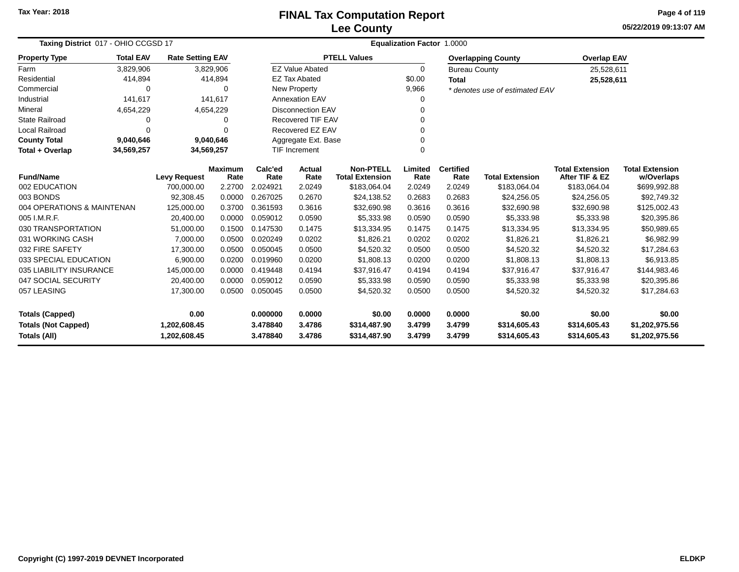**05/22/2019 09:13:07 AMPage 4 of 119**

| Taxing District 017 - OHIO CCGSD 17     |                  |                         |                 |                       | <b>Equalization Factor 1.0000</b>          |                     |                          |                        |                                          |                                      |                |  |  |  |
|-----------------------------------------|------------------|-------------------------|-----------------|-----------------------|--------------------------------------------|---------------------|--------------------------|------------------------|------------------------------------------|--------------------------------------|----------------|--|--|--|
| <b>Property Type</b>                    | <b>Total EAV</b> | <b>Rate Setting EAV</b> |                 |                       |                                            | <b>PTELL Values</b> |                          |                        | <b>Overlapping County</b>                | <b>Overlap EAV</b>                   |                |  |  |  |
| Farm                                    | 3,829,906        | 3,829,906               |                 |                       | <b>EZ Value Abated</b>                     |                     | 0                        | <b>Bureau County</b>   |                                          | 25,528,611                           |                |  |  |  |
| Residential                             | 414,894          |                         | 414,894         |                       | <b>EZ Tax Abated</b>                       |                     | \$0.00                   | <b>Total</b>           |                                          | 25,528,611                           |                |  |  |  |
| Commercial                              | ∩                |                         | $\Omega$        |                       | <b>New Property</b>                        |                     | 9,966                    |                        | * denotes use of estimated EAV           |                                      |                |  |  |  |
| Industrial                              | 141,617          |                         | 141,617         |                       | Annexation EAV                             |                     | 0                        |                        |                                          |                                      |                |  |  |  |
| Mineral                                 | 4,654,229        | 4,654,229               |                 |                       | <b>Disconnection EAV</b>                   |                     | 0                        |                        |                                          |                                      |                |  |  |  |
| <b>State Railroad</b>                   | 0                |                         | 0               |                       | <b>Recovered TIF EAV</b>                   |                     | 0                        |                        |                                          |                                      |                |  |  |  |
| Local Railroad                          | 0                |                         | $\Omega$        |                       | Recovered EZ EAV                           |                     | 0                        |                        |                                          |                                      |                |  |  |  |
| <b>County Total</b>                     | 9,040,646        | 9,040,646               |                 |                       | Aggregate Ext. Base                        |                     | 0                        |                        |                                          |                                      |                |  |  |  |
| Total + Overlap                         | 34,569,257       | 34,569,257              |                 | <b>TIF Increment</b>  |                                            |                     | $\Omega$                 |                        |                                          |                                      |                |  |  |  |
| <b>Fund/Name</b><br><b>Levy Request</b> |                  | <b>Maximum</b><br>Rate  | Calc'ed<br>Rate | <b>Actual</b><br>Rate | <b>Non-PTELL</b><br><b>Total Extension</b> | Limited<br>Rate     | <b>Certified</b><br>Rate | <b>Total Extension</b> | <b>Total Extension</b><br>After TIF & EZ | <b>Total Extension</b><br>w/Overlaps |                |  |  |  |
| 002 EDUCATION                           |                  | 700,000.00              | 2.2700          | 2.024921              | 2.0249                                     | \$183,064.04        | 2.0249                   | 2.0249                 | \$183,064.04                             | \$183,064.04                         | \$699,992.88   |  |  |  |
| 003 BONDS                               |                  |                         | 0.0000          | 0.267025              | 0.2670                                     | \$24,138.52         | 0.2683                   | 0.2683                 | \$24,256.05                              | \$24,256.05                          | \$92,749.32    |  |  |  |
| 004 OPERATIONS & MAINTENAN              |                  | 125,000.00              | 0.3700          | 0.361593              | 0.3616                                     | \$32,690.98         | 0.3616                   | 0.3616                 | \$32,690.98                              | \$32,690.98                          | \$125,002.43   |  |  |  |
| 005 I.M.R.F.                            |                  | 20,400.00               | 0.0000          | 0.059012              | 0.0590                                     | \$5,333.98          | 0.0590                   | 0.0590                 | \$5,333.98                               | \$5,333.98                           | \$20,395.86    |  |  |  |
| 030 TRANSPORTATION                      |                  | 51,000.00               | 0.1500          | 0.147530              | 0.1475                                     | \$13,334.95         | 0.1475                   | 0.1475                 | \$13,334.95                              | \$13,334.95                          | \$50,989.65    |  |  |  |
| 031 WORKING CASH                        |                  | 7,000.00                | 0.0500          | 0.020249              | 0.0202                                     | \$1,826.21          | 0.0202                   | 0.0202                 | \$1,826.21                               | \$1,826.21                           | \$6,982.99     |  |  |  |
| 032 FIRE SAFETY                         |                  | 17,300.00               | 0.0500          | 0.050045              | 0.0500                                     | \$4,520.32          | 0.0500                   | 0.0500                 | \$4,520.32                               | \$4,520.32                           | \$17,284.63    |  |  |  |
| 033 SPECIAL EDUCATION                   |                  | 6,900.00                | 0.0200          | 0.019960              | 0.0200                                     | \$1,808.13          | 0.0200                   | 0.0200                 | \$1,808.13                               | \$1,808.13                           | \$6,913.85     |  |  |  |
| 035 LIABILITY INSURANCE                 |                  | 145,000.00              | 0.0000          | 0.419448              | 0.4194                                     | \$37,916.47         | 0.4194                   | 0.4194                 | \$37,916.47                              | \$37,916.47                          | \$144,983.46   |  |  |  |
| 047 SOCIAL SECURITY                     |                  | 20,400.00               | 0.0000          | 0.059012              | 0.0590                                     | \$5,333.98          | 0.0590                   | 0.0590                 | \$5,333.98                               | \$5,333.98                           | \$20,395.86    |  |  |  |
| 057 LEASING                             |                  | 17,300.00               | 0.0500          | 0.050045              | 0.0500                                     | \$4,520.32          | 0.0500                   | 0.0500                 | \$4,520.32                               | \$4,520.32                           | \$17,284.63    |  |  |  |
| <b>Totals (Capped)</b>                  |                  | 0.00                    |                 | 0.000000              | 0.0000                                     | \$0.00              | 0.0000                   | 0.0000                 | \$0.00                                   | \$0.00                               | \$0.00         |  |  |  |
| <b>Totals (Not Capped)</b>              |                  | 1,202,608.45            |                 | 3.478840              | 3.4786                                     | \$314,487.90        | 3.4799                   | 3.4799                 | \$314,605.43                             | \$314,605.43                         | \$1,202,975.56 |  |  |  |
| Totals (All)                            |                  | 1,202,608.45            |                 | 3.478840              | 3.4786                                     | \$314,487.90        | 3.4799                   | 3.4799                 | \$314,605.43                             | \$314,605.43                         | \$1,202,975.56 |  |  |  |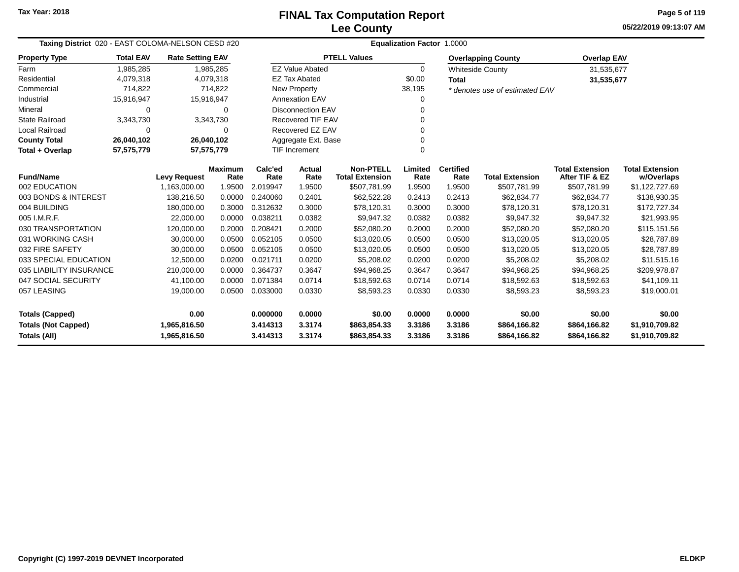**05/22/2019 09:13:07 AMPage 5 of 119**

| Taxing District 020 - EAST COLOMA-NELSON CESD #20 |                  |                         |                |          |                          |                        | <b>Equalization Factor 1.0000</b> |                  |                                |                        |                        |
|---------------------------------------------------|------------------|-------------------------|----------------|----------|--------------------------|------------------------|-----------------------------------|------------------|--------------------------------|------------------------|------------------------|
| <b>Property Type</b>                              | <b>Total EAV</b> | <b>Rate Setting EAV</b> |                |          |                          | <b>PTELL Values</b>    |                                   |                  | <b>Overlapping County</b>      | <b>Overlap EAV</b>     |                        |
| Farm                                              | 1,985,285        |                         | 1,985,285      |          | <b>EZ Value Abated</b>   |                        | $\Omega$                          |                  | <b>Whiteside County</b>        | 31,535,677             |                        |
| Residential                                       | 4,079,318        |                         | 4,079,318      |          | <b>EZ Tax Abated</b>     |                        | \$0.00                            | <b>Total</b>     |                                | 31,535,677             |                        |
| Commercial                                        | 714,822          |                         | 714,822        |          | <b>New Property</b>      |                        | 38,195                            |                  | * denotes use of estimated EAV |                        |                        |
| Industrial                                        | 15,916,947       |                         | 15,916,947     |          | <b>Annexation EAV</b>    |                        | 0                                 |                  |                                |                        |                        |
| Mineral                                           | 0                |                         | $\Omega$       |          | <b>Disconnection EAV</b> |                        | 0                                 |                  |                                |                        |                        |
| <b>State Railroad</b>                             | 3,343,730        |                         | 3,343,730      |          | Recovered TIF EAV        |                        | 0                                 |                  |                                |                        |                        |
| <b>Local Railroad</b>                             | 0                |                         | 0              |          | Recovered EZ EAV         |                        | 0                                 |                  |                                |                        |                        |
| <b>County Total</b>                               | 26,040,102       |                         | 26,040,102     |          | Aggregate Ext. Base      |                        | 0                                 |                  |                                |                        |                        |
| Total + Overlap                                   | 57,575,779       |                         | 57,575,779     |          | <b>TIF Increment</b>     |                        | 0                                 |                  |                                |                        |                        |
| <b>Fund/Name</b>                                  |                  |                         | <b>Maximum</b> | Calc'ed  | <b>Actual</b>            | <b>Non-PTELL</b>       | Limited                           | <b>Certified</b> |                                | <b>Total Extension</b> | <b>Total Extension</b> |
|                                                   |                  | <b>Levy Request</b>     | Rate           | Rate     | Rate                     | <b>Total Extension</b> | Rate                              | Rate             | <b>Total Extension</b>         | After TIF & EZ         | w/Overlaps             |
| 002 EDUCATION                                     |                  | 1,163,000.00            | 1.9500         | 2.019947 | 1.9500                   | \$507,781.99           | 1.9500                            | 1.9500           | \$507,781.99                   | \$507,781.99           | \$1,122,727.69         |
| 003 BONDS & INTEREST                              |                  | 138,216.50              | 0.0000         | 0.240060 | 0.2401                   | \$62,522.28            | 0.2413                            | 0.2413           | \$62,834.77                    | \$62,834.77            | \$138,930.35           |
| 004 BUILDING                                      |                  | 180,000.00              | 0.3000         | 0.312632 | 0.3000                   | \$78,120.31            | 0.3000                            | 0.3000           | \$78,120.31                    | \$78,120.31            | \$172,727.34           |
| 005 I.M.R.F.                                      |                  | 22,000.00               | 0.0000         | 0.038211 | 0.0382                   | \$9,947.32             | 0.0382                            | 0.0382           | \$9,947.32                     | \$9,947.32             | \$21,993.95            |
| 030 TRANSPORTATION                                |                  | 120,000.00              | 0.2000         | 0.208421 | 0.2000                   | \$52,080.20            | 0.2000                            | 0.2000           | \$52,080.20                    | \$52,080.20            | \$115,151.56           |
| 031 WORKING CASH                                  |                  | 30,000.00               | 0.0500         | 0.052105 | 0.0500                   | \$13,020.05            | 0.0500                            | 0.0500           | \$13,020.05                    | \$13,020.05            | \$28,787.89            |
| 032 FIRE SAFETY                                   |                  | 30,000.00               | 0.0500         | 0.052105 | 0.0500                   | \$13,020.05            | 0.0500                            | 0.0500           | \$13,020.05                    | \$13,020.05            | \$28,787.89            |
| 033 SPECIAL EDUCATION                             |                  | 12,500.00               | 0.0200         | 0.021711 | 0.0200                   | \$5,208.02             | 0.0200                            | 0.0200           | \$5,208.02                     | \$5,208.02             | \$11,515.16            |
| 035 LIABILITY INSURANCE                           |                  | 210,000.00              | 0.0000         | 0.364737 | 0.3647                   | \$94,968.25            | 0.3647                            | 0.3647           | \$94,968.25                    | \$94,968.25            | \$209,978.87           |
| 047 SOCIAL SECURITY                               |                  | 41,100.00               | 0.0000         | 0.071384 | 0.0714                   | \$18,592.63            | 0.0714                            | 0.0714           | \$18,592.63                    | \$18,592.63            | \$41,109.11            |
| 057 LEASING                                       |                  | 19,000.00               | 0.0500         | 0.033000 | 0.0330                   | \$8,593.23             | 0.0330                            | 0.0330           | \$8,593.23                     | \$8,593.23             | \$19,000.01            |
| <b>Totals (Capped)</b>                            |                  | 0.00                    |                | 0.000000 | 0.0000                   | \$0.00                 | 0.0000                            | 0.0000           | \$0.00                         | \$0.00                 | \$0.00                 |
| <b>Totals (Not Capped)</b>                        |                  | 1,965,816.50            |                | 3.414313 | 3.3174                   | \$863,854.33           | 3.3186                            | 3.3186           | \$864,166.82                   | \$864,166.82           | \$1,910,709.82         |
| Totals (All)                                      |                  | 1,965,816.50            |                | 3.414313 | 3.3174                   | \$863,854.33           | 3.3186                            | 3.3186           | \$864,166.82                   | \$864,166.82           | \$1,910,709.82         |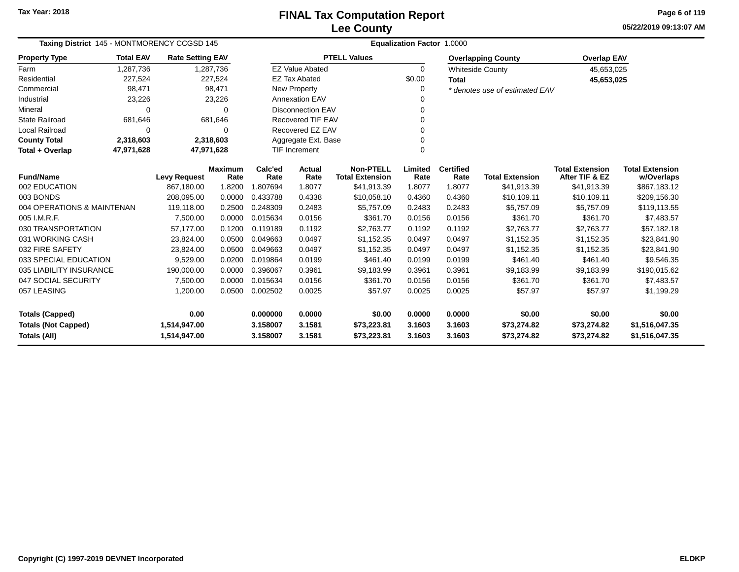**05/22/2019 09:13:07 AMPage 6 of 119**

| Taxing District 145 - MONTMORENCY CCGSD 145 |                  |                         | <b>Equalization Factor 1.0000</b> |                      |                          |                                            |                 |                          |                                |                                          |                                      |  |
|---------------------------------------------|------------------|-------------------------|-----------------------------------|----------------------|--------------------------|--------------------------------------------|-----------------|--------------------------|--------------------------------|------------------------------------------|--------------------------------------|--|
| <b>Property Type</b>                        | <b>Total EAV</b> | <b>Rate Setting EAV</b> |                                   |                      |                          | <b>PTELL Values</b>                        |                 |                          | <b>Overlapping County</b>      | <b>Overlap EAV</b>                       |                                      |  |
| Farm                                        | 1,287,736        |                         | 1,287,736                         |                      | <b>EZ Value Abated</b>   |                                            | $\Omega$        |                          | <b>Whiteside County</b>        | 45,653,025                               |                                      |  |
| Residential                                 | 227,524          |                         | 227,524                           |                      | <b>EZ Tax Abated</b>     |                                            | \$0.00          | <b>Total</b>             |                                | 45,653,025                               |                                      |  |
| Commercial                                  | 98,471           |                         | 98,471                            | New Property         |                          |                                            |                 |                          | * denotes use of estimated EAV |                                          |                                      |  |
| Industrial                                  | 23,226           |                         | 23,226                            |                      | Annexation EAV           |                                            |                 |                          |                                |                                          |                                      |  |
| Mineral                                     | 0                |                         | $\Omega$                          |                      | <b>Disconnection EAV</b> |                                            | 0               |                          |                                |                                          |                                      |  |
| <b>State Railroad</b>                       | 681,646          |                         | 681,646                           |                      | <b>Recovered TIF EAV</b> |                                            |                 |                          |                                |                                          |                                      |  |
| <b>Local Railroad</b>                       | 0                |                         | 0                                 |                      | Recovered EZ EAV         |                                            |                 |                          |                                |                                          |                                      |  |
| <b>County Total</b>                         | 2,318,603        |                         | 2,318,603                         |                      | Aggregate Ext. Base      |                                            |                 |                          |                                |                                          |                                      |  |
| Total + Overlap                             | 47,971,628       | 47,971,628              |                                   | <b>TIF Increment</b> |                          |                                            | 0               |                          |                                |                                          |                                      |  |
| <b>Fund/Name</b>                            |                  | <b>Levy Request</b>     | <b>Maximum</b><br>Rate            | Calc'ed<br>Rate      | <b>Actual</b><br>Rate    | <b>Non-PTELL</b><br><b>Total Extension</b> | Limited<br>Rate | <b>Certified</b><br>Rate | <b>Total Extension</b>         | <b>Total Extension</b><br>After TIF & EZ | <b>Total Extension</b><br>w/Overlaps |  |
| 002 EDUCATION                               |                  | 867,180.00              | 1.8200                            | 1.807694             | 1.8077                   | \$41,913.39                                | 1.8077          | 1.8077                   | \$41,913.39                    | \$41,913.39                              | \$867,183.12                         |  |
| 003 BONDS                                   |                  | 208,095.00              | 0.0000                            | 0.433788             | 0.4338                   | \$10,058.10                                | 0.4360          | 0.4360                   | \$10,109.11                    | \$10,109.11                              | \$209,156.30                         |  |
| 004 OPERATIONS & MAINTENAN                  |                  | 119,118.00              | 0.2500                            | 0.248309             | 0.2483                   | \$5,757.09                                 | 0.2483          | 0.2483                   | \$5,757.09                     | \$5,757.09                               | \$119,113.55                         |  |
| 005 I.M.R.F.                                |                  | 7,500.00                | 0.0000                            | 0.015634             | 0.0156                   | \$361.70                                   | 0.0156          | 0.0156                   | \$361.70                       | \$361.70                                 | \$7,483.57                           |  |
| 030 TRANSPORTATION                          |                  | 57.177.00               | 0.1200                            | 0.119189             | 0.1192                   | \$2,763.77                                 | 0.1192          | 0.1192                   | \$2,763.77                     | \$2,763.77                               | \$57,182.18                          |  |
| 031 WORKING CASH                            |                  | 23,824.00               | 0.0500                            | 0.049663             | 0.0497                   | \$1,152.35                                 | 0.0497          | 0.0497                   | \$1,152.35                     | \$1,152.35                               | \$23,841.90                          |  |
| 032 FIRE SAFETY                             |                  | 23,824.00               | 0.0500                            | 0.049663             | 0.0497                   | \$1,152.35                                 | 0.0497          | 0.0497                   | \$1,152.35                     | \$1,152.35                               | \$23,841.90                          |  |
| 033 SPECIAL EDUCATION                       |                  | 9,529.00                | 0.0200                            | 0.019864             | 0.0199                   | \$461.40                                   | 0.0199          | 0.0199                   | \$461.40                       | \$461.40                                 | \$9,546.35                           |  |
| 035 LIABILITY INSURANCE                     |                  | 190,000.00              | 0.0000                            | 0.396067             | 0.3961                   | \$9,183.99                                 | 0.3961          | 0.3961                   | \$9,183.99                     | \$9,183.99                               | \$190,015.62                         |  |
| 047 SOCIAL SECURITY                         |                  | 7,500.00                | 0.0000                            | 0.015634             | 0.0156                   | \$361.70                                   | 0.0156          | 0.0156                   | \$361.70                       | \$361.70                                 | \$7,483.57                           |  |
| 057 LEASING                                 |                  | 1,200.00                | 0.0500                            | 0.002502             | 0.0025                   | \$57.97                                    | 0.0025          | 0.0025                   | \$57.97                        | \$57.97                                  | \$1,199.29                           |  |
| <b>Totals (Capped)</b>                      |                  | 0.00                    |                                   | 0.000000             | 0.0000                   | \$0.00                                     | 0.0000          | 0.0000                   | \$0.00                         | \$0.00                                   | \$0.00                               |  |
| <b>Totals (Not Capped)</b>                  |                  | 1,514,947.00            |                                   | 3.158007             | 3.1581                   | \$73,223.81                                | 3.1603          | 3.1603                   | \$73,274.82                    | \$73,274.82                              | \$1,516,047.35                       |  |
| <b>Totals (All)</b>                         |                  | 1,514,947.00            |                                   | 3.158007             | 3.1581                   | \$73,223.81                                | 3.1603          | 3.1603                   | \$73,274.82                    | \$73,274.82                              | \$1,516,047.35                       |  |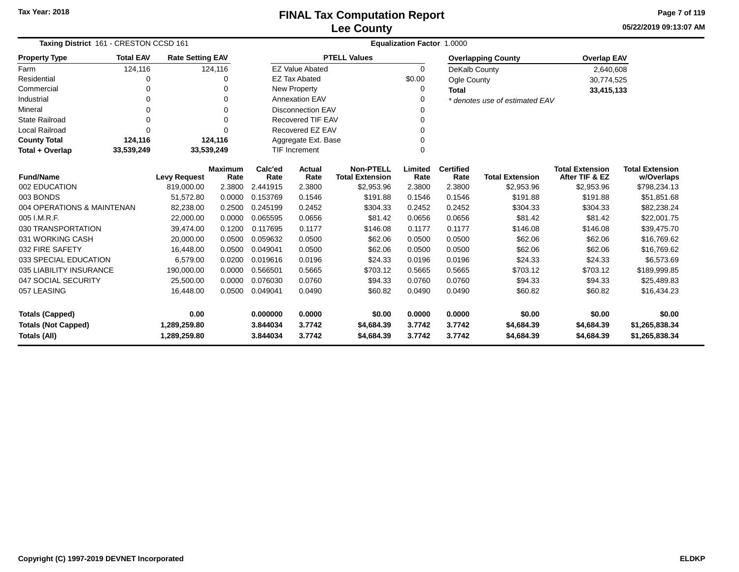**05/22/2019 09:13:07 AMPage 7 of 119**

|                            | Taxing District 161 - CRESTON CCSD 161 |                         |                                   |          |                          | Equalization Factor 1.0000 |          |                        |                                |                        |                        |  |  |  |  |
|----------------------------|----------------------------------------|-------------------------|-----------------------------------|----------|--------------------------|----------------------------|----------|------------------------|--------------------------------|------------------------|------------------------|--|--|--|--|
| <b>Property Type</b>       | <b>Total EAV</b>                       | <b>Rate Setting EAV</b> |                                   |          |                          | <b>PTELL Values</b>        |          |                        | <b>Overlapping County</b>      | <b>Overlap EAV</b>     |                        |  |  |  |  |
| Farm                       | 124,116                                |                         | 124,116                           |          | <b>EZ Value Abated</b>   |                            | $\Omega$ | DeKalb County          |                                | 2,640,608              |                        |  |  |  |  |
| Residential                | 0                                      |                         | 0                                 |          | <b>EZ Tax Abated</b>     |                            | \$0.00   | <b>Ogle County</b>     |                                | 30,774,525             |                        |  |  |  |  |
| Commercial                 | 0                                      |                         | $\Omega$                          |          | New Property             |                            | $\Omega$ | <b>Total</b>           |                                | 33,415,133             |                        |  |  |  |  |
| Industrial                 | 0                                      |                         | $\Omega$                          |          | <b>Annexation EAV</b>    |                            |          |                        | * denotes use of estimated EAV |                        |                        |  |  |  |  |
| Mineral                    | 0                                      |                         | $\Omega$                          |          | <b>Disconnection EAV</b> |                            |          |                        |                                |                        |                        |  |  |  |  |
| <b>State Railroad</b>      | $\mathbf 0$                            |                         | $\Omega$                          |          | <b>Recovered TIF EAV</b> |                            |          |                        |                                |                        |                        |  |  |  |  |
| <b>Local Railroad</b>      | $\Omega$                               |                         | $\Omega$                          |          | Recovered EZ EAV         |                            |          |                        |                                |                        |                        |  |  |  |  |
| <b>County Total</b>        | 124,116                                |                         | 124,116                           |          | Aggregate Ext. Base      |                            |          |                        |                                |                        |                        |  |  |  |  |
| Total + Overlap            | 33,539,249                             | 33,539,249              |                                   |          | <b>TIF Increment</b>     |                            | $\Omega$ |                        |                                |                        |                        |  |  |  |  |
|                            |                                        |                         | Calc'ed<br><b>Maximum</b><br>Rate |          | <b>Actual</b>            | <b>Non-PTELL</b>           | Limited  | <b>Certified</b>       |                                | <b>Total Extension</b> | <b>Total Extension</b> |  |  |  |  |
| <b>Fund/Name</b>           | <b>Levy Request</b>                    |                         | Rate                              | Rate     | <b>Total Extension</b>   | Rate                       | Rate     | <b>Total Extension</b> | After TIF & EZ                 | w/Overlaps             |                        |  |  |  |  |
| 002 EDUCATION              |                                        | 819.000.00              | 2.3800                            | 2.441915 | 2.3800                   | \$2,953.96                 | 2.3800   | 2.3800                 | \$2,953.96                     | \$2,953.96             | \$798,234.13           |  |  |  |  |
| 003 BONDS                  |                                        | 51,572.80               | 0.0000                            | 0.153769 | 0.1546                   | \$191.88                   | 0.1546   | 0.1546                 | \$191.88                       | \$191.88               | \$51,851.68            |  |  |  |  |
| 004 OPERATIONS & MAINTENAN |                                        | 82,238.00               | 0.2500                            | 0.245199 | 0.2452                   | \$304.33                   | 0.2452   | 0.2452                 | \$304.33                       | \$304.33               | \$82,238.24            |  |  |  |  |
| 005 I.M.R.F.               |                                        | 22,000.00               | 0.0000                            | 0.065595 | 0.0656                   | \$81.42                    | 0.0656   | 0.0656                 | \$81.42                        | \$81.42                | \$22,001.75            |  |  |  |  |
| 030 TRANSPORTATION         |                                        | 39,474.00               | 0.1200                            | 0.117695 | 0.1177                   | \$146.08                   | 0.1177   | 0.1177                 | \$146.08                       | \$146.08               | \$39,475.70            |  |  |  |  |
| 031 WORKING CASH           |                                        | 20,000.00               | 0.0500                            | 0.059632 | 0.0500                   | \$62.06                    | 0.0500   | 0.0500                 | \$62.06                        | \$62.06                | \$16,769.62            |  |  |  |  |
| 032 FIRE SAFETY            |                                        | 16,448.00               | 0.0500                            | 0.049041 | 0.0500                   | \$62.06                    | 0.0500   | 0.0500                 | \$62.06                        | \$62.06                | \$16,769.62            |  |  |  |  |
| 033 SPECIAL EDUCATION      |                                        | 6.579.00                | 0.0200                            | 0.019616 | 0.0196                   | \$24.33                    | 0.0196   | 0.0196                 | \$24.33                        | \$24.33                | \$6,573.69             |  |  |  |  |
| 035 LIABILITY INSURANCE    |                                        | 190,000.00              | 0.0000                            | 0.566501 | 0.5665                   | \$703.12                   | 0.5665   | 0.5665                 | \$703.12                       | \$703.12               | \$189,999.85           |  |  |  |  |
| 047 SOCIAL SECURITY        |                                        | 25,500.00               | 0.0000                            | 0.076030 | 0.0760                   | \$94.33                    | 0.0760   | 0.0760                 | \$94.33                        | \$94.33                | \$25,489.83            |  |  |  |  |
| 057 LEASING                |                                        | 16,448.00               | 0.0500                            | 0.049041 | 0.0490                   | \$60.82                    | 0.0490   | 0.0490                 | \$60.82                        | \$60.82                | \$16,434.23            |  |  |  |  |
| <b>Totals (Capped)</b>     |                                        | 0.00                    |                                   | 0.000000 | 0.0000                   | \$0.00                     | 0.0000   | 0.0000                 | \$0.00                         | \$0.00                 | \$0.00                 |  |  |  |  |
| <b>Totals (Not Capped)</b> |                                        | 1,289,259.80            |                                   | 3.844034 | 3.7742                   | \$4,684.39                 | 3.7742   | 3.7742                 | \$4,684.39                     | \$4,684.39             | \$1,265,838.34         |  |  |  |  |
| Totals (All)               |                                        | 1,289,259.80            |                                   | 3.844034 | 3.7742                   | \$4,684.39                 | 3.7742   | 3.7742                 | \$4,684.39                     | \$4,684.39             | \$1,265,838.34         |  |  |  |  |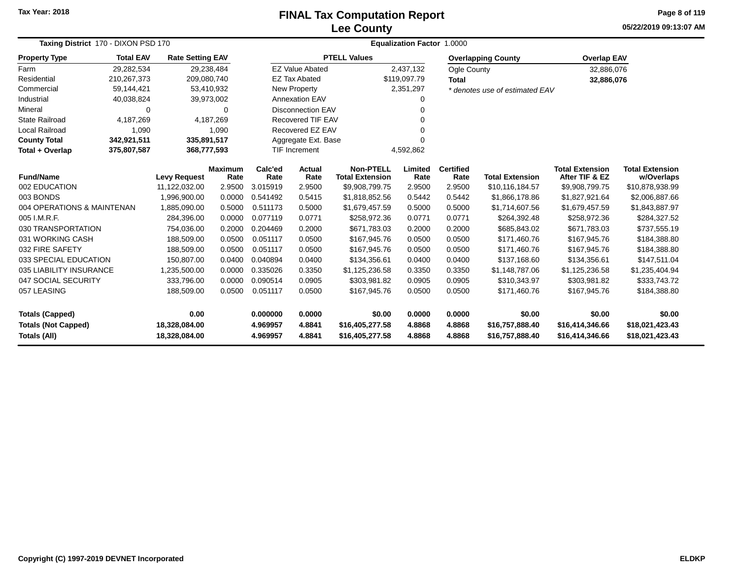# **Lee CountyFINAL Tax Computation Report**

**05/22/2019 09:13:07 AM Page 8 of 119**

|                            | Taxing District 170 - DIXON PSD 170           |                         |                 |                |                                            | <b>Equalization Factor 1.0000</b> |                          |                        |                                          |                                      |                 |  |  |  |
|----------------------------|-----------------------------------------------|-------------------------|-----------------|----------------|--------------------------------------------|-----------------------------------|--------------------------|------------------------|------------------------------------------|--------------------------------------|-----------------|--|--|--|
| <b>Property Type</b>       | <b>Total EAV</b>                              | <b>Rate Setting EAV</b> |                 |                |                                            | <b>PTELL Values</b>               |                          |                        | <b>Overlapping County</b>                | <b>Overlap EAV</b>                   |                 |  |  |  |
| Farm                       | 29,282,534                                    | 29,238,484              |                 |                | <b>EZ Value Abated</b>                     |                                   | 2,437,132                | Ogle County            |                                          | 32,886,076                           |                 |  |  |  |
| Residential                | 210,267,373                                   | 209,080,740             |                 |                | <b>EZ Tax Abated</b>                       |                                   | \$119,097.79             | <b>Total</b>           |                                          | 32,886,076                           |                 |  |  |  |
| Commercial                 | 59,144,421                                    | 53,410,932              |                 |                | New Property                               |                                   | 2,351,297                |                        | * denotes use of estimated EAV           |                                      |                 |  |  |  |
| Industrial                 | 40,038,824                                    | 39,973,002              |                 |                | <b>Annexation EAV</b>                      |                                   | 0                        |                        |                                          |                                      |                 |  |  |  |
| Mineral                    | $\Omega$                                      |                         | 0               |                | <b>Disconnection EAV</b>                   |                                   | 0                        |                        |                                          |                                      |                 |  |  |  |
| <b>State Railroad</b>      | 4,187,269                                     | 4,187,269               |                 |                | <b>Recovered TIF EAV</b>                   |                                   | 0                        |                        |                                          |                                      |                 |  |  |  |
| <b>Local Railroad</b>      | 1,090                                         |                         | 1,090           |                | Recovered EZ EAV                           |                                   |                          |                        |                                          |                                      |                 |  |  |  |
| <b>County Total</b>        | 342,921,511                                   | 335,891,517             |                 |                | Aggregate Ext. Base                        |                                   | $\Omega$                 |                        |                                          |                                      |                 |  |  |  |
| Total + Overlap            | 375,807,587                                   | 368,777,593             |                 |                | <b>TIF Increment</b>                       |                                   | 4,592,862                |                        |                                          |                                      |                 |  |  |  |
| <b>Fund/Name</b>           | <b>Maximum</b><br><b>Levy Request</b><br>Rate |                         | Calc'ed<br>Rate | Actual<br>Rate | <b>Non-PTELL</b><br><b>Total Extension</b> | Limited<br>Rate                   | <b>Certified</b><br>Rate | <b>Total Extension</b> | <b>Total Extension</b><br>After TIF & EZ | <b>Total Extension</b><br>w/Overlaps |                 |  |  |  |
| 002 EDUCATION              |                                               | 11,122,032.00           | 2.9500          | 3.015919       | 2.9500                                     | \$9,908,799.75                    | 2.9500                   | 2.9500                 | \$10,116,184.57                          | \$9,908,799.75                       | \$10,878,938.99 |  |  |  |
| 003 BONDS                  |                                               | 1,996,900.00            | 0.0000          | 0.541492       | 0.5415                                     | \$1,818,852.56                    | 0.5442                   | 0.5442                 | \$1,866,178.86                           | \$1,827,921.64                       | \$2,006,887.66  |  |  |  |
| 004 OPERATIONS & MAINTENAN |                                               | 1,885,090.00            | 0.5000          | 0.511173       | 0.5000                                     | \$1,679,457.59                    | 0.5000                   | 0.5000                 | \$1,714,607.56                           | \$1,679,457.59                       | \$1,843,887.97  |  |  |  |
| 005 I.M.R.F.               |                                               | 284,396.00              | 0.0000          | 0.077119       | 0.0771                                     | \$258,972.36                      | 0.0771                   | 0.0771                 | \$264,392.48                             | \$258,972.36                         | \$284,327.52    |  |  |  |
| 030 TRANSPORTATION         |                                               | 754,036.00              | 0.2000          | 0.204469       | 0.2000                                     | \$671,783.03                      | 0.2000                   | 0.2000                 | \$685,843.02                             | \$671,783.03                         | \$737,555.19    |  |  |  |
| 031 WORKING CASH           |                                               | 188,509.00              | 0.0500          | 0.051117       | 0.0500                                     | \$167,945.76                      | 0.0500                   | 0.0500                 | \$171,460.76                             | \$167,945.76                         | \$184,388.80    |  |  |  |
| 032 FIRE SAFETY            |                                               | 188,509.00              | 0.0500          | 0.051117       | 0.0500                                     | \$167,945.76                      | 0.0500                   | 0.0500                 | \$171,460.76                             | \$167,945.76                         | \$184,388.80    |  |  |  |
| 033 SPECIAL EDUCATION      |                                               | 150.807.00              | 0.0400          | 0.040894       | 0.0400                                     | \$134,356.61                      | 0.0400                   | 0.0400                 | \$137.168.60                             | \$134.356.61                         | \$147,511.04    |  |  |  |
| 035 LIABILITY INSURANCE    |                                               | 1,235,500.00            | 0.0000          | 0.335026       | 0.3350                                     | \$1,125,236.58                    | 0.3350                   | 0.3350                 | \$1,148,787.06                           | \$1,125,236.58                       | \$1,235,404.94  |  |  |  |
| 047 SOCIAL SECURITY        |                                               | 333,796.00              | 0.0000          | 0.090514       | 0.0905                                     | \$303,981.82                      | 0.0905                   | 0.0905                 | \$310,343.97                             | \$303,981.82                         | \$333,743.72    |  |  |  |
| 057 LEASING                |                                               | 188,509.00              | 0.0500          | 0.051117       | 0.0500                                     | \$167,945.76                      | 0.0500                   | 0.0500                 | \$171,460.76                             | \$167,945.76                         | \$184,388.80    |  |  |  |
| <b>Totals (Capped)</b>     |                                               | 0.00                    |                 | 0.000000       | 0.0000                                     | \$0.00                            | 0.0000                   | 0.0000                 | \$0.00                                   | \$0.00                               | \$0.00          |  |  |  |
| <b>Totals (Not Capped)</b> |                                               | 18,328,084.00           |                 | 4.969957       | 4.8841                                     | \$16,405,277.58                   | 4.8868                   | 4.8868                 | \$16,757,888.40                          | \$16,414,346.66                      | \$18,021,423.43 |  |  |  |
| Totals (All)               |                                               | 18,328,084.00           |                 | 4.969957       | 4.8841                                     | \$16,405,277.58                   | 4.8868                   | 4.8868                 | \$16,757,888.40                          | \$16,414,346.66                      | \$18,021,423.43 |  |  |  |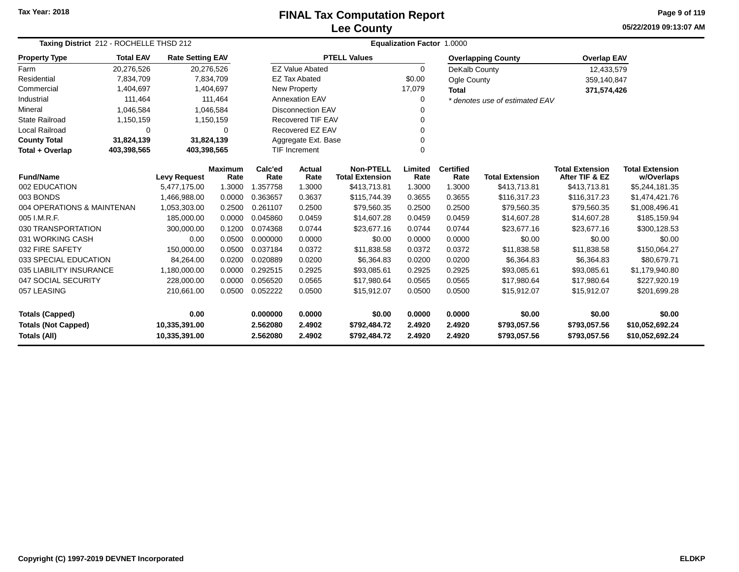# **Lee CountyFINAL Tax Computation Report**

**05/22/2019 09:13:07 AM Page 9 of 119**

|                                                   | Taxing District 212 - ROCHELLE THSD 212 |                                |                        |                      | Equalization Factor 1.0000 |                                            |                  |                          |                                |                                          |                                      |  |  |
|---------------------------------------------------|-----------------------------------------|--------------------------------|------------------------|----------------------|----------------------------|--------------------------------------------|------------------|--------------------------|--------------------------------|------------------------------------------|--------------------------------------|--|--|
| <b>Property Type</b>                              | <b>Total EAV</b>                        | <b>Rate Setting EAV</b>        |                        |                      |                            | <b>PTELL Values</b>                        |                  |                          | <b>Overlapping County</b>      | <b>Overlap EAV</b>                       |                                      |  |  |
| Farm                                              | 20,276,526                              | 20,276,526                     |                        |                      | <b>EZ Value Abated</b>     |                                            | $\Omega$         | DeKalb County            |                                | 12,433,579                               |                                      |  |  |
| Residential                                       | 7,834,709                               |                                | 7,834,709              |                      | <b>EZ Tax Abated</b>       |                                            | \$0.00           | Ogle County              |                                | 359,140,847                              |                                      |  |  |
| Commercial                                        | 1,404,697                               |                                | 1,404,697              |                      | New Property               |                                            | 17,079           | <b>Total</b>             |                                | 371,574,426                              |                                      |  |  |
| Industrial                                        | 111,464                                 |                                | 111,464                |                      | <b>Annexation EAV</b>      |                                            | $\Omega$         |                          | * denotes use of estimated EAV |                                          |                                      |  |  |
| Mineral                                           | 1,046,584                               |                                | 1,046,584              |                      | <b>Disconnection EAV</b>   |                                            | 0                |                          |                                |                                          |                                      |  |  |
| <b>State Railroad</b>                             | 1,150,159                               |                                | 1,150,159              |                      | <b>Recovered TIF EAV</b>   |                                            | 0                |                          |                                |                                          |                                      |  |  |
| <b>Local Railroad</b>                             | 0                                       |                                | 0                      |                      | Recovered EZ EAV           |                                            |                  |                          |                                |                                          |                                      |  |  |
| <b>County Total</b>                               | 31,824,139                              | 31,824,139                     |                        |                      | Aggregate Ext. Base        |                                            | 0                |                          |                                |                                          |                                      |  |  |
| Total + Overlap                                   | 403,398,565                             | 403,398,565                    |                        |                      | <b>TIF Increment</b>       |                                            | 0                |                          |                                |                                          |                                      |  |  |
| <b>Fund/Name</b>                                  |                                         | <b>Levy Request</b>            | <b>Maximum</b><br>Rate | Calc'ed<br>Rate      | <b>Actual</b><br>Rate      | <b>Non-PTELL</b><br><b>Total Extension</b> | Limited<br>Rate  | <b>Certified</b><br>Rate | <b>Total Extension</b>         | <b>Total Extension</b><br>After TIF & EZ | <b>Total Extension</b><br>w/Overlaps |  |  |
| 002 EDUCATION                                     |                                         | 5,477,175.00                   | 1.3000                 | 1.357758             | 1.3000                     | \$413,713.81                               | 1.3000           | 1.3000                   | \$413,713.81                   | \$413,713.81                             | \$5,244,181.35                       |  |  |
| 003 BONDS                                         |                                         | 1,466,988.00                   | 0.0000                 | 0.363657             | 0.3637                     | \$115,744.39                               | 0.3655           | 0.3655                   | \$116,317.23                   | \$116,317.23                             | \$1,474,421.76                       |  |  |
| 004 OPERATIONS & MAINTENAN                        |                                         | 1,053,303.00                   | 0.2500                 | 0.261107             | 0.2500                     | \$79,560.35                                | 0.2500           | 0.2500                   | \$79,560.35                    | \$79,560.35                              | \$1,008,496.41                       |  |  |
| 005 I.M.R.F.                                      |                                         | 185,000.00                     | 0.0000                 | 0.045860             | 0.0459                     | \$14,607.28                                | 0.0459           | 0.0459                   | \$14,607.28                    | \$14,607.28                              | \$185,159.94                         |  |  |
| 030 TRANSPORTATION                                |                                         | 300,000.00                     | 0.1200                 | 0.074368             | 0.0744                     | \$23,677.16                                | 0.0744           | 0.0744                   | \$23,677.16                    | \$23,677.16                              | \$300,128.53                         |  |  |
| 031 WORKING CASH                                  |                                         | 0.00                           | 0.0500                 | 0.000000             | 0.0000                     | \$0.00                                     | 0.0000           | 0.0000                   | \$0.00                         | \$0.00                                   | \$0.00                               |  |  |
| 032 FIRE SAFETY                                   |                                         | 150,000.00                     | 0.0500                 | 0.037184             | 0.0372                     | \$11,838.58                                | 0.0372           | 0.0372                   | \$11,838.58                    | \$11,838.58                              | \$150,064.27                         |  |  |
| 033 SPECIAL EDUCATION                             |                                         | 84,264.00                      | 0.0200                 | 0.020889             | 0.0200                     | \$6,364.83                                 | 0.0200           | 0.0200                   | \$6,364.83                     | \$6,364.83                               | \$80,679.71                          |  |  |
| 035 LIABILITY INSURANCE                           |                                         | 1,180,000.00                   | 0.0000                 | 0.292515             | 0.2925                     | \$93,085.61                                | 0.2925           | 0.2925                   | \$93,085.61                    | \$93,085.61                              | \$1,179,940.80                       |  |  |
| 047 SOCIAL SECURITY                               |                                         | 228,000.00                     | 0.0000                 | 0.056520             | 0.0565                     | \$17,980.64                                | 0.0565           | 0.0565                   | \$17,980.64                    | \$17,980.64                              | \$227,920.19                         |  |  |
| 057 LEASING                                       |                                         | 210,661.00                     | 0.0500                 | 0.052222             | 0.0500                     | \$15,912.07                                | 0.0500           | 0.0500                   | \$15,912.07                    | \$15,912.07                              | \$201,699.28                         |  |  |
| <b>Totals (Capped)</b>                            |                                         | 0.00                           |                        | 0.000000             | 0.0000                     | \$0.00                                     | 0.0000           | 0.0000                   | \$0.00                         | \$0.00                                   | \$0.00                               |  |  |
| <b>Totals (Not Capped)</b><br><b>Totals (All)</b> |                                         | 10,335,391.00<br>10,335,391.00 |                        | 2.562080<br>2.562080 | 2.4902<br>2.4902           | \$792,484.72<br>\$792,484.72               | 2.4920<br>2.4920 | 2.4920<br>2.4920         | \$793,057.56<br>\$793,057.56   | \$793,057.56<br>\$793,057.56             | \$10,052,692.24<br>\$10,052,692.24   |  |  |

 $\overline{\phantom{0}}$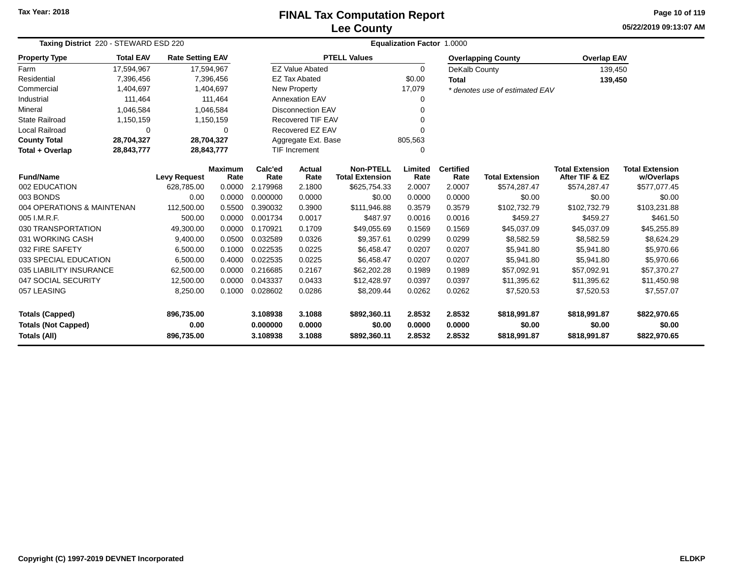# **Lee CountyFINAL Tax Computation Report**

**05/22/2019 09:13:07 AM Page 10 of 119**

|                                                   | Taxing District 220 - STEWARD ESD 220 |                         |                        |                      | <b>Equalization Factor 1.0000</b> |                                            |                  |                          |                                |                                          |                                      |  |  |  |
|---------------------------------------------------|---------------------------------------|-------------------------|------------------------|----------------------|-----------------------------------|--------------------------------------------|------------------|--------------------------|--------------------------------|------------------------------------------|--------------------------------------|--|--|--|
| <b>Property Type</b>                              | <b>Total EAV</b>                      | <b>Rate Setting EAV</b> |                        |                      |                                   | <b>PTELL Values</b>                        |                  |                          | <b>Overlapping County</b>      | <b>Overlap EAV</b>                       |                                      |  |  |  |
| Farm                                              | 17,594,967                            |                         | 17,594,967             |                      | <b>EZ Value Abated</b>            |                                            | $\Omega$         | DeKalb County            |                                | 139,450                                  |                                      |  |  |  |
| Residential                                       | 7,396,456                             |                         | 7,396,456              |                      | <b>EZ Tax Abated</b>              |                                            | \$0.00           | <b>Total</b>             |                                | 139,450                                  |                                      |  |  |  |
| Commercial                                        | 1,404,697                             |                         | 1,404,697              |                      | New Property                      |                                            | 17,079           |                          | * denotes use of estimated EAV |                                          |                                      |  |  |  |
| Industrial                                        | 111,464                               |                         | 111,464                |                      | <b>Annexation EAV</b>             |                                            |                  |                          |                                |                                          |                                      |  |  |  |
| Mineral                                           | 1,046,584                             |                         | 1,046,584              |                      | <b>Disconnection EAV</b>          |                                            |                  |                          |                                |                                          |                                      |  |  |  |
| <b>State Railroad</b>                             | 1,150,159                             |                         | 1,150,159              |                      | Recovered TIF EAV                 |                                            |                  |                          |                                |                                          |                                      |  |  |  |
| <b>Local Railroad</b>                             | $\Omega$                              |                         | $\Omega$               |                      | Recovered EZ EAV                  |                                            |                  |                          |                                |                                          |                                      |  |  |  |
| <b>County Total</b>                               | 28,704,327                            | 28,704,327              |                        |                      | Aggregate Ext. Base               |                                            | 805,563          |                          |                                |                                          |                                      |  |  |  |
| Total + Overlap                                   | 28,843,777                            | 28,843,777              |                        |                      | <b>TIF Increment</b>              |                                            | $\Omega$         |                          |                                |                                          |                                      |  |  |  |
| <b>Fund/Name</b>                                  |                                       | <b>Levy Request</b>     | <b>Maximum</b><br>Rate | Calc'ed<br>Rate      | Actual<br>Rate                    | <b>Non-PTELL</b><br><b>Total Extension</b> | Limited<br>Rate  | <b>Certified</b><br>Rate | <b>Total Extension</b>         | <b>Total Extension</b><br>After TIF & EZ | <b>Total Extension</b><br>w/Overlaps |  |  |  |
| 002 EDUCATION                                     |                                       | 628.785.00              | 0.0000                 | 2.179968             | 2.1800                            | \$625,754.33                               | 2.0007           | 2.0007                   | \$574,287.47                   | \$574,287.47                             | \$577,077.45                         |  |  |  |
| 003 BONDS                                         |                                       | 0.00                    | 0.0000                 | 0.000000             | 0.0000                            | \$0.00                                     | 0.0000           | 0.0000                   | \$0.00                         | \$0.00                                   | \$0.00                               |  |  |  |
| 004 OPERATIONS & MAINTENAN                        |                                       | 112,500.00              | 0.5500                 | 0.390032             | 0.3900                            | \$111,946.88                               | 0.3579           | 0.3579                   | \$102,732.79                   | \$102,732.79                             | \$103,231.88                         |  |  |  |
| 005 I.M.R.F.                                      |                                       | 500.00                  | 0.0000                 | 0.001734             | 0.0017                            | \$487.97                                   | 0.0016           | 0.0016                   | \$459.27                       | \$459.27                                 | \$461.50                             |  |  |  |
| 030 TRANSPORTATION                                |                                       | 49,300.00               | 0.0000                 | 0.170921             | 0.1709                            | \$49,055.69                                | 0.1569           | 0.1569                   | \$45,037.09                    | \$45,037.09                              | \$45,255.89                          |  |  |  |
| 031 WORKING CASH                                  |                                       | 9,400.00                | 0.0500                 | 0.032589             | 0.0326                            | \$9,357.61                                 | 0.0299           | 0.0299                   | \$8,582.59                     | \$8,582.59                               | \$8,624.29                           |  |  |  |
| 032 FIRE SAFETY                                   |                                       | 6,500.00                | 0.1000                 | 0.022535             | 0.0225                            | \$6,458.47                                 | 0.0207           | 0.0207                   | \$5,941.80                     | \$5,941.80                               | \$5,970.66                           |  |  |  |
| 033 SPECIAL EDUCATION                             |                                       | 6,500.00                | 0.4000                 | 0.022535             | 0.0225                            | \$6,458.47                                 | 0.0207           | 0.0207                   | \$5,941.80                     | \$5,941.80                               | \$5,970.66                           |  |  |  |
| 035 LIABILITY INSURANCE                           |                                       | 62,500.00               | 0.0000                 | 0.216685             | 0.2167                            | \$62,202.28                                | 0.1989           | 0.1989                   | \$57,092.91                    | \$57,092.91                              | \$57,370.27                          |  |  |  |
| 047 SOCIAL SECURITY                               |                                       | 12,500.00               | 0.0000                 | 0.043337             | 0.0433                            | \$12,428.97                                | 0.0397           | 0.0397                   | \$11,395.62                    | \$11,395.62                              | \$11,450.98                          |  |  |  |
| 057 LEASING                                       |                                       | 8,250.00                | 0.1000                 | 0.028602             | 0.0286                            | \$8,209.44                                 | 0.0262           | 0.0262                   | \$7,520.53                     | \$7,520.53                               | \$7,557.07                           |  |  |  |
| <b>Totals (Capped)</b>                            |                                       | 896,735.00              |                        | 3.108938             | 3.1088                            | \$892,360.11                               | 2.8532           | 2.8532                   | \$818,991.87                   | \$818,991.87                             | \$822,970.65                         |  |  |  |
| <b>Totals (Not Capped)</b><br><b>Totals (All)</b> |                                       | 0.00<br>896,735.00      |                        | 0.000000<br>3.108938 | 0.0000<br>3.1088                  | \$0.00<br>\$892,360.11                     | 0.0000<br>2.8532 | 0.0000<br>2.8532         | \$0.00<br>\$818,991.87         | \$0.00<br>\$818,991.87                   | \$0.00<br>\$822,970.65               |  |  |  |

 $\overline{\phantom{0}}$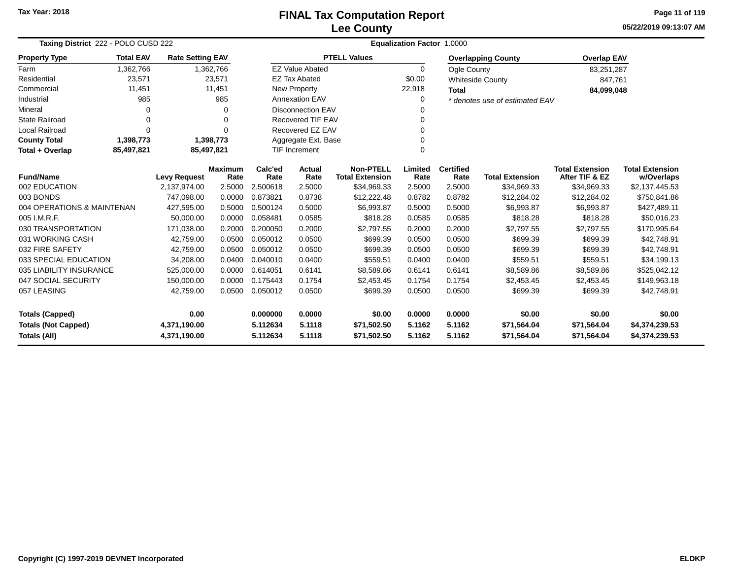### **Lee CountyFINAL Tax Computation Report**

**05/22/2019 09:13:07 AMPage 11 of 119**

| Taxing District 222 - POLO CUSD 222     |                  |                         |                | Equalization Factor 1.0000 |                          |                        |          |                  |                                |                        |                        |  |  |
|-----------------------------------------|------------------|-------------------------|----------------|----------------------------|--------------------------|------------------------|----------|------------------|--------------------------------|------------------------|------------------------|--|--|
| <b>Property Type</b>                    | <b>Total EAV</b> | <b>Rate Setting EAV</b> |                |                            |                          | <b>PTELL Values</b>    |          |                  | <b>Overlapping County</b>      | <b>Overlap EAV</b>     |                        |  |  |
| Farm                                    | 1,362,766        |                         | 1,362,766      |                            | <b>EZ Value Abated</b>   |                        | $\Omega$ | Ogle County      |                                | 83,251,287             |                        |  |  |
| Residential                             | 23,571           |                         | 23,571         |                            | <b>EZ Tax Abated</b>     |                        | \$0.00   |                  | <b>Whiteside County</b>        | 847,761                |                        |  |  |
| Commercial                              | 11,451           |                         | 11,451         |                            | New Property             |                        | 22,918   | <b>Total</b>     |                                | 84,099,048             |                        |  |  |
| Industrial                              | 985              |                         | 985            |                            | <b>Annexation EAV</b>    |                        | 0        |                  | * denotes use of estimated EAV |                        |                        |  |  |
| Mineral                                 | 0                |                         | 0              |                            | <b>Disconnection EAV</b> |                        | 0        |                  |                                |                        |                        |  |  |
| <b>State Railroad</b>                   | 0                |                         | 0              |                            | <b>Recovered TIF EAV</b> |                        | 0        |                  |                                |                        |                        |  |  |
| <b>Local Railroad</b>                   | $\Omega$         |                         | $\Omega$       |                            | Recovered EZ EAV         |                        | 0        |                  |                                |                        |                        |  |  |
| <b>County Total</b>                     | 1,398,773        |                         | 1,398,773      |                            | Aggregate Ext. Base      |                        | $\Omega$ |                  |                                |                        |                        |  |  |
| Total + Overlap                         | 85,497,821       | 85,497,821              |                | <b>TIF Increment</b>       |                          |                        | $\Omega$ |                  |                                |                        |                        |  |  |
| <b>Fund/Name</b><br><b>Levy Request</b> |                  |                         | <b>Maximum</b> | Calc'ed                    | Actual                   | <b>Non-PTELL</b>       | Limited  | <b>Certified</b> |                                | <b>Total Extension</b> | <b>Total Extension</b> |  |  |
|                                         |                  |                         | Rate           | Rate                       | Rate                     | <b>Total Extension</b> | Rate     | Rate             | <b>Total Extension</b>         | After TIF & EZ         | w/Overlaps             |  |  |
| 002 EDUCATION                           |                  | 2,137,974.00            | 2.5000         | 2.500618                   | 2.5000                   | \$34,969.33            | 2.5000   | 2.5000           | \$34,969.33                    | \$34,969.33            | \$2,137,445.53         |  |  |
| 003 BONDS                               |                  | 747,098.00              | 0.0000         | 0.873821                   | 0.8738                   | \$12,222.48            | 0.8782   | 0.8782           | \$12,284.02                    | \$12,284.02            | \$750,841.86           |  |  |
| 004 OPERATIONS & MAINTENAN              |                  | 427,595.00              | 0.5000         | 0.500124                   | 0.5000                   | \$6,993.87             | 0.5000   | 0.5000           | \$6,993.87                     | \$6,993.87             | \$427,489.11           |  |  |
| 005 I.M.R.F.                            |                  | 50.000.00               | 0.0000         | 0.058481                   | 0.0585                   | \$818.28               | 0.0585   | 0.0585           | \$818.28                       | \$818.28               | \$50,016.23            |  |  |
| 030 TRANSPORTATION                      |                  | 171,038.00              | 0.2000         | 0.200050                   | 0.2000                   | \$2,797.55             | 0.2000   | 0.2000           | \$2,797.55                     | \$2,797.55             | \$170,995.64           |  |  |
| 031 WORKING CASH                        |                  | 42,759.00               | 0.0500         | 0.050012                   | 0.0500                   | \$699.39               | 0.0500   | 0.0500           | \$699.39                       | \$699.39               | \$42,748.91            |  |  |
| 032 FIRE SAFETY                         |                  | 42,759.00               | 0.0500         | 0.050012                   | 0.0500                   | \$699.39               | 0.0500   | 0.0500           | \$699.39                       | \$699.39               | \$42,748.91            |  |  |
| 033 SPECIAL EDUCATION                   |                  | 34,208.00               | 0.0400         | 0.040010                   | 0.0400                   | \$559.51               | 0.0400   | 0.0400           | \$559.51                       | \$559.51               | \$34,199.13            |  |  |
| 035 LIABILITY INSURANCE                 |                  | 525,000.00              | 0.0000         | 0.614051                   | 0.6141                   | \$8,589.86             | 0.6141   | 0.6141           | \$8,589.86                     | \$8,589.86             | \$525,042.12           |  |  |
| 047 SOCIAL SECURITY                     |                  | 150,000.00              | 0.0000         | 0.175443                   | 0.1754                   | \$2,453.45             | 0.1754   | 0.1754           | \$2,453.45                     | \$2,453.45             | \$149,963.18           |  |  |
| 057 LEASING                             |                  | 42,759.00               | 0.0500         | 0.050012                   | 0.0500                   | \$699.39               | 0.0500   | 0.0500           | \$699.39                       | \$699.39               | \$42,748.91            |  |  |
| <b>Totals (Capped)</b>                  |                  | 0.00                    |                | 0.000000                   | 0.0000                   | \$0.00                 | 0.0000   | 0.0000           | \$0.00                         | \$0.00                 | \$0.00                 |  |  |
| <b>Totals (Not Capped)</b>              |                  | 4,371,190.00            |                | 5.112634                   | 5.1118                   | \$71,502.50            | 5.1162   | 5.1162           | \$71,564.04                    | \$71,564.04            | \$4,374,239.53         |  |  |
| <b>Totals (All)</b>                     |                  | 4,371,190.00            |                | 5.112634                   | 5.1118                   | \$71,502.50            | 5.1162   | 5.1162           | \$71,564.04                    | \$71,564.04            | \$4,374,239.53         |  |  |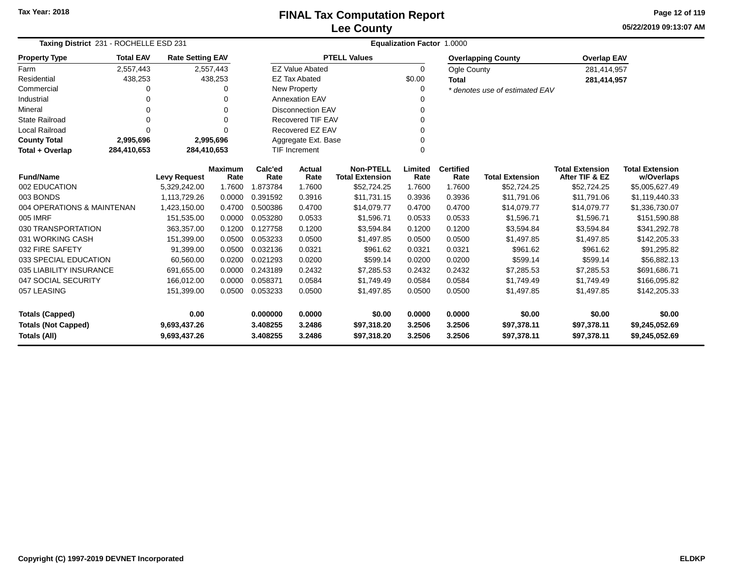**05/22/2019 09:13:07 AM Page 12 of 119**

|                            | Taxing District 231 - ROCHELLE ESD 231        |                         |                 |                |                                            | <b>Equalization Factor 1.0000</b> |                          |                        |                                          |                                      |                |  |  |  |
|----------------------------|-----------------------------------------------|-------------------------|-----------------|----------------|--------------------------------------------|-----------------------------------|--------------------------|------------------------|------------------------------------------|--------------------------------------|----------------|--|--|--|
| <b>Property Type</b>       | <b>Total EAV</b>                              | <b>Rate Setting EAV</b> |                 |                |                                            | <b>PTELL Values</b>               |                          |                        | <b>Overlapping County</b>                | <b>Overlap EAV</b>                   |                |  |  |  |
| Farm                       | 2,557,443                                     |                         | 2,557,443       |                | <b>EZ Value Abated</b>                     |                                   | 0                        | Ogle County            |                                          | 281,414,957                          |                |  |  |  |
| Residential                | 438,253                                       |                         | 438,253         |                | <b>EZ Tax Abated</b>                       |                                   | \$0.00                   | <b>Total</b>           |                                          | 281,414,957                          |                |  |  |  |
| Commercial                 | 0                                             |                         |                 |                | New Property                               |                                   | 0                        |                        | * denotes use of estimated EAV           |                                      |                |  |  |  |
| Industrial                 | 0                                             |                         |                 |                | <b>Annexation EAV</b>                      |                                   |                          |                        |                                          |                                      |                |  |  |  |
| Mineral                    | $\Omega$                                      |                         | $\Omega$        |                | <b>Disconnection EAV</b>                   |                                   | 0                        |                        |                                          |                                      |                |  |  |  |
| <b>State Railroad</b>      | 0                                             |                         | $\Omega$        |                | <b>Recovered TIF EAV</b>                   |                                   | 0                        |                        |                                          |                                      |                |  |  |  |
| Local Railroad             | $\Omega$                                      |                         | O               |                | Recovered EZ EAV                           |                                   | $\Omega$                 |                        |                                          |                                      |                |  |  |  |
| <b>County Total</b>        | 2,995,696                                     |                         | 2,995,696       |                | Aggregate Ext. Base                        |                                   | 0                        |                        |                                          |                                      |                |  |  |  |
| Total + Overlap            | 284,410,653                                   | 284,410,653             |                 |                | <b>TIF Increment</b>                       |                                   | $\Omega$                 |                        |                                          |                                      |                |  |  |  |
| <b>Fund/Name</b>           | <b>Maximum</b><br><b>Levy Request</b><br>Rate |                         | Calc'ed<br>Rate | Actual<br>Rate | <b>Non-PTELL</b><br><b>Total Extension</b> | Limited<br>Rate                   | <b>Certified</b><br>Rate | <b>Total Extension</b> | <b>Total Extension</b><br>After TIF & EZ | <b>Total Extension</b><br>w/Overlaps |                |  |  |  |
| 002 EDUCATION              |                                               | 5,329,242.00            | 1.7600          | 1.873784       | 1.7600                                     | \$52,724.25                       | 1.7600                   | 1.7600                 | \$52,724.25                              | \$52,724.25                          | \$5,005,627.49 |  |  |  |
| 003 BONDS                  |                                               | 1,113,729.26            | 0.0000          | 0.391592       | 0.3916                                     | \$11,731.15                       | 0.3936                   | 0.3936                 | \$11,791.06                              | \$11,791.06                          | \$1,119,440.33 |  |  |  |
| 004 OPERATIONS & MAINTENAN |                                               | 1,423,150.00            | 0.4700          | 0.500386       | 0.4700                                     | \$14,079.77                       | 0.4700                   | 0.4700                 | \$14,079.77                              | \$14,079.77                          | \$1,336,730.07 |  |  |  |
| 005 IMRF                   |                                               | 151,535.00              | 0.0000          | 0.053280       | 0.0533                                     | \$1,596.71                        | 0.0533                   | 0.0533                 | \$1,596.71                               | \$1,596.71                           | \$151,590.88   |  |  |  |
| 030 TRANSPORTATION         |                                               | 363,357.00              | 0.1200          | 0.127758       | 0.1200                                     | \$3,594.84                        | 0.1200                   | 0.1200                 | \$3,594.84                               | \$3,594.84                           | \$341,292.78   |  |  |  |
| 031 WORKING CASH           |                                               | 151,399.00              | 0.0500          | 0.053233       | 0.0500                                     | \$1,497.85                        | 0.0500                   | 0.0500                 | \$1,497.85                               | \$1,497.85                           | \$142,205.33   |  |  |  |
| 032 FIRE SAFETY            |                                               | 91,399.00               | 0.0500          | 0.032136       | 0.0321                                     | \$961.62                          | 0.0321                   | 0.0321                 | \$961.62                                 | \$961.62                             | \$91,295.82    |  |  |  |
| 033 SPECIAL EDUCATION      |                                               | 60,560.00               | 0.0200          | 0.021293       | 0.0200                                     | \$599.14                          | 0.0200                   | 0.0200                 | \$599.14                                 | \$599.14                             | \$56,882.13    |  |  |  |
| 035 LIABILITY INSURANCE    |                                               | 691,655.00              | 0.0000          | 0.243189       | 0.2432                                     | \$7,285.53                        | 0.2432                   | 0.2432                 | \$7,285.53                               | \$7,285.53                           | \$691,686.71   |  |  |  |
| 047 SOCIAL SECURITY        |                                               | 166,012.00              | 0.0000          | 0.058371       | 0.0584                                     | \$1,749.49                        | 0.0584                   | 0.0584                 | \$1,749.49                               | \$1,749.49                           | \$166,095.82   |  |  |  |
| 057 LEASING                |                                               | 151,399.00              | 0.0500          | 0.053233       | 0.0500                                     | \$1,497.85                        | 0.0500                   | 0.0500                 | \$1,497.85                               | \$1,497.85                           | \$142,205.33   |  |  |  |
| <b>Totals (Capped)</b>     |                                               | 0.00                    |                 | 0.000000       | 0.0000                                     | \$0.00                            | 0.0000                   | 0.0000                 | \$0.00                                   | \$0.00                               | \$0.00         |  |  |  |
| <b>Totals (Not Capped)</b> |                                               | 9,693,437.26            |                 | 3.408255       | 3.2486                                     | \$97,318.20                       | 3.2506                   | 3.2506                 | \$97,378.11                              | \$97,378.11                          | \$9,245,052.69 |  |  |  |
| Totals (All)               |                                               | 9,693,437.26            |                 | 3.408255       | 3.2486                                     | \$97,318.20                       | 3.2506                   | 3.2506                 | \$97,378.11                              | \$97,378.11                          | \$9,245,052.69 |  |  |  |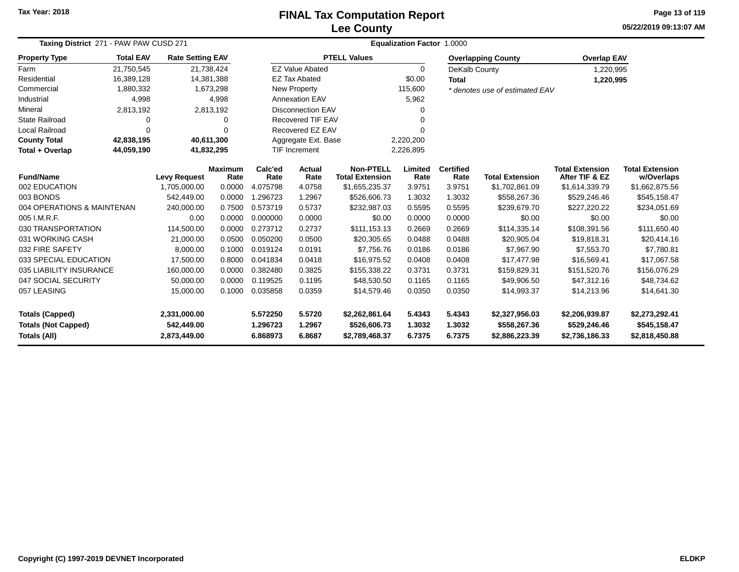# **Lee CountyFINAL Tax Computation Report**

**05/22/2019 09:13:07 AM Page 13 of 119**

| Taxing District 271 - PAW PAW CUSD 271                            |                            |                         |                        | <b>Equalization Factor 1.0000</b> |                          |                                            |                 |                          |                                |                                          |                                      |  |
|-------------------------------------------------------------------|----------------------------|-------------------------|------------------------|-----------------------------------|--------------------------|--------------------------------------------|-----------------|--------------------------|--------------------------------|------------------------------------------|--------------------------------------|--|
| <b>Property Type</b>                                              | <b>Total EAV</b>           | <b>Rate Setting EAV</b> |                        |                                   |                          | <b>PTELL Values</b>                        |                 |                          | <b>Overlapping County</b>      | <b>Overlap EAV</b>                       |                                      |  |
| Farm                                                              | 21,750,545                 |                         | 21,738,424             |                                   | <b>EZ Value Abated</b>   |                                            | $\mathbf 0$     | DeKalb County            |                                | 1,220,995                                |                                      |  |
| Residential                                                       | 16,389,128                 |                         | 14,381,388             |                                   | <b>EZ Tax Abated</b>     |                                            | \$0.00          | <b>Total</b>             |                                | 1,220,995                                |                                      |  |
| Commercial                                                        | 1,880,332                  |                         | 1,673,298              |                                   | New Property             |                                            | 115,600         |                          | * denotes use of estimated EAV |                                          |                                      |  |
| Industrial                                                        | 4,998                      |                         | 4,998                  |                                   | <b>Annexation EAV</b>    |                                            | 5,962           |                          |                                |                                          |                                      |  |
| Mineral                                                           | 2,813,192                  |                         | 2,813,192              |                                   | <b>Disconnection EAV</b> |                                            | 0               |                          |                                |                                          |                                      |  |
| <b>State Railroad</b>                                             | 0                          |                         | 0                      |                                   | Recovered TIF EAV        |                                            | 0               |                          |                                |                                          |                                      |  |
| Local Railroad                                                    | 0                          |                         | O                      |                                   | Recovered EZ EAV         |                                            | O               |                          |                                |                                          |                                      |  |
| <b>County Total</b>                                               | 42,838,195                 |                         | 40,611,300             |                                   | Aggregate Ext. Base      |                                            | 2,220,200       |                          |                                |                                          |                                      |  |
| Total + Overlap                                                   | 44,059,190                 |                         | 41,832,295             |                                   | <b>TIF Increment</b>     |                                            | 2,226,895       |                          |                                |                                          |                                      |  |
| <b>Fund/Name</b>                                                  |                            | <b>Levy Request</b>     | <b>Maximum</b><br>Rate | Calc'ed<br>Rate                   | <b>Actual</b><br>Rate    | <b>Non-PTELL</b><br><b>Total Extension</b> | Limited<br>Rate | <b>Certified</b><br>Rate | <b>Total Extension</b>         | <b>Total Extension</b><br>After TIF & EZ | <b>Total Extension</b><br>w/Overlaps |  |
| 002 EDUCATION                                                     |                            |                         | 0.0000                 | 4.075798                          | 4.0758                   | \$1,655,235.37                             | 3.9751          | 3.9751                   | \$1,702,861.09                 | \$1,614,339.79                           | \$1,662,875.56                       |  |
| 003 BONDS                                                         | 1,705,000.00<br>542.449.00 |                         | 0.0000                 | 1.296723                          | 1.2967                   | \$526,606.73                               | 1.3032          | 1.3032                   | \$558,267.36                   | \$529,246.46                             | \$545,158.47                         |  |
| 004 OPERATIONS & MAINTENAN<br>240,000.00                          |                            |                         | 0.7500                 | 0.573719                          | 0.5737                   | \$232,987.03                               | 0.5595          | 0.5595                   | \$239,679.70                   | \$227,220.22                             | \$234,051.69                         |  |
| 005 I.M.R.F.                                                      |                            | 0.00                    | 0.0000                 | 0.000000                          | 0.0000                   | \$0.00                                     | 0.0000          | 0.0000                   | \$0.00                         | \$0.00                                   | \$0.00                               |  |
| 030 TRANSPORTATION                                                |                            | 114,500.00              | 0.0000                 | 0.273712                          | 0.2737                   | \$111,153.13                               | 0.2669          | 0.2669                   | \$114,335.14                   | \$108,391.56                             | \$111,650.40                         |  |
| 031 WORKING CASH                                                  |                            | 21,000.00               | 0.0500                 | 0.050200                          | 0.0500                   | \$20,305.65                                | 0.0488          | 0.0488                   | \$20,905.04                    | \$19,818.31                              | \$20,414.16                          |  |
| 032 FIRE SAFETY                                                   |                            | 8,000.00                | 0.1000                 | 0.019124                          | 0.0191                   | \$7,756.76                                 | 0.0186          | 0.0186                   | \$7,967.90                     | \$7,553.70                               | \$7,780.81                           |  |
| 033 SPECIAL EDUCATION                                             |                            | 17,500.00               | 0.8000                 | 0.041834                          | 0.0418                   | \$16,975.52                                | 0.0408          | 0.0408                   | \$17,477.98                    | \$16,569.41                              | \$17,067.58                          |  |
| 035 LIABILITY INSURANCE                                           |                            | 160,000.00              | 0.0000                 | 0.382480                          | 0.3825                   | \$155,338.22                               | 0.3731          | 0.3731                   | \$159,829.31                   | \$151,520.76                             | \$156,076.29                         |  |
| 047 SOCIAL SECURITY<br>50,000.00                                  |                            |                         | 0.0000                 | 0.119525                          | 0.1195                   | \$48,530.50                                | 0.1165          | 0.1165                   | \$49,906.50                    | \$47,312.16                              | \$48,734.62                          |  |
| 057 LEASING<br>15,000.00                                          |                            |                         | 0.1000                 | 0.035858                          | 0.0359                   | \$14,579.46                                | 0.0350          | 0.0350                   | \$14,993.37                    | \$14,213.96                              | \$14,641.30                          |  |
| <b>Totals (Capped)</b><br>2,331,000.00                            |                            |                         |                        | 5.572250                          | 5.5720                   | \$2,262,861.64                             | 5.4343          | 5.4343                   | \$2,327,956.03                 | \$2,206,939.87                           | \$2,273,292.41                       |  |
|                                                                   |                            | 542,449.00              |                        | 1.296723                          | 1.2967                   | \$526,606.73                               | 1.3032          | 1.3032                   | \$558,267.36                   | \$529,246.46                             | \$545,158.47                         |  |
| <b>Totals (Not Capped)</b><br><b>Totals (All)</b><br>2,873,449.00 |                            |                         |                        | 6.868973                          | 6.8687                   | \$2,789,468.37                             | 6.7375          | 6.7375                   | \$2,886,223.39                 | \$2,736,186.33                           | \$2,818,450.88                       |  |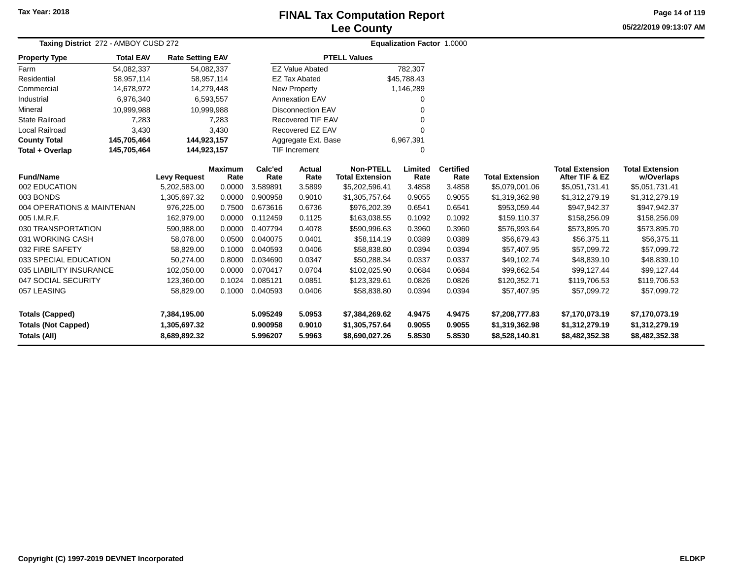## **Lee CountyFINAL Tax Computation Report**

**05/22/2019 09:13:07 AMPage 14 of 119**

| Taxing District 272 - AMBOY CUSD 272       |                  |                              |                        |                      | <b>Equalization Factor 1.0000</b> |                                            |                  |                          |                                  |                                          |                                      |
|--------------------------------------------|------------------|------------------------------|------------------------|----------------------|-----------------------------------|--------------------------------------------|------------------|--------------------------|----------------------------------|------------------------------------------|--------------------------------------|
| <b>Property Type</b>                       | <b>Total EAV</b> | <b>Rate Setting EAV</b>      |                        |                      |                                   | <b>PTELL Values</b>                        |                  |                          |                                  |                                          |                                      |
| Farm                                       | 54,082,337       | 54,082,337                   |                        |                      | <b>EZ Value Abated</b>            |                                            | 782,307          |                          |                                  |                                          |                                      |
| Residential                                | 58,957,114       | 58,957,114                   |                        |                      | <b>EZ Tax Abated</b>              |                                            | \$45,788.43      |                          |                                  |                                          |                                      |
| Commercial                                 | 14,678,972       | 14,279,448                   |                        |                      | New Property                      |                                            | 1,146,289        |                          |                                  |                                          |                                      |
| Industrial                                 | 6,976,340        |                              | 6,593,557              |                      | <b>Annexation EAV</b>             |                                            | 0                |                          |                                  |                                          |                                      |
| Mineral                                    | 10,999,988       | 10,999,988                   |                        |                      | <b>Disconnection EAV</b>          |                                            | U                |                          |                                  |                                          |                                      |
| <b>State Railroad</b>                      | 7,283            |                              | 7,283                  |                      | Recovered TIF EAV                 |                                            | 0                |                          |                                  |                                          |                                      |
| <b>Local Railroad</b>                      | 3,430            |                              | 3,430                  |                      | Recovered EZ EAV                  |                                            | U                |                          |                                  |                                          |                                      |
| <b>County Total</b>                        | 145,705,464      | 144,923,157                  |                        |                      | Aggregate Ext. Base               | 6,967,391                                  |                  |                          |                                  |                                          |                                      |
| Total + Overlap                            | 145,705,464      | 144,923,157                  |                        |                      | <b>TIF Increment</b>              |                                            | 0                |                          |                                  |                                          |                                      |
| <b>Fund/Name</b>                           |                  | <b>Levy Request</b>          | <b>Maximum</b><br>Rate | Calc'ed<br>Rate      | <b>Actual</b><br>Rate             | <b>Non-PTELL</b><br><b>Total Extension</b> | Limited<br>Rate  | <b>Certified</b><br>Rate | <b>Total Extension</b>           | <b>Total Extension</b><br>After TIF & EZ | <b>Total Extension</b><br>w/Overlaps |
| 002 EDUCATION                              |                  | 5,202,583.00                 | 0.0000                 | 3.589891             | 3.5899                            | \$5,202,596.41                             | 3.4858           | 3.4858                   | \$5,079,001.06                   | \$5,051,731.41                           | \$5,051,731.41                       |
| 003 BONDS                                  |                  | 1,305,697.32                 | 0.0000                 | 0.900958             | 0.9010                            | \$1,305,757.64                             | 0.9055           | 0.9055                   | \$1,319,362.98                   | \$1,312,279.19                           | \$1,312,279.19                       |
| 004 OPERATIONS & MAINTENAN                 |                  | 976,225.00                   | 0.7500                 | 0.673616             | 0.6736                            | \$976,202.39                               | 0.6541           | 0.6541                   | \$953,059.44                     | \$947,942.37                             | \$947,942.37                         |
| 005 I.M.R.F.                               |                  | 162,979.00                   | 0.0000                 | 0.112459             | 0.1125                            | \$163,038.55                               | 0.1092           | 0.1092                   | \$159,110.37                     | \$158,256.09                             | \$158,256.09                         |
| 030 TRANSPORTATION                         |                  | 590,988.00                   | 0.0000                 | 0.407794             | 0.4078                            | \$590,996.63                               | 0.3960           | 0.3960                   | \$576,993.64                     | \$573,895.70                             | \$573,895.70                         |
| 031 WORKING CASH                           |                  | 58,078.00                    | 0.0500                 | 0.040075             | 0.0401                            | \$58,114.19                                | 0.0389           | 0.0389                   | \$56,679.43                      | \$56,375.11                              | \$56,375.11                          |
| 032 FIRE SAFETY                            |                  | 58,829.00                    | 0.1000                 | 0.040593             | 0.0406                            | \$58,838.80                                | 0.0394           | 0.0394                   | \$57,407.95                      | \$57,099.72                              | \$57,099.72                          |
| 033 SPECIAL EDUCATION                      |                  | 50,274.00                    | 0.8000                 | 0.034690             | 0.0347                            | \$50,288.34                                | 0.0337           | 0.0337                   | \$49,102.74                      | \$48,839.10                              | \$48,839.10                          |
| 035 LIABILITY INSURANCE                    |                  | 102,050.00                   | 0.0000                 | 0.070417             | 0.0704                            | \$102,025.90                               | 0.0684           | 0.0684                   | \$99,662.54                      | \$99,127.44                              | \$99,127.44                          |
| 047 SOCIAL SECURITY                        |                  | 123,360.00                   | 0.1024                 | 0.085121             | 0.0851                            | \$123,329.61                               | 0.0826           | 0.0826                   | \$120,352.71                     | \$119,706.53                             | \$119,706.53                         |
| 057 LEASING                                |                  | 58,829.00                    | 0.1000                 | 0.040593             | 0.0406                            | \$58,838.80                                | 0.0394           | 0.0394                   | \$57,407.95                      | \$57,099.72                              | \$57,099.72                          |
| <b>Totals (Capped)</b>                     |                  | 7,384,195.00                 |                        | 5.095249             | 5.0953                            | \$7,384,269.62                             | 4.9475           | 4.9475                   | \$7,208,777.83                   | \$7,170,073.19                           | \$7,170,073.19                       |
| <b>Totals (Not Capped)</b><br>Totals (All) |                  | 1,305,697.32<br>8,689,892.32 |                        | 0.900958<br>5.996207 | 0.9010<br>5.9963                  | \$1,305,757.64<br>\$8,690,027.26           | 0.9055<br>5.8530 | 0.9055<br>5.8530         | \$1,319,362.98<br>\$8,528,140.81 | \$1,312,279.19<br>\$8,482,352.38         | \$1,312,279.19<br>\$8,482,352.38     |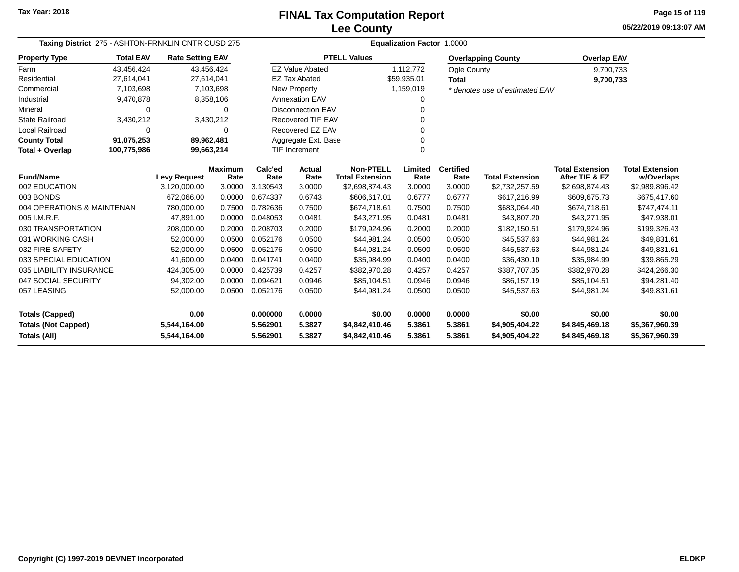**05/22/2019 09:13:07 AM Page 15 of 119**

| Taxing District 275 - ASHTON-FRNKLIN CNTR CUSD 275 |                  |                              |                        |                      |                          | Equalization Factor 1.0000                 |                  |                          |                                  |                                          |                                      |
|----------------------------------------------------|------------------|------------------------------|------------------------|----------------------|--------------------------|--------------------------------------------|------------------|--------------------------|----------------------------------|------------------------------------------|--------------------------------------|
| <b>Property Type</b>                               | <b>Total EAV</b> | <b>Rate Setting EAV</b>      |                        |                      |                          | <b>PTELL Values</b>                        |                  |                          | <b>Overlapping County</b>        | <b>Overlap EAV</b>                       |                                      |
| Farm                                               | 43,456,424       |                              | 43,456,424             |                      | <b>EZ Value Abated</b>   |                                            | 1,112,772        | Ogle County              |                                  | 9,700,733                                |                                      |
| Residential                                        | 27,614,041       | 27,614,041                   |                        |                      | <b>EZ Tax Abated</b>     |                                            | \$59,935.01      | <b>Total</b>             |                                  | 9,700,733                                |                                      |
| Commercial                                         | 7,103,698        |                              | 7,103,698              |                      | <b>New Property</b>      |                                            | 1,159,019        |                          | * denotes use of estimated EAV   |                                          |                                      |
| Industrial                                         | 9,470,878        |                              | 8,358,106              |                      | <b>Annexation EAV</b>    |                                            | 0                |                          |                                  |                                          |                                      |
| Mineral                                            | 0                |                              | $\Omega$               |                      | <b>Disconnection EAV</b> |                                            | U                |                          |                                  |                                          |                                      |
| <b>State Railroad</b>                              | 3,430,212        |                              | 3,430,212              |                      | <b>Recovered TIF EAV</b> |                                            | 0                |                          |                                  |                                          |                                      |
| <b>Local Railroad</b>                              | $\mathbf 0$      |                              | $\Omega$               |                      | Recovered EZ EAV         |                                            | 0                |                          |                                  |                                          |                                      |
| <b>County Total</b>                                | 91,075,253       | 89,962,481                   |                        |                      | Aggregate Ext. Base      |                                            | $\Omega$         |                          |                                  |                                          |                                      |
| Total + Overlap                                    | 100,775,986      | 99,663,214                   |                        |                      | <b>TIF Increment</b>     |                                            | $\Omega$         |                          |                                  |                                          |                                      |
| <b>Fund/Name</b>                                   |                  | <b>Levy Request</b>          | <b>Maximum</b><br>Rate | Calc'ed<br>Rate      | Actual<br>Rate           | <b>Non-PTELL</b><br><b>Total Extension</b> | Limited<br>Rate  | <b>Certified</b><br>Rate | <b>Total Extension</b>           | <b>Total Extension</b><br>After TIF & EZ | <b>Total Extension</b><br>w/Overlaps |
| 002 EDUCATION                                      |                  | 3,120,000.00                 | 3.0000                 | 3.130543             | 3.0000                   | \$2,698,874.43                             | 3.0000           | 3.0000                   | \$2,732,257.59                   | \$2,698,874.43                           | \$2,989,896.42                       |
| 003 BONDS                                          |                  | 672,066.00                   | 0.0000                 | 0.674337             | 0.6743                   | \$606,617.01                               | 0.6777           | 0.6777                   | \$617,216.99                     | \$609,675.73                             | \$675,417.60                         |
| 004 OPERATIONS & MAINTENAN                         |                  | 780,000.00                   | 0.7500                 | 0.782636             | 0.7500                   | \$674,718.61                               | 0.7500           | 0.7500                   | \$683,064.40                     | \$674,718.61                             | \$747,474.11                         |
| 005 I.M.R.F.                                       |                  | 47.891.00                    | 0.0000                 | 0.048053             | 0.0481                   | \$43,271.95                                | 0.0481           | 0.0481                   | \$43.807.20                      | \$43.271.95                              | \$47,938.01                          |
| 030 TRANSPORTATION                                 |                  | 208,000.00                   | 0.2000                 | 0.208703             | 0.2000                   | \$179,924.96                               | 0.2000           | 0.2000                   | \$182,150.51                     | \$179,924.96                             | \$199,326.43                         |
| 031 WORKING CASH                                   |                  | 52,000.00                    | 0.0500                 | 0.052176             | 0.0500                   | \$44,981.24                                | 0.0500           | 0.0500                   | \$45,537.63                      | \$44,981.24                              | \$49,831.61                          |
| 032 FIRE SAFETY                                    |                  | 52,000.00                    | 0.0500                 | 0.052176             | 0.0500                   | \$44,981.24                                | 0.0500           | 0.0500                   | \$45,537.63                      | \$44,981.24                              | \$49,831.61                          |
| 033 SPECIAL EDUCATION                              |                  | 41,600.00                    | 0.0400                 | 0.041741             | 0.0400                   | \$35,984.99                                | 0.0400           | 0.0400                   | \$36,430.10                      | \$35,984.99                              | \$39,865.29                          |
| 035 LIABILITY INSURANCE                            |                  | 424,305.00                   | 0.0000                 | 0.425739             | 0.4257                   | \$382,970.28                               | 0.4257           | 0.4257                   | \$387,707.35                     | \$382,970.28                             | \$424,266.30                         |
| 047 SOCIAL SECURITY                                |                  | 94,302.00                    | 0.0000                 | 0.094621             | 0.0946                   | \$85,104.51                                | 0.0946           | 0.0946                   | \$86,157.19                      | \$85,104.51                              | \$94,281.40                          |
| 057 LEASING                                        |                  | 52,000.00                    | 0.0500                 | 0.052176             | 0.0500                   | \$44,981.24                                | 0.0500           | 0.0500                   | \$45,537.63                      | \$44,981.24                              | \$49,831.61                          |
| <b>Totals (Capped)</b>                             |                  | 0.00                         |                        | 0.000000             | 0.0000                   | \$0.00                                     | 0.0000           | 0.0000                   | \$0.00                           | \$0.00                                   | \$0.00                               |
| <b>Totals (Not Capped)</b><br><b>Totals (All)</b>  |                  | 5,544,164.00<br>5,544,164.00 |                        | 5.562901<br>5.562901 | 5.3827<br>5.3827         | \$4,842,410.46<br>\$4,842,410.46           | 5.3861<br>5.3861 | 5.3861<br>5.3861         | \$4,905,404.22<br>\$4,905,404.22 | \$4,845,469.18<br>\$4,845,469.18         | \$5,367,960.39<br>\$5,367,960.39     |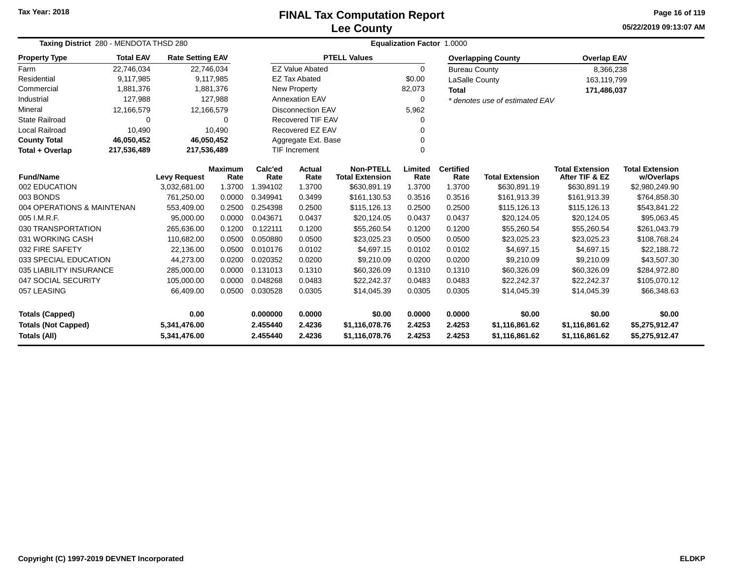### **Lee CountyFINAL Tax Computation Report**

**05/22/2019 09:13:07 AMPage 16 of 119**

| Taxing District 280 - MENDOTA THSD 280     |                  |                         |                        | Equalization Factor 1.0000 |                          |                                            |                 |                          |                                |                                          |                                      |  |  |  |
|--------------------------------------------|------------------|-------------------------|------------------------|----------------------------|--------------------------|--------------------------------------------|-----------------|--------------------------|--------------------------------|------------------------------------------|--------------------------------------|--|--|--|
| <b>Property Type</b>                       | <b>Total EAV</b> | <b>Rate Setting EAV</b> |                        |                            |                          | <b>PTELL Values</b>                        |                 |                          | <b>Overlapping County</b>      | <b>Overlap EAV</b>                       |                                      |  |  |  |
| Farm                                       | 22,746,034       |                         | 22,746,034             |                            | <b>EZ Value Abated</b>   |                                            | $\Omega$        | <b>Bureau County</b>     |                                | 8,366,238                                |                                      |  |  |  |
| Residential                                | 9.117.985        |                         | 9,117,985              |                            | <b>EZ Tax Abated</b>     |                                            | \$0.00          | LaSalle County           |                                | 163,119,799                              |                                      |  |  |  |
| Commercial                                 | 1,881,376        |                         | 1,881,376              |                            | New Property             |                                            | 82,073          | <b>Total</b>             |                                |                                          | 171,486,037                          |  |  |  |
| Industrial                                 | 127,988          |                         | 127,988                |                            | Annexation EAV           |                                            | $\mathbf 0$     |                          | * denotes use of estimated EAV |                                          |                                      |  |  |  |
| Mineral                                    | 12,166,579       |                         | 12,166,579             |                            | <b>Disconnection EAV</b> |                                            | 5,962           |                          |                                |                                          |                                      |  |  |  |
| <b>State Railroad</b>                      | 0                |                         | 0                      |                            | Recovered TIF EAV        |                                            | 0               |                          |                                |                                          |                                      |  |  |  |
| Local Railroad                             | 10,490           |                         | 10,490                 |                            | Recovered EZ EAV         |                                            | O               |                          |                                |                                          |                                      |  |  |  |
| <b>County Total</b>                        | 46,050,452       |                         | 46,050,452             |                            | Aggregate Ext. Base      |                                            |                 |                          |                                |                                          |                                      |  |  |  |
| Total + Overlap                            | 217,536,489      | 217,536,489             |                        |                            | <b>TIF Increment</b>     |                                            | $\Omega$        |                          |                                |                                          |                                      |  |  |  |
| <b>Fund/Name</b>                           |                  | <b>Levy Request</b>     | <b>Maximum</b><br>Rate | Calc'ed<br>Rate            | <b>Actual</b><br>Rate    | <b>Non-PTELL</b><br><b>Total Extension</b> | Limited<br>Rate | <b>Certified</b><br>Rate | <b>Total Extension</b>         | <b>Total Extension</b><br>After TIF & EZ | <b>Total Extension</b><br>w/Overlaps |  |  |  |
| 002 EDUCATION                              |                  | 3,032,681.00            | 1.3700                 | 1.394102                   | 1.3700                   | \$630,891.19                               | 1.3700          | 1.3700                   | \$630,891.19                   | \$630,891.19                             | \$2,980,249.90                       |  |  |  |
| 003 BONDS                                  |                  | 761,250.00              | 0.0000                 | 0.349941                   | 0.3499                   | \$161,130.53                               | 0.3516          | 0.3516                   | \$161,913.39                   | \$161,913.39                             | \$764,858.30                         |  |  |  |
| 004 OPERATIONS & MAINTENAN                 |                  | 553,409.00              | 0.2500                 | 0.254398                   | 0.2500                   | \$115,126.13                               | 0.2500          | 0.2500                   | \$115,126.13                   | \$115,126.13                             | \$543,841.22                         |  |  |  |
| 005 I.M.R.F.                               |                  | 95,000.00               | 0.0000                 | 0.043671                   | 0.0437                   | \$20,124.05                                | 0.0437          | 0.0437                   | \$20,124.05                    | \$20,124.05                              | \$95,063.45                          |  |  |  |
| 030 TRANSPORTATION                         |                  | 265,636.00              | 0.1200                 | 0.122111                   | 0.1200                   | \$55,260.54                                | 0.1200          | 0.1200                   | \$55,260.54                    | \$55,260.54                              | \$261,043.79                         |  |  |  |
| 031 WORKING CASH                           |                  | 110,682.00              | 0.0500                 | 0.050880                   | 0.0500                   | \$23,025.23                                | 0.0500          | 0.0500                   | \$23,025.23                    | \$23,025.23                              | \$108,768.24                         |  |  |  |
| 032 FIRE SAFETY                            |                  | 22,136.00               | 0.0500                 | 0.010176                   | 0.0102                   | \$4,697.15                                 | 0.0102          | 0.0102                   | \$4,697.15                     | \$4,697.15                               | \$22,188.72                          |  |  |  |
| 033 SPECIAL EDUCATION                      |                  | 44,273.00               | 0.0200                 | 0.020352                   | 0.0200                   | \$9,210.09                                 | 0.0200          | 0.0200                   | \$9,210.09                     | \$9,210.09                               | \$43,507.30                          |  |  |  |
| 035 LIABILITY INSURANCE                    |                  | 285,000.00              | 0.0000                 | 0.131013                   | 0.1310                   | \$60,326.09                                | 0.1310          | 0.1310                   | \$60,326.09                    | \$60,326.09                              | \$284,972.80                         |  |  |  |
| 047 SOCIAL SECURITY<br>105,000.00          |                  |                         | 0.0000                 | 0.048268                   | 0.0483                   | \$22,242.37                                | 0.0483          | 0.0483                   | \$22,242.37                    | \$22,242.37                              | \$105,070.12                         |  |  |  |
| 057 LEASING                                |                  | 66,409.00               | 0.0500                 | 0.030528                   | 0.0305                   | \$14,045.39                                | 0.0305          | 0.0305                   | \$14,045.39                    | \$14,045.39                              | \$66,348.63                          |  |  |  |
| 0.00<br><b>Totals (Capped)</b>             |                  |                         |                        | 0.000000                   | 0.0000                   | \$0.00                                     | 0.0000          | 0.0000                   | \$0.00                         | \$0.00                                   | \$0.00                               |  |  |  |
| <b>Totals (Not Capped)</b><br>5,341,476.00 |                  |                         |                        | 2.455440                   | 2.4236                   | \$1,116,078.76                             | 2.4253          | 2.4253                   | \$1,116,861.62                 | \$1,116,861.62                           | \$5,275,912.47                       |  |  |  |
| Totals (All)<br>5,341,476.00               |                  |                         |                        | 2.455440                   | 2.4236                   | \$1,116,078.76                             | 2.4253          | 2.4253                   | \$1,116,861.62                 | \$1,116,861.62                           | \$5,275,912.47                       |  |  |  |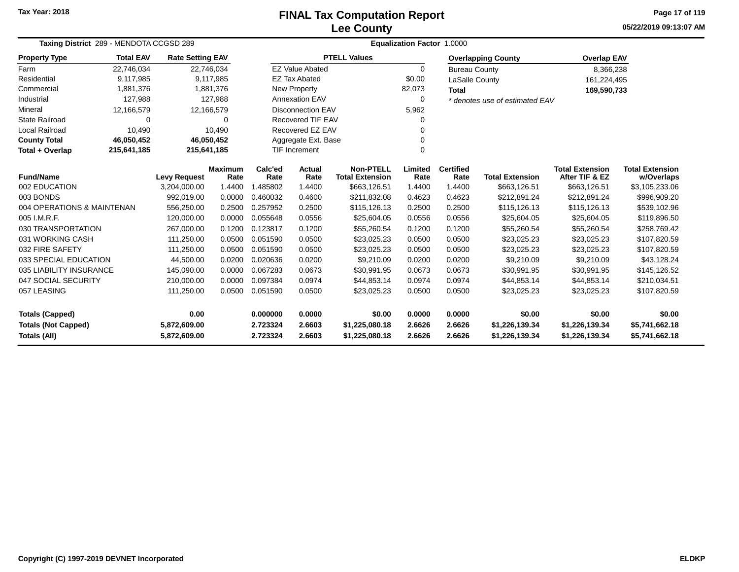### **Lee CountyFINAL Tax Computation Report**

**05/22/2019 09:13:07 AMPage 17 of 119**

| Taxing District 289 - MENDOTA CCGSD 289                                    |                  |                         |                | <b>Equalization Factor 1.0000</b> |                          |                                  |                  |                      |                                  |                                  |                                  |  |  |
|----------------------------------------------------------------------------|------------------|-------------------------|----------------|-----------------------------------|--------------------------|----------------------------------|------------------|----------------------|----------------------------------|----------------------------------|----------------------------------|--|--|
| <b>Property Type</b>                                                       | <b>Total EAV</b> | <b>Rate Setting EAV</b> |                |                                   |                          | <b>PTELL Values</b>              |                  |                      | <b>Overlapping County</b>        | <b>Overlap EAV</b>               |                                  |  |  |
| Farm                                                                       | 22,746,034       | 22,746,034              |                |                                   | <b>EZ Value Abated</b>   |                                  | $\Omega$         | <b>Bureau County</b> |                                  | 8,366,238                        |                                  |  |  |
| Residential                                                                | 9,117,985        |                         | 9,117,985      |                                   | <b>EZ Tax Abated</b>     |                                  | \$0.00           | LaSalle County       |                                  | 161,224,495                      |                                  |  |  |
| Commercial                                                                 | 1,881,376        |                         | 1,881,376      |                                   | New Property             |                                  | 82,073           | <b>Total</b>         |                                  | 169,590,733                      |                                  |  |  |
| Industrial                                                                 | 127,988          |                         | 127,988        |                                   | <b>Annexation EAV</b>    |                                  | 0                |                      | * denotes use of estimated EAV   |                                  |                                  |  |  |
| Mineral                                                                    | 12,166,579       | 12,166,579              |                |                                   | <b>Disconnection EAV</b> |                                  | 5,962            |                      |                                  |                                  |                                  |  |  |
| State Railroad                                                             | 0                |                         | 0              |                                   | <b>Recovered TIF EAV</b> |                                  |                  |                      |                                  |                                  |                                  |  |  |
| Local Railroad                                                             | 10,490           |                         | 10,490         |                                   | Recovered EZ EAV         |                                  |                  |                      |                                  |                                  |                                  |  |  |
| <b>County Total</b>                                                        | 46,050,452       | 46,050,452              |                |                                   | Aggregate Ext. Base      |                                  |                  |                      |                                  |                                  |                                  |  |  |
| Total + Overlap                                                            | 215,641,185      | 215,641,185             |                |                                   | <b>TIF Increment</b>     |                                  | $\Omega$         |                      |                                  |                                  |                                  |  |  |
|                                                                            |                  |                         | <b>Maximum</b> | Calc'ed                           | Actual                   | <b>Non-PTELL</b>                 | Limited          | <b>Certified</b>     |                                  | <b>Total Extension</b>           | <b>Total Extension</b>           |  |  |
| <b>Fund/Name</b>                                                           |                  | <b>Levy Request</b>     | Rate           | Rate                              | Rate                     | <b>Total Extension</b>           | Rate             | Rate                 | <b>Total Extension</b>           | After TIF & EZ                   | w/Overlaps                       |  |  |
| 002 EDUCATION<br>3,204,000.00                                              |                  |                         | 1.4400         | 1.485802                          | 1.4400                   | \$663,126.51                     | 1.4400           | 1.4400               | \$663,126.51                     | \$663,126.51                     | \$3,105,233.06                   |  |  |
| 003 BONDS                                                                  |                  | 992,019.00              | 0.0000         | 0.460032                          | 0.4600                   | \$211,832.08                     | 0.4623           | 0.4623               | \$212,891.24                     | \$212,891.24                     | \$996,909.20                     |  |  |
| 004 OPERATIONS & MAINTENAN                                                 |                  | 556,250.00              | 0.2500         | 0.257952                          | 0.2500                   | \$115,126.13                     | 0.2500           | 0.2500               | \$115,126.13                     | \$115,126.13                     | \$539,102.96                     |  |  |
| 005 I.M.R.F.                                                               |                  | 120.000.00              | 0.0000         | 0.055648                          | 0.0556                   | \$25,604.05                      | 0.0556           | 0.0556               | \$25,604.05                      | \$25,604.05                      | \$119,896.50                     |  |  |
| 030 TRANSPORTATION                                                         |                  | 267,000.00              | 0.1200         | 0.123817                          | 0.1200                   | \$55,260.54                      | 0.1200           | 0.1200               | \$55,260.54                      | \$55,260.54                      | \$258,769.42                     |  |  |
| 031 WORKING CASH                                                           |                  | 111,250.00              | 0.0500         | 0.051590                          | 0.0500                   | \$23,025.23                      | 0.0500           | 0.0500               | \$23,025.23                      | \$23,025.23                      | \$107,820.59                     |  |  |
| 032 FIRE SAFETY                                                            |                  | 111,250.00              | 0.0500         | 0.051590                          | 0.0500                   | \$23,025.23                      | 0.0500           | 0.0500               | \$23,025.23                      | \$23,025.23                      | \$107,820.59                     |  |  |
| 033 SPECIAL EDUCATION                                                      |                  | 44,500.00               | 0.0200         | 0.020636                          | 0.0200                   | \$9,210.09                       | 0.0200           | 0.0200               | \$9,210.09                       | \$9,210.09                       | \$43,128.24                      |  |  |
| 035 LIABILITY INSURANCE                                                    |                  | 145,090.00              | 0.0000         | 0.067283                          | 0.0673                   | \$30,991.95                      | 0.0673           | 0.0673               | \$30,991.95                      | \$30,991.95                      | \$145,126.52                     |  |  |
| 047 SOCIAL SECURITY<br>210,000.00                                          |                  |                         | 0.0000         | 0.097384                          | 0.0974                   | \$44,853.14                      | 0.0974           | 0.0974               | \$44,853.14                      | \$44,853.14                      | \$210,034.51                     |  |  |
| 057 LEASING<br>111,250.00                                                  |                  | 0.0500                  | 0.051590       | 0.0500                            | \$23,025.23              | 0.0500                           | 0.0500           | \$23,025.23          | \$23,025.23                      | \$107,820.59                     |                                  |  |  |
| 0.00<br><b>Totals (Capped)</b>                                             |                  |                         |                | 0.000000                          | 0.0000                   | \$0.00                           | 0.0000           | 0.0000               | \$0.00                           | \$0.00                           | \$0.00                           |  |  |
| <b>Totals (Not Capped)</b><br>5,872,609.00<br>Totals (All)<br>5,872,609.00 |                  |                         |                | 2.723324<br>2.723324              | 2.6603<br>2.6603         | \$1,225,080.18<br>\$1,225,080.18 | 2.6626<br>2.6626 | 2.6626<br>2.6626     | \$1,226,139.34<br>\$1,226,139.34 | \$1,226,139.34<br>\$1,226,139.34 | \$5,741,662.18<br>\$5,741,662.18 |  |  |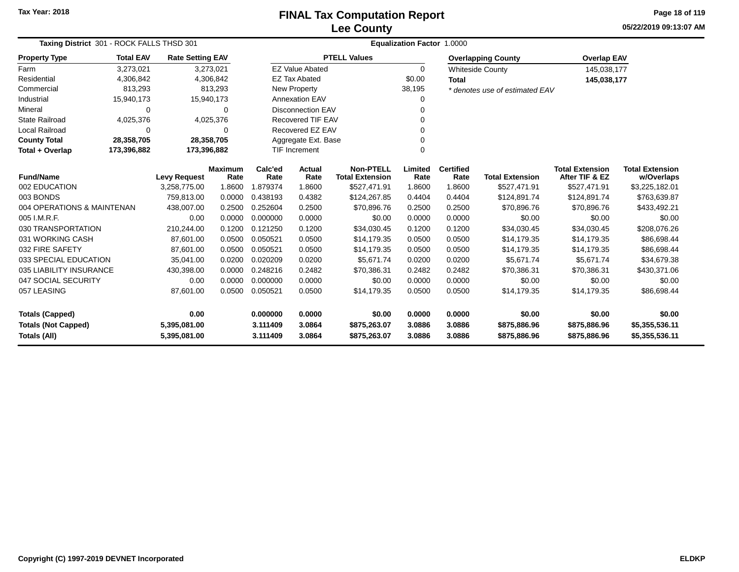# **Lee CountyFINAL Tax Computation Report**

**05/22/2019 09:13:07 AM Page 18 of 119**

| Taxing District 301 - ROCK FALLS THSD 301 |                  |                         |                        |                 |                                             | Equalization Factor 1.0000                 |                 |                          |                                |                                          |                                      |
|-------------------------------------------|------------------|-------------------------|------------------------|-----------------|---------------------------------------------|--------------------------------------------|-----------------|--------------------------|--------------------------------|------------------------------------------|--------------------------------------|
| <b>Property Type</b>                      | <b>Total EAV</b> | <b>Rate Setting EAV</b> |                        |                 |                                             | <b>PTELL Values</b>                        |                 |                          | <b>Overlapping County</b>      | <b>Overlap EAV</b>                       |                                      |
| Farm                                      | 3,273,021        |                         | 3,273,021              |                 | <b>EZ Value Abated</b>                      |                                            | $\mathbf 0$     |                          | <b>Whiteside County</b>        | 145,038,177                              |                                      |
| Residential                               | 4,306,842        |                         | 4,306,842              |                 | <b>EZ Tax Abated</b>                        |                                            | \$0.00          | <b>Total</b>             |                                | 145,038,177                              |                                      |
| Commercial                                | 813,293          |                         | 813,293                |                 | <b>New Property</b>                         |                                            | 38,195          |                          | * denotes use of estimated EAV |                                          |                                      |
| Industrial                                | 15,940,173       | 15,940,173              |                        |                 | <b>Annexation EAV</b>                       |                                            | 0               |                          |                                |                                          |                                      |
| Mineral                                   | 0                |                         | $\Omega$               |                 | Disconnection EAV                           |                                            | 0               |                          |                                |                                          |                                      |
| State Railroad                            | 4,025,376        |                         | 4,025,376              |                 | <b>Recovered TIF EAV</b>                    |                                            | $\Omega$        |                          |                                |                                          |                                      |
| <b>Local Railroad</b>                     | $\Omega$         |                         | $\mathbf 0$            |                 | Recovered EZ EAV                            |                                            | $\Omega$        |                          |                                |                                          |                                      |
| <b>County Total</b>                       | 28,358,705       | 28,358,705              |                        |                 | Aggregate Ext. Base<br><b>TIF Increment</b> |                                            |                 |                          |                                |                                          |                                      |
| Total + Overlap                           | 173,396,882      | 173,396,882             |                        |                 |                                             |                                            | $\Omega$        |                          |                                |                                          |                                      |
| <b>Fund/Name</b>                          |                  | <b>Levy Request</b>     | <b>Maximum</b><br>Rate | Calc'ed<br>Rate | Actual<br>Rate                              | <b>Non-PTELL</b><br><b>Total Extension</b> | Limited<br>Rate | <b>Certified</b><br>Rate | <b>Total Extension</b>         | <b>Total Extension</b><br>After TIF & EZ | <b>Total Extension</b><br>w/Overlaps |
| 002 EDUCATION                             |                  | 3,258,775.00            | 1.8600                 | 1.879374        | 1.8600                                      | \$527,471.91                               | 1.8600          | 1.8600                   | \$527,471.91                   | \$527,471.91                             | \$3,225,182.01                       |
| 003 BONDS                                 |                  | 759.813.00              | 0.0000                 | 0.438193        | 0.4382                                      | \$124,267.85                               | 0.4404          | 0.4404                   | \$124,891.74                   | \$124,891.74                             | \$763,639.87                         |
| 004 OPERATIONS & MAINTENAN                |                  | 438,007.00              | 0.2500                 | 0.252604        | 0.2500                                      | \$70,896.76                                | 0.2500          | 0.2500                   | \$70,896.76                    | \$70,896.76                              | \$433,492.21                         |
| 005 I.M.R.F.                              |                  | 0.00                    | 0.0000                 | 0.000000        | 0.0000                                      | \$0.00                                     | 0.0000          | 0.0000                   | \$0.00                         | \$0.00                                   | \$0.00                               |
| 030 TRANSPORTATION                        |                  | 210,244.00              | 0.1200                 | 0.121250        | 0.1200                                      | \$34,030.45                                | 0.1200          | 0.1200                   | \$34,030.45                    | \$34,030.45                              | \$208,076.26                         |
| 031 WORKING CASH                          |                  | 87,601.00               | 0.0500                 | 0.050521        | 0.0500                                      | \$14,179.35                                | 0.0500          | 0.0500                   | \$14,179.35                    | \$14,179.35                              | \$86,698.44                          |
| 032 FIRE SAFETY                           |                  | 87,601.00               | 0.0500                 | 0.050521        | 0.0500                                      | \$14,179.35                                | 0.0500          | 0.0500                   | \$14,179.35                    | \$14,179.35                              | \$86,698.44                          |
| 033 SPECIAL EDUCATION                     |                  | 35,041.00               | 0.0200                 | 0.020209        | 0.0200                                      | \$5,671.74                                 | 0.0200          | 0.0200                   | \$5,671.74                     | \$5,671.74                               | \$34,679.38                          |
| 035 LIABILITY INSURANCE                   |                  | 430,398.00              | 0.0000                 | 0.248216        | 0.2482                                      | \$70,386.31                                | 0.2482          | 0.2482                   | \$70,386.31                    | \$70,386.31                              | \$430,371.06                         |
| 047 SOCIAL SECURITY                       |                  | 0.00                    | 0.0000                 | 0.000000        | 0.0000                                      | \$0.00                                     | 0.0000          | 0.0000                   | \$0.00                         | \$0.00                                   | \$0.00                               |
| 057 LEASING                               |                  | 87,601.00               | 0.0500                 | 0.050521        | 0.0500                                      | \$14,179.35                                | 0.0500          | 0.0500                   | \$14,179.35                    | \$14,179.35                              | \$86,698.44                          |
| <b>Totals (Capped)</b>                    |                  | 0.00                    |                        | 0.000000        | 0.0000                                      | \$0.00                                     | 0.0000          | 0.0000                   | \$0.00                         | \$0.00                                   | \$0.00                               |
| <b>Totals (Not Capped)</b>                |                  | 5,395,081.00            |                        | 3.111409        | 3.0864                                      | \$875,263.07                               | 3.0886          | 3.0886                   | \$875,886.96                   | \$875,886.96                             | \$5,355,536.11                       |
| Totals (All)                              |                  | 5,395,081.00            |                        | 3.111409        | 3.0864                                      | \$875,263.07                               | 3.0886          | 3.0886                   | \$875,886.96                   | \$875,886.96                             | \$5,355,536.11                       |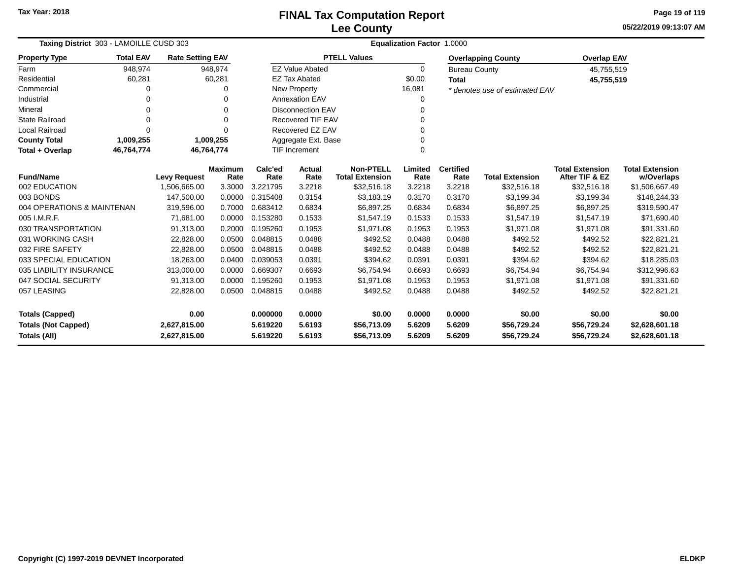**05/22/2019 09:13:07 AMPage 19 of 119**

| Taxing District 303 - LAMOILLE CUSD 303 |                  |                         |                        |                 |                                                  |                                            | <b>Equalization Factor 1.0000</b> |                          |                                |                                          |                                      |
|-----------------------------------------|------------------|-------------------------|------------------------|-----------------|--------------------------------------------------|--------------------------------------------|-----------------------------------|--------------------------|--------------------------------|------------------------------------------|--------------------------------------|
| <b>Property Type</b>                    | <b>Total EAV</b> | <b>Rate Setting EAV</b> |                        |                 |                                                  | <b>PTELL Values</b>                        |                                   |                          | <b>Overlapping County</b>      | <b>Overlap EAV</b>                       |                                      |
| Farm                                    | 948,974          |                         | 948,974                |                 | <b>EZ Value Abated</b>                           |                                            | $\Omega$                          | <b>Bureau County</b>     |                                | 45,755,519                               |                                      |
| Residential                             | 60,281           |                         | 60,281                 |                 | <b>EZ Tax Abated</b>                             |                                            | \$0.00                            | <b>Total</b>             |                                | 45,755,519                               |                                      |
| Commercial                              | 0                |                         | O                      |                 | New Property                                     |                                            | 16,081                            |                          | * denotes use of estimated EAV |                                          |                                      |
| Industrial                              | 0                |                         |                        |                 | <b>Annexation EAV</b>                            |                                            | 0                                 |                          |                                |                                          |                                      |
| Mineral                                 | 0                |                         | $\Omega$               |                 | <b>Disconnection EAV</b>                         |                                            | 0                                 |                          |                                |                                          |                                      |
| <b>State Railroad</b>                   | 0                |                         | $\Omega$               |                 | <b>Recovered TIF EAV</b>                         |                                            | $\Omega$                          |                          |                                |                                          |                                      |
| <b>Local Railroad</b>                   | 0                |                         | $\Omega$               |                 | Recovered EZ EAV                                 |                                            | 0                                 |                          |                                |                                          |                                      |
| <b>County Total</b>                     | 1,009,255        |                         | 1,009,255              |                 | Aggregate Ext. Base<br>0<br><b>TIF Increment</b> |                                            |                                   |                          |                                |                                          |                                      |
| Total + Overlap                         | 46,764,774       | 46,764,774              |                        |                 |                                                  |                                            | $\Omega$                          |                          |                                |                                          |                                      |
| <b>Fund/Name</b>                        |                  | <b>Levy Request</b>     | <b>Maximum</b><br>Rate | Calc'ed<br>Rate | Actual<br>Rate                                   | <b>Non-PTELL</b><br><b>Total Extension</b> | Limited<br>Rate                   | <b>Certified</b><br>Rate | <b>Total Extension</b>         | <b>Total Extension</b><br>After TIF & EZ | <b>Total Extension</b><br>w/Overlaps |
| 002 EDUCATION                           |                  | 1,506,665.00            | 3.3000                 | 3.221795        | 3.2218                                           | \$32,516.18                                | 3.2218                            | 3.2218                   | \$32,516.18                    | \$32,516.18                              | \$1,506,667.49                       |
| 003 BONDS                               |                  | 147,500.00              | 0.0000                 | 0.315408        | 0.3154                                           | \$3,183.19                                 | 0.3170                            | 0.3170                   | \$3,199.34                     | \$3,199.34                               | \$148,244.33                         |
| 004 OPERATIONS & MAINTENAN              |                  | 319,596.00              | 0.7000                 | 0.683412        | 0.6834                                           | \$6,897.25                                 | 0.6834                            | 0.6834                   | \$6,897.25                     | \$6,897.25                               | \$319,590.47                         |
| 005 I.M.R.F.                            |                  | 71,681.00               | 0.0000                 | 0.153280        | 0.1533                                           | \$1.547.19                                 | 0.1533                            | 0.1533                   | \$1,547.19                     | \$1,547.19                               | \$71,690.40                          |
| 030 TRANSPORTATION                      |                  | 91,313.00               | 0.2000                 | 0.195260        | 0.1953                                           | \$1,971.08                                 | 0.1953                            | 0.1953                   | \$1,971.08                     | \$1,971.08                               | \$91,331.60                          |
| 031 WORKING CASH                        |                  | 22,828.00               | 0.0500                 | 0.048815        | 0.0488                                           | \$492.52                                   | 0.0488                            | 0.0488                   | \$492.52                       | \$492.52                                 | \$22,821.21                          |
| 032 FIRE SAFETY                         |                  | 22,828.00               | 0.0500                 | 0.048815        | 0.0488                                           | \$492.52                                   | 0.0488                            | 0.0488                   | \$492.52                       | \$492.52                                 | \$22,821.21                          |
| 033 SPECIAL EDUCATION                   |                  | 18,263.00               | 0.0400                 | 0.039053        | 0.0391                                           | \$394.62                                   | 0.0391                            | 0.0391                   | \$394.62                       | \$394.62                                 | \$18,285.03                          |
| 035 LIABILITY INSURANCE                 |                  | 313,000.00              | 0.0000                 | 0.669307        | 0.6693                                           | \$6,754.94                                 | 0.6693                            | 0.6693                   | \$6,754.94                     | \$6,754.94                               | \$312,996.63                         |
| 047 SOCIAL SECURITY                     |                  | 91,313.00               | 0.0000                 | 0.195260        | 0.1953                                           | \$1,971.08                                 | 0.1953                            | 0.1953                   | \$1,971.08                     | \$1,971.08                               | \$91,331.60                          |
| 057 LEASING                             |                  | 22,828.00               | 0.0500                 | 0.048815        | 0.0488                                           | \$492.52                                   | 0.0488                            | 0.0488                   | \$492.52                       | \$492.52                                 | \$22,821.21                          |
| 0.00<br><b>Totals (Capped)</b>          |                  | 0.000000                | 0.0000                 | \$0.00          | 0.0000                                           | 0.0000                                     | \$0.00                            | \$0.00                   | \$0.00                         |                                          |                                      |
| <b>Totals (Not Capped)</b>              |                  | 2,627,815.00            |                        | 5.619220        | 5.6193                                           | \$56,713.09                                | 5.6209                            | 5.6209                   | \$56,729.24                    | \$56,729.24                              | \$2,628,601.18                       |
| <b>Totals (All)</b><br>2,627,815.00     |                  |                         |                        | 5.619220        | 5.6193                                           | \$56,713.09                                | 5.6209                            | 5.6209                   | \$56,729.24                    | \$56,729.24                              | \$2,628,601.18                       |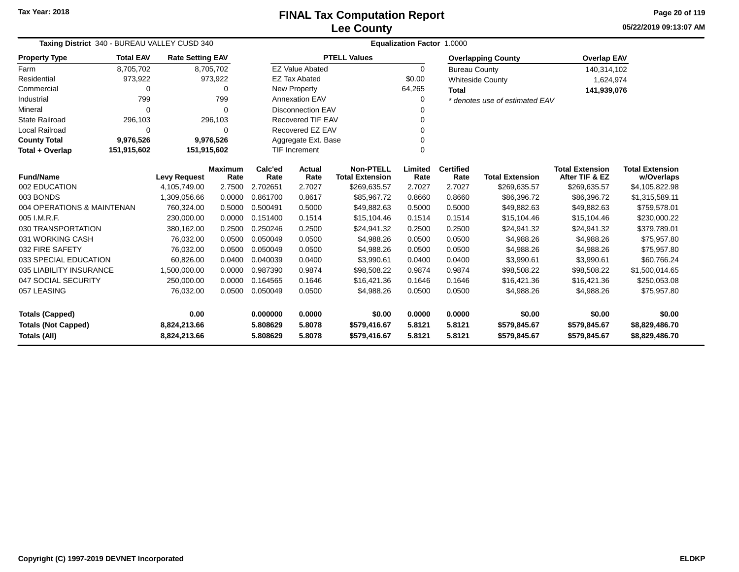**05/22/2019 09:13:07 AMPage 20 of 119**

| Taxing District 340 - BUREAU VALLEY CUSD 340 |                                   |                         |           | Equalization Factor 1.0000 |                          |                        |          |                      |                                |                        |                        |  |
|----------------------------------------------|-----------------------------------|-------------------------|-----------|----------------------------|--------------------------|------------------------|----------|----------------------|--------------------------------|------------------------|------------------------|--|
| <b>Property Type</b>                         | <b>Total EAV</b>                  | <b>Rate Setting EAV</b> |           |                            |                          | <b>PTELL Values</b>    |          |                      | <b>Overlapping County</b>      | <b>Overlap EAV</b>     |                        |  |
| Farm                                         | 8,705,702                         |                         | 8,705,702 |                            | <b>EZ Value Abated</b>   |                        | $\Omega$ | <b>Bureau County</b> |                                | 140,314,102            |                        |  |
| Residential                                  | 973,922                           |                         | 973,922   |                            | <b>EZ Tax Abated</b>     |                        | \$0.00   |                      | <b>Whiteside County</b>        | 1,624,974              |                        |  |
| Commercial                                   | $\Omega$                          |                         | 0         |                            | New Property             |                        | 64,265   | <b>Total</b>         |                                | 141,939,076            |                        |  |
| Industrial                                   | 799                               |                         | 799       |                            | <b>Annexation EAV</b>    |                        | 0        |                      | * denotes use of estimated EAV |                        |                        |  |
| Mineral                                      | $\Omega$                          |                         | $\Omega$  |                            | <b>Disconnection EAV</b> |                        | O        |                      |                                |                        |                        |  |
| <b>State Railroad</b>                        | 296,103                           |                         | 296,103   |                            | <b>Recovered TIF EAV</b> |                        | 0        |                      |                                |                        |                        |  |
| <b>Local Railroad</b>                        | $\Omega$                          |                         | 0         |                            | Recovered EZ EAV         |                        | 0        |                      |                                |                        |                        |  |
| <b>County Total</b>                          | 9,976,526                         |                         | 9,976,526 |                            | Aggregate Ext. Base      |                        | 0        |                      |                                |                        |                        |  |
| Total + Overlap                              | 151,915,602                       | 151,915,602             |           |                            | <b>TIF Increment</b>     |                        | $\Omega$ |                      |                                |                        |                        |  |
|                                              | <b>Fund/Name</b><br>002 EDUCATION |                         |           | Calc'ed                    | Actual                   | <b>Non-PTELL</b>       | Limited  | <b>Certified</b>     |                                | <b>Total Extension</b> | <b>Total Extension</b> |  |
|                                              |                                   | <b>Levy Request</b>     | Rate      | Rate                       | Rate                     | <b>Total Extension</b> | Rate     | Rate                 | <b>Total Extension</b>         | After TIF & EZ         | w/Overlaps             |  |
|                                              |                                   | 4,105,749.00            | 2.7500    | 2.702651                   | 2.7027                   | \$269,635.57           | 2.7027   | 2.7027               | \$269,635.57                   | \$269,635.57           | \$4,105,822.98         |  |
| 003 BONDS                                    |                                   | 1,309,056.66            | 0.0000    | 0.861700                   | 0.8617                   | \$85,967.72            | 0.8660   | 0.8660               | \$86,396.72                    | \$86,396.72            | \$1,315,589.11         |  |
| 004 OPERATIONS & MAINTENAN                   |                                   | 760.324.00              | 0.5000    | 0.500491                   | 0.5000                   | \$49,882.63            | 0.5000   | 0.5000               | \$49,882.63                    | \$49,882.63            | \$759,578.01           |  |
| 005 I.M.R.F.                                 |                                   | 230,000.00              | 0.0000    | 0.151400                   | 0.1514                   | \$15,104.46            | 0.1514   | 0.1514               | \$15,104.46                    | \$15,104.46            | \$230,000.22           |  |
| 030 TRANSPORTATION                           |                                   | 380,162.00              | 0.2500    | 0.250246                   | 0.2500                   | \$24,941.32            | 0.2500   | 0.2500               | \$24,941.32                    | \$24,941.32            | \$379,789.01           |  |
| 031 WORKING CASH                             |                                   | 76,032.00               | 0.0500    | 0.050049                   | 0.0500                   | \$4,988.26             | 0.0500   | 0.0500               | \$4,988.26                     | \$4,988.26             | \$75,957.80            |  |
| 032 FIRE SAFETY                              |                                   | 76,032.00               | 0.0500    | 0.050049                   | 0.0500                   | \$4,988.26             | 0.0500   | 0.0500               | \$4,988.26                     | \$4,988.26             | \$75,957.80            |  |
| 033 SPECIAL EDUCATION                        |                                   | 60,826.00               | 0.0400    | 0.040039                   | 0.0400                   | \$3,990.61             | 0.0400   | 0.0400               | \$3,990.61                     | \$3,990.61             | \$60,766.24            |  |
| 035 LIABILITY INSURANCE                      |                                   | 1,500,000.00            | 0.0000    | 0.987390                   | 0.9874                   | \$98,508.22            | 0.9874   | 0.9874               | \$98,508.22                    | \$98,508.22            | \$1,500,014.65         |  |
| 047 SOCIAL SECURITY                          |                                   | 250,000.00              | 0.0000    | 0.164565                   | 0.1646                   | \$16,421.36            | 0.1646   | 0.1646               | \$16,421.36                    | \$16,421.36            | \$250,053.08           |  |
| 057 LEASING                                  |                                   | 76,032.00               | 0.0500    | 0.050049                   | 0.0500                   | \$4,988.26             | 0.0500   | 0.0500               | \$4,988.26                     | \$4,988.26             | \$75,957.80            |  |
| 0.00<br><b>Totals (Capped)</b>               |                                   | 0.000000                | 0.0000    | \$0.00                     | 0.0000                   | 0.0000                 | \$0.00   | \$0.00               | \$0.00                         |                        |                        |  |
| <b>Totals (Not Capped)</b><br>8,824,213.66   |                                   |                         | 5.808629  | 5.8078                     | \$579,416.67             | 5.8121                 | 5.8121   | \$579,845.67         | \$579,845.67                   | \$8,829,486.70         |                        |  |
| <b>Totals (All)</b><br>8,824,213.66          |                                   |                         |           | 5.808629                   | 5.8078                   | \$579,416.67           | 5.8121   | 5.8121               | \$579,845.67                   | \$579,845.67           | \$8,829,486.70         |  |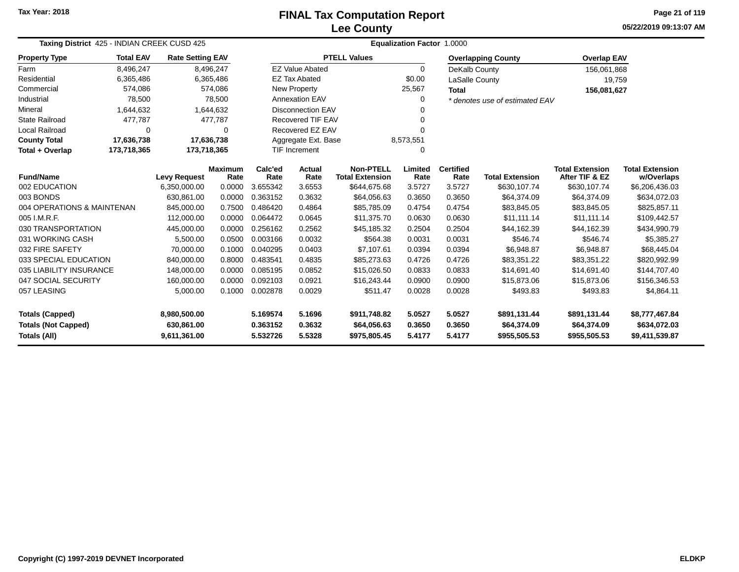# **Lee CountyFINAL Tax Computation Report**

**05/22/2019 09:13:07 AM Page 21 of 119**

| Taxing District 425 - INDIAN CREEK CUSD 425   |                  |                         |                        | <b>Equalization Factor 1.0000</b> |                                  |                                            |                 |                          |                                |                                          |                                      |
|-----------------------------------------------|------------------|-------------------------|------------------------|-----------------------------------|----------------------------------|--------------------------------------------|-----------------|--------------------------|--------------------------------|------------------------------------------|--------------------------------------|
| <b>Property Type</b>                          | <b>Total EAV</b> | <b>Rate Setting EAV</b> |                        |                                   |                                  | <b>PTELL Values</b>                        |                 |                          | <b>Overlapping County</b>      | <b>Overlap EAV</b>                       |                                      |
| Farm                                          | 8,496,247        |                         | 8,496,247              |                                   | <b>EZ Value Abated</b>           |                                            | 0               | DeKalb County            |                                | 156,061,868                              |                                      |
| Residential                                   | 6,365,486        |                         | 6,365,486              |                                   | <b>EZ Tax Abated</b>             |                                            | \$0.00          | LaSalle County           |                                | 19,759                                   |                                      |
| Commercial                                    | 574,086          |                         | 574,086                |                                   | <b>New Property</b>              |                                            | 25,567          | <b>Total</b>             |                                | 156,081,627                              |                                      |
| Industrial                                    | 78,500           |                         | 78,500                 |                                   | <b>Annexation EAV</b>            |                                            | 0               |                          | * denotes use of estimated EAV |                                          |                                      |
| Mineral                                       | 1,644,632        |                         | 1,644,632              |                                   | <b>Disconnection EAV</b>         |                                            |                 |                          |                                |                                          |                                      |
| <b>State Railroad</b>                         | 477,787          |                         | 477,787                |                                   | Recovered TIF EAV                |                                            | $\Omega$        |                          |                                |                                          |                                      |
| <b>Local Railroad</b>                         | 0                |                         | 0                      |                                   | Recovered EZ EAV                 |                                            | $\Omega$        |                          |                                |                                          |                                      |
| <b>County Total</b>                           | 17,636,738       |                         | 17,636,738             |                                   | Aggregate Ext. Base<br>8,573,551 |                                            |                 |                          |                                |                                          |                                      |
| Total + Overlap<br>173,718,365<br>173,718,365 |                  |                         |                        |                                   | <b>TIF Increment</b>             |                                            | $\Omega$        |                          |                                |                                          |                                      |
| <b>Fund/Name</b>                              |                  | <b>Levy Request</b>     | <b>Maximum</b><br>Rate | Calc'ed<br>Rate                   | Actual<br>Rate                   | <b>Non-PTELL</b><br><b>Total Extension</b> | Limited<br>Rate | <b>Certified</b><br>Rate | <b>Total Extension</b>         | <b>Total Extension</b><br>After TIF & EZ | <b>Total Extension</b><br>w/Overlaps |
| 002 EDUCATION                                 |                  | 6,350,000.00            | 0.0000                 | 3.655342                          | 3.6553                           | \$644,675.68                               | 3.5727          | 3.5727                   | \$630,107.74                   | \$630,107.74                             | \$6,206,436.03                       |
| 003 BONDS                                     |                  | 630,861.00              | 0.0000                 | 0.363152                          | 0.3632                           | \$64,056.63                                | 0.3650          | 0.3650                   | \$64,374.09                    | \$64,374.09                              | \$634,072.03                         |
| 004 OPERATIONS & MAINTENAN                    |                  | 845,000.00              | 0.7500                 | 0.486420                          | 0.4864                           | \$85,785.09                                | 0.4754          | 0.4754                   | \$83,845.05                    | \$83,845.05                              | \$825,857.11                         |
| 005 I.M.R.F.                                  |                  | 112,000.00              | 0.0000                 | 0.064472                          | 0.0645                           | \$11,375.70                                | 0.0630          | 0.0630                   | \$11,111.14                    | \$11.111.14                              | \$109,442.57                         |
| 030 TRANSPORTATION                            |                  | 445,000.00              | 0.0000                 | 0.256162                          | 0.2562                           | \$45,185.32                                | 0.2504          | 0.2504                   | \$44,162.39                    | \$44,162.39                              | \$434,990.79                         |
| 031 WORKING CASH                              |                  | 5,500.00                | 0.0500                 | 0.003166                          | 0.0032                           | \$564.38                                   | 0.0031          | 0.0031                   | \$546.74                       | \$546.74                                 | \$5,385.27                           |
| 032 FIRE SAFETY                               |                  | 70,000.00               | 0.1000                 | 0.040295                          | 0.0403                           | \$7,107.61                                 | 0.0394          | 0.0394                   | \$6,948.87                     | \$6,948.87                               | \$68,445.04                          |
| 033 SPECIAL EDUCATION                         |                  | 840,000.00              | 0.8000                 | 0.483541                          | 0.4835                           | \$85,273.63                                | 0.4726          | 0.4726                   | \$83,351.22                    | \$83,351.22                              | \$820,992.99                         |
| 035 LIABILITY INSURANCE                       |                  | 148,000.00              | 0.0000                 | 0.085195                          | 0.0852                           | \$15,026.50                                | 0.0833          | 0.0833                   | \$14,691.40                    | \$14,691.40                              | \$144,707.40                         |
| 047 SOCIAL SECURITY                           |                  | 160,000.00              | 0.0000                 | 0.092103                          | 0.0921                           | \$16,243.44                                | 0.0900          | 0.0900                   | \$15,873.06                    | \$15,873.06                              | \$156,346.53                         |
| 057 LEASING                                   |                  | 5,000.00                | 0.1000                 | 0.002878                          | 0.0029                           | \$511.47                                   | 0.0028          | 0.0028                   | \$493.83                       | \$493.83                                 | \$4,864.11                           |
| <b>Totals (Capped)</b><br>8,980,500.00        |                  |                         | 5.169574               | 5.1696                            | \$911,748.82                     | 5.0527                                     | 5.0527          | \$891,131.44             | \$891,131.44                   | \$8,777,467.84                           |                                      |
| <b>Totals (Not Capped)</b>                    |                  | 630,861.00              |                        | 0.363152                          | 0.3632                           | \$64,056.63                                | 0.3650          | 0.3650                   | \$64,374.09                    | \$64,374.09                              | \$634,072.03                         |
| Totals (All)                                  | 9,611,361.00     |                         | 5.532726               | 5.5328                            | \$975,805.45                     | 5.4177                                     | 5.4177          | \$955,505.53             | \$955,505.53                   | \$9,411,539.87                           |                                      |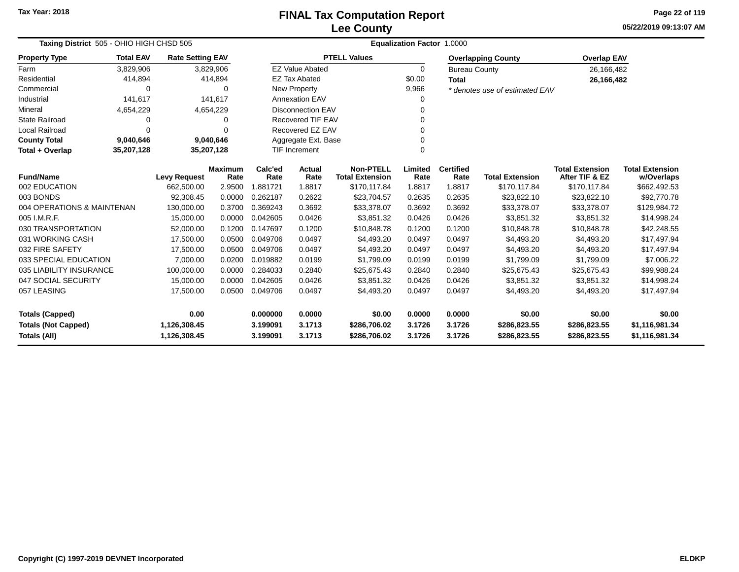**05/22/2019 09:13:07 AMPage 22 of 119**

| Taxing District 505 - OHIO HIGH CHSD 505 | Equalization Factor 1.0000 |                                   |                |                  |                                             |                                        |                |                      |                                        |                                          |                            |
|------------------------------------------|----------------------------|-----------------------------------|----------------|------------------|---------------------------------------------|----------------------------------------|----------------|----------------------|----------------------------------------|------------------------------------------|----------------------------|
| <b>Property Type</b>                     | <b>Total EAV</b>           | <b>Rate Setting EAV</b>           |                |                  |                                             | <b>PTELL Values</b>                    |                |                      | <b>Overlapping County</b>              | <b>Overlap EAV</b>                       |                            |
| Farm                                     | 3,829,906                  |                                   | 3,829,906      |                  | <b>EZ Value Abated</b>                      |                                        | $\Omega$       | <b>Bureau County</b> |                                        | 26,166,482                               |                            |
| Residential                              | 414,894                    |                                   | 414,894        |                  | <b>EZ Tax Abated</b>                        |                                        | \$0.00         | <b>Total</b>         |                                        | 26,166,482                               |                            |
| Commercial                               | 0                          |                                   | $\Omega$       |                  | New Property                                |                                        | 9,966          |                      | * denotes use of estimated EAV         |                                          |                            |
| Industrial                               | 141,617                    |                                   | 141,617        |                  | <b>Annexation EAV</b>                       |                                        |                |                      |                                        |                                          |                            |
| Mineral                                  | 4,654,229                  |                                   | 4,654,229      |                  | <b>Disconnection EAV</b>                    |                                        | 0              |                      |                                        |                                          |                            |
| <b>State Railroad</b>                    | 0                          |                                   | 0              |                  | Recovered TIF EAV                           |                                        |                |                      |                                        |                                          |                            |
| <b>Local Railroad</b>                    | $\Omega$                   |                                   | $\Omega$       |                  | Recovered EZ EAV                            |                                        |                |                      |                                        |                                          |                            |
| <b>County Total</b>                      | 9,040,646                  |                                   | 9,040,646      |                  | Aggregate Ext. Base<br><b>TIF Increment</b> |                                        |                |                      |                                        |                                          |                            |
| Total + Overlap                          | 35,207,128                 | 35,207,128                        |                |                  |                                             |                                        | $\Omega$       |                      |                                        |                                          |                            |
| <b>Fund/Name</b>                         |                            |                                   | <b>Maximum</b> | Calc'ed          | <b>Actual</b><br>Rate                       | <b>Non-PTELL</b>                       | Limited        | <b>Certified</b>     |                                        | <b>Total Extension</b><br>After TIF & EZ | <b>Total Extension</b>     |
| 002 EDUCATION                            |                            | <b>Levy Request</b><br>662,500.00 | Rate<br>2.9500 | Rate<br>1.881721 | 1.8817                                      | <b>Total Extension</b><br>\$170,117.84 | Rate<br>1.8817 | Rate<br>1.8817       | <b>Total Extension</b><br>\$170,117.84 | \$170,117.84                             | w/Overlaps<br>\$662,492.53 |
| 003 BONDS                                |                            | 92,308.45                         | 0.0000         | 0.262187         | 0.2622                                      | \$23,704.57                            | 0.2635         | 0.2635               | \$23,822.10                            | \$23,822.10                              | \$92,770.78                |
| 004 OPERATIONS & MAINTENAN               |                            | 130,000.00                        | 0.3700         | 0.369243         | 0.3692                                      | \$33,378.07                            | 0.3692         | 0.3692               | \$33,378.07                            | \$33,378.07                              | \$129,984.72               |
| 005 I.M.R.F.                             |                            | 15,000.00                         | 0.0000         | 0.042605         | 0.0426                                      | \$3,851.32                             | 0.0426         | 0.0426               | \$3,851.32                             | \$3,851.32                               | \$14,998.24                |
| 030 TRANSPORTATION                       |                            | 52,000.00                         | 0.1200         | 0.147697         | 0.1200                                      | \$10,848.78                            | 0.1200         | 0.1200               | \$10,848.78                            | \$10,848.78                              | \$42,248.55                |
| 031 WORKING CASH                         |                            | 17,500.00                         | 0.0500         | 0.049706         | 0.0497                                      | \$4,493.20                             | 0.0497         | 0.0497               | \$4,493.20                             | \$4,493.20                               | \$17,497.94                |
| 032 FIRE SAFETY                          |                            | 17,500.00                         | 0.0500         | 0.049706         | 0.0497                                      | \$4.493.20                             | 0.0497         | 0.0497               | \$4,493.20                             | \$4,493.20                               | \$17,497.94                |
| 033 SPECIAL EDUCATION                    |                            | 7,000.00                          | 0.0200         | 0.019882         | 0.0199                                      | \$1,799.09                             | 0.0199         | 0.0199               | \$1,799.09                             | \$1,799.09                               | \$7,006.22                 |
| 035 LIABILITY INSURANCE                  |                            | 100,000.00                        | 0.0000         | 0.284033         | 0.2840                                      | \$25,675.43                            | 0.2840         | 0.2840               | \$25,675.43                            | \$25,675.43                              | \$99,988.24                |
| 047 SOCIAL SECURITY                      |                            | 15,000.00                         | 0.0000         | 0.042605         | 0.0426                                      | \$3,851.32                             | 0.0426         | 0.0426               | \$3,851.32                             | \$3,851.32                               | \$14,998.24                |
| 057 LEASING                              |                            | 17,500.00                         | 0.0500         | 0.049706         | 0.0497                                      | \$4,493.20                             | 0.0497         | 0.0497               | \$4,493.20                             | \$4,493.20                               | \$17,497.94                |
|                                          |                            |                                   |                |                  |                                             |                                        |                |                      |                                        |                                          |                            |
| <b>Totals (Capped)</b>                   |                            | 0.00                              |                | 0.000000         | 0.0000                                      | \$0.00                                 | 0.0000         | 0.0000               | \$0.00                                 | \$0.00                                   | \$0.00                     |
| <b>Totals (Not Capped)</b>               |                            | 1,126,308.45                      |                | 3.199091         | 3.1713                                      | \$286,706.02                           | 3.1726         | 3.1726               | \$286,823.55                           | \$286,823.55                             | \$1,116,981.34             |
| <b>Totals (All)</b>                      |                            | 1,126,308.45                      |                | 3.199091         | 3.1713                                      | \$286,706.02                           | 3.1726         | 3.1726               | \$286,823.55                           | \$286,823.55                             | \$1,116,981.34             |

۰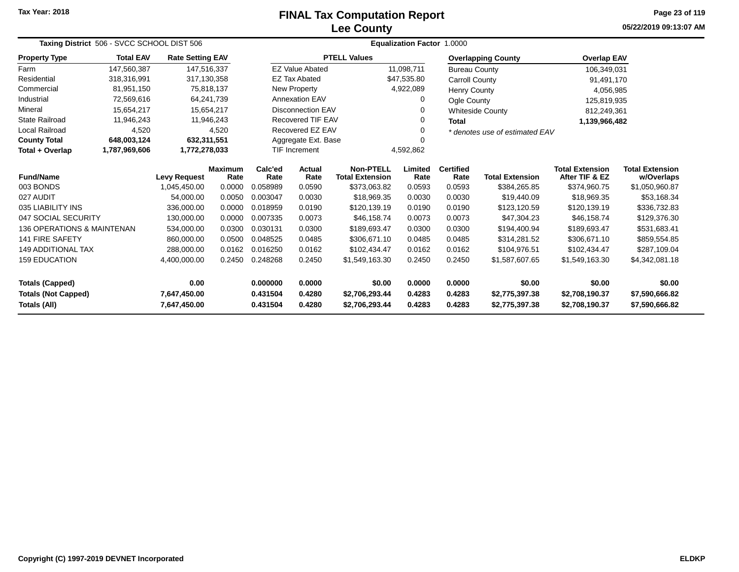# **Lee CountyFINAL Tax Computation Report**

**05/22/2019 09:13:07 AM Page 23 of 119**

| Taxing District 506 - SVCC SCHOOL DIST 506                                                                  |                                                        |                         |                        |                  |                                  |                                            | Equalization Factor 1.0000 |                                  |                                  |                                          |                                      |  |
|-------------------------------------------------------------------------------------------------------------|--------------------------------------------------------|-------------------------|------------------------|------------------|----------------------------------|--------------------------------------------|----------------------------|----------------------------------|----------------------------------|------------------------------------------|--------------------------------------|--|
| <b>Property Type</b>                                                                                        | <b>Total EAV</b>                                       | <b>Rate Setting EAV</b> |                        |                  |                                  | <b>PTELL Values</b>                        |                            |                                  | <b>Overlapping County</b>        | <b>Overlap EAV</b>                       |                                      |  |
| Farm                                                                                                        | 147,560,387                                            | 147,516,337             |                        |                  | <b>EZ Value Abated</b>           |                                            | 11,098,711                 | <b>Bureau County</b>             |                                  | 106,349,031                              |                                      |  |
| Residential                                                                                                 | 318,316,991                                            | 317,130,358             |                        |                  | <b>EZ Tax Abated</b>             |                                            | \$47,535.80                | Carroll County                   |                                  | 91,491,170                               |                                      |  |
| Commercial                                                                                                  | 81,951,150                                             |                         | 75,818,137             |                  | New Property                     |                                            | 4,922,089                  | <b>Henry County</b>              |                                  | 4,056,985                                |                                      |  |
| Industrial                                                                                                  | 72,569,616                                             |                         | 64,241,739             |                  | <b>Annexation EAV</b>            |                                            | $\Omega$                   | Ogle County                      |                                  | 125,819,935                              |                                      |  |
| Mineral                                                                                                     | 15,654,217                                             |                         | 15,654,217             |                  | <b>Disconnection EAV</b>         |                                            | 0                          |                                  | <b>Whiteside County</b>          | 812,249,361                              |                                      |  |
| <b>State Railroad</b>                                                                                       | 11,946,243                                             |                         | 11,946,243             |                  | <b>Recovered TIF EAV</b>         |                                            | 0                          | <b>Total</b>                     |                                  | 1,139,966,482                            |                                      |  |
| <b>Local Railroad</b>                                                                                       | 4,520                                                  |                         | 4,520                  |                  | Recovered EZ EAV                 |                                            |                            |                                  | * denotes use of estimated EAV   |                                          |                                      |  |
| <b>County Total</b>                                                                                         | 648,003,124                                            | 632,311,551             |                        |                  | Aggregate Ext. Base              |                                            |                            |                                  |                                  |                                          |                                      |  |
| Total + Overlap                                                                                             | <b>TIF Increment</b><br>1,787,969,606<br>1,772,278,033 |                         |                        |                  |                                  |                                            | 4,592,862                  |                                  |                                  |                                          |                                      |  |
| <b>Fund/Name</b>                                                                                            |                                                        | <b>Levy Request</b>     | <b>Maximum</b><br>Rate | Calc'ed<br>Rate  | Actual<br>Rate                   | <b>Non-PTELL</b><br><b>Total Extension</b> | Limited<br>Rate            | <b>Certified</b><br>Rate         | <b>Total Extension</b>           | <b>Total Extension</b><br>After TIF & EZ | <b>Total Extension</b><br>w/Overlaps |  |
| 003 BONDS                                                                                                   |                                                        | 1,045,450.00            | 0.0000                 | 0.058989         | 0.0590                           | \$373,063.82                               | 0.0593                     | 0.0593                           | \$384,265.85                     | \$374,960.75                             | \$1,050,960.87                       |  |
| 027 AUDIT                                                                                                   |                                                        | 54.000.00               | 0.0050                 | 0.003047         | 0.0030                           | \$18,969.35                                | 0.0030                     | 0.0030                           | \$19,440.09                      | \$18,969.35                              | \$53,168.34                          |  |
| 035 LIABILITY INS                                                                                           |                                                        | 336,000.00              | 0.0000                 | 0.018959         | 0.0190                           | \$120,139.19                               | 0.0190                     | 0.0190                           | \$123,120.59                     | \$120,139.19                             | \$336,732.83                         |  |
| 047 SOCIAL SECURITY                                                                                         |                                                        | 130.000.00              | 0.0000                 | 0.007335         | 0.0073                           | \$46,158,74                                | 0.0073                     | 0.0073                           | \$47,304.23                      | \$46,158,74                              | \$129,376.30                         |  |
| <b>136 OPERATIONS &amp; MAINTENAN</b>                                                                       |                                                        | 534,000.00              | 0.0300                 | 0.030131         | 0.0300                           | \$189,693.47                               | 0.0300                     | 0.0300                           | \$194,400.94                     | \$189,693.47                             | \$531,683.41                         |  |
| <b>141 FIRE SAFETY</b>                                                                                      |                                                        | 860,000.00              | 0.0500                 | 0.048525         | 0.0485                           | \$306,671.10                               | 0.0485                     | 0.0485                           | \$314,281.52                     | \$306,671.10                             | \$859,554.85                         |  |
| <b>149 ADDITIONAL TAX</b><br>0.0162<br>288,000.00<br>0.0162<br>0.016250<br>0.0162<br>\$102.434.47<br>0.0162 |                                                        |                         | \$104.976.51           | \$102,434.47     | \$287.109.04                     |                                            |                            |                                  |                                  |                                          |                                      |  |
| <b>159 EDUCATION</b>                                                                                        |                                                        | 4,400,000.00            | 0.2450                 | 0.248268         | 0.2450                           | \$1,549,163.30                             | 0.2450                     | 0.2450                           | \$1.587.607.65                   | \$1.549.163.30                           | \$4,342,081.18                       |  |
| <b>Totals (Capped)</b>                                                                                      |                                                        | 0.00                    |                        | 0.000000         | 0.0000                           | \$0.00                                     | 0.0000                     | 0.0000                           | \$0.00                           | \$0.00                                   | \$0.00                               |  |
| <b>Totals (Not Capped)</b><br>7,647,450.00<br>Totals (All)<br>7,647,450.00                                  |                                                        |                         | 0.431504<br>0.431504   | 0.4280<br>0.4280 | \$2,706,293.44<br>\$2,706,293.44 | 0.4283<br>0.4283                           | 0.4283<br>0.4283           | \$2,775,397.38<br>\$2,775,397.38 | \$2,708,190.37<br>\$2,708,190.37 | \$7,590,666.82<br>\$7,590,666.82         |                                      |  |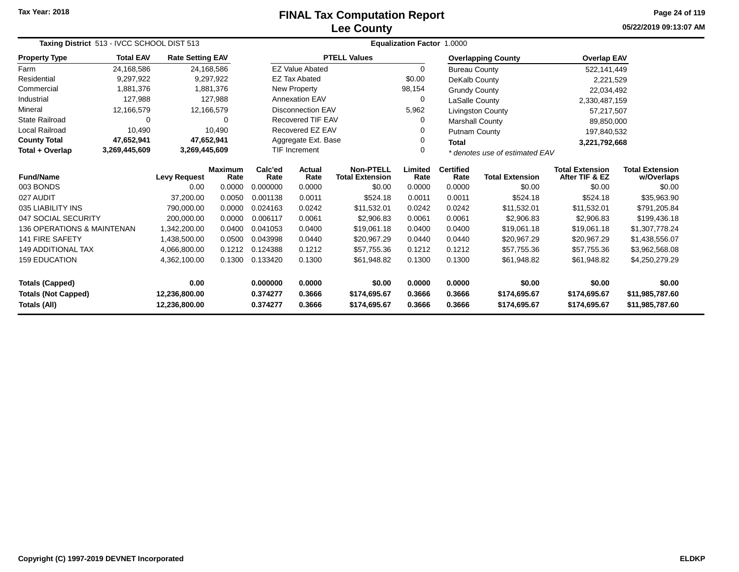# **Lee CountyFINAL Tax Computation Report**

**05/22/2019 09:13:07 AM Page 24 of 119**

| Taxing District 513 - IVCC SCHOOL DIST 513 |                  |                                                                                 |                 |                      | <b>Equalization Factor 1.0000</b>                                  |                                                |                          |                        |                                          |                                      |                                    |  |
|--------------------------------------------|------------------|---------------------------------------------------------------------------------|-----------------|----------------------|--------------------------------------------------------------------|------------------------------------------------|--------------------------|------------------------|------------------------------------------|--------------------------------------|------------------------------------|--|
| <b>Property Type</b>                       | <b>Total EAV</b> | <b>Rate Setting EAV</b>                                                         |                 |                      |                                                                    | <b>PTELL Values</b>                            |                          |                        | <b>Overlapping County</b>                | <b>Overlap EAV</b>                   |                                    |  |
| Farm                                       | 24,168,586       |                                                                                 | 24,168,586      |                      | <b>EZ Value Abated</b>                                             |                                                | $\Omega$                 | <b>Bureau County</b>   |                                          | 522,141,449                          |                                    |  |
| Residential                                | 9,297,922        |                                                                                 | 9,297,922       |                      | <b>EZ Tax Abated</b>                                               |                                                | \$0.00                   | DeKalb County          |                                          | 2,221,529                            |                                    |  |
| Commercial                                 | 1,881,376        |                                                                                 | 1,881,376       |                      | New Property                                                       |                                                | 98,154                   | <b>Grundy County</b>   |                                          | 22,034,492                           |                                    |  |
| Industrial                                 | 127,988          |                                                                                 | 127.988         |                      | Annexation EAV                                                     |                                                | 0                        | LaSalle County         |                                          | 2,330,487,159                        |                                    |  |
| Mineral                                    | 12,166,579       |                                                                                 | 12,166,579      |                      | <b>Disconnection EAV</b>                                           |                                                | 5,962                    |                        | Livingston County                        | 57,217,507                           |                                    |  |
| <b>State Railroad</b>                      | 0                |                                                                                 | 0               |                      | <b>Recovered TIF EAV</b>                                           |                                                | 0                        | <b>Marshall County</b> |                                          | 89,850,000                           |                                    |  |
| <b>Local Railroad</b>                      | 10,490           |                                                                                 | 10,490          |                      | Recovered EZ EAV                                                   |                                                | 0                        | Putnam County          |                                          | 197,840,532                          |                                    |  |
| <b>County Total</b>                        | 47,652,941       |                                                                                 | 47,652,941      |                      | Aggregate Ext. Base                                                |                                                | 0                        | <b>Total</b>           |                                          | 3,221,792,668                        |                                    |  |
| Total + Overlap                            | 3,269,445,609    | 3,269,445,609                                                                   |                 |                      | <b>TIF Increment</b><br>$\Omega$<br>* denotes use of estimated EAV |                                                |                          |                        |                                          |                                      |                                    |  |
| <b>Fund/Name</b><br><b>Levy Request</b>    |                  | <b>Maximum</b><br>Rate                                                          | Calc'ed<br>Rate | Actual<br>Rate       | <b>Non-PTELL</b><br><b>Total Extension</b>                         | Limited<br>Rate                                | <b>Certified</b><br>Rate | <b>Total Extension</b> | <b>Total Extension</b><br>After TIF & EZ | <b>Total Extension</b><br>w/Overlaps |                                    |  |
| 003 BONDS                                  |                  | 0.00                                                                            | 0.0000          | 0.000000             | 0.0000                                                             | \$0.00                                         | 0.0000                   | 0.0000                 | \$0.00                                   | \$0.00                               | \$0.00                             |  |
| 027 AUDIT                                  |                  | 37.200.00                                                                       | 0.0050          | 0.001138             | 0.0011                                                             | \$524.18                                       | 0.0011                   | 0.0011                 | \$524.18                                 | \$524.18                             | \$35,963.90                        |  |
| 035 LIABILITY INS                          |                  | 790,000.00                                                                      | 0.0000          | 0.024163             | 0.0242                                                             | \$11,532.01                                    | 0.0242                   | 0.0242                 | \$11,532.01                              | \$11,532.01                          | \$791,205.84                       |  |
| 047 SOCIAL SECURITY                        |                  | 200,000.00                                                                      | 0.0000          | 0.006117             | 0.0061                                                             | \$2,906.83                                     | 0.0061                   | 0.0061                 | \$2,906.83                               | \$2,906.83                           | \$199,436.18                       |  |
| 136 OPERATIONS & MAINTENAN                 |                  | 1,342,200.00                                                                    | 0.0400          | 0.041053             | 0.0400                                                             | \$19,061.18                                    | 0.0400                   | 0.0400                 | \$19,061.18                              | \$19,061.18                          | \$1,307,778.24                     |  |
| <b>141 FIRE SAFETY</b>                     |                  | 1,438,500.00                                                                    | 0.0500          | 0.043998             | 0.0440                                                             | \$20,967.29                                    | 0.0440                   | 0.0440                 | \$20,967.29                              | \$20,967.29                          | \$1,438,556.07                     |  |
| <b>149 ADDITIONAL TAX</b>                  |                  | 4,066,800.00                                                                    | 0.1212          | 0.124388             | 0.1212                                                             | 0.1212<br>\$57,755.36<br>0.1212<br>\$57,755.36 |                          |                        | \$57,755.36                              | \$3,962,568.08                       |                                    |  |
| <b>159 EDUCATION</b>                       |                  | 0.1300<br>0.133420<br>0.1300<br>0.1300<br>0.1300<br>4,362,100.00<br>\$61,948.82 |                 | \$61,948.82          | \$61,948.82                                                        | \$4,250,279.29                                 |                          |                        |                                          |                                      |                                    |  |
| <b>Totals (Capped)</b>                     |                  | 0.00                                                                            |                 | 0.000000             | 0.0000                                                             | \$0.00                                         | 0.0000                   | 0.0000                 | \$0.00                                   | \$0.00                               | \$0.00                             |  |
| <b>Totals (Not Capped)</b><br>Totals (All) |                  | 12,236,800.00<br>12,236,800.00                                                  |                 | 0.374277<br>0.374277 | 0.3666<br>0.3666                                                   | \$174,695.67<br>\$174,695.67                   | 0.3666<br>0.3666         | 0.3666<br>0.3666       | \$174,695.67<br>\$174,695.67             | \$174,695.67<br>\$174,695.67         | \$11,985,787.60<br>\$11,985,787.60 |  |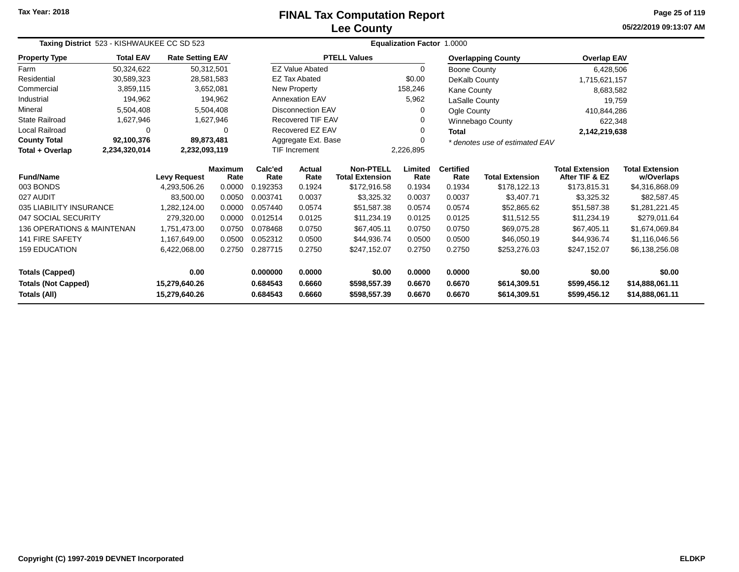# **Lee CountyFINAL Tax Computation Report**

**05/22/2019 09:13:07 AM Page 25 of 119**

|                                            | Taxing District 523 - KISHWAUKEE CC SD 523 |                                |                        |                      |                          |                                            | Equalization Factor 1.0000 |                          |                                |                                          |                                      |  |
|--------------------------------------------|--------------------------------------------|--------------------------------|------------------------|----------------------|--------------------------|--------------------------------------------|----------------------------|--------------------------|--------------------------------|------------------------------------------|--------------------------------------|--|
| <b>Property Type</b>                       | <b>Total EAV</b>                           | <b>Rate Setting EAV</b>        |                        |                      |                          | <b>PTELL Values</b>                        |                            |                          | <b>Overlapping County</b>      | <b>Overlap EAV</b>                       |                                      |  |
| Farm                                       | 50,324,622                                 | 50,312,501                     |                        |                      | <b>EZ Value Abated</b>   |                                            | $\Omega$                   | Boone County             |                                | 6,428,506                                |                                      |  |
| Residential                                | 30,589,323                                 |                                | 28,581,583             |                      | <b>EZ Tax Abated</b>     |                                            | \$0.00                     | DeKalb County            |                                | 1,715,621,157                            |                                      |  |
| Commercial                                 | 3,859,115                                  |                                | 3,652,081              |                      | New Property             |                                            | 158,246                    | <b>Kane County</b>       |                                | 8,683,582                                |                                      |  |
| Industrial                                 | 194,962                                    |                                | 194,962                |                      | <b>Annexation EAV</b>    |                                            | 5,962                      | LaSalle County           |                                | 19,759                                   |                                      |  |
| Mineral                                    | 5,504,408                                  |                                | 5,504,408              |                      | <b>Disconnection EAV</b> |                                            | 0                          | Ogle County              |                                | 410,844,286                              |                                      |  |
| <b>State Railroad</b>                      | 1,627,946                                  |                                | 1,627,946              |                      | <b>Recovered TIF EAV</b> |                                            | 0                          |                          | Winnebago County               | 622,348                                  |                                      |  |
| <b>Local Railroad</b>                      | $\Omega$                                   |                                | 0                      |                      | Recovered EZ EAV         |                                            | 0                          | <b>Total</b>             |                                | 2,142,219,638                            |                                      |  |
| <b>County Total</b>                        | 92,100,376                                 | 89,873,481                     |                        |                      | Aggregate Ext. Base      |                                            |                            |                          | * denotes use of estimated EAV |                                          |                                      |  |
| Total + Overlap                            | 2,234,320,014                              | 2,232,093,119                  |                        | <b>TIF Increment</b> |                          |                                            | 2,226,895                  |                          |                                |                                          |                                      |  |
| <b>Fund/Name</b>                           |                                            | <b>Levy Request</b>            | <b>Maximum</b><br>Rate | Calc'ed<br>Rate      | Actual<br>Rate           | <b>Non-PTELL</b><br><b>Total Extension</b> | Limited<br>Rate            | <b>Certified</b><br>Rate | <b>Total Extension</b>         | <b>Total Extension</b><br>After TIF & EZ | <b>Total Extension</b><br>w/Overlaps |  |
| 003 BONDS                                  |                                            | 4,293,506.26                   | 0.0000                 | 0.192353             | 0.1924                   | \$172,916.58                               | 0.1934                     | 0.1934                   | \$178,122.13                   | \$173,815.31                             | \$4,316,868.09                       |  |
| 027 AUDIT                                  |                                            | 83.500.00                      | 0.0050                 | 0.003741             | 0.0037                   | \$3,325.32                                 | 0.0037                     | 0.0037                   | \$3,407.71                     | \$3,325.32                               | \$82,587.45                          |  |
| 035 LIABILITY INSURANCE                    |                                            | 1,282,124.00                   | 0.0000                 | 0.057440             | 0.0574                   | \$51,587.38                                | 0.0574                     | 0.0574                   | \$52,865.62                    | \$51,587.38                              | \$1,281,221.45                       |  |
| 047 SOCIAL SECURITY                        |                                            | 279,320.00                     | 0.0000                 | 0.012514             | 0.0125                   | \$11,234.19                                | 0.0125                     | 0.0125                   | \$11.512.55                    | \$11.234.19                              | \$279.011.64                         |  |
| 136 OPERATIONS & MAINTENAN                 |                                            | 1,751,473.00                   | 0.0750                 | 0.078468             | 0.0750                   | \$67,405.11                                | 0.0750                     | 0.0750                   | \$69,075.28                    | \$67,405.11                              | \$1,674,069.84                       |  |
| <b>141 FIRE SAFETY</b>                     |                                            | 1,167,649.00                   | 0.0500                 | 0.052312             | 0.0500                   | \$44,936.74                                | 0.0500                     | 0.0500                   | \$46,050.19                    | \$44,936.74                              | \$1,116,046.56                       |  |
| <b>159 EDUCATION</b>                       |                                            | 6,422,068.00                   | 0.2750                 | 0.287715             | 0.2750                   | \$247,152.07                               | 0.2750                     | 0.2750                   | \$253,276.03                   | \$247,152.07                             | \$6,138,256.08                       |  |
| <b>Totals (Capped)</b>                     |                                            | 0.00                           |                        | 0.000000             | 0.0000                   | \$0.00                                     | 0.0000                     | 0.0000                   | \$0.00                         | \$0.00                                   | \$0.00                               |  |
| <b>Totals (Not Capped)</b><br>Totals (All) |                                            | 15,279,640.26<br>15,279,640.26 |                        | 0.684543<br>0.684543 | 0.6660<br>0.6660         | \$598,557.39<br>\$598,557.39               | 0.6670<br>0.6670           | 0.6670<br>0.6670         | \$614,309.51<br>\$614,309.51   | \$599,456.12<br>\$599,456.12             | \$14,888,061.11<br>\$14,888,061.11   |  |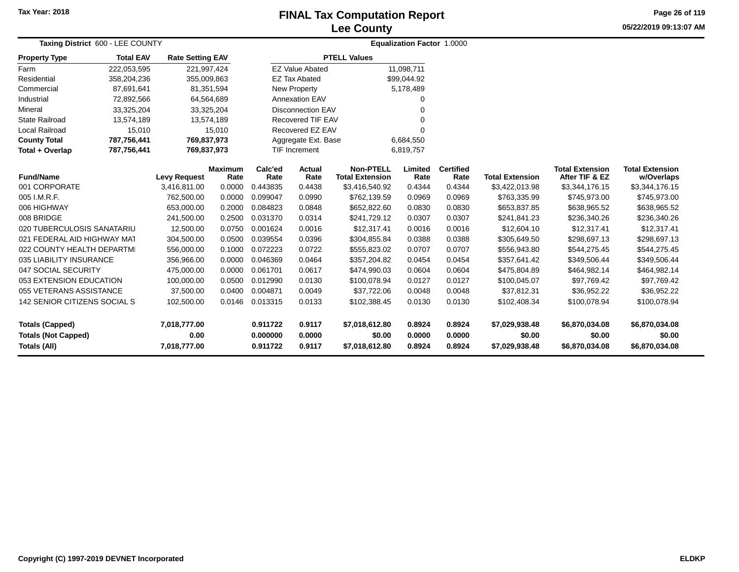## **Lee CountyFINAL Tax Computation Report**

**05/22/2019 09:13:07 AM Page 26 of 119**

| <b>Taxing District 600 - LEE COUNTY</b>                              |                  |                                      |                        |                                  | <b>Equalization Factor 1.0000</b> |                                            |                            |                            |                                            |                                            |                                            |  |
|----------------------------------------------------------------------|------------------|--------------------------------------|------------------------|----------------------------------|-----------------------------------|--------------------------------------------|----------------------------|----------------------------|--------------------------------------------|--------------------------------------------|--------------------------------------------|--|
| <b>Property Type</b>                                                 | <b>Total EAV</b> | <b>Rate Setting EAV</b>              |                        |                                  |                                   | <b>PTELL Values</b>                        |                            |                            |                                            |                                            |                                            |  |
| Farm                                                                 | 222,053,595      | 221,997,424                          |                        |                                  | <b>EZ Value Abated</b>            |                                            | 11,098,711                 |                            |                                            |                                            |                                            |  |
| Residential                                                          | 358,204,236      | 355,009,863                          |                        |                                  | <b>EZ Tax Abated</b>              |                                            | \$99,044.92                |                            |                                            |                                            |                                            |  |
| Commercial                                                           | 87,691,641       | 81,351,594                           |                        |                                  | New Property                      |                                            | 5,178,489                  |                            |                                            |                                            |                                            |  |
| Industrial                                                           | 72,892,566       | 64,564,689                           |                        |                                  | <b>Annexation EAV</b>             |                                            |                            |                            |                                            |                                            |                                            |  |
| Mineral                                                              | 33,325,204       | 33,325,204                           |                        |                                  | Disconnection EAV                 |                                            |                            |                            |                                            |                                            |                                            |  |
| <b>State Railroad</b>                                                | 13,574,189       | 13,574,189                           |                        |                                  | <b>Recovered TIF EAV</b>          |                                            |                            |                            |                                            |                                            |                                            |  |
| <b>Local Railroad</b>                                                | 15,010<br>15,010 |                                      |                        |                                  | Recovered EZ EAV                  |                                            | $\Omega$                   |                            |                                            |                                            |                                            |  |
| <b>County Total</b>                                                  | 787,756,441      | 769,837,973                          |                        |                                  | Aggregate Ext. Base               |                                            | 6,684,550                  |                            |                                            |                                            |                                            |  |
| Total + Overlap                                                      | 787,756,441      | 769,837,973                          |                        |                                  | TIF Increment                     |                                            | 6,819,757                  |                            |                                            |                                            |                                            |  |
| <b>Fund/Name</b>                                                     |                  | <b>Levy Request</b>                  | <b>Maximum</b><br>Rate | Calc'ed<br>Rate                  | Actual<br>Rate                    | <b>Non-PTELL</b><br><b>Total Extension</b> | Limited<br>Rate            | <b>Certified</b><br>Rate   | <b>Total Extension</b>                     | <b>Total Extension</b><br>After TIF & EZ   | <b>Total Extension</b><br>w/Overlaps       |  |
| 001 CORPORATE                                                        |                  | 3,416,811.00                         | 0.0000                 | 0.443835                         | 0.4438                            | \$3,416,540.92                             | 0.4344                     | 0.4344                     | \$3,422,013.98                             | \$3,344,176.15                             | \$3,344,176.15                             |  |
| 005 I.M.R.F.                                                         |                  | 762,500.00                           | 0.0000                 | 0.099047                         | 0.0990                            | \$762,139.59                               | 0.0969                     | 0.0969                     | \$763,335.99                               | \$745,973.00                               | \$745,973.00                               |  |
| 006 HIGHWAY                                                          |                  | 653,000.00                           | 0.2000                 | 0.084823                         | 0.0848                            | \$652,822.60                               | 0.0830                     | 0.0830                     | \$653,837.85                               | \$638,965.52                               | \$638,965.52                               |  |
| 008 BRIDGE                                                           |                  | 241,500.00                           | 0.2500                 | 0.031370                         | 0.0314                            | \$241,729.12                               | 0.0307                     | 0.0307                     | \$241,841.23                               | \$236,340.26                               | \$236,340.26                               |  |
| 020 TUBERCULOSIS SANATARIU                                           |                  | 12,500.00                            | 0.0750                 | 0.001624                         | 0.0016                            | \$12,317.41                                | 0.0016                     | 0.0016                     | \$12,604.10                                | \$12,317.41                                | \$12,317.41                                |  |
| 021 FEDERAL AID HIGHWAY MAT                                          |                  | 304,500.00                           | 0.0500                 | 0.039554                         | 0.0396                            | \$304,855.84                               | 0.0388                     | 0.0388                     | \$305,649.50                               | \$298,697.13                               | \$298,697.13                               |  |
| 022 COUNTY HEALTH DEPARTMI                                           |                  | 556,000.00                           | 0.1000                 | 0.072223                         | 0.0722                            | \$555,823.02                               | 0.0707                     | 0.0707                     | \$556,943.80                               | \$544,275.45                               | \$544,275.45                               |  |
| 035 LIABILITY INSURANCE                                              |                  | 356,966.00                           | 0.0000                 | 0.046369                         | 0.0464                            | \$357,204.82                               | 0.0454                     | 0.0454                     | \$357,641.42                               | \$349,506.44                               | \$349,506.44                               |  |
| 047 SOCIAL SECURITY                                                  |                  | 475,000.00                           | 0.0000                 | 0.061701                         | 0.0617                            | \$474,990.03                               | 0.0604                     | 0.0604                     | \$475,804.89                               | \$464,982.14                               | \$464,982.14                               |  |
| 053 EXTENSION EDUCATION                                              |                  | 100,000.00                           | 0.0500                 | 0.012990                         | 0.0130                            | \$100,078.94                               | 0.0127                     | 0.0127                     | \$100,045.07                               | \$97,769.42                                | \$97,769.42                                |  |
| 055 VETERANS ASSISTANCE                                              |                  | 37,500.00                            | 0.0400                 | 0.004871                         | 0.0049                            | \$37,722.06                                | 0.0048                     | 0.0048                     | \$37,812.31                                | \$36,952.22                                | \$36,952.22                                |  |
| 142 SENIOR CITIZENS SOCIAL S                                         |                  | 102,500.00                           | 0.0146                 | 0.013315                         | 0.0133                            | \$102,388.45                               | 0.0130                     | 0.0130                     | \$102,408.34                               | \$100,078.94                               | \$100,078.94                               |  |
| <b>Totals (Capped)</b><br><b>Totals (Not Capped)</b><br>Totals (All) |                  | 7,018,777.00<br>0.00<br>7,018,777.00 |                        | 0.911722<br>0.000000<br>0.911722 | 0.9117<br>0.0000<br>0.9117        | \$7,018,612.80<br>\$0.00<br>\$7,018,612.80 | 0.8924<br>0.0000<br>0.8924 | 0.8924<br>0.0000<br>0.8924 | \$7,029,938.48<br>\$0.00<br>\$7,029,938.48 | \$6,870,034.08<br>\$0.00<br>\$6,870,034.08 | \$6,870,034.08<br>\$0.00<br>\$6,870,034.08 |  |
|                                                                      |                  |                                      |                        |                                  |                                   |                                            |                            |                            |                                            |                                            |                                            |  |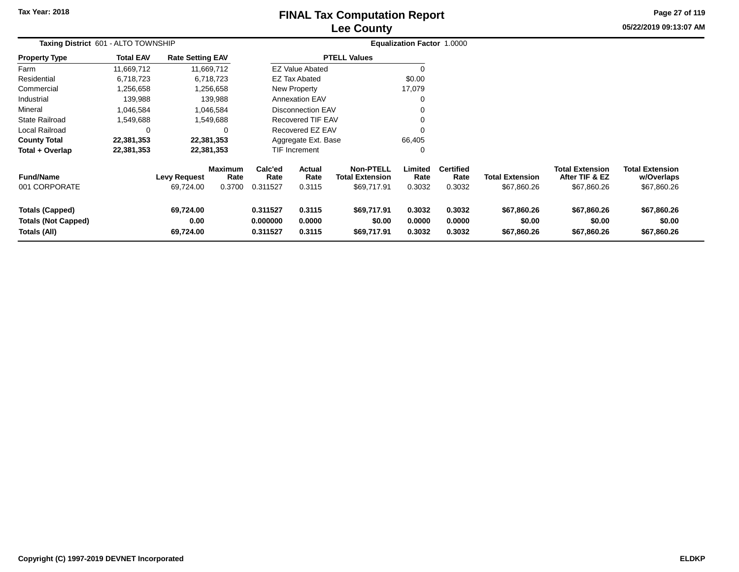## **Lee CountyFINAL Tax Computation Report**

**05/22/2019 09:13:07 AM Page 27 of 119**

| Taxing District 601 - ALTO TOWNSHIP                                  |                  |                                  |                                  | <b>Equalization Factor 1.0000</b> |                            |                                                           |                            |                                    |                                       |                                                         |                                                     |
|----------------------------------------------------------------------|------------------|----------------------------------|----------------------------------|-----------------------------------|----------------------------|-----------------------------------------------------------|----------------------------|------------------------------------|---------------------------------------|---------------------------------------------------------|-----------------------------------------------------|
| Property Type                                                        | <b>Total EAV</b> | <b>Rate Setting EAV</b>          |                                  |                                   |                            | <b>PTELL Values</b>                                       |                            |                                    |                                       |                                                         |                                                     |
| Farm                                                                 | 11,669,712       |                                  | 11,669,712                       |                                   | <b>EZ Value Abated</b>     |                                                           |                            |                                    |                                       |                                                         |                                                     |
| Residential                                                          | 6,718,723        |                                  | 6,718,723                        |                                   | <b>EZ Tax Abated</b>       |                                                           | \$0.00                     |                                    |                                       |                                                         |                                                     |
| Commercial                                                           | ,256,658         |                                  | 1,256,658                        |                                   | New Property               |                                                           | 17,079                     |                                    |                                       |                                                         |                                                     |
| Industrial                                                           | 139,988          |                                  | 139,988                          |                                   | <b>Annexation EAV</b>      |                                                           |                            |                                    |                                       |                                                         |                                                     |
| Mineral                                                              | 1,046,584        |                                  | 1,046,584                        |                                   | <b>Disconnection EAV</b>   |                                                           |                            |                                    |                                       |                                                         |                                                     |
| State Railroad                                                       | 1,549,688        |                                  | 1,549,688                        |                                   | Recovered TIF EAV          |                                                           |                            |                                    |                                       |                                                         |                                                     |
| Local Railroad                                                       | 0                |                                  |                                  |                                   | Recovered EZ EAV           |                                                           |                            |                                    |                                       |                                                         |                                                     |
| <b>County Total</b>                                                  | 22,381,353       |                                  | 22,381,353                       |                                   | Aggregate Ext. Base        |                                                           | 66,405                     |                                    |                                       |                                                         |                                                     |
| Total + Overlap                                                      | 22,381,353       |                                  | 22,381,353                       |                                   | <b>TIF Increment</b>       |                                                           | 0                          |                                    |                                       |                                                         |                                                     |
| <b>Fund/Name</b><br>001 CORPORATE                                    |                  | <b>Levy Request</b><br>69,724.00 | <b>Maximum</b><br>Rate<br>0.3700 | Calc'ed<br>Rate<br>0.311527       | Actual<br>Rate<br>0.3115   | <b>Non-PTELL</b><br><b>Total Extension</b><br>\$69,717.91 | Limited<br>Rate<br>0.3032  | <b>Certified</b><br>Rate<br>0.3032 | <b>Total Extension</b><br>\$67,860.26 | <b>Total Extension</b><br>After TIF & EZ<br>\$67,860.26 | <b>Total Extension</b><br>w/Overlaps<br>\$67,860.26 |
| <b>Totals (Capped)</b><br><b>Totals (Not Capped)</b><br>Totals (All) |                  | 69,724.00<br>0.00<br>69,724.00   |                                  | 0.311527<br>0.000000<br>0.311527  | 0.3115<br>0.0000<br>0.3115 | \$69,717.91<br>\$0.00<br>\$69,717.91                      | 0.3032<br>0.0000<br>0.3032 | 0.3032<br>0.0000<br>0.3032         | \$67,860.26<br>\$0.00<br>\$67,860.26  | \$67,860.26<br>\$0.00<br>\$67,860.26                    | \$67,860.26<br>\$0.00<br>\$67,860.26                |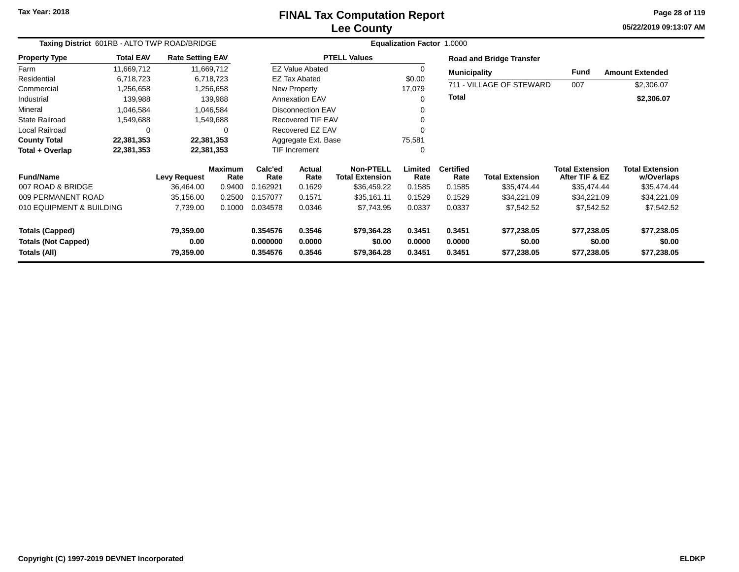### **Lee CountyFINAL Tax Computation Report**

**05/22/2019 09:13:07 AM Page 28 of 119**

|                            | Taxing District 601RB - ALTO TWP ROAD/BRIDGE |                         |                        |                 |                          |                                            | Equalization Factor 1.0000 |                          |                                 |                                          |                                      |
|----------------------------|----------------------------------------------|-------------------------|------------------------|-----------------|--------------------------|--------------------------------------------|----------------------------|--------------------------|---------------------------------|------------------------------------------|--------------------------------------|
| <b>Property Type</b>       | <b>Total EAV</b>                             | <b>Rate Setting EAV</b> |                        |                 |                          | <b>PTELL Values</b>                        |                            |                          | <b>Road and Bridge Transfer</b> |                                          |                                      |
| Farm                       | 11,669,712                                   |                         | 11,669,712             |                 | <b>EZ Value Abated</b>   |                                            | $\Omega$                   | <b>Municipality</b>      |                                 | <b>Fund</b>                              | <b>Amount Extended</b>               |
| Residential                | 6,718,723                                    |                         | 6,718,723              |                 | EZ Tax Abated            |                                            | \$0.00                     |                          |                                 |                                          |                                      |
| Commercial                 | 1,256,658                                    |                         | 1,256,658              |                 | New Property             |                                            | 17,079                     |                          | 711 - VILLAGE OF STEWARD        | 007                                      | \$2,306.07                           |
| Industrial                 | 139,988                                      |                         | 139,988                |                 | Annexation EAV           |                                            | $\Omega$                   | <b>Total</b>             |                                 |                                          | \$2,306.07                           |
| Mineral                    | 1,046,584                                    |                         | 1,046,584              |                 | <b>Disconnection EAV</b> |                                            |                            |                          |                                 |                                          |                                      |
| <b>State Railroad</b>      | 1,549,688                                    |                         | 1,549,688              |                 | <b>Recovered TIF EAV</b> |                                            |                            |                          |                                 |                                          |                                      |
| Local Railroad             | 0                                            |                         | 0                      |                 | Recovered EZ EAV         |                                            | $\Omega$                   |                          |                                 |                                          |                                      |
| <b>County Total</b>        | 22,381,353                                   |                         | 22,381,353             |                 | Aggregate Ext. Base      |                                            | 75,581                     |                          |                                 |                                          |                                      |
| Total + Overlap            | 22,381,353                                   |                         | 22,381,353             |                 | <b>TIF Increment</b>     |                                            | $\Omega$                   |                          |                                 |                                          |                                      |
| <b>Fund/Name</b>           |                                              | <b>Levy Request</b>     | <b>Maximum</b><br>Rate | Calc'ed<br>Rate | Actual<br>Rate           | <b>Non-PTELL</b><br><b>Total Extension</b> | Limited<br>Rate            | <b>Certified</b><br>Rate | <b>Total Extension</b>          | <b>Total Extension</b><br>After TIF & EZ | <b>Total Extension</b><br>w/Overlaps |
| 007 ROAD & BRIDGE          |                                              | 36,464.00               | 0.9400                 | 0.162921        | 0.1629                   | \$36,459.22                                | 0.1585                     | 0.1585                   | \$35,474.44                     | \$35,474.44                              | \$35,474.44                          |
| 009 PERMANENT ROAD         |                                              | 35,156.00               | 0.2500                 | 0.157077        | 0.1571                   | \$35,161.11                                | 0.1529                     | 0.1529                   | \$34,221.09                     | \$34,221.09                              | \$34,221.09                          |
| 010 EQUIPMENT & BUILDING   |                                              | 7,739.00                | 0.1000                 | 0.034578        | 0.0346                   | \$7,743.95                                 | 0.0337                     | 0.0337                   | \$7,542.52                      | \$7,542.52                               | \$7,542.52                           |
| <b>Totals (Capped)</b>     |                                              | 79,359.00               |                        | 0.354576        | 0.3546                   | \$79,364.28                                | 0.3451                     | 0.3451                   | \$77,238.05                     | \$77,238.05                              | \$77,238.05                          |
| <b>Totals (Not Capped)</b> |                                              | 0.00                    |                        | 0.000000        | 0.0000                   | \$0.00                                     | 0.0000                     | 0.0000                   | \$0.00                          | \$0.00                                   | \$0.00                               |
| Totals (All)               |                                              | 79,359.00               |                        | 0.354576        | 0.3546                   | \$79,364.28                                | 0.3451                     | 0.3451                   | \$77,238.05                     | \$77,238.05                              | \$77,238.05                          |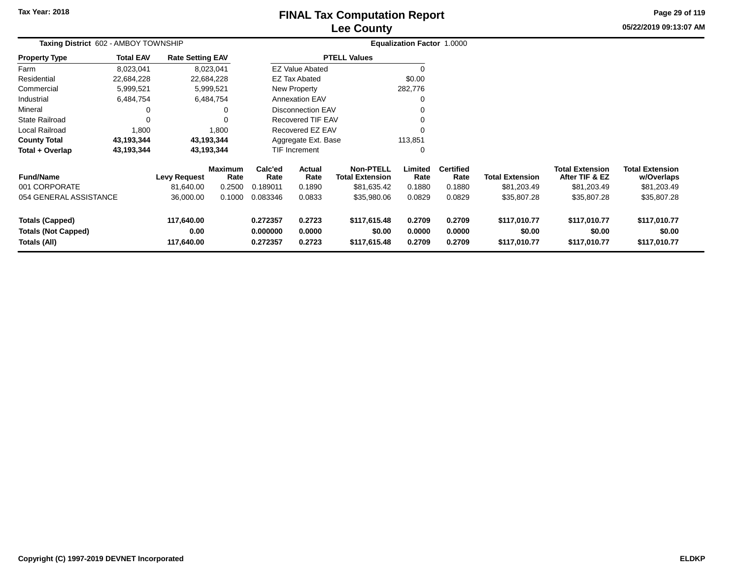# **Lee CountyFINAL Tax Computation Report**

**05/22/2019 09:13:07 AM Page 29 of 119**

|                                                                      | Taxing District 602 - AMBOY TOWNSHIP |                                  |                        |                                  |                            |                                            | Equalization Factor 1.0000 |                            |                                        |                                          |                                        |
|----------------------------------------------------------------------|--------------------------------------|----------------------------------|------------------------|----------------------------------|----------------------------|--------------------------------------------|----------------------------|----------------------------|----------------------------------------|------------------------------------------|----------------------------------------|
| <b>Property Type</b>                                                 | <b>Total EAV</b>                     | <b>Rate Setting EAV</b>          |                        |                                  |                            | <b>PTELL Values</b>                        |                            |                            |                                        |                                          |                                        |
| Farm                                                                 | 8,023,041                            |                                  | 8,023,041              |                                  | <b>EZ Value Abated</b>     |                                            |                            |                            |                                        |                                          |                                        |
| Residential                                                          | 22,684,228                           |                                  | 22,684,228             |                                  | <b>EZ Tax Abated</b>       |                                            | \$0.00                     |                            |                                        |                                          |                                        |
| Commercial                                                           | 5,999,521                            |                                  | 5,999,521              |                                  | New Property               |                                            | 282,776                    |                            |                                        |                                          |                                        |
| Industrial                                                           | 6,484,754                            |                                  | 6,484,754              |                                  | <b>Annexation EAV</b>      |                                            |                            |                            |                                        |                                          |                                        |
| Mineral                                                              | 0                                    |                                  | 0                      |                                  | Disconnection EAV          |                                            |                            |                            |                                        |                                          |                                        |
| <b>State Railroad</b>                                                | 0                                    |                                  | 0                      |                                  | <b>Recovered TIF EAV</b>   |                                            |                            |                            |                                        |                                          |                                        |
| <b>Local Railroad</b>                                                | 1,800                                |                                  | 1,800                  |                                  | Recovered EZ EAV           |                                            | $\Omega$                   |                            |                                        |                                          |                                        |
| <b>County Total</b>                                                  | 43,193,344                           |                                  | 43,193,344             |                                  | Aggregate Ext. Base        |                                            | 113,851                    |                            |                                        |                                          |                                        |
| Total + Overlap                                                      | 43,193,344                           |                                  | 43,193,344             |                                  | <b>TIF Increment</b>       |                                            | $\Omega$                   |                            |                                        |                                          |                                        |
| <b>Fund/Name</b>                                                     |                                      | <b>Levy Request</b>              | <b>Maximum</b><br>Rate | Calc'ed<br>Rate                  | Actual<br>Rate             | <b>Non-PTELL</b><br><b>Total Extension</b> | Limited<br>Rate            | <b>Certified</b><br>Rate   | <b>Total Extension</b>                 | <b>Total Extension</b><br>After TIF & EZ | <b>Total Extension</b><br>w/Overlaps   |
| 001 CORPORATE                                                        |                                      | 81,640.00                        | 0.2500                 | 0.189011                         | 0.1890                     | \$81,635.42                                | 0.1880                     | 0.1880                     | \$81,203.49                            | \$81,203.49                              | \$81,203.49                            |
| 054 GENERAL ASSISTANCE                                               |                                      | 36,000.00                        | 0.1000                 | 0.083346                         | 0.0833                     | \$35,980.06                                | 0.0829                     | 0.0829                     | \$35,807.28                            | \$35,807.28                              | \$35,807.28                            |
| <b>Totals (Capped)</b><br><b>Totals (Not Capped)</b><br>Totals (All) |                                      | 117,640.00<br>0.00<br>117,640.00 |                        | 0.272357<br>0.000000<br>0.272357 | 0.2723<br>0.0000<br>0.2723 | \$117,615.48<br>\$0.00<br>\$117,615.48     | 0.2709<br>0.0000<br>0.2709 | 0.2709<br>0.0000<br>0.2709 | \$117,010.77<br>\$0.00<br>\$117,010.77 | \$117,010.77<br>\$0.00<br>\$117,010.77   | \$117,010.77<br>\$0.00<br>\$117,010.77 |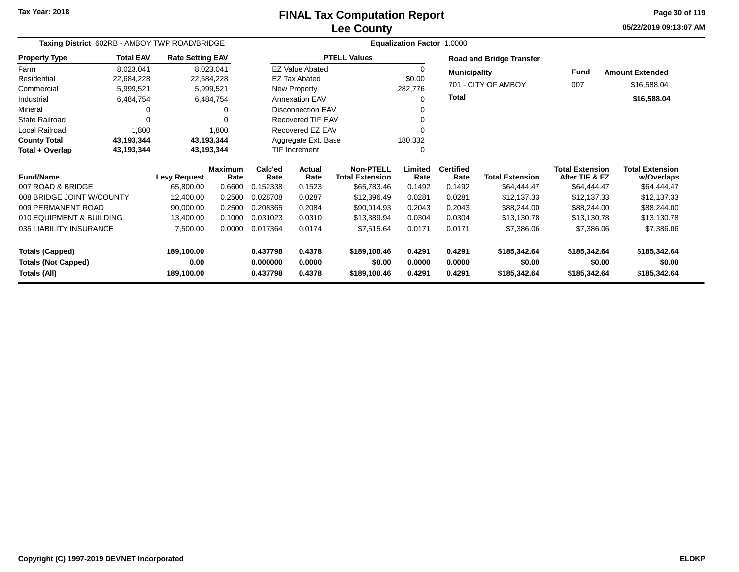**05/22/2019 09:13:07 AM Page 30 of 119**

| Taxing District 602RB - AMBOY TWP ROAD/BRIDGE |                  |                         |                        |                 | <b>Equalization Factor 1.0000</b> |                                            |                 |                          |                                 |                                          |                                      |
|-----------------------------------------------|------------------|-------------------------|------------------------|-----------------|-----------------------------------|--------------------------------------------|-----------------|--------------------------|---------------------------------|------------------------------------------|--------------------------------------|
| <b>Property Type</b>                          | <b>Total EAV</b> | <b>Rate Setting EAV</b> |                        |                 |                                   | <b>PTELL Values</b>                        |                 |                          | <b>Road and Bridge Transfer</b> |                                          |                                      |
| Farm                                          | 8,023,041        |                         | 8,023,041              |                 | <b>EZ Value Abated</b>            |                                            | 0               | <b>Municipality</b>      |                                 | Fund                                     | <b>Amount Extended</b>               |
| Residential                                   | 22,684,228       |                         | 22,684,228             |                 | <b>EZ Tax Abated</b>              |                                            | \$0.00          |                          |                                 |                                          |                                      |
| Commercial                                    | 5,999,521        |                         | 5,999,521              |                 | New Property                      |                                            | 282,776         |                          | 701 - CITY OF AMBOY             | 007                                      | \$16,588.04                          |
| Industrial                                    | 6,484,754        |                         | 6,484,754              |                 | <b>Annexation EAV</b>             |                                            | 0               | Total                    |                                 |                                          | \$16,588.04                          |
| Mineral                                       |                  |                         | Ω                      |                 | Disconnection EAV                 |                                            |                 |                          |                                 |                                          |                                      |
| <b>State Railroad</b>                         | $\Omega$         |                         |                        |                 | Recovered TIF EAV                 |                                            |                 |                          |                                 |                                          |                                      |
| Local Railroad                                | 1,800            |                         | 1,800                  |                 | Recovered EZ EAV                  |                                            |                 |                          |                                 |                                          |                                      |
| <b>County Total</b>                           | 43,193,344       | 43,193,344              |                        |                 | Aggregate Ext. Base               |                                            | 180,332         |                          |                                 |                                          |                                      |
| Total + Overlap                               | 43,193,344       |                         | 43,193,344             |                 | <b>TIF Increment</b>              |                                            | 0               |                          |                                 |                                          |                                      |
| <b>Fund/Name</b>                              |                  | <b>Levy Request</b>     | <b>Maximum</b><br>Rate | Calc'ed<br>Rate | Actual<br>Rate                    | <b>Non-PTELL</b><br><b>Total Extension</b> | Limited<br>Rate | <b>Certified</b><br>Rate | <b>Total Extension</b>          | <b>Total Extension</b><br>After TIF & EZ | <b>Total Extension</b><br>w/Overlaps |
| 007 ROAD & BRIDGE                             |                  | 65,800.00               | 0.6600                 | 0.152338        | 0.1523                            | \$65,783.46                                | 0.1492          | 0.1492                   | \$64,444.47                     | \$64,444.47                              | \$64,444.47                          |
| 008 BRIDGE JOINT W/COUNTY                     |                  | 12,400.00               | 0.2500                 | 0.028708        | 0.0287                            | \$12,396.49                                | 0.0281          | 0.0281                   | \$12,137.33                     | \$12,137.33                              | \$12,137.33                          |
| 009 PERMANENT ROAD                            |                  | 90,000.00               | 0.2500                 | 0.208365        | 0.2084                            | \$90,014.93                                | 0.2043          | 0.2043                   | \$88,244.00                     | \$88,244.00                              | \$88,244.00                          |
| 010 EQUIPMENT & BUILDING                      |                  | 13,400.00               | 0.1000                 | 0.031023        | 0.0310                            | \$13,389.94                                | 0.0304          | 0.0304                   | \$13,130.78                     | \$13,130.78                              | \$13,130.78                          |
| 035 LIABILITY INSURANCE                       |                  | 7,500.00                | 0.0000                 | 0.017364        | 0.0174                            | \$7,515.64                                 | 0.0171          | 0.0171                   | \$7,386.06                      | \$7,386.06                               | \$7,386.06                           |
| <b>Totals (Capped)</b>                        |                  | 189,100.00              |                        | 0.437798        | 0.4378                            | \$189,100.46                               | 0.4291          | 0.4291                   | \$185,342.64                    | \$185,342.64                             | \$185,342.64                         |
| <b>Totals (Not Capped)</b>                    |                  | 0.00                    |                        | 0.000000        | 0.0000                            | \$0.00                                     | 0.0000          | 0.0000                   | \$0.00                          | \$0.00                                   | \$0.00                               |
| Totals (All)                                  |                  | 189,100.00              |                        | 0.437798        | 0.4378                            | \$189,100.46                               | 0.4291          | 0.4291                   | \$185,342.64                    | \$185,342.64                             | \$185,342.64                         |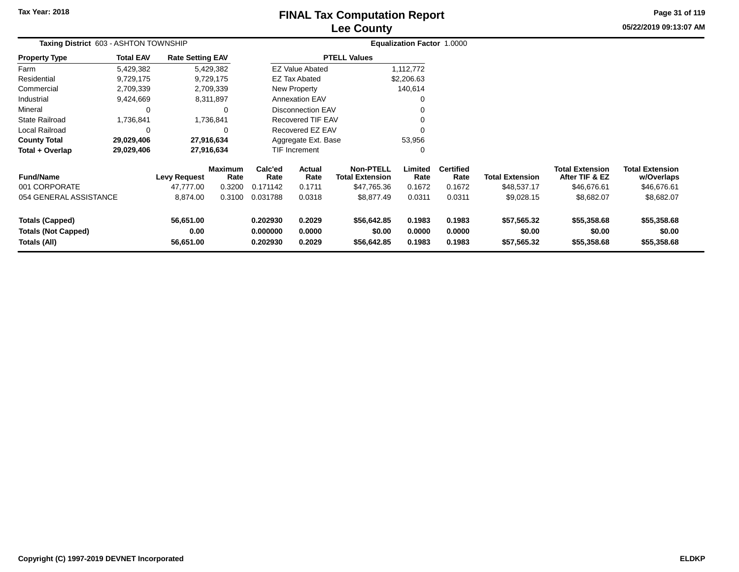# **Lee CountyFINAL Tax Computation Report**

**05/22/2019 09:13:07 AM Page 31 of 119**

|                                                                      | Taxing District 603 - ASHTON TOWNSHIP |                                |                        |                                  |                            |                                            | Equalization Factor 1.0000 |                            |                                      |                                          |                                      |  |
|----------------------------------------------------------------------|---------------------------------------|--------------------------------|------------------------|----------------------------------|----------------------------|--------------------------------------------|----------------------------|----------------------------|--------------------------------------|------------------------------------------|--------------------------------------|--|
| <b>Property Type</b>                                                 | <b>Total EAV</b>                      | <b>Rate Setting EAV</b>        |                        |                                  |                            | <b>PTELL Values</b>                        |                            |                            |                                      |                                          |                                      |  |
| Farm                                                                 | 5,429,382                             |                                | 5,429,382              |                                  | <b>EZ Value Abated</b>     |                                            | 1,112,772                  |                            |                                      |                                          |                                      |  |
| Residential                                                          | 9,729,175                             |                                | 9,729,175              |                                  | <b>EZ Tax Abated</b>       |                                            | \$2,206.63                 |                            |                                      |                                          |                                      |  |
| Commercial                                                           | 2,709,339                             |                                | 2,709,339              |                                  | New Property               |                                            | 140,614                    |                            |                                      |                                          |                                      |  |
| Industrial                                                           | 9,424,669                             |                                | 8,311,897              |                                  | <b>Annexation EAV</b>      |                                            | $\Omega$                   |                            |                                      |                                          |                                      |  |
| Mineral                                                              |                                       |                                | $\Omega$               |                                  | <b>Disconnection EAV</b>   |                                            | 0                          |                            |                                      |                                          |                                      |  |
| <b>State Railroad</b>                                                | 1,736,841                             |                                | 1,736,841              |                                  | Recovered TIF EAV          |                                            | $\Omega$                   |                            |                                      |                                          |                                      |  |
| Local Railroad                                                       |                                       |                                | $\Omega$               |                                  | Recovered EZ EAV           |                                            | $\Omega$                   |                            |                                      |                                          |                                      |  |
| <b>County Total</b>                                                  | 29,029,406                            |                                | 27,916,634             |                                  | Aggregate Ext. Base        |                                            | 53,956                     |                            |                                      |                                          |                                      |  |
| Total + Overlap                                                      | 29,029,406                            |                                | 27,916,634             |                                  | <b>TIF Increment</b><br>0  |                                            |                            |                            |                                      |                                          |                                      |  |
| <b>Fund/Name</b>                                                     |                                       | <b>Levy Request</b>            | <b>Maximum</b><br>Rate | Calc'ed<br>Rate                  | Actual<br>Rate             | <b>Non-PTELL</b><br><b>Total Extension</b> | Limited<br>Rate            | <b>Certified</b><br>Rate   | <b>Total Extension</b>               | <b>Total Extension</b><br>After TIF & EZ | <b>Total Extension</b><br>w/Overlaps |  |
| 001 CORPORATE                                                        |                                       | 47,777.00                      | 0.3200                 | 0.171142                         | 0.1711                     | \$47,765.36                                | 0.1672                     | 0.1672                     | \$48,537.17                          | \$46,676.61                              | \$46,676.61                          |  |
| 054 GENERAL ASSISTANCE                                               |                                       | 8,874.00                       | 0.3100                 | 0.031788                         | 0.0318                     | \$8,877.49                                 | 0.0311                     | 0.0311                     | \$9,028.15                           | \$8,682.07                               | \$8,682.07                           |  |
| <b>Totals (Capped)</b><br><b>Totals (Not Capped)</b><br>Totals (All) |                                       | 56,651.00<br>0.00<br>56,651.00 |                        | 0.202930<br>0.000000<br>0.202930 | 0.2029<br>0.0000<br>0.2029 | \$56,642.85<br>\$0.00<br>\$56,642.85       | 0.1983<br>0.0000<br>0.1983 | 0.1983<br>0.0000<br>0.1983 | \$57,565.32<br>\$0.00<br>\$57,565.32 | \$55,358.68<br>\$0.00<br>\$55,358.68     | \$55,358.68<br>\$0.00<br>\$55,358.68 |  |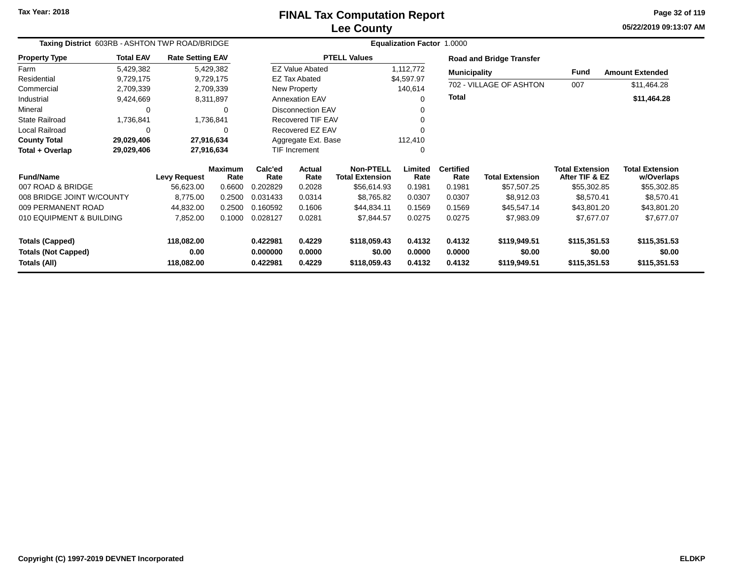**05/22/2019 09:13:07 AM Page 32 of 119**

|                                                      | Taxing District 603RB - ASHTON TWP ROAD/BRIDGE |                         |                        |                      |                          |                                            | <b>Equalization Factor 1.0000</b> |                          |                                 |                                          |                                      |
|------------------------------------------------------|------------------------------------------------|-------------------------|------------------------|----------------------|--------------------------|--------------------------------------------|-----------------------------------|--------------------------|---------------------------------|------------------------------------------|--------------------------------------|
| <b>Property Type</b>                                 | <b>Total EAV</b>                               | <b>Rate Setting EAV</b> |                        |                      |                          | <b>PTELL Values</b>                        |                                   |                          | <b>Road and Bridge Transfer</b> |                                          |                                      |
| Farm                                                 | 5,429,382                                      | 5,429,382               |                        |                      | <b>EZ Value Abated</b>   |                                            | 1,112,772                         | <b>Municipality</b>      |                                 | Fund                                     | <b>Amount Extended</b>               |
| Residential                                          | 9,729,175                                      | 9,729,175               |                        |                      | <b>EZ Tax Abated</b>     |                                            | \$4,597.97                        |                          |                                 |                                          |                                      |
| Commercial                                           | 2,709,339                                      | 2,709,339               |                        |                      | New Property             |                                            | 140,614                           |                          | 702 - VILLAGE OF ASHTON         | 007                                      | \$11,464.28                          |
| Industrial                                           | 9,424,669                                      | 8,311,897               |                        |                      | <b>Annexation EAV</b>    |                                            | 0                                 | <b>Total</b>             |                                 |                                          | \$11,464.28                          |
| Mineral                                              | ∩                                              |                         | 0                      |                      | <b>Disconnection EAV</b> |                                            |                                   |                          |                                 |                                          |                                      |
| <b>State Railroad</b>                                | 1,736,841                                      | 1,736,841               |                        |                      | <b>Recovered TIF EAV</b> |                                            |                                   |                          |                                 |                                          |                                      |
| Local Railroad                                       |                                                |                         | 0                      |                      | Recovered EZ EAV         |                                            |                                   |                          |                                 |                                          |                                      |
| <b>County Total</b>                                  | 29,029,406                                     |                         | 27,916,634             |                      | Aggregate Ext. Base      |                                            | 112,410                           |                          |                                 |                                          |                                      |
| Total + Overlap                                      | 29,029,406                                     |                         | 27,916,634             |                      | <b>TIF Increment</b>     |                                            | $\Omega$                          |                          |                                 |                                          |                                      |
| <b>Fund/Name</b>                                     |                                                | <b>Levy Request</b>     | <b>Maximum</b><br>Rate | Calc'ed<br>Rate      | Actual<br>Rate           | <b>Non-PTELL</b><br><b>Total Extension</b> | Limited<br>Rate                   | <b>Certified</b><br>Rate | <b>Total Extension</b>          | <b>Total Extension</b><br>After TIF & EZ | <b>Total Extension</b><br>w/Overlaps |
| 007 ROAD & BRIDGE                                    |                                                | 56,623.00               | 0.6600                 | 0.202829             | 0.2028                   | \$56,614.93                                | 0.1981                            | 0.1981                   | \$57,507.25                     | \$55,302.85                              | \$55,302.85                          |
| 008 BRIDGE JOINT W/COUNTY                            |                                                | 8,775.00                | 0.2500                 | 0.031433             | 0.0314                   | \$8,765.82                                 | 0.0307                            | 0.0307                   | \$8,912.03                      | \$8,570.41                               | \$8,570.41                           |
| 009 PERMANENT ROAD                                   |                                                | 44,832.00               | 0.2500                 | 0.160592             | 0.1606                   | \$44,834.11                                | 0.1569                            | 0.1569                   | \$45,547.14                     | \$43,801.20                              | \$43,801.20                          |
| 010 EQUIPMENT & BUILDING                             |                                                | 7,852.00                | 0.1000                 | 0.028127             | 0.0281                   | \$7,844.57                                 | 0.0275                            | 0.0275                   | \$7,983.09                      | \$7,677.07                               | \$7,677.07                           |
| <b>Totals (Capped)</b><br><b>Totals (Not Capped)</b> |                                                | 118,082.00<br>0.00      |                        | 0.422981<br>0.000000 | 0.4229<br>0.0000         | \$118,059.43<br>\$0.00                     | 0.4132<br>0.0000                  | 0.4132<br>0.0000         | \$119,949.51<br>\$0.00          | \$115,351.53<br>\$0.00                   | \$115,351.53<br>\$0.00               |
| Totals (All)                                         |                                                | 118,082.00              |                        | 0.422981             | 0.4229                   | \$118,059.43                               | 0.4132                            | 0.4132                   | \$119,949.51                    | \$115,351.53                             | \$115,351.53                         |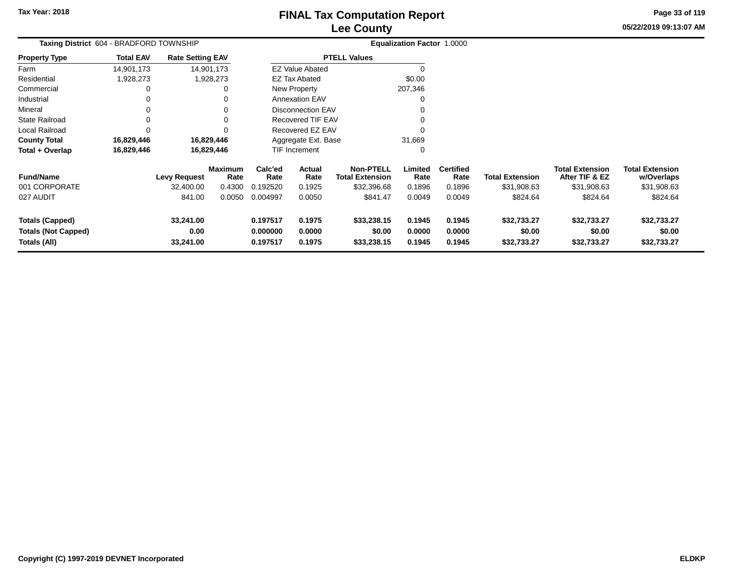**05/22/2019 09:13:07 AM Page 33 of 119**

|                                                                      | Taxing District 604 - BRADFORD TOWNSHIP |                                            |                                            |                                         |                                    |                                                                       | <b>Equalization Factor 1.0000</b>   |                                              |                                                   |                                                                     |                                                                 |
|----------------------------------------------------------------------|-----------------------------------------|--------------------------------------------|--------------------------------------------|-----------------------------------------|------------------------------------|-----------------------------------------------------------------------|-------------------------------------|----------------------------------------------|---------------------------------------------------|---------------------------------------------------------------------|-----------------------------------------------------------------|
| <b>Property Type</b>                                                 | <b>Total EAV</b>                        | <b>Rate Setting EAV</b>                    |                                            |                                         |                                    | <b>PTELL Values</b>                                                   |                                     |                                              |                                                   |                                                                     |                                                                 |
| Farm                                                                 | 14,901,173                              |                                            | 14,901,173                                 |                                         | <b>EZ Value Abated</b>             |                                                                       |                                     |                                              |                                                   |                                                                     |                                                                 |
| Residential                                                          | 1,928,273                               |                                            | 1,928,273                                  |                                         | <b>EZ Tax Abated</b>               |                                                                       | \$0.00                              |                                              |                                                   |                                                                     |                                                                 |
| Commercial                                                           |                                         |                                            | 0                                          |                                         | New Property                       |                                                                       | 207,346                             |                                              |                                                   |                                                                     |                                                                 |
| Industrial                                                           | $\Omega$                                |                                            | 0                                          |                                         | <b>Annexation EAV</b>              |                                                                       | 0                                   |                                              |                                                   |                                                                     |                                                                 |
| Mineral                                                              |                                         |                                            | 0                                          |                                         | Disconnection EAV                  |                                                                       |                                     |                                              |                                                   |                                                                     |                                                                 |
| <b>State Railroad</b>                                                |                                         |                                            | $\Omega$                                   |                                         | <b>Recovered TIF EAV</b>           |                                                                       |                                     |                                              |                                                   |                                                                     |                                                                 |
| Local Railroad                                                       | $\Omega$                                |                                            |                                            |                                         | Recovered EZ EAV                   |                                                                       |                                     |                                              |                                                   |                                                                     |                                                                 |
| <b>County Total</b>                                                  | 16,829,446                              |                                            | 16,829,446                                 |                                         | Aggregate Ext. Base                |                                                                       | 31,669                              |                                              |                                                   |                                                                     |                                                                 |
| Total + Overlap                                                      | 16,829,446                              |                                            | 16,829,446                                 |                                         | TIF Increment                      |                                                                       | 0                                   |                                              |                                                   |                                                                     |                                                                 |
| <b>Fund/Name</b><br>001 CORPORATE<br>027 AUDIT                       |                                         | <b>Levy Request</b><br>32,400.00<br>841.00 | <b>Maximum</b><br>Rate<br>0.4300<br>0.0050 | Calc'ed<br>Rate<br>0.192520<br>0.004997 | Actual<br>Rate<br>0.1925<br>0.0050 | <b>Non-PTELL</b><br><b>Total Extension</b><br>\$32,396.68<br>\$841.47 | Limited<br>Rate<br>0.1896<br>0.0049 | <b>Certified</b><br>Rate<br>0.1896<br>0.0049 | <b>Total Extension</b><br>\$31,908.63<br>\$824.64 | <b>Total Extension</b><br>After TIF & EZ<br>\$31,908.63<br>\$824.64 | <b>Total Extension</b><br>w/Overlaps<br>\$31,908.63<br>\$824.64 |
| <b>Totals (Capped)</b><br><b>Totals (Not Capped)</b><br>Totals (All) |                                         | 33,241.00<br>0.00<br>33,241.00             |                                            | 0.197517<br>0.000000<br>0.197517        | 0.1975<br>0.0000<br>0.1975         | \$33,238.15<br>\$0.00<br>\$33,238.15                                  | 0.1945<br>0.0000<br>0.1945          | 0.1945<br>0.0000<br>0.1945                   | \$32,733.27<br>\$0.00<br>\$32,733.27              | \$32,733.27<br>\$0.00<br>\$32,733.27                                | \$32,733.27<br>\$0.00<br>\$32,733.27                            |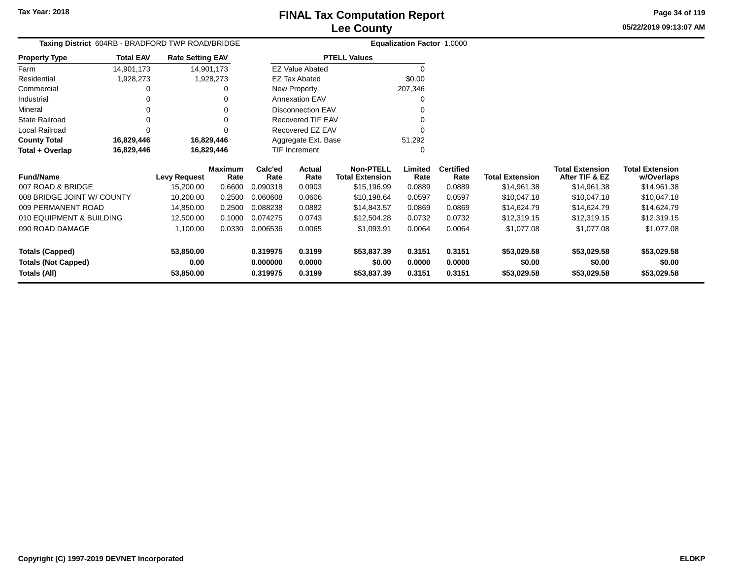**05/22/2019 09:13:07 AM Page 34 of 119**

| Taxing District 604RB - BRADFORD TWP ROAD/BRIDGE |                  |                         |                 |                 |                          |                                            | <b>Equalization Factor 1.0000</b> |                          |                        |                                          |                                      |
|--------------------------------------------------|------------------|-------------------------|-----------------|-----------------|--------------------------|--------------------------------------------|-----------------------------------|--------------------------|------------------------|------------------------------------------|--------------------------------------|
| <b>Property Type</b>                             | <b>Total EAV</b> | <b>Rate Setting EAV</b> |                 |                 |                          | <b>PTELL Values</b>                        |                                   |                          |                        |                                          |                                      |
| Farm                                             | 14,901,173       | 14,901,173              |                 |                 | <b>EZ Value Abated</b>   |                                            | $\Omega$                          |                          |                        |                                          |                                      |
| Residential                                      | 1,928,273        |                         | 1,928,273       |                 | <b>EZ Tax Abated</b>     |                                            | \$0.00                            |                          |                        |                                          |                                      |
| Commercial                                       |                  |                         |                 |                 | New Property             |                                            | 207,346                           |                          |                        |                                          |                                      |
| Industrial                                       |                  |                         |                 |                 | <b>Annexation EAV</b>    |                                            |                                   |                          |                        |                                          |                                      |
| Mineral                                          |                  |                         | 0               |                 | <b>Disconnection EAV</b> |                                            |                                   |                          |                        |                                          |                                      |
| <b>State Railroad</b>                            |                  |                         | 0               |                 | <b>Recovered TIF EAV</b> |                                            |                                   |                          |                        |                                          |                                      |
| Local Railroad                                   |                  |                         |                 |                 | Recovered EZ EAV         |                                            |                                   |                          |                        |                                          |                                      |
| <b>County Total</b>                              | 16,829,446       | 16,829,446              |                 |                 | Aggregate Ext. Base      |                                            | 51,292                            |                          |                        |                                          |                                      |
| Total + Overlap                                  | 16,829,446       | 16,829,446              |                 |                 | TIF Increment            |                                            | 0                                 |                          |                        |                                          |                                      |
| <b>Fund/Name</b>                                 |                  | Levy Request            | Maximum<br>Rate | Calc'ed<br>Rate | Actual<br>Rate           | <b>Non-PTELL</b><br><b>Total Extension</b> | Limited<br>Rate                   | <b>Certified</b><br>Rate | <b>Total Extension</b> | <b>Total Extension</b><br>After TIF & EZ | <b>Total Extension</b><br>w/Overlaps |
| 007 ROAD & BRIDGE                                |                  | 15,200.00               | 0.6600          | 0.090318        | 0.0903                   | \$15,196.99                                | 0.0889                            | 0.0889                   | \$14,961.38            | \$14,961.38                              | \$14,961.38                          |
| 008 BRIDGE JOINT W/ COUNTY                       |                  | 10,200.00               | 0.2500          | 0.060608        | 0.0606                   | \$10,198.64                                | 0.0597                            | 0.0597                   | \$10,047.18            | \$10,047.18                              | \$10,047.18                          |
| 009 PERMANENT ROAD                               |                  | 14,850.00               | 0.2500          | 0.088238        | 0.0882                   | \$14,843.57                                | 0.0869                            | 0.0869                   | \$14,624.79            | \$14,624.79                              | \$14,624.79                          |
| 010 EQUIPMENT & BUILDING                         |                  | 12,500.00               | 0.1000          | 0.074275        | 0.0743                   | \$12,504.28                                | 0.0732                            | 0.0732                   | \$12,319.15            | \$12,319.15                              | \$12,319.15                          |
| 090 ROAD DAMAGE                                  |                  | 1,100.00                | 0.0330          | 0.006536        | 0.0065                   | \$1,093.91                                 | 0.0064                            | 0.0064                   | \$1,077.08             | \$1,077.08                               | \$1,077.08                           |
| <b>Totals (Capped)</b>                           |                  | 53,850.00               |                 | 0.319975        | 0.3199                   | \$53,837.39                                | 0.3151                            | 0.3151                   | \$53,029.58            | \$53,029.58                              | \$53,029.58                          |
| <b>Totals (Not Capped)</b>                       |                  | 0.00                    |                 | 0.000000        | 0.0000                   | \$0.00                                     | 0.0000                            | 0.0000                   | \$0.00                 | \$0.00                                   | \$0.00                               |
| <b>Totals (All)</b>                              |                  | 53,850.00               |                 | 0.319975        | 0.3199                   | \$53,837.39                                | 0.3151                            | 0.3151                   | \$53,029.58            | \$53,029.58                              | \$53,029.58                          |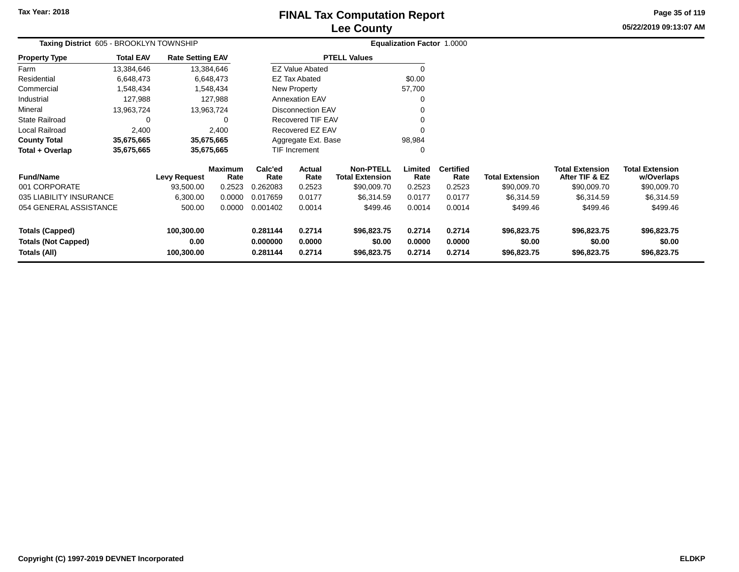## **Lee CountyFINAL Tax Computation Report**

**05/22/2019 09:13:07 AM Page 35 of 119**

|                                                      | Taxing District 605 - BROOKLYN TOWNSHIP |                         |                 |                      |                          |                                            | <b>Equalization Factor 1.0000</b> |                          |                        |                                          |                                      |
|------------------------------------------------------|-----------------------------------------|-------------------------|-----------------|----------------------|--------------------------|--------------------------------------------|-----------------------------------|--------------------------|------------------------|------------------------------------------|--------------------------------------|
| <b>Property Type</b>                                 | <b>Total EAV</b>                        | <b>Rate Setting EAV</b> |                 |                      |                          | <b>PTELL Values</b>                        |                                   |                          |                        |                                          |                                      |
| Farm                                                 | 13,384,646                              |                         | 13,384,646      |                      | <b>EZ Value Abated</b>   |                                            |                                   |                          |                        |                                          |                                      |
| Residential                                          | 6,648,473                               |                         | 6,648,473       |                      | EZ Tax Abated            |                                            | \$0.00                            |                          |                        |                                          |                                      |
| Commercial                                           | 1,548,434                               |                         | 1,548,434       |                      | New Property             |                                            | 57,700                            |                          |                        |                                          |                                      |
| Industrial                                           | 127,988                                 |                         | 127,988         |                      | <b>Annexation EAV</b>    |                                            |                                   |                          |                        |                                          |                                      |
| Mineral                                              | 13,963,724                              |                         | 13,963,724      |                      | <b>Disconnection EAV</b> |                                            |                                   |                          |                        |                                          |                                      |
| <b>State Railroad</b>                                | $\Omega$                                |                         | 0               |                      | Recovered TIF EAV        |                                            |                                   |                          |                        |                                          |                                      |
| Local Railroad                                       | 2,400<br>2,400                          |                         |                 |                      | Recovered EZ EAV         |                                            |                                   |                          |                        |                                          |                                      |
| <b>County Total</b>                                  | 35,675,665                              |                         | 35,675,665      |                      | Aggregate Ext. Base      |                                            | 98,984                            |                          |                        |                                          |                                      |
| Total + Overlap                                      | 35,675,665                              |                         | 35,675,665      |                      | <b>TIF Increment</b>     |                                            | 0                                 |                          |                        |                                          |                                      |
| <b>Fund/Name</b>                                     |                                         | <b>Levy Request</b>     | Maximum<br>Rate | Calc'ed<br>Rate      | Actual<br>Rate           | <b>Non-PTELL</b><br><b>Total Extension</b> | Limited<br>Rate                   | <b>Certified</b><br>Rate | <b>Total Extension</b> | <b>Total Extension</b><br>After TIF & EZ | <b>Total Extension</b><br>w/Overlaps |
| 001 CORPORATE                                        |                                         | 93,500.00               | 0.2523          | 0.262083             | 0.2523                   | \$90,009.70                                | 0.2523                            | 0.2523                   | \$90,009.70            | \$90,009.70                              | \$90,009.70                          |
| 035 LIABILITY INSURANCE                              |                                         | 6,300.00                | 0.0000          | 0.017659             | 0.0177                   | \$6,314.59                                 | 0.0177                            | 0.0177                   | \$6,314.59             | \$6,314.59                               | \$6,314.59                           |
| 054 GENERAL ASSISTANCE                               |                                         | 500.00                  | 0.0000          | 0.001402             | 0.0014                   | \$499.46                                   | 0.0014                            | 0.0014                   | \$499.46               | \$499.46                                 | \$499.46                             |
| <b>Totals (Capped)</b><br><b>Totals (Not Capped)</b> |                                         | 100,300.00<br>0.00      |                 | 0.281144<br>0.000000 | 0.2714<br>0.0000         | \$96,823.75<br>\$0.00                      | 0.2714<br>0.0000                  | 0.2714<br>0.0000         | \$96,823.75<br>\$0.00  | \$96,823.75<br>\$0.00                    | \$96,823.75<br>\$0.00                |
| Totals (All)                                         |                                         | 100,300.00              |                 | 0.281144             | 0.2714                   | \$96,823.75                                | 0.2714                            | 0.2714                   | \$96,823.75            | \$96,823.75                              | \$96,823.75                          |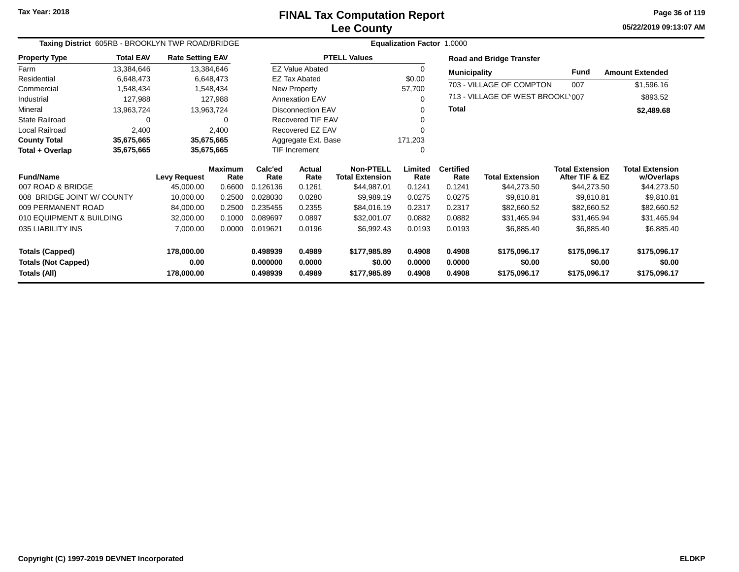**05/22/2019 09:13:07 AM Page 36 of 119**

| Taxing District 605RB - BROOKLYN TWP ROAD/BRIDGE |                  |                         |                        |                 | Equalization Factor 1.0000 |                                            |                 |                          |                                  |                                          |                                      |
|--------------------------------------------------|------------------|-------------------------|------------------------|-----------------|----------------------------|--------------------------------------------|-----------------|--------------------------|----------------------------------|------------------------------------------|--------------------------------------|
| <b>Property Type</b>                             | <b>Total EAV</b> | <b>Rate Setting EAV</b> |                        |                 |                            | <b>PTELL Values</b>                        |                 |                          | <b>Road and Bridge Transfer</b>  |                                          |                                      |
| Farm                                             | 13,384,646       |                         | 13,384,646             |                 | <b>EZ Value Abated</b>     |                                            | $\mathbf 0$     | <b>Municipality</b>      |                                  | <b>Fund</b>                              | <b>Amount Extended</b>               |
| Residential                                      | 6,648,473        |                         | 6,648,473              |                 | <b>EZ Tax Abated</b>       |                                            | \$0.00          |                          | 703 - VILLAGE OF COMPTON         |                                          |                                      |
| Commercial                                       | 1,548,434        |                         | 1,548,434              |                 | New Property               |                                            | 57,700          |                          |                                  | 007                                      | \$1,596.16                           |
| Industrial                                       | 127,988          |                         | 127,988                |                 | Annexation EAV             |                                            | $\Omega$        |                          | 713 - VILLAGE OF WEST BROOKL 007 |                                          | \$893.52                             |
| Mineral                                          | 13,963,724       | 13,963,724              |                        |                 | <b>Disconnection EAV</b>   |                                            | $\Omega$        | <b>Total</b>             |                                  |                                          | \$2,489.68                           |
| <b>State Railroad</b>                            | $\Omega$         |                         | 0                      |                 | Recovered TIF EAV          |                                            | $\Omega$        |                          |                                  |                                          |                                      |
| Local Railroad                                   | 2,400            |                         | 2,400                  |                 | Recovered EZ EAV           |                                            | ∩               |                          |                                  |                                          |                                      |
| <b>County Total</b>                              | 35,675,665       | 35,675,665              |                        |                 | Aggregate Ext. Base        |                                            | 171,203         |                          |                                  |                                          |                                      |
| Total + Overlap                                  | 35,675,665       |                         | 35,675,665             |                 | <b>TIF Increment</b>       |                                            | 0               |                          |                                  |                                          |                                      |
| <b>Fund/Name</b>                                 |                  | <b>Levy Request</b>     | <b>Maximum</b><br>Rate | Calc'ed<br>Rate | Actual<br>Rate             | <b>Non-PTELL</b><br><b>Total Extension</b> | Limited<br>Rate | <b>Certified</b><br>Rate | <b>Total Extension</b>           | <b>Total Extension</b><br>After TIF & EZ | <b>Total Extension</b><br>w/Overlaps |
| 007 ROAD & BRIDGE                                |                  | 45,000.00               | 0.6600                 | 0.126136        | 0.1261                     | \$44,987.01                                | 0.1241          | 0.1241                   | \$44,273.50                      | \$44,273.50                              | \$44,273.50                          |
| 008 BRIDGE JOINT W/ COUNTY                       |                  | 10,000.00               | 0.2500                 | 0.028030        | 0.0280                     | \$9,989.19                                 | 0.0275          | 0.0275                   | \$9,810.81                       | \$9,810.81                               | \$9,810.81                           |
| 009 PERMANENT ROAD                               |                  | 84,000.00               | 0.2500                 | 0.235455        | 0.2355                     | \$84,016.19                                | 0.2317          | 0.2317                   | \$82,660.52                      | \$82,660.52                              | \$82,660.52                          |
| 010 EQUIPMENT & BUILDING                         |                  | 32,000.00               | 0.1000                 | 0.089697        | 0.0897                     | \$32,001.07                                | 0.0882          | 0.0882                   | \$31,465.94                      | \$31,465.94                              | \$31,465.94                          |
| 035 LIABILITY INS                                |                  | 7,000.00                | 0.0000                 | 0.019621        | 0.0196                     | \$6,992.43                                 | 0.0193          | 0.0193                   | \$6,885.40                       | \$6,885.40                               | \$6,885.40                           |
| <b>Totals (Capped)</b>                           |                  | 178,000.00              |                        | 0.498939        | 0.4989                     | \$177,985.89                               | 0.4908          | 0.4908                   | \$175,096.17                     | \$175,096.17                             | \$175,096.17                         |
| <b>Totals (Not Capped)</b>                       |                  | 0.00                    |                        | 0.000000        | 0.0000                     | \$0.00                                     | 0.0000          | 0.0000                   | \$0.00                           | \$0.00                                   | \$0.00                               |
| Totals (All)                                     |                  | 178,000.00              |                        | 0.498939        | 0.4989                     | \$177,985.89                               | 0.4908          | 0.4908                   | \$175,096.17                     | \$175,096.17                             | \$175,096.17                         |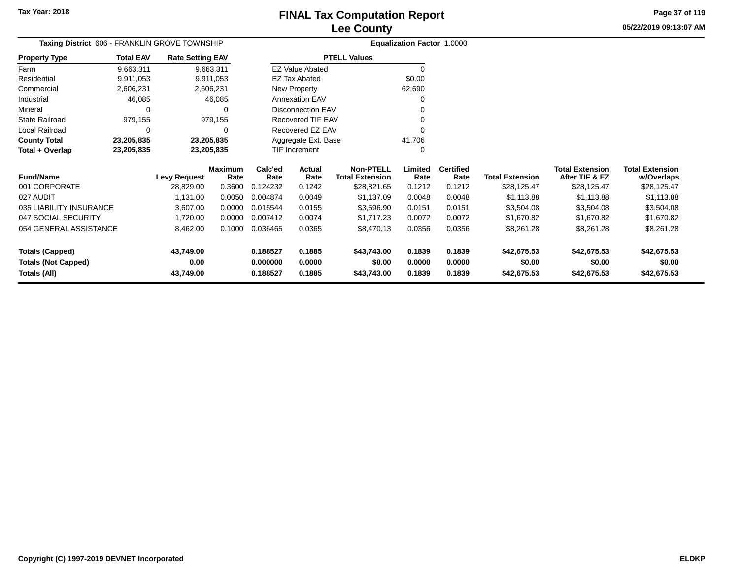**05/22/2019 09:13:07 AMPage 37 of 119**

| Taxing District 606 - FRANKLIN GROVE TOWNSHIP |                          |                         |                        |                 |                          |                                            | Equalization Factor 1.0000 |                          |                        |                                          |                                      |
|-----------------------------------------------|--------------------------|-------------------------|------------------------|-----------------|--------------------------|--------------------------------------------|----------------------------|--------------------------|------------------------|------------------------------------------|--------------------------------------|
| <b>Property Type</b>                          | <b>Total EAV</b>         | <b>Rate Setting EAV</b> |                        |                 |                          | <b>PTELL Values</b>                        |                            |                          |                        |                                          |                                      |
| Farm                                          | 9,663,311                | 9,663,311               |                        |                 | <b>EZ Value Abated</b>   |                                            | $\mathbf 0$                |                          |                        |                                          |                                      |
| Residential                                   | 9,911,053                |                         | 9,911,053              |                 | <b>EZ Tax Abated</b>     |                                            | \$0.00                     |                          |                        |                                          |                                      |
| Commercial                                    | 2,606,231                | 2,606,231               |                        |                 | New Property             |                                            | 62,690                     |                          |                        |                                          |                                      |
| Industrial                                    | 46,085                   |                         | 46,085                 |                 | <b>Annexation EAV</b>    |                                            | 0                          |                          |                        |                                          |                                      |
| Mineral                                       | 0                        |                         | $\Omega$               |                 | <b>Disconnection EAV</b> |                                            |                            |                          |                        |                                          |                                      |
| <b>State Railroad</b>                         | 979,155                  |                         | 979,155                |                 | Recovered TIF EAV        |                                            |                            |                          |                        |                                          |                                      |
| Local Railroad                                | $\Omega$                 |                         | $\Omega$               |                 | Recovered EZ EAV         |                                            | $\Omega$                   |                          |                        |                                          |                                      |
| <b>County Total</b>                           | 23,205,835               | 23,205,835              |                        |                 | Aggregate Ext. Base      |                                            | 41,706                     |                          |                        |                                          |                                      |
| Total + Overlap                               | 23,205,835<br>23,205,835 |                         |                        | TIF Increment   |                          | $\Omega$                                   |                            |                          |                        |                                          |                                      |
| <b>Fund/Name</b>                              |                          | <b>Levy Request</b>     | <b>Maximum</b><br>Rate | Calc'ed<br>Rate | Actual<br>Rate           | <b>Non-PTELL</b><br><b>Total Extension</b> | Limited<br>Rate            | <b>Certified</b><br>Rate | <b>Total Extension</b> | <b>Total Extension</b><br>After TIF & EZ | <b>Total Extension</b><br>w/Overlaps |
| 001 CORPORATE                                 |                          | 28,829.00               | 0.3600                 | 0.124232        | 0.1242                   | \$28,821.65                                | 0.1212                     | 0.1212                   | \$28,125.47            | \$28,125.47                              | \$28,125.47                          |
| 027 AUDIT                                     |                          | 1,131.00                | 0.0050                 | 0.004874        | 0.0049                   | \$1,137.09                                 | 0.0048                     | 0.0048                   | \$1,113.88             | \$1,113.88                               | \$1,113.88                           |
| 035 LIABILITY INSURANCE                       |                          | 3,607.00                | 0.0000                 | 0.015544        | 0.0155                   | \$3,596.90                                 | 0.0151                     | 0.0151                   | \$3,504.08             | \$3,504.08                               | \$3,504.08                           |
| 047 SOCIAL SECURITY                           |                          | 1,720.00                | 0.0000                 | 0.007412        | 0.0074                   | \$1,717.23                                 | 0.0072                     | 0.0072                   | \$1,670.82             | \$1,670.82                               | \$1,670.82                           |
| 054 GENERAL ASSISTANCE                        |                          | 8,462.00                | 0.1000                 | 0.036465        | 0.0365                   | \$8,470.13                                 | 0.0356                     | 0.0356                   | \$8,261.28             | \$8,261.28                               | \$8,261.28                           |
| <b>Totals (Capped)</b>                        |                          | 43,749.00               |                        | 0.188527        | 0.1885                   | \$43,743.00                                | 0.1839                     | 0.1839                   | \$42,675.53            | \$42,675.53                              | \$42,675.53                          |
| <b>Totals (Not Capped)</b>                    |                          | 0.00                    |                        | 0.000000        | 0.0000                   | \$0.00                                     | 0.0000                     | 0.0000                   | \$0.00                 | \$0.00                                   | \$0.00                               |
| Totals (All)                                  |                          | 43,749.00               |                        | 0.188527        | 0.1885                   | \$43,743.00                                | 0.1839                     | 0.1839                   | \$42,675.53            | \$42,675.53                              | \$42,675.53                          |

**0.188527 0.1885 \$43,743.00 0.1839 0.1839 \$42,675.53 \$42,675.53 \$42,675.53**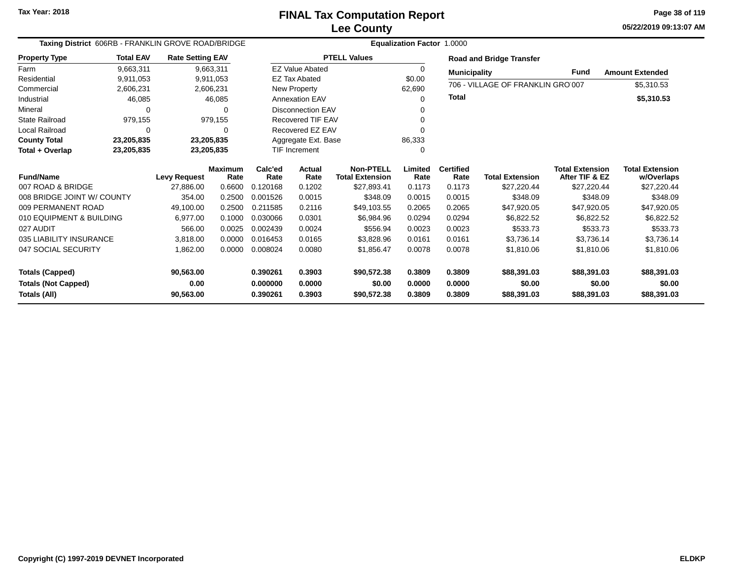**05/22/2019 09:13:07 AM Page 38 of 119**

| Taxing District 606RB - FRANKLIN GROVE ROAD/BRIDGE |                  |                         |                |          |                          |                        | Equalization Factor 1.0000 |                     |                                   |                        |                        |
|----------------------------------------------------|------------------|-------------------------|----------------|----------|--------------------------|------------------------|----------------------------|---------------------|-----------------------------------|------------------------|------------------------|
| <b>Property Type</b>                               | <b>Total EAV</b> | <b>Rate Setting EAV</b> |                |          |                          | <b>PTELL Values</b>    |                            |                     | <b>Road and Bridge Transfer</b>   |                        |                        |
| Farm                                               | 9,663,311        |                         | 9,663,311      |          | <b>EZ Value Abated</b>   |                        | 0                          | <b>Municipality</b> |                                   | Fund                   | <b>Amount Extended</b> |
| Residential                                        | 9,911,053        |                         | 9,911,053      |          | <b>EZ Tax Abated</b>     |                        | \$0.00                     |                     | 706 - VILLAGE OF FRANKLIN GRO 007 |                        |                        |
| Commercial                                         | 2,606,231        |                         | 2,606,231      |          | New Property             |                        | 62,690                     |                     |                                   |                        | \$5,310.53             |
| Industrial                                         | 46,085           |                         | 46,085         |          | <b>Annexation EAV</b>    |                        | $\Omega$                   | Total               |                                   |                        | \$5,310.53             |
| Mineral                                            |                  |                         | 0              |          | Disconnection EAV        |                        |                            |                     |                                   |                        |                        |
| <b>State Railroad</b>                              | 979,155          |                         | 979,155        |          | <b>Recovered TIF EAV</b> |                        |                            |                     |                                   |                        |                        |
| Local Railroad                                     |                  |                         | 0              |          | Recovered EZ EAV         |                        | 0                          |                     |                                   |                        |                        |
| <b>County Total</b>                                | 23,205,835       |                         | 23,205,835     |          | Aggregate Ext. Base      |                        | 86,333                     |                     |                                   |                        |                        |
| Total + Overlap                                    | 23,205,835       |                         | 23,205,835     |          | TIF Increment            |                        | 0                          |                     |                                   |                        |                        |
|                                                    |                  |                         | <b>Maximum</b> | Calc'ed  | Actual                   | <b>Non-PTELL</b>       | Limited                    | <b>Certified</b>    |                                   | <b>Total Extension</b> | <b>Total Extension</b> |
| <b>Fund/Name</b>                                   |                  | <b>Levy Request</b>     | Rate           | Rate     | Rate                     | <b>Total Extension</b> | Rate                       | Rate                | <b>Total Extension</b>            | After TIF & EZ         | w/Overlaps             |
| 007 ROAD & BRIDGE                                  |                  | 27,886.00               | 0.6600         | 0.120168 | 0.1202                   | \$27,893.41            | 0.1173                     | 0.1173              | \$27,220.44                       | \$27,220.44            | \$27,220.44            |
| 008 BRIDGE JOINT W/ COUNTY                         |                  | 354.00                  | 0.2500         | 0.001526 | 0.0015                   | \$348.09               | 0.0015                     | 0.0015              | \$348.09                          | \$348.09               | \$348.09               |
| 009 PERMANENT ROAD                                 |                  | 49,100.00               | 0.2500         | 0.211585 | 0.2116                   | \$49,103.55            | 0.2065                     | 0.2065              | \$47,920.05                       | \$47,920.05            | \$47,920.05            |
| 010 EQUIPMENT & BUILDING                           |                  | 6,977.00                | 0.1000         | 0.030066 | 0.0301                   | \$6.984.96             | 0.0294                     | 0.0294              | \$6,822.52                        | \$6,822.52             | \$6,822.52             |
| 027 AUDIT                                          |                  | 566.00                  | 0.0025         | 0.002439 | 0.0024                   | \$556.94               | 0.0023                     | 0.0023              | \$533.73                          | \$533.73               | \$533.73               |
| 035 LIABILITY INSURANCE                            |                  | 3.818.00                | 0.0000         | 0.016453 | 0.0165                   | \$3,828.96             | 0.0161                     | 0.0161              | \$3,736.14                        | \$3,736.14             | \$3,736.14             |
| 047 SOCIAL SECURITY                                |                  | 1,862.00                | 0.0000         | 0.008024 | 0.0080                   | \$1,856.47             | 0.0078                     | 0.0078              | \$1,810.06                        | \$1,810.06             | \$1,810.06             |
|                                                    |                  |                         |                |          |                          |                        |                            |                     |                                   |                        |                        |
| <b>Totals (Capped)</b>                             |                  | 90,563.00               |                | 0.390261 | 0.3903                   | \$90,572.38            | 0.3809                     | 0.3809              | \$88,391.03                       | \$88,391.03            | \$88,391.03            |
| <b>Totals (Not Capped)</b>                         |                  | 0.00                    |                | 0.000000 | 0.0000                   | \$0.00                 | 0.0000                     | 0.0000              | \$0.00                            | \$0.00                 | \$0.00                 |
| Totals (All)                                       |                  | 90,563.00               |                | 0.390261 | 0.3903                   | \$90,572.38            | 0.3809                     | 0.3809              | \$88,391.03                       | \$88,391.03            | \$88,391.03            |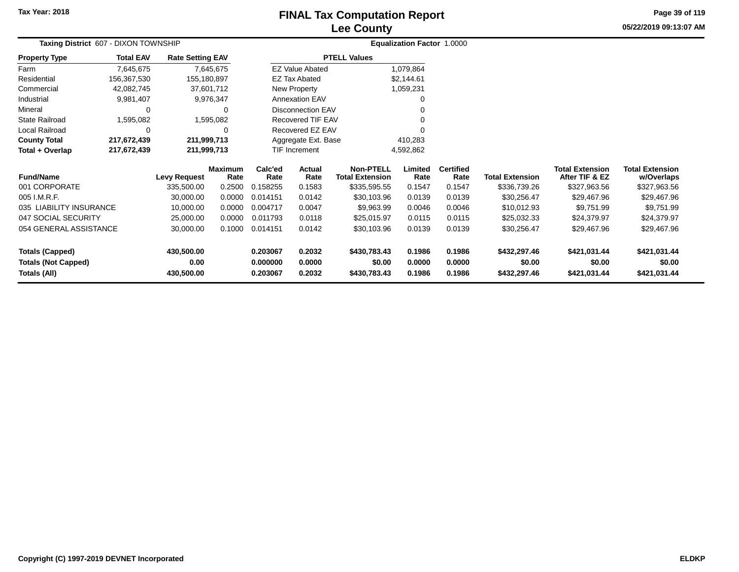# **Lee CountyFINAL Tax Computation Report**

**05/22/2019 09:13:07 AM Page 39 of 119**

| Taxing District 607 - DIXON TOWNSHIP             |                  |                         |                        |                      |                          |                                            | Equalization Factor 1.0000 |                          |                        |                                          |                                      |  |
|--------------------------------------------------|------------------|-------------------------|------------------------|----------------------|--------------------------|--------------------------------------------|----------------------------|--------------------------|------------------------|------------------------------------------|--------------------------------------|--|
| <b>Property Type</b>                             | <b>Total EAV</b> | <b>Rate Setting EAV</b> |                        |                      |                          | <b>PTELL Values</b>                        |                            |                          |                        |                                          |                                      |  |
| Farm                                             | 7,645,675        |                         | 7,645,675              |                      | <b>EZ Value Abated</b>   |                                            | 1,079,864                  |                          |                        |                                          |                                      |  |
| Residential                                      | 156,367,530      | 155,180,897             |                        |                      | EZ Tax Abated            |                                            | \$2,144.61                 |                          |                        |                                          |                                      |  |
| Commercial                                       | 42,082,745       | 37,601,712              |                        |                      | New Property             |                                            | 1,059,231                  |                          |                        |                                          |                                      |  |
| Industrial                                       | 9,981,407        |                         | 9,976,347              |                      | <b>Annexation EAV</b>    |                                            | 0                          |                          |                        |                                          |                                      |  |
| Mineral                                          | 0                |                         | 0                      |                      | <b>Disconnection EAV</b> |                                            | 0                          |                          |                        |                                          |                                      |  |
| State Railroad                                   | 1,595,082        |                         | 1,595,082              |                      | <b>Recovered TIF EAV</b> |                                            |                            |                          |                        |                                          |                                      |  |
| Local Railroad                                   | 0                |                         | 0                      |                      | Recovered EZ EAV         |                                            |                            |                          |                        |                                          |                                      |  |
| <b>County Total</b>                              | 217,672,439      | 211,999,713             |                        |                      | Aggregate Ext. Base      |                                            | 410,283                    |                          |                        |                                          |                                      |  |
| Total + Overlap                                  | 217,672,439      | 211,999,713             |                        | <b>TIF Increment</b> |                          |                                            | 4,592,862                  |                          |                        |                                          |                                      |  |
| <b>Fund/Name</b>                                 |                  | <b>Levy Request</b>     | <b>Maximum</b><br>Rate | Calc'ed<br>Rate      | Actual<br>Rate           | <b>Non-PTELL</b><br><b>Total Extension</b> | Limited<br>Rate            | <b>Certified</b><br>Rate | <b>Total Extension</b> | <b>Total Extension</b><br>After TIF & EZ | <b>Total Extension</b><br>w/Overlaps |  |
| 001 CORPORATE                                    |                  | 335,500.00              | 0.2500                 | 0.158255             | 0.1583                   | \$335,595.55                               | 0.1547                     | 0.1547                   | \$336,739.26           | \$327,963.56                             | \$327,963.56                         |  |
| 005 I.M.R.F.                                     |                  | 30,000.00               | 0.0000                 | 0.014151             | 0.0142                   | \$30,103.96                                | 0.0139                     | 0.0139                   | \$30,256.47            | \$29,467.96                              | \$29,467.96                          |  |
| 035 LIABILITY INSURANCE                          |                  | 10,000.00               | 0.0000                 | 0.004717             | 0.0047                   | \$9,963.99                                 | 0.0046                     | 0.0046                   | \$10,012.93            | \$9,751.99                               | \$9,751.99                           |  |
| 047 SOCIAL SECURITY                              |                  | 25,000.00               | 0.0000                 | 0.011793             | 0.0118                   | \$25,015.97                                | 0.0115                     | 0.0115                   | \$25,032.33            | \$24,379.97                              | \$24,379.97                          |  |
| 054 GENERAL ASSISTANCE                           |                  | 30,000.00               | 0.1000                 | 0.014151             | 0.0142                   | \$30,103.96                                | 0.0139                     | 0.0139                   | \$30,256.47            | \$29,467.96                              | \$29,467.96                          |  |
| <b>Totals (Capped)</b>                           |                  | 430,500.00              |                        | 0.203067             | 0.2032                   | \$430,783.43                               | 0.1986                     | 0.1986                   | \$432,297.46           | \$421,031.44                             | \$421,031.44                         |  |
| <b>Totals (Not Capped)</b>                       |                  | 0.00                    |                        | 0.000000             | 0.0000                   | \$0.00                                     | 0.0000                     | 0.0000                   | \$0.00                 | \$0.00                                   | \$0.00                               |  |
| Totals (All)<br>430,500.00<br>0.2032<br>0.203067 |                  | \$430,783.43            | 0.1986                 | 0.1986               | \$432,297.46             | \$421,031.44                               | \$421,031.44               |                          |                        |                                          |                                      |  |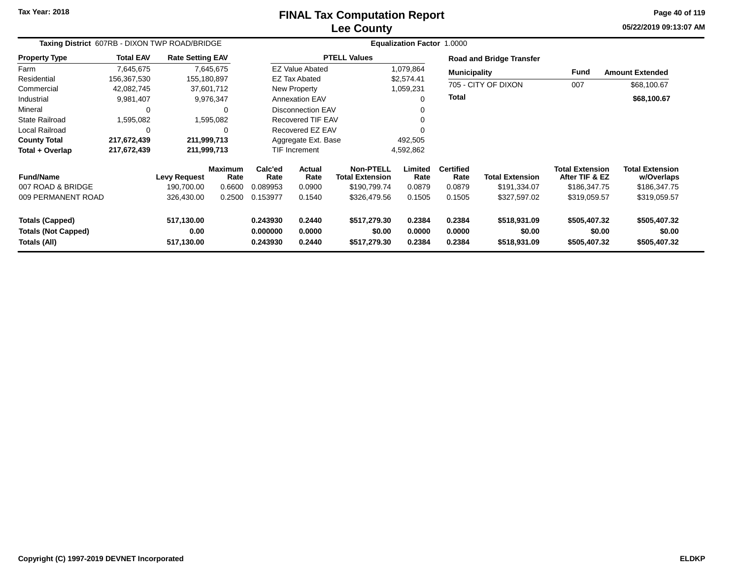# **Lee CountyFINAL Tax Computation Report**

**05/22/2019 09:13:07 AM Page 40 of 119**

| Taxing District 607RB - DIXON TWP ROAD/BRIDGE                        |                  |                                  |                        | Equalization Factor 1.0000       |                            |                                            |                            |                            |                                        |                                          |                                        |  |
|----------------------------------------------------------------------|------------------|----------------------------------|------------------------|----------------------------------|----------------------------|--------------------------------------------|----------------------------|----------------------------|----------------------------------------|------------------------------------------|----------------------------------------|--|
| <b>Property Type</b>                                                 | <b>Total EAV</b> | <b>Rate Setting EAV</b>          |                        |                                  |                            | <b>PTELL Values</b>                        |                            |                            | <b>Road and Bridge Transfer</b>        |                                          |                                        |  |
| Farm                                                                 | 7,645,675        |                                  | 7,645,675              |                                  | <b>EZ Value Abated</b>     |                                            | 1,079,864                  | <b>Municipality</b>        |                                        | <b>Fund</b>                              | <b>Amount Extended</b>                 |  |
| Residential                                                          | 156,367,530      | 155,180,897                      |                        |                                  | <b>EZ Tax Abated</b>       |                                            | \$2,574.41                 |                            |                                        |                                          |                                        |  |
| Commercial                                                           | 42,082,745       |                                  | 37,601,712             |                                  | New Property               |                                            | 1,059,231                  |                            | 705 - CITY OF DIXON                    | 007                                      | \$68,100.67                            |  |
| Industrial                                                           | 9,981,407        |                                  | 9,976,347              |                                  | Annexation EAV             |                                            |                            | <b>Total</b>               |                                        |                                          | \$68,100.67                            |  |
| Mineral                                                              | 0                |                                  | 0                      |                                  | <b>Disconnection EAV</b>   |                                            |                            |                            |                                        |                                          |                                        |  |
| <b>State Railroad</b>                                                | 1,595,082        |                                  | 1,595,082              |                                  | Recovered TIF EAV          |                                            |                            |                            |                                        |                                          |                                        |  |
| <b>Local Railroad</b>                                                | 0                |                                  | $\Omega$               |                                  | Recovered EZ EAV           |                                            |                            |                            |                                        |                                          |                                        |  |
| <b>County Total</b>                                                  | 217,672,439      | 211,999,713                      |                        |                                  | Aggregate Ext. Base        |                                            | 492,505                    |                            |                                        |                                          |                                        |  |
| Total + Overlap                                                      | 217,672,439      | 211,999,713                      |                        |                                  | <b>TIF Increment</b>       |                                            | 4,592,862                  |                            |                                        |                                          |                                        |  |
| <b>Fund/Name</b>                                                     |                  | <b>Levy Request</b>              | <b>Maximum</b><br>Rate | Calc'ed<br>Rate                  | <b>Actual</b><br>Rate      | <b>Non-PTELL</b><br><b>Total Extension</b> | Limited<br>Rate            | <b>Certified</b><br>Rate   | <b>Total Extension</b>                 | <b>Total Extension</b><br>After TIF & EZ | <b>Total Extension</b><br>w/Overlaps   |  |
| 007 ROAD & BRIDGE                                                    |                  | 190,700.00                       | 0.6600                 | 0.089953                         | 0.0900                     | \$190,799.74                               | 0.0879                     | 0.0879                     | \$191,334.07                           | \$186,347.75                             | \$186,347.75                           |  |
| 009 PERMANENT ROAD                                                   |                  | 326,430.00                       | 0.2500                 | 0.153977                         | 0.1540                     | \$326,479.56                               | 0.1505                     | 0.1505                     | \$327,597.02                           | \$319,059.57                             | \$319,059.57                           |  |
| <b>Totals (Capped)</b><br><b>Totals (Not Capped)</b><br>Totals (All) |                  | 517,130.00<br>0.00<br>517,130.00 |                        | 0.243930<br>0.000000<br>0.243930 | 0.2440<br>0.0000<br>0.2440 | \$517,279.30<br>\$0.00<br>\$517,279.30     | 0.2384<br>0.0000<br>0.2384 | 0.2384<br>0.0000<br>0.2384 | \$518,931.09<br>\$0.00<br>\$518,931.09 | \$505,407.32<br>\$0.00<br>\$505,407.32   | \$505,407.32<br>\$0.00<br>\$505,407.32 |  |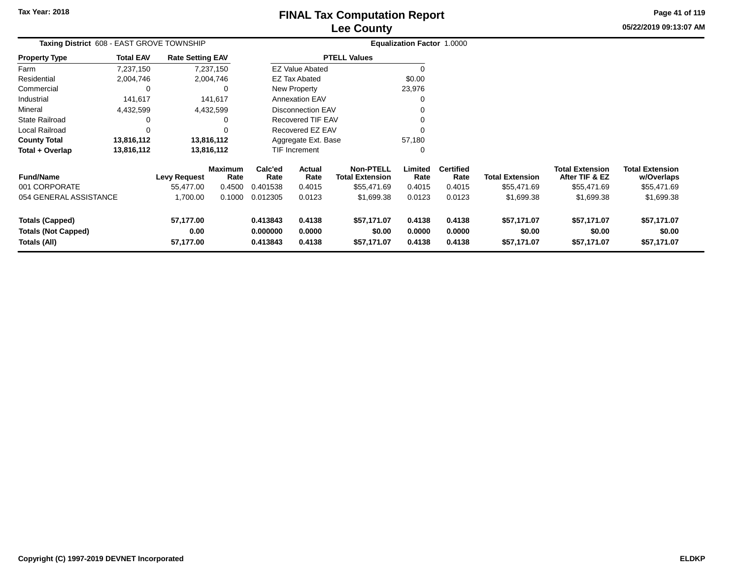**05/22/2019 09:13:07 AM Page 41 of 119**

| Taxing District 608 - EAST GROVE TOWNSHIP |                  |                         |                        |                 |                          |                                            | Equalization Factor 1.0000 |                          |                        |                                          |                                      |
|-------------------------------------------|------------------|-------------------------|------------------------|-----------------|--------------------------|--------------------------------------------|----------------------------|--------------------------|------------------------|------------------------------------------|--------------------------------------|
| <b>Property Type</b>                      | <b>Total EAV</b> | <b>Rate Setting EAV</b> |                        |                 |                          | <b>PTELL Values</b>                        |                            |                          |                        |                                          |                                      |
| Farm                                      | 7,237,150        |                         | 7,237,150              |                 | <b>EZ Value Abated</b>   |                                            | $\Omega$                   |                          |                        |                                          |                                      |
| Residential                               | 2,004,746        |                         | 2,004,746              |                 | <b>EZ Tax Abated</b>     |                                            | \$0.00                     |                          |                        |                                          |                                      |
| Commercial                                | 0                |                         | 0                      |                 | New Property             |                                            | 23,976                     |                          |                        |                                          |                                      |
| Industrial                                | 141,617          |                         | 141,617                |                 | <b>Annexation EAV</b>    |                                            | 0                          |                          |                        |                                          |                                      |
| Mineral                                   | 4,432,599        |                         | 4,432,599              |                 | <b>Disconnection EAV</b> |                                            |                            |                          |                        |                                          |                                      |
| <b>State Railroad</b>                     | 0                |                         | 0                      |                 | Recovered TIF EAV        |                                            |                            |                          |                        |                                          |                                      |
| Local Railroad                            | 0                |                         | 0                      |                 | Recovered EZ EAV         |                                            | $\Omega$                   |                          |                        |                                          |                                      |
| <b>County Total</b>                       | 13,816,112       |                         | 13,816,112             |                 | Aggregate Ext. Base      |                                            | 57,180                     |                          |                        |                                          |                                      |
| Total + Overlap                           | 13,816,112       |                         | 13,816,112             |                 | TIF Increment            |                                            | 0                          |                          |                        |                                          |                                      |
| <b>Fund/Name</b>                          |                  | Levy Request            | <b>Maximum</b><br>Rate | Calc'ed<br>Rate | Actual<br>Rate           | <b>Non-PTELL</b><br><b>Total Extension</b> | Limited<br>Rate            | <b>Certified</b><br>Rate | <b>Total Extension</b> | <b>Total Extension</b><br>After TIF & EZ | <b>Total Extension</b><br>w/Overlaps |
| 001 CORPORATE                             |                  | 55,477.00               | 0.4500                 | 0.401538        | 0.4015                   | \$55,471.69                                | 0.4015                     | 0.4015                   | \$55,471.69            | \$55,471.69                              | \$55,471.69                          |
| 054 GENERAL ASSISTANCE                    |                  | 1,700.00                | 0.1000                 | 0.012305        | 0.0123                   | \$1,699.38                                 | 0.0123                     | 0.0123                   | \$1,699.38             | \$1,699.38                               | \$1,699.38                           |
| <b>Totals (Capped)</b>                    |                  | 57,177.00               |                        | 0.413843        | 0.4138                   | \$57,171.07                                | 0.4138                     | 0.4138                   | \$57,171.07            | \$57,171.07                              | \$57,171.07                          |
| <b>Totals (Not Capped)</b>                |                  | 0.00                    |                        | 0.000000        | 0.0000                   | \$0.00                                     | 0.0000                     | 0.0000                   | \$0.00                 | \$0.00                                   | \$0.00                               |
| Totals (All)<br>57,177.00                 |                  |                         | 0.413843               | 0.4138          | \$57,171.07              | 0.4138                                     | 0.4138                     | \$57,171.07              | \$57,171.07            | \$57,171.07                              |                                      |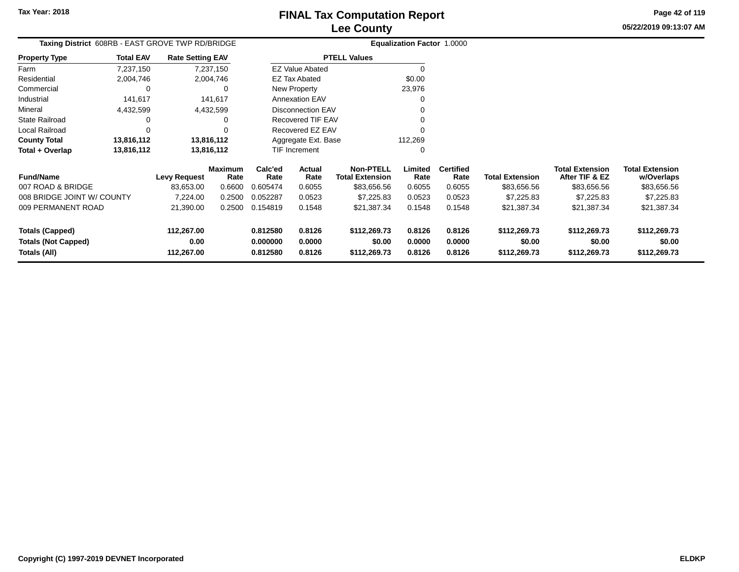**05/22/2019 09:13:07 AMPage 42 of 119**

|          | <b>Lee County</b>                                |                                   |  |
|----------|--------------------------------------------------|-----------------------------------|--|
| /BRIDGE  |                                                  | <b>Equalization Factor 1.0000</b> |  |
| ıg EAV   | <b>PTELL Values</b>                              |                                   |  |
| 37,150   | <b>EZ Value Abated</b>                           |                                   |  |
| 04.746   | EZ Tax Abated                                    | \$0.00                            |  |
| 0        | New Property                                     | 23,976                            |  |
| $\cdots$ | $\sim$ $\sim$ $\sim$ $\sim$ $\sim$ $\sim$ $\sim$ | $\sim$                            |  |

| Taxing District 608RB - EAST GROVE TWP RD/BRIDGE |                         |                        |                 |                        |                                            | <b>Equalization Factor 1.0000</b> |                          |      |
|--------------------------------------------------|-------------------------|------------------------|-----------------|------------------------|--------------------------------------------|-----------------------------------|--------------------------|------|
| <b>Total EAV</b><br><b>Property Type</b>         | <b>Rate Setting EAV</b> |                        |                 |                        | <b>PTELL Values</b>                        |                                   |                          |      |
| Farm<br>7,237,150                                |                         | 7,237,150              |                 | <b>EZ Value Abated</b> |                                            |                                   |                          |      |
| Residential<br>2,004,746                         |                         | 2,004,746              |                 | EZ Tax Abated          |                                            | \$0.00                            |                          |      |
| Commercial                                       | 0                       | 0                      |                 | New Property           |                                            | 23,976                            |                          |      |
| Industrial<br>141.617                            |                         | 141.617                |                 | <b>Annexation EAV</b>  |                                            |                                   |                          |      |
| Mineral<br>4,432,599                             |                         | 4,432,599              |                 | Disconnection EAV      |                                            |                                   |                          |      |
| <b>State Railroad</b>                            | 0                       | 0                      |                 | Recovered TIF EAV      |                                            |                                   |                          |      |
| Local Railroad                                   | 0                       | 0                      |                 | Recovered EZ EAV       |                                            |                                   |                          |      |
| 13,816,112<br><b>County Total</b>                |                         | 13,816,112             |                 | Aggregate Ext. Base    |                                            | 112,269                           |                          |      |
| Total + Overlap<br>13,816,112                    |                         | 13,816,112             |                 | <b>TIF Increment</b>   |                                            | 0                                 |                          |      |
| <b>Fund/Name</b>                                 | <b>Levy Request</b>     | <b>Maximum</b><br>Rate | Calc'ed<br>Rate | Actual<br>Rate         | <b>Non-PTELL</b><br><b>Total Extension</b> | Limited<br>Rate                   | <b>Certified</b><br>Rate | Tota |
| 007 ROAD & BRIDGE                                | 83.653.00               | 0.6600                 | 0.605474        | 0.6055                 | \$83.656.56                                | 0.6055                            | 0.6055                   |      |

| <b>Fund/Name</b>           | Levy Request | Maximum<br>Rate | Calc'ed<br>Rate | Actual<br>Rate | <b>Non-PTELL</b><br><b>Total Extension</b> | Limited<br>Rate | <b>Certified</b><br>Rate | <b>Total Extension</b> | <b>Total Extension</b><br>After TIF & EZ | <b>Total Extension</b><br>w/Overlaps |
|----------------------------|--------------|-----------------|-----------------|----------------|--------------------------------------------|-----------------|--------------------------|------------------------|------------------------------------------|--------------------------------------|
| 007 ROAD & BRIDGE          | 83.653.00    | 0.6600          | 0.605474        | 0.6055         | \$83,656.56                                | 0.6055          | 0.6055                   | \$83.656.56            | \$83,656.56                              | \$83,656.56                          |
| 008 BRIDGE JOINT W/ COUNTY | 7.224.00     | 0.2500          | 0.052287        | 0.0523         | \$7,225.83                                 | 0.0523          | 0.0523                   | \$7,225.83             | \$7,225.83                               | \$7,225.83                           |
| 009 PERMANENT ROAD         | 21.390.00    | 0.2500          | 0.154819        | 0.1548         | \$21.387.34                                | 0.1548          | 0.1548                   | \$21,387.34            | \$21,387.34                              | \$21,387.34                          |
| <b>Totals (Capped)</b>     | 112.267.00   |                 | 0.812580        | 0.8126         | \$112,269.73                               | 0.8126          | 0.8126                   | \$112,269.73           | \$112,269.73                             | \$112,269.73                         |
| <b>Totals (Not Capped)</b> | 0.00         |                 | 0.000000        | 0.0000         | \$0.00                                     | 0.0000          | 0.0000                   | \$0.00                 | \$0.00                                   | \$0.00                               |
| Totals (All)               | 112.267.00   |                 | 0.812580        | 0.8126         | \$112,269.73                               | 0.8126          | 0.8126                   | \$112,269.73           | \$112,269.73                             | \$112,269.73                         |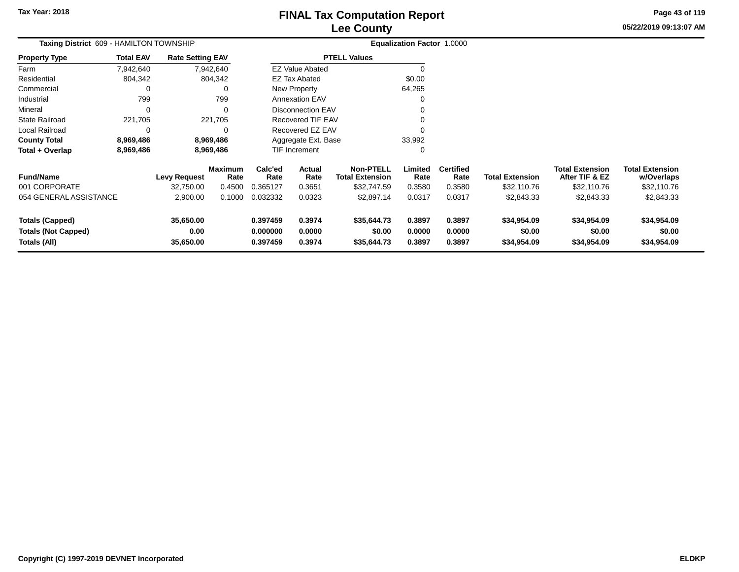**05/22/2019 09:13:07 AM Page 43 of 119**

| Taxing District 609 - HAMILTON TOWNSHIP                              |                  |                                |                        |                                  |                            | Equalization Factor 1.0000                 |                            |                            |                                      |                                          |                                      |
|----------------------------------------------------------------------|------------------|--------------------------------|------------------------|----------------------------------|----------------------------|--------------------------------------------|----------------------------|----------------------------|--------------------------------------|------------------------------------------|--------------------------------------|
| <b>Property Type</b>                                                 | <b>Total EAV</b> | <b>Rate Setting EAV</b>        |                        |                                  |                            | <b>PTELL Values</b>                        |                            |                            |                                      |                                          |                                      |
| Farm                                                                 | 7,942,640        |                                | 7,942,640              |                                  | <b>EZ Value Abated</b>     |                                            |                            |                            |                                      |                                          |                                      |
| Residential                                                          | 804,342          |                                | 804,342                |                                  | <b>EZ Tax Abated</b>       |                                            | \$0.00                     |                            |                                      |                                          |                                      |
| Commercial                                                           | 0                |                                | 0                      | New Property<br>64,265           |                            |                                            |                            |                            |                                      |                                          |                                      |
| Industrial                                                           | 799              |                                | 799                    | <b>Annexation EAV</b>            |                            |                                            |                            |                            |                                      |                                          |                                      |
| Mineral                                                              | 0                |                                | 0                      | <b>Disconnection EAV</b>         |                            |                                            |                            |                            |                                      |                                          |                                      |
| <b>State Railroad</b>                                                | 221,705          |                                | 221,705                |                                  | <b>Recovered TIF EAV</b>   |                                            |                            |                            |                                      |                                          |                                      |
| Local Railroad                                                       | 0                |                                | 0                      |                                  | Recovered EZ EAV           |                                            |                            |                            |                                      |                                          |                                      |
| <b>County Total</b>                                                  | 8,969,486        |                                | 8,969,486              |                                  | Aggregate Ext. Base        |                                            | 33,992                     |                            |                                      |                                          |                                      |
| Total + Overlap                                                      | 8,969,486        |                                | 8,969,486              |                                  | <b>TIF Increment</b><br>0  |                                            |                            |                            |                                      |                                          |                                      |
| <b>Fund/Name</b>                                                     |                  | <b>Levy Request</b>            | <b>Maximum</b><br>Rate | Calc'ed<br>Rate                  | <b>Actual</b><br>Rate      | <b>Non-PTELL</b><br><b>Total Extension</b> | Limited<br>Rate            | <b>Certified</b><br>Rate   | <b>Total Extension</b>               | <b>Total Extension</b><br>After TIF & EZ | <b>Total Extension</b><br>w/Overlaps |
| 001 CORPORATE                                                        |                  | 32,750.00                      | 0.4500                 | 0.365127                         | 0.3651                     | \$32,747.59                                | 0.3580                     | 0.3580                     | \$32,110.76                          | \$32,110.76                              | \$32,110.76                          |
| 054 GENERAL ASSISTANCE                                               |                  | 2,900.00                       | 0.1000                 | 0.032332                         | 0.0323                     | \$2,897.14                                 | 0.0317                     | 0.0317                     | \$2,843.33                           | \$2,843.33                               | \$2,843.33                           |
| <b>Totals (Capped)</b><br><b>Totals (Not Capped)</b><br>Totals (All) |                  | 35,650.00<br>0.00<br>35,650.00 |                        | 0.397459<br>0.000000<br>0.397459 | 0.3974<br>0.0000<br>0.3974 | \$35,644.73<br>\$0.00<br>\$35,644.73       | 0.3897<br>0.0000<br>0.3897 | 0.3897<br>0.0000<br>0.3897 | \$34,954.09<br>\$0.00<br>\$34,954.09 | \$34,954.09<br>\$0.00<br>\$34,954.09     | \$34,954.09<br>\$0.00<br>\$34,954.09 |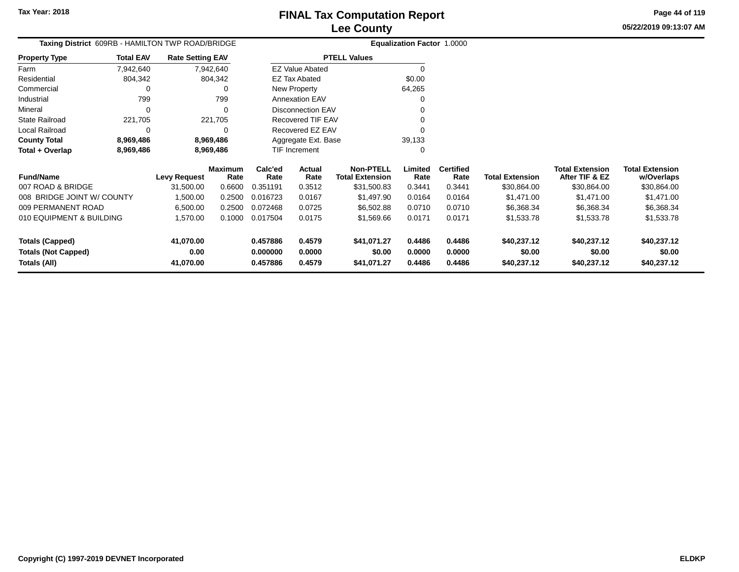**05/22/2019 09:13:07 AM Page 44 of 119**

| Taxing District 609RB - HAMILTON TWP ROAD/BRIDGE |                  |                         |           |          | <b>Equalization Factor 1.0000</b> |                        |         |                  |                        |      |
|--------------------------------------------------|------------------|-------------------------|-----------|----------|-----------------------------------|------------------------|---------|------------------|------------------------|------|
| <b>Property Type</b>                             | <b>Total EAV</b> | <b>Rate Setting EAV</b> |           |          |                                   | <b>PTELL Values</b>    |         |                  |                        |      |
| Farm                                             | 7,942,640        |                         | 7,942,640 |          | <b>EZ Value Abated</b>            |                        |         |                  |                        |      |
| Residential                                      | 804.342          |                         | 804.342   |          | <b>EZ Tax Abated</b>              |                        | \$0.00  |                  |                        |      |
| Commercial                                       | 0                |                         | 0         |          | New Property                      |                        | 64,265  |                  |                        |      |
| Industrial                                       | 799              |                         | 799       |          | <b>Annexation EAV</b>             |                        |         |                  |                        |      |
| Mineral                                          | 0                |                         | 0         |          | Disconnection EAV                 |                        |         |                  |                        |      |
| State Railroad                                   | 221.705          |                         | 221,705   |          | Recovered TIF EAV                 |                        |         |                  |                        |      |
| Local Railroad                                   | 0                |                         |           |          | Recovered EZ EAV                  |                        |         |                  |                        |      |
| <b>County Total</b>                              | 8,969,486        |                         | 8,969,486 |          | Aggregate Ext. Base               |                        | 39,133  |                  |                        |      |
| Total + Overlap                                  | 8,969,486        |                         | 8,969,486 |          | TIF Increment                     |                        |         |                  |                        |      |
|                                                  |                  |                         | Maximum   | Calc'ed  | Actual                            | <b>Non-PTELL</b>       | Limited | <b>Certified</b> |                        | Tota |
| <b>Fund/Name</b>                                 |                  | <b>Levy Request</b>     | Rate      | Rate     | Rate                              | <b>Total Extension</b> | Rate    | Rate             | <b>Total Extension</b> | Aft  |
| 007 ROAD & BRIDGE                                |                  | 31.500.00               | 0.6600    | 0.351191 | 0.3512                            | \$31,500.83            | 0.3441  | 0.3441           | \$30,864.00            |      |
| 008 BRIDGE IOINT W/COLINTY                       |                  | 1.500.00                | N 2500 L  | 0.016723 | 0.0167                            | \$1 497 ON             | 0.0164  | 0.0164           | \$1.471.00             |      |

| <b>Fund/Name</b>                                              | Levv Reauest                   | <b>Maximum</b><br>Rate | Calc'ed<br>Rate                  | Actual<br>Rate             | <b>Non-PTELL</b><br><b>Total Extension</b> | Limited<br>Rate            | <b>Certified</b><br>Rate   | <b>Total Extension</b>               | <b>Total Extension</b><br>After TIF & EZ | Total Extension<br>w/Overlaps        |
|---------------------------------------------------------------|--------------------------------|------------------------|----------------------------------|----------------------------|--------------------------------------------|----------------------------|----------------------------|--------------------------------------|------------------------------------------|--------------------------------------|
| 007 ROAD & BRIDGE                                             | 31.500.00                      | 0.6600                 | 0.351191                         | 0.3512                     | \$31,500.83                                | 0.3441                     | 0.3441                     | \$30,864.00                          | \$30,864.00                              | \$30,864.00                          |
| 008 BRIDGE JOINT W/ COUNTY                                    | 1,500.00                       | 0.2500                 | 0.016723                         | 0.0167                     | \$1,497.90                                 | 0.0164                     | 0.0164                     | \$1,471.00                           | \$1.471.00                               | \$1,471.00                           |
| 009 PERMANENT ROAD                                            | 6.500.00                       | 0.2500                 | 0.072468                         | 0.0725                     | \$6,502.88                                 | 0.0710                     | 0.0710                     | \$6,368.34                           | \$6,368.34                               | \$6,368.34                           |
| 010 EQUIPMENT & BUILDING                                      | 1.570.00                       | 0.1000                 | 0.017504                         | 0.0175                     | \$1,569.66                                 | 0.0171                     | 0.0171                     | \$1,533.78                           | \$1,533.78                               | \$1,533.78                           |
| Totals (Capped)<br><b>Totals (Not Capped)</b><br>Totals (All) | 41.070.00<br>0.00<br>41.070.00 |                        | 0.457886<br>0.000000<br>0.457886 | 0.4579<br>0.0000<br>0.4579 | \$41.071.27<br>\$0.00<br>\$41.071.27       | 0.4486<br>0.0000<br>0.4486 | 0.4486<br>0.0000<br>0.4486 | \$40.237.12<br>\$0.00<br>\$40.237.12 | \$40.237.12<br>\$0.00<br>\$40,237.12     | \$40,237.12<br>\$0.00<br>\$40,237.12 |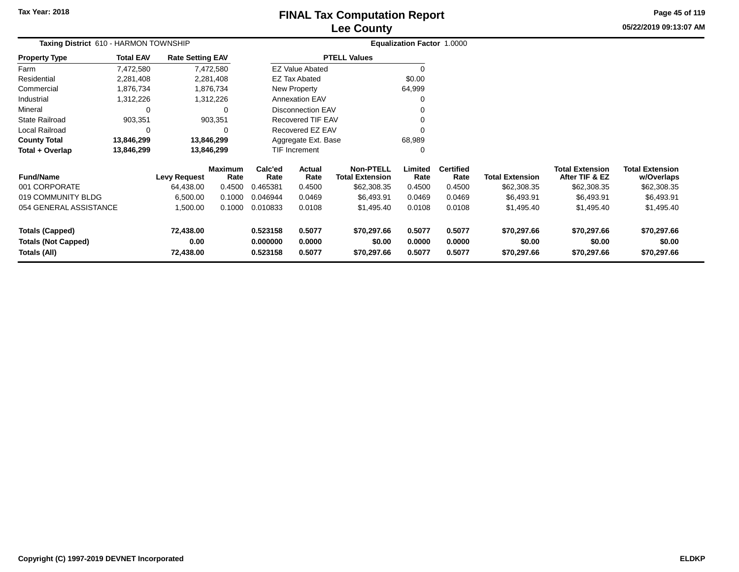# **Lee CountyFINAL Tax Computation Report**

**05/22/2019 09:13:07 AM Page 45 of 119**

| Taxing District 610 - HARMON TOWNSHIP |                  |                         |                        |                 |                          |                                            | Equalization Factor 1.0000 |                          |                        |                                          |                                      |
|---------------------------------------|------------------|-------------------------|------------------------|-----------------|--------------------------|--------------------------------------------|----------------------------|--------------------------|------------------------|------------------------------------------|--------------------------------------|
| <b>Property Type</b>                  | <b>Total EAV</b> | <b>Rate Setting EAV</b> |                        |                 |                          | <b>PTELL Values</b>                        |                            |                          |                        |                                          |                                      |
| Farm                                  | 7,472,580        |                         | 7,472,580              |                 | <b>EZ Value Abated</b>   |                                            | $\Omega$                   |                          |                        |                                          |                                      |
| Residential                           | 2,281,408        |                         | 2,281,408              |                 | EZ Tax Abated            |                                            | \$0.00                     |                          |                        |                                          |                                      |
| Commercial                            | 1,876,734        |                         | 1,876,734              |                 | New Property             |                                            | 64,999                     |                          |                        |                                          |                                      |
| Industrial                            | 1,312,226        |                         | 1,312,226              |                 | <b>Annexation EAV</b>    |                                            | $\Omega$                   |                          |                        |                                          |                                      |
| Mineral                               | 0                |                         | $\Omega$               |                 | <b>Disconnection EAV</b> |                                            | $\Omega$                   |                          |                        |                                          |                                      |
| <b>State Railroad</b>                 | 903,351          |                         | 903,351                |                 | Recovered TIF EAV        |                                            |                            |                          |                        |                                          |                                      |
| Local Railroad                        | 0                |                         | $\Omega$               |                 | Recovered EZ EAV         |                                            | $\Omega$                   |                          |                        |                                          |                                      |
| <b>County Total</b>                   | 13,846,299       |                         | 13,846,299             |                 | Aggregate Ext. Base      |                                            | 68,989                     |                          |                        |                                          |                                      |
| Total + Overlap                       | 13,846,299       |                         | 13,846,299             | TIF Increment   |                          |                                            | $\Omega$                   |                          |                        |                                          |                                      |
| <b>Fund/Name</b>                      |                  | <b>Levy Request</b>     | <b>Maximum</b><br>Rate | Calc'ed<br>Rate | Actual<br>Rate           | <b>Non-PTELL</b><br><b>Total Extension</b> | Limited<br>Rate            | <b>Certified</b><br>Rate | <b>Total Extension</b> | <b>Total Extension</b><br>After TIF & EZ | <b>Total Extension</b><br>w/Overlaps |
| 001 CORPORATE                         |                  | 64,438.00               | 0.4500                 | 0.465381        | 0.4500                   | \$62,308.35                                | 0.4500                     | 0.4500                   | \$62,308.35            | \$62,308.35                              | \$62,308.35                          |
| 019 COMMUNITY BLDG                    |                  | 6,500.00                | 0.1000                 | 0.046944        | 0.0469                   | \$6,493.91                                 | 0.0469                     | 0.0469                   | \$6,493.91             | \$6,493.91                               | \$6,493.91                           |
| 054 GENERAL ASSISTANCE                |                  | 1,500.00                | 0.1000                 | 0.010833        | 0.0108                   | \$1,495.40                                 | 0.0108                     | 0.0108                   | \$1,495.40             | \$1,495.40                               | \$1,495.40                           |
| <b>Totals (Capped)</b>                |                  | 72,438.00               |                        | 0.523158        | 0.5077                   | \$70,297.66                                | 0.5077                     | 0.5077                   | \$70,297.66            | \$70,297.66                              | \$70,297.66                          |
| <b>Totals (Not Capped)</b>            |                  | 0.00                    |                        | 0.000000        | 0.0000                   | \$0.00                                     | 0.0000                     | 0.0000                   | \$0.00                 | \$0.00                                   | \$0.00                               |
| Totals (All)<br>72,438.00             |                  |                         | 0.523158               | 0.5077          | \$70,297.66              | 0.5077                                     | 0.5077                     | \$70,297.66              | \$70,297.66            | \$70,297.66                              |                                      |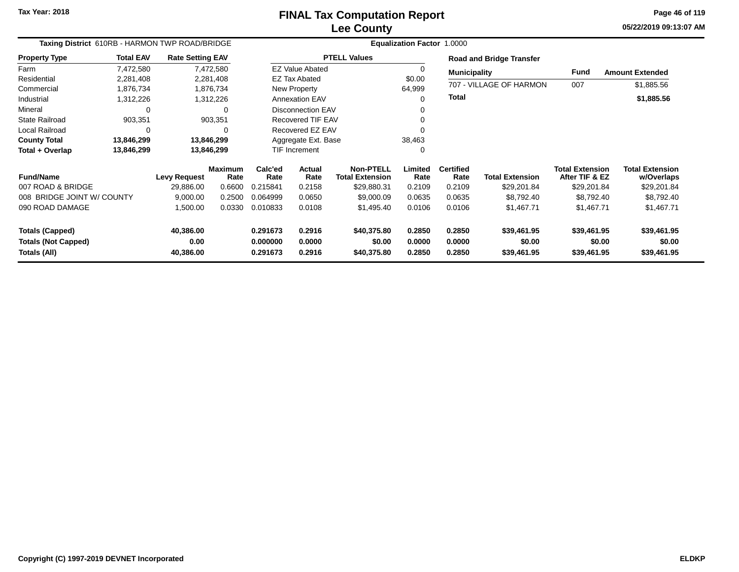**05/22/2019 09:13:07 AM Page 46 of 119**

| Taxing District 610RB - HARMON TWP ROAD/BRIDGE |                  |                         |                 | Equalization Factor 1.0000 |                          |                                            |                  |                          |                                 |                                          |                                      |  |
|------------------------------------------------|------------------|-------------------------|-----------------|----------------------------|--------------------------|--------------------------------------------|------------------|--------------------------|---------------------------------|------------------------------------------|--------------------------------------|--|
| <b>Property Type</b>                           | <b>Total EAV</b> | <b>Rate Setting EAV</b> |                 |                            |                          | <b>PTELL Values</b>                        |                  |                          | <b>Road and Bridge Transfer</b> |                                          |                                      |  |
| Farm                                           | 7,472,580        |                         | 7,472,580       |                            | <b>EZ Value Abated</b>   |                                            | 0                | <b>Municipality</b>      |                                 | <b>Fund</b>                              | <b>Amount Extended</b>               |  |
| Residential                                    | 2,281,408        |                         | 2,281,408       |                            | <b>EZ Tax Abated</b>     |                                            | \$0.00           |                          |                                 |                                          |                                      |  |
| Commercial                                     | 1,876,734        |                         | 1,876,734       |                            | <b>New Property</b>      |                                            | 64,999           |                          | 707 - VILLAGE OF HARMON         | 007                                      | \$1,885.56                           |  |
| Industrial                                     | 1,312,226        |                         | 1,312,226       |                            | <b>Annexation EAV</b>    |                                            | 0                | Total                    |                                 |                                          | \$1,885.56                           |  |
| Mineral                                        | 0                |                         | $\Omega$        |                            | <b>Disconnection EAV</b> |                                            | 0                |                          |                                 |                                          |                                      |  |
| <b>State Railroad</b>                          | 903,351          |                         | 903,351         |                            | <b>Recovered TIF EAV</b> |                                            | 0                |                          |                                 |                                          |                                      |  |
| Local Railroad                                 | $\Omega$         |                         | $\Omega$        |                            | Recovered EZ EAV         |                                            | O                |                          |                                 |                                          |                                      |  |
| <b>County Total</b>                            | 13,846,299       | 13,846,299              |                 | Aggregate Ext. Base        |                          |                                            | 38,463           |                          |                                 |                                          |                                      |  |
| Total + Overlap                                | 13,846,299       | 13,846,299              |                 | TIF Increment              |                          |                                            | 0                |                          |                                 |                                          |                                      |  |
| <b>Fund/Name</b>                               |                  | <b>Levy Request</b>     | Maximum<br>Rate | Calc'ed<br>Rate            | Actual<br>Rate           | <b>Non-PTELL</b><br><b>Total Extension</b> | Limited<br>Rate  | <b>Certified</b><br>Rate | <b>Total Extension</b>          | <b>Total Extension</b><br>After TIF & EZ | <b>Total Extension</b><br>w/Overlaps |  |
| 007 ROAD & BRIDGE                              |                  | 29,886.00               | 0.6600          | 0.215841                   | 0.2158                   | \$29,880.31                                | 0.2109           | 0.2109                   | \$29,201.84                     | \$29,201.84                              | \$29,201.84                          |  |
| 008 BRIDGE JOINT W/ COUNTY                     |                  | 9,000.00                | 0.2500          | 0.064999                   | 0.0650                   | \$9,000.09                                 | 0.0635           | 0.0635                   | \$8,792.40                      | \$8,792.40                               | \$8,792.40                           |  |
| 090 ROAD DAMAGE                                |                  | 1,500.00                | 0.0330          | 0.010833                   | 0.0108                   | \$1,495.40                                 | 0.0106           | 0.0106                   | \$1,467.71                      | \$1,467.71                               | \$1,467.71                           |  |
| <b>Totals (Capped)</b>                         |                  | 40,386.00               |                 | 0.291673                   | 0.2916                   | \$40,375.80                                | 0.2850           | 0.2850                   | \$39,461.95                     | \$39,461.95                              | \$39,461.95                          |  |
| <b>Totals (Not Capped)</b><br>Totals (All)     |                  | 0.00<br>40,386.00       |                 | 0.000000<br>0.291673       | 0.0000<br>0.2916         | \$0.00<br>\$40,375.80                      | 0.0000<br>0.2850 | 0.0000<br>0.2850         | \$0.00<br>\$39,461.95           | \$0.00<br>\$39,461.95                    | \$0.00<br>\$39,461.95                |  |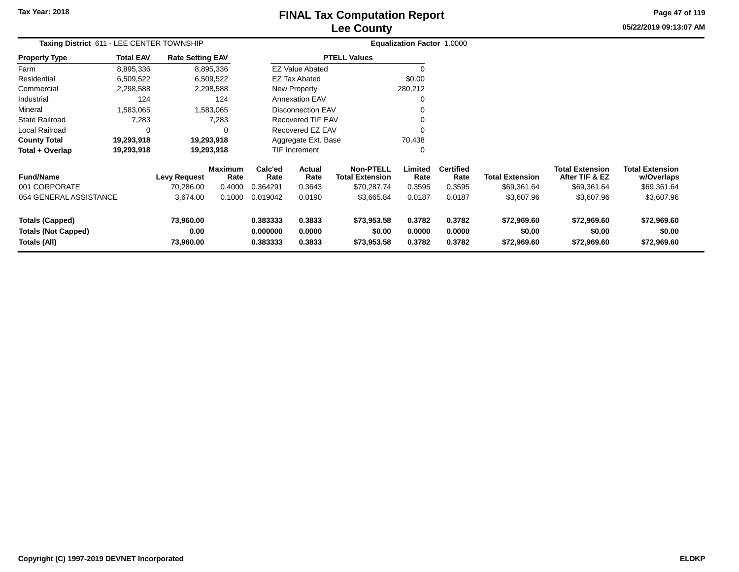# **Lee CountyFINAL Tax Computation Report**

**05/22/2019 09:13:07 AM Page 47 of 119**

| Taxing District 611 - LEE CENTER TOWNSHIP                            |                  |                                |                 |                                  | <b>Equalization Factor 1.0000</b> |                                            |                            |                            |                                      |                                          |                                      |
|----------------------------------------------------------------------|------------------|--------------------------------|-----------------|----------------------------------|-----------------------------------|--------------------------------------------|----------------------------|----------------------------|--------------------------------------|------------------------------------------|--------------------------------------|
| <b>Property Type</b>                                                 | <b>Total EAV</b> | <b>Rate Setting EAV</b>        |                 |                                  |                                   | <b>PTELL Values</b>                        |                            |                            |                                      |                                          |                                      |
| Farm                                                                 | 8,895,336        |                                | 8,895,336       |                                  | <b>EZ Value Abated</b>            |                                            |                            |                            |                                      |                                          |                                      |
| Residential                                                          | 6,509,522        |                                | 6,509,522       |                                  | <b>EZ Tax Abated</b>              |                                            | \$0.00                     |                            |                                      |                                          |                                      |
| Commercial                                                           | 2,298,588        |                                | 2,298,588       |                                  | New Property                      |                                            | 280,212                    |                            |                                      |                                          |                                      |
| Industrial                                                           | 124              |                                | 124             |                                  | <b>Annexation EAV</b>             |                                            | 0                          |                            |                                      |                                          |                                      |
| Mineral                                                              | 1,583,065        |                                | 1,583,065       |                                  | <b>Disconnection EAV</b>          |                                            |                            |                            |                                      |                                          |                                      |
| <b>State Railroad</b>                                                | 7,283            |                                | 7,283           |                                  | Recovered TIF EAV                 |                                            |                            |                            |                                      |                                          |                                      |
| Local Railroad                                                       | 0                |                                | 0               |                                  | Recovered EZ EAV                  |                                            |                            |                            |                                      |                                          |                                      |
| <b>County Total</b>                                                  | 19,293,918       |                                | 19,293,918      | Aggregate Ext. Base              |                                   |                                            | 70,438                     |                            |                                      |                                          |                                      |
| Total + Overlap                                                      | 19,293,918       |                                | 19,293,918      |                                  | TIF Increment                     |                                            | 0                          |                            |                                      |                                          |                                      |
| <b>Fund/Name</b>                                                     |                  | Levy Request                   | Maximum<br>Rate | Calc'ed<br>Rate                  | Actual<br>Rate                    | <b>Non-PTELL</b><br><b>Total Extension</b> | Limited<br>Rate            | <b>Certified</b><br>Rate   | <b>Total Extension</b>               | <b>Total Extension</b><br>After TIF & EZ | <b>Total Extension</b><br>w/Overlaps |
| 001 CORPORATE                                                        |                  | 70,286.00                      | 0.4000          | 0.364291                         | 0.3643                            | \$70,287.74                                | 0.3595                     | 0.3595                     | \$69,361.64                          | \$69,361.64                              | \$69,361.64                          |
| 054 GENERAL ASSISTANCE                                               |                  | 3,674.00                       | 0.1000          | 0.019042                         | 0.0190                            | \$3,665.84                                 | 0.0187                     | 0.0187                     | \$3,607.96                           | \$3,607.96                               | \$3,607.96                           |
| <b>Totals (Capped)</b><br><b>Totals (Not Capped)</b><br>Totals (All) |                  | 73,960.00<br>0.00<br>73,960.00 |                 | 0.383333<br>0.000000<br>0.383333 | 0.3833<br>0.0000<br>0.3833        | \$73,953.58<br>\$0.00<br>\$73,953.58       | 0.3782<br>0.0000<br>0.3782 | 0.3782<br>0.0000<br>0.3782 | \$72,969.60<br>\$0.00<br>\$72,969.60 | \$72,969.60<br>\$0.00<br>\$72,969.60     | \$72,969.60<br>\$0.00<br>\$72,969.60 |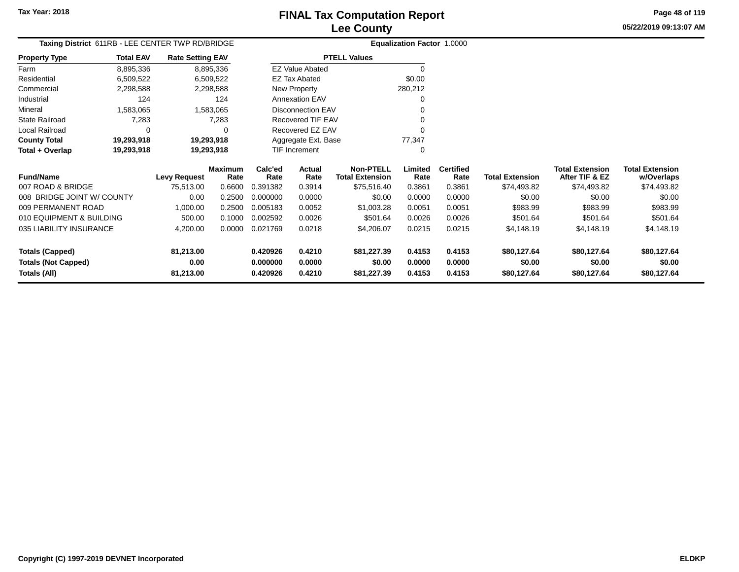# **Lee CountyFINAL Tax Computation Report**

**05/22/2019 09:13:07 AMPage 48 of 119**

| Taxing District 611RB - LEE CENTER TWP RD/BRIDGE |                  |                         | <b>Equalization Factor 1.0000</b> |          |                       |                        |         |                  |                        |                        |  |
|--------------------------------------------------|------------------|-------------------------|-----------------------------------|----------|-----------------------|------------------------|---------|------------------|------------------------|------------------------|--|
| <b>Property Type</b>                             | <b>Total EAV</b> | <b>Rate Setting EAV</b> |                                   |          |                       | <b>PTELL Values</b>    |         |                  |                        |                        |  |
| Farm                                             | 8,895,336        |                         | 8.895.336                         |          | EZ Value Abated       |                        | 0       |                  |                        |                        |  |
| Residential                                      | 6,509,522        |                         | 6,509,522                         |          | <b>EZ Tax Abated</b>  |                        | \$0.00  |                  |                        |                        |  |
| Commercial                                       | 2,298,588        |                         | 2,298,588                         |          | New Property          |                        | 280,212 |                  |                        |                        |  |
| Industrial                                       | 124              |                         | 124                               |          | <b>Annexation EAV</b> |                        | 0       |                  |                        |                        |  |
| Mineral                                          | 1,583,065        |                         | 1,583,065                         |          | Disconnection EAV     |                        | 0       |                  |                        |                        |  |
| <b>State Railroad</b>                            | 7,283            |                         | 7,283                             |          | Recovered TIF EAV     |                        | 0       |                  |                        |                        |  |
| Local Railroad                                   |                  |                         | 0                                 |          | Recovered EZ EAV      |                        | 0       |                  |                        |                        |  |
| <b>County Total</b>                              | 19,293,918       |                         | 19,293,918                        |          | Aggregate Ext. Base   |                        | 77,347  |                  |                        |                        |  |
| Total + Overlap                                  | 19,293,918       |                         | 19,293,918                        |          | TIF Increment         |                        | 0       |                  |                        |                        |  |
|                                                  |                  |                         | Maximum                           | Calc'ed  | Actual                | <b>Non-PTELL</b>       | Limited | <b>Certified</b> |                        | <b>Total Extension</b> |  |
| <b>Fund/Name</b>                                 |                  | <b>Levy Request</b>     | Rate                              | Rate     | Rate                  | <b>Total Extension</b> | Rate    | Rate             | <b>Total Extension</b> | After TIF & EZ         |  |
| 007 ROAD & BRIDGE                                |                  | 75.513.00               | 0.6600                            | 0.391382 | 0.3914                | \$75.516.40            | 0.3861  | 0.3861           | \$74.493.82            | \$74,493.82            |  |

| <b>Fund/Name</b>           | <b>Levy Request</b> | <b>Maximum</b><br>Rate | Calc'ed<br>Rate | Actual<br>Rate | <b>Non-PTELL</b><br><b>Total Extension</b> | Limited<br>Rate | <b>Certified</b><br>Rate | <b>Total Extension</b> | <b>Total Extension</b><br>After TIF & EZ | <b>Total Extension</b><br>w/Overlaps |
|----------------------------|---------------------|------------------------|-----------------|----------------|--------------------------------------------|-----------------|--------------------------|------------------------|------------------------------------------|--------------------------------------|
| 007 ROAD & BRIDGE          | 75.513.00           | 0.6600                 | 1.391382        | 0.3914         | \$75,516.40                                | 0.3861          | 0.3861                   | \$74,493.82            | \$74,493.82                              | \$74,493.82                          |
| 008 BRIDGE JOINT W/ COUNTY | 0.00                | 0.2500                 | 0.000000        | 0.0000         | \$0.00                                     | 0.0000          | 0.0000                   | \$0.00                 | \$0.00                                   | \$0.00                               |
| 009 PERMANENT ROAD         | 1.000.00            | 0.2500                 | 0.005183        | 0.0052         | \$1,003.28                                 | 0.0051          | 0.0051                   | \$983.99               | \$983.99                                 | \$983.99                             |
| 010 EQUIPMENT & BUILDING   | 500.00              | 0.1000                 | 0.002592        | 0.0026         | \$501.64                                   | 0.0026          | 0.0026                   | \$501.64               | \$501.64                                 | \$501.64                             |
| 035 LIABILITY INSURANCE    | 4,200.00            | 0.0000                 | 0.021769        | 0.0218         | \$4,206.07                                 | 0.0215          | 0.0215                   | \$4,148,19             | \$4,148,19                               | \$4,148.19                           |
| Totals (Capped)            | 81.213.00           |                        | 0.420926        | 0.4210         | \$81.227.39                                | 0.4153          | 0.4153                   | \$80.127.64            | \$80.127.64                              | \$80,127.64                          |
| <b>Totals (Not Capped)</b> | 0.00                |                        | 0.000000        | 0.0000         | \$0.00                                     | 0.0000          | 0.0000                   | \$0.00                 | \$0.00                                   | \$0.00                               |
| Totals (All)               | 81.213.00           |                        | 0.420926        | 0.4210         | \$81,227.39                                | 0.4153          | 0.4153                   | \$80.127.64            | \$80,127.64                              | \$80,127.64                          |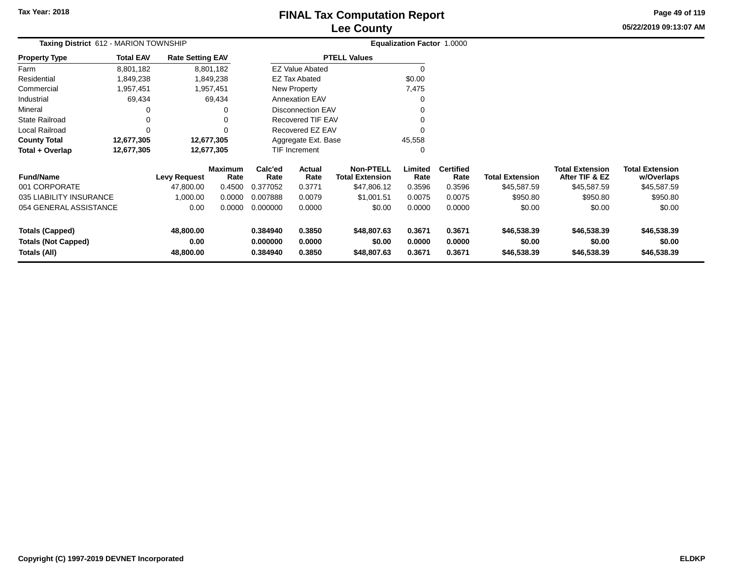# **Lee CountyFINAL Tax Computation Report**

**05/22/2019 09:13:07 AMPage 49 of 119**

| Taxing District 612 - MARION TOWNSHIP |                  |                         |                        |                      |                          |                                            | Equalization Factor 1.0000 |                          |                        |                                          |                                      |
|---------------------------------------|------------------|-------------------------|------------------------|----------------------|--------------------------|--------------------------------------------|----------------------------|--------------------------|------------------------|------------------------------------------|--------------------------------------|
| Property Type                         | <b>Total EAV</b> | <b>Rate Setting EAV</b> |                        |                      |                          | <b>PTELL Values</b>                        |                            |                          |                        |                                          |                                      |
| Farm                                  | 8,801,182        |                         | 8,801,182              |                      | <b>EZ Value Abated</b>   |                                            | 0                          |                          |                        |                                          |                                      |
| Residential                           | 1,849,238        |                         | 1,849,238              |                      | <b>EZ Tax Abated</b>     |                                            | \$0.00                     |                          |                        |                                          |                                      |
| Commercial                            | 1,957,451        |                         | 1,957,451              |                      | New Property             |                                            | 7,475                      |                          |                        |                                          |                                      |
| Industrial                            | 69,434           |                         | 69,434                 |                      | <b>Annexation EAV</b>    |                                            | 0                          |                          |                        |                                          |                                      |
| Mineral                               | 0                |                         |                        |                      | <b>Disconnection EAV</b> |                                            |                            |                          |                        |                                          |                                      |
| State Railroad                        | 0                |                         |                        |                      | Recovered TIF EAV        |                                            |                            |                          |                        |                                          |                                      |
| Local Railroad                        | 0                |                         |                        |                      | Recovered EZ EAV         |                                            |                            |                          |                        |                                          |                                      |
| <b>County Total</b>                   | 12,677,305       |                         | 12,677,305             |                      | Aggregate Ext. Base      |                                            | 45,558                     |                          |                        |                                          |                                      |
| Total + Overlap                       | 12,677,305       |                         | 12,677,305             | <b>TIF Increment</b> |                          |                                            | 0                          |                          |                        |                                          |                                      |
| <b>Fund/Name</b>                      |                  | <b>Levy Request</b>     | <b>Maximum</b><br>Rate | Calc'ed<br>Rate      | Actual<br>Rate           | <b>Non-PTELL</b><br><b>Total Extension</b> | Limited<br>Rate            | <b>Certified</b><br>Rate | <b>Total Extension</b> | <b>Total Extension</b><br>After TIF & EZ | <b>Total Extension</b><br>w/Overlaps |
| 001 CORPORATE                         |                  | 47,800.00               | 0.4500                 | 0.377052             | 0.3771                   | \$47,806.12                                | 0.3596                     | 0.3596                   | \$45,587.59            | \$45,587.59                              | \$45,587.59                          |
| 035 LIABILITY INSURANCE               |                  | 1,000.00                | 0.0000                 | 0.007888             | 0.0079                   | \$1,001.51                                 | 0.0075                     | 0.0075                   | \$950.80               | \$950.80                                 | \$950.80                             |
| 054 GENERAL ASSISTANCE                |                  | 0.00                    | 0.0000                 | 0.000000             | 0.0000                   | \$0.00                                     | 0.0000                     | 0.0000                   | \$0.00                 | \$0.00                                   | \$0.00                               |
| <b>Totals (Capped)</b>                |                  | 48,800.00               |                        | 0.384940             | 0.3850                   | \$48,807.63                                | 0.3671                     | 0.3671                   | \$46,538.39            | \$46,538.39                              | \$46,538.39                          |
| <b>Totals (Not Capped)</b><br>0.00    |                  |                         | 0.000000               | 0.0000               | \$0.00                   | 0.0000                                     | 0.0000                     | \$0.00                   | \$0.00                 | \$0.00                                   |                                      |
| Totals (All)                          |                  | 48,800.00               |                        | 0.384940             | 0.3850                   | \$48,807.63                                | 0.3671                     | 0.3671                   | \$46,538.39            | \$46,538.39                              | \$46,538.39                          |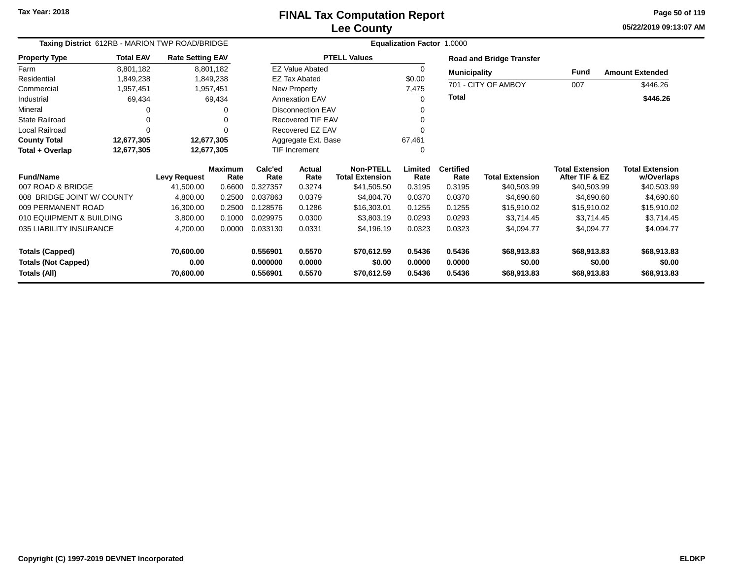**05/22/2019 09:13:07 AM Page 50 of 119**

| Taxing District 612RB - MARION TWP ROAD/BRIDGE |                  |                         |                 | Equalization Factor 1.0000 |                          |                                            |                 |                          |                                 |                                          |                                      |  |
|------------------------------------------------|------------------|-------------------------|-----------------|----------------------------|--------------------------|--------------------------------------------|-----------------|--------------------------|---------------------------------|------------------------------------------|--------------------------------------|--|
| <b>Property Type</b>                           | <b>Total EAV</b> | <b>Rate Setting EAV</b> |                 |                            |                          | <b>PTELL Values</b>                        |                 |                          | <b>Road and Bridge Transfer</b> |                                          |                                      |  |
| Farm                                           | 8,801,182        |                         | 8,801,182       |                            | <b>EZ Value Abated</b>   |                                            | $\Omega$        | <b>Municipality</b>      |                                 | <b>Fund</b>                              | <b>Amount Extended</b>               |  |
| Residential                                    | 1,849,238        |                         | 1,849,238       |                            | <b>EZ Tax Abated</b>     |                                            | \$0.00          |                          |                                 |                                          |                                      |  |
| Commercial                                     | 1,957,451        | 1,957,451               |                 |                            | New Property             |                                            | 7,475           |                          | 701 - CITY OF AMBOY             | 007                                      | \$446.26                             |  |
| Industrial                                     | 69,434           |                         | 69,434          |                            | <b>Annexation EAV</b>    |                                            |                 | Total                    |                                 |                                          | \$446.26                             |  |
| Mineral                                        |                  |                         | 0               |                            | <b>Disconnection EAV</b> |                                            |                 |                          |                                 |                                          |                                      |  |
| <b>State Railroad</b>                          |                  |                         | 0               |                            | <b>Recovered TIF EAV</b> |                                            |                 |                          |                                 |                                          |                                      |  |
| Local Railroad                                 | 0                |                         | $\Omega$        |                            | Recovered EZ EAV         |                                            |                 |                          |                                 |                                          |                                      |  |
| <b>County Total</b>                            | 12,677,305       | 12,677,305              |                 |                            | Aggregate Ext. Base      |                                            | 67,461          |                          |                                 |                                          |                                      |  |
| Total + Overlap                                | 12,677,305       | 12,677,305              |                 |                            | TIF Increment            |                                            |                 |                          |                                 |                                          |                                      |  |
| <b>Fund/Name</b>                               |                  | <b>Levy Request</b>     | Maximum<br>Rate | Calc'ed<br>Rate            | <b>Actual</b><br>Rate    | <b>Non-PTELL</b><br><b>Total Extension</b> | Limited<br>Rate | <b>Certified</b><br>Rate | <b>Total Extension</b>          | <b>Total Extension</b><br>After TIF & EZ | <b>Total Extension</b><br>w/Overlaps |  |
| 007 ROAD & BRIDGE                              |                  | 41,500.00               | 0.6600          | 0.327357                   | 0.3274                   | \$41,505.50                                | 0.3195          | 0.3195                   | \$40,503.99                     | \$40,503.99                              | \$40,503.99                          |  |
| 008 BRIDGE JOINT W/ COUNTY                     |                  | 4,800.00                | 0.2500          | 0.037863                   | 0.0379                   | \$4,804.70                                 | 0.0370          | 0.0370                   | \$4,690.60                      | \$4,690.60                               | \$4,690.60                           |  |
| 009 PERMANENT ROAD                             |                  | 16,300.00               | 0.2500          | 0.128576                   | 0.1286                   | \$16,303.01                                | 0.1255          | 0.1255                   | \$15,910.02                     | \$15,910.02                              | \$15,910.02                          |  |
| 010 EQUIPMENT & BUILDING                       |                  | 3,800.00                | 0.1000          | 0.029975                   | 0.0300                   | \$3,803.19                                 | 0.0293          | 0.0293                   | \$3,714.45                      | \$3,714.45                               | \$3,714.45                           |  |
| 035 LIABILITY INSURANCE                        |                  | 4,200.00                | 0.0000          | 0.033130                   | 0.0331                   | \$4,196.19                                 | 0.0323          | 0.0323                   | \$4,094.77                      | \$4,094.77                               | \$4,094.77                           |  |
| <b>Totals (Capped)</b>                         |                  | 70,600.00               |                 | 0.556901                   | 0.5570                   | \$70,612.59                                | 0.5436          | 0.5436                   | \$68,913.83                     | \$68,913.83                              | \$68,913.83                          |  |
| <b>Totals (Not Capped)</b>                     |                  | 0.00                    |                 | 0.000000                   | 0.0000                   | \$0.00                                     | 0.0000          | 0.0000                   | \$0.00                          | \$0.00                                   | \$0.00                               |  |
| Totals (All)                                   |                  | 70,600.00               |                 | 0.556901                   | 0.5570                   | \$70,612.59                                | 0.5436          | 0.5436                   | \$68,913.83                     | \$68,913.83                              | \$68,913.83                          |  |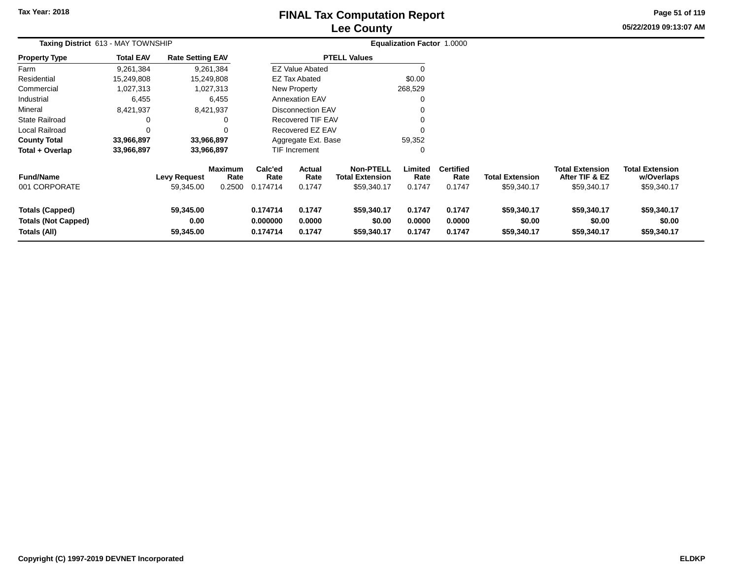# **Lee CountyFINAL Tax Computation Report**

**05/22/2019 09:13:07 AM Page 51 of 119**

| Taxing District 613 - MAY TOWNSHIP                                   |                  |                                |                                  | Equalization Factor 1.0000       |                            |                                                           |                            |                                    |                                       |                                                         |                                                     |
|----------------------------------------------------------------------|------------------|--------------------------------|----------------------------------|----------------------------------|----------------------------|-----------------------------------------------------------|----------------------------|------------------------------------|---------------------------------------|---------------------------------------------------------|-----------------------------------------------------|
| <b>Property Type</b>                                                 | <b>Total EAV</b> | <b>Rate Setting EAV</b>        |                                  |                                  |                            | <b>PTELL Values</b>                                       |                            |                                    |                                       |                                                         |                                                     |
| Farm                                                                 | 9,261,384        |                                | 9,261,384                        |                                  | <b>EZ Value Abated</b>     |                                                           |                            |                                    |                                       |                                                         |                                                     |
| Residential                                                          | 15,249,808       |                                | 15,249,808                       |                                  | EZ Tax Abated              |                                                           | \$0.00                     |                                    |                                       |                                                         |                                                     |
| Commercial                                                           | 1,027,313        |                                | 1,027,313                        |                                  | New Property               |                                                           | 268,529                    |                                    |                                       |                                                         |                                                     |
| Industrial                                                           | 6,455            |                                | 6,455                            |                                  | <b>Annexation EAV</b>      |                                                           | 0                          |                                    |                                       |                                                         |                                                     |
| Mineral                                                              | 8,421,937        |                                | 8,421,937                        |                                  | <b>Disconnection EAV</b>   |                                                           |                            |                                    |                                       |                                                         |                                                     |
| <b>State Railroad</b>                                                | 0                |                                | 0                                |                                  | <b>Recovered TIF EAV</b>   |                                                           | 0                          |                                    |                                       |                                                         |                                                     |
| <b>Local Railroad</b>                                                | 0                |                                | $\Omega$                         |                                  | Recovered EZ EAV           |                                                           |                            |                                    |                                       |                                                         |                                                     |
| <b>County Total</b>                                                  | 33,966,897       |                                | 33,966,897                       |                                  | Aggregate Ext. Base        |                                                           | 59,352                     |                                    |                                       |                                                         |                                                     |
| Total + Overlap                                                      | 33,966,897       |                                | 33,966,897                       |                                  | <b>TIF Increment</b>       |                                                           | 0                          |                                    |                                       |                                                         |                                                     |
| <b>Fund/Name</b><br>001 CORPORATE                                    |                  | Levy Request<br>59,345.00      | <b>Maximum</b><br>Rate<br>0.2500 | Calc'ed<br>Rate<br>0.174714      | Actual<br>Rate<br>0.1747   | <b>Non-PTELL</b><br><b>Total Extension</b><br>\$59,340.17 | Limited<br>Rate<br>0.1747  | <b>Certified</b><br>Rate<br>0.1747 | <b>Total Extension</b><br>\$59,340.17 | <b>Total Extension</b><br>After TIF & EZ<br>\$59,340.17 | <b>Total Extension</b><br>w/Overlaps<br>\$59,340.17 |
| <b>Totals (Capped)</b><br><b>Totals (Not Capped)</b><br>Totals (All) |                  | 59,345.00<br>0.00<br>59,345.00 |                                  | 0.174714<br>0.000000<br>0.174714 | 0.1747<br>0.0000<br>0.1747 | \$59,340.17<br>\$0.00<br>\$59,340.17                      | 0.1747<br>0.0000<br>0.1747 | 0.1747<br>0.0000<br>0.1747         | \$59,340.17<br>\$0.00<br>\$59,340.17  | \$59,340.17<br>\$0.00<br>\$59,340.17                    | \$59,340.17<br>\$0.00<br>\$59,340.17                |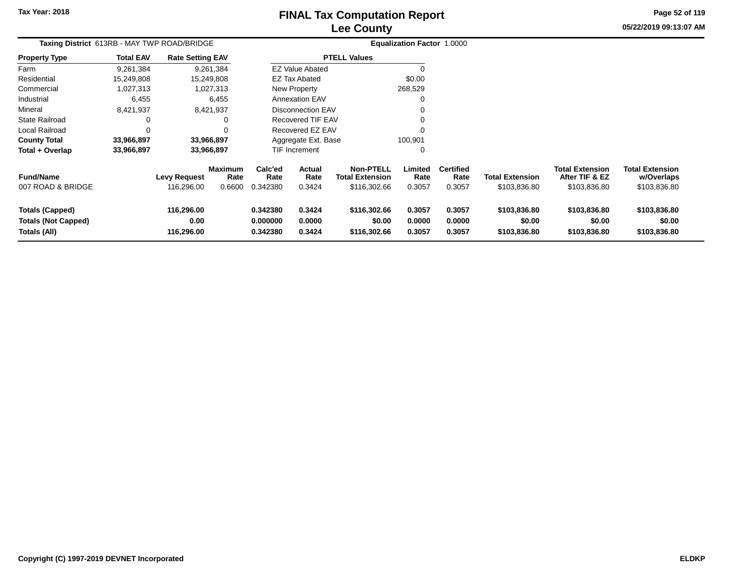# **Lee CountyFINAL Tax Computation Report**

**05/22/2019 09:13:07 AM Page 52 of 119**

| Taxing District 613RB - MAY TWP ROAD/BRIDGE                          |                  |                                   |                                  |                                  | <b>Equalization Factor 1.0000</b> |                                                            |                            |                                    |                                        |                                                          |                                                      |  |
|----------------------------------------------------------------------|------------------|-----------------------------------|----------------------------------|----------------------------------|-----------------------------------|------------------------------------------------------------|----------------------------|------------------------------------|----------------------------------------|----------------------------------------------------------|------------------------------------------------------|--|
| <b>Property Type</b>                                                 | <b>Total EAV</b> | <b>Rate Setting EAV</b>           |                                  |                                  |                                   | <b>PTELL Values</b>                                        |                            |                                    |                                        |                                                          |                                                      |  |
| Farm                                                                 | 9,261,384        |                                   | 9,261,384                        |                                  | <b>EZ Value Abated</b>            |                                                            |                            |                                    |                                        |                                                          |                                                      |  |
| Residential                                                          | 15,249,808       | 15,249,808                        |                                  |                                  | <b>EZ Tax Abated</b>              |                                                            | \$0.00                     |                                    |                                        |                                                          |                                                      |  |
| Commercial                                                           | 1,027,313        |                                   | 1,027,313                        |                                  | New Property                      |                                                            | 268,529                    |                                    |                                        |                                                          |                                                      |  |
| Industrial                                                           | 6,455            |                                   | 6,455                            |                                  | <b>Annexation EAV</b>             |                                                            | 0                          |                                    |                                        |                                                          |                                                      |  |
| Mineral                                                              | 8,421,937        |                                   | 8,421,937                        |                                  | <b>Disconnection EAV</b>          |                                                            | 0                          |                                    |                                        |                                                          |                                                      |  |
| <b>State Railroad</b>                                                | 0                |                                   | 0                                |                                  | <b>Recovered TIF EAV</b>          |                                                            | 0                          |                                    |                                        |                                                          |                                                      |  |
| Local Railroad                                                       | 0                |                                   | 0                                |                                  | Recovered EZ EAV                  |                                                            | 0                          |                                    |                                        |                                                          |                                                      |  |
| <b>County Total</b>                                                  | 33,966,897       | 33,966,897                        |                                  |                                  | Aggregate Ext. Base               |                                                            | 100,901                    |                                    |                                        |                                                          |                                                      |  |
| Total + Overlap                                                      | 33,966,897       | 33,966,897                        |                                  |                                  | <b>TIF Increment</b>              |                                                            | 0                          |                                    |                                        |                                                          |                                                      |  |
| <b>Fund/Name</b><br>007 ROAD & BRIDGE                                |                  | <b>Levy Request</b><br>116,296.00 | <b>Maximum</b><br>Rate<br>0.6600 | Calc'ed<br>Rate<br>0.342380      | <b>Actual</b><br>Rate<br>0.3424   | <b>Non-PTELL</b><br><b>Total Extension</b><br>\$116,302.66 | Limited<br>Rate<br>0.3057  | <b>Certified</b><br>Rate<br>0.3057 | <b>Total Extension</b><br>\$103,836.80 | <b>Total Extension</b><br>After TIF & EZ<br>\$103,836.80 | <b>Total Extension</b><br>w/Overlaps<br>\$103,836.80 |  |
| <b>Totals (Capped)</b><br><b>Totals (Not Capped)</b><br>Totals (All) |                  | 116,296.00<br>0.00<br>116,296.00  |                                  | 0.342380<br>0.000000<br>0.342380 | 0.3424<br>0.0000<br>0.3424        | \$116,302.66<br>\$0.00<br>\$116,302.66                     | 0.3057<br>0.0000<br>0.3057 | 0.3057<br>0.0000<br>0.3057         | \$103,836.80<br>\$0.00<br>\$103,836.80 | \$103,836.80<br>\$0.00<br>\$103,836.80                   | \$103,836.80<br>\$0.00<br>\$103,836.80               |  |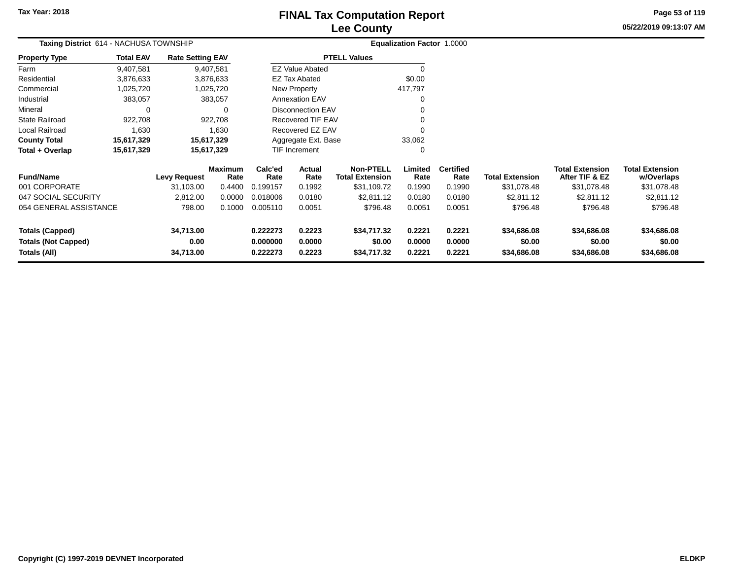# **Lee CountyFINAL Tax Computation Report**

**05/22/2019 09:13:07 AM Page 53 of 119**

| Taxing District 614 - NACHUSA TOWNSHIP      | Equalization Factor 1.0000 |                         |                        |                               |                          |                                            |                 |                          |                        |                                          |                                      |
|---------------------------------------------|----------------------------|-------------------------|------------------------|-------------------------------|--------------------------|--------------------------------------------|-----------------|--------------------------|------------------------|------------------------------------------|--------------------------------------|
| <b>Property Type</b>                        | <b>Total EAV</b>           | <b>Rate Setting EAV</b> |                        |                               |                          | <b>PTELL Values</b>                        |                 |                          |                        |                                          |                                      |
| Farm                                        | 9,407,581                  |                         | 9,407,581              |                               | <b>EZ Value Abated</b>   |                                            | 0               |                          |                        |                                          |                                      |
| Residential                                 | 3,876,633                  |                         | 3,876,633              |                               | <b>EZ Tax Abated</b>     |                                            | \$0.00          |                          |                        |                                          |                                      |
| Commercial                                  | 1,025,720                  |                         | 1,025,720              |                               | New Property             |                                            | 417,797         |                          |                        |                                          |                                      |
| Industrial                                  | 383,057                    |                         | 383,057                |                               | <b>Annexation EAV</b>    |                                            | 0               |                          |                        |                                          |                                      |
| Mineral                                     | 0                          |                         | 0                      |                               | <b>Disconnection EAV</b> |                                            |                 |                          |                        |                                          |                                      |
| State Railroad                              | 922,708                    |                         | 922,708                |                               | Recovered TIF EAV        |                                            |                 |                          |                        |                                          |                                      |
| Local Railroad                              | 1,630                      |                         | 1,630                  |                               | Recovered EZ EAV         |                                            | $\Omega$        |                          |                        |                                          |                                      |
| County Total                                | 15,617,329                 |                         | 15,617,329             | 33,062<br>Aggregate Ext. Base |                          |                                            |                 |                          |                        |                                          |                                      |
| Total + Overlap<br>15,617,329<br>15,617,329 |                            |                         |                        |                               | TIF Increment            |                                            | 0               |                          |                        |                                          |                                      |
| <b>Fund/Name</b>                            |                            | <b>Levy Request</b>     | <b>Maximum</b><br>Rate | Calc'ed<br>Rate               | Actual<br>Rate           | <b>Non-PTELL</b><br><b>Total Extension</b> | Limited<br>Rate | <b>Certified</b><br>Rate | <b>Total Extension</b> | <b>Total Extension</b><br>After TIF & EZ | <b>Total Extension</b><br>w/Overlaps |
| 001 CORPORATE                               |                            | 31,103.00               | 0.4400                 | 0.199157                      | 0.1992                   | \$31,109.72                                | 0.1990          | 0.1990                   | \$31,078.48            | \$31,078.48                              | \$31,078.48                          |
| 047 SOCIAL SECURITY                         |                            | 2,812.00                | 0.0000                 | 0.018006                      | 0.0180                   | \$2,811.12                                 | 0.0180          | 0.0180                   | \$2,811.12             | \$2,811.12                               | \$2,811.12                           |
| 054 GENERAL ASSISTANCE                      |                            | 798.00                  | 0.1000                 | 0.005110                      | 0.0051                   | \$796.48                                   | 0.0051          | 0.0051                   | \$796.48               | \$796.48                                 | \$796.48                             |
| <b>Totals (Capped)</b>                      |                            | 34,713.00               |                        | 0.222273                      | 0.2223                   | \$34,717.32                                | 0.2221          | 0.2221                   | \$34,686.08            | \$34,686.08                              | \$34,686.08                          |
| <b>Totals (Not Capped)</b>                  |                            | 0.00                    |                        | 0.000000                      | 0.0000                   | \$0.00                                     | 0.0000          |                          | \$0.00                 | \$0.00                                   | \$0.00                               |
| Totals (All)                                |                            | 34,713.00               |                        | 0.222273                      | 0.2223                   | \$34,717.32                                | 0.2221          | 0.2221                   | \$34,686.08            | \$34,686.08                              | \$34,686.08                          |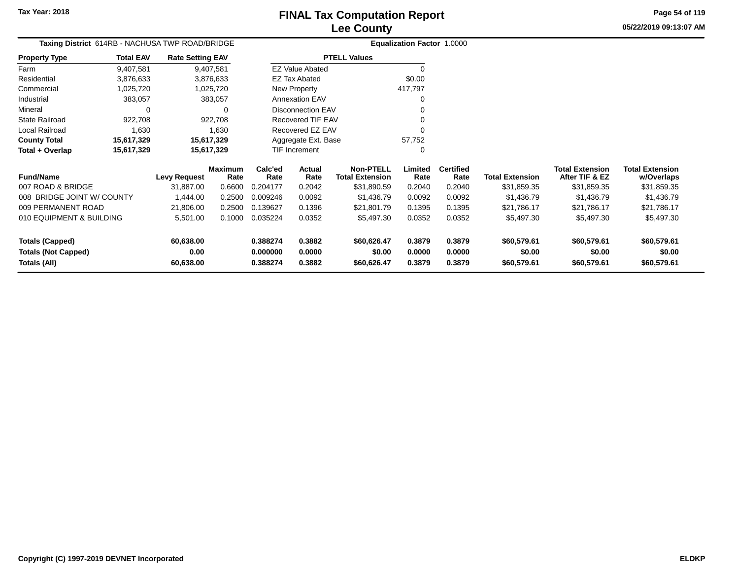# **Lee CountyFINAL Tax Computation Report**

**05/22/2019 09:13:07 AMPage 54 of 119**

> **w/Overlaps**\$31,859.35

| Taxing District 614RB - NACHUSA TWP ROAD/BRIDGE              |                  |                         |                        |                 |                       |                                            | Equalization Factor 1.0000 |                          |                        |                                          |                                      |
|--------------------------------------------------------------|------------------|-------------------------|------------------------|-----------------|-----------------------|--------------------------------------------|----------------------------|--------------------------|------------------------|------------------------------------------|--------------------------------------|
| <b>Property Type</b>                                         | <b>Total EAV</b> | <b>Rate Setting EAV</b> |                        |                 |                       | <b>PTELL Values</b>                        |                            |                          |                        |                                          |                                      |
| Farm                                                         | 9,407,581        |                         | 9,407,581              |                 | EZ Value Abated       |                                            |                            |                          |                        |                                          |                                      |
| Residential                                                  | 3,876,633        |                         | 3,876,633              |                 | <b>EZ Tax Abated</b>  |                                            | \$0.00                     |                          |                        |                                          |                                      |
| Commercial                                                   | 1,025,720        |                         | 1,025,720              |                 | New Property          |                                            | 417,797                    |                          |                        |                                          |                                      |
| Industrial                                                   | 383,057          |                         | 383,057                |                 | <b>Annexation EAV</b> |                                            |                            |                          |                        |                                          |                                      |
| Mineral                                                      |                  |                         | ∩                      |                 | Disconnection EAV     |                                            |                            |                          |                        |                                          |                                      |
| <b>State Railroad</b>                                        | 922,708          |                         | 922.708                |                 | Recovered TIF EAV     |                                            |                            |                          |                        |                                          |                                      |
| Local Railroad                                               | 1,630            |                         | 1,630                  |                 | Recovered EZ EAV      |                                            |                            |                          |                        |                                          |                                      |
| <b>County Total</b>                                          | 15,617,329       |                         | 15,617,329             |                 | Aggregate Ext. Base   |                                            | 57,752                     |                          |                        |                                          |                                      |
| Total + Overlap                                              | 15,617,329       |                         | 15,617,329             |                 | TIF Increment         |                                            |                            |                          |                        |                                          |                                      |
| <b>Fund/Name</b>                                             |                  | <b>Levy Request</b>     | <b>Maximum</b><br>Rate | Calc'ed<br>Rate | Actual<br>Rate        | <b>Non-PTELL</b><br><b>Total Extension</b> | Limited<br>Rate            | <b>Certified</b><br>Rate | <b>Total Extension</b> | <b>Total Extension</b><br>After TIF & EZ | <b>Total Extension</b><br>w/Overlaps |
| 007 ROAD & BRIDGE                                            |                  | 31,887.00               | 0.6600                 | 0.204177        | 0.2042                | \$31,890.59                                | 0.2040                     | 0.2040                   | \$31,859.35            | \$31,859.35                              | \$31,859.35                          |
| 008 BRIDGE JOINT W/ COUNTY<br>0.2500<br>0.009246<br>1,444.00 |                  | 0.0092                  | \$1,436.79             | 0.0092          | 0.0092                | \$1,436.79                                 | \$1,436.79                 | \$1,436.79               |                        |                                          |                                      |
| 009 PERMANENT ROAD                                           |                  | 21,806.00               | 0.2500                 | 0.139627        | 0.1396                | \$21,801.79                                | 0.1395                     | 0.1395                   | \$21,786.17            | \$21,786.17                              | \$21,786.17                          |
| 010 EQUIPMENT & BUILDING<br>5,501.00<br>0.1000               |                  | 0.035224                | 0.0352                 | \$5,497.30      | 0.0352                | 0.0352                                     | \$5,497.30                 | \$5,497.30               | \$5,497.30             |                                          |                                      |

| 009 PERMANENT ROAD<br>010 EQUIPMENT & BUILDING | 21.806.00<br>5.501.00 | 0.2500<br>0.1000 | 0.139627<br>0.035224 | 0.1396<br>0.0352 | \$21.801.79<br>\$5.497.30 | 0.1395<br>0.0352 | 0.1395<br>0.0352 | \$21.786.17<br>\$5,497.30 | \$21.786.17<br>\$5,497.30 | \$21.786.17<br>\$5,497.30 |
|------------------------------------------------|-----------------------|------------------|----------------------|------------------|---------------------------|------------------|------------------|---------------------------|---------------------------|---------------------------|
| Totals (Capped)                                | 60.638.00             |                  | 0.388274             | 0.3882           | \$60.626.47               | 0.3879           | 0.3879           | \$60,579.61               | \$60,579.61               | \$60,579.61               |
| <b>Totals (Not Capped)</b>                     | 0.00                  |                  | 0.000000             | 0.0000           | \$0.00                    | 0.0000           | 0.0000           | \$0.00                    | \$0.00                    | \$0.00                    |
| Totals (All)                                   | 60.638.00             |                  | 0.388274             | 0.3882           | \$60.626.47               | 0.3879           | 0.3879           | \$60,579.61               | \$60,579.61               | \$60,579.61               |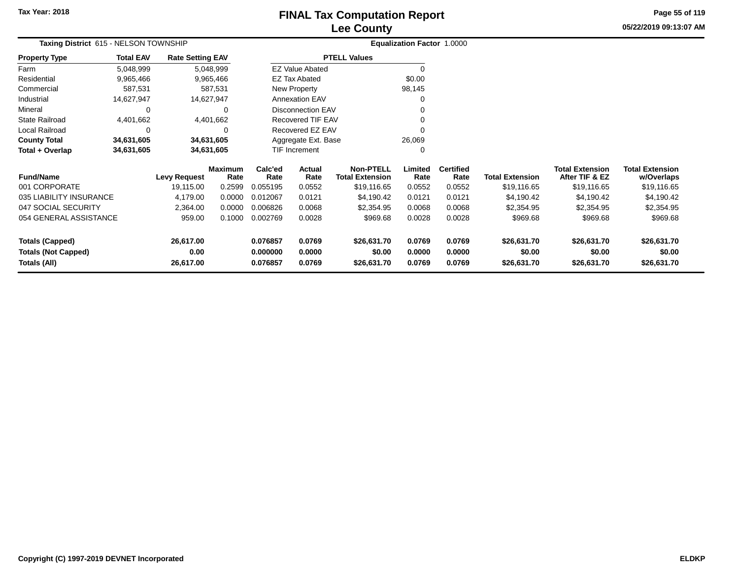# **Lee CountyFINAL Tax Computation Report**

**05/22/2019 09:13:07 AM Page 55 of 119**

| Taxing District 615 - NELSON TOWNSHIP |                                                   |           |                                                                                                                                |                  |                                                                                          |                                                                                                                                                                 |                          |                                      |                                          |                                      |
|---------------------------------------|---------------------------------------------------|-----------|--------------------------------------------------------------------------------------------------------------------------------|------------------|------------------------------------------------------------------------------------------|-----------------------------------------------------------------------------------------------------------------------------------------------------------------|--------------------------|--------------------------------------|------------------------------------------|--------------------------------------|
| <b>Total EAV</b>                      |                                                   |           |                                                                                                                                |                  |                                                                                          |                                                                                                                                                                 |                          |                                      |                                          |                                      |
| 5,048,999                             |                                                   |           |                                                                                                                                |                  |                                                                                          |                                                                                                                                                                 |                          |                                      |                                          |                                      |
| 9,965,466                             |                                                   |           |                                                                                                                                |                  |                                                                                          | \$0.00                                                                                                                                                          |                          |                                      |                                          |                                      |
| 587,531                               |                                                   |           |                                                                                                                                |                  |                                                                                          | 98,145                                                                                                                                                          |                          |                                      |                                          |                                      |
| 14,627,947                            |                                                   |           |                                                                                                                                |                  |                                                                                          |                                                                                                                                                                 |                          |                                      |                                          |                                      |
| 0                                     |                                                   | 0         |                                                                                                                                |                  |                                                                                          |                                                                                                                                                                 |                          |                                      |                                          |                                      |
| 4,401,662                             |                                                   |           |                                                                                                                                |                  |                                                                                          |                                                                                                                                                                 |                          |                                      |                                          |                                      |
| 0                                     |                                                   | 0         |                                                                                                                                |                  |                                                                                          |                                                                                                                                                                 |                          |                                      |                                          |                                      |
| 34,631,605                            |                                                   |           |                                                                                                                                |                  |                                                                                          | 26,069                                                                                                                                                          |                          |                                      |                                          |                                      |
| 34,631,605                            |                                                   |           |                                                                                                                                |                  |                                                                                          | 0                                                                                                                                                               |                          |                                      |                                          |                                      |
|                                       | Levy Request                                      | Rate      | Calc'ed<br>Rate                                                                                                                | Actual<br>Rate   | <b>Non-PTELL</b><br><b>Total Extension</b>                                               | Limited<br>Rate                                                                                                                                                 | <b>Certified</b><br>Rate | <b>Total Extension</b>               | <b>Total Extension</b><br>After TIF & EZ | <b>Total Extension</b><br>w/Overlaps |
|                                       | 19,115.00                                         | 0.2599    | 0.055195                                                                                                                       | 0.0552           | \$19,116.65                                                                              | 0.0552                                                                                                                                                          | 0.0552                   | \$19,116.65                          | \$19,116.65                              | \$19,116.65                          |
|                                       | 4,179.00                                          | 0.0000    | 0.012067                                                                                                                       | 0.0121           | \$4,190.42                                                                               | 0.0121                                                                                                                                                          | 0.0121                   | \$4,190.42                           | \$4,190.42                               | \$4,190.42                           |
|                                       | 2,364.00                                          | 0.0000    | 0.006826                                                                                                                       | 0.0068           | \$2,354.95                                                                               | 0.0068                                                                                                                                                          | 0.0068                   | \$2,354.95                           | \$2,354.95                               | \$2,354.95                           |
|                                       | 959.00                                            | 0.1000    | 0.002769                                                                                                                       | 0.0028           | \$969.68                                                                                 | 0.0028                                                                                                                                                          | 0.0028                   | \$969.68                             | \$969.68                                 | \$969.68                             |
|                                       | 26,617.00<br>0.00                                 |           | 0.076857<br>0.000000                                                                                                           | 0.0769<br>0.0000 | \$26,631.70<br>\$0.00                                                                    | 0.0769<br>0.0000                                                                                                                                                | 0.0769<br>0.0000         | \$26,631.70<br>\$0.00                | \$26,631.70<br>\$0.00                    | \$26,631.70<br>\$0.00<br>\$26,631.70 |
|                                       | 035 LIABILITY INSURANCE<br>054 GENERAL ASSISTANCE | 26,617.00 | <b>Rate Setting EAV</b><br>5,048,999<br>9,965,466<br>587,531<br>14,627,947<br>4,401,662<br>34,631,605<br>34,631,605<br>Maximum | 0.076857         | <b>EZ Tax Abated</b><br>New Property<br>Annexation EAV<br><b>TIF Increment</b><br>0.0769 | <b>PTELL Values</b><br><b>EZ Value Abated</b><br><b>Disconnection EAV</b><br><b>Recovered TIF EAV</b><br>Recovered EZ EAV<br>Aggregate Ext. Base<br>\$26,631.70 | 0.0769                   | Equalization Factor 1.0000<br>0.0769 | \$26,631.70                              | \$26,631.70                          |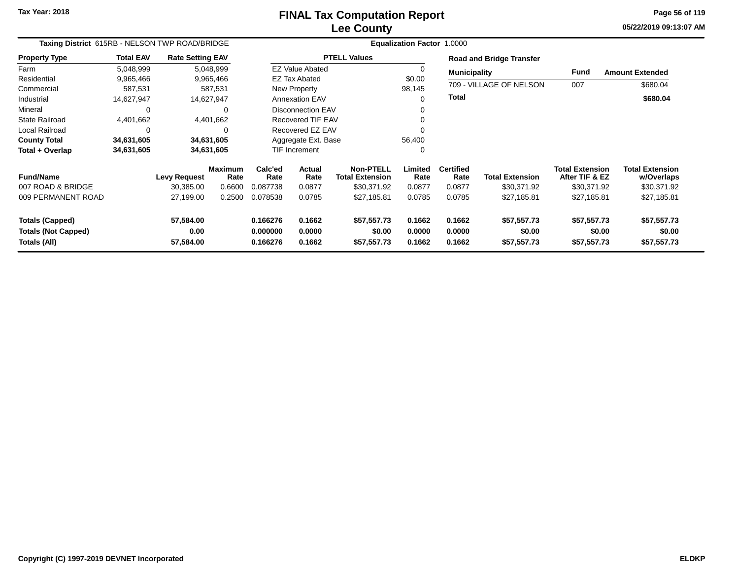# **Lee CountyFINAL Tax Computation Report**

**05/22/2019 09:13:07 AM Page 56 of 119**

| Taxing District 615RB - NELSON TWP ROAD/BRIDGE                       |                  |                                |                        |                                  |                            |                                            | Equalization Factor 1.0000 |                            |                                      |                                          |                                      |
|----------------------------------------------------------------------|------------------|--------------------------------|------------------------|----------------------------------|----------------------------|--------------------------------------------|----------------------------|----------------------------|--------------------------------------|------------------------------------------|--------------------------------------|
| <b>Property Type</b>                                                 | <b>Total EAV</b> | <b>Rate Setting EAV</b>        |                        |                                  |                            | <b>PTELL Values</b>                        |                            |                            | <b>Road and Bridge Transfer</b>      |                                          |                                      |
| Farm                                                                 | 5,048,999        |                                | 5,048,999              |                                  | <b>EZ Value Abated</b>     |                                            |                            | <b>Municipality</b>        |                                      | <b>Fund</b>                              | <b>Amount Extended</b>               |
| Residential                                                          | 9,965,466        |                                | 9,965,466              |                                  | <b>EZ Tax Abated</b>       |                                            | \$0.00                     |                            |                                      |                                          |                                      |
| Commercial                                                           | 587,531          |                                | 587,531                |                                  | <b>New Property</b>        |                                            | 98,145                     |                            | 709 - VILLAGE OF NELSON              | 007                                      | \$680.04                             |
| Industrial                                                           | 14,627,947       | 14,627,947                     |                        |                                  | <b>Annexation EAV</b>      |                                            | $\Omega$                   | <b>Total</b>               |                                      |                                          | \$680.04                             |
| Mineral                                                              | 0                |                                | 0                      |                                  | <b>Disconnection EAV</b>   |                                            |                            |                            |                                      |                                          |                                      |
| <b>State Railroad</b>                                                | 4,401,662        |                                | 4,401,662              |                                  | <b>Recovered TIF EAV</b>   |                                            |                            |                            |                                      |                                          |                                      |
| Local Railroad                                                       | $\Omega$         |                                | $\Omega$               |                                  | Recovered EZ EAV           |                                            | $\Omega$                   |                            |                                      |                                          |                                      |
| <b>County Total</b>                                                  | 34,631,605       |                                | 34,631,605             |                                  | Aggregate Ext. Base        |                                            | 56,400                     |                            |                                      |                                          |                                      |
| Total + Overlap                                                      | 34,631,605       |                                | 34,631,605             |                                  | <b>TIF Increment</b>       |                                            | $\Omega$                   |                            |                                      |                                          |                                      |
| <b>Fund/Name</b>                                                     |                  | <b>Levy Request</b>            | <b>Maximum</b><br>Rate | Calc'ed<br>Rate                  | <b>Actual</b><br>Rate      | <b>Non-PTELL</b><br><b>Total Extension</b> | Limited<br>Rate            | <b>Certified</b><br>Rate   | <b>Total Extension</b>               | <b>Total Extension</b><br>After TIF & EZ | <b>Total Extension</b><br>w/Overlaps |
| 007 ROAD & BRIDGE                                                    |                  | 30,385.00                      | 0.6600                 | 0.087738                         | 0.0877                     | \$30,371.92                                | 0.0877                     | 0.0877                     | \$30,371.92                          | \$30,371.92                              | \$30,371.92                          |
| 009 PERMANENT ROAD                                                   |                  | 27,199.00                      | 0.2500                 | 0.078538                         | 0.0785                     | \$27,185.81                                | 0.0785                     | 0.0785                     | \$27,185.81                          | \$27,185.81                              | \$27,185.81                          |
| <b>Totals (Capped)</b><br><b>Totals (Not Capped)</b><br>Totals (All) |                  | 57,584.00<br>0.00<br>57,584.00 |                        | 0.166276<br>0.000000<br>0.166276 | 0.1662<br>0.0000<br>0.1662 | \$57,557.73<br>\$0.00<br>\$57,557.73       | 0.1662<br>0.0000<br>0.1662 | 0.1662<br>0.0000<br>0.1662 | \$57,557.73<br>\$0.00<br>\$57,557.73 | \$57,557.73<br>\$0.00<br>\$57,557.73     | \$57,557.73<br>\$0.00<br>\$57,557.73 |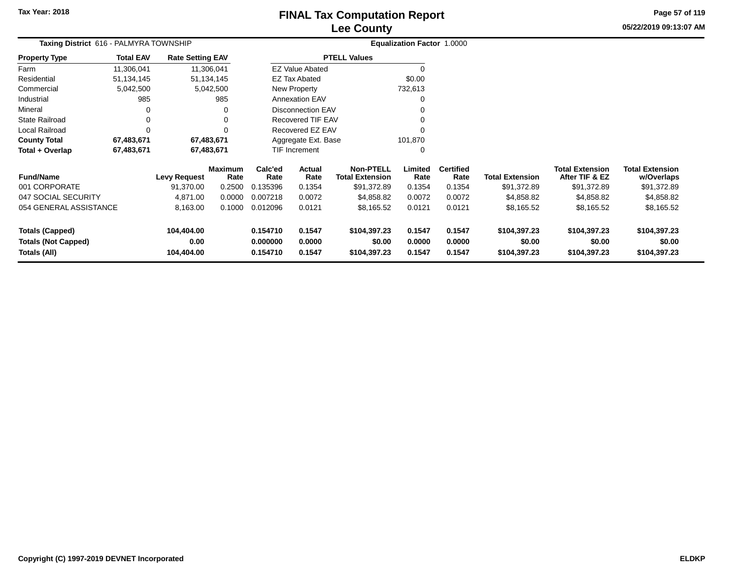# **Lee CountyFINAL Tax Computation Report**

**05/22/2019 09:13:07 AMPage 57 of 119**

| Taxing District 616 - PALMYRA TOWNSHIP     |                  |                         |                        |                      |                          |                                            | <b>Equalization Factor 1.0000</b> |                          |                        |                                          |                                      |
|--------------------------------------------|------------------|-------------------------|------------------------|----------------------|--------------------------|--------------------------------------------|-----------------------------------|--------------------------|------------------------|------------------------------------------|--------------------------------------|
| <b>Property Type</b>                       | <b>Total EAV</b> | <b>Rate Setting EAV</b> |                        |                      |                          | <b>PTELL Values</b>                        |                                   |                          |                        |                                          |                                      |
| Farm                                       | 11,306,041       |                         | 11,306,041             |                      | <b>EZ Value Abated</b>   |                                            | $\Omega$                          |                          |                        |                                          |                                      |
| Residential                                | 51,134,145       |                         | 51,134,145             |                      | <b>EZ Tax Abated</b>     |                                            | \$0.00                            |                          |                        |                                          |                                      |
| Commercial                                 | 5,042,500        |                         | 5,042,500              |                      | New Property             |                                            | 732,613                           |                          |                        |                                          |                                      |
| Industrial                                 | 985              |                         | 985                    |                      | <b>Annexation EAV</b>    |                                            | 0                                 |                          |                        |                                          |                                      |
| Mineral                                    |                  |                         |                        |                      | <b>Disconnection EAV</b> |                                            |                                   |                          |                        |                                          |                                      |
| State Railroad                             | 0                |                         |                        |                      | <b>Recovered TIF EAV</b> |                                            |                                   |                          |                        |                                          |                                      |
| Local Railroad                             | $\Omega$         |                         |                        |                      | Recovered EZ EAV         |                                            | $\Omega$                          |                          |                        |                                          |                                      |
| <b>County Total</b>                        | 67,483,671       |                         | 67,483,671             |                      | Aggregate Ext. Base      |                                            | 101,870                           |                          |                        |                                          |                                      |
| Total + Overlap                            | 67,483,671       |                         | 67,483,671             |                      | <b>TIF Increment</b>     |                                            | 0                                 |                          |                        |                                          |                                      |
| <b>Fund/Name</b>                           |                  | <b>Levy Request</b>     | <b>Maximum</b><br>Rate | Calc'ed<br>Rate      | Actual<br>Rate           | <b>Non-PTELL</b><br><b>Total Extension</b> | Limited<br>Rate                   | <b>Certified</b><br>Rate | <b>Total Extension</b> | <b>Total Extension</b><br>After TIF & EZ | <b>Total Extension</b><br>w/Overlaps |
| 001 CORPORATE                              |                  | 91,370.00               | 0.2500                 | 0.135396             | 0.1354                   | \$91,372.89                                | 0.1354                            | 0.1354                   | \$91,372.89            | \$91,372.89                              | \$91,372.89                          |
| 047 SOCIAL SECURITY                        |                  | 4,871.00                | 0.0000                 | 0.007218             | 0.0072                   | \$4,858.82                                 | 0.0072                            | 0.0072                   | \$4,858.82             | \$4,858.82                               | \$4,858.82                           |
| 054 GENERAL ASSISTANCE                     |                  | 8,163.00                | 0.1000                 | 0.012096             | 0.0121                   | \$8,165.52                                 | 0.0121                            | 0.0121                   | \$8,165.52             | \$8,165.52                               | \$8,165.52                           |
| <b>Totals (Capped)</b>                     |                  | 104,404.00              |                        | 0.154710             | 0.1547                   | \$104,397.23                               | 0.1547                            | 0.1547                   | \$104,397.23           | \$104,397.23                             | \$104,397.23                         |
| <b>Totals (Not Capped)</b><br>Totals (All) |                  | 0.00<br>104,404.00      |                        | 0.000000<br>0.154710 | 0.0000<br>0.1547         | \$0.00<br>\$104,397.23                     | 0.0000<br>0.1547                  | 0.0000<br>0.1547         | \$0.00<br>\$104,397.23 | \$0.00<br>\$104,397.23                   | \$0.00<br>\$104,397.23               |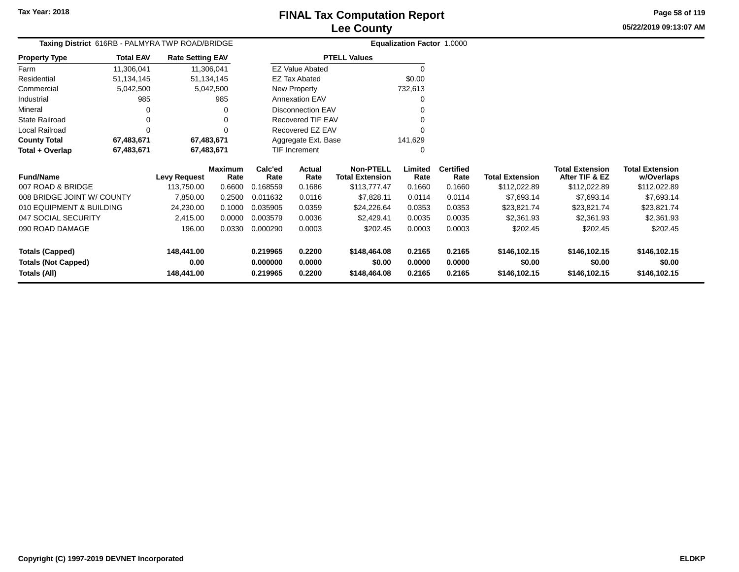**05/22/2019 09:13:07 AMPage 58 of 119**

| Taxing District 616RB - PALMYRA TWP ROAD/BRIDGE |                  |                         |                        |                 |                          |                                            | Equalization Factor 1.0000 |                          |                        |                                          |                                      |
|-------------------------------------------------|------------------|-------------------------|------------------------|-----------------|--------------------------|--------------------------------------------|----------------------------|--------------------------|------------------------|------------------------------------------|--------------------------------------|
| <b>Property Type</b>                            | <b>Total EAV</b> | <b>Rate Setting EAV</b> |                        |                 |                          | <b>PTELL Values</b>                        |                            |                          |                        |                                          |                                      |
| Farm                                            | 11,306,041       |                         | 11,306,041             |                 | <b>EZ Value Abated</b>   |                                            | $\Omega$                   |                          |                        |                                          |                                      |
| Residential                                     | 51,134,145       |                         | 51,134,145             |                 | <b>EZ Tax Abated</b>     |                                            | \$0.00                     |                          |                        |                                          |                                      |
| Commercial                                      | 5,042,500        |                         | 5,042,500              |                 | New Property             |                                            | 732,613                    |                          |                        |                                          |                                      |
| Industrial                                      | 985              |                         | 985                    |                 | <b>Annexation EAV</b>    |                                            | 0                          |                          |                        |                                          |                                      |
| Mineral                                         | 0                |                         | 0                      |                 | <b>Disconnection EAV</b> |                                            |                            |                          |                        |                                          |                                      |
| <b>State Railroad</b>                           | 0                |                         |                        |                 | Recovered TIF EAV        |                                            |                            |                          |                        |                                          |                                      |
| Local Railroad                                  | $\Omega$         |                         |                        |                 | Recovered EZ EAV         |                                            |                            |                          |                        |                                          |                                      |
| <b>County Total</b>                             | 67,483,671       |                         | 67,483,671             |                 | Aggregate Ext. Base      |                                            | 141,629                    |                          |                        |                                          |                                      |
| Total + Overlap                                 | 67,483,671       |                         | 67,483,671             |                 | <b>TIF Increment</b>     |                                            | 0                          |                          |                        |                                          |                                      |
| <b>Fund/Name</b>                                |                  | <b>Levy Request</b>     | <b>Maximum</b><br>Rate | Calc'ed<br>Rate | Actual<br>Rate           | <b>Non-PTELL</b><br><b>Total Extension</b> | Limited<br>Rate            | <b>Certified</b><br>Rate | <b>Total Extension</b> | <b>Total Extension</b><br>After TIF & EZ | <b>Total Extension</b><br>w/Overlaps |
| 007 ROAD & BRIDGE                               |                  | 113,750.00              | 0.6600                 | 0.168559        | 0.1686                   | \$113,777.47                               | 0.1660                     | 0.1660                   | \$112,022.89           | \$112,022.89                             | \$112,022.89                         |
| 008 BRIDGE JOINT W/ COUNTY                      |                  | 7,850.00                | 0.2500                 | 0.011632        | 0.0116                   | \$7,828.11                                 | 0.0114                     | 0.0114                   | \$7,693.14             | \$7,693.14                               | \$7,693.14                           |
| 010 EQUIPMENT & BUILDING                        |                  | 24,230.00               | 0.1000                 | 0.035905        | 0.0359                   | \$24,226.64                                | 0.0353                     | 0.0353                   | \$23,821.74            | \$23,821.74                              | \$23,821.74                          |
| 047 SOCIAL SECURITY                             |                  | 2,415.00                | 0.0000                 | 0.003579        | 0.0036                   | \$2,429.41                                 | 0.0035                     | 0.0035                   | \$2,361.93             | \$2,361.93                               | \$2,361.93                           |
| 090 ROAD DAMAGE                                 |                  | 196.00                  | 0.0330                 | 0.000290        | 0.0003                   | \$202.45                                   | 0.0003                     | 0.0003                   | \$202.45               | \$202.45                                 | \$202.45                             |
| <b>Totals (Capped)</b>                          |                  | 148,441.00              |                        | 0.219965        | 0.2200                   | \$148,464.08                               | 0.2165                     | 0.2165                   | \$146,102.15           | \$146,102.15                             | \$146,102.15                         |
| <b>Totals (Not Capped)</b>                      |                  | 0.00                    |                        | 0.000000        | 0.0000                   | \$0.00                                     | 0.0000                     | 0.0000                   | \$0.00                 | \$0.00                                   | \$0.00                               |
| Totals (All)                                    |                  | 148,441.00              |                        | 0.219965        | 0.2200                   | \$148,464.08                               | 0.2165                     | 0.2165                   | \$146,102.15           | \$146,102.15                             | \$146,102.15                         |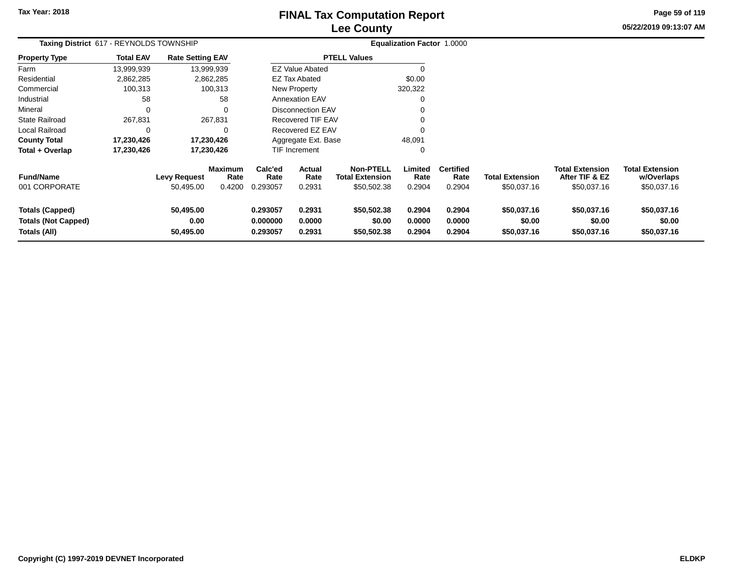# **Lee CountyFINAL Tax Computation Report**

**05/22/2019 09:13:07 AM Page 59 of 119**

| Taxing District 617 - REYNOLDS TOWNSHIP                              |                  |                                  |                                  |                                  |                            |                                                           | Equalization Factor 1.0000 |                                    |                                       |                                                         |                                                     |
|----------------------------------------------------------------------|------------------|----------------------------------|----------------------------------|----------------------------------|----------------------------|-----------------------------------------------------------|----------------------------|------------------------------------|---------------------------------------|---------------------------------------------------------|-----------------------------------------------------|
| <b>Property Type</b>                                                 | <b>Total EAV</b> | <b>Rate Setting EAV</b>          |                                  |                                  |                            | <b>PTELL Values</b>                                       |                            |                                    |                                       |                                                         |                                                     |
| Farm                                                                 | 13,999,939       |                                  | 13,999,939                       |                                  | <b>EZ Value Abated</b>     |                                                           |                            |                                    |                                       |                                                         |                                                     |
| Residential                                                          | 2,862,285        |                                  | 2,862,285                        |                                  | <b>EZ Tax Abated</b>       |                                                           | \$0.00                     |                                    |                                       |                                                         |                                                     |
| Commercial                                                           | 100,313          |                                  | 100,313                          |                                  | New Property               |                                                           | 320,322                    |                                    |                                       |                                                         |                                                     |
| Industrial                                                           | 58               |                                  | 58                               |                                  | <b>Annexation EAV</b>      |                                                           |                            |                                    |                                       |                                                         |                                                     |
| Mineral                                                              | $\Omega$         |                                  | $\Omega$                         |                                  | Disconnection EAV          |                                                           |                            |                                    |                                       |                                                         |                                                     |
| State Railroad                                                       | 267,831          |                                  | 267,831                          |                                  | Recovered TIF EAV          |                                                           |                            |                                    |                                       |                                                         |                                                     |
| Local Railroad                                                       | 0                |                                  | $\Omega$                         |                                  | Recovered EZ EAV           |                                                           |                            |                                    |                                       |                                                         |                                                     |
| <b>County Total</b>                                                  | 17,230,426       |                                  | 17,230,426                       |                                  | Aggregate Ext. Base        |                                                           | 48,091                     |                                    |                                       |                                                         |                                                     |
| Total + Overlap                                                      | 17,230,426       |                                  | 17,230,426                       |                                  | TIF Increment              |                                                           | 0                          |                                    |                                       |                                                         |                                                     |
| <b>Fund/Name</b><br>001 CORPORATE                                    |                  | <b>Levy Request</b><br>50,495.00 | <b>Maximum</b><br>Rate<br>0.4200 | Calc'ed<br>Rate<br>0.293057      | Actual<br>Rate<br>0.2931   | <b>Non-PTELL</b><br><b>Total Extension</b><br>\$50,502.38 | Limited<br>Rate<br>0.2904  | <b>Certified</b><br>Rate<br>0.2904 | <b>Total Extension</b><br>\$50,037.16 | <b>Total Extension</b><br>After TIF & EZ<br>\$50,037.16 | <b>Total Extension</b><br>w/Overlaps<br>\$50,037.16 |
| <b>Totals (Capped)</b><br><b>Totals (Not Capped)</b><br>Totals (All) |                  | 50,495.00<br>0.00<br>50,495.00   |                                  | 0.293057<br>0.000000<br>0.293057 | 0.2931<br>0.0000<br>0.2931 | \$50,502.38<br>\$0.00<br>\$50,502.38                      | 0.2904<br>0.0000<br>0.2904 | 0.2904<br>0.0000<br>0.2904         | \$50,037.16<br>\$0.00<br>\$50,037.16  | \$50,037.16<br>\$0.00<br>\$50,037.16                    | \$50,037.16<br>\$0.00<br>\$50,037.16                |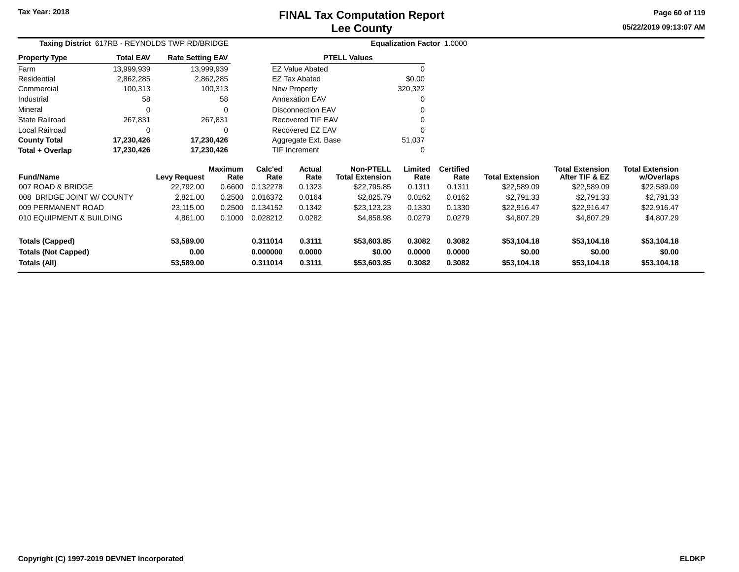**05/22/2019 09:13:07 AMPage 60 of 119**

|                            |                  |                         | Taxing District 617RB - REYNOLDS TWP RD/BRIDGE |                 |                          |                        |                  | Equalization Factor 1.0000 |                          |                        |                                          |                                      |
|----------------------------|------------------|-------------------------|------------------------------------------------|-----------------|--------------------------|------------------------|------------------|----------------------------|--------------------------|------------------------|------------------------------------------|--------------------------------------|
| <b>Property Type</b>       | <b>Total EAV</b> | <b>Rate Setting EAV</b> |                                                |                 |                          | <b>PTELL Values</b>    |                  |                            |                          |                        |                                          |                                      |
| Farm                       | 13,999,939       | 13,999,939              |                                                |                 | EZ Value Abated          |                        |                  |                            |                          |                        |                                          |                                      |
| Residential                | 2,862,285        |                         | 2,862,285                                      |                 | EZ Tax Abated            |                        |                  | \$0.00                     |                          |                        |                                          |                                      |
| Commercial                 | 100,313          |                         | 100,313                                        |                 | New Property             |                        |                  | 320,322                    |                          |                        |                                          |                                      |
| Industrial                 | 58               |                         | -58                                            |                 | <b>Annexation EAV</b>    |                        |                  |                            |                          |                        |                                          |                                      |
| Mineral                    |                  |                         | 0                                              |                 | <b>Disconnection EAV</b> |                        |                  |                            |                          |                        |                                          |                                      |
| <b>State Railroad</b>      | 267,831          |                         | 267,831                                        |                 | Recovered TIF EAV        |                        |                  |                            |                          |                        |                                          |                                      |
| Local Railroad             |                  |                         | $\Omega$                                       |                 | Recovered EZ EAV         |                        |                  |                            |                          |                        |                                          |                                      |
| <b>County Total</b>        | 17,230,426       | 17,230,426              |                                                |                 | Aggregate Ext. Base      |                        |                  | 51,037                     |                          |                        |                                          |                                      |
| Total + Overlap            | 17,230,426       | 17,230,426              |                                                |                 | <b>TIF Increment</b>     |                        |                  |                            |                          |                        |                                          |                                      |
| <b>Fund/Name</b>           |                  | Levy Request            | <b>Maximum</b><br>Rate                         | Calc'ed<br>Rate | Actual<br>Rate           | <b>Total Extension</b> | <b>Non-PTELL</b> | Limited<br>Rate            | <b>Certified</b><br>Rate | <b>Total Extension</b> | <b>Total Extension</b><br>After TIF & EZ | <b>Total Extension</b><br>w/Overlaps |
| 007 ROAD & BRIDGE          |                  | 22.792.00               | 0.6600                                         | 0.132278        | 0.1323                   |                        | \$22,795.85      | 0.1311                     | 0.1311                   | \$22,589.09            | \$22,589.09                              | \$22,589.09                          |
| 008 BRIDGE JOINT W/ COUNTY |                  | 2.821.00                | 0.2500                                         | 0.016372        | 0.0164                   |                        | \$2,825.79       | 0.0162                     | 0.0162                   | \$2.791.33             | \$2,791.33                               | \$2,791.33                           |
|                            |                  |                         |                                                |                 |                          |                        |                  |                            |                          |                        |                                          |                                      |

| 007 ROAD & BRIDGE          | 22.792.00 | 0.6600 | 0.132278 | 0.1323 | \$22,795.85 | 0.1311 | 0.1311 | \$22,589.09 | \$22,589.09 | \$22,589.09 |
|----------------------------|-----------|--------|----------|--------|-------------|--------|--------|-------------|-------------|-------------|
| 008 BRIDGE JOINT W/COUNTY  | 2.821.00  | 0.2500 | 0.016372 | 0.0164 | \$2,825.79  | 0.0162 | 0.0162 | \$2.791.33  | \$2.791.33  | \$2.791.33  |
| 009 PERMANENT ROAD         | 23.115.00 | 0.2500 | 0.134152 | 0.1342 | \$23.123.23 | 0.1330 | 0.1330 | \$22.916.47 | \$22.916.47 | \$22,916.47 |
| 010 EQUIPMENT & BUILDING   | 4.861.00  | 0.1000 | 0.028212 | 0.0282 | \$4,858.98  | 0.0279 | 0.0279 | \$4,807.29  | \$4,807.29  | \$4,807.29  |
| <b>Totals (Capped)</b>     | 53.589.00 |        | 0.311014 | 0.3111 | \$53,603.85 | 0.3082 | 0.3082 | \$53.104.18 | \$53.104.18 | \$53,104.18 |
| <b>Totals (Not Capped)</b> | 0.00      |        | 0.000000 | 0.0000 | \$0.00      | 0.0000 | 0.0000 | \$0.00      | \$0.00      | \$0.00      |
| Totals (All)               | 53,589.00 |        | 0.311014 | 0.3111 | \$53,603.85 | 0.3082 | 0.3082 | \$53,104.18 | \$53.104.18 | \$53,104.18 |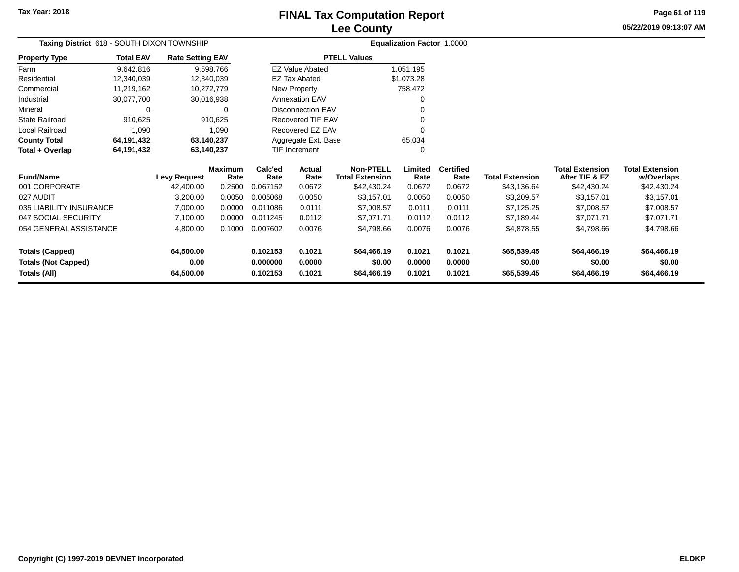# **Lee CountyFINAL Tax Computation Report**

**05/22/2019 09:13:07 AM Page 61 of 119**

| Taxing District 618 - SOUTH DIXON TOWNSHIP |                  |                         |                        |                 |                          |                                            | <b>Equalization Factor 1.0000</b> |                          |                        |                                          |                                      |
|--------------------------------------------|------------------|-------------------------|------------------------|-----------------|--------------------------|--------------------------------------------|-----------------------------------|--------------------------|------------------------|------------------------------------------|--------------------------------------|
| <b>Property Type</b>                       | <b>Total EAV</b> | <b>Rate Setting EAV</b> |                        |                 |                          | <b>PTELL Values</b>                        |                                   |                          |                        |                                          |                                      |
| Farm                                       | 9,642,816        |                         | 9,598,766              |                 | <b>EZ Value Abated</b>   |                                            | 1,051,195                         |                          |                        |                                          |                                      |
| Residential                                | 12,340,039       |                         | 12,340,039             |                 | <b>EZ Tax Abated</b>     |                                            | \$1,073.28                        |                          |                        |                                          |                                      |
| Commercial                                 | 11,219,162       |                         | 10,272,779             |                 | New Property             |                                            | 758,472                           |                          |                        |                                          |                                      |
| Industrial                                 | 30,077,700       |                         | 30,016,938             |                 | <b>Annexation EAV</b>    |                                            |                                   |                          |                        |                                          |                                      |
| Mineral                                    | 0                |                         | $\Omega$               |                 | <b>Disconnection EAV</b> |                                            |                                   |                          |                        |                                          |                                      |
| <b>State Railroad</b>                      | 910,625          |                         | 910,625                |                 | Recovered TIF EAV        |                                            |                                   |                          |                        |                                          |                                      |
| Local Railroad                             | 1,090            |                         | 1,090                  |                 | Recovered EZ EAV         |                                            |                                   |                          |                        |                                          |                                      |
| <b>County Total</b>                        | 64,191,432       | 63,140,237              |                        |                 | Aggregate Ext. Base      |                                            | 65,034                            |                          |                        |                                          |                                      |
| Total + Overlap                            | 64,191,432       | 63,140,237              |                        |                 | TIF Increment            |                                            |                                   |                          |                        |                                          |                                      |
| <b>Fund/Name</b>                           |                  | <b>Levy Request</b>     | <b>Maximum</b><br>Rate | Calc'ed<br>Rate | Actual<br>Rate           | <b>Non-PTELL</b><br><b>Total Extension</b> | Limited<br>Rate                   | <b>Certified</b><br>Rate | <b>Total Extension</b> | <b>Total Extension</b><br>After TIF & EZ | <b>Total Extension</b><br>w/Overlaps |
| 001 CORPORATE                              |                  | 42,400.00               | 0.2500                 | 0.067152        | 0.0672                   | \$42,430.24                                | 0.0672                            | 0.0672                   | \$43,136.64            | \$42,430.24                              | \$42,430.24                          |
| 027 AUDIT                                  |                  | 3,200.00                | 0.0050                 | 0.005068        | 0.0050                   | \$3,157.01                                 | 0.0050                            | 0.0050                   | \$3,209.57             | \$3,157.01                               | \$3,157.01                           |
| 035 LIABILITY INSURANCE                    |                  | 7,000.00                | 0.0000                 | 0.011086        | 0.0111                   | \$7,008.57                                 | 0.0111                            | 0.0111                   | \$7,125.25             | \$7,008.57                               | \$7,008.57                           |
| 047 SOCIAL SECURITY                        |                  | 7,100.00                | 0.0000                 | 0.011245        | 0.0112                   | \$7,071.71                                 | 0.0112                            | 0.0112                   | \$7,189.44             | \$7,071.71                               | \$7,071.71                           |
| 054 GENERAL ASSISTANCE                     |                  | 4,800.00                | 0.1000                 | 0.007602        | 0.0076                   | \$4,798.66                                 | 0.0076                            | 0.0076                   | \$4,878.55             | \$4,798.66                               | \$4,798.66                           |
| <b>Totals (Capped)</b>                     |                  | 64,500.00               |                        | 0.102153        | 0.1021                   | \$64,466.19                                | 0.1021                            | 0.1021                   | \$65,539.45            | \$64,466.19                              | \$64,466.19                          |
| <b>Totals (Not Capped)</b>                 |                  | 0.00                    |                        | 0.000000        | 0.0000                   | \$0.00                                     | 0.0000                            | 0.0000                   | \$0.00                 | \$0.00                                   | \$0.00                               |
| Totals (All)                               |                  | 64,500.00               |                        | 0.102153        | 0.1021                   | \$64,466.19                                | 0.1021                            | 0.1021                   | \$65,539.45            | \$64,466.19                              | \$64,466.19                          |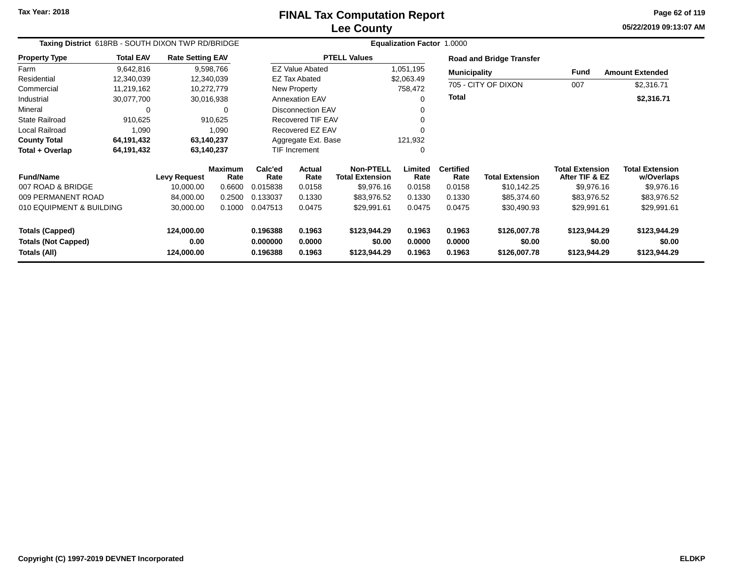**05/22/2019 09:13:07 AM Page 62 of 119**

| Taxing District 618RB - SOUTH DIXON TWP RD/BRIDGE |                  |                         |                 |                 |                          |                                            | <b>Equalization Factor 1.0000</b> |                          |                                 |                                          |                                      |
|---------------------------------------------------|------------------|-------------------------|-----------------|-----------------|--------------------------|--------------------------------------------|-----------------------------------|--------------------------|---------------------------------|------------------------------------------|--------------------------------------|
| <b>Property Type</b>                              | <b>Total EAV</b> | <b>Rate Setting EAV</b> |                 |                 |                          | <b>PTELL Values</b>                        |                                   |                          | <b>Road and Bridge Transfer</b> |                                          |                                      |
| Farm                                              | 9,642,816        |                         | 9,598,766       |                 | <b>EZ Value Abated</b>   |                                            | 1,051,195                         | <b>Municipality</b>      |                                 | Fund                                     | <b>Amount Extended</b>               |
| Residential                                       | 12,340,039       |                         | 12,340,039      |                 | <b>EZ Tax Abated</b>     |                                            | \$2,063.49                        |                          |                                 |                                          |                                      |
| Commercial                                        | 11,219,162       |                         | 10,272,779      |                 | New Property             |                                            | 758,472                           |                          | 705 - CITY OF DIXON             | 007                                      | \$2,316.71                           |
| Industrial                                        | 30,077,700       |                         | 30,016,938      |                 | <b>Annexation EAV</b>    |                                            | 0                                 | <b>Total</b>             |                                 |                                          | \$2,316.71                           |
| Mineral                                           | 0                |                         | 0               |                 | <b>Disconnection EAV</b> |                                            |                                   |                          |                                 |                                          |                                      |
| <b>State Railroad</b>                             | 910,625          |                         | 910,625         |                 | Recovered TIF EAV        |                                            |                                   |                          |                                 |                                          |                                      |
| Local Railroad                                    | 1,090            |                         | 1,090           |                 | Recovered EZ EAV         |                                            | 0                                 |                          |                                 |                                          |                                      |
| <b>County Total</b>                               | 64,191,432       |                         | 63,140,237      |                 | Aggregate Ext. Base      |                                            | 121,932                           |                          |                                 |                                          |                                      |
| Total + Overlap                                   | 64,191,432       |                         | 63,140,237      |                 | <b>TIF Increment</b>     |                                            | 0                                 |                          |                                 |                                          |                                      |
| <b>Fund/Name</b>                                  |                  | Levy Request            | Maximum<br>Rate | Calc'ed<br>Rate | Actual<br>Rate           | <b>Non-PTELL</b><br><b>Total Extension</b> | Limited<br>Rate                   | <b>Certified</b><br>Rate | <b>Total Extension</b>          | <b>Total Extension</b><br>After TIF & EZ | <b>Total Extension</b><br>w/Overlaps |
| 007 ROAD & BRIDGE                                 |                  | 10,000.00               | 0.6600          | 0.015838        | 0.0158                   | \$9,976.16                                 | 0.0158                            | 0.0158                   | \$10,142.25                     | \$9,976.16                               | \$9,976.16                           |
| 009 PERMANENT ROAD                                |                  | 84,000.00               | 0.2500          | 0.133037        | 0.1330                   | \$83,976.52                                | 0.1330                            | 0.1330                   | \$85,374.60                     | \$83,976.52                              | \$83,976.52                          |
| 010 EQUIPMENT & BUILDING                          |                  | 30,000.00               | 0.1000          | 0.047513        | 0.0475                   | \$29,991.61                                | 0.0475                            | 0.0475                   | \$30,490.93                     | \$29,991.61                              | \$29,991.61                          |
| <b>Totals (Capped)</b>                            |                  | 124,000.00              |                 | 0.196388        | 0.1963                   | \$123,944.29                               | 0.1963                            | 0.1963                   | \$126,007.78                    | \$123,944.29                             | \$123,944.29                         |
| <b>Totals (Not Capped)</b>                        |                  | 0.00                    |                 | 0.000000        | 0.0000                   | \$0.00                                     | 0.0000                            | 0.0000                   | \$0.00                          | \$0.00                                   | \$0.00                               |
| Totals (All)                                      |                  | 124,000.00              |                 | 0.196388        | 0.1963                   | \$123,944.29                               | 0.1963                            | 0.1963                   | \$126,007.78                    | \$123,944.29                             | \$123,944.29                         |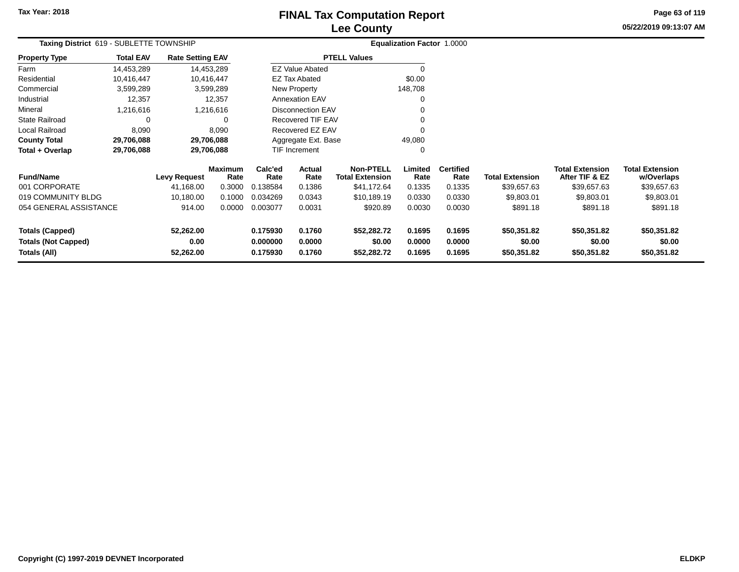# **Lee CountyFINAL Tax Computation Report**

**05/22/2019 09:13:07 AM Page 63 of 119**

| Taxing District 619 - SUBLETTE TOWNSHIP |                  |                         |                        |                 |                          |                                            | Equalization Factor 1.0000 |                          |                        |                                          |                                      |
|-----------------------------------------|------------------|-------------------------|------------------------|-----------------|--------------------------|--------------------------------------------|----------------------------|--------------------------|------------------------|------------------------------------------|--------------------------------------|
| Property Type                           | <b>Total EAV</b> | <b>Rate Setting EAV</b> |                        |                 |                          | <b>PTELL Values</b>                        |                            |                          |                        |                                          |                                      |
| Farm                                    | 14,453,289       |                         | 14,453,289             |                 | <b>EZ Value Abated</b>   |                                            |                            |                          |                        |                                          |                                      |
| Residential                             | 10,416,447       |                         | 10,416,447             |                 | <b>EZ Tax Abated</b>     |                                            | \$0.00                     |                          |                        |                                          |                                      |
| Commercial                              | 3,599,289        |                         | 3,599,289              |                 | New Property             |                                            | 148,708                    |                          |                        |                                          |                                      |
| Industrial                              | 12,357           |                         | 12,357                 |                 | <b>Annexation EAV</b>    |                                            | 0                          |                          |                        |                                          |                                      |
| Mineral                                 | 1,216,616        |                         | 1,216,616              |                 | <b>Disconnection EAV</b> |                                            |                            |                          |                        |                                          |                                      |
| State Railroad                          |                  |                         |                        |                 | Recovered TIF EAV        |                                            |                            |                          |                        |                                          |                                      |
| Local Railroad                          | 8,090            |                         | 8,090                  |                 | Recovered EZ EAV         |                                            |                            |                          |                        |                                          |                                      |
| <b>County Total</b>                     | 29,706,088       |                         | 29,706,088             |                 | Aggregate Ext. Base      |                                            | 49,080                     |                          |                        |                                          |                                      |
| Total + Overlap                         | 29,706,088       |                         | 29,706,088             |                 | TIF Increment            |                                            | 0                          |                          |                        |                                          |                                      |
| <b>Fund/Name</b>                        |                  | <b>Levy Request</b>     | <b>Maximum</b><br>Rate | Calc'ed<br>Rate | Actual<br>Rate           | <b>Non-PTELL</b><br><b>Total Extension</b> | Limited<br>Rate            | <b>Certified</b><br>Rate | <b>Total Extension</b> | <b>Total Extension</b><br>After TIF & EZ | <b>Total Extension</b><br>w/Overlaps |
| 001 CORPORATE                           |                  | 41,168.00               | 0.3000                 | 0.138584        | 0.1386                   | \$41,172.64                                | 0.1335                     | 0.1335                   | \$39,657.63            | \$39,657.63                              | \$39,657.63                          |
| 019 COMMUNITY BLDG                      |                  | 10,180.00               | 0.1000                 | 0.034269        | 0.0343                   | \$10,189.19                                | 0.0330                     | 0.0330                   | \$9,803.01             | \$9,803.01                               | \$9,803.01                           |
| 054 GENERAL ASSISTANCE                  |                  | 914.00                  | 0.0000                 | 0.003077        | 0.0031                   | \$920.89                                   | 0.0030                     | 0.0030                   | \$891.18               | \$891.18                                 | \$891.18                             |
| <b>Totals (Capped)</b>                  |                  | 52,262.00               |                        | 0.175930        | 0.1760                   | \$52,282.72                                | 0.1695                     | 0.1695                   | \$50,351.82            | \$50,351.82                              | \$50,351.82                          |
| <b>Totals (Not Capped)</b>              |                  | 0.00                    |                        | 0.000000        | 0.0000                   | \$0.00                                     | 0.0000                     | 0.0000                   | \$0.00                 | \$0.00                                   | \$0.00                               |
| Totals (All)                            |                  | 52,262.00               |                        | 0.175930        | 0.1760                   | \$52,282.72                                | 0.1695                     | 0.1695                   | \$50,351.82            | \$50,351.82                              | \$50,351.82                          |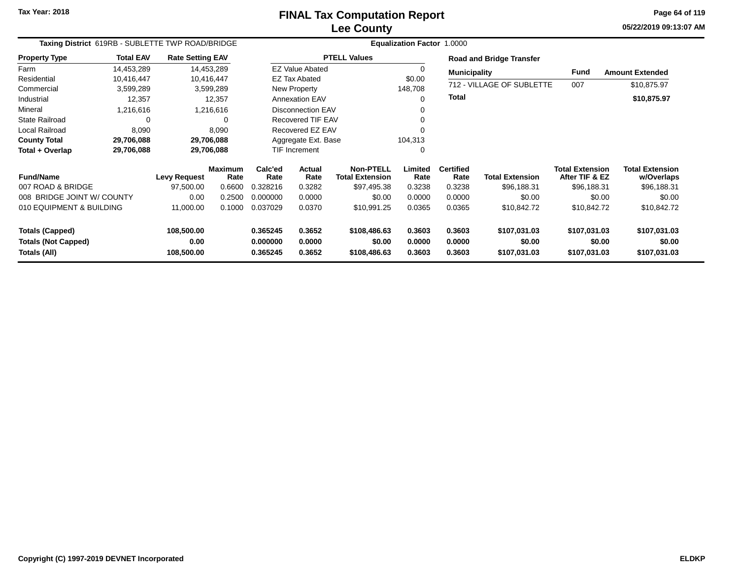**05/22/2019 09:13:07 AM Page 64 of 119**

| Taxing District 619RB - SUBLETTE TWP ROAD/BRIDGE |                  |                         |                        |                      |                          |                                     | Equalization Factor 1.0000 |                          |                                 |                                          |                                      |
|--------------------------------------------------|------------------|-------------------------|------------------------|----------------------|--------------------------|-------------------------------------|----------------------------|--------------------------|---------------------------------|------------------------------------------|--------------------------------------|
| <b>Property Type</b>                             | <b>Total EAV</b> | <b>Rate Setting EAV</b> |                        |                      |                          | <b>PTELL Values</b>                 |                            |                          | <b>Road and Bridge Transfer</b> |                                          |                                      |
| Farm                                             | 14,453,289       |                         | 14,453,289             |                      | <b>EZ Value Abated</b>   |                                     | 0                          | <b>Municipality</b>      |                                 | Fund                                     | <b>Amount Extended</b>               |
| Residential                                      | 10,416,447       |                         | 10,416,447             |                      | <b>EZ Tax Abated</b>     |                                     | \$0.00                     |                          |                                 |                                          |                                      |
| Commercial                                       | 3,599,289        |                         | 3,599,289              |                      | New Property             |                                     | 148,708                    |                          | 712 - VILLAGE OF SUBLETTE       | 007                                      | \$10,875.97                          |
| Industrial                                       | 12,357           |                         | 12,357                 |                      | <b>Annexation EAV</b>    |                                     | 0                          | <b>Total</b>             |                                 |                                          | \$10,875.97                          |
| Mineral                                          | 1,216,616        |                         | 1,216,616              |                      | <b>Disconnection EAV</b> |                                     | 0                          |                          |                                 |                                          |                                      |
| <b>State Railroad</b>                            | $\Omega$         |                         | 0                      |                      | <b>Recovered TIF EAV</b> |                                     | 0                          |                          |                                 |                                          |                                      |
| Local Railroad                                   | 8,090            |                         | 8,090                  |                      | Recovered EZ EAV         |                                     | n                          |                          |                                 |                                          |                                      |
| <b>County Total</b>                              | 29,706,088       |                         | 29,706,088             |                      | Aggregate Ext. Base      |                                     | 104,313                    |                          |                                 |                                          |                                      |
| Total + Overlap                                  | 29,706,088       |                         | 29,706,088             |                      | TIF Increment            |                                     | 0                          |                          |                                 |                                          |                                      |
| <b>Fund/Name</b>                                 |                  | <b>Levy Request</b>     | <b>Maximum</b><br>Rate | Calc'ed<br>Rate      | <b>Actual</b><br>Rate    | Non-PTELL<br><b>Total Extension</b> | Limited<br>Rate            | <b>Certified</b><br>Rate | <b>Total Extension</b>          | <b>Total Extension</b><br>After TIF & EZ | <b>Total Extension</b><br>w/Overlaps |
| 007 ROAD & BRIDGE                                |                  | 97,500.00               | 0.6600                 | 0.328216             | 0.3282                   | \$97,495.38                         | 0.3238                     | 0.3238                   | \$96,188.31                     | \$96,188.31                              | \$96,188.31                          |
| 008 BRIDGE JOINT W/ COUNTY                       |                  | 0.00                    | 0.2500                 | 0.000000             | 0.0000                   | \$0.00                              | 0.0000                     | 0.0000                   | \$0.00                          | \$0.00                                   | \$0.00                               |
| 010 EQUIPMENT & BUILDING                         |                  | 11,000.00               | 0.1000                 | 0.037029             | 0.0370                   | \$10,991.25                         | 0.0365                     | 0.0365                   | \$10,842.72                     | \$10,842.72                              | \$10,842.72                          |
| <b>Totals (Capped)</b>                           |                  | 108,500.00              |                        | 0.365245             | 0.3652                   | \$108,486.63                        | 0.3603                     | 0.3603                   | \$107,031.03                    | \$107,031.03                             | \$107,031.03                         |
| <b>Totals (Not Capped)</b><br>Totals (All)       |                  | 0.00<br>108,500.00      |                        | 0.000000<br>0.365245 | 0.0000<br>0.3652         | \$0.00<br>\$108,486.63              | 0.0000<br>0.3603           | 0.0000<br>0.3603         | \$0.00<br>\$107,031.03          | \$0.00<br>\$107,031.03                   | \$0.00<br>\$107,031.03               |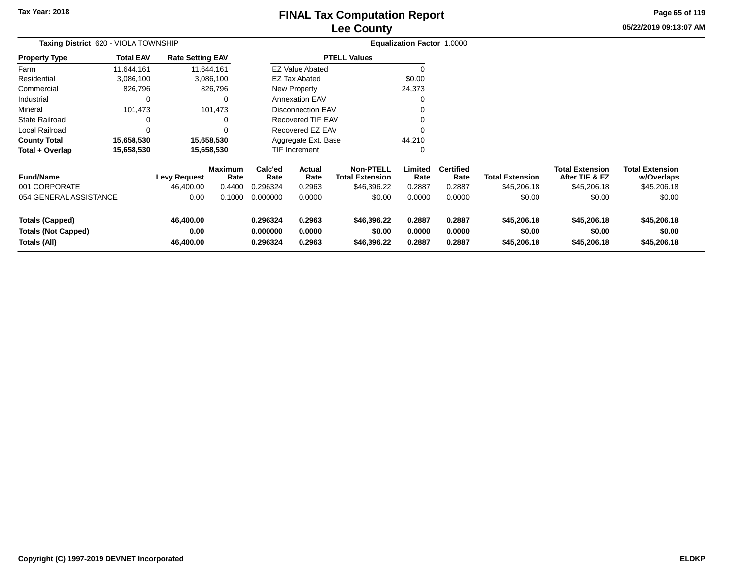# **Lee CountyFINAL Tax Computation Report**

**05/22/2019 09:13:07 AM Page 65 of 119**

| Taxing District 620 - VIOLA TOWNSHIP                                 |                  |                                |                        |                                  |                            |                                            | <b>Equalization Factor 1.0000</b> |                            |                                      |                                          |                                      |  |
|----------------------------------------------------------------------|------------------|--------------------------------|------------------------|----------------------------------|----------------------------|--------------------------------------------|-----------------------------------|----------------------------|--------------------------------------|------------------------------------------|--------------------------------------|--|
| Property Type                                                        | <b>Total EAV</b> | <b>Rate Setting EAV</b>        |                        |                                  |                            | <b>PTELL Values</b>                        |                                   |                            |                                      |                                          |                                      |  |
| Farm                                                                 | 11,644,161       |                                | 11,644,161             |                                  | <b>EZ Value Abated</b>     |                                            | 0                                 |                            |                                      |                                          |                                      |  |
| Residential                                                          | 3,086,100        |                                | 3,086,100              |                                  | <b>EZ Tax Abated</b>       |                                            | \$0.00                            |                            |                                      |                                          |                                      |  |
| Commercial                                                           | 826,796          |                                | 826,796                |                                  | New Property               |                                            | 24,373                            |                            |                                      |                                          |                                      |  |
| Industrial                                                           | 0                |                                | 0                      |                                  | <b>Annexation EAV</b>      |                                            | 0                                 |                            |                                      |                                          |                                      |  |
| Mineral                                                              | 101,473          |                                | 101,473                |                                  | <b>Disconnection EAV</b>   |                                            |                                   |                            |                                      |                                          |                                      |  |
| State Railroad                                                       | 0                |                                |                        |                                  | <b>Recovered TIF EAV</b>   |                                            |                                   |                            |                                      |                                          |                                      |  |
| Local Railroad                                                       | 0                |                                |                        |                                  | Recovered EZ EAV           |                                            | $\Omega$                          |                            |                                      |                                          |                                      |  |
| <b>County Total</b>                                                  | 15,658,530       |                                | 15,658,530             |                                  | Aggregate Ext. Base        |                                            | 44,210                            |                            |                                      |                                          |                                      |  |
| Total + Overlap                                                      | 15,658,530       |                                | 15,658,530             |                                  | TIF Increment              |                                            | 0                                 |                            |                                      |                                          |                                      |  |
| <b>Fund/Name</b>                                                     |                  | <b>Levy Request</b>            | <b>Maximum</b><br>Rate | Calc'ed<br>Rate                  | <b>Actual</b><br>Rate      | <b>Non-PTELL</b><br><b>Total Extension</b> | Limited<br>Rate                   | <b>Certified</b><br>Rate   | <b>Total Extension</b>               | <b>Total Extension</b><br>After TIF & EZ | <b>Total Extension</b><br>w/Overlaps |  |
| 001 CORPORATE                                                        |                  | 46,400.00                      | 0.4400                 | 0.296324                         | 0.2963                     | \$46,396.22                                | 0.2887                            | 0.2887                     | \$45,206.18                          | \$45,206.18                              | \$45,206.18                          |  |
| 054 GENERAL ASSISTANCE                                               |                  | 0.00                           | 0.1000                 | 0.000000                         | 0.0000                     | \$0.00                                     | 0.0000                            | 0.0000                     | \$0.00                               | \$0.00                                   | \$0.00                               |  |
| <b>Totals (Capped)</b><br><b>Totals (Not Capped)</b><br>Totals (All) |                  | 46,400.00<br>0.00<br>46,400.00 |                        | 0.296324<br>0.000000<br>0.296324 | 0.2963<br>0.0000<br>0.2963 | \$46,396.22<br>\$0.00<br>\$46,396.22       | 0.2887<br>0.0000<br>0.2887        | 0.2887<br>0.0000<br>0.2887 | \$45,206.18<br>\$0.00<br>\$45,206.18 | \$45,206.18<br>\$0.00<br>\$45,206.18     | \$45,206.18<br>\$0.00<br>\$45,206.18 |  |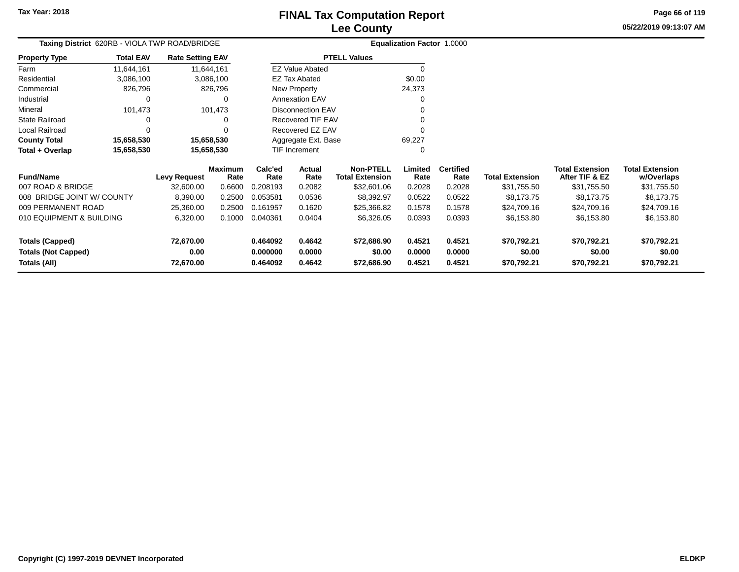# **Lee CountyFINAL Tax Computation Report**

**05/22/2019 09:13:07 AMPage 66 of 119**

|          |                                               |                         | Lee County             |                                   |
|----------|-----------------------------------------------|-------------------------|------------------------|-----------------------------------|
|          | Taxing District 620RB - VIOLA TWP ROAD/BRIDGE |                         |                        | <b>Equalization Factor 1.0000</b> |
| rty Type | <b>Total EAV</b>                              | <b>Rate Setting EAV</b> | <b>PTELL Values</b>    |                                   |
|          | 11.644.161                                    | 11.644.161              | <b>EZ Value Abated</b> |                                   |
| ential   | 3,086,100                                     | 3.086.100               | EZ Tax Abated          | \$0.00                            |
|          | 0.0070                                        | 0.0070                  | $\blacksquare$         | $\sim$ $\sim$ $\sim$              |

| <b>Property Type</b>  | <b>Total EAV</b> | <b>Rate Setting EAV</b> | <b>PTELL Values</b>    |        |  |  |  |
|-----------------------|------------------|-------------------------|------------------------|--------|--|--|--|
| Farm                  | 11,644,161       | 11,644,161              | <b>EZ Value Abated</b> | O      |  |  |  |
| Residential           | 3,086,100        | 3,086,100               | <b>EZ Tax Abated</b>   | \$0.00 |  |  |  |
| Commercial            | 826,796          | 826,796                 | New Property           | 24,373 |  |  |  |
| Industrial            | 0                | 0                       | <b>Annexation EAV</b>  | 0      |  |  |  |
| Mineral               | 101.473          | 101.473                 | Disconnection EAV      | 0      |  |  |  |
| <b>State Railroad</b> | 0                | 0                       | Recovered TIF EAV      |        |  |  |  |
| Local Railroad        | 0                | 0                       | Recovered EZ EAV       |        |  |  |  |
| <b>County Total</b>   | 15,658,530       | 15,658,530              | Aggregate Ext. Base    | 69.227 |  |  |  |
| Total + Overlap       | 15,658,530       | 15,658,530              | <b>TIF Increment</b>   |        |  |  |  |

| <b>Fund/Name</b>                                                     | Levy Request                   | <b>Maximum</b><br>Rate | Calc'ed<br>Rate                  | Actual<br>Rate             | <b>Non-PTELL</b><br><b>Total Extension</b> | Limited<br>Rate            | <b>Certified</b><br>Rate   | <b>Total Extension</b>               | <b>Total Extension</b><br>After TIF & EZ | <b>Total Extension</b><br>w/Overlaps |
|----------------------------------------------------------------------|--------------------------------|------------------------|----------------------------------|----------------------------|--------------------------------------------|----------------------------|----------------------------|--------------------------------------|------------------------------------------|--------------------------------------|
| 007 ROAD & BRIDGE                                                    | 32,600.00                      | 0.6600                 | 0.208193                         | 0.2082                     | \$32,601.06                                | 0.2028                     | 0.2028                     | \$31,755.50                          | \$31,755.50                              | \$31,755.50                          |
| 008 BRIDGE JOINT W/ COUNTY                                           | 8,390.00                       | 0.2500                 | 0.053581                         | 0.0536                     | \$8,392.97                                 | 0.0522                     | 0.0522                     | \$8,173,75                           | \$8,173,75                               | \$8.173.75                           |
| 009 PERMANENT ROAD                                                   | 25.360.00                      | 0.2500                 | 0.161957                         | 0.1620                     | \$25,366,82                                | 0.1578                     | 0.1578                     | \$24,709.16                          | \$24,709.16                              | \$24,709.16                          |
| 010 EQUIPMENT & BUILDING                                             | 6.320.00                       | 0.1000                 | 0.040361                         | 0.0404                     | \$6,326,05                                 | 0.0393                     | 0.0393                     | \$6.153.80                           | \$6.153.80                               | \$6,153.80                           |
| <b>Totals (Capped)</b><br><b>Totals (Not Capped)</b><br>Totals (All) | 72.670.00<br>0.00<br>72.670.00 |                        | 0.464092<br>0.000000<br>0.464092 | 0.4642<br>0.0000<br>0.4642 | \$72,686.90<br>\$0.00<br>\$72,686,90       | 0.4521<br>0.0000<br>0.4521 | 0.4521<br>0.0000<br>0.4521 | \$70.792.21<br>\$0.00<br>\$70.792.21 | \$70,792.21<br>\$0.00<br>\$70.792.21     | \$70,792.21<br>\$0.00<br>\$70,792.21 |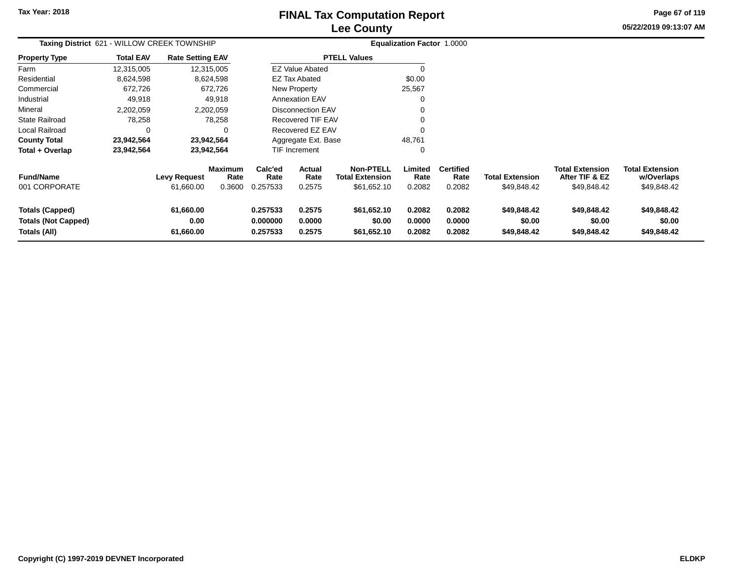# **Lee CountyFINAL Tax Computation Report**

**05/22/2019 09:13:07 AM Page 67 of 119**

| Taxing District 621 - WILLOW CREEK TOWNSHIP                          |                  |                                  |                                  |                                  |                                                          |                                                           | Equalization Factor 1.0000 |                                    |                                       |                                                         |                                                     |  |
|----------------------------------------------------------------------|------------------|----------------------------------|----------------------------------|----------------------------------|----------------------------------------------------------|-----------------------------------------------------------|----------------------------|------------------------------------|---------------------------------------|---------------------------------------------------------|-----------------------------------------------------|--|
| Property Type                                                        | <b>Total EAV</b> | <b>Rate Setting EAV</b>          |                                  |                                  |                                                          | <b>PTELL Values</b>                                       |                            |                                    |                                       |                                                         |                                                     |  |
| Farm                                                                 | 12,315,005       |                                  | 12,315,005                       |                                  | <b>EZ Value Abated</b>                                   |                                                           | $\Omega$                   |                                    |                                       |                                                         |                                                     |  |
| Residential                                                          | 8,624,598        |                                  | 8,624,598                        |                                  | <b>EZ Tax Abated</b>                                     |                                                           | \$0.00                     |                                    |                                       |                                                         |                                                     |  |
| Commercial                                                           | 672,726          |                                  | 672,726                          |                                  | <b>New Property</b>                                      |                                                           | 25,567                     |                                    |                                       |                                                         |                                                     |  |
| Industrial                                                           | 49,918           |                                  | 49,918                           |                                  | <b>Annexation EAV</b>                                    |                                                           | 0                          |                                    |                                       |                                                         |                                                     |  |
| Mineral                                                              | 2,202,059        |                                  | 2,202,059                        |                                  | <b>Disconnection EAV</b>                                 |                                                           | 0                          |                                    |                                       |                                                         |                                                     |  |
| State Railroad                                                       | 78,258           |                                  | 78,258                           |                                  | Recovered TIF EAV                                        |                                                           | $\Omega$                   |                                    |                                       |                                                         |                                                     |  |
| Local Railroad                                                       | 0                |                                  |                                  |                                  |                                                          |                                                           | $\Omega$                   |                                    |                                       |                                                         |                                                     |  |
| <b>County Total</b>                                                  | 23,942,564       |                                  | 23,942,564                       |                                  | Recovered EZ EAV<br>Aggregate Ext. Base<br>TIF Increment |                                                           | 48,761                     |                                    |                                       |                                                         |                                                     |  |
| Total + Overlap                                                      | 23,942,564       |                                  | 23,942,564                       |                                  |                                                          |                                                           | 0                          |                                    |                                       |                                                         |                                                     |  |
| <b>Fund/Name</b><br>001 CORPORATE                                    |                  | <b>Levy Request</b><br>61,660.00 | <b>Maximum</b><br>Rate<br>0.3600 | Calc'ed<br>Rate<br>0.257533      | Actual<br>Rate<br>0.2575                                 | <b>Non-PTELL</b><br><b>Total Extension</b><br>\$61,652.10 | Limited<br>Rate<br>0.2082  | <b>Certified</b><br>Rate<br>0.2082 | <b>Total Extension</b><br>\$49,848.42 | <b>Total Extension</b><br>After TIF & EZ<br>\$49,848.42 | <b>Total Extension</b><br>w/Overlaps<br>\$49,848.42 |  |
| <b>Totals (Capped)</b><br><b>Totals (Not Capped)</b><br>Totals (All) |                  | 61,660.00<br>0.00<br>61,660.00   |                                  | 0.257533<br>0.000000<br>0.257533 | 0.2575<br>0.0000<br>0.2575                               | \$61,652.10<br>\$0.00<br>\$61,652.10                      | 0.2082<br>0.0000<br>0.2082 | 0.2082<br>0.0000<br>0.2082         | \$49,848.42<br>\$0.00<br>\$49,848.42  | \$49,848.42<br>\$0.00<br>\$49,848.42                    | \$49,848.42<br>\$0.00<br>\$49,848.42                |  |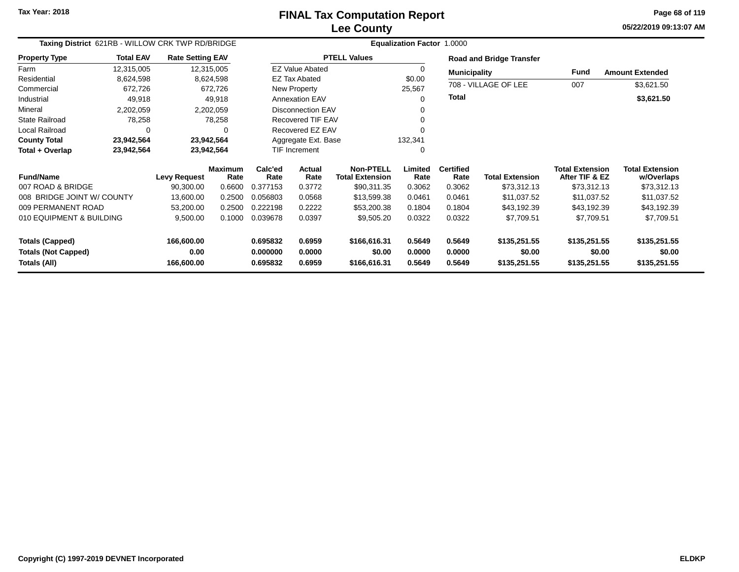**05/22/2019 09:13:07 AM Page 68 of 119**

| Taxing District 621RB - WILLOW CRK TWP RD/BRIDGE |                  |                         |                        |                      |                          | <b>Equalization Factor 1.0000</b>          |                  |                          |                                 |                                          |                                      |
|--------------------------------------------------|------------------|-------------------------|------------------------|----------------------|--------------------------|--------------------------------------------|------------------|--------------------------|---------------------------------|------------------------------------------|--------------------------------------|
| <b>Property Type</b>                             | <b>Total EAV</b> | <b>Rate Setting EAV</b> |                        |                      |                          | <b>PTELL Values</b>                        |                  |                          | <b>Road and Bridge Transfer</b> |                                          |                                      |
| Farm                                             | 12,315,005       | 12,315,005              |                        |                      | <b>EZ Value Abated</b>   |                                            | 0                | <b>Municipality</b>      |                                 | Fund                                     | <b>Amount Extended</b>               |
| Residential                                      | 8,624,598        |                         | 8,624,598              |                      | <b>EZ Tax Abated</b>     |                                            | \$0.00           |                          |                                 |                                          |                                      |
| Commercial                                       | 672,726          |                         | 672,726                |                      | New Property             |                                            | 25,567           |                          | 708 - VILLAGE OF LEE            | 007                                      | \$3,621.50                           |
| Industrial                                       | 49,918           |                         | 49,918                 |                      | <b>Annexation EAV</b>    |                                            | 0                | <b>Total</b>             |                                 |                                          | \$3,621.50                           |
| Mineral                                          | 2,202,059        |                         | 2,202,059              |                      | Disconnection EAV        |                                            | 0                |                          |                                 |                                          |                                      |
| <b>State Railroad</b>                            | 78,258           |                         | 78,258                 |                      | <b>Recovered TIF EAV</b> |                                            | 0                |                          |                                 |                                          |                                      |
| <b>Local Railroad</b>                            | 0                |                         | 0                      |                      | Recovered EZ EAV         |                                            |                  |                          |                                 |                                          |                                      |
| <b>County Total</b>                              | 23,942,564       | 23,942,564              |                        |                      | Aggregate Ext. Base      |                                            | 132,341          |                          |                                 |                                          |                                      |
| Total + Overlap                                  | 23,942,564       | 23,942,564              |                        |                      | TIF Increment            |                                            | 0                |                          |                                 |                                          |                                      |
| <b>Fund/Name</b>                                 |                  | <b>Levy Request</b>     | <b>Maximum</b><br>Rate | Calc'ed<br>Rate      | Actual<br>Rate           | <b>Non-PTELL</b><br><b>Total Extension</b> | Limited<br>Rate  | <b>Certified</b><br>Rate | <b>Total Extension</b>          | <b>Total Extension</b><br>After TIF & EZ | <b>Total Extension</b><br>w/Overlaps |
| 007 ROAD & BRIDGE                                |                  | 90,300.00               | 0.6600                 | 0.377153             | 0.3772                   | \$90,311.35                                | 0.3062           | 0.3062                   | \$73,312.13                     | \$73,312.13                              | \$73,312.13                          |
| 008 BRIDGE JOINT W/ COUNTY                       |                  | 13,600.00               | 0.2500                 | 0.056803             | 0.0568                   | \$13,599.38                                | 0.0461           | 0.0461                   | \$11,037.52                     | \$11,037.52                              | \$11,037.52                          |
| 009 PERMANENT ROAD                               |                  | 53,200.00               | 0.2500                 | 0.222198             | 0.2222                   | \$53,200.38                                | 0.1804           | 0.1804                   | \$43,192.39                     | \$43,192.39                              | \$43,192.39                          |
| 010 EQUIPMENT & BUILDING                         |                  | 9,500.00                | 0.1000                 | 0.039678             | 0.0397                   | \$9,505.20                                 | 0.0322           | 0.0322                   | \$7,709.51                      | \$7,709.51                               | \$7,709.51                           |
| <b>Totals (Capped)</b>                           |                  | 166,600.00              |                        | 0.695832             | 0.6959                   | \$166,616.31                               | 0.5649           | 0.5649                   | \$135,251.55                    | \$135,251.55                             | \$135,251.55                         |
| <b>Totals (Not Capped)</b><br>Totals (All)       |                  | 0.00<br>166,600.00      |                        | 0.000000<br>0.695832 | 0.0000<br>0.6959         | \$0.00<br>\$166,616.31                     | 0.0000<br>0.5649 | 0.0000<br>0.5649         | \$0.00<br>\$135,251.55          | \$0.00<br>\$135,251.55                   | \$0.00<br>\$135,251.55               |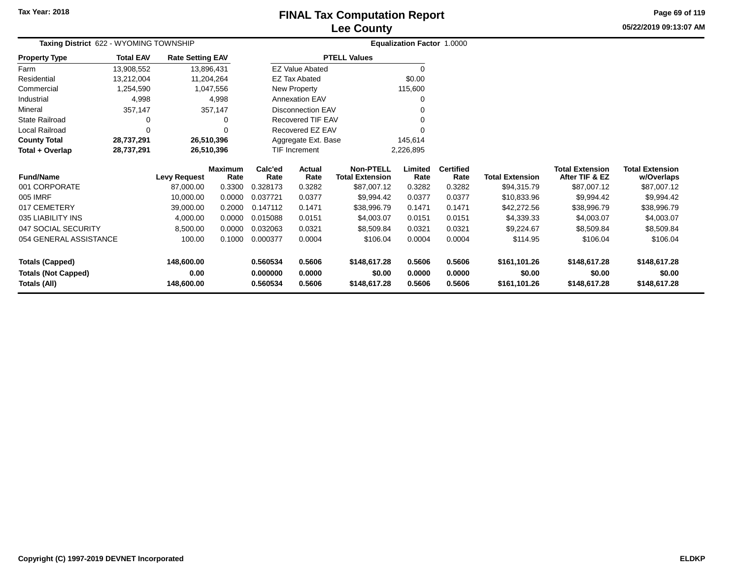# **Lee CountyFINAL Tax Computation Report**

**05/22/2019 09:13:07 AM Page 69 of 119**

| Taxing District 622 - WYOMING TOWNSHIP |                  |                         |                        |                 | Equalization Factor 1.0000 |                                            |                 |                          |                        |                                          |                                      |
|----------------------------------------|------------------|-------------------------|------------------------|-----------------|----------------------------|--------------------------------------------|-----------------|--------------------------|------------------------|------------------------------------------|--------------------------------------|
| <b>Property Type</b>                   | <b>Total EAV</b> | <b>Rate Setting EAV</b> |                        |                 |                            | <b>PTELL Values</b>                        |                 |                          |                        |                                          |                                      |
| Farm                                   | 13,908,552       | 13,896,431              |                        |                 | <b>EZ Value Abated</b>     |                                            | 0               |                          |                        |                                          |                                      |
| Residential                            | 13,212,004       |                         | 11,204,264             |                 | <b>EZ Tax Abated</b>       |                                            | \$0.00          |                          |                        |                                          |                                      |
| Commercial                             | 1,254,590        |                         | 1,047,556              |                 | New Property               |                                            | 115,600         |                          |                        |                                          |                                      |
| Industrial                             | 4,998            |                         | 4,998                  |                 | <b>Annexation EAV</b>      |                                            | 0               |                          |                        |                                          |                                      |
| Mineral                                | 357,147          |                         | 357,147                |                 | <b>Disconnection EAV</b>   |                                            | 0               |                          |                        |                                          |                                      |
| <b>State Railroad</b>                  | 0                |                         | 0                      |                 | Recovered TIF EAV          |                                            | 0               |                          |                        |                                          |                                      |
| Local Railroad                         | 0                |                         |                        |                 | Recovered EZ EAV           |                                            | 0               |                          |                        |                                          |                                      |
| <b>County Total</b>                    | 28,737,291       |                         | 26,510,396             |                 | Aggregate Ext. Base        |                                            | 145,614         |                          |                        |                                          |                                      |
| Total + Overlap                        | 28,737,291       |                         | 26,510,396             | TIF Increment   |                            |                                            | 2,226,895       |                          |                        |                                          |                                      |
| <b>Fund/Name</b>                       |                  | <b>Levy Request</b>     | <b>Maximum</b><br>Rate | Calc'ed<br>Rate | <b>Actual</b><br>Rate      | <b>Non-PTELL</b><br><b>Total Extension</b> | Limited<br>Rate | <b>Certified</b><br>Rate | <b>Total Extension</b> | <b>Total Extension</b><br>After TIF & EZ | <b>Total Extension</b><br>w/Overlaps |
| 001 CORPORATE                          |                  | 87,000.00               | 0.3300                 | 0.328173        | 0.3282                     | \$87,007.12                                | 0.3282          | 0.3282                   | \$94,315.79            | \$87,007.12                              | \$87,007.12                          |
| 005 IMRF                               |                  | 10,000.00               | 0.0000                 | 0.037721        | 0.0377                     | \$9,994.42                                 | 0.0377          | 0.0377                   | \$10,833.96            | \$9,994.42                               | \$9,994.42                           |
| 017 CEMETERY                           |                  | 39,000.00               | 0.2000                 | 0.147112        | 0.1471                     | \$38,996.79                                | 0.1471          | 0.1471                   | \$42,272.56            | \$38,996.79                              | \$38,996.79                          |
| 035 LIABILITY INS                      |                  | 4,000.00                | 0.0000                 | 0.015088        | 0.0151                     | \$4,003.07                                 | 0.0151          | 0.0151                   | \$4,339.33             | \$4,003.07                               | \$4,003.07                           |
| 047 SOCIAL SECURITY                    |                  | 8,500.00                | 0.0000                 | 0.032063        | 0.0321                     | \$8,509.84                                 | 0.0321          | 0.0321                   | \$9,224.67             | \$8,509.84                               | \$8,509.84                           |
| 054 GENERAL ASSISTANCE                 |                  | 100.00                  | 0.1000                 | 0.000377        | 0.0004                     | \$106.04                                   | 0.0004          | 0.0004                   | \$114.95               | \$106.04                                 | \$106.04                             |
| <b>Totals (Capped)</b>                 |                  | 148,600.00              |                        | 0.560534        | 0.5606                     | \$148,617.28                               | 0.5606          | 0.5606                   | \$161,101.26           | \$148,617.28                             | \$148,617.28                         |
| <b>Totals (Not Capped)</b>             |                  | 0.00                    |                        | 0.000000        | 0.0000                     | \$0.00                                     | 0.0000          | 0.0000                   | \$0.00                 | \$0.00                                   | \$0.00                               |
| <b>Totals (All)</b>                    |                  | 148,600.00              |                        | 0.560534        | 0.5606<br>\$148,617.28     |                                            | 0.5606          | 0.5606                   | \$161,101.26           | \$148,617.28                             | \$148,617.28                         |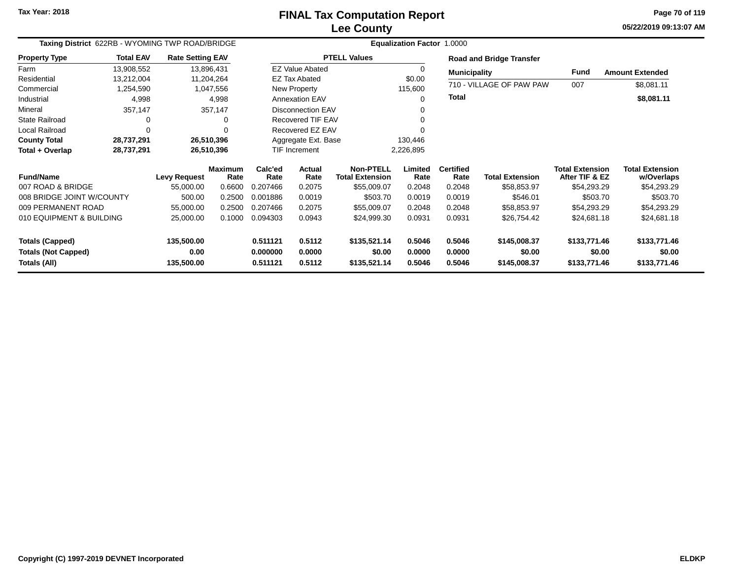**05/22/2019 09:13:07 AM Page 70 of 119**

| Taxing District 622RB - WYOMING TWP ROAD/BRIDGE |                  |                         |                        | Equalization Factor 1.0000 |                          |                                            |                                 |                          |                          |                                          |                                      |  |
|-------------------------------------------------|------------------|-------------------------|------------------------|----------------------------|--------------------------|--------------------------------------------|---------------------------------|--------------------------|--------------------------|------------------------------------------|--------------------------------------|--|
| <b>Property Type</b>                            | <b>Total EAV</b> | <b>Rate Setting EAV</b> |                        |                            |                          | <b>PTELL Values</b>                        | <b>Road and Bridge Transfer</b> |                          |                          |                                          |                                      |  |
| Farm                                            | 13,908,552       | 13,896,431              |                        |                            | <b>EZ Value Abated</b>   |                                            | O                               | <b>Municipality</b>      |                          | <b>Fund</b>                              | <b>Amount Extended</b>               |  |
| Residential                                     | 13,212,004       | 11,204,264              |                        |                            | <b>EZ Tax Abated</b>     |                                            | \$0.00                          |                          |                          |                                          |                                      |  |
| Commercial                                      | 1,254,590        |                         | 1,047,556              | <b>New Property</b>        |                          |                                            | 115,600                         |                          | 710 - VILLAGE OF PAW PAW | 007                                      | \$8,081.11                           |  |
| Industrial                                      | 4,998            |                         | 4,998                  | <b>Annexation EAV</b>      |                          |                                            | 0                               | Total                    |                          |                                          | \$8,081.11                           |  |
| Mineral                                         | 357,147          |                         | 357,147                | <b>Disconnection EAV</b>   |                          |                                            | O                               |                          |                          |                                          |                                      |  |
| <b>State Railroad</b>                           | 0                |                         | $\Omega$               |                            | <b>Recovered TIF EAV</b> |                                            | $\Omega$                        |                          |                          |                                          |                                      |  |
| Local Railroad                                  | 0                |                         | 0                      | Recovered EZ EAV           |                          |                                            |                                 |                          |                          |                                          |                                      |  |
| <b>County Total</b>                             | 28,737,291       | 26,510,396              |                        | Aggregate Ext. Base        |                          |                                            | 130,446                         |                          |                          |                                          |                                      |  |
| Total + Overlap                                 | 28,737,291       | 26,510,396              |                        |                            | TIF Increment            | 2,226,895                                  |                                 |                          |                          |                                          |                                      |  |
| <b>Fund/Name</b>                                |                  | <b>Levy Request</b>     | <b>Maximum</b><br>Rate | Calc'ed<br>Rate            | Actual<br>Rate           | <b>Non-PTELL</b><br><b>Total Extension</b> | Limited<br>Rate                 | <b>Certified</b><br>Rate | <b>Total Extension</b>   | <b>Total Extension</b><br>After TIF & EZ | <b>Total Extension</b><br>w/Overlaps |  |
| 007 ROAD & BRIDGE                               |                  | 55,000.00               | 0.6600                 | 0.207466                   | 0.2075                   | \$55,009.07                                | 0.2048                          | 0.2048                   | \$58,853.97              | \$54,293.29                              | \$54,293.29                          |  |
| 008 BRIDGE JOINT W/COUNTY                       |                  | 500.00                  | 0.2500                 | 0.001886                   | 0.0019                   | \$503.70                                   | 0.0019                          | 0.0019                   | \$546.01                 | \$503.70                                 | \$503.70                             |  |
| 009 PERMANENT ROAD                              |                  | 55,000.00               | 0.2500                 | 0.207466                   | 0.2075                   | \$55,009.07                                | 0.2048                          | 0.2048                   | \$58,853.97              | \$54,293.29                              | \$54,293.29                          |  |
| 010 EQUIPMENT & BUILDING                        |                  | 25,000.00               | 0.1000                 | 0.094303                   | 0.0943                   | \$24,999.30                                | 0.0931                          | 0.0931                   | \$26,754.42              | \$24,681.18                              | \$24,681.18                          |  |
| <b>Totals (Capped)</b>                          |                  | 135,500.00              |                        | 0.511121                   | 0.5112                   | \$135,521.14                               | 0.5046                          | 0.5046                   | \$145,008.37             | \$133,771.46                             | \$133,771.46                         |  |
| <b>Totals (Not Capped)</b><br>Totals (All)      |                  | 0.00<br>135,500.00      |                        | 0.000000<br>0.511121       | 0.0000<br>0.5112         | \$0.00<br>\$135,521.14                     | 0.0000<br>0.5046                | 0.0000<br>0.5046         | \$0.00<br>\$145,008.37   | \$0.00<br>\$133,771.46                   | \$0.00<br>\$133,771.46               |  |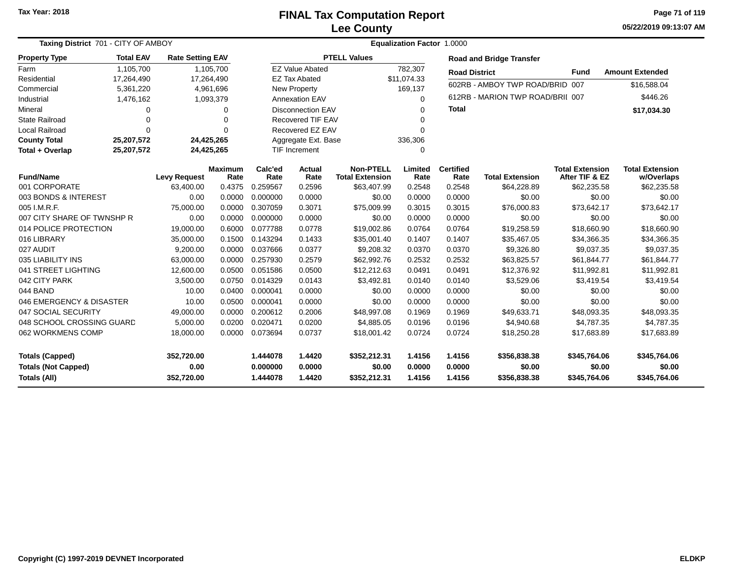### **Lee CountyFINAL Tax Computation Report**

**05/22/2019 09:13:07 AM Page 71 of 119**

| Taxing District 701 - CITY OF AMBOY | <b>Equalization Factor 1.0000</b> |                         |                        |                 |                                  |                                            |                 |                          |                                  |                                          |                                      |
|-------------------------------------|-----------------------------------|-------------------------|------------------------|-----------------|----------------------------------|--------------------------------------------|-----------------|--------------------------|----------------------------------|------------------------------------------|--------------------------------------|
| <b>Property Type</b>                | <b>Total EAV</b>                  | <b>Rate Setting EAV</b> |                        |                 |                                  | <b>PTELL Values</b>                        |                 |                          | <b>Road and Bridge Transfer</b>  |                                          |                                      |
| Farm                                | 1,105,700                         |                         | 1,105,700              |                 | <b>EZ Value Abated</b>           |                                            | 782,307         | <b>Road District</b>     |                                  | <b>Fund</b>                              | <b>Amount Extended</b>               |
| Residential                         | 17,264,490                        | 17,264,490              |                        |                 | <b>EZ Tax Abated</b>             |                                            | \$11,074.33     |                          | 602RB - AMBOY TWP ROAD/BRID 007  |                                          |                                      |
| Commercial                          | 5,361,220                         |                         | 4,961,696              |                 | <b>New Property</b>              |                                            | 169,137         |                          |                                  |                                          | \$16,588.04                          |
| Industrial                          | 1,476,162                         |                         | 1,093,379              |                 | <b>Annexation EAV</b>            |                                            | $\Omega$        |                          | 612RB - MARION TWP ROAD/BRII 007 |                                          | \$446.26                             |
| Mineral                             | 0                                 |                         | $\Omega$               |                 | <b>Disconnection EAV</b>         |                                            | $\Omega$        | <b>Total</b>             |                                  |                                          | \$17,034.30                          |
| State Railroad                      | $\mathbf 0$                       |                         | $\Omega$               |                 | <b>Recovered TIF EAV</b>         |                                            |                 |                          |                                  |                                          |                                      |
| <b>Local Railroad</b>               | $\Omega$                          |                         | $\Omega$               |                 | Recovered EZ EAV<br>$\Omega$     |                                            |                 |                          |                                  |                                          |                                      |
| <b>County Total</b>                 | 25,207,572                        |                         | 24,425,265             |                 | Aggregate Ext. Base              |                                            | 336,306         |                          |                                  |                                          |                                      |
| Total + Overlap                     | 25,207,572                        | 24,425,265              |                        |                 | <b>TIF Increment</b><br>$\Omega$ |                                            |                 |                          |                                  |                                          |                                      |
| <b>Fund/Name</b>                    |                                   | <b>Levy Request</b>     | <b>Maximum</b><br>Rate | Calc'ed<br>Rate | <b>Actual</b><br>Rate            | <b>Non-PTELL</b><br><b>Total Extension</b> | Limited<br>Rate | <b>Certified</b><br>Rate | <b>Total Extension</b>           | <b>Total Extension</b><br>After TIF & EZ | <b>Total Extension</b><br>w/Overlaps |
| 001 CORPORATE                       |                                   | 63.400.00               | 0.4375                 | 0.259567        | 0.2596                           | \$63,407.99                                | 0.2548          | 0.2548                   | \$64,228.89                      | \$62,235.58                              | \$62,235.58                          |
| 003 BONDS & INTEREST                |                                   | 0.00                    | 0.0000                 | 0.000000        | 0.0000                           | \$0.00                                     | 0.0000          | 0.0000                   | \$0.00                           | \$0.00                                   | \$0.00                               |
| 005 I.M.R.F.                        |                                   | 75,000.00               | 0.0000                 | 0.307059        | 0.3071                           | \$75,009.99                                | 0.3015          | 0.3015                   | \$76,000.83                      | \$73,642.17                              | \$73,642.17                          |
| 007 CITY SHARE OF TWNSHP R          |                                   | 0.00                    | 0.0000                 | 0.000000        | 0.0000                           | \$0.00                                     | 0.0000          | 0.0000                   | \$0.00                           | \$0.00                                   | \$0.00                               |
| 014 POLICE PROTECTION               |                                   | 19,000.00               | 0.6000                 | 0.077788        | 0.0778                           | \$19,002.86                                | 0.0764          | 0.0764                   | \$19,258.59                      | \$18,660.90                              | \$18,660.90                          |
| 016 LIBRARY                         |                                   | 35,000.00               | 0.1500                 | 0.143294        | 0.1433                           | \$35,001.40                                | 0.1407          | 0.1407                   | \$35,467.05                      | \$34,366.35                              | \$34,366.35                          |
| 027 AUDIT                           |                                   | 9,200.00                | 0.0000                 | 0.037666        | 0.0377                           | \$9,208.32                                 | 0.0370          | 0.0370                   | \$9,326.80                       | \$9,037.35                               | \$9,037.35                           |
| 035 LIABILITY INS                   |                                   | 63,000.00               | 0.0000                 | 0.257930        | 0.2579                           | \$62,992.76                                | 0.2532          | 0.2532                   | \$63,825.57                      | \$61,844.77                              | \$61,844.77                          |
| 041 STREET LIGHTING                 |                                   | 12,600.00               | 0.0500                 | 0.051586        | 0.0500                           | \$12,212.63                                | 0.0491          | 0.0491                   | \$12,376.92                      | \$11,992.81                              | \$11,992.81                          |
| 042 CITY PARK                       |                                   | 3,500.00                | 0.0750                 | 0.014329        | 0.0143                           | \$3,492.81                                 | 0.0140          | 0.0140                   | \$3,529.06                       | \$3,419.54                               | \$3,419.54                           |
| 044 BAND                            |                                   | 10.00                   | 0.0400                 | 0.000041        | 0.0000                           | \$0.00                                     | 0.0000          | 0.0000                   | \$0.00                           | \$0.00                                   | \$0.00                               |
| 046 EMERGENCY & DISASTER            |                                   | 10.00                   | 0.0500                 | 0.000041        | 0.0000                           | \$0.00                                     | 0.0000          | 0.0000                   | \$0.00                           | \$0.00                                   | \$0.00                               |
| 047 SOCIAL SECURITY                 |                                   | 49,000.00               | 0.0000                 | 0.200612        | 0.2006                           | \$48,997.08                                | 0.1969          | 0.1969                   | \$49,633.71                      | \$48,093.35                              | \$48,093.35                          |
| 048 SCHOOL CROSSING GUARD           |                                   | 5,000.00                | 0.0200                 | 0.020471        | 0.0200                           | \$4,885.05                                 | 0.0196          | 0.0196                   | \$4,940.68                       | \$4,787.35                               | \$4,787.35                           |
| 062 WORKMENS COMP                   |                                   | 18,000.00               | 0.0000                 | 0.073694        | 0.0737                           | \$18,001.42                                | 0.0724          | 0.0724                   | \$18,250.28                      | \$17,683.89                              | \$17,683.89                          |
| <b>Totals (Capped)</b>              |                                   | 352,720.00              |                        | 1.444078        | 1.4420                           | \$352,212.31                               | 1.4156          | 1.4156                   | \$356,838.38                     | \$345,764.06                             | \$345,764.06                         |
| <b>Totals (Not Capped)</b>          |                                   | 0.00                    |                        | 0.000000        | 0.0000                           | \$0.00                                     | 0.0000          | 0.0000                   | \$0.00                           | \$0.00                                   | \$0.00                               |
| Totals (All)                        |                                   | 352,720.00              |                        | 1.444078        | 1.4420                           | \$352,212.31                               | 1.4156          | 1.4156                   | \$356,838.38                     | \$345,764.06                             | \$345,764.06                         |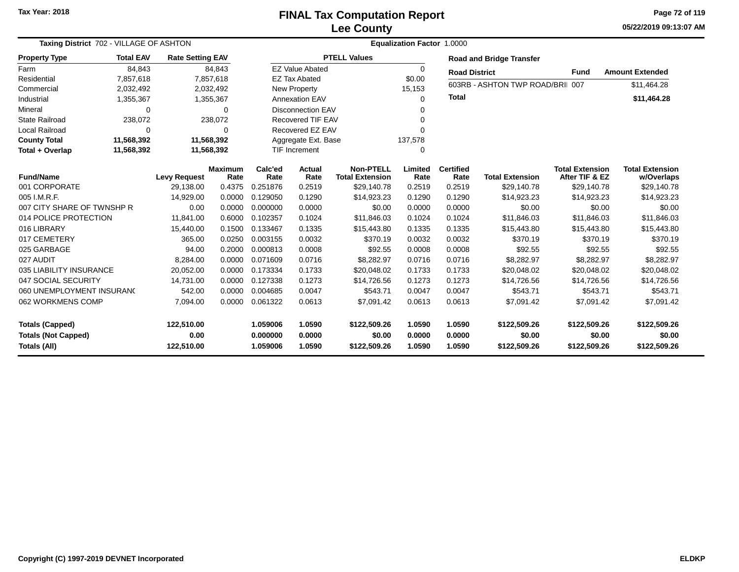**05/22/2019 09:13:07 AM Page 72 of 119**

| Taxing District 702 - VILLAGE OF ASHTON                              |                  |                                  |                        | Equalization Factor 1.0000       |                            |                                            |                            |                            |                                        |                                          |                                        |  |  |
|----------------------------------------------------------------------|------------------|----------------------------------|------------------------|----------------------------------|----------------------------|--------------------------------------------|----------------------------|----------------------------|----------------------------------------|------------------------------------------|----------------------------------------|--|--|
| <b>Property Type</b>                                                 | <b>Total EAV</b> | <b>Rate Setting EAV</b>          |                        |                                  |                            | <b>PTELL Values</b>                        |                            |                            | <b>Road and Bridge Transfer</b>        |                                          |                                        |  |  |
| Farm                                                                 | 84,843           |                                  | 84,843                 |                                  | <b>EZ Value Abated</b>     |                                            | $\Omega$                   | <b>Road District</b>       |                                        | <b>Fund</b>                              | <b>Amount Extended</b>                 |  |  |
| Residential                                                          | 7,857,618        |                                  | 7,857,618              |                                  | <b>EZ Tax Abated</b>       |                                            | \$0.00                     |                            | 603RB - ASHTON TWP ROAD/BRII 007       |                                          |                                        |  |  |
| Commercial                                                           | 2,032,492        |                                  | 2,032,492              |                                  | New Property               |                                            | 15,153                     |                            |                                        |                                          | \$11,464.28                            |  |  |
| Industrial                                                           | 1,355,367        |                                  | 1,355,367              | Annexation EAV                   |                            |                                            | 0                          | <b>Total</b>               |                                        |                                          | \$11,464.28                            |  |  |
| Mineral                                                              | 0                |                                  | 0                      | <b>Disconnection EAV</b>         |                            |                                            |                            |                            |                                        |                                          |                                        |  |  |
| <b>State Railroad</b>                                                | 238,072          |                                  | 238,072                |                                  | Recovered TIF EAV          |                                            |                            |                            |                                        |                                          |                                        |  |  |
| Local Railroad                                                       | $\Omega$         |                                  | $\Omega$               |                                  | Recovered EZ EAV           |                                            |                            |                            |                                        |                                          |                                        |  |  |
| <b>County Total</b>                                                  | 11,568,392       |                                  | 11,568,392             |                                  | Aggregate Ext. Base        |                                            |                            |                            |                                        |                                          |                                        |  |  |
| Total + Overlap                                                      | 11,568,392       |                                  | 11,568,392             |                                  | <b>TIF Increment</b>       |                                            | $\Omega$                   |                            |                                        |                                          |                                        |  |  |
| <b>Fund/Name</b>                                                     |                  | <b>Levy Request</b>              | <b>Maximum</b><br>Rate | Calc'ed<br>Rate                  | <b>Actual</b><br>Rate      | <b>Non-PTELL</b><br><b>Total Extension</b> | Limited<br>Rate            | <b>Certified</b><br>Rate   | <b>Total Extension</b>                 | <b>Total Extension</b><br>After TIF & EZ | <b>Total Extension</b><br>w/Overlaps   |  |  |
| 001 CORPORATE                                                        |                  | 29,138.00                        | 0.4375                 | 0.251876                         | 0.2519                     | \$29,140.78                                | 0.2519                     | 0.2519                     | \$29,140.78                            | \$29,140.78                              | \$29,140.78                            |  |  |
| 005 I.M.R.F.                                                         |                  | 14,929.00                        | 0.0000                 | 0.129050                         | 0.1290                     | \$14,923.23                                | 0.1290                     | 0.1290                     | \$14,923.23                            | \$14,923.23                              | \$14,923.23                            |  |  |
| 007 CITY SHARE OF TWNSHP R                                           |                  | 0.00                             | 0.0000                 | 0.000000                         | 0.0000                     | \$0.00                                     | 0.0000                     | 0.0000                     | \$0.00                                 | \$0.00                                   | \$0.00                                 |  |  |
| 014 POLICE PROTECTION                                                |                  | 11,841.00                        | 0.6000                 | 0.102357                         | 0.1024                     | \$11,846.03                                | 0.1024                     | 0.1024                     | \$11,846.03                            | \$11,846.03                              | \$11,846.03                            |  |  |
| 016 LIBRARY                                                          |                  | 15,440.00                        | 0.1500                 | 0.133467                         | 0.1335                     | \$15,443.80                                | 0.1335                     | 0.1335                     | \$15,443.80                            | \$15,443.80                              | \$15,443.80                            |  |  |
| 017 CEMETERY                                                         |                  | 365.00                           | 0.0250                 | 0.003155                         | 0.0032                     | \$370.19                                   | 0.0032                     | 0.0032                     | \$370.19                               | \$370.19                                 | \$370.19                               |  |  |
| 025 GARBAGE                                                          |                  | 94.00                            | 0.2000                 | 0.000813                         | 0.0008                     | \$92.55                                    | 0.0008                     | 0.0008                     | \$92.55                                | \$92.55                                  | \$92.55                                |  |  |
| 027 AUDIT                                                            |                  | 8,284.00                         | 0.0000                 | 0.071609                         | 0.0716                     | \$8,282.97                                 | 0.0716                     | 0.0716                     | \$8,282.97                             | \$8,282.97                               | \$8,282.97                             |  |  |
| 035 LIABILITY INSURANCE                                              |                  | 20,052.00                        | 0.0000                 | 0.173334                         | 0.1733                     | \$20,048.02                                | 0.1733                     | 0.1733                     | \$20,048.02                            | \$20,048.02                              | \$20,048.02                            |  |  |
| 047 SOCIAL SECURITY                                                  |                  | 14,731.00                        | 0.0000                 | 0.127338                         | 0.1273                     | \$14,726.56                                | 0.1273                     | 0.1273                     | \$14,726.56                            | \$14,726.56                              | \$14,726.56                            |  |  |
| 060 UNEMPLOYMENT INSURANC                                            |                  | 542.00                           | 0.0000                 | 0.004685                         | 0.0047                     | \$543.71                                   | 0.0047                     | 0.0047                     | \$543.71                               | \$543.71                                 | \$543.71                               |  |  |
| 062 WORKMENS COMP                                                    |                  | 7,094.00                         | 0.0000                 | 0.061322                         | 0.0613                     | \$7.091.42                                 | 0.0613                     | 0.0613                     | \$7,091.42                             | \$7,091.42                               | \$7,091.42                             |  |  |
| <b>Totals (Capped)</b><br><b>Totals (Not Capped)</b><br>Totals (All) |                  | 122,510.00<br>0.00<br>122,510.00 |                        | 1.059006<br>0.000000<br>1.059006 | 1.0590<br>0.0000<br>1.0590 | \$122,509.26<br>\$0.00<br>\$122,509.26     | 1.0590<br>0.0000<br>1.0590 | 1.0590<br>0.0000<br>1.0590 | \$122,509.26<br>\$0.00<br>\$122,509.26 | \$122,509.26<br>\$0.00<br>\$122,509.26   | \$122,509.26<br>\$0.00<br>\$122,509.26 |  |  |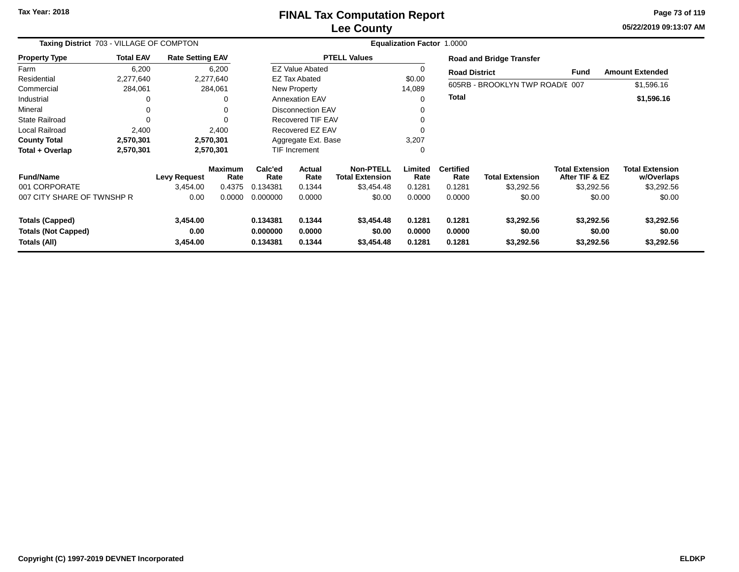**05/22/2019 09:13:07 AM Page 73 of 119**

|                                                                                                      | Taxing District 703 - VILLAGE OF COMPTON |                         |                                                                |                 | <b>Equalization Factor 1.0000</b>  |                                            |                            |                                    |                                    |                                          |                                      |  |  |  |
|------------------------------------------------------------------------------------------------------|------------------------------------------|-------------------------|----------------------------------------------------------------|-----------------|------------------------------------|--------------------------------------------|----------------------------|------------------------------------|------------------------------------|------------------------------------------|--------------------------------------|--|--|--|
| <b>Property Type</b>                                                                                 | <b>Total EAV</b>                         | <b>Rate Setting EAV</b> |                                                                |                 |                                    | <b>PTELL Values</b>                        |                            |                                    | <b>Road and Bridge Transfer</b>    |                                          |                                      |  |  |  |
| Farm                                                                                                 | 6,200                                    |                         | 6,200                                                          |                 | <b>EZ Value Abated</b>             |                                            |                            | <b>Road District</b>               |                                    | <b>Fund</b>                              | <b>Amount Extended</b>               |  |  |  |
| Residential                                                                                          | 2,277,640                                |                         | 2,277,640                                                      |                 | <b>EZ Tax Abated</b>               |                                            | \$0.00                     |                                    |                                    |                                          |                                      |  |  |  |
| Commercial                                                                                           | 284,061                                  |                         | 284,061                                                        |                 | <b>New Property</b>                |                                            | 14,089                     |                                    | 605RB - BROOKLYN TWP ROAD/E 007    |                                          | \$1,596.16                           |  |  |  |
| Industrial                                                                                           | $\Omega$                                 |                         | 0                                                              |                 | <b>Annexation EAV</b>              |                                            | 0                          | <b>Total</b>                       |                                    |                                          | \$1,596.16                           |  |  |  |
| Mineral                                                                                              | 0                                        |                         | 0                                                              |                 | <b>Disconnection EAV</b>           |                                            |                            |                                    |                                    |                                          |                                      |  |  |  |
| <b>State Railroad</b>                                                                                | $\Omega$                                 |                         |                                                                |                 | <b>Recovered TIF EAV</b>           |                                            |                            |                                    |                                    |                                          |                                      |  |  |  |
| Local Railroad                                                                                       | 2,400                                    |                         | 2,400                                                          |                 | Recovered EZ EAV                   |                                            |                            |                                    |                                    |                                          |                                      |  |  |  |
| <b>County Total</b>                                                                                  | 2,570,301                                |                         | 2,570,301                                                      |                 | Aggregate Ext. Base                |                                            | 3,207                      |                                    |                                    |                                          |                                      |  |  |  |
| Total + Overlap                                                                                      | 2,570,301                                |                         | 2,570,301                                                      |                 | TIF Increment                      |                                            | 0                          |                                    |                                    |                                          |                                      |  |  |  |
| <b>Fund/Name</b>                                                                                     |                                          | <b>Levy Request</b>     | <b>Maximum</b><br>Rate                                         | Calc'ed<br>Rate | <b>Actual</b><br>Rate              | <b>Non-PTELL</b><br><b>Total Extension</b> | Limited<br>Rate            | <b>Certified</b><br>Rate           | <b>Total Extension</b>             | <b>Total Extension</b><br>After TIF & EZ | <b>Total Extension</b><br>w/Overlaps |  |  |  |
| 001 CORPORATE                                                                                        |                                          | 3,454.00                | 0.4375                                                         | 0.134381        | 0.1344                             | \$3,454.48                                 | 0.1281                     | 0.1281                             | \$3,292.56                         | \$3,292.56                               | \$3,292.56                           |  |  |  |
| 007 CITY SHARE OF TWNSHP R                                                                           |                                          | 0.00                    | 0.0000                                                         | 0.000000        | 0.0000                             | \$0.00                                     | 0.0000                     | 0.0000                             | \$0.00                             | \$0.00                                   | \$0.00                               |  |  |  |
| 3,454.00<br><b>Totals (Capped)</b><br>0.00<br><b>Totals (Not Capped)</b><br>3,454.00<br>Totals (All) |                                          |                         | 0.134381<br>0.1344<br>0.0000<br>0.000000<br>0.1344<br>0.134381 |                 | \$3,454.48<br>\$0.00<br>\$3,454.48 | 0.1281<br>0.0000<br>0.1281                 | 0.1281<br>0.0000<br>0.1281 | \$3,292.56<br>\$0.00<br>\$3,292.56 | \$3,292.56<br>\$0.00<br>\$3,292.56 | \$3,292.56<br>\$0.00<br>\$3,292.56       |                                      |  |  |  |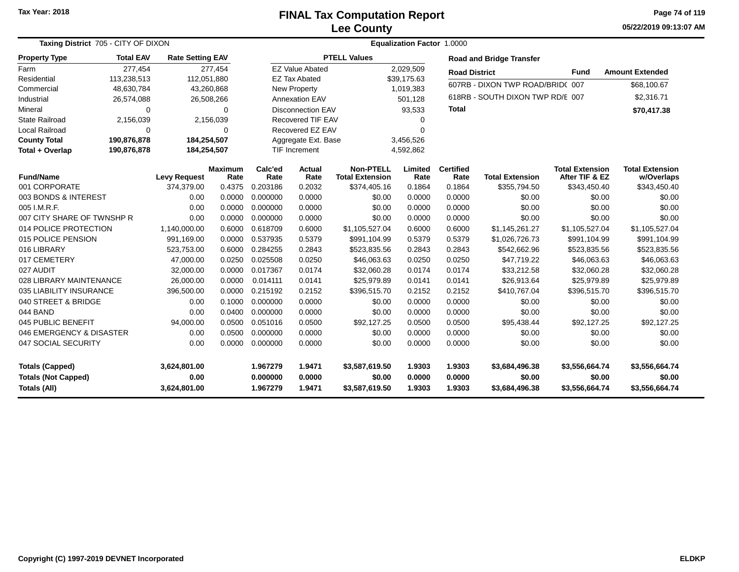#### **Lee CountyFINAL Tax Computation Report**

**05/22/2019 09:13:07 AM Page 74 of 119**

|                            | Taxing District 705 - CITY OF DIXON |                         | <b>Equalization Factor 1.0000</b> |                          |                        |                                            |                 |                          |                                  |                                          |                                      |  |
|----------------------------|-------------------------------------|-------------------------|-----------------------------------|--------------------------|------------------------|--------------------------------------------|-----------------|--------------------------|----------------------------------|------------------------------------------|--------------------------------------|--|
| <b>Property Type</b>       | <b>Total EAV</b>                    | <b>Rate Setting EAV</b> |                                   |                          |                        | <b>PTELL Values</b>                        |                 |                          | <b>Road and Bridge Transfer</b>  |                                          |                                      |  |
| Farm                       | 277,454                             |                         | 277,454                           |                          | <b>EZ Value Abated</b> |                                            | 2,029,509       | <b>Road District</b>     |                                  | <b>Fund</b>                              | <b>Amount Extended</b>               |  |
| Residential                | 113,238,513                         | 112,051,880             |                                   |                          | <b>EZ Tax Abated</b>   |                                            | \$39,175.63     |                          | 607RB - DIXON TWP ROAD/BRID(007  |                                          |                                      |  |
| Commercial                 | 48,630,784                          | 43,260,868              |                                   |                          | New Property           |                                            | 1,019,383       |                          |                                  |                                          | \$68,100.67                          |  |
| Industrial                 | 26,574,088                          | 26,508,266              |                                   |                          | <b>Annexation EAV</b>  |                                            | 501,128         |                          | 618RB - SOUTH DIXON TWP RD/E 007 |                                          | \$2,316.71                           |  |
| Mineral                    | $\Omega$                            |                         | 0                                 | <b>Disconnection EAV</b> |                        |                                            | 93,533          |                          |                                  |                                          | \$70,417.38                          |  |
| <b>State Railroad</b>      | 2,156,039                           |                         | 2,156,039                         | <b>Recovered TIF EAV</b> |                        |                                            | 0               |                          |                                  |                                          |                                      |  |
| Local Railroad             | $\Omega$                            |                         | 0                                 |                          | Recovered EZ EAV       | $\Omega$                                   |                 |                          |                                  |                                          |                                      |  |
| <b>County Total</b>        | 190,876,878                         | 184,254,507             |                                   |                          | Aggregate Ext. Base    | 3,456,526                                  |                 |                          |                                  |                                          |                                      |  |
| Total + Overlap            | 190,876,878                         | 184,254,507             |                                   | <b>TIF Increment</b>     |                        | 4,592,862                                  |                 |                          |                                  |                                          |                                      |  |
| <b>Fund/Name</b>           |                                     | <b>Levy Request</b>     | <b>Maximum</b><br>Rate            |                          | <b>Actual</b><br>Rate  | <b>Non-PTELL</b><br><b>Total Extension</b> | Limited<br>Rate | <b>Certified</b><br>Rate | <b>Total Extension</b>           | <b>Total Extension</b><br>After TIF & EZ | <b>Total Extension</b><br>w/Overlaps |  |
| 001 CORPORATE              |                                     | 374,379.00              | 0.4375                            | Rate<br>0.203186         | 0.2032                 | \$374,405.16                               | 0.1864          | 0.1864                   | \$355,794.50                     | \$343,450.40                             | \$343,450.40                         |  |
| 003 BONDS & INTEREST       | 0.00                                |                         | 0.0000                            | 0.000000                 | 0.0000                 | \$0.00                                     | 0.0000          | 0.0000                   | \$0.00                           | \$0.00                                   | \$0.00                               |  |
| 005 I.M.R.F.               |                                     | 0.00                    | 0.0000                            | 0.000000                 | 0.0000                 | \$0.00                                     | 0.0000          | 0.0000                   | \$0.00                           | \$0.00                                   | \$0.00                               |  |
| 007 CITY SHARE OF TWNSHP R |                                     | 0.00                    | 0.0000                            | 0.000000                 | 0.0000                 | \$0.00                                     | 0.0000          | 0.0000                   | \$0.00                           | \$0.00                                   | \$0.00                               |  |
| 014 POLICE PROTECTION      |                                     | 1,140,000.00            | 0.6000                            | 0.618709                 | 0.6000                 | \$1,105,527.04                             | 0.6000          | 0.6000                   | \$1,145,261.27                   | \$1,105,527.04                           | \$1,105,527.04                       |  |
| 015 POLICE PENSION         |                                     | 991,169.00              | 0.0000                            | 0.537935                 | 0.5379                 | \$991,104.99                               | 0.5379          | 0.5379                   | \$1,026,726.73                   | \$991,104.99                             | \$991,104.99                         |  |
| 016 LIBRARY                |                                     | 523,753.00              | 0.6000                            | 0.284255                 | 0.2843                 | \$523,835.56                               | 0.2843          | 0.2843                   | \$542,662.96                     | \$523,835.56                             | \$523,835.56                         |  |
| 017 CEMETERY               |                                     | 47,000.00               | 0.0250                            | 0.025508                 | 0.0250                 | \$46,063.63                                | 0.0250          | 0.0250                   | \$47,719.22                      | \$46,063.63                              | \$46,063.63                          |  |
| 027 AUDIT                  |                                     | 32,000.00               | 0.0000                            | 0.017367                 | 0.0174                 | \$32,060.28                                | 0.0174          | 0.0174                   | \$33,212.58                      | \$32,060.28                              | \$32,060.28                          |  |
| 028 LIBRARY MAINTENANCE    |                                     | 26,000.00               | 0.0000                            | 0.014111                 | 0.0141                 | \$25,979.89                                | 0.0141          | 0.0141                   | \$26,913.64                      | \$25,979.89                              | \$25,979.89                          |  |
| 035 LIABILITY INSURANCE    |                                     | 396,500.00              | 0.0000                            | 0.215192                 | 0.2152                 | \$396,515.70                               | 0.2152          | 0.2152                   | \$410,767.04                     | \$396,515.70                             | \$396,515.70                         |  |
| 040 STREET & BRIDGE        |                                     | 0.00                    | 0.1000                            | 0.000000                 | 0.0000                 | \$0.00                                     | 0.0000          | 0.0000                   | \$0.00                           | \$0.00                                   | \$0.00                               |  |
| 044 BAND                   |                                     | 0.00                    | 0.0400                            | 0.000000                 | 0.0000                 | \$0.00                                     | 0.0000          | 0.0000                   | \$0.00                           | \$0.00                                   | \$0.00                               |  |
| 045 PUBLIC BENEFIT         |                                     | 94,000.00               | 0.0500                            | 0.051016                 | 0.0500                 | \$92,127.25                                | 0.0500          | 0.0500                   | \$95,438.44                      | \$92,127.25                              | \$92,127.25                          |  |
| 046 EMERGENCY & DISASTER   |                                     | 0.00                    | 0.0500                            | 0.000000                 | 0.0000                 | \$0.00                                     | 0.0000          | 0.0000                   | \$0.00                           | \$0.00                                   | \$0.00                               |  |
| 047 SOCIAL SECURITY        |                                     | 0.00                    | 0.0000                            | 0.000000                 | 0.0000                 | \$0.00                                     | 0.0000          | 0.0000                   | \$0.00                           | \$0.00                                   | \$0.00                               |  |
| <b>Totals (Capped)</b>     |                                     | 3,624,801.00            |                                   | 1.967279                 | 1.9471                 | \$3,587,619.50                             | 1.9303          | 1.9303                   | \$3,684,496.38                   | \$3,556,664.74                           | \$3,556,664.74                       |  |
| <b>Totals (Not Capped)</b> |                                     | 0.00                    |                                   | 0.000000                 | 0.0000                 | \$0.00                                     | 0.0000          | 0.0000                   | \$0.00                           | \$0.00                                   | \$0.00                               |  |
| <b>Totals (All)</b>        |                                     | 3,624,801.00            |                                   | 1.967279                 | 1.9471                 | \$3,587,619.50                             | 1.9303          | 1.9303                   | \$3,684,496.38                   | \$3,556,664.74                           | \$3,556,664.74                       |  |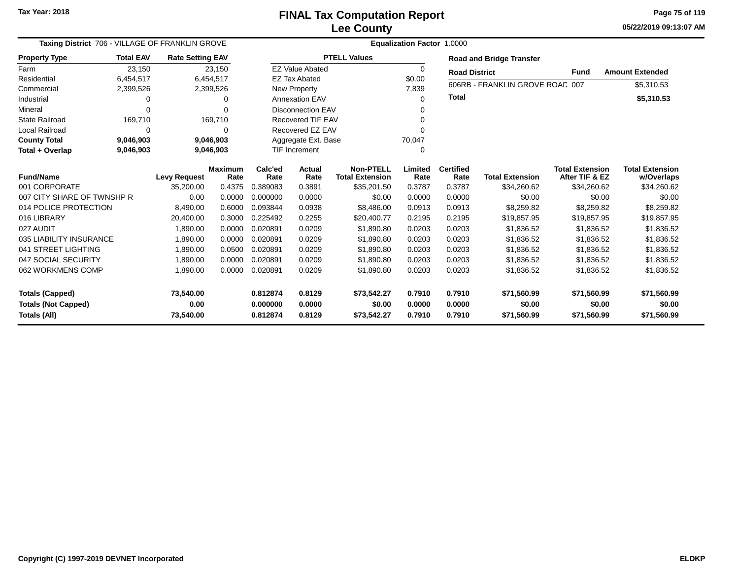**05/22/2019 09:13:07 AMPage 75 of 119**

| Taxing District 706 - VILLAGE OF FRANKLIN GROVE |                  |                         |           | <b>Equalization Factor 1.0000</b> |                          |                        |                  |                      |                                 |                        |                        |  |  |
|-------------------------------------------------|------------------|-------------------------|-----------|-----------------------------------|--------------------------|------------------------|------------------|----------------------|---------------------------------|------------------------|------------------------|--|--|
| <b>Property Type</b>                            | <b>Total EAV</b> | <b>Rate Setting EAV</b> |           |                                   |                          | <b>PTELL Values</b>    |                  |                      | <b>Road and Bridge Transfer</b> |                        |                        |  |  |
| Farm                                            | 23,150           |                         | 23,150    |                                   | <b>EZ Value Abated</b>   |                        | $\Omega$         | <b>Road District</b> |                                 | <b>Fund</b>            | <b>Amount Extended</b> |  |  |
| Residential                                     | 6,454,517        |                         | 6.454.517 |                                   | <b>EZ Tax Abated</b>     |                        | \$0.00           |                      |                                 |                        |                        |  |  |
| Commercial                                      | 2,399,526        |                         | 2,399,526 |                                   | New Property             |                        | 7,839            |                      | 606RB - FRANKLIN GROVE ROAC 007 |                        | \$5,310.53             |  |  |
| Industrial                                      | 0                |                         |           |                                   | <b>Annexation EAV</b>    |                        | $\Omega$         | <b>Total</b>         |                                 |                        | \$5,310.53             |  |  |
| Mineral                                         | $\Omega$         |                         |           |                                   | <b>Disconnection EAV</b> |                        |                  |                      |                                 |                        |                        |  |  |
| <b>State Railroad</b>                           | 169,710          |                         | 169,710   |                                   | <b>Recovered TIF EAV</b> |                        | U                |                      |                                 |                        |                        |  |  |
| <b>Local Railroad</b>                           | $\Omega$         |                         | $\Omega$  |                                   | Recovered EZ EAV         |                        | U                |                      |                                 |                        |                        |  |  |
| <b>County Total</b>                             | 9,046,903        |                         | 9,046,903 |                                   | Aggregate Ext. Base      |                        | 70,047           |                      |                                 |                        |                        |  |  |
| Total + Overlap                                 | 9,046,903        |                         | 9,046,903 | <b>TIF Increment</b>              |                          |                        | $\Omega$         |                      |                                 |                        |                        |  |  |
| <b>Fund/Name</b><br><b>Levy Request</b>         |                  | <b>Maximum</b>          | Calc'ed   | Actual                            | <b>Non-PTELL</b>         | Limited                | <b>Certified</b> |                      | <b>Total Extension</b>          | <b>Total Extension</b> |                        |  |  |
| 001 CORPORATE                                   |                  |                         | Rate      | Rate<br>0.389083                  | Rate                     | <b>Total Extension</b> | Rate             | Rate<br>0.3787       | <b>Total Extension</b>          | After TIF & EZ         | w/Overlaps             |  |  |
|                                                 |                  | 35,200.00               | 0.4375    |                                   | 0.3891                   | \$35,201.50            | 0.3787           |                      | \$34,260.62                     | \$34,260.62            | \$34,260.62            |  |  |
| 007 CITY SHARE OF TWNSHP R                      |                  | 0.00                    | 0.0000    | 0.000000                          | 0.0000                   | \$0.00                 | 0.0000           | 0.0000               | \$0.00                          | \$0.00                 | \$0.00                 |  |  |
| 014 POLICE PROTECTION                           |                  | 8,490.00                | 0.6000    | 0.093844                          | 0.0938                   | \$8,486.00             | 0.0913           | 0.0913               | \$8,259.82                      | \$8,259.82             | \$8,259.82             |  |  |
| 016 LIBRARY                                     |                  | 20,400.00               | 0.3000    | 0.225492                          | 0.2255                   | \$20,400.77            | 0.2195           | 0.2195               | \$19,857.95                     | \$19,857.95            | \$19,857.95            |  |  |
| 027 AUDIT                                       |                  | 1,890.00                | 0.0000    | 0.020891                          | 0.0209                   | \$1,890.80             | 0.0203           | 0.0203               | \$1,836.52                      | \$1,836.52             | \$1,836.52             |  |  |
| 035 LIABILITY INSURANCE                         |                  | 1,890.00                | 0.0000    | 0.020891                          | 0.0209                   | \$1,890.80             | 0.0203           | 0.0203               | \$1,836.52                      | \$1,836.52             | \$1,836.52             |  |  |
| 041 STREET LIGHTING                             |                  | 1,890.00                | 0.0500    | 0.020891                          | 0.0209                   | \$1,890.80             | 0.0203           | 0.0203               | \$1,836.52                      | \$1,836.52             | \$1,836.52             |  |  |
| 047 SOCIAL SECURITY                             |                  | 1,890.00                | 0.0000    | 0.020891                          | 0.0209                   | \$1.890.80             | 0.0203           | 0.0203               | \$1,836.52                      | \$1,836.52             | \$1,836.52             |  |  |
| 062 WORKMENS COMP                               |                  | 1,890.00                | 0.0000    | 0.020891                          | 0.0209                   | \$1,890.80             | 0.0203           | 0.0203               | \$1,836.52                      | \$1,836.52             | \$1,836.52             |  |  |
| <b>Totals (Capped)</b>                          |                  | 73,540.00               |           | 0.812874                          | 0.8129                   | \$73,542.27            | 0.7910           | 0.7910               | \$71,560.99                     | \$71,560.99            | \$71,560.99            |  |  |
| <b>Totals (Not Capped)</b>                      |                  | 0.00                    |           | 0.000000                          | 0.0000                   | \$0.00                 | 0.0000           | 0.0000               | \$0.00                          | \$0.00                 | \$0.00                 |  |  |
| Totals (All)                                    |                  | 73,540.00               |           | 0.812874                          | 0.8129                   | \$73,542.27            | 0.7910           | 0.7910               | \$71,560.99                     | \$71,560.99            | \$71,560.99            |  |  |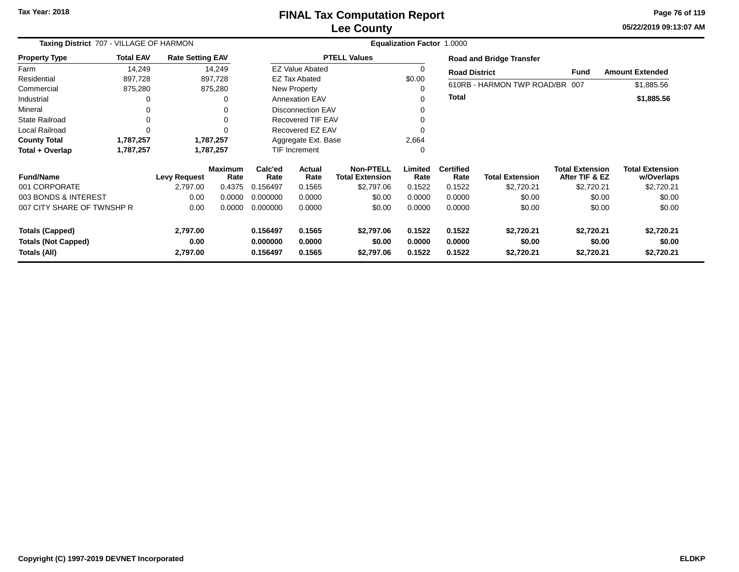### **Lee CountyFINAL Tax Computation Report**

**05/22/2019 09:13:07 AM Page 76 of 119**

| Taxing District 707 - VILLAGE OF HARMON    | Equalization Factor 1.0000 |                         |                        |                          |                                                              |                      |                  |                          |                                 |                                          |                                      |
|--------------------------------------------|----------------------------|-------------------------|------------------------|--------------------------|--------------------------------------------------------------|----------------------|------------------|--------------------------|---------------------------------|------------------------------------------|--------------------------------------|
| <b>Property Type</b>                       | <b>Total EAV</b>           | <b>Rate Setting EAV</b> |                        |                          |                                                              | <b>PTELL Values</b>  |                  |                          | <b>Road and Bridge Transfer</b> |                                          |                                      |
| Farm                                       | 14,249                     |                         | 14,249                 |                          | <b>EZ Value Abated</b>                                       |                      | 0                | <b>Road District</b>     |                                 | <b>Fund</b>                              | <b>Amount Extended</b>               |
| Residential                                | 897,728                    |                         | 897,728                |                          | <b>EZ Tax Abated</b>                                         |                      | \$0.00           |                          |                                 |                                          |                                      |
| Commercial                                 | 875,280                    |                         | 875,280                |                          | New Property                                                 |                      |                  |                          | 610RB - HARMON TWP ROAD/BR 007  |                                          | \$1,885.56                           |
| Industrial                                 | 0                          |                         | 0                      |                          | <b>Annexation EAV</b>                                        |                      |                  | <b>Total</b>             |                                 |                                          | \$1,885.56                           |
| Mineral                                    | 0                          |                         | 0                      |                          | <b>Disconnection EAV</b>                                     |                      |                  |                          |                                 |                                          |                                      |
| <b>State Railroad</b>                      | 0                          |                         | 0                      | <b>Recovered TIF EAV</b> |                                                              |                      |                  |                          |                                 |                                          |                                      |
| Local Railroad                             | 0                          |                         |                        | Recovered EZ EAV         |                                                              |                      |                  |                          |                                 |                                          |                                      |
| <b>County Total</b>                        | 1,787,257                  |                         | 1,787,257              |                          | Aggregate Ext. Base                                          |                      |                  |                          |                                 |                                          |                                      |
| Total + Overlap                            | 1,787,257                  |                         | 1,787,257              |                          | TIF Increment                                                |                      | $\Omega$         |                          |                                 |                                          |                                      |
| <b>Fund/Name</b>                           |                            | <b>Levy Request</b>     | <b>Maximum</b><br>Rate | Calc'ed<br>Rate          | <b>Non-PTELL</b><br>Actual<br>Rate<br><b>Total Extension</b> |                      | Limited<br>Rate  | <b>Certified</b><br>Rate | <b>Total Extension</b>          | <b>Total Extension</b><br>After TIF & EZ | <b>Total Extension</b><br>w/Overlaps |
| 001 CORPORATE                              |                            | 2,797.00                | 0.4375                 | 0.156497                 | 0.1565                                                       | \$2,797.06           | 0.1522           | 0.1522                   | \$2,720.21                      | \$2,720.21                               | \$2,720.21                           |
| 003 BONDS & INTEREST                       |                            | 0.00                    | 0.0000                 | 0.000000                 | 0.0000                                                       | \$0.00               | 0.0000           | 0.0000                   | \$0.00                          | \$0.00                                   | \$0.00                               |
| 007 CITY SHARE OF TWNSHP R                 |                            | 0.00                    | 0.0000                 | 0.000000                 | 0.0000                                                       | \$0.00               | 0.0000           | 0.0000                   | \$0.00                          | \$0.00                                   | \$0.00                               |
| <b>Totals (Capped)</b>                     |                            | 2,797.00                |                        | 0.156497                 | 0.1565                                                       | \$2,797.06           | 0.1522           | 0.1522                   | \$2,720.21                      | \$2,720.21                               | \$2,720.21                           |
| <b>Totals (Not Capped)</b><br>Totals (All) |                            | 0.00<br>2,797.00        |                        | 0.000000<br>0.156497     | 0.0000<br>0.1565                                             | \$0.00<br>\$2,797.06 | 0.0000<br>0.1522 | 0.0000<br>0.1522         | \$0.00<br>\$2,720.21            | \$0.00<br>\$2,720.21                     | \$0.00<br>\$2,720.21                 |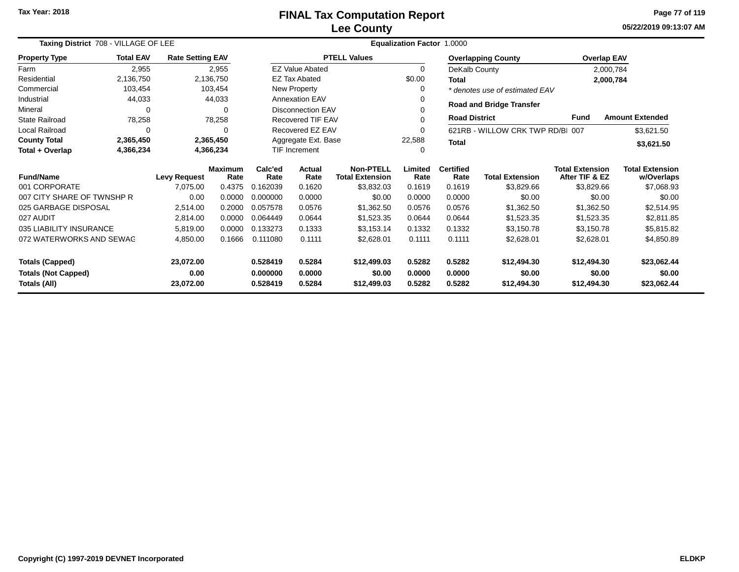**05/22/2019 09:13:07 AM Page 77 of 119**

| Taxing District 708 - VILLAGE OF LEE |                  |                         |                        | <b>Equalization Factor 1.0000</b> |                          |                                            |                 |                          |                                  |                                          |                                      |  |
|--------------------------------------|------------------|-------------------------|------------------------|-----------------------------------|--------------------------|--------------------------------------------|-----------------|--------------------------|----------------------------------|------------------------------------------|--------------------------------------|--|
| <b>Property Type</b>                 | <b>Total EAV</b> | <b>Rate Setting EAV</b> |                        |                                   |                          | <b>PTELL Values</b>                        |                 |                          | <b>Overlapping County</b>        | <b>Overlap EAV</b>                       |                                      |  |
| Farm                                 | 2,955            |                         | 2,955                  |                                   | <b>EZ Value Abated</b>   |                                            | 0               | DeKalb County            |                                  |                                          | 2,000,784                            |  |
| Residential                          | 2,136,750        |                         | 2,136,750              |                                   | <b>EZ Tax Abated</b>     |                                            | \$0.00          | Total                    |                                  |                                          | 2,000,784                            |  |
| Commercial                           | 103,454          |                         | 103,454                |                                   | <b>New Property</b>      |                                            | 0               |                          | * denotes use of estimated EAV   |                                          |                                      |  |
| Industrial                           | 44,033           |                         | 44,033                 |                                   | <b>Annexation EAV</b>    |                                            | 0               |                          |                                  |                                          |                                      |  |
| Mineral                              | $\Omega$         |                         | $\Omega$               |                                   | <b>Disconnection EAV</b> |                                            | 0               |                          | <b>Road and Bridge Transfer</b>  |                                          |                                      |  |
| <b>State Railroad</b>                | 78,258           |                         | 78,258                 |                                   | Recovered TIF EAV        |                                            | 0               | <b>Road District</b>     |                                  | <b>Fund</b>                              | <b>Amount Extended</b>               |  |
| Local Railroad                       | $\Omega$         |                         | $\Omega$               |                                   | Recovered EZ EAV         |                                            | 0               |                          | 621RB - WILLOW CRK TWP RD/BI 007 |                                          | \$3,621.50                           |  |
| <b>County Total</b>                  | 2,365,450        |                         | 2,365,450              |                                   | Aggregate Ext. Base      |                                            | 22,588          | <b>Total</b>             |                                  |                                          | \$3,621.50                           |  |
| Total + Overlap                      | 4,366,234        |                         | 4,366,234              |                                   | <b>TIF Increment</b>     |                                            | 0               |                          |                                  |                                          |                                      |  |
| <b>Fund/Name</b>                     |                  | <b>Levy Request</b>     | <b>Maximum</b><br>Rate | Calc'ed<br>Rate                   | Actual<br>Rate           | <b>Non-PTELL</b><br><b>Total Extension</b> | Limited<br>Rate | <b>Certified</b><br>Rate | <b>Total Extension</b>           | <b>Total Extension</b><br>After TIF & EZ | <b>Total Extension</b><br>w/Overlaps |  |
| 001 CORPORATE                        |                  | 7,075.00                | 0.4375                 | 0.162039                          | 0.1620                   | \$3,832.03                                 | 0.1619          | 0.1619                   | \$3,829.66                       | \$3,829.66                               | \$7,068.93                           |  |
| 007 CITY SHARE OF TWNSHP R           |                  | 0.00                    | 0.0000                 | 0.000000                          | 0.0000                   | \$0.00                                     | 0.0000          | 0.0000                   | \$0.00                           | \$0.00                                   | \$0.00                               |  |
| 025 GARBAGE DISPOSAL                 |                  | 2,514.00                | 0.2000                 | 0.057578                          | 0.0576                   | \$1,362.50                                 | 0.0576          | 0.0576                   | \$1,362.50                       | \$1,362.50                               | \$2,514.95                           |  |
| 027 AUDIT                            |                  | 2,814.00                | 0.0000                 | 0.064449                          | 0.0644                   | \$1,523.35                                 | 0.0644          | 0.0644                   | \$1,523.35                       | \$1,523.35                               | \$2,811.85                           |  |
| 035 LIABILITY INSURANCE              |                  | 5,819.00                | 0.0000                 | 0.133273                          | 0.1333                   | \$3.153.14                                 | 0.1332          | 0.1332                   | \$3,150.78                       | \$3,150.78                               | \$5,815.82                           |  |
| 072 WATERWORKS AND SEWAG             |                  | 4,850.00                | 0.1666                 | 0.111080                          | 0.1111                   | \$2,628.01                                 | 0.1111          | 0.1111                   | \$2,628.01                       | \$2,628.01                               | \$4,850.89                           |  |
| <b>Totals (Capped)</b><br>23,072.00  |                  |                         | 0.528419               | 0.5284                            | \$12,499.03              | 0.5282                                     | 0.5282          | \$12,494.30              | \$12,494.30                      | \$23,062.44                              |                                      |  |
| <b>Totals (Not Capped)</b>           |                  | 0.00                    |                        | 0.000000                          | 0.0000                   | \$0.00                                     | 0.0000          | 0.0000                   | \$0.00                           | \$0.00                                   | \$0.00                               |  |
| Totals (All)<br>23,072.00            |                  |                         | 0.528419               | 0.5284                            | \$12,499.03              | 0.5282                                     | 0.5282          | \$12,494.30              | \$12,494.30                      | \$23,062.44                              |                                      |  |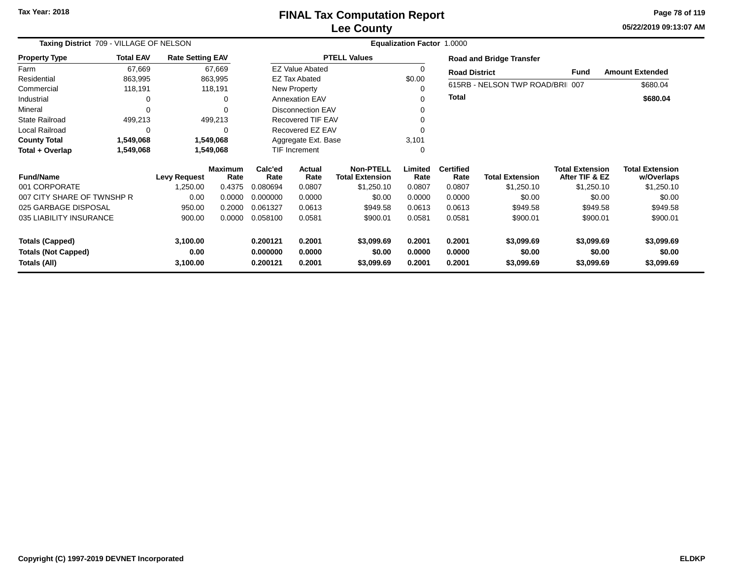# **Lee CountyFINAL Tax Computation Report**

**05/22/2019 09:13:07 AM Page 78 of 119**

| Taxing District 709 - VILLAGE OF NELSON    |                                       |                         |           | <b>Equalization Factor 1.0000</b> |                          |                                            |                  |                          |                                 |                                          |                                      |  |
|--------------------------------------------|---------------------------------------|-------------------------|-----------|-----------------------------------|--------------------------|--------------------------------------------|------------------|--------------------------|---------------------------------|------------------------------------------|--------------------------------------|--|
| <b>Property Type</b>                       | <b>Total EAV</b>                      | <b>Rate Setting EAV</b> |           |                                   |                          | <b>PTELL Values</b>                        |                  |                          | <b>Road and Bridge Transfer</b> |                                          |                                      |  |
| Farm                                       | 67,669                                |                         | 67,669    |                                   | <b>EZ Value Abated</b>   |                                            |                  | <b>Road District</b>     |                                 | Fund                                     | <b>Amount Extended</b>               |  |
| Residential                                | 863,995                               |                         | 863,995   |                                   | <b>EZ Tax Abated</b>     |                                            | \$0.00           |                          |                                 |                                          |                                      |  |
| Commercial                                 | 118,191                               |                         | 118,191   |                                   | New Property             |                                            |                  |                          | 615RB - NELSON TWP ROAD/BRI 007 |                                          | \$680.04                             |  |
| Industrial                                 | 0                                     |                         | 0         |                                   | <b>Annexation EAV</b>    |                                            | 0                | <b>Total</b>             |                                 |                                          | \$680.04                             |  |
| Mineral                                    | $\Omega$                              |                         | $\Omega$  |                                   | <b>Disconnection EAV</b> |                                            |                  |                          |                                 |                                          |                                      |  |
| <b>State Railroad</b>                      | 499,213                               |                         | 499,213   |                                   | <b>Recovered TIF EAV</b> |                                            |                  |                          |                                 |                                          |                                      |  |
| Local Railroad                             | 0                                     |                         | $\Omega$  |                                   | Recovered EZ EAV         |                                            |                  |                          |                                 |                                          |                                      |  |
| <b>County Total</b>                        | 1,549,068                             |                         | 1,549,068 |                                   | Aggregate Ext. Base      |                                            | 3,101            |                          |                                 |                                          |                                      |  |
| Total + Overlap                            | 1,549,068                             |                         | 1,549,068 |                                   | TIF Increment            |                                            | 0                |                          |                                 |                                          |                                      |  |
| <b>Fund/Name</b>                           | <b>Maximum</b><br><b>Levy Request</b> |                         | Rate      | Calc'ed<br>Rate                   | Actual<br>Rate           | <b>Non-PTELL</b><br><b>Total Extension</b> | Limited<br>Rate  | <b>Certified</b><br>Rate | <b>Total Extension</b>          | <b>Total Extension</b><br>After TIF & EZ | <b>Total Extension</b><br>w/Overlaps |  |
| 001 CORPORATE                              |                                       | 1,250.00                | 0.4375    | 0.080694                          | 0.0807                   | \$1,250.10                                 | 0.0807           | 0.0807                   | \$1,250.10                      | \$1,250.10                               | \$1,250.10                           |  |
| 007 CITY SHARE OF TWNSHP R                 |                                       | 0.00                    | 0.0000    | 0.000000                          | 0.0000                   | \$0.00                                     | 0.0000           | 0.0000                   | \$0.00                          | \$0.00                                   | \$0.00                               |  |
| 025 GARBAGE DISPOSAL                       |                                       | 950.00                  | 0.2000    | 0.061327                          | 0.0613                   | \$949.58                                   | 0.0613           | 0.0613                   | \$949.58                        | \$949.58                                 | \$949.58                             |  |
| 035 LIABILITY INSURANCE                    |                                       | 900.00                  | 0.0000    | 0.058100                          | 0.0581                   | \$900.01                                   | 0.0581           | 0.0581                   | \$900.01                        | \$900.01                                 | \$900.01                             |  |
| <b>Totals (Capped)</b>                     |                                       | 3,100.00                |           | 0.200121                          | 0.2001                   | \$3,099.69                                 | 0.2001           | 0.2001                   | \$3,099.69                      | \$3,099.69                               | \$3,099.69                           |  |
| <b>Totals (Not Capped)</b><br>Totals (All) |                                       | 0.00<br>3,100.00        |           | 0.000000<br>0.200121              | 0.0000<br>0.2001         | \$0.00<br>\$3,099.69                       | 0.0000<br>0.2001 | 0.0000<br>0.2001         | \$0.00<br>\$3,099.69            | \$0.00<br>\$3,099.69                     | \$0.00<br>\$3,099.69                 |  |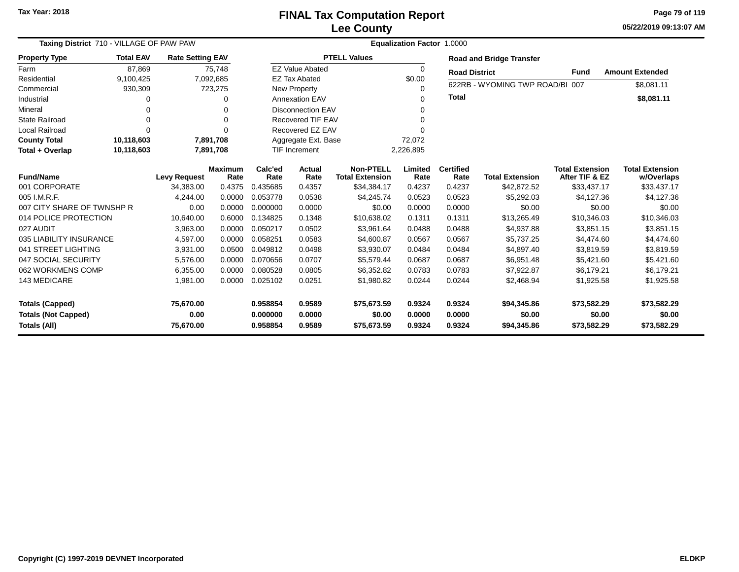**05/22/2019 09:13:07 AM Page 79 of 119**

| <b>Taxing District 710 - VILLAGE OF PAW PAW</b>                      |                  |                                |                        |                                   | 1.0000<br><b>Equalization Factor</b>                                            |                                      |                            |                            |                                          |                                      |                                      |  |
|----------------------------------------------------------------------|------------------|--------------------------------|------------------------|-----------------------------------|---------------------------------------------------------------------------------|--------------------------------------|----------------------------|----------------------------|------------------------------------------|--------------------------------------|--------------------------------------|--|
| <b>Property Type</b>                                                 | <b>Total EAV</b> | <b>Rate Setting EAV</b>        |                        |                                   |                                                                                 | <b>PTELL Values</b>                  |                            |                            | <b>Road and Bridge Transfer</b>          |                                      |                                      |  |
| Farm                                                                 | 87,869           |                                | 75,748                 |                                   | <b>EZ Value Abated</b>                                                          |                                      | 0                          | <b>Road District</b>       |                                          | Fund                                 | <b>Amount Extended</b>               |  |
| Residential                                                          | 9,100,425        |                                | 7,092,685              |                                   | <b>EZ Tax Abated</b>                                                            |                                      | \$0.00                     |                            | 622RB - WYOMING TWP ROAD/BI 007          |                                      |                                      |  |
| Commercial                                                           | 930,309          |                                | 723,275                |                                   | <b>New Property</b>                                                             |                                      | 0                          |                            |                                          |                                      | \$8,081.11                           |  |
| Industrial                                                           |                  |                                |                        |                                   | <b>Annexation EAV</b><br>0                                                      |                                      |                            | <b>Total</b>               |                                          |                                      | \$8,081.11                           |  |
| Mineral                                                              |                  |                                | ∩                      |                                   | <b>Disconnection EAV</b>                                                        |                                      |                            |                            |                                          |                                      |                                      |  |
| State Railroad                                                       | O                |                                | ∩                      | <b>Recovered TIF EAV</b><br>0     |                                                                                 |                                      |                            |                            |                                          |                                      |                                      |  |
| <b>Local Railroad</b>                                                | $\Omega$         |                                | $\Omega$               | Recovered EZ EAV                  |                                                                                 |                                      |                            |                            |                                          |                                      |                                      |  |
| <b>County Total</b>                                                  | 10,118,603       |                                | 7,891,708              |                                   | Aggregate Ext. Base<br>72,072                                                   |                                      |                            |                            |                                          |                                      |                                      |  |
| Total + Overlap                                                      | 10,118,603       |                                | 7,891,708              | <b>TIF Increment</b><br>2,226,895 |                                                                                 |                                      |                            |                            |                                          |                                      |                                      |  |
| <b>Fund/Name</b>                                                     |                  | <b>Levy Request</b>            | <b>Maximum</b><br>Rate | Calc'ed<br>Rate                   | <b>Non-PTELL</b><br>Limited<br>Actual<br>Rate<br><b>Total Extension</b><br>Rate |                                      | <b>Certified</b><br>Rate   | <b>Total Extension</b>     | <b>Total Extension</b><br>After TIF & EZ | <b>Total Extension</b><br>w/Overlaps |                                      |  |
| 001 CORPORATE                                                        |                  | 34,383.00                      | 0.4375                 | 0.435685                          | 0.4357                                                                          | \$34,384.17                          | 0.4237                     | 0.4237                     | \$42,872.52                              | \$33,437.17                          | \$33,437.17                          |  |
| 005 I.M.R.F.                                                         |                  | 4,244.00                       | 0.0000                 | 0.053778                          | 0.0538                                                                          | \$4,245.74                           | 0.0523                     | 0.0523                     | \$5,292.03                               | \$4.127.36                           | \$4,127.36                           |  |
| 007 CITY SHARE OF TWNSHP R                                           |                  | 0.00                           | 0.0000                 | 0.000000                          | 0.0000                                                                          | \$0.00                               | 0.0000                     | 0.0000                     | \$0.00                                   | \$0.00                               | \$0.00                               |  |
| 014 POLICE PROTECTION                                                |                  | 10,640.00                      | 0.6000                 | 0.134825                          | 0.1348                                                                          | \$10,638.02                          | 0.1311                     | 0.1311                     | \$13,265.49                              | \$10,346.03                          | \$10,346.03                          |  |
| 027 AUDIT                                                            |                  | 3,963.00                       | 0.0000                 | 0.050217                          | 0.0502                                                                          | \$3,961.64                           | 0.0488                     | 0.0488                     | \$4,937.88                               | \$3,851.15                           | \$3,851.15                           |  |
| 035 LIABILITY INSURANCE                                              |                  | 4,597.00                       | 0.0000                 | 0.058251                          | 0.0583                                                                          | \$4,600.87                           | 0.0567                     | 0.0567                     | \$5,737.25                               | \$4,474.60                           | \$4,474.60                           |  |
| 041 STREET LIGHTING                                                  |                  | 3,931.00                       | 0.0500                 | 0.049812                          | 0.0498                                                                          | \$3,930.07                           | 0.0484                     | 0.0484                     | \$4,897.40                               | \$3,819.59                           | \$3,819.59                           |  |
| 047 SOCIAL SECURITY                                                  |                  | 5,576.00                       | 0.0000                 | 0.070656                          | 0.0707                                                                          | \$5,579.44                           | 0.0687                     | 0.0687                     | \$6,951.48                               | \$5,421.60                           | \$5,421.60                           |  |
| 062 WORKMENS COMP                                                    |                  | 6,355.00                       | 0.0000                 | 0.080528                          | 0.0805                                                                          | \$6,352.82                           | 0.0783                     | 0.0783                     | \$7,922.87                               | \$6,179.21                           | \$6,179.21                           |  |
| 143 MEDICARE                                                         |                  | 1,981.00                       | 0.0000                 | 0.025102                          | 0.0251                                                                          | \$1,980.82                           | 0.0244                     | 0.0244                     | \$2,468.94                               | \$1,925.58                           | \$1,925.58                           |  |
| <b>Totals (Capped)</b><br><b>Totals (Not Capped)</b><br>Totals (All) |                  | 75,670.00<br>0.00<br>75,670.00 |                        | 0.958854<br>0.000000<br>0.958854  | 0.9589<br>0.0000<br>0.9589                                                      | \$75,673.59<br>\$0.00<br>\$75,673.59 | 0.9324<br>0.0000<br>0.9324 | 0.9324<br>0.0000<br>0.9324 | \$94,345.86<br>\$0.00<br>\$94,345.86     | \$73,582.29<br>\$0.00<br>\$73,582.29 | \$73,582.29<br>\$0.00<br>\$73,582.29 |  |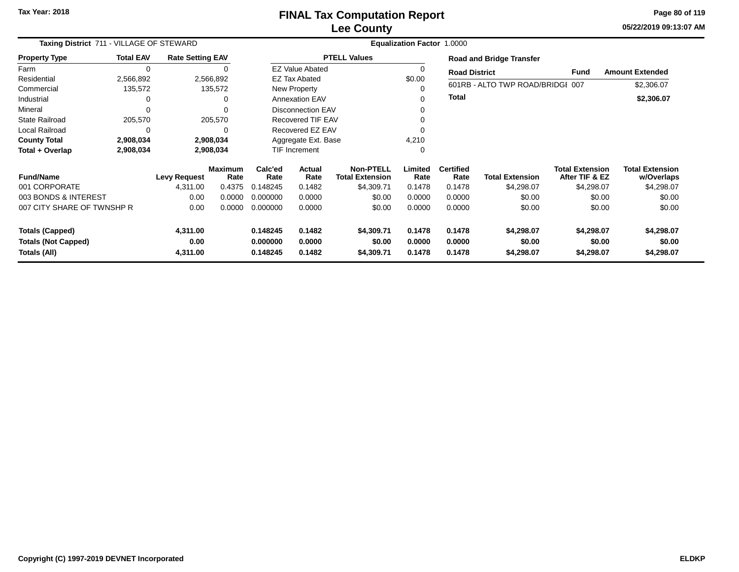**05/22/2019 09:13:07 AM Page 80 of 119**

| Taxing District 711 - VILLAGE OF STEWARD   |                  |                         |                        | Equalization Factor 1.0000 |                          |                                            |                  |                          |                                  |                                          |                                      |  |
|--------------------------------------------|------------------|-------------------------|------------------------|----------------------------|--------------------------|--------------------------------------------|------------------|--------------------------|----------------------------------|------------------------------------------|--------------------------------------|--|
| <b>Property Type</b>                       | <b>Total EAV</b> | <b>Rate Setting EAV</b> |                        |                            |                          | <b>PTELL Values</b>                        |                  |                          | <b>Road and Bridge Transfer</b>  |                                          |                                      |  |
| Farm                                       | $\Omega$         |                         |                        |                            | <b>EZ Value Abated</b>   |                                            | $\Omega$         | <b>Road District</b>     |                                  | Fund                                     | <b>Amount Extended</b>               |  |
| Residential                                | 2,566,892        |                         | 2,566,892              |                            | <b>EZ Tax Abated</b>     |                                            | \$0.00           |                          |                                  |                                          |                                      |  |
| Commercial                                 | 135,572          |                         | 135,572                |                            | New Property             |                                            |                  |                          | 601RB - ALTO TWP ROAD/BRIDGI 007 |                                          | \$2,306.07                           |  |
| Industrial                                 |                  |                         | 0                      |                            | Annexation EAV           |                                            |                  | <b>Total</b>             |                                  |                                          | \$2,306.07                           |  |
| Mineral                                    | $\Omega$         |                         | $\Omega$               |                            | <b>Disconnection EAV</b> |                                            |                  |                          |                                  |                                          |                                      |  |
| <b>State Railroad</b>                      | 205,570          |                         | 205,570                |                            | <b>Recovered TIF EAV</b> |                                            |                  |                          |                                  |                                          |                                      |  |
| <b>Local Railroad</b>                      | O                |                         | $\Omega$               |                            | Recovered EZ EAV         |                                            |                  |                          |                                  |                                          |                                      |  |
| <b>County Total</b>                        | 2,908,034        |                         | 2,908,034              |                            | Aggregate Ext. Base      |                                            | 4,210            |                          |                                  |                                          |                                      |  |
| Total + Overlap                            | 2,908,034        |                         | 2,908,034              |                            | TIF Increment            |                                            | 0                |                          |                                  |                                          |                                      |  |
| <b>Fund/Name</b>                           |                  | <b>Levy Request</b>     | <b>Maximum</b><br>Rate | Calc'ed<br>Rate            | Actual<br>Rate           | <b>Non-PTELL</b><br><b>Total Extension</b> | Limited<br>Rate  | <b>Certified</b><br>Rate | <b>Total Extension</b>           | <b>Total Extension</b><br>After TIF & EZ | <b>Total Extension</b><br>w/Overlaps |  |
| 001 CORPORATE                              |                  | 4,311.00                | 0.4375                 | 0.148245                   | 0.1482                   | \$4,309.71                                 | 0.1478           | 0.1478                   | \$4,298.07                       | \$4,298.07                               | \$4,298.07                           |  |
| 003 BONDS & INTEREST                       |                  | 0.00                    | 0.0000                 | 0.000000                   | 0.0000                   | \$0.00                                     | 0.0000           | 0.0000                   | \$0.00                           | \$0.00                                   | \$0.00                               |  |
| 007 CITY SHARE OF TWNSHP R                 |                  | 0.00                    | 0.0000                 | 0.000000                   | 0.0000                   | \$0.00                                     | 0.0000           | 0.0000                   | \$0.00                           | \$0.00                                   | \$0.00                               |  |
| <b>Totals (Capped)</b>                     |                  | 4,311.00                |                        | 0.148245                   | 0.1482                   | \$4,309.71                                 | 0.1478           | 0.1478                   | \$4,298.07                       | \$4,298.07                               | \$4,298.07                           |  |
| <b>Totals (Not Capped)</b><br>Totals (All) |                  | 0.00<br>4,311.00        |                        | 0.000000<br>0.148245       | 0.0000<br>0.1482         | \$0.00<br>\$4,309.71                       | 0.0000<br>0.1478 | 0.0000<br>0.1478         | \$0.00<br>\$4,298.07             | \$0.00<br>\$4,298.07                     | \$0.00<br>\$4,298.07                 |  |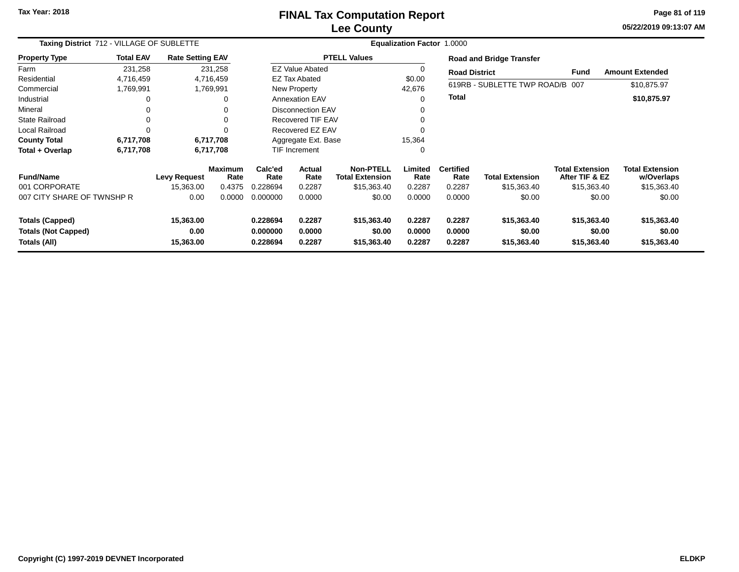### **Lee CountyFINAL Tax Computation Report**

**05/22/2019 09:13:07 AM Page 81 of 119**

|                                                                                                        | Taxing District 712 - VILLAGE OF SUBLETTE |                         |                                                                |                 | Equalization Factor 1.0000           |                                     |                            |                                      |                                      |                                          |                                      |  |  |  |
|--------------------------------------------------------------------------------------------------------|-------------------------------------------|-------------------------|----------------------------------------------------------------|-----------------|--------------------------------------|-------------------------------------|----------------------------|--------------------------------------|--------------------------------------|------------------------------------------|--------------------------------------|--|--|--|
| <b>Property Type</b>                                                                                   | <b>Total EAV</b>                          | <b>Rate Setting EAV</b> |                                                                |                 |                                      | <b>PTELL Values</b>                 |                            |                                      | <b>Road and Bridge Transfer</b>      |                                          |                                      |  |  |  |
| Farm                                                                                                   | 231,258                                   |                         | 231,258                                                        |                 | <b>EZ Value Abated</b>               |                                     | 0                          | <b>Road District</b>                 |                                      | <b>Fund</b>                              | <b>Amount Extended</b>               |  |  |  |
| Residential                                                                                            | 4,716,459                                 |                         | 4,716,459                                                      |                 | EZ Tax Abated                        |                                     | \$0.00                     |                                      |                                      |                                          |                                      |  |  |  |
| Commercial                                                                                             | 1,769,991                                 |                         | 1,769,991                                                      |                 | <b>New Property</b>                  |                                     | 42,676                     |                                      | 619RB - SUBLETTE TWP ROAD/B 007      |                                          | \$10,875.97                          |  |  |  |
| Industrial                                                                                             | 0                                         |                         | $\Omega$                                                       |                 | <b>Annexation EAV</b>                |                                     | 0                          | <b>Total</b>                         |                                      |                                          | \$10,875.97                          |  |  |  |
| Mineral                                                                                                | 0                                         |                         |                                                                |                 | <b>Disconnection EAV</b>             |                                     | 0                          |                                      |                                      |                                          |                                      |  |  |  |
| <b>State Railroad</b>                                                                                  | 0                                         |                         | $\Omega$                                                       |                 | <b>Recovered TIF EAV</b>             |                                     | $\mathbf 0$                |                                      |                                      |                                          |                                      |  |  |  |
| <b>Local Railroad</b>                                                                                  | $\Omega$                                  |                         |                                                                |                 | Recovered EZ EAV                     |                                     | $\Omega$                   |                                      |                                      |                                          |                                      |  |  |  |
| <b>County Total</b>                                                                                    | 6,717,708                                 |                         | 6,717,708                                                      |                 | Aggregate Ext. Base                  |                                     | 15,364                     |                                      |                                      |                                          |                                      |  |  |  |
| Total + Overlap                                                                                        | 6,717,708                                 |                         | 6,717,708                                                      |                 | <b>TIF Increment</b>                 |                                     | $\mathbf 0$                |                                      |                                      |                                          |                                      |  |  |  |
| <b>Fund/Name</b>                                                                                       |                                           | <b>Levy Request</b>     | <b>Maximum</b><br>Rate                                         | Calc'ed<br>Rate | <b>Actual</b><br>Rate                | Non-PTELL<br><b>Total Extension</b> | Limited<br>Rate            | <b>Certified</b><br>Rate             | <b>Total Extension</b>               | <b>Total Extension</b><br>After TIF & EZ | <b>Total Extension</b><br>w/Overlaps |  |  |  |
| 001 CORPORATE                                                                                          |                                           | 15,363.00               | 0.4375                                                         | 0.228694        | 0.2287                               | \$15,363.40                         | 0.2287                     | 0.2287                               | \$15,363.40                          | \$15,363.40                              | \$15,363.40                          |  |  |  |
| 007 CITY SHARE OF TWNSHP R                                                                             |                                           | 0.00                    | 0.0000                                                         | 0.000000        | 0.0000                               | \$0.00                              | 0.0000                     | 0.0000                               | \$0.00                               | \$0.00                                   | \$0.00                               |  |  |  |
| 15,363.00<br><b>Totals (Capped)</b><br>0.00<br><b>Totals (Not Capped)</b><br>15,363.00<br>Totals (All) |                                           |                         | 0.228694<br>0.2287<br>0.000000<br>0.0000<br>0.228694<br>0.2287 |                 | \$15,363.40<br>\$0.00<br>\$15,363.40 | 0.2287<br>0.0000<br>0.2287          | 0.2287<br>0.0000<br>0.2287 | \$15,363.40<br>\$0.00<br>\$15,363.40 | \$15,363.40<br>\$0.00<br>\$15,363.40 | \$15,363.40<br>\$0.00<br>\$15,363.40     |                                      |  |  |  |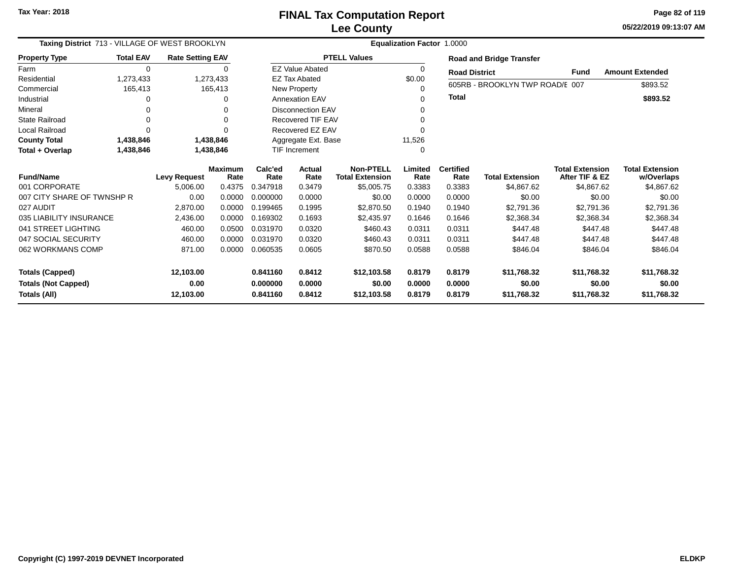**05/22/2019 09:13:07 AMPage 82 of 119**

| Taxing District 713 - VILLAGE OF WEST BROOKLYN |                  |                         |                 | Equalization Factor 1.0000 |                                            |                     |                          |                        |                                          |                                      |                        |  |  |
|------------------------------------------------|------------------|-------------------------|-----------------|----------------------------|--------------------------------------------|---------------------|--------------------------|------------------------|------------------------------------------|--------------------------------------|------------------------|--|--|
| <b>Property Type</b>                           | <b>Total EAV</b> | <b>Rate Setting EAV</b> |                 |                            |                                            | <b>PTELL Values</b> |                          |                        | <b>Road and Bridge Transfer</b>          |                                      |                        |  |  |
| Farm                                           | 0                |                         | 0               |                            | <b>EZ Value Abated</b>                     |                     | 0                        | <b>Road District</b>   |                                          | <b>Fund</b>                          | <b>Amount Extended</b> |  |  |
| Residential                                    | 1,273,433        |                         | 1,273,433       |                            | <b>EZ Tax Abated</b>                       |                     | \$0.00                   |                        |                                          |                                      |                        |  |  |
| Commercial                                     | 165,413          |                         | 165,413         |                            | New Property                               |                     | 0                        |                        | 605RB - BROOKLYN TWP ROAD/E 007          |                                      | \$893.52               |  |  |
| Industrial                                     |                  |                         | ∩               |                            | <b>Annexation EAV</b>                      |                     | 0                        | Total                  |                                          |                                      | \$893.52               |  |  |
| Mineral                                        |                  |                         | ∩               |                            | <b>Disconnection EAV</b>                   |                     | 0                        |                        |                                          |                                      |                        |  |  |
| <b>State Railroad</b>                          |                  |                         | $\Omega$        |                            | <b>Recovered TIF EAV</b>                   |                     | 0                        |                        |                                          |                                      |                        |  |  |
| <b>Local Railroad</b>                          | $\Omega$         |                         | $\Omega$        |                            | Recovered EZ EAV                           |                     | 0                        |                        |                                          |                                      |                        |  |  |
| <b>County Total</b>                            | 1,438,846        |                         | 1,438,846       |                            | Aggregate Ext. Base                        |                     | 11,526                   |                        |                                          |                                      |                        |  |  |
| Total + Overlap                                | 1,438,846        |                         | 1,438,846       | <b>TIF Increment</b>       |                                            |                     | 0                        |                        |                                          |                                      |                        |  |  |
| <b>Fund/Name</b><br><b>Levy Request</b>        |                  | <b>Maximum</b><br>Rate  | Calc'ed<br>Rate | Actual<br>Rate             | <b>Non-PTELL</b><br><b>Total Extension</b> | Limited<br>Rate     | <b>Certified</b><br>Rate | <b>Total Extension</b> | <b>Total Extension</b><br>After TIF & EZ | <b>Total Extension</b><br>w/Overlaps |                        |  |  |
| 001 CORPORATE                                  |                  | 5,006.00                | 0.4375          | 0.347918                   | 0.3479                                     | \$5,005.75          | 0.3383                   | 0.3383                 | \$4,867.62                               | \$4,867.62                           | \$4,867.62             |  |  |
| 007 CITY SHARE OF TWNSHP R                     |                  | 0.00                    | 0.0000          | 0.000000                   | 0.0000                                     | \$0.00              | 0.0000                   | 0.0000                 | \$0.00                                   | \$0.00                               | \$0.00                 |  |  |
| 027 AUDIT                                      |                  | 2,870.00                | 0.0000          | 0.199465                   | 0.1995                                     | \$2,870.50          | 0.1940                   | 0.1940                 | \$2,791.36                               | \$2,791.36                           | \$2,791.36             |  |  |
| 035 LIABILITY INSURANCE                        |                  | 2,436.00                | 0.0000          | 0.169302                   | 0.1693                                     | \$2,435.97          | 0.1646                   | 0.1646                 | \$2,368.34                               | \$2,368.34                           | \$2,368.34             |  |  |
| 041 STREET LIGHTING                            |                  | 460.00                  | 0.0500          | 0.031970                   | 0.0320                                     | \$460.43            | 0.0311                   | 0.0311                 | \$447.48                                 | \$447.48                             | \$447.48               |  |  |
| 047 SOCIAL SECURITY                            |                  | 460.00                  | 0.0000          | 0.031970                   | 0.0320                                     | \$460.43            | 0.0311                   | 0.0311                 | \$447.48                                 | \$447.48                             | \$447.48               |  |  |
| 062 WORKMANS COMP                              |                  | 871.00                  | 0.0000          | 0.060535                   | 0.0605                                     | \$870.50            | 0.0588                   | 0.0588                 | \$846.04                                 | \$846.04                             | \$846.04               |  |  |
| <b>Totals (Capped)</b>                         |                  | 12,103.00               |                 | 0.841160                   | 0.8412                                     | \$12,103.58         | 0.8179                   | 0.8179                 | \$11,768.32                              | \$11,768.32                          | \$11,768.32            |  |  |
| <b>Totals (Not Capped)</b>                     |                  | 0.00                    |                 | 0.000000                   | 0.0000                                     | \$0.00              | 0.0000                   | 0.0000                 | \$0.00                                   | \$0.00                               | \$0.00                 |  |  |
| Totals (All)                                   | 12,103.00        |                         |                 | 0.841160                   | 0.8412                                     | \$12,103.58         | 0.8179                   | 0.8179                 | \$11,768.32                              | \$11,768.32                          | \$11,768.32            |  |  |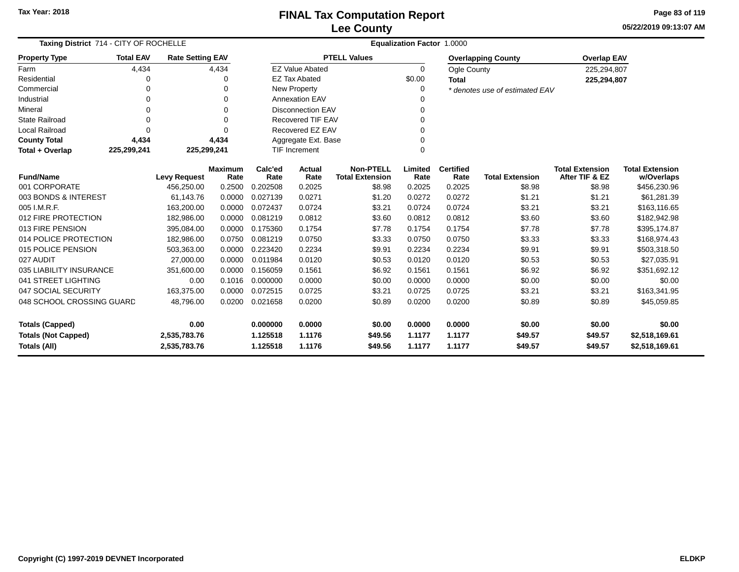**05/22/2019 09:13:07 AMPage 83 of 119**

| Taxing District 714 - CITY OF ROCHELLE     |                  |                              |                        | Equalization Factor 1.0000                                                      |                          |                     |                  |                          |                                |                                          |                                      |  |  |
|--------------------------------------------|------------------|------------------------------|------------------------|---------------------------------------------------------------------------------|--------------------------|---------------------|------------------|--------------------------|--------------------------------|------------------------------------------|--------------------------------------|--|--|
| <b>Property Type</b>                       | <b>Total EAV</b> | <b>Rate Setting EAV</b>      |                        |                                                                                 |                          | <b>PTELL Values</b> |                  |                          | <b>Overlapping County</b>      | <b>Overlap EAV</b>                       |                                      |  |  |
| Farm                                       | 4,434            |                              | 4,434                  |                                                                                 | <b>EZ Value Abated</b>   |                     | $\Omega$         | Ogle County              |                                | 225,294,807                              |                                      |  |  |
| Residential                                | 0                |                              | 0                      |                                                                                 | <b>EZ Tax Abated</b>     |                     | \$0.00           | <b>Total</b>             |                                | 225,294,807                              |                                      |  |  |
| Commercial                                 | 0                |                              | $\Omega$               |                                                                                 | New Property             |                     | 0                |                          | * denotes use of estimated EAV |                                          |                                      |  |  |
| Industrial                                 | 0                |                              | $\Omega$               |                                                                                 | <b>Annexation EAV</b>    |                     | 0                |                          |                                |                                          |                                      |  |  |
| Mineral                                    | 0                |                              | $\Omega$               |                                                                                 | <b>Disconnection EAV</b> |                     | 0                |                          |                                |                                          |                                      |  |  |
| <b>State Railroad</b>                      | $\Omega$         |                              | $\Omega$               |                                                                                 | <b>Recovered TIF EAV</b> |                     | 0                |                          |                                |                                          |                                      |  |  |
| <b>Local Railroad</b>                      | $\Omega$         |                              | $\Omega$               |                                                                                 | Recovered EZ EAV         |                     | 0                |                          |                                |                                          |                                      |  |  |
| <b>County Total</b>                        | 4,434            |                              | 4,434                  |                                                                                 | Aggregate Ext. Base      |                     | 0                |                          |                                |                                          |                                      |  |  |
| Total + Overlap                            | 225,299,241      | 225,299,241                  |                        | <b>TIF Increment</b>                                                            |                          |                     | $\Omega$         |                          |                                |                                          |                                      |  |  |
| <b>Fund/Name</b>                           |                  | <b>Levy Request</b>          | <b>Maximum</b><br>Rate | <b>Non-PTELL</b><br>Calc'ed<br>Actual<br><b>Total Extension</b><br>Rate<br>Rate |                          |                     | Limited<br>Rate  | <b>Certified</b><br>Rate | <b>Total Extension</b>         | <b>Total Extension</b><br>After TIF & EZ | <b>Total Extension</b><br>w/Overlaps |  |  |
| 001 CORPORATE                              |                  | 456,250.00                   | 0.2500                 | 0.202508                                                                        | 0.2025                   | \$8.98              | 0.2025           | 0.2025                   | \$8.98                         | \$8.98                                   | \$456,230.96                         |  |  |
| 003 BONDS & INTEREST                       |                  | 61,143.76                    | 0.0000                 | 0.027139                                                                        | 0.0271                   | \$1.20              | 0.0272           | 0.0272                   | \$1.21                         | \$1.21                                   | \$61,281.39                          |  |  |
| 005 I.M.R.F.                               |                  | 163,200.00                   | 0.0000                 | 0.072437                                                                        | 0.0724                   | \$3.21              | 0.0724           | 0.0724                   | \$3.21                         | \$3.21                                   | \$163,116.65                         |  |  |
| 012 FIRE PROTECTION                        |                  | 182,986.00                   | 0.0000                 | 0.081219                                                                        | 0.0812                   | \$3.60              | 0.0812           | 0.0812                   | \$3.60                         | \$3.60                                   | \$182,942.98                         |  |  |
| 013 FIRE PENSION                           |                  | 395,084.00                   | 0.0000                 | 0.175360                                                                        | 0.1754                   | \$7.78              | 0.1754           | 0.1754                   | \$7.78                         | \$7.78                                   | \$395,174.87                         |  |  |
| 014 POLICE PROTECTION                      |                  | 182,986.00                   | 0.0750                 | 0.081219                                                                        | 0.0750                   | \$3.33              | 0.0750           | 0.0750                   | \$3.33                         | \$3.33                                   | \$168,974.43                         |  |  |
| 015 POLICE PENSION                         |                  | 503,363.00                   | 0.0000                 | 0.223420                                                                        | 0.2234                   | \$9.91              | 0.2234           | 0.2234                   | \$9.91                         | \$9.91                                   | \$503,318.50                         |  |  |
| 027 AUDIT                                  |                  | 27.000.00                    | 0.0000                 | 0.011984                                                                        | 0.0120                   | \$0.53              | 0.0120           | 0.0120                   | \$0.53                         | \$0.53                                   | \$27,035.91                          |  |  |
| 035 LIABILITY INSURANCE                    |                  | 351,600.00                   | 0.0000                 | 0.156059                                                                        | 0.1561                   | \$6.92              | 0.1561           | 0.1561                   | \$6.92                         | \$6.92                                   | \$351,692.12                         |  |  |
| 041 STREET LIGHTING                        |                  | 0.00                         | 0.1016                 | 0.000000                                                                        | 0.0000                   | \$0.00              | 0.0000           | 0.0000                   | \$0.00                         | \$0.00                                   | \$0.00                               |  |  |
| 047 SOCIAL SECURITY                        |                  | 163,375.00                   | 0.0000                 | 0.072515                                                                        | 0.0725                   | \$3.21              | 0.0725           | 0.0725                   | \$3.21                         | \$3.21                                   | \$163,341.95                         |  |  |
| 048 SCHOOL CROSSING GUARD                  |                  | 48,796.00                    | 0.0200                 | 0.021658                                                                        | 0.0200                   | \$0.89              | 0.0200           | 0.0200                   | \$0.89                         | \$0.89                                   | \$45,059.85                          |  |  |
| 0.00<br><b>Totals (Capped)</b>             |                  |                              | 0.000000               | 0.0000                                                                          | \$0.00                   | 0.0000              | 0.0000           | \$0.00                   | \$0.00                         | \$0.00                                   |                                      |  |  |
| <b>Totals (Not Capped)</b><br>Totals (All) |                  | 2,535,783.76<br>2,535,783.76 |                        | 1.125518<br>1.125518                                                            | 1.1176<br>1.1176         | \$49.56<br>\$49.56  | 1.1177<br>1.1177 | 1.1177<br>1.1177         | \$49.57<br>\$49.57             | \$49.57<br>\$49.57                       | \$2,518,169.61<br>\$2,518,169.61     |  |  |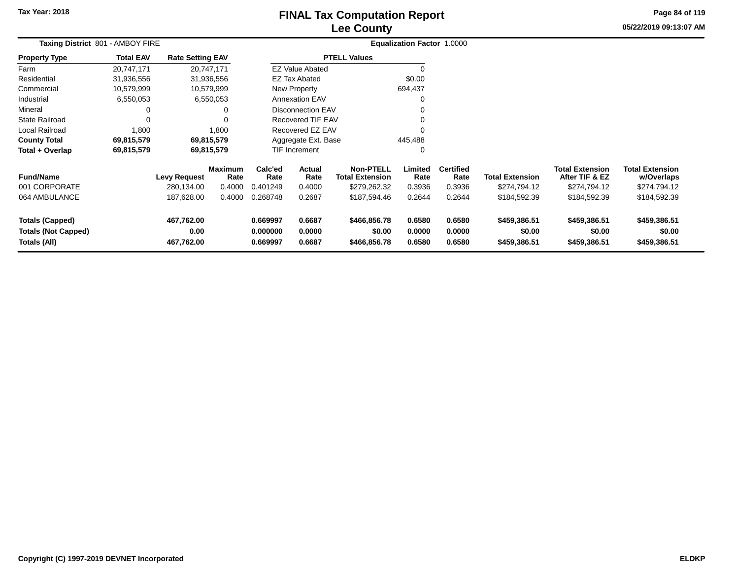### **Lee CountyFINAL Tax Computation Report**

**05/22/2019 09:13:07 AM Page 84 of 119**

|                                                                      | Taxing District 801 - AMBOY FIRE |                                   |                                  |                                                                |                                                    |                                        | Equalization Factor 1.0000 |                                    |                                        |                                                          |                                                      |  |
|----------------------------------------------------------------------|----------------------------------|-----------------------------------|----------------------------------|----------------------------------------------------------------|----------------------------------------------------|----------------------------------------|----------------------------|------------------------------------|----------------------------------------|----------------------------------------------------------|------------------------------------------------------|--|
| <b>Property Type</b>                                                 | <b>Total EAV</b>                 | <b>Rate Setting EAV</b>           |                                  |                                                                |                                                    | <b>PTELL Values</b>                    |                            |                                    |                                        |                                                          |                                                      |  |
| Farm                                                                 | 20,747,171                       | 20,747,171                        |                                  |                                                                | <b>EZ Value Abated</b>                             |                                        |                            |                                    |                                        |                                                          |                                                      |  |
| Residential                                                          | 31,936,556                       |                                   | 31,936,556                       |                                                                | <b>EZ Tax Abated</b>                               |                                        | \$0.00                     |                                    |                                        |                                                          |                                                      |  |
| Commercial                                                           | 10,579,999                       | 10,579,999                        |                                  |                                                                | New Property                                       |                                        | 694,437                    |                                    |                                        |                                                          |                                                      |  |
| Industrial                                                           | 6,550,053                        |                                   | 6,550,053                        |                                                                | <b>Annexation EAV</b>                              |                                        | 0                          |                                    |                                        |                                                          |                                                      |  |
| Mineral                                                              |                                  |                                   |                                  |                                                                | <b>Disconnection EAV</b>                           |                                        | 0                          |                                    |                                        |                                                          |                                                      |  |
| <b>State Railroad</b>                                                |                                  |                                   |                                  |                                                                | <b>Recovered TIF EAV</b>                           |                                        | 0                          |                                    |                                        |                                                          |                                                      |  |
| <b>Local Railroad</b>                                                | 1,800                            |                                   | 1,800                            |                                                                | Recovered EZ EAV                                   |                                        | $\Omega$                   |                                    |                                        |                                                          |                                                      |  |
| <b>County Total</b>                                                  | 69,815,579                       | 69,815,579                        |                                  |                                                                | Aggregate Ext. Base                                |                                        | 445,488                    |                                    |                                        |                                                          |                                                      |  |
| Total + Overlap                                                      | 69,815,579                       | 69,815,579                        |                                  |                                                                | TIF Increment                                      |                                        | 0                          |                                    |                                        |                                                          |                                                      |  |
| <b>Fund/Name</b><br>001 CORPORATE                                    |                                  | <b>Levy Request</b><br>280,134.00 | <b>Maximum</b><br>Rate<br>0.4000 | Calc'ed<br>Rate<br>0.401249                                    | Actual<br>Rate<br><b>Total Extension</b><br>0.4000 |                                        | Limited<br>Rate<br>0.3936  | <b>Certified</b><br>Rate<br>0.3936 | <b>Total Extension</b><br>\$274,794.12 | <b>Total Extension</b><br>After TIF & EZ<br>\$274,794.12 | <b>Total Extension</b><br>w/Overlaps<br>\$274,794.12 |  |
| 064 AMBULANCE                                                        |                                  | 187,628.00                        | 0.4000                           | 0.268748                                                       | 0.2687                                             | \$279,262.32<br>\$187,594.46           | 0.2644                     | 0.2644                             | \$184,592.39                           | \$184,592.39                                             | \$184,592.39                                         |  |
| <b>Totals (Capped)</b><br><b>Totals (Not Capped)</b><br>Totals (All) |                                  | 467,762.00<br>0.00<br>467,762.00  |                                  | 0.669997<br>0.6687<br>0.0000<br>0.000000<br>0.6687<br>0.669997 |                                                    | \$466,856.78<br>\$0.00<br>\$466,856.78 | 0.6580<br>0.0000<br>0.6580 | 0.6580<br>0.0000<br>0.6580         | \$459,386.51<br>\$0.00<br>\$459,386.51 | \$459,386.51<br>\$0.00<br>\$459,386.51                   | \$459,386.51<br>\$0.00<br>\$459,386.51               |  |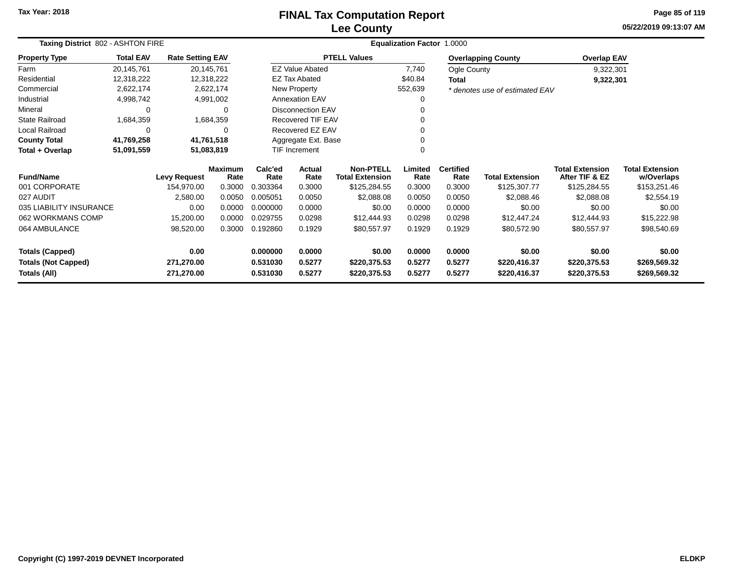# **Lee CountyFINAL Tax Computation Report**

**05/22/2019 09:13:07 AM Page 85 of 119**

| Taxing District 802 - ASHTON FIRE |                  |                         |                        |                 |                          |                                            | Equalization Factor 1.0000 |                          |                                |                                          |                                      |
|-----------------------------------|------------------|-------------------------|------------------------|-----------------|--------------------------|--------------------------------------------|----------------------------|--------------------------|--------------------------------|------------------------------------------|--------------------------------------|
| <b>Property Type</b>              | <b>Total EAV</b> | <b>Rate Setting EAV</b> |                        |                 |                          | <b>PTELL Values</b>                        |                            |                          | <b>Overlapping County</b>      | <b>Overlap EAV</b>                       |                                      |
| Farm                              | 20,145,761       |                         | 20,145,761             |                 | <b>EZ Value Abated</b>   |                                            | 7,740                      | Ogle County              |                                | 9,322,301                                |                                      |
| Residential                       | 12,318,222       |                         | 12,318,222             |                 | <b>EZ Tax Abated</b>     |                                            | \$40.84                    | <b>Total</b>             |                                | 9,322,301                                |                                      |
| Commercial                        | 2,622,174        |                         | 2,622,174              |                 | New Property             |                                            | 552,639                    |                          | * denotes use of estimated EAV |                                          |                                      |
| Industrial                        | 4,998,742        |                         | 4,991,002              |                 | <b>Annexation EAV</b>    |                                            | O                          |                          |                                |                                          |                                      |
| Mineral                           | 0                |                         | 0                      |                 | <b>Disconnection EAV</b> |                                            |                            |                          |                                |                                          |                                      |
| State Railroad                    | 1,684,359        |                         | 1,684,359              |                 | Recovered TIF EAV        |                                            |                            |                          |                                |                                          |                                      |
| Local Railroad                    | 0                |                         | $\Omega$               |                 | Recovered EZ EAV         |                                            |                            |                          |                                |                                          |                                      |
| <b>County Total</b>               | 41,769,258       |                         | 41,761,518             |                 | Aggregate Ext. Base      |                                            |                            |                          |                                |                                          |                                      |
| Total + Overlap                   | 51,091,559       |                         | 51,083,819             |                 | <b>TIF Increment</b>     |                                            |                            |                          |                                |                                          |                                      |
| <b>Fund/Name</b>                  |                  | <b>Levy Request</b>     | <b>Maximum</b><br>Rate | Calc'ed<br>Rate | Actual<br>Rate           | <b>Non-PTELL</b><br><b>Total Extension</b> | Limited<br>Rate            | <b>Certified</b><br>Rate | <b>Total Extension</b>         | <b>Total Extension</b><br>After TIF & EZ | <b>Total Extension</b><br>w/Overlaps |
| 001 CORPORATE                     |                  | 154,970.00              | 0.3000                 | 0.303364        | 0.3000                   | \$125,284.55                               | 0.3000                     | 0.3000                   | \$125,307.77                   | \$125,284.55                             | \$153,251.46                         |
| 027 AUDIT                         |                  | 2,580.00                | 0.0050                 | 0.005051        | 0.0050                   | \$2,088.08                                 | 0.0050                     | 0.0050                   | \$2,088.46                     | \$2,088.08                               | \$2,554.19                           |
| 035 LIABILITY INSURANCE           |                  | 0.00                    | 0.0000                 | 0.000000        | 0.0000                   | \$0.00                                     | 0.0000                     | 0.0000                   | \$0.00                         | \$0.00                                   | \$0.00                               |
| 062 WORKMANS COMP                 |                  | 15,200.00               | 0.0000                 | 0.029755        | 0.0298                   | \$12,444.93                                | 0.0298                     | 0.0298                   | \$12,447.24                    | \$12,444.93                              | \$15,222.98                          |
| 064 AMBULANCE                     |                  | 98,520.00               | 0.3000                 | 0.192860        | 0.1929                   | \$80,557.97                                | 0.1929                     | 0.1929                   | \$80,572.90                    | \$80,557.97                              | \$98,540.69                          |
| <b>Totals (Capped)</b>            |                  | 0.00                    |                        | 0.000000        | 0.0000                   | \$0.00                                     | 0.0000                     | 0.0000                   | \$0.00                         | \$0.00                                   | \$0.00                               |
| <b>Totals (Not Capped)</b>        |                  | 271,270.00              |                        | 0.531030        | 0.5277                   | \$220,375.53                               | 0.5277                     | 0.5277                   | \$220,416.37                   | \$220,375.53                             | \$269,569.32                         |
| Totals (All)                      |                  | 271,270.00              |                        | 0.531030        | 0.5277                   | \$220,375.53                               | 0.5277                     | 0.5277                   | \$220,416.37                   | \$220,375.53                             | \$269,569.32                         |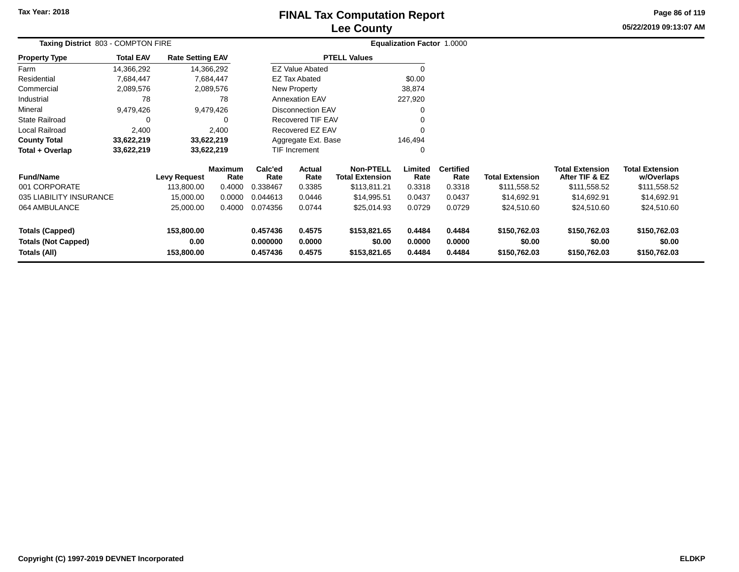### **Lee CountyFINAL Tax Computation Report**

**05/22/2019 09:13:07 AMPage 86 of 119**

| Taxing District 803 - COMPTON FIRE |                  |                         |                        |                 |                          |                                            | Equalization Factor 1.0000 |                          |                        |                                          |                                      |  |
|------------------------------------|------------------|-------------------------|------------------------|-----------------|--------------------------|--------------------------------------------|----------------------------|--------------------------|------------------------|------------------------------------------|--------------------------------------|--|
| <b>Property Type</b>               | <b>Total EAV</b> | <b>Rate Setting EAV</b> |                        |                 |                          | <b>PTELL Values</b>                        |                            |                          |                        |                                          |                                      |  |
| Farm                               | 14,366,292       |                         | 14,366,292             |                 | <b>EZ Value Abated</b>   |                                            |                            |                          |                        |                                          |                                      |  |
| Residential                        | 7,684,447        |                         | 7,684,447              |                 | EZ Tax Abated            |                                            | \$0.00                     |                          |                        |                                          |                                      |  |
| Commercial                         | 2,089,576        |                         | 2,089,576              |                 | New Property             |                                            | 38,874                     |                          |                        |                                          |                                      |  |
| Industrial                         | 78               |                         | 78                     |                 | <b>Annexation EAV</b>    |                                            | 227,920                    |                          |                        |                                          |                                      |  |
| Mineral                            | 9,479,426        |                         | 9,479,426              |                 | <b>Disconnection EAV</b> |                                            |                            |                          |                        |                                          |                                      |  |
| <b>State Railroad</b>              | 0                |                         | 0                      |                 | <b>Recovered TIF EAV</b> |                                            |                            |                          |                        |                                          |                                      |  |
| Local Railroad                     | 2,400            |                         | 2,400                  |                 | Recovered EZ EAV         |                                            | $\Omega$                   |                          |                        |                                          |                                      |  |
| <b>County Total</b>                | 33,622,219       |                         | 33,622,219             |                 | Aggregate Ext. Base      |                                            | 146,494                    |                          |                        |                                          |                                      |  |
| Total + Overlap                    | 33,622,219       |                         | 33,622,219             |                 | TIF Increment            |                                            | 0                          |                          |                        |                                          |                                      |  |
| <b>Fund/Name</b>                   |                  | <b>Levy Request</b>     | <b>Maximum</b><br>Rate | Calc'ed<br>Rate | Actual<br>Rate           | <b>Non-PTELL</b><br><b>Total Extension</b> | Limited<br>Rate            | <b>Certified</b><br>Rate | <b>Total Extension</b> | <b>Total Extension</b><br>After TIF & EZ | <b>Total Extension</b><br>w/Overlaps |  |
| 001 CORPORATE                      |                  | 113,800.00              | 0.4000                 | 0.338467        | 0.3385                   | \$113,811.21                               | 0.3318                     | 0.3318                   | \$111,558.52           | \$111,558.52                             | \$111,558.52                         |  |
| 035 LIABILITY INSURANCE            |                  | 15,000.00               | 0.0000                 | 0.044613        | 0.0446                   | \$14,995.51                                | 0.0437                     | 0.0437                   | \$14,692.91            | \$14,692.91                              | \$14,692.91                          |  |
| 064 AMBULANCE                      |                  | 25,000.00               | 0.4000                 | 0.074356        | 0.0744                   | \$25,014.93                                | 0.0729                     | 0.0729                   | \$24,510.60            | \$24,510.60                              | \$24,510.60                          |  |
| <b>Totals (Capped)</b>             |                  | 153,800.00              |                        | 0.457436        | 0.4575                   | \$153,821.65                               | 0.4484                     | 0.4484                   | \$150,762.03           | \$150,762.03                             | \$150,762.03                         |  |
| <b>Totals (Not Capped)</b>         |                  | 0.00                    |                        | 0.000000        | 0.0000                   | \$0.00                                     | 0.0000                     | 0.0000                   | \$0.00                 | \$0.00                                   | \$0.00                               |  |
| Totals (All)                       |                  | 153,800.00              |                        | 0.457436        | 0.4575                   | \$153,821.65                               | 0.4484                     | 0.4484                   | \$150,762.03           | \$150,762.03                             | \$150,762.03                         |  |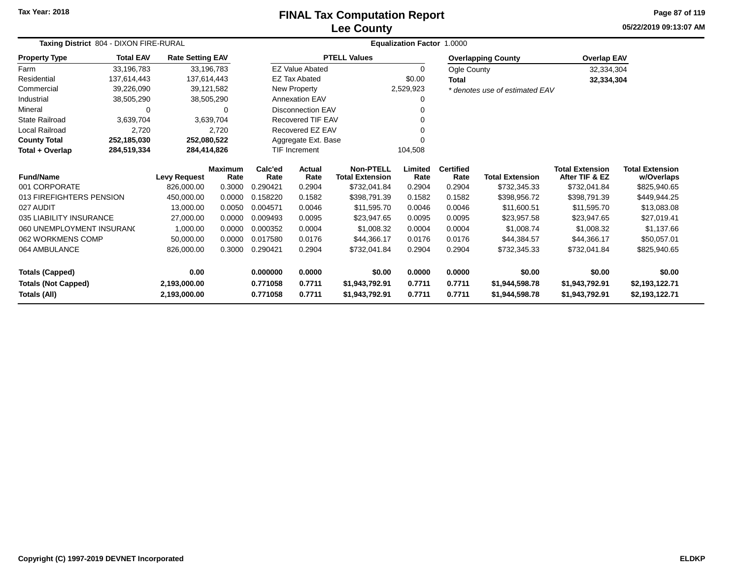# **Lee CountyFINAL Tax Computation Report**

**05/22/2019 09:13:07 AM Page 87 of 119**

|                            | Taxing District 804 - DIXON FIRE-RURAL |                         |                        |                 |                          | Equalization Factor 1.0000                 |                 |                          |                                |                                          |                                      |  |  |  |
|----------------------------|----------------------------------------|-------------------------|------------------------|-----------------|--------------------------|--------------------------------------------|-----------------|--------------------------|--------------------------------|------------------------------------------|--------------------------------------|--|--|--|
| <b>Property Type</b>       | <b>Total EAV</b>                       | <b>Rate Setting EAV</b> |                        |                 |                          | <b>PTELL Values</b>                        |                 |                          | <b>Overlapping County</b>      | <b>Overlap EAV</b>                       |                                      |  |  |  |
| Farm                       | 33,196,783                             | 33,196,783              |                        |                 | <b>EZ Value Abated</b>   |                                            | $\Omega$        | Ogle County              |                                | 32,334,304                               |                                      |  |  |  |
| Residential                | 137,614,443                            | 137,614,443             |                        |                 | <b>EZ Tax Abated</b>     |                                            | \$0.00          | <b>Total</b>             |                                | 32,334,304                               |                                      |  |  |  |
| Commercial                 | 39,226,090                             | 39,121,582              |                        |                 | New Property             |                                            | 2,529,923       |                          | * denotes use of estimated EAV |                                          |                                      |  |  |  |
| Industrial                 | 38,505,290                             | 38,505,290              |                        |                 | <b>Annexation EAV</b>    |                                            | 0               |                          |                                |                                          |                                      |  |  |  |
| Mineral                    |                                        |                         | $\Omega$               |                 | <b>Disconnection EAV</b> |                                            | 0               |                          |                                |                                          |                                      |  |  |  |
| <b>State Railroad</b>      | 3,639,704                              |                         | 3,639,704              |                 | Recovered TIF EAV        |                                            | 0               |                          |                                |                                          |                                      |  |  |  |
| <b>Local Railroad</b>      | 2,720                                  |                         | 2,720                  |                 | Recovered EZ EAV         |                                            | 0               |                          |                                |                                          |                                      |  |  |  |
| <b>County Total</b>        | 252,185,030                            | 252,080,522             |                        |                 | Aggregate Ext. Base      |                                            | 0               |                          |                                |                                          |                                      |  |  |  |
| Total + Overlap            | 284,519,334                            | 284,414,826             |                        |                 | TIF Increment            |                                            | 104,508         |                          |                                |                                          |                                      |  |  |  |
| <b>Fund/Name</b>           |                                        | <b>Levy Request</b>     | <b>Maximum</b><br>Rate | Calc'ed<br>Rate | <b>Actual</b><br>Rate    | <b>Non-PTELL</b><br><b>Total Extension</b> | Limited<br>Rate | <b>Certified</b><br>Rate | <b>Total Extension</b>         | <b>Total Extension</b><br>After TIF & EZ | <b>Total Extension</b><br>w/Overlaps |  |  |  |
| 001 CORPORATE              |                                        | 826,000.00              | 0.3000                 | 0.290421        | 0.2904                   | \$732,041.84                               | 0.2904          | 0.2904                   | \$732,345.33                   | \$732,041.84                             | \$825,940.65                         |  |  |  |
| 013 FIREFIGHTERS PENSION   |                                        | 450,000.00              | 0.0000                 | 0.158220        | 0.1582                   | \$398,791.39                               | 0.1582          | 0.1582                   | \$398,956.72                   | \$398,791.39                             | \$449,944.25                         |  |  |  |
| 027 AUDIT                  |                                        | 13,000.00               | 0.0050                 | 0.004571        | 0.0046                   | \$11,595.70                                | 0.0046          | 0.0046                   | \$11,600.51                    | \$11,595.70                              | \$13,083.08                          |  |  |  |
| 035 LIABILITY INSURANCE    |                                        | 27.000.00               | 0.0000                 | 0.009493        | 0.0095                   | \$23.947.65                                | 0.0095          | 0.0095                   | \$23,957.58                    | \$23,947.65                              | \$27,019.41                          |  |  |  |
| 060 UNEMPLOYMENT INSURANC  |                                        | 1,000.00                | 0.0000                 | 0.000352        | 0.0004                   | \$1,008.32                                 | 0.0004          | 0.0004                   | \$1,008.74                     | \$1,008.32                               | \$1,137.66                           |  |  |  |
| 062 WORKMENS COMP          |                                        | 50,000.00               | 0.0000                 | 0.017580        | 0.0176                   | \$44,366.17                                | 0.0176          | 0.0176                   | \$44,384.57                    | \$44,366.17                              | \$50,057.01                          |  |  |  |
| 064 AMBULANCE              |                                        | 826,000.00              | 0.3000                 | 0.290421        | 0.2904                   | \$732,041.84                               | 0.2904          | 0.2904                   | \$732,345.33                   | \$732,041.84                             | \$825,940.65                         |  |  |  |
| <b>Totals (Capped)</b>     |                                        | 0.00                    |                        | 0.000000        | 0.0000                   | \$0.00                                     | 0.0000          | 0.0000                   | \$0.00                         | \$0.00                                   | \$0.00                               |  |  |  |
| <b>Totals (Not Capped)</b> |                                        | 2,193,000.00            |                        | 0.771058        | 0.7711                   | \$1,943,792.91                             | 0.7711          | 0.7711                   | \$1,944,598.78                 | \$1,943,792.91                           | \$2,193,122.71                       |  |  |  |
| <b>Totals (All)</b>        |                                        | 2,193,000.00            |                        | 0.771058        | 0.7711                   | \$1,943,792.91                             | 0.7711          | 0.7711                   | \$1,944,598.78                 | \$1,943,792.91                           | \$2,193,122.71                       |  |  |  |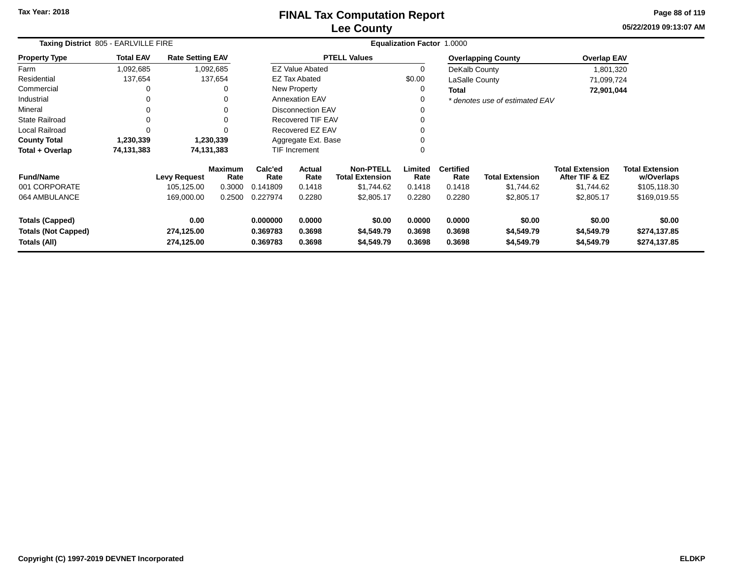**05/22/2019 09:13:07 AM Page 88 of 119**

| Taxing District 805 - EARLVILLE FIRE                                 |                  |                                  |                        |                                  | Equalization Factor 1.0000 |                                            |                            |                            |                                    |                                          |                                        |
|----------------------------------------------------------------------|------------------|----------------------------------|------------------------|----------------------------------|----------------------------|--------------------------------------------|----------------------------|----------------------------|------------------------------------|------------------------------------------|----------------------------------------|
| <b>Property Type</b>                                                 | <b>Total EAV</b> | <b>Rate Setting EAV</b>          |                        |                                  |                            | <b>PTELL Values</b>                        |                            |                            | <b>Overlapping County</b>          | <b>Overlap EAV</b>                       |                                        |
| Farm                                                                 | 1,092,685        |                                  | 1,092,685              |                                  | <b>EZ Value Abated</b>     |                                            | 0                          | DeKalb County              |                                    | 1,801,320                                |                                        |
| Residential                                                          | 137,654          |                                  | 137,654                |                                  | <b>EZ Tax Abated</b>       |                                            | \$0.00                     | LaSalle County             |                                    | 71,099,724                               |                                        |
| Commercial                                                           | 0                |                                  | $\Omega$               |                                  | New Property               |                                            | 0                          | <b>Total</b>               |                                    | 72,901,044                               |                                        |
| Industrial                                                           |                  |                                  | 0                      |                                  | <b>Annexation EAV</b>      |                                            |                            |                            | * denotes use of estimated EAV     |                                          |                                        |
| Mineral                                                              |                  |                                  | 0                      |                                  | <b>Disconnection EAV</b>   |                                            |                            |                            |                                    |                                          |                                        |
| <b>State Railroad</b>                                                | $\Omega$         |                                  | $\Omega$               |                                  | <b>Recovered TIF EAV</b>   |                                            |                            |                            |                                    |                                          |                                        |
| Local Railroad                                                       | $\Omega$         |                                  |                        |                                  | Recovered EZ EAV           |                                            |                            |                            |                                    |                                          |                                        |
| <b>County Total</b>                                                  | 1,230,339        |                                  | 1,230,339              |                                  | Aggregate Ext. Base        |                                            |                            |                            |                                    |                                          |                                        |
| Total + Overlap                                                      | 74,131,383       |                                  | 74,131,383             |                                  | TIF Increment              |                                            | $\Omega$                   |                            |                                    |                                          |                                        |
| <b>Fund/Name</b>                                                     |                  | Levy Request                     | <b>Maximum</b><br>Rate | Calc'ed<br>Rate                  | Actual<br>Rate             | <b>Non-PTELL</b><br><b>Total Extension</b> | Limited<br>Rate            | <b>Certified</b><br>Rate   | <b>Total Extension</b>             | <b>Total Extension</b><br>After TIF & EZ | <b>Total Extension</b><br>w/Overlaps   |
| 001 CORPORATE                                                        |                  | 105,125.00                       | 0.3000                 | 0.141809                         | 0.1418                     | \$1,744.62                                 | 0.1418                     | 0.1418                     | \$1,744.62                         | \$1,744.62                               | \$105,118.30                           |
| 064 AMBULANCE                                                        |                  | 169,000.00                       | 0.2500                 | 0.227974                         | 0.2280                     | \$2,805.17                                 | 0.2280                     | 0.2280                     | \$2,805.17                         | \$2,805.17                               | \$169,019.55                           |
| <b>Totals (Capped)</b><br><b>Totals (Not Capped)</b><br>Totals (All) |                  | 0.00<br>274,125.00<br>274,125.00 |                        | 0.000000<br>0.369783<br>0.369783 | 0.0000<br>0.3698<br>0.3698 | \$0.00<br>\$4,549.79<br>\$4,549.79         | 0.0000<br>0.3698<br>0.3698 | 0.0000<br>0.3698<br>0.3698 | \$0.00<br>\$4,549.79<br>\$4,549.79 | \$0.00<br>\$4,549.79<br>\$4,549.79       | \$0.00<br>\$274,137.85<br>\$274,137.85 |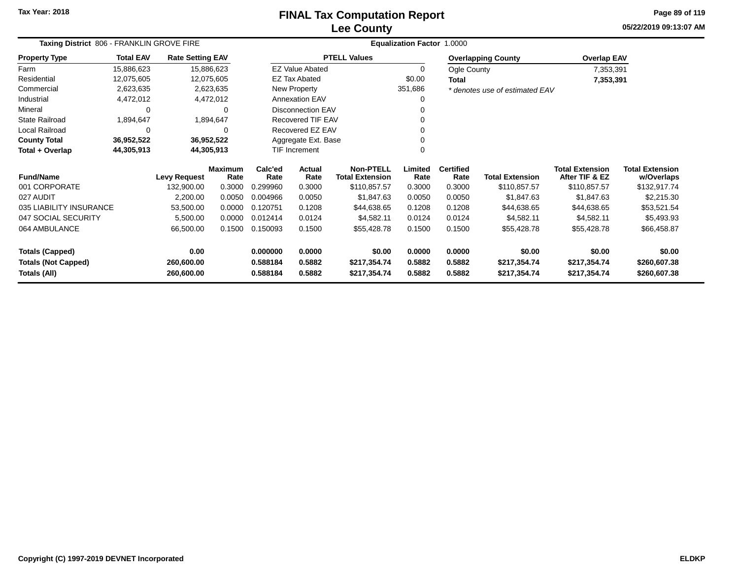# **Lee CountyFINAL Tax Computation Report**

**05/22/2019 09:13:07 AM Page 89 of 119**

| Taxing District 806 - FRANKLIN GROVE FIRE |                  |                         |                        |                 |                        |                                            | Equalization Factor 1.0000 |                          |                                |                                          |                                      |
|-------------------------------------------|------------------|-------------------------|------------------------|-----------------|------------------------|--------------------------------------------|----------------------------|--------------------------|--------------------------------|------------------------------------------|--------------------------------------|
| <b>Property Type</b>                      | <b>Total EAV</b> | <b>Rate Setting EAV</b> |                        |                 |                        | <b>PTELL Values</b>                        |                            |                          | <b>Overlapping County</b>      | <b>Overlap EAV</b>                       |                                      |
| Farm                                      | 15,886,623       |                         | 15,886,623             |                 | <b>EZ Value Abated</b> |                                            | 0                          | <b>Ogle County</b>       |                                | 7,353,391                                |                                      |
| Residential                               | 12,075,605       |                         | 12,075,605             |                 | <b>EZ Tax Abated</b>   |                                            | \$0.00                     | <b>Total</b>             |                                | 7,353,391                                |                                      |
| Commercial                                | 2,623,635        |                         | 2,623,635              |                 | New Property           |                                            | 351,686                    |                          | * denotes use of estimated EAV |                                          |                                      |
| Industrial                                | 4,472,012        |                         | 4,472,012              |                 | <b>Annexation EAV</b>  |                                            | 0                          |                          |                                |                                          |                                      |
| Mineral                                   | 0                |                         |                        |                 | Disconnection EAV      |                                            |                            |                          |                                |                                          |                                      |
| <b>State Railroad</b>                     | 1,894,647        |                         | 1,894,647              |                 | Recovered TIF EAV      |                                            |                            |                          |                                |                                          |                                      |
| Local Railroad                            | 0                |                         |                        |                 | Recovered EZ EAV       |                                            |                            |                          |                                |                                          |                                      |
| <b>County Total</b>                       | 36,952,522       |                         | 36,952,522             |                 | Aggregate Ext. Base    |                                            |                            |                          |                                |                                          |                                      |
| Total + Overlap                           | 44,305,913       |                         | 44,305,913             |                 | TIF Increment          |                                            | 0                          |                          |                                |                                          |                                      |
| <b>Fund/Name</b>                          |                  | <b>Levy Request</b>     | <b>Maximum</b><br>Rate | Calc'ed<br>Rate | <b>Actual</b><br>Rate  | <b>Non-PTELL</b><br><b>Total Extension</b> | Limited<br>Rate            | <b>Certified</b><br>Rate | <b>Total Extension</b>         | <b>Total Extension</b><br>After TIF & EZ | <b>Total Extension</b><br>w/Overlaps |
| 001 CORPORATE                             |                  | 132.900.00              | 0.3000                 | 0.299960        | 0.3000                 | \$110,857.57                               | 0.3000                     | 0.3000                   | \$110,857.57                   | \$110,857.57                             | \$132,917.74                         |
| 027 AUDIT                                 |                  | 2,200.00                | 0.0050                 | 0.004966        | 0.0050                 | \$1,847.63                                 | 0.0050                     | 0.0050                   | \$1,847.63                     | \$1,847.63                               | \$2,215.30                           |
| 035 LIABILITY INSURANCE                   |                  | 53,500.00               | 0.0000                 | 0.120751        | 0.1208                 | \$44,638.65                                | 0.1208                     | 0.1208                   | \$44,638.65                    | \$44,638.65                              | \$53,521.54                          |
| 047 SOCIAL SECURITY                       |                  | 5,500.00                | 0.0000                 | 0.012414        | 0.0124                 | \$4,582.11                                 | 0.0124                     | 0.0124                   | \$4,582.11                     | \$4,582.11                               | \$5,493.93                           |
| 064 AMBULANCE                             |                  | 66,500.00               | 0.1500                 | 0.150093        | 0.1500                 | \$55,428.78                                | 0.1500                     | 0.1500                   | \$55,428.78                    | \$55,428.78                              | \$66,458.87                          |
| <b>Totals (Capped)</b>                    |                  | 0.00                    |                        | 0.000000        | 0.0000                 | \$0.00                                     | 0.0000                     | 0.0000                   | \$0.00                         | \$0.00                                   | \$0.00                               |
| <b>Totals (Not Capped)</b>                |                  | 260,600.00              |                        | 0.588184        | 0.5882                 | \$217,354.74                               | 0.5882                     | 0.5882                   | \$217,354.74                   | \$217,354.74                             | \$260,607.38                         |
| Totals (All)                              |                  | 260,600.00              |                        | 0.588184        | 0.5882                 | \$217,354.74                               | 0.5882                     | 0.5882                   | \$217,354.74                   | \$217,354.74                             | \$260,607.38                         |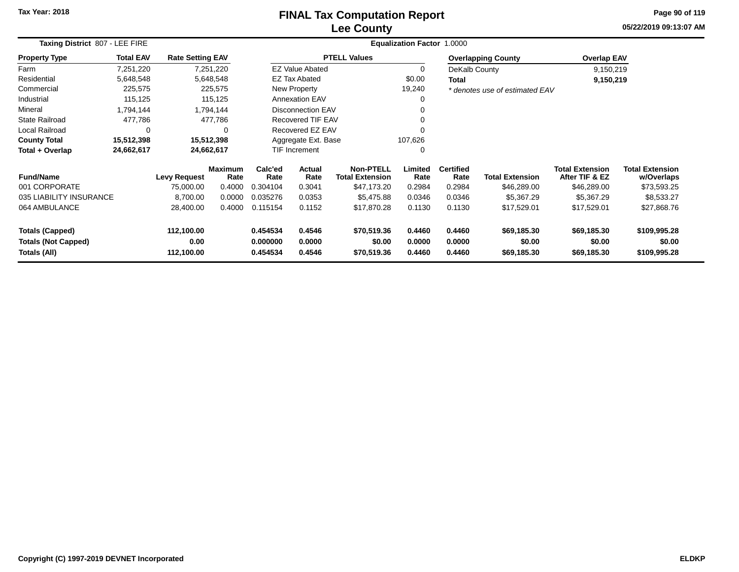# **Lee CountyFINAL Tax Computation Report**

**05/22/2019 09:13:07 AM Page 90 of 119**

| Taxing District 807 - LEE FIRE |                  |                         |                        |                 | Equalization Factor 1.0000 |                                            |                 |                          |                                |                                          |                                      |
|--------------------------------|------------------|-------------------------|------------------------|-----------------|----------------------------|--------------------------------------------|-----------------|--------------------------|--------------------------------|------------------------------------------|--------------------------------------|
| <b>Property Type</b>           | <b>Total EAV</b> | <b>Rate Setting EAV</b> |                        |                 |                            | <b>PTELL Values</b>                        |                 |                          | <b>Overlapping County</b>      | <b>Overlap EAV</b>                       |                                      |
| Farm                           | 7,251,220        |                         | 7,251,220              |                 | <b>EZ Value Abated</b>     |                                            | $\Omega$        | DeKalb County            |                                | 9,150,219                                |                                      |
| Residential                    | 5,648,548        |                         | 5,648,548              |                 | <b>EZ Tax Abated</b>       |                                            | \$0.00          | <b>Total</b>             |                                | 9,150,219                                |                                      |
| Commercial                     | 225,575          |                         | 225,575                |                 | New Property               |                                            | 19,240          |                          | * denotes use of estimated EAV |                                          |                                      |
| Industrial                     | 115,125          |                         | 115,125                |                 | <b>Annexation EAV</b>      |                                            | 0               |                          |                                |                                          |                                      |
| Mineral                        | 1,794,144        |                         | 1,794,144              |                 | <b>Disconnection EAV</b>   |                                            |                 |                          |                                |                                          |                                      |
| State Railroad                 | 477,786          |                         | 477,786                |                 | <b>Recovered TIF EAV</b>   |                                            | 0               |                          |                                |                                          |                                      |
| Local Railroad                 | 0                |                         | 0                      |                 | Recovered EZ EAV           |                                            |                 |                          |                                |                                          |                                      |
| <b>County Total</b>            | 15,512,398       |                         | 15,512,398             |                 | Aggregate Ext. Base        |                                            | 107,626         |                          |                                |                                          |                                      |
| Total + Overlap                | 24,662,617       |                         | 24,662,617             |                 | <b>TIF Increment</b>       |                                            | $\Omega$        |                          |                                |                                          |                                      |
| <b>Fund/Name</b>               |                  | <b>Levy Request</b>     | <b>Maximum</b><br>Rate | Calc'ed<br>Rate | Actual<br>Rate             | <b>Non-PTELL</b><br><b>Total Extension</b> | Limited<br>Rate | <b>Certified</b><br>Rate | <b>Total Extension</b>         | <b>Total Extension</b><br>After TIF & EZ | <b>Total Extension</b><br>w/Overlaps |
| 001 CORPORATE                  |                  | 75,000.00               | 0.4000                 | 0.304104        | 0.3041                     | \$47,173.20                                | 0.2984          | 0.2984                   | \$46,289.00                    | \$46,289.00                              | \$73,593.25                          |
| 035 LIABILITY INSURANCE        |                  | 8,700.00                | 0.0000                 | 0.035276        | 0.0353                     | \$5,475.88                                 | 0.0346          | 0.0346                   | \$5,367.29                     | \$5,367.29                               | \$8,533.27                           |
| 064 AMBULANCE                  |                  | 28,400.00               | 0.4000                 | 0.115154        | 0.1152                     | \$17,870.28                                | 0.1130          | 0.1130                   | \$17,529.01                    | \$17,529.01                              | \$27,868.76                          |
| <b>Totals (Capped)</b>         |                  | 112,100.00              |                        | 0.454534        | 0.4546                     | \$70,519.36                                | 0.4460          | 0.4460                   | \$69,185.30                    | \$69,185.30                              | \$109,995.28                         |
| <b>Totals (Not Capped)</b>     |                  | 0.00                    |                        | 0.000000        | 0.0000                     | \$0.00                                     | 0.0000          | 0.0000                   | \$0.00                         | \$0.00                                   | \$0.00                               |
| Totals (All)                   |                  | 112,100.00              |                        | 0.454534        | 0.4546                     | \$70,519.36                                | 0.4460          | 0.4460                   | \$69,185.30                    | \$69,185.30                              | \$109,995.28                         |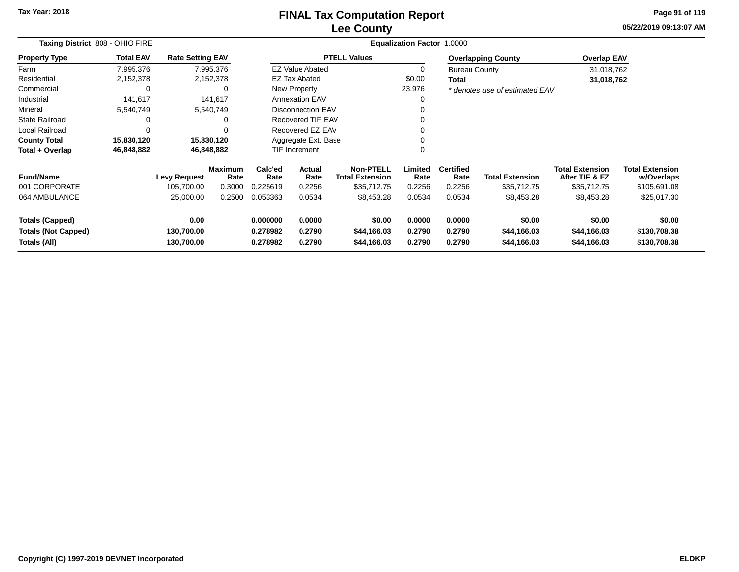# **Lee CountyFINAL Tax Computation Report**

**05/22/2019 09:13:07 AM Page 91 of 119**

| Taxing District 808 - OHIO FIRE                                      |                  |                                  |                        |                                  |                            |                                            | Equalization Factor 1.0000 |                            |                                      |                                          |                                        |
|----------------------------------------------------------------------|------------------|----------------------------------|------------------------|----------------------------------|----------------------------|--------------------------------------------|----------------------------|----------------------------|--------------------------------------|------------------------------------------|----------------------------------------|
| <b>Property Type</b>                                                 | <b>Total EAV</b> | <b>Rate Setting EAV</b>          |                        |                                  |                            | <b>PTELL Values</b>                        |                            |                            | <b>Overlapping County</b>            | <b>Overlap EAV</b>                       |                                        |
| Farm                                                                 | 7,995,376        |                                  | 7,995,376              |                                  | <b>EZ Value Abated</b>     |                                            |                            | <b>Bureau County</b>       |                                      | 31,018,762                               |                                        |
| Residential                                                          | 2,152,378        |                                  | 2,152,378              |                                  | EZ Tax Abated              |                                            | \$0.00                     | Total                      |                                      | 31,018,762                               |                                        |
| Commercial                                                           | C                |                                  | 0                      |                                  | New Property               |                                            | 23,976                     |                            | * denotes use of estimated EAV       |                                          |                                        |
| Industrial                                                           | 141,617          |                                  | 141,617                |                                  | <b>Annexation EAV</b>      |                                            | 0                          |                            |                                      |                                          |                                        |
| Mineral                                                              | 5,540,749        |                                  | 5,540,749              |                                  | <b>Disconnection EAV</b>   |                                            |                            |                            |                                      |                                          |                                        |
| State Railroad                                                       | 0                |                                  | 0                      |                                  | <b>Recovered TIF EAV</b>   |                                            |                            |                            |                                      |                                          |                                        |
| Local Railroad                                                       | $\Omega$         |                                  | $\Omega$               |                                  | Recovered EZ EAV           |                                            |                            |                            |                                      |                                          |                                        |
| <b>County Total</b>                                                  | 15,830,120       | 15,830,120                       |                        |                                  | Aggregate Ext. Base        |                                            |                            |                            |                                      |                                          |                                        |
| Total + Overlap                                                      | 46,848,882       | 46,848,882                       |                        |                                  | <b>TIF Increment</b>       |                                            |                            |                            |                                      |                                          |                                        |
| <b>Fund/Name</b>                                                     |                  | <b>Levy Request</b>              | <b>Maximum</b><br>Rate | Calc'ed<br>Rate                  | Actual<br>Rate             | <b>Non-PTELL</b><br><b>Total Extension</b> | Limited<br>Rate            | <b>Certified</b><br>Rate   | <b>Total Extension</b>               | <b>Total Extension</b><br>After TIF & EZ | <b>Total Extension</b><br>w/Overlaps   |
| 001 CORPORATE                                                        |                  | 105,700.00                       | 0.3000                 | 0.225619                         | 0.2256                     | \$35,712.75                                | 0.2256                     | 0.2256                     | \$35,712.75                          | \$35,712.75                              | \$105,691.08                           |
| 064 AMBULANCE                                                        |                  | 25,000.00                        | 0.2500                 | 0.053363                         | 0.0534                     | \$8,453.28                                 | 0.0534                     | 0.0534                     | \$8,453.28                           | \$8,453.28                               | \$25,017.30                            |
| <b>Totals (Capped)</b><br><b>Totals (Not Capped)</b><br>Totals (All) |                  | 0.00<br>130,700.00<br>130,700.00 |                        | 0.000000<br>0.278982<br>0.278982 | 0.0000<br>0.2790<br>0.2790 | \$0.00<br>\$44,166.03<br>\$44,166.03       | 0.0000<br>0.2790<br>0.2790 | 0.0000<br>0.2790<br>0.2790 | \$0.00<br>\$44,166.03<br>\$44,166.03 | \$0.00<br>\$44,166.03<br>\$44,166.03     | \$0.00<br>\$130,708.38<br>\$130,708.38 |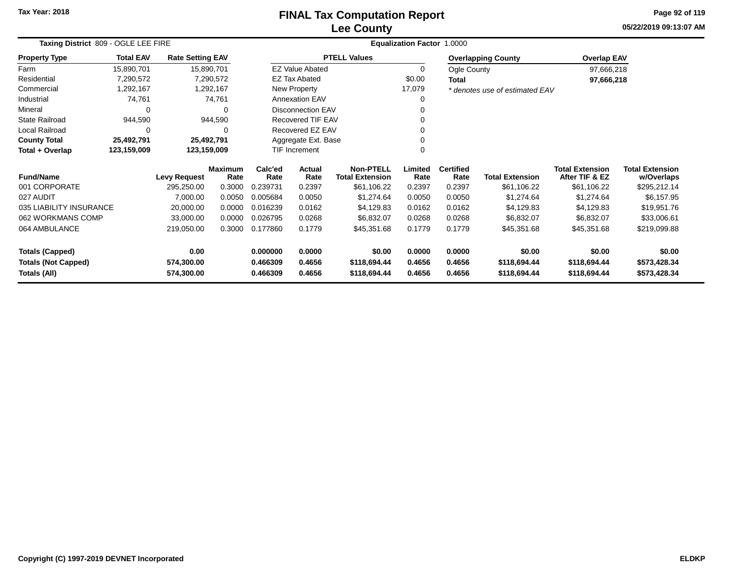#### **Lee CountyFINAL Tax Computation Report**

**05/22/2019 09:13:07 AM Page 92 of 119**

| Taxing District 809 - OGLE LEE FIRE |                            |                         |                        |                 |                          |                                            | Equalization Factor 1.0000 |                          |                                |                                          |                                      |
|-------------------------------------|----------------------------|-------------------------|------------------------|-----------------|--------------------------|--------------------------------------------|----------------------------|--------------------------|--------------------------------|------------------------------------------|--------------------------------------|
| <b>Property Type</b>                | <b>Total EAV</b>           | <b>Rate Setting EAV</b> |                        |                 |                          | <b>PTELL Values</b>                        |                            |                          | <b>Overlapping County</b>      | <b>Overlap EAV</b>                       |                                      |
| Farm                                | 15,890,701                 |                         | 15,890,701             |                 | <b>EZ Value Abated</b>   |                                            | 0                          | Ogle County              |                                | 97,666,218                               |                                      |
| Residential                         | 7,290,572                  |                         | 7,290,572              |                 | <b>EZ Tax Abated</b>     |                                            | \$0.00                     | Total                    |                                | 97,666,218                               |                                      |
| Commercial                          | 1,292,167                  |                         | 1,292,167              |                 | New Property             |                                            | 17,079                     |                          | * denotes use of estimated EAV |                                          |                                      |
| Industrial                          | 74,761                     |                         | 74,761                 |                 | <b>Annexation EAV</b>    |                                            |                            |                          |                                |                                          |                                      |
| Mineral                             | 0                          |                         | 0                      |                 | <b>Disconnection EAV</b> |                                            |                            |                          |                                |                                          |                                      |
| <b>State Railroad</b>               | 944,590                    |                         | 944,590                |                 | <b>Recovered TIF EAV</b> |                                            |                            |                          |                                |                                          |                                      |
| Local Railroad                      | 0                          |                         | <sup>0</sup>           |                 | Recovered EZ EAV         |                                            |                            |                          |                                |                                          |                                      |
| <b>County Total</b>                 | 25,492,791                 |                         | 25,492,791             |                 | Aggregate Ext. Base      |                                            |                            |                          |                                |                                          |                                      |
| Total + Overlap                     | 123,159,009<br>123,159,009 |                         |                        |                 | <b>TIF Increment</b>     |                                            |                            |                          |                                |                                          |                                      |
| <b>Fund/Name</b>                    | <b>Levy Request</b>        |                         | <b>Maximum</b><br>Rate | Calc'ed<br>Rate | Actual<br>Rate           | <b>Non-PTELL</b><br><b>Total Extension</b> | Limited<br>Rate            | <b>Certified</b><br>Rate | <b>Total Extension</b>         | <b>Total Extension</b><br>After TIF & EZ | <b>Total Extension</b><br>w/Overlaps |
| 001 CORPORATE                       |                            | 295,250.00              | 0.3000                 | 0.239731        | 0.2397                   | \$61,106.22                                | 0.2397                     | 0.2397                   | \$61,106.22                    | \$61,106.22                              | \$295,212.14                         |
| 027 AUDIT                           |                            | 7,000.00                | 0.0050                 | 0.005684        | 0.0050                   | \$1,274.64                                 | 0.0050                     | 0.0050                   | \$1,274.64                     | \$1,274.64                               | \$6,157.95                           |
| 035 LIABILITY INSURANCE             |                            | 20,000.00               | 0.0000                 | 0.016239        | 0.0162                   | \$4,129.83                                 | 0.0162                     | 0.0162                   | \$4,129.83                     | \$4,129.83                               | \$19,951.76                          |
| 062 WORKMANS COMP                   |                            | 33,000.00               | 0.0000                 | 0.026795        | 0.0268                   | \$6,832.07                                 | 0.0268                     | 0.0268                   | \$6,832.07                     | \$6,832.07                               | \$33,006.61                          |
| 064 AMBULANCE                       |                            | 219,050.00              | 0.3000                 | 0.177860        | 0.1779                   | \$45,351.68                                | 0.1779                     | 0.1779                   | \$45,351.68                    | \$45,351.68                              | \$219,099.88                         |
| <b>Totals (Capped)</b>              |                            | 0.00                    |                        | 0.000000        | 0.0000                   | \$0.00                                     | 0.0000                     | 0.0000                   | \$0.00                         | \$0.00                                   | \$0.00                               |
| <b>Totals (Not Capped)</b>          |                            | 574,300.00              |                        | 0.466309        | 0.4656                   | \$118,694.44                               | 0.4656                     | 0.4656                   | \$118,694.44                   | \$118,694.44                             | \$573,428.34                         |
| Totals (All)                        |                            | 574,300.00              |                        | 0.466309        | 0.4656                   | \$118,694.44                               | 0.4656                     | 0.4656                   | \$118,694.44                   | \$118,694.44                             | \$573,428.34                         |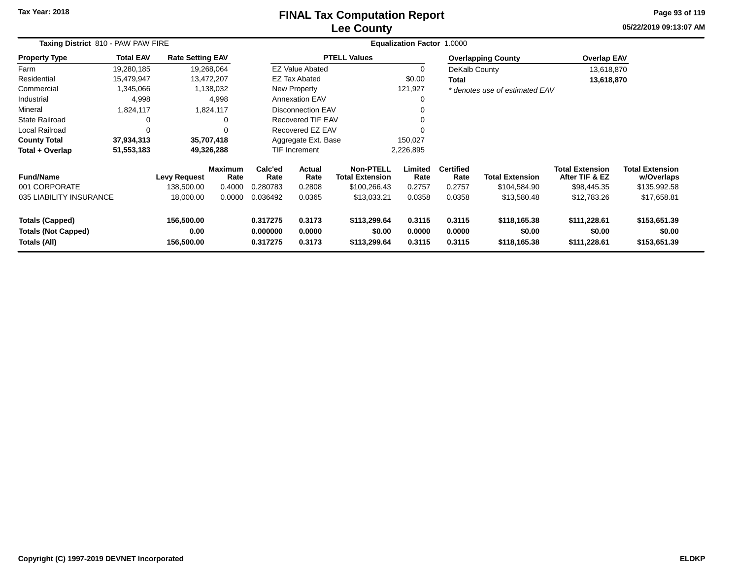# **Lee CountyFINAL Tax Computation Report**

**05/22/2019 09:13:07 AM Page 93 of 119**

| Taxing District 810 - PAW PAW FIRE                                   |                  |                                  |                        | Equalization Factor 1.0000       |                            |                                            |                            |                            |                                        |                                          |                                        |
|----------------------------------------------------------------------|------------------|----------------------------------|------------------------|----------------------------------|----------------------------|--------------------------------------------|----------------------------|----------------------------|----------------------------------------|------------------------------------------|----------------------------------------|
| <b>Property Type</b>                                                 | <b>Total EAV</b> | <b>Rate Setting EAV</b>          |                        |                                  |                            | <b>PTELL Values</b>                        |                            |                            | <b>Overlapping County</b>              | <b>Overlap EAV</b>                       |                                        |
| Farm                                                                 | 19,280,185       |                                  | 19,268,064             |                                  | <b>EZ Value Abated</b>     |                                            | 0                          | DeKalb County              |                                        | 13,618,870                               |                                        |
| Residential                                                          | 15,479,947       |                                  | 13,472,207             |                                  | EZ Tax Abated              |                                            | \$0.00                     | <b>Total</b>               |                                        | 13,618,870                               |                                        |
| Commercial                                                           | 1,345,066        |                                  | 1,138,032              |                                  | New Property               |                                            | 121,927                    |                            | * denotes use of estimated EAV         |                                          |                                        |
| Industrial                                                           | 4,998            |                                  | 4,998                  |                                  | <b>Annexation EAV</b>      |                                            | 0                          |                            |                                        |                                          |                                        |
| Mineral                                                              | 1,824,117        |                                  | 1,824,117              |                                  | <b>Disconnection EAV</b>   |                                            | 0                          |                            |                                        |                                          |                                        |
| <b>State Railroad</b>                                                | 0                |                                  |                        |                                  | Recovered TIF EAV          |                                            | 0                          |                            |                                        |                                          |                                        |
| Local Railroad                                                       | 0                |                                  |                        |                                  | Recovered EZ EAV           |                                            | $\Omega$                   |                            |                                        |                                          |                                        |
| <b>County Total</b>                                                  | 37,934,313       |                                  | 35,707,418             |                                  | Aggregate Ext. Base        |                                            | 150,027                    |                            |                                        |                                          |                                        |
| Total + Overlap                                                      | 51,553,183       |                                  | 49,326,288             |                                  | <b>TIF Increment</b>       |                                            | 2,226,895                  |                            |                                        |                                          |                                        |
| <b>Fund/Name</b>                                                     |                  | <b>Levy Request</b>              | <b>Maximum</b><br>Rate | Calc'ed<br>Rate                  | Actual<br>Rate             | <b>Non-PTELL</b><br><b>Total Extension</b> | Limited<br>Rate            | <b>Certified</b><br>Rate   | <b>Total Extension</b>                 | <b>Total Extension</b><br>After TIF & EZ | <b>Total Extension</b><br>w/Overlaps   |
| 001 CORPORATE                                                        |                  | 138,500.00                       | 0.4000                 | 0.280783                         | 0.2808                     | \$100,266.43                               | 0.2757                     | 0.2757                     | \$104,584.90                           | \$98,445.35                              | \$135,992.58                           |
| 035 LIABILITY INSURANCE                                              |                  | 18,000.00                        | 0.0000                 | 0.036492                         | 0.0365                     | \$13,033.21                                | 0.0358                     | 0.0358                     | \$13,580.48                            | \$12,783.26                              | \$17,658.81                            |
| <b>Totals (Capped)</b><br><b>Totals (Not Capped)</b><br>Totals (All) |                  | 156,500.00<br>0.00<br>156,500.00 |                        | 0.317275<br>0.000000<br>0.317275 | 0.3173<br>0.0000<br>0.3173 | \$113,299.64<br>\$0.00<br>\$113,299.64     | 0.3115<br>0.0000<br>0.3115 | 0.3115<br>0.0000<br>0.3115 | \$118,165.38<br>\$0.00<br>\$118,165.38 | \$111,228.61<br>\$0.00<br>\$111,228.61   | \$153,651.39<br>\$0.00<br>\$153,651.39 |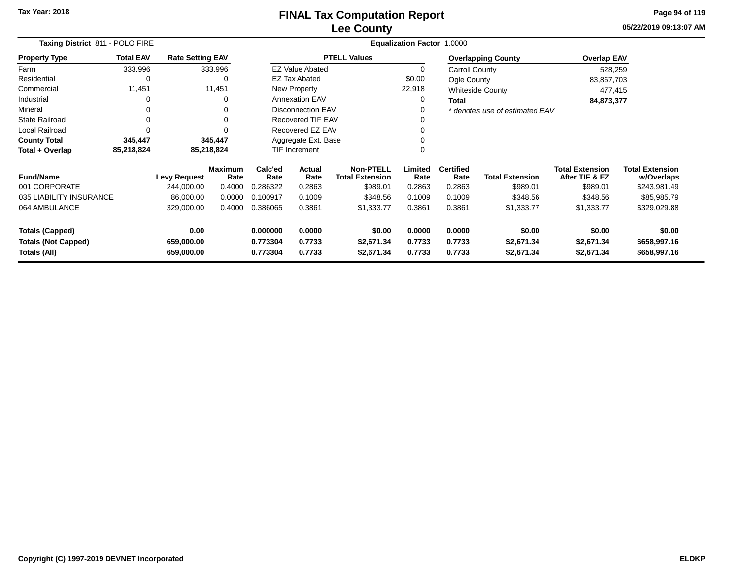**05/22/2019 09:13:07 AM Page 94 of 119**

| Taxing District 811 - POLO FIRE            |                  |                          |                        |                      |                          |                                            | Equalization Factor 1.0000 |                          |                                |                                          |                                      |
|--------------------------------------------|------------------|--------------------------|------------------------|----------------------|--------------------------|--------------------------------------------|----------------------------|--------------------------|--------------------------------|------------------------------------------|--------------------------------------|
| <b>Property Type</b>                       | <b>Total EAV</b> | <b>Rate Setting EAV</b>  |                        |                      |                          | <b>PTELL Values</b>                        |                            |                          | <b>Overlapping County</b>      | <b>Overlap EAV</b>                       |                                      |
| Farm                                       | 333,996          |                          | 333,996                |                      | <b>EZ Value Abated</b>   |                                            |                            | Carroll County           |                                | 528,259                                  |                                      |
| Residential                                | 0                |                          | 0                      |                      | <b>EZ Tax Abated</b>     |                                            | \$0.00                     | Ogle County              |                                | 83,867,703                               |                                      |
| Commercial                                 | 11,451           |                          | 11,451                 |                      | New Property             |                                            | 22,918                     |                          | <b>Whiteside County</b>        | 477,415                                  |                                      |
| Industrial                                 | 0                |                          | 0                      |                      | <b>Annexation EAV</b>    |                                            |                            | Total                    |                                | 84,873,377                               |                                      |
| Mineral                                    | 0                |                          | 0                      |                      | <b>Disconnection EAV</b> |                                            |                            |                          | * denotes use of estimated EAV |                                          |                                      |
| <b>State Railroad</b>                      | 0                |                          |                        |                      | <b>Recovered TIF EAV</b> |                                            |                            |                          |                                |                                          |                                      |
| <b>Local Railroad</b>                      | 0                |                          |                        |                      | Recovered EZ EAV         |                                            |                            |                          |                                |                                          |                                      |
| <b>County Total</b>                        | 345,447          |                          | 345,447                |                      | Aggregate Ext. Base      |                                            |                            |                          |                                |                                          |                                      |
| Total + Overlap                            | 85,218,824       |                          | 85,218,824             | TIF Increment        |                          |                                            |                            |                          |                                |                                          |                                      |
| <b>Fund/Name</b>                           |                  | <b>Levy Request</b>      | <b>Maximum</b><br>Rate | Calc'ed<br>Rate      | Actual<br>Rate           | <b>Non-PTELL</b><br><b>Total Extension</b> | Limited<br>Rate            | <b>Certified</b><br>Rate | <b>Total Extension</b>         | <b>Total Extension</b><br>After TIF & EZ | <b>Total Extension</b><br>w/Overlaps |
| 001 CORPORATE                              |                  | 244,000.00               | 0.4000                 | 0.286322             | 0.2863                   | \$989.01                                   | 0.2863                     | 0.2863                   | \$989.01                       | \$989.01                                 | \$243,981.49                         |
| 035 LIABILITY INSURANCE                    |                  | 86,000.00                | 0.0000                 | 0.100917             | 0.1009                   | \$348.56                                   | 0.1009                     | 0.1009                   | \$348.56                       | \$348.56                                 | \$85,985.79                          |
| 064 AMBULANCE                              |                  | 329,000.00               | 0.4000                 | 0.386065             | 0.3861                   | \$1,333.77                                 | 0.3861                     | 0.3861                   | \$1,333.77                     | \$1,333.77                               | \$329,029.88                         |
| <b>Totals (Capped)</b>                     |                  | 0.00                     |                        | 0.000000             | 0.0000                   | \$0.00                                     | 0.0000                     | 0.0000                   | \$0.00                         | \$0.00                                   | \$0.00                               |
| <b>Totals (Not Capped)</b><br>Totals (All) |                  | 659,000.00<br>659,000.00 |                        | 0.773304<br>0.773304 | 0.7733<br>0.7733         | \$2,671.34<br>\$2,671.34                   | 0.7733<br>0.7733           | 0.7733<br>0.7733         | \$2,671.34<br>\$2,671.34       | \$2,671.34<br>\$2,671.34                 | \$658,997.16<br>\$658,997.16         |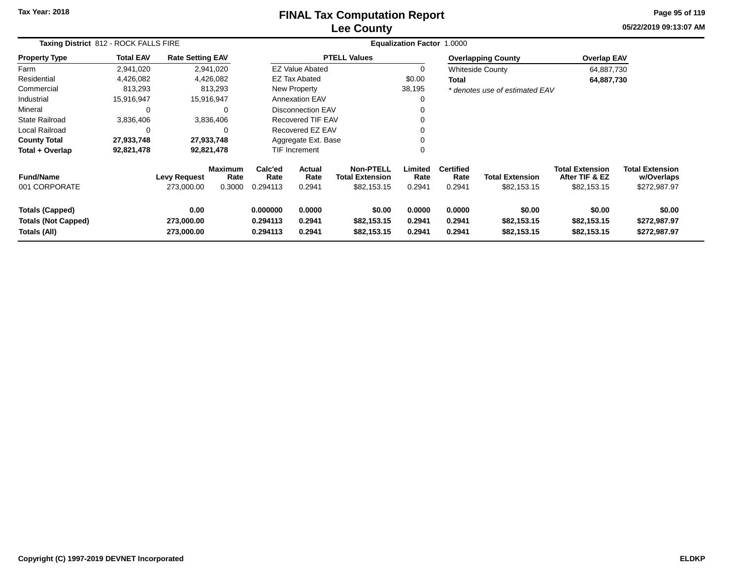# **Lee CountyFINAL Tax Computation Report**

**05/22/2019 09:13:07 AM Page 95 of 119**

| Taxing District 812 - ROCK FALLS FIRE                                |                  |                                   |                                  | <b>Equalization Factor 1.0000</b> |                            |                                                           |                            |                                    |                                       |                                                         |                                                      |  |
|----------------------------------------------------------------------|------------------|-----------------------------------|----------------------------------|-----------------------------------|----------------------------|-----------------------------------------------------------|----------------------------|------------------------------------|---------------------------------------|---------------------------------------------------------|------------------------------------------------------|--|
| <b>Property Type</b>                                                 | <b>Total EAV</b> | <b>Rate Setting EAV</b>           |                                  |                                   |                            | <b>PTELL Values</b>                                       |                            |                                    | <b>Overlapping County</b>             | <b>Overlap EAV</b>                                      |                                                      |  |
| Farm                                                                 | 2,941,020        |                                   | 2,941,020                        |                                   | <b>EZ Value Abated</b>     |                                                           | 0                          |                                    | <b>Whiteside County</b>               | 64,887,730                                              |                                                      |  |
| Residential                                                          | 4,426,082        |                                   | 4,426,082                        |                                   | <b>EZ Tax Abated</b>       |                                                           | \$0.00                     | Total                              |                                       | 64,887,730                                              |                                                      |  |
| Commercial                                                           | 813,293          |                                   | 813,293                          |                                   | New Property               |                                                           | 38,195                     |                                    | * denotes use of estimated EAV        |                                                         |                                                      |  |
| Industrial                                                           | 15,916,947       | 15,916,947                        |                                  |                                   | <b>Annexation EAV</b>      |                                                           | 0                          |                                    |                                       |                                                         |                                                      |  |
| Mineral                                                              | $\Omega$         |                                   | $\Omega$                         |                                   | Disconnection EAV          |                                                           |                            |                                    |                                       |                                                         |                                                      |  |
| <b>State Railroad</b>                                                | 3,836,406        |                                   | 3,836,406                        |                                   | <b>Recovered TIF EAV</b>   |                                                           | 0                          |                                    |                                       |                                                         |                                                      |  |
| Local Railroad                                                       | 0                |                                   | $\Omega$                         |                                   | Recovered EZ EAV           |                                                           | 0                          |                                    |                                       |                                                         |                                                      |  |
| <b>County Total</b>                                                  | 27,933,748       | 27,933,748                        |                                  |                                   | Aggregate Ext. Base        |                                                           | 0                          |                                    |                                       |                                                         |                                                      |  |
| Total + Overlap                                                      | 92,821,478       | 92,821,478                        |                                  |                                   | TIF Increment              |                                                           | 0                          |                                    |                                       |                                                         |                                                      |  |
| <b>Fund/Name</b><br>001 CORPORATE                                    |                  | <b>Levy Request</b><br>273,000.00 | <b>Maximum</b><br>Rate<br>0.3000 | Calc'ed<br>Rate<br>0.294113       | Actual<br>Rate<br>0.2941   | <b>Non-PTELL</b><br><b>Total Extension</b><br>\$82,153.15 | Limited<br>Rate<br>0.2941  | <b>Certified</b><br>Rate<br>0.2941 | <b>Total Extension</b><br>\$82,153.15 | <b>Total Extension</b><br>After TIF & EZ<br>\$82,153.15 | <b>Total Extension</b><br>w/Overlaps<br>\$272,987.97 |  |
| <b>Totals (Capped)</b><br><b>Totals (Not Capped)</b><br>Totals (All) |                  | 0.00<br>273,000.00<br>273,000.00  |                                  | 0.000000<br>0.294113<br>0.294113  | 0.0000<br>0.2941<br>0.2941 | \$0.00<br>\$82,153.15<br>\$82,153.15                      | 0.0000<br>0.2941<br>0.2941 | 0.0000<br>0.2941<br>0.2941         | \$0.00<br>\$82,153.15<br>\$82,153.15  | \$0.00<br>\$82,153.15<br>\$82,153.15                    | \$0.00<br>\$272,987.97<br>\$272,987.97               |  |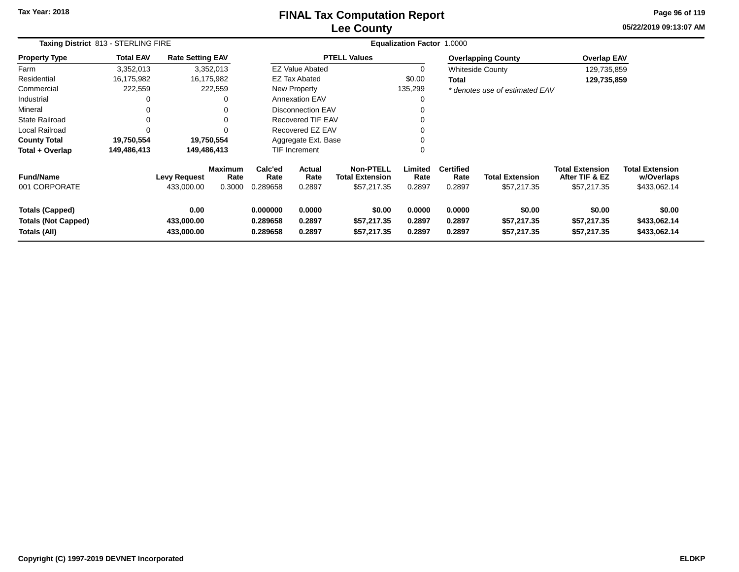# **Lee CountyFINAL Tax Computation Report**

**05/22/2019 09:13:07 AM Page 96 of 119**

| Taxing District 813 - STERLING FIRE                                  |                  |                                   |                                  |                                  | <b>Equalization Factor</b> | 1.0000                                                    |                            |                                    |                                       |                                                         |                                                      |
|----------------------------------------------------------------------|------------------|-----------------------------------|----------------------------------|----------------------------------|----------------------------|-----------------------------------------------------------|----------------------------|------------------------------------|---------------------------------------|---------------------------------------------------------|------------------------------------------------------|
| <b>Property Type</b>                                                 | <b>Total EAV</b> | <b>Rate Setting EAV</b>           |                                  |                                  |                            | <b>PTELL Values</b>                                       |                            |                                    | <b>Overlapping County</b>             | <b>Overlap EAV</b>                                      |                                                      |
| Farm                                                                 | 3,352,013        |                                   | 3,352,013                        |                                  | <b>EZ Value Abated</b>     |                                                           | 0                          |                                    | <b>Whiteside County</b>               | 129,735,859                                             |                                                      |
| Residential                                                          | 16,175,982       |                                   | 16,175,982                       |                                  | <b>EZ Tax Abated</b>       |                                                           | \$0.00                     | Total                              |                                       | 129,735,859                                             |                                                      |
| Commercial                                                           | 222,559          |                                   | 222,559                          |                                  | New Property               |                                                           | 135,299                    |                                    | * denotes use of estimated EAV        |                                                         |                                                      |
| Industrial                                                           |                  |                                   | 0                                |                                  | <b>Annexation EAV</b>      |                                                           | 0                          |                                    |                                       |                                                         |                                                      |
| Mineral                                                              |                  |                                   | 0                                |                                  | Disconnection EAV          |                                                           | 0                          |                                    |                                       |                                                         |                                                      |
| State Railroad                                                       |                  |                                   | 0                                |                                  | <b>Recovered TIF EAV</b>   |                                                           | 0                          |                                    |                                       |                                                         |                                                      |
| Local Railroad                                                       |                  |                                   | 0                                |                                  | Recovered EZ EAV           |                                                           | 0                          |                                    |                                       |                                                         |                                                      |
| <b>County Total</b>                                                  | 19,750,554       |                                   | 19,750,554                       |                                  | Aggregate Ext. Base        |                                                           | 0                          |                                    |                                       |                                                         |                                                      |
| Total + Overlap                                                      | 149,486,413      |                                   | 149,486,413                      |                                  | <b>TIF Increment</b>       |                                                           | 0                          |                                    |                                       |                                                         |                                                      |
| <b>Fund/Name</b><br>001 CORPORATE                                    |                  | <b>Levy Request</b><br>433,000.00 | <b>Maximum</b><br>Rate<br>0.3000 | Calc'ed<br>Rate<br>0.289658      | Actual<br>Rate<br>0.2897   | <b>Non-PTELL</b><br><b>Total Extension</b><br>\$57,217.35 | Limited<br>Rate<br>0.2897  | <b>Certified</b><br>Rate<br>0.2897 | <b>Total Extension</b><br>\$57,217.35 | <b>Total Extension</b><br>After TIF & EZ<br>\$57,217.35 | <b>Total Extension</b><br>w/Overlaps<br>\$433,062.14 |
| <b>Totals (Capped)</b><br><b>Totals (Not Capped)</b><br>Totals (All) |                  | 0.00<br>433,000.00<br>433,000.00  |                                  | 0.000000<br>0.289658<br>0.289658 | 0.0000<br>0.2897<br>0.2897 | \$0.00<br>\$57,217.35<br>\$57,217.35                      | 0.0000<br>0.2897<br>0.2897 | 0.0000<br>0.2897<br>0.2897         | \$0.00<br>\$57,217.35<br>\$57,217.35  | \$0.00<br>\$57,217.35<br>\$57,217.35                    | \$0.00<br>\$433,062.14<br>\$433,062.14               |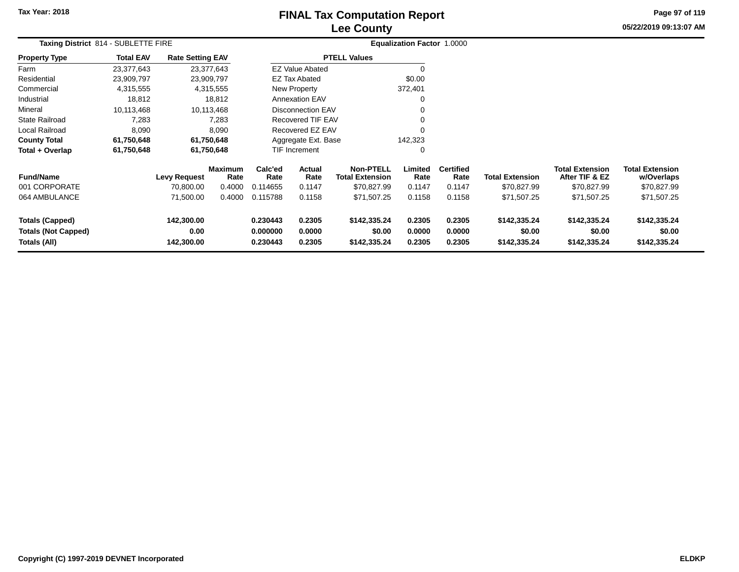# **Lee CountyFINAL Tax Computation Report**

**05/22/2019 09:13:07 AM Page 97 of 119**

| Taxing District 814 - SUBLETTE FIRE                                  |                  |                                  |                        |                                  | Equalization Factor 1.0000 |                                            |                            |                            |                                        |                                          |                                        |  |
|----------------------------------------------------------------------|------------------|----------------------------------|------------------------|----------------------------------|----------------------------|--------------------------------------------|----------------------------|----------------------------|----------------------------------------|------------------------------------------|----------------------------------------|--|
| <b>Property Type</b>                                                 | <b>Total EAV</b> | <b>Rate Setting EAV</b>          |                        |                                  |                            | <b>PTELL Values</b>                        |                            |                            |                                        |                                          |                                        |  |
| Farm                                                                 | 23,377,643       |                                  | 23,377,643             |                                  | <b>EZ Value Abated</b>     |                                            |                            |                            |                                        |                                          |                                        |  |
| Residential                                                          | 23,909,797       | 23,909,797                       |                        |                                  | <b>EZ Tax Abated</b>       |                                            | \$0.00                     |                            |                                        |                                          |                                        |  |
| Commercial                                                           | 4,315,555        |                                  | 4,315,555              |                                  | New Property               |                                            | 372,401                    |                            |                                        |                                          |                                        |  |
| Industrial                                                           | 18,812           |                                  | 18,812                 |                                  | <b>Annexation EAV</b>      |                                            |                            |                            |                                        |                                          |                                        |  |
| Mineral                                                              | 10,113,468       |                                  | 10,113,468             |                                  | <b>Disconnection EAV</b>   |                                            |                            |                            |                                        |                                          |                                        |  |
| <b>State Railroad</b>                                                | 7,283            |                                  | 7,283                  |                                  | <b>Recovered TIF EAV</b>   |                                            |                            |                            |                                        |                                          |                                        |  |
| Local Railroad                                                       | 8,090            |                                  | 8,090                  |                                  | Recovered EZ EAV           |                                            | $\Omega$                   |                            |                                        |                                          |                                        |  |
| <b>County Total</b>                                                  | 61,750,648       |                                  | 61,750,648             |                                  | Aggregate Ext. Base        |                                            | 142,323                    |                            |                                        |                                          |                                        |  |
| Total + Overlap                                                      | 61,750,648       |                                  | 61,750,648             |                                  | <b>TIF Increment</b>       |                                            | 0                          |                            |                                        |                                          |                                        |  |
| <b>Fund/Name</b>                                                     |                  | <b>Levy Request</b>              | <b>Maximum</b><br>Rate | Calc'ed<br>Rate                  | <b>Actual</b><br>Rate      | <b>Non-PTELL</b><br><b>Total Extension</b> | Limited<br>Rate            | <b>Certified</b><br>Rate   | <b>Total Extension</b>                 | <b>Total Extension</b><br>After TIF & EZ | <b>Total Extension</b><br>w/Overlaps   |  |
| 001 CORPORATE                                                        |                  | 70,800.00                        | 0.4000                 | 0.114655                         | 0.1147                     | \$70,827.99                                | 0.1147                     | 0.1147                     | \$70,827.99                            | \$70,827.99                              | \$70,827.99                            |  |
| 064 AMBULANCE                                                        |                  | 71,500.00                        | 0.4000                 | 0.115788                         | 0.1158                     | \$71,507.25                                | 0.1158                     | 0.1158                     | \$71,507.25                            | \$71,507.25                              | \$71,507.25                            |  |
| <b>Totals (Capped)</b><br><b>Totals (Not Capped)</b><br>Totals (All) |                  | 142,300.00<br>0.00<br>142,300.00 |                        | 0.230443<br>0.000000<br>0.230443 | 0.2305<br>0.0000<br>0.2305 | \$142,335.24<br>\$0.00<br>\$142,335.24     | 0.2305<br>0.0000<br>0.2305 | 0.2305<br>0.0000<br>0.2305 | \$142,335.24<br>\$0.00<br>\$142,335.24 | \$142,335.24<br>\$0.00<br>\$142,335.24   | \$142,335.24<br>\$0.00<br>\$142,335.24 |  |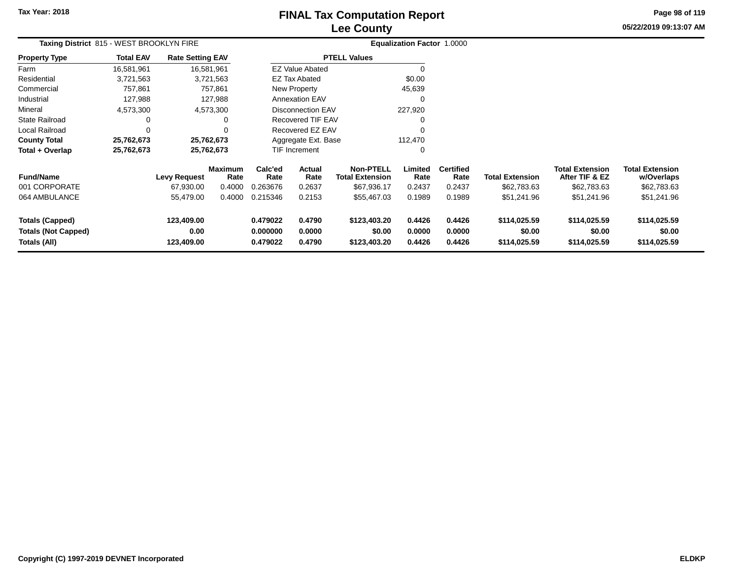### **Lee CountyFINAL Tax Computation Report**

**05/22/2019 09:13:07 AM Page 98 of 119**

| Taxing District 815 - WEST BROOKLYN FIRE                             |                  |                                  |                        |                                  |                            |                                            | <b>Equalization Factor 1.0000</b> |                            |                                        |                                          |                                        |  |
|----------------------------------------------------------------------|------------------|----------------------------------|------------------------|----------------------------------|----------------------------|--------------------------------------------|-----------------------------------|----------------------------|----------------------------------------|------------------------------------------|----------------------------------------|--|
| <b>Property Type</b>                                                 | <b>Total EAV</b> | <b>Rate Setting EAV</b>          |                        |                                  |                            | <b>PTELL Values</b>                        |                                   |                            |                                        |                                          |                                        |  |
| Farm                                                                 | 16,581,961       | 16,581,961                       |                        |                                  | <b>EZ Value Abated</b>     |                                            |                                   |                            |                                        |                                          |                                        |  |
| Residential                                                          | 3,721,563        |                                  | 3,721,563              |                                  | EZ Tax Abated              |                                            | \$0.00                            |                            |                                        |                                          |                                        |  |
| Commercial                                                           | 757,861          |                                  | 757,861                |                                  | New Property               |                                            | 45,639                            |                            |                                        |                                          |                                        |  |
| Industrial                                                           | 127,988          |                                  | 127,988                |                                  | <b>Annexation EAV</b>      |                                            |                                   |                            |                                        |                                          |                                        |  |
| Mineral                                                              | 4,573,300        |                                  | 4,573,300              |                                  | <b>Disconnection EAV</b>   |                                            | 227,920                           |                            |                                        |                                          |                                        |  |
| <b>State Railroad</b>                                                | 0                |                                  | 0                      |                                  | <b>Recovered TIF EAV</b>   |                                            |                                   |                            |                                        |                                          |                                        |  |
| <b>Local Railroad</b>                                                | 0                |                                  | $\Omega$               |                                  | Recovered EZ EAV           |                                            |                                   |                            |                                        |                                          |                                        |  |
| <b>County Total</b>                                                  | 25,762,673       | 25,762,673                       |                        |                                  | Aggregate Ext. Base        |                                            | 112,470                           |                            |                                        |                                          |                                        |  |
| Total + Overlap                                                      | 25,762,673       | 25,762,673                       |                        |                                  | <b>TIF Increment</b>       |                                            | $\Omega$                          |                            |                                        |                                          |                                        |  |
| <b>Fund/Name</b>                                                     |                  | <b>Levy Request</b>              | <b>Maximum</b><br>Rate | Calc'ed<br>Rate                  | Actual<br>Rate             | <b>Non-PTELL</b><br><b>Total Extension</b> | Limited<br>Rate                   | <b>Certified</b><br>Rate   | <b>Total Extension</b>                 | <b>Total Extension</b><br>After TIF & EZ | <b>Total Extension</b><br>w/Overlaps   |  |
| 001 CORPORATE                                                        |                  | 67,930.00                        | 0.4000                 | 0.263676                         | 0.2637                     | \$67,936.17                                | 0.2437                            | 0.2437                     | \$62,783.63                            | \$62,783.63                              | \$62,783.63                            |  |
| 064 AMBULANCE                                                        |                  | 55,479.00                        | 0.4000                 | 0.215346                         | 0.2153                     | \$55,467.03                                | 0.1989                            | 0.1989                     | \$51,241.96                            | \$51,241.96                              | \$51,241.96                            |  |
| <b>Totals (Capped)</b><br><b>Totals (Not Capped)</b><br>Totals (All) |                  | 123,409.00<br>0.00<br>123,409.00 |                        | 0.479022<br>0.000000<br>0.479022 | 0.4790<br>0.0000<br>0.4790 | \$123,403.20<br>\$0.00<br>\$123,403.20     | 0.4426<br>0.0000<br>0.4426        | 0.4426<br>0.0000<br>0.4426 | \$114,025.59<br>\$0.00<br>\$114,025.59 | \$114,025.59<br>\$0.00<br>\$114,025.59   | \$114,025.59<br>\$0.00<br>\$114,025.59 |  |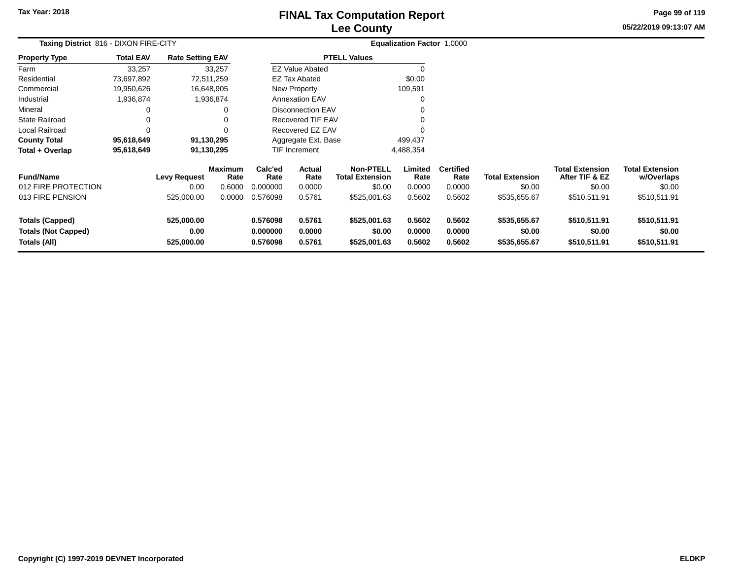# **Lee CountyFINAL Tax Computation Report**

**05/22/2019 09:13:07 AM Page 99 of 119**

| Taxing District 816 - DIXON FIRE-CITY                                |                  |                                    |                                            |                                         |                                           |                                                                      | Equalization Factor 1.0000          |                                              |                                                  |                                                                    |                                                                |
|----------------------------------------------------------------------|------------------|------------------------------------|--------------------------------------------|-----------------------------------------|-------------------------------------------|----------------------------------------------------------------------|-------------------------------------|----------------------------------------------|--------------------------------------------------|--------------------------------------------------------------------|----------------------------------------------------------------|
| <b>Property Type</b>                                                 | <b>Total EAV</b> | <b>Rate Setting EAV</b>            |                                            |                                         |                                           | <b>PTELL Values</b>                                                  |                                     |                                              |                                                  |                                                                    |                                                                |
| Farm                                                                 | 33,257           |                                    | 33,257                                     |                                         | <b>EZ Value Abated</b>                    |                                                                      |                                     |                                              |                                                  |                                                                    |                                                                |
| Residential                                                          | 73,697,892       |                                    | 72,511,259                                 |                                         | EZ Tax Abated                             |                                                                      | \$0.00                              |                                              |                                                  |                                                                    |                                                                |
| Commercial                                                           | 19,950,626       |                                    | 16,648,905                                 |                                         | New Property                              |                                                                      | 109,591                             |                                              |                                                  |                                                                    |                                                                |
| Industrial                                                           | 1,936,874        |                                    | 1,936,874                                  |                                         | <b>Annexation EAV</b>                     |                                                                      | 0                                   |                                              |                                                  |                                                                    |                                                                |
| Mineral                                                              | 0                |                                    | 0                                          |                                         | <b>Disconnection EAV</b>                  |                                                                      | 0                                   |                                              |                                                  |                                                                    |                                                                |
| <b>State Railroad</b>                                                | 0                |                                    | 0                                          |                                         | <b>Recovered TIF EAV</b>                  |                                                                      |                                     |                                              |                                                  |                                                                    |                                                                |
| Local Railroad                                                       | 0                |                                    | $\Omega$                                   |                                         | Recovered EZ EAV                          |                                                                      |                                     |                                              |                                                  |                                                                    |                                                                |
| <b>County Total</b>                                                  | 95,618,649       |                                    | 91,130,295                                 |                                         | Aggregate Ext. Base                       |                                                                      | 499,437                             |                                              |                                                  |                                                                    |                                                                |
| Total + Overlap                                                      | 95,618,649       |                                    | 91,130,295                                 |                                         | TIF Increment                             |                                                                      | 4,488,354                           |                                              |                                                  |                                                                    |                                                                |
| <b>Fund/Name</b><br>012 FIRE PROTECTION<br>013 FIRE PENSION          |                  | Levy Request<br>0.00<br>525,000.00 | <b>Maximum</b><br>Rate<br>0.6000<br>0.0000 | Calc'ed<br>Rate<br>0.000000<br>0.576098 | <b>Actual</b><br>Rate<br>0.0000<br>0.5761 | <b>Non-PTELL</b><br><b>Total Extension</b><br>\$0.00<br>\$525,001.63 | Limited<br>Rate<br>0.0000<br>0.5602 | <b>Certified</b><br>Rate<br>0.0000<br>0.5602 | <b>Total Extension</b><br>\$0.00<br>\$535,655.67 | <b>Total Extension</b><br>After TIF & EZ<br>\$0.00<br>\$510,511.91 | <b>Total Extension</b><br>w/Overlaps<br>\$0.00<br>\$510,511.91 |
| <b>Totals (Capped)</b><br><b>Totals (Not Capped)</b><br>Totals (All) |                  | 525,000.00<br>0.00<br>525,000.00   |                                            | 0.576098<br>0.000000<br>0.576098        | 0.5761<br>0.0000<br>0.5761                | \$525,001.63<br>\$0.00<br>\$525,001.63                               | 0.5602<br>0.0000<br>0.5602          | 0.5602<br>0.0000<br>0.5602                   | \$535,655.67<br>\$0.00<br>\$535,655.67           | \$510,511.91<br>\$0.00<br>\$510,511.91                             | \$510,511.91<br>\$0.00<br>\$510,511.91                         |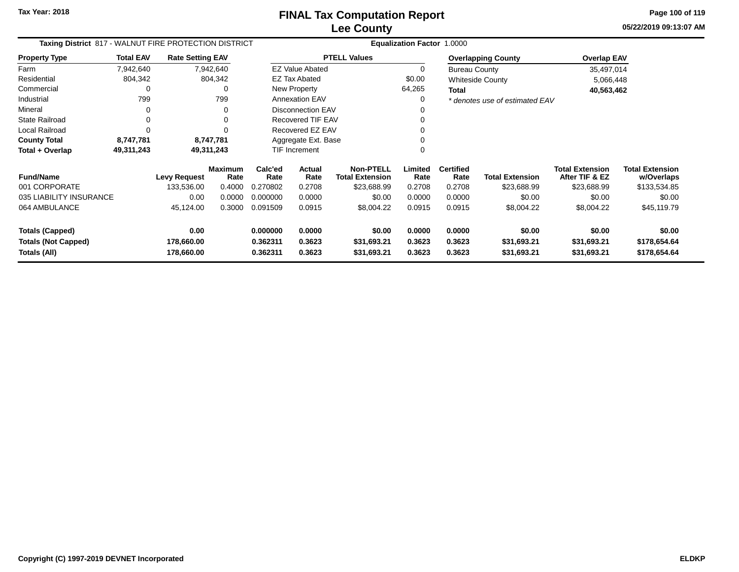**05/22/2019 09:13:07 AM Page 100 of 119**

| Taxing District 817 - WALNUT FIRE PROTECTION DISTRICT |                  |                          |                        |                      |                               |                                            | Equalization Factor 1.0000 |                          |                                |                                          |                                      |
|-------------------------------------------------------|------------------|--------------------------|------------------------|----------------------|-------------------------------|--------------------------------------------|----------------------------|--------------------------|--------------------------------|------------------------------------------|--------------------------------------|
| <b>Property Type</b>                                  | <b>Total EAV</b> | <b>Rate Setting EAV</b>  |                        |                      |                               | <b>PTELL Values</b>                        |                            |                          | <b>Overlapping County</b>      | Overlap EAV                              |                                      |
| Farm                                                  | 7,942,640        |                          | 7,942,640              |                      | <b>EZ Value Abated</b>        |                                            | 0                          | <b>Bureau County</b>     |                                | 35,497,014                               |                                      |
| Residential                                           | 804,342          |                          | 804,342                |                      | <b>EZ Tax Abated</b>          |                                            | \$0.00                     |                          | Whiteside County               | 5,066,448                                |                                      |
| Commercial                                            |                  |                          | 0                      |                      | <b>New Property</b>           |                                            | 64,265                     | <b>Total</b>             |                                | 40,563,462                               |                                      |
| Industrial                                            | 799              |                          | 799                    |                      | <b>Annexation EAV</b>         |                                            | 0                          |                          | * denotes use of estimated EAV |                                          |                                      |
| Mineral                                               | 0                |                          | 0                      |                      | <b>Disconnection EAV</b><br>0 |                                            |                            |                          |                                |                                          |                                      |
| <b>State Railroad</b>                                 | $\mathbf 0$      |                          | 0                      |                      | <b>Recovered TIF EAV</b>      |                                            | 0                          |                          |                                |                                          |                                      |
| <b>Local Railroad</b>                                 | $\Omega$         |                          |                        |                      | Recovered EZ EAV              |                                            | 0                          |                          |                                |                                          |                                      |
| <b>County Total</b>                                   | 8,747,781        |                          | 8,747,781              |                      | Aggregate Ext. Base           |                                            |                            |                          |                                |                                          |                                      |
| Total + Overlap                                       | 49,311,243       |                          | 49,311,243             |                      | <b>TIF Increment</b><br>0     |                                            |                            |                          |                                |                                          |                                      |
| <b>Fund/Name</b>                                      |                  | <b>Levy Request</b>      | <b>Maximum</b><br>Rate | Calc'ed<br>Rate      | Actual<br>Rate                | <b>Non-PTELL</b><br><b>Total Extension</b> | Limited<br>Rate            | <b>Certified</b><br>Rate | <b>Total Extension</b>         | <b>Total Extension</b><br>After TIF & EZ | <b>Total Extension</b><br>w/Overlaps |
| 001 CORPORATE                                         |                  | 133,536.00               | 0.4000                 | 0.270802             | 0.2708                        | \$23,688.99                                | 0.2708                     | 0.2708                   | \$23,688.99                    | \$23,688.99                              | \$133,534.85                         |
| 035 LIABILITY INSURANCE                               |                  | 0.00                     | 0.0000                 | 0.000000             | 0.0000                        | \$0.00                                     | 0.0000                     | 0.0000                   | \$0.00                         | \$0.00                                   | \$0.00                               |
| 064 AMBULANCE                                         |                  | 45,124.00                | 0.3000                 | 0.091509             | 0.0915                        | \$8,004.22                                 | 0.0915                     | 0.0915                   | \$8,004.22                     | \$8,004.22                               | \$45,119.79                          |
| <b>Totals (Capped)</b>                                |                  | 0.00                     |                        | 0.000000             | 0.0000                        | \$0.00                                     | 0.0000                     | 0.0000                   | \$0.00                         | \$0.00                                   | \$0.00                               |
| <b>Totals (Not Capped)</b><br>Totals (All)            |                  | 178,660.00<br>178,660.00 |                        | 0.362311<br>0.362311 | 0.3623<br>0.3623              | \$31,693.21<br>\$31,693.21                 | 0.3623<br>0.3623           | 0.3623<br>0.3623         | \$31,693.21<br>\$31,693.21     | \$31,693.21<br>\$31,693.21               | \$178,654.64<br>\$178,654.64         |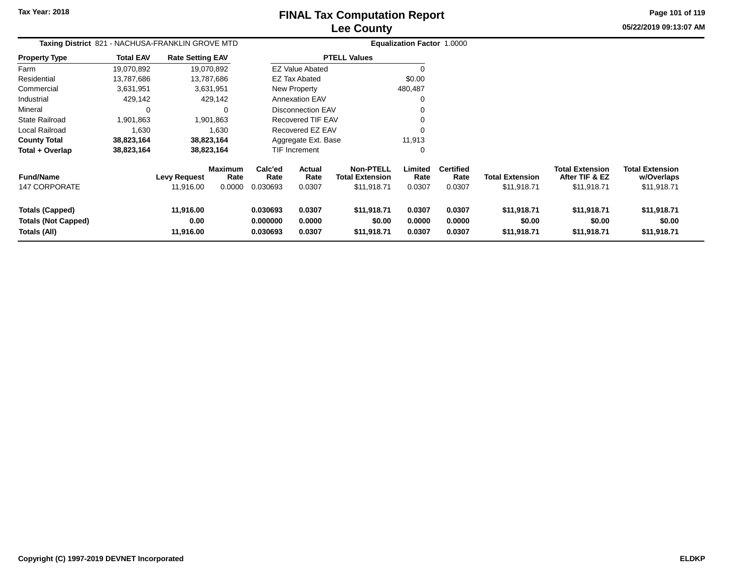**Page 101 of 119**

| Taxing District 821 - NACHUSA-FRANKLIN GROVE MTD                     |                  |                                |                                  | <b>Equalization Factor 1.0000</b> |                            |                                                           |                            |                                    |                                       |                                                         |                                                     |
|----------------------------------------------------------------------|------------------|--------------------------------|----------------------------------|-----------------------------------|----------------------------|-----------------------------------------------------------|----------------------------|------------------------------------|---------------------------------------|---------------------------------------------------------|-----------------------------------------------------|
| Property Type                                                        | <b>Total EAV</b> | <b>Rate Setting EAV</b>        |                                  |                                   |                            | <b>PTELL Values</b>                                       |                            |                                    |                                       |                                                         |                                                     |
| Farm                                                                 | 19,070,892       |                                | 19,070,892                       |                                   | <b>EZ Value Abated</b>     |                                                           | $\Omega$                   |                                    |                                       |                                                         |                                                     |
| Residential                                                          | 13,787,686       |                                | 13,787,686                       |                                   | <b>EZ Tax Abated</b>       |                                                           | \$0.00                     |                                    |                                       |                                                         |                                                     |
| Commercial                                                           | 3,631,951        |                                | 3,631,951                        |                                   | New Property               |                                                           | 480,487                    |                                    |                                       |                                                         |                                                     |
| Industrial                                                           | 429,142          |                                | 429,142                          |                                   | <b>Annexation EAV</b>      |                                                           | 0                          |                                    |                                       |                                                         |                                                     |
| Mineral                                                              | 0                |                                |                                  |                                   | <b>Disconnection EAV</b>   |                                                           |                            |                                    |                                       |                                                         |                                                     |
| State Railroad                                                       | 1,901,863        |                                | 1,901,863                        |                                   | Recovered TIF EAV          |                                                           |                            |                                    |                                       |                                                         |                                                     |
| Local Railroad                                                       | 1,630            |                                | 1,630                            |                                   | Recovered EZ EAV           |                                                           |                            |                                    |                                       |                                                         |                                                     |
| County Total                                                         | 38,823,164       |                                | 38,823,164                       |                                   | Aggregate Ext. Base        |                                                           | 11,913                     |                                    |                                       |                                                         |                                                     |
| Total + Overlap                                                      | 38,823,164       |                                | 38,823,164                       |                                   | <b>TIF Increment</b>       |                                                           | 0                          |                                    |                                       |                                                         |                                                     |
| <b>Fund/Name</b><br><b>147 CORPORATE</b>                             |                  | Levy Request<br>11,916.00      | <b>Maximum</b><br>Rate<br>0.0000 | Calc'ed<br>Rate<br>0.030693       | Actual<br>Rate<br>0.0307   | <b>Non-PTELL</b><br><b>Total Extension</b><br>\$11,918.71 | Limited<br>Rate<br>0.0307  | <b>Certified</b><br>Rate<br>0.0307 | <b>Total Extension</b><br>\$11,918.71 | <b>Total Extension</b><br>After TIF & EZ<br>\$11,918.71 | <b>Total Extension</b><br>w/Overlaps<br>\$11,918.71 |
| <b>Totals (Capped)</b><br><b>Totals (Not Capped)</b><br>Totals (All) |                  | 11,916.00<br>0.00<br>11,916.00 |                                  | 0.030693<br>0.000000<br>0.030693  | 0.0307<br>0.0000<br>0.0307 | \$11,918.71<br>\$0.00<br>\$11,918.71                      | 0.0307<br>0.0000<br>0.0307 | 0.0307<br>0.0000<br>0.0307         | \$11,918.71<br>\$0.00<br>\$11,918.71  | \$11,918.71<br>\$0.00<br>\$11,918.71                    | \$11,918.71<br>\$0.00<br>\$11,918.71                |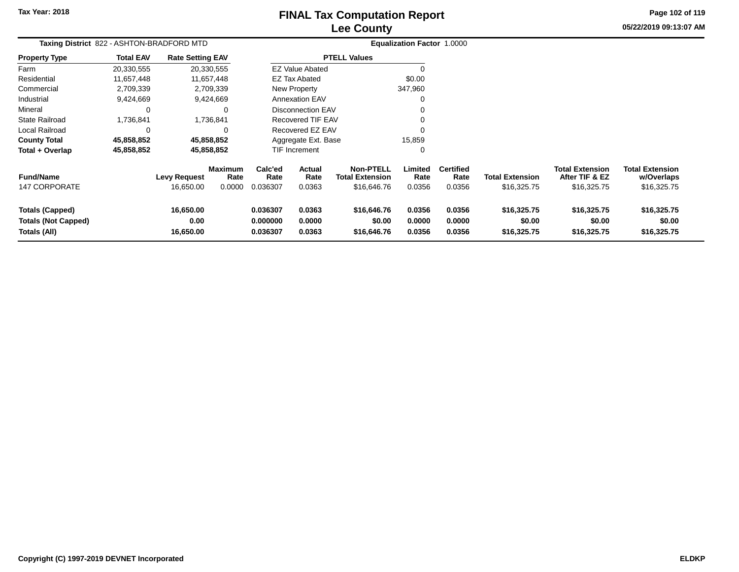# **Lee CountyFINAL Tax Computation Report**

**05/22/2019 09:13:07 AM Page 102 of 119**

| Taxing District 822 - ASHTON-BRADFORD MTD                            |                  |                                |                 |                                  | Equalization Factor 1.0000 |                                            |                            |                            |                                      |                                          |                                      |  |
|----------------------------------------------------------------------|------------------|--------------------------------|-----------------|----------------------------------|----------------------------|--------------------------------------------|----------------------------|----------------------------|--------------------------------------|------------------------------------------|--------------------------------------|--|
| <b>Property Type</b>                                                 | <b>Total EAV</b> | <b>Rate Setting EAV</b>        |                 |                                  |                            | <b>PTELL Values</b>                        |                            |                            |                                      |                                          |                                      |  |
| Farm                                                                 | 20,330,555       | 20,330,555                     |                 |                                  | <b>EZ Value Abated</b>     |                                            |                            |                            |                                      |                                          |                                      |  |
| Residential                                                          | 11,657,448       | 11,657,448                     |                 |                                  | <b>EZ Tax Abated</b>       |                                            | \$0.00                     |                            |                                      |                                          |                                      |  |
| Commercial                                                           | 2,709,339        | 2,709,339                      |                 |                                  | New Property               |                                            | 347,960                    |                            |                                      |                                          |                                      |  |
| Industrial                                                           | 9,424,669        | 9,424,669                      |                 |                                  | <b>Annexation EAV</b>      |                                            |                            |                            |                                      |                                          |                                      |  |
| Mineral                                                              | 0                |                                | 0               |                                  | <b>Disconnection EAV</b>   |                                            |                            |                            |                                      |                                          |                                      |  |
| <b>State Railroad</b>                                                | 1,736,841        | 1,736,841                      |                 |                                  | Recovered TIF EAV          |                                            | $\Omega$                   |                            |                                      |                                          |                                      |  |
| Local Railroad                                                       | $\Omega$         |                                | 0               |                                  | Recovered EZ EAV           |                                            | $\Omega$                   |                            |                                      |                                          |                                      |  |
| <b>County Total</b>                                                  | 45,858,852       | 45,858,852                     |                 |                                  | Aggregate Ext. Base        |                                            | 15,859                     |                            |                                      |                                          |                                      |  |
| Total + Overlap                                                      | 45,858,852       | 45,858,852                     |                 |                                  | TIF Increment              |                                            | 0                          |                            |                                      |                                          |                                      |  |
| <b>Fund/Name</b>                                                     |                  | <b>Levy Request</b>            | Maximum<br>Rate | Calc'ed<br>Rate                  | Actual<br>Rate             | <b>Non-PTELL</b><br><b>Total Extension</b> | Limited<br>Rate            | <b>Certified</b><br>Rate   | <b>Total Extension</b>               | <b>Total Extension</b><br>After TIF & EZ | <b>Total Extension</b><br>w/Overlaps |  |
| <b>147 CORPORATE</b>                                                 |                  | 16,650.00                      | 0.0000          | 0.036307                         | 0.0363                     | \$16,646.76                                | 0.0356                     | 0.0356                     | \$16,325.75                          | \$16,325.75                              | \$16,325.75                          |  |
| <b>Totals (Capped)</b><br><b>Totals (Not Capped)</b><br>Totals (All) |                  | 16,650.00<br>0.00<br>16,650.00 |                 | 0.036307<br>0.000000<br>0.036307 | 0.0363<br>0.0000<br>0.0363 | \$16,646.76<br>\$0.00<br>\$16,646.76       | 0.0356<br>0.0000<br>0.0356 | 0.0356<br>0.0000<br>0.0356 | \$16,325.75<br>\$0.00<br>\$16,325.75 | \$16,325.75<br>\$0.00<br>\$16,325.75     | \$16,325.75<br>\$0.00<br>\$16,325.75 |  |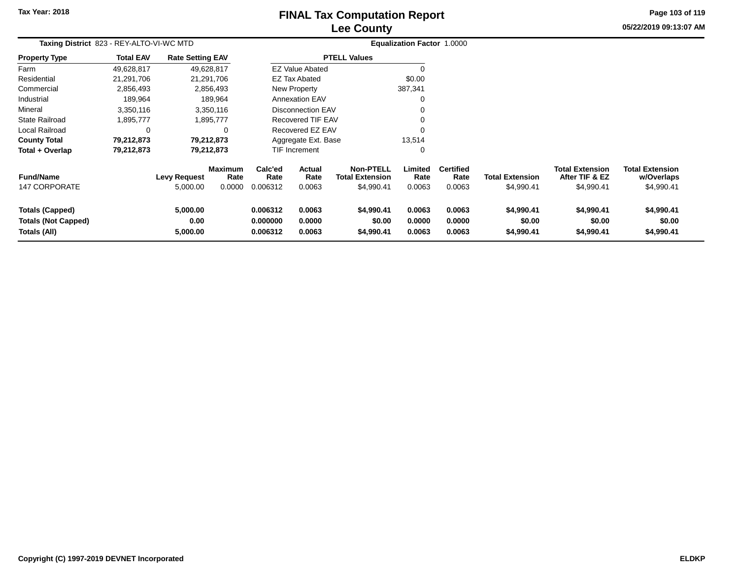# **Lee CountyFINAL Tax Computation Report**

**05/22/2019 09:13:07 AM Page 103 of 119**

| Taxing District 823 - REY-ALTO-VI-WC MTD                             |                  |                              |                        |                                  | <b>Equalization Factor 1.0000</b> |                                            |                            |                            |                                    |                                          |                                      |
|----------------------------------------------------------------------|------------------|------------------------------|------------------------|----------------------------------|-----------------------------------|--------------------------------------------|----------------------------|----------------------------|------------------------------------|------------------------------------------|--------------------------------------|
| <b>Property Type</b>                                                 | <b>Total EAV</b> | <b>Rate Setting EAV</b>      |                        |                                  |                                   | <b>PTELL Values</b>                        |                            |                            |                                    |                                          |                                      |
| Farm                                                                 | 49,628,817       |                              | 49,628,817             |                                  | <b>EZ Value Abated</b>            |                                            |                            |                            |                                    |                                          |                                      |
| Residential                                                          | 21,291,706       |                              | 21,291,706             |                                  | <b>EZ Tax Abated</b>              |                                            | \$0.00                     |                            |                                    |                                          |                                      |
| Commercial                                                           | 2,856,493        |                              | 2,856,493              |                                  | New Property                      |                                            | 387,341                    |                            |                                    |                                          |                                      |
| Industrial                                                           | 189,964          |                              | 189,964                |                                  | <b>Annexation EAV</b>             |                                            | 0                          |                            |                                    |                                          |                                      |
| Mineral                                                              | 3,350,116        |                              | 3,350,116              |                                  | <b>Disconnection EAV</b>          |                                            |                            |                            |                                    |                                          |                                      |
| <b>State Railroad</b>                                                | 1,895,777        |                              | 1,895,777              |                                  | Recovered TIF EAV                 |                                            |                            |                            |                                    |                                          |                                      |
| Local Railroad                                                       | 0                |                              | $\Omega$               |                                  | Recovered EZ EAV                  |                                            | $\Omega$                   |                            |                                    |                                          |                                      |
| <b>County Total</b>                                                  | 79,212,873       |                              | 79,212,873             |                                  | Aggregate Ext. Base               |                                            | 13,514                     |                            |                                    |                                          |                                      |
| Total + Overlap                                                      | 79,212,873       |                              | 79,212,873             |                                  | TIF Increment                     |                                            | 0                          |                            |                                    |                                          |                                      |
| <b>Fund/Name</b>                                                     |                  | <b>Levy Request</b>          | <b>Maximum</b><br>Rate | Calc'ed<br>Rate                  | <b>Actual</b><br>Rate             | <b>Non-PTELL</b><br><b>Total Extension</b> | Limited<br>Rate            | <b>Certified</b><br>Rate   | <b>Total Extension</b>             | <b>Total Extension</b><br>After TIF & EZ | <b>Total Extension</b><br>w/Overlaps |
| 147 CORPORATE                                                        |                  | 5,000.00                     | 0.0000                 | 0.006312                         | 0.0063                            | \$4,990.41                                 | 0.0063                     | 0.0063                     | \$4,990.41                         | \$4,990.41                               | \$4,990.41                           |
| <b>Totals (Capped)</b><br><b>Totals (Not Capped)</b><br>Totals (All) |                  | 5,000.00<br>0.00<br>5,000.00 |                        | 0.006312<br>0.000000<br>0.006312 | 0.0063<br>0.0000<br>0.0063        | \$4,990.41<br>\$0.00<br>\$4,990.41         | 0.0063<br>0.0000<br>0.0063 | 0.0063<br>0.0000<br>0.0063 | \$4,990.41<br>\$0.00<br>\$4,990.41 | \$4,990.41<br>\$0.00<br>\$4,990.41       | \$4,990.41<br>\$0.00<br>\$4,990.41   |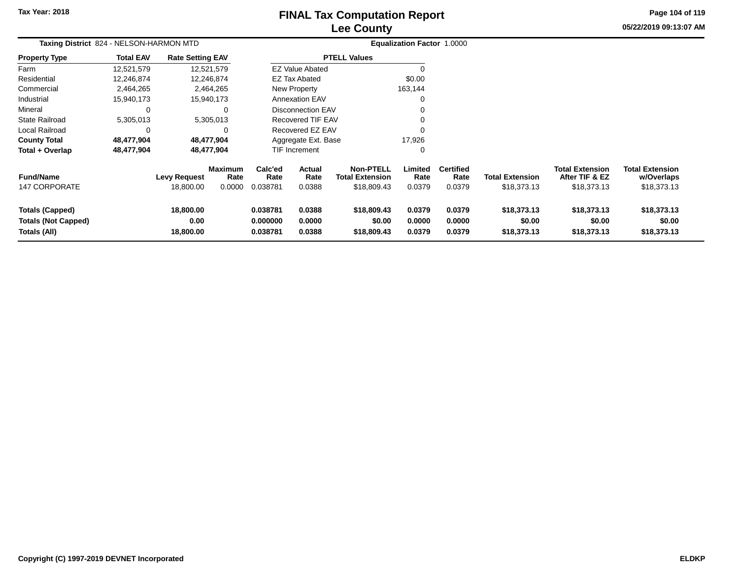# **Lee CountyFINAL Tax Computation Report**

**05/22/2019 09:13:07 AM Page 104 of 119**

| Taxing District 824 - NELSON-HARMON MTD                              |                  |                                  |                           |                                  |                                 |                                                           | Equalization Factor 1.0000 |                                    |                                       |                                                         |                                                     |
|----------------------------------------------------------------------|------------------|----------------------------------|---------------------------|----------------------------------|---------------------------------|-----------------------------------------------------------|----------------------------|------------------------------------|---------------------------------------|---------------------------------------------------------|-----------------------------------------------------|
| <b>Property Type</b>                                                 | <b>Total EAV</b> | <b>Rate Setting EAV</b>          |                           |                                  |                                 | <b>PTELL Values</b>                                       |                            |                                    |                                       |                                                         |                                                     |
| Farm                                                                 | 12,521,579       |                                  | 12,521,579                |                                  | <b>EZ Value Abated</b>          |                                                           | 0                          |                                    |                                       |                                                         |                                                     |
| Residential                                                          | 12,246,874       |                                  | 12,246,874                |                                  | <b>EZ Tax Abated</b>            |                                                           | \$0.00                     |                                    |                                       |                                                         |                                                     |
| Commercial                                                           | 2,464,265        |                                  | 2,464,265                 |                                  | New Property                    |                                                           | 163,144                    |                                    |                                       |                                                         |                                                     |
| Industrial                                                           | 15,940,173       |                                  | 15,940,173                |                                  | <b>Annexation EAV</b>           |                                                           | 0                          |                                    |                                       |                                                         |                                                     |
| Mineral                                                              | 0                |                                  |                           |                                  | <b>Disconnection EAV</b>        |                                                           | 0                          |                                    |                                       |                                                         |                                                     |
| <b>State Railroad</b>                                                | 5,305,013        |                                  | 5,305,013                 |                                  | Recovered TIF EAV               |                                                           | 0                          |                                    |                                       |                                                         |                                                     |
| Local Railroad                                                       | 0                |                                  |                           |                                  | Recovered EZ EAV                |                                                           | 0                          |                                    |                                       |                                                         |                                                     |
| <b>County Total</b>                                                  | 48,477,904       |                                  | 48,477,904                |                                  | Aggregate Ext. Base             |                                                           | 17,926                     |                                    |                                       |                                                         |                                                     |
| Total + Overlap                                                      | 48,477,904       |                                  | 48,477,904                |                                  | <b>TIF Increment</b>            |                                                           | 0                          |                                    |                                       |                                                         |                                                     |
| <b>Fund/Name</b><br><b>147 CORPORATE</b>                             |                  | <b>Levy Request</b><br>18,800.00 | Maximum<br>Rate<br>0.0000 | Calc'ed<br>Rate<br>0.038781      | <b>Actual</b><br>Rate<br>0.0388 | <b>Non-PTELL</b><br><b>Total Extension</b><br>\$18,809.43 | Limited<br>Rate<br>0.0379  | <b>Certified</b><br>Rate<br>0.0379 | <b>Total Extension</b><br>\$18,373.13 | <b>Total Extension</b><br>After TIF & EZ<br>\$18,373.13 | <b>Total Extension</b><br>w/Overlaps<br>\$18,373.13 |
| <b>Totals (Capped)</b><br><b>Totals (Not Capped)</b><br>Totals (All) |                  | 18,800.00<br>0.00<br>18,800.00   |                           | 0.038781<br>0.000000<br>0.038781 | 0.0388<br>0.0000<br>0.0388      | \$18,809.43<br>\$0.00<br>\$18,809.43                      | 0.0379<br>0.0000<br>0.0379 | 0.0379<br>0.0000<br>0.0379         | \$18,373.13<br>\$0.00<br>\$18,373.13  | \$18,373.13<br>\$0.00<br>\$18,373.13                    | \$18,373.13<br>\$0.00<br>\$18,373.13                |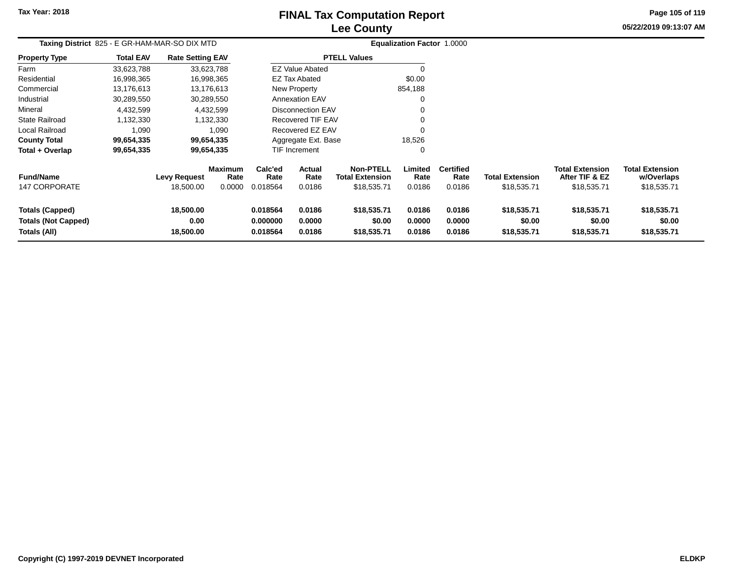# **Lee CountyFINAL Tax Computation Report**

**05/22/2019 09:13:07 AM Page 105 of 119**

| Taxing District 825 - E GR-HAM-MAR-SO DIX MTD                        |                  | Equalization Factor 1.0000       |                                  |                                  |                            |                                                           |                            |                                    |                                       |                                                         |                                                     |
|----------------------------------------------------------------------|------------------|----------------------------------|----------------------------------|----------------------------------|----------------------------|-----------------------------------------------------------|----------------------------|------------------------------------|---------------------------------------|---------------------------------------------------------|-----------------------------------------------------|
| <b>Property Type</b>                                                 | <b>Total EAV</b> | <b>Rate Setting EAV</b>          |                                  |                                  |                            | <b>PTELL Values</b>                                       |                            |                                    |                                       |                                                         |                                                     |
| Farm                                                                 | 33,623,788       |                                  | 33,623,788                       |                                  | <b>EZ Value Abated</b>     |                                                           |                            |                                    |                                       |                                                         |                                                     |
| Residential                                                          | 16,998,365       |                                  | 16,998,365                       |                                  | <b>EZ Tax Abated</b>       |                                                           | \$0.00                     |                                    |                                       |                                                         |                                                     |
| Commercial                                                           | 13,176,613       |                                  | 13,176,613                       |                                  | New Property               |                                                           | 854,188                    |                                    |                                       |                                                         |                                                     |
| Industrial                                                           | 30,289,550       |                                  | 30,289,550                       |                                  | <b>Annexation EAV</b>      |                                                           | O                          |                                    |                                       |                                                         |                                                     |
| Mineral                                                              | 4,432,599        |                                  | 4,432,599                        |                                  | Disconnection EAV          |                                                           |                            |                                    |                                       |                                                         |                                                     |
| <b>State Railroad</b>                                                | 1,132,330        |                                  | 1,132,330                        |                                  | Recovered TIF EAV          |                                                           |                            |                                    |                                       |                                                         |                                                     |
| Local Railroad                                                       | 1,090            |                                  | 1,090                            |                                  | Recovered EZ EAV           |                                                           |                            |                                    |                                       |                                                         |                                                     |
| <b>County Total</b>                                                  | 99,654,335       |                                  | 99,654,335                       |                                  | Aggregate Ext. Base        |                                                           | 18,526                     |                                    |                                       |                                                         |                                                     |
| Total + Overlap                                                      | 99,654,335       |                                  | 99,654,335                       |                                  | <b>TIF Increment</b>       |                                                           | 0                          |                                    |                                       |                                                         |                                                     |
| <b>Fund/Name</b><br>147 CORPORATE                                    |                  | <b>Levy Request</b><br>18,500.00 | <b>Maximum</b><br>Rate<br>0.0000 | Calc'ed<br>Rate<br>0.018564      | Actual<br>Rate<br>0.0186   | <b>Non-PTELL</b><br><b>Total Extension</b><br>\$18,535.71 | Limited<br>Rate<br>0.0186  | <b>Certified</b><br>Rate<br>0.0186 | <b>Total Extension</b><br>\$18,535.71 | <b>Total Extension</b><br>After TIF & EZ<br>\$18,535.71 | <b>Total Extension</b><br>w/Overlaps<br>\$18,535.71 |
| <b>Totals (Capped)</b><br><b>Totals (Not Capped)</b><br>Totals (All) |                  | 18,500.00<br>0.00<br>18,500.00   |                                  | 0.018564<br>0.000000<br>0.018564 | 0.0186<br>0.0000<br>0.0186 | \$18,535.71<br>\$0.00<br>\$18,535.71                      | 0.0186<br>0.0000<br>0.0186 | 0.0186<br>0.0000<br>0.0186         | \$18,535.71<br>\$0.00<br>\$18,535.71  | \$18,535.71<br>\$0.00<br>\$18,535.71                    | \$18,535.71<br>\$0.00<br>\$18,535.71                |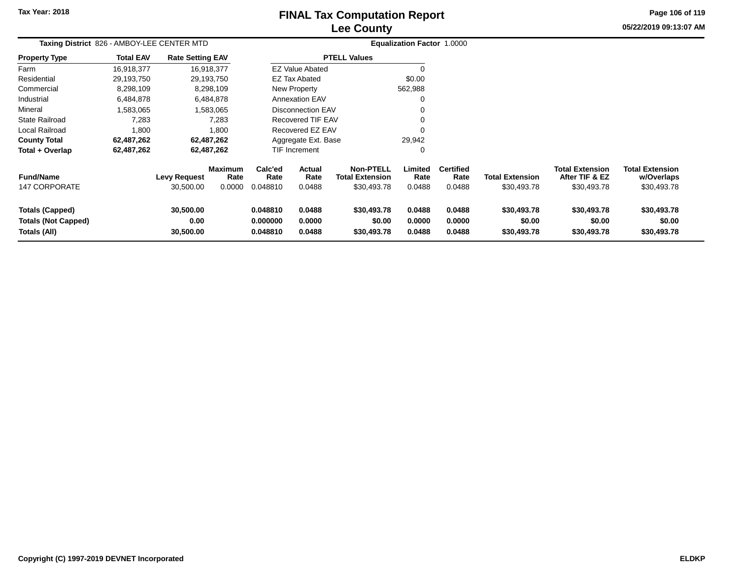**Property Type**

Farm ResidentialCommercial

Industrial

State Railroad

Local Railroad

**County Total**

**Total + Overlap**

Mineral

### **Lee CountyFINAL Tax Computation Report**

**Page 106 of 119**

|           |                                            |                         | <b>Lee County</b>      |                            | 05/22/2019 09:13:07 AM |
|-----------|--------------------------------------------|-------------------------|------------------------|----------------------------|------------------------|
|           | Taxing District 826 - AMBOY-LEE CENTER MTD |                         |                        | Equalization Factor 1.0000 |                        |
| rty Type  | <b>Total EAV</b>                           | <b>Rate Setting EAV</b> | <b>PTELL Values</b>    |                            |                        |
|           | 16,918,377                                 | 16,918,377              | <b>EZ Value Abated</b> | $\mathbf{0}$               |                        |
| ential    | 29,193,750                                 | 29,193,750              | <b>EZ Tax Abated</b>   | \$0.00                     |                        |
| ercial    | 8,298,109                                  | 8,298,109               | New Property           | 562,988                    |                        |
| rial      | 6.484.878                                  | 6.484.878               | <b>Annexation EAV</b>  | 0                          |                        |
|           | 1,583,065                                  | 1,583,065               | Disconnection EAV      | 0                          |                        |
| Railroad  | 7,283                                      | 7,283                   | Recovered TIF EAV      | 0                          |                        |
| Railroad  | 1.800                                      | 1.800                   | Recovered EZ EAV       | 0                          |                        |
| y Total   | 62,487,262                                 | 62,487,262              | Aggregate Ext. Base    | 29,942                     |                        |
| Overlap - | 62,487,262                                 | 62,487,262              | <b>TIF Increment</b>   | 0                          |                        |
|           |                                            |                         |                        |                            |                        |

| <b>Fund/Name</b><br>147 CORPORATE                    | <b>Levy Request</b><br>30.500.00 | <b>Maximum</b><br>Rate<br>0.0000 | Calc'ed<br>Rate<br>0.048810 | Actual<br>Rate<br>0.0488 | <b>Non-PTELL</b><br><b>Total Extension</b><br>\$30.493.78 | Limited<br>Rate<br>0.0488 | <b>Certified</b><br>Rate<br>0.0488 | <b>Total Extension</b><br>\$30,493.78 | <b>Total Extension</b><br>After TIF & EZ<br>\$30,493.78 | <b>Total Extension</b><br>w/Overlaps<br>\$30,493.78 |  |
|------------------------------------------------------|----------------------------------|----------------------------------|-----------------------------|--------------------------|-----------------------------------------------------------|---------------------------|------------------------------------|---------------------------------------|---------------------------------------------------------|-----------------------------------------------------|--|
| <b>Totals (Capped)</b><br><b>Totals (Not Capped)</b> | 30.500.00<br>0.00                |                                  | 0.048810<br>0.000000        | 0.0488<br>0.0000         | \$30,493.78<br>\$0.00                                     | 0.0488<br>0.0000          | 0.0488<br>0.0000                   | \$30,493.78<br>\$0.00                 | \$30,493.78<br>\$0.00                                   | \$30,493.78<br>\$0.00                               |  |
| Totals (All)                                         | 30.500.00                        |                                  | 0.048810                    | 0.0488                   | \$30,493.78                                               | 0.0488                    | 0.0488                             | \$30,493.78                           | \$30,493.78                                             | \$30,493.78                                         |  |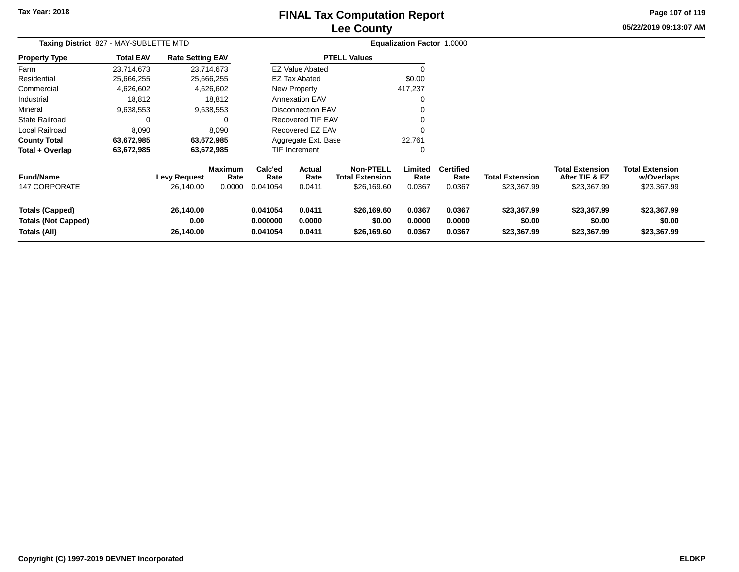### **Lee CountyFINAL Tax Computation Report**

**05/22/2019 09:13:07 AM Page 107 of 119**

| Taxing District 827 - MAY-SUBLETTE MTD                               |                  |                                  |                                  |                                  | <b>Equalization Factor 1.0000</b> |                                                           |                            |                                    |                                       |                                                         |                                                     |
|----------------------------------------------------------------------|------------------|----------------------------------|----------------------------------|----------------------------------|-----------------------------------|-----------------------------------------------------------|----------------------------|------------------------------------|---------------------------------------|---------------------------------------------------------|-----------------------------------------------------|
| <b>Property Type</b>                                                 | <b>Total EAV</b> | <b>Rate Setting EAV</b>          |                                  |                                  |                                   | <b>PTELL Values</b>                                       |                            |                                    |                                       |                                                         |                                                     |
| Farm                                                                 | 23,714,673       |                                  | 23,714,673                       |                                  | EZ Value Abated                   |                                                           |                            |                                    |                                       |                                                         |                                                     |
| Residential                                                          | 25,666,255       |                                  | 25,666,255                       |                                  | <b>EZ Tax Abated</b>              |                                                           | \$0.00                     |                                    |                                       |                                                         |                                                     |
| Commercial                                                           | 4,626,602        |                                  | 4,626,602                        |                                  | New Property                      |                                                           | 417,237                    |                                    |                                       |                                                         |                                                     |
| Industrial                                                           | 18,812           |                                  | 18,812                           |                                  | <b>Annexation EAV</b>             |                                                           | 0                          |                                    |                                       |                                                         |                                                     |
| Mineral                                                              | 9,638,553        |                                  | 9,638,553                        |                                  | <b>Disconnection EAV</b>          |                                                           |                            |                                    |                                       |                                                         |                                                     |
| <b>State Railroad</b>                                                | 0                |                                  | 0                                |                                  | <b>Recovered TIF EAV</b>          |                                                           | 0                          |                                    |                                       |                                                         |                                                     |
| Local Railroad                                                       | 8,090            |                                  | 8,090                            |                                  | Recovered EZ EAV                  |                                                           | $\Omega$                   |                                    |                                       |                                                         |                                                     |
| <b>County Total</b>                                                  | 63,672,985       |                                  | 63,672,985                       |                                  | Aggregate Ext. Base               |                                                           | 22,761                     |                                    |                                       |                                                         |                                                     |
| Total + Overlap                                                      | 63,672,985       |                                  | 63,672,985                       |                                  | TIF Increment                     |                                                           | $\Omega$                   |                                    |                                       |                                                         |                                                     |
| <b>Fund/Name</b><br><b>147 CORPORATE</b>                             |                  | <b>Levy Request</b><br>26,140.00 | <b>Maximum</b><br>Rate<br>0.0000 | Calc'ed<br>Rate<br>0.041054      | Actual<br>Rate<br>0.0411          | <b>Non-PTELL</b><br><b>Total Extension</b><br>\$26,169.60 | Limited<br>Rate<br>0.0367  | <b>Certified</b><br>Rate<br>0.0367 | <b>Total Extension</b><br>\$23,367.99 | <b>Total Extension</b><br>After TIF & EZ<br>\$23,367.99 | <b>Total Extension</b><br>w/Overlaps<br>\$23,367.99 |
| <b>Totals (Capped)</b><br><b>Totals (Not Capped)</b><br>Totals (All) |                  | 26,140.00<br>0.00<br>26,140.00   |                                  | 0.041054<br>0.000000<br>0.041054 | 0.0411<br>0.0000<br>0.0411        | \$26,169.60<br>\$0.00<br>\$26,169.60                      | 0.0367<br>0.0000<br>0.0367 | 0.0367<br>0.0000<br>0.0367         | \$23,367.99<br>\$0.00<br>\$23,367.99  | \$23,367.99<br>\$0.00<br>\$23,367.99                    | \$23,367.99<br>\$0.00<br>\$23,367.99                |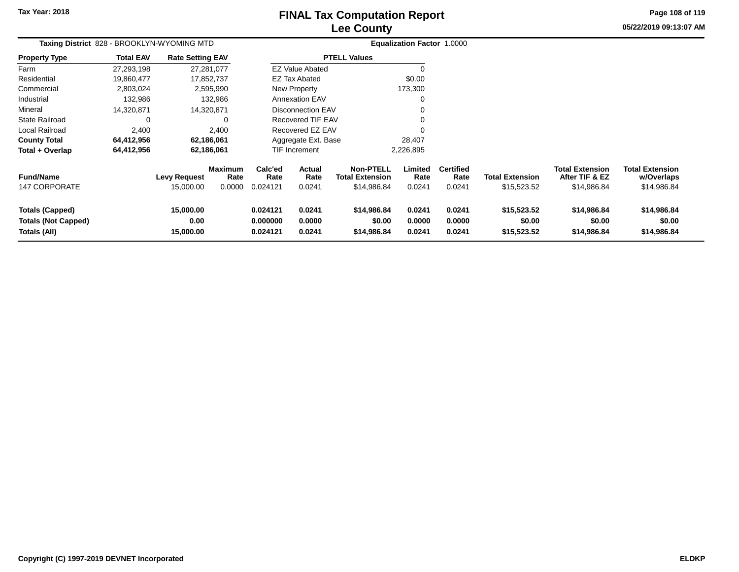### **Lee CountyFINAL Tax Computation Report**

**05/22/2019 09:13:07 AMPage 108 of 119**

| Taxing District 828 - BROOKLYN-WYOMING MTD                           |                  |                                  |                                  | Equalization Factor 1.0000       |                            |  |                                                           |                            |                                    |                                       |                                                         |                                                     |
|----------------------------------------------------------------------|------------------|----------------------------------|----------------------------------|----------------------------------|----------------------------|--|-----------------------------------------------------------|----------------------------|------------------------------------|---------------------------------------|---------------------------------------------------------|-----------------------------------------------------|
| <b>Property Type</b>                                                 | <b>Total EAV</b> | <b>Rate Setting EAV</b>          |                                  | <b>PTELL Values</b>              |                            |  |                                                           |                            |                                    |                                       |                                                         |                                                     |
| Farm                                                                 | 27,293,198       | 27,281,077                       |                                  | <b>EZ Value Abated</b>           |                            |  |                                                           |                            |                                    |                                       |                                                         |                                                     |
| Residential                                                          | 19,860,477       |                                  | 17,852,737                       | EZ Tax Abated                    |                            |  | \$0.00                                                    |                            |                                    |                                       |                                                         |                                                     |
| Commercial                                                           | 2,803,024        | 2,595,990                        |                                  | New Property                     |                            |  |                                                           | 173,300                    |                                    |                                       |                                                         |                                                     |
| Industrial                                                           | 132,986          | 132,986                          |                                  | <b>Annexation EAV</b>            |                            |  |                                                           | 0                          |                                    |                                       |                                                         |                                                     |
| Mineral                                                              | 14,320,871       | 14,320,871                       |                                  | <b>Disconnection EAV</b>         |                            |  |                                                           |                            |                                    |                                       |                                                         |                                                     |
| <b>State Railroad</b>                                                | 0                | 0                                |                                  | Recovered TIF EAV                |                            |  |                                                           |                            |                                    |                                       |                                                         |                                                     |
| Local Railroad                                                       | 2,400            | 2,400                            |                                  | Recovered EZ EAV                 |                            |  |                                                           |                            |                                    |                                       |                                                         |                                                     |
| <b>County Total</b>                                                  | 64,412,956       | 62,186,061                       |                                  | Aggregate Ext. Base              |                            |  |                                                           | 28,407                     |                                    |                                       |                                                         |                                                     |
| Total + Overlap                                                      | 64,412,956       | 62,186,061                       |                                  | TIF Increment                    |                            |  | 2,226,895                                                 |                            |                                    |                                       |                                                         |                                                     |
| <b>Fund/Name</b><br>147 CORPORATE                                    |                  | <b>Levy Request</b><br>15,000.00 | <b>Maximum</b><br>Rate<br>0.0000 | Calc'ed<br>Rate<br>0.024121      | Actual<br>Rate<br>0.0241   |  | <b>Non-PTELL</b><br><b>Total Extension</b><br>\$14,986.84 | Limited<br>Rate<br>0.0241  | <b>Certified</b><br>Rate<br>0.0241 | <b>Total Extension</b><br>\$15,523.52 | <b>Total Extension</b><br>After TIF & EZ<br>\$14,986.84 | <b>Total Extension</b><br>w/Overlaps<br>\$14,986.84 |
| <b>Totals (Capped)</b><br><b>Totals (Not Capped)</b><br>Totals (All) |                  | 15,000.00<br>0.00<br>15,000.00   |                                  | 0.024121<br>0.000000<br>0.024121 | 0.0241<br>0.0000<br>0.0241 |  | \$14,986.84<br>\$0.00<br>\$14,986.84                      | 0.0241<br>0.0000<br>0.0241 | 0.0241<br>0.0000<br>0.0241         | \$15,523.52<br>\$0.00<br>\$15,523.52  | \$14,986.84<br>\$0.00<br>\$14,986.84                    | \$14,986.84<br>\$0.00<br>\$14,986.84                |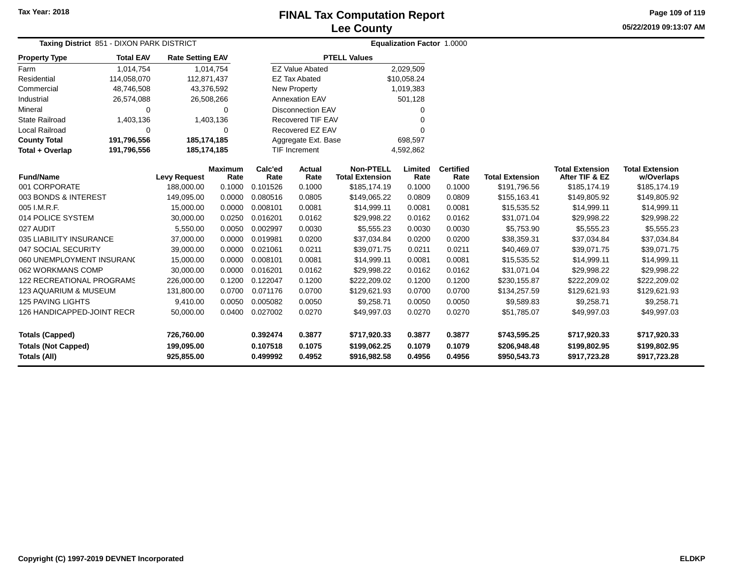**Page 109 of 119**

**05/22/2019 09:13:07 AM**

| <b>Taxing District 851 - DIXON PARK DISTRICT</b>  |                                                                       |                          |                        |                      |                          |                                            | <b>Equalization Factor 1.0000</b> |                          |                              |                                          |                                      |
|---------------------------------------------------|-----------------------------------------------------------------------|--------------------------|------------------------|----------------------|--------------------------|--------------------------------------------|-----------------------------------|--------------------------|------------------------------|------------------------------------------|--------------------------------------|
| <b>Property Type</b>                              | <b>Total EAV</b><br><b>Rate Setting EAV</b><br>1,014,754<br>1,014,754 |                          |                        |                      |                          | <b>PTELL Values</b>                        |                                   |                          |                              |                                          |                                      |
| Farm                                              |                                                                       |                          |                        |                      | <b>EZ Value Abated</b>   |                                            | 2,029,509                         |                          |                              |                                          |                                      |
| Residential                                       | 114,058,070                                                           | 112,871,437              |                        |                      | <b>EZ Tax Abated</b>     |                                            | \$10,058.24                       |                          |                              |                                          |                                      |
| Commercial                                        | 48,746,508                                                            |                          | 43,376,592             |                      | <b>New Property</b>      |                                            | 1,019,383                         |                          |                              |                                          |                                      |
| Industrial                                        | 26,574,088                                                            |                          | 26,508,266             |                      | <b>Annexation EAV</b>    |                                            | 501,128                           |                          |                              |                                          |                                      |
| Mineral                                           | 0                                                                     |                          | $\Omega$               |                      | <b>Disconnection EAV</b> |                                            | 0                                 |                          |                              |                                          |                                      |
| <b>State Railroad</b>                             | 1,403,136                                                             |                          | 1,403,136              |                      | Recovered TIF EAV        |                                            | $\Omega$                          |                          |                              |                                          |                                      |
| <b>Local Railroad</b>                             | 0                                                                     |                          | 0                      |                      | Recovered EZ EAV         |                                            | $\Omega$                          |                          |                              |                                          |                                      |
| <b>County Total</b>                               | 191,796,556                                                           | 185, 174, 185            |                        |                      | Aggregate Ext. Base      |                                            | 698,597                           |                          |                              |                                          |                                      |
| Total + Overlap                                   | 191,796,556                                                           | 185, 174, 185            |                        |                      | TIF Increment            |                                            | 4,592,862                         |                          |                              |                                          |                                      |
| <b>Fund/Name</b>                                  |                                                                       | <b>Levy Request</b>      | <b>Maximum</b><br>Rate | Calc'ed<br>Rate      | Actual<br>Rate           | <b>Non-PTELL</b><br><b>Total Extension</b> | Limited<br>Rate                   | <b>Certified</b><br>Rate | <b>Total Extension</b>       | <b>Total Extension</b><br>After TIF & EZ | <b>Total Extension</b><br>w/Overlaps |
| 001 CORPORATE                                     |                                                                       | 188,000.00               | 0.1000                 | 0.101526             | 0.1000                   | \$185,174.19                               | 0.1000                            | 0.1000                   | \$191,796.56                 | \$185,174.19                             | \$185,174.19                         |
| 003 BONDS & INTEREST                              |                                                                       | 149,095.00               | 0.0000                 | 0.080516             | 0.0805                   | \$149,065.22                               | 0.0809                            | 0.0809                   | \$155,163.41                 | \$149,805.92                             | \$149,805.92                         |
| 005 I.M.R.F.                                      |                                                                       | 15,000.00                | 0.0000                 | 0.008101             | 0.0081                   | \$14,999.11                                | 0.0081                            | 0.0081                   | \$15,535.52                  | \$14,999.11                              | \$14,999.11                          |
| 014 POLICE SYSTEM                                 |                                                                       | 30,000.00                | 0.0250                 | 0.016201             | 0.0162                   | \$29,998.22                                | 0.0162                            | 0.0162                   | \$31,071.04                  | \$29,998.22                              | \$29,998.22                          |
| 027 AUDIT                                         |                                                                       | 5,550.00                 | 0.0050                 | 0.002997             | 0.0030                   | \$5,555.23                                 | 0.0030                            | 0.0030                   | \$5,753.90                   | \$5,555.23                               | \$5,555.23                           |
| 035 LIABILITY INSURANCE                           |                                                                       | 37,000.00                | 0.0000                 | 0.019981             | 0.0200                   | \$37,034.84                                | 0.0200                            | 0.0200                   | \$38,359.31                  | \$37,034.84                              | \$37,034.84                          |
| 047 SOCIAL SECURITY                               |                                                                       | 39,000.00                | 0.0000                 | 0.021061             | 0.0211                   | \$39,071.75                                | 0.0211                            | 0.0211                   | \$40,469.07                  | \$39,071.75                              | \$39,071.75                          |
| 060 UNEMPLOYMENT INSURANC                         |                                                                       | 15,000.00                | 0.0000                 | 0.008101             | 0.0081                   | \$14,999.11                                | 0.0081                            | 0.0081                   | \$15,535.52                  | \$14,999.11                              | \$14,999.11                          |
| 062 WORKMANS COMP                                 |                                                                       | 30,000.00                | 0.0000                 | 0.016201             | 0.0162                   | \$29,998.22                                | 0.0162                            | 0.0162                   | \$31,071.04                  | \$29,998.22                              | \$29,998.22                          |
| <b>122 RECREATIONAL PROGRAMS</b>                  |                                                                       | 226,000.00               | 0.1200                 | 0.122047             | 0.1200                   | \$222,209.02                               | 0.1200                            | 0.1200                   | \$230,155.87                 | \$222,209.02                             | \$222,209.02                         |
| 123 AQUARIUM & MUSEUM                             |                                                                       | 131,800.00               | 0.0700                 | 0.071176             | 0.0700                   | \$129,621.93                               | 0.0700                            | 0.0700                   | \$134,257.59                 | \$129,621.93                             | \$129,621.93                         |
| 125 PAVING LIGHTS                                 |                                                                       | 9,410.00                 | 0.0050                 | 0.005082             | 0.0050                   | \$9,258.71                                 | 0.0050                            | 0.0050                   | \$9,589.83                   | \$9,258.71                               | \$9,258.71                           |
| 126 HANDICAPPED-JOINT RECR                        |                                                                       | 50,000.00                | 0.0400                 | 0.027002             | 0.0270                   | \$49,997.03                                | 0.0270                            | 0.0270                   | \$51,785.07                  | \$49,997.03                              | \$49,997.03                          |
| <b>Totals (Capped)</b>                            |                                                                       | 726,760.00               |                        | 0.392474             | 0.3877                   | \$717,920.33                               | 0.3877                            | 0.3877                   | \$743,595.25                 | \$717,920.33                             | \$717,920.33                         |
| <b>Totals (Not Capped)</b><br><b>Totals (All)</b> |                                                                       | 199,095.00<br>925,855.00 |                        | 0.107518<br>0.499992 | 0.1075<br>0.4952         | \$199,062.25<br>\$916,982.58               | 0.1079<br>0.4956                  | 0.1079<br>0.4956         | \$206,948.48<br>\$950,543.73 | \$199,802.95<br>\$917,723.28             | \$199,802.95<br>\$917,723.28         |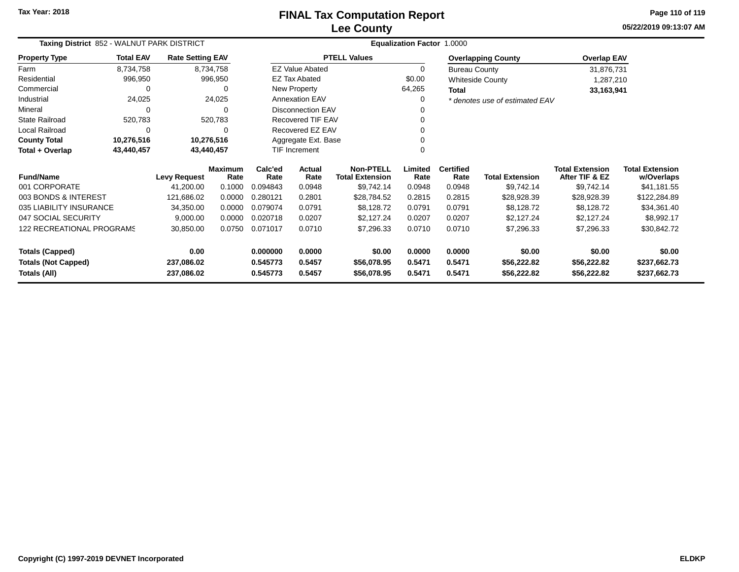**05/22/2019 09:13:07 AMPage 110 of 119**

| Taxing District 852 - WALNUT PARK DISTRICT  |                  |                         |                 |                 | Equalization Factor 1.0000 |                                            |                 |                          |                                |                                          |                                      |  |  |
|---------------------------------------------|------------------|-------------------------|-----------------|-----------------|----------------------------|--------------------------------------------|-----------------|--------------------------|--------------------------------|------------------------------------------|--------------------------------------|--|--|
| <b>Property Type</b>                        | <b>Total EAV</b> | <b>Rate Setting EAV</b> |                 |                 |                            | <b>PTELL Values</b>                        |                 |                          | <b>Overlapping County</b>      | <b>Overlap EAV</b>                       |                                      |  |  |
| Farm                                        | 8,734,758        |                         | 8,734,758       |                 | <b>EZ Value Abated</b>     |                                            | 0               | <b>Bureau County</b>     |                                | 31,876,731                               |                                      |  |  |
| Residential                                 | 996,950          |                         | 996,950         |                 | <b>EZ Tax Abated</b>       |                                            | \$0.00          |                          | <b>Whiteside County</b>        | 1,287,210                                |                                      |  |  |
| Commercial                                  | 0                |                         |                 |                 | New Property               |                                            | 64,265          | <b>Total</b>             |                                | 33,163,941                               |                                      |  |  |
| Industrial                                  | 24,025           |                         | 24,025          |                 | Annexation EAV             |                                            | 0               |                          | * denotes use of estimated EAV |                                          |                                      |  |  |
| Mineral                                     | $\Omega$<br>0    |                         |                 |                 | <b>Disconnection EAV</b>   |                                            |                 |                          |                                |                                          |                                      |  |  |
| <b>State Railroad</b>                       | 520,783          |                         | 520,783         |                 | Recovered TIF EAV          |                                            |                 |                          |                                |                                          |                                      |  |  |
| Local Railroad                              | 0                |                         | O               |                 | Recovered EZ EAV           |                                            |                 |                          |                                |                                          |                                      |  |  |
| <b>County Total</b>                         | 10,276,516       |                         | 10,276,516      |                 | Aggregate Ext. Base        |                                            |                 |                          |                                |                                          |                                      |  |  |
| Total + Overlap<br>43,440,457<br>43,440,457 |                  |                         | TIF Increment   |                 | U                          |                                            |                 |                          |                                |                                          |                                      |  |  |
| <b>Fund/Name</b>                            |                  | <b>Levy Request</b>     | Maximum<br>Rate | Calc'ed<br>Rate | Actual<br>Rate             | <b>Non-PTELL</b><br><b>Total Extension</b> | Limited<br>Rate | <b>Certified</b><br>Rate | <b>Total Extension</b>         | <b>Total Extension</b><br>After TIF & EZ | <b>Total Extension</b><br>w/Overlaps |  |  |
| 001 CORPORATE                               |                  | 41,200.00               | 0.1000          | 0.094843        | 0.0948                     | \$9,742.14                                 | 0.0948          | 0.0948                   | \$9,742.14                     | \$9,742.14                               | \$41,181.55                          |  |  |
| 003 BONDS & INTEREST                        |                  | 121,686.02              | 0.0000          | 0.280121        | 0.2801                     | \$28,784.52                                | 0.2815          | 0.2815                   | \$28,928.39                    | \$28,928.39                              | \$122,284.89                         |  |  |
| 035 LIABILITY INSURANCE                     |                  | 34,350.00               | 0.0000          | 0.079074        | 0.0791                     | \$8,128.72                                 | 0.0791          | 0.0791                   | \$8,128.72                     | \$8,128.72                               | \$34,361.40                          |  |  |
| 047 SOCIAL SECURITY                         |                  | 9,000.00                | 0.0000          | 0.020718        | 0.0207                     | \$2,127.24                                 | 0.0207          | 0.0207                   | \$2,127.24                     | \$2,127.24                               | \$8,992.17                           |  |  |
| <b>122 RECREATIONAL PROGRAMS</b>            |                  | 30,850.00               | 0.0750          | 0.071017        | 0.0710                     | \$7,296.33                                 | 0.0710          | 0.0710                   | \$7,296.33                     | \$7,296.33                               | \$30,842.72                          |  |  |
| <b>Totals (Capped)</b>                      |                  | 0.00                    |                 | 0.000000        | 0.0000                     | \$0.00                                     | 0.0000          | 0.0000                   | \$0.00                         | \$0.00                                   | \$0.00                               |  |  |
| <b>Totals (Not Capped)</b>                  |                  | 237,086.02              |                 | 0.545773        | 0.5457                     | \$56,078.95                                | 0.5471          | 0.5471                   | \$56,222.82                    | \$56,222.82                              | \$237,662.73                         |  |  |
| Totals (All)                                |                  | 237,086.02              |                 | 0.545773        | 0.5457                     | \$56,078.95                                | 0.5471          | 0.5471                   | \$56,222.82                    | \$56,222.82                              | \$237,662.73                         |  |  |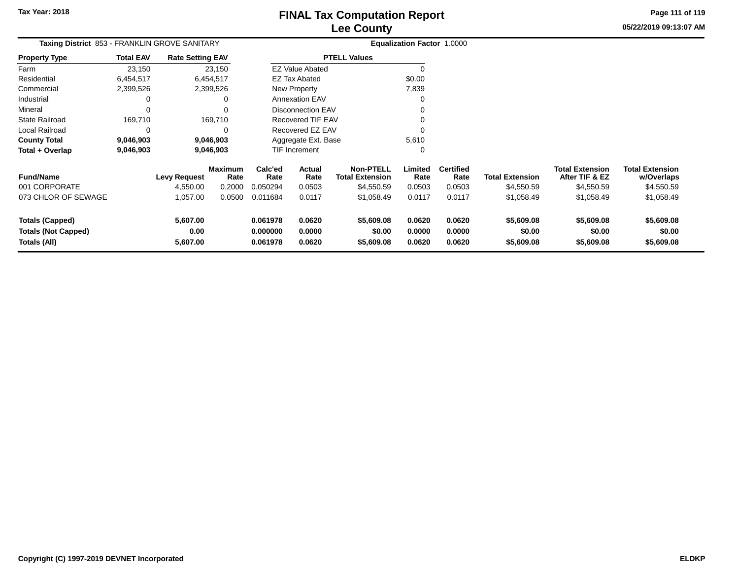**05/22/2019 09:13:07 AM Page 111 of 119**

| Taxing District 853 - FRANKLIN GROVE SANITARY                        |                  |                              |                        | <b>Equalization Factor 1.0000</b> |                            |                                            |                            |                            |                                    |                                          |                                      |
|----------------------------------------------------------------------|------------------|------------------------------|------------------------|-----------------------------------|----------------------------|--------------------------------------------|----------------------------|----------------------------|------------------------------------|------------------------------------------|--------------------------------------|
| Property Type                                                        | <b>Total EAV</b> | <b>Rate Setting EAV</b>      |                        |                                   |                            | <b>PTELL Values</b>                        |                            |                            |                                    |                                          |                                      |
| Farm                                                                 | 23,150           |                              | 23,150                 |                                   | <b>EZ Value Abated</b>     |                                            | $\Omega$                   |                            |                                    |                                          |                                      |
| Residential                                                          | 6,454,517        |                              | 6,454,517              |                                   | <b>EZ Tax Abated</b>       |                                            | \$0.00                     |                            |                                    |                                          |                                      |
| Commercial                                                           | 2,399,526        |                              | 2,399,526              |                                   | New Property               |                                            | 7,839                      |                            |                                    |                                          |                                      |
| Industrial                                                           | 0                |                              |                        |                                   | <b>Annexation EAV</b>      |                                            |                            |                            |                                    |                                          |                                      |
| Mineral                                                              | 0                |                              |                        |                                   | <b>Disconnection EAV</b>   |                                            |                            |                            |                                    |                                          |                                      |
| State Railroad                                                       | 169,710          |                              | 169,710                |                                   | Recovered TIF EAV          |                                            |                            |                            |                                    |                                          |                                      |
| Local Railroad                                                       | 0                |                              |                        |                                   | Recovered EZ EAV           |                                            |                            |                            |                                    |                                          |                                      |
| County Total                                                         | 9,046,903        |                              | 9,046,903              |                                   | Aggregate Ext. Base        |                                            | 5,610                      |                            |                                    |                                          |                                      |
| Total + Overlap                                                      | 9,046,903        |                              | 9,046,903              |                                   | <b>TIF Increment</b>       |                                            | 0                          |                            |                                    |                                          |                                      |
| <b>Fund/Name</b>                                                     |                  | <b>Levy Request</b>          | <b>Maximum</b><br>Rate | Calc'ed<br>Rate                   | Actual<br>Rate             | <b>Non-PTELL</b><br><b>Total Extension</b> | Limited<br>Rate            | <b>Certified</b><br>Rate   | <b>Total Extension</b>             | <b>Total Extension</b><br>After TIF & EZ | <b>Total Extension</b><br>w/Overlaps |
| 001 CORPORATE                                                        |                  | 4,550.00                     | 0.2000                 | 0.050294                          | 0.0503                     | \$4,550.59                                 | 0.0503                     | 0.0503                     | \$4,550.59                         | \$4,550.59                               | \$4,550.59                           |
| 073 CHLOR OF SEWAGE                                                  |                  | 1,057.00                     | 0.0500                 | 0.011684                          | 0.0117                     | \$1,058.49                                 | 0.0117                     | 0.0117                     | \$1,058.49                         | \$1,058.49                               | \$1,058.49                           |
| <b>Totals (Capped)</b><br><b>Totals (Not Capped)</b><br>Totals (All) |                  | 5,607.00<br>0.00<br>5,607.00 |                        | 0.061978<br>0.000000<br>0.061978  | 0.0620<br>0.0000<br>0.0620 | \$5,609.08<br>\$0.00<br>\$5,609.08         | 0.0620<br>0.0000<br>0.0620 | 0.0620<br>0.0000<br>0.0620 | \$5,609.08<br>\$0.00<br>\$5,609.08 | \$5,609.08<br>\$0.00<br>\$5,609.08       | \$5,609.08<br>\$0.00<br>\$5,609.08   |
|                                                                      |                  |                              |                        |                                   |                            |                                            |                            |                            |                                    |                                          |                                      |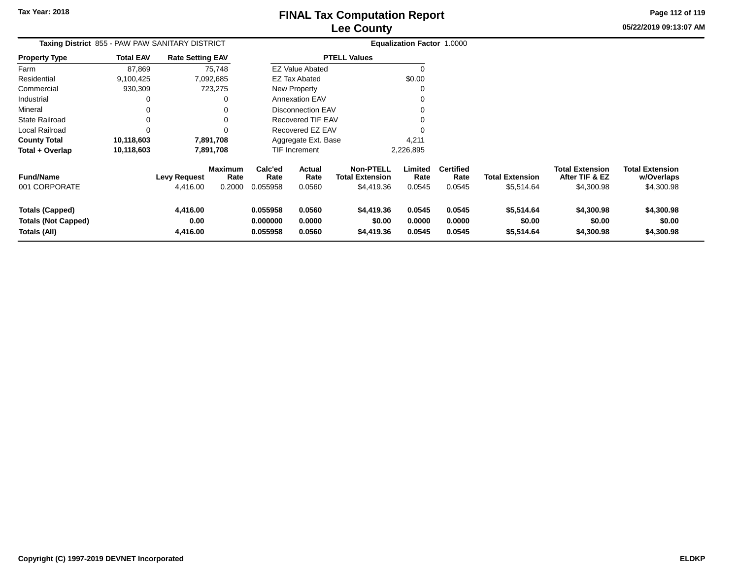**05/22/2019 09:13:07 AMPage 112 of 119**

| Taxing District 855 - PAW PAW SANITARY DISTRICT                      |                  |                                 |                                  |                                  |                            |                                                          | <b>Equalization Factor 1.0000</b> |                                    |                                      |                                                        |                                                    |
|----------------------------------------------------------------------|------------------|---------------------------------|----------------------------------|----------------------------------|----------------------------|----------------------------------------------------------|-----------------------------------|------------------------------------|--------------------------------------|--------------------------------------------------------|----------------------------------------------------|
| <b>Property Type</b>                                                 | <b>Total EAV</b> | <b>Rate Setting EAV</b>         |                                  |                                  |                            | <b>PTELL Values</b>                                      |                                   |                                    |                                      |                                                        |                                                    |
| Farm                                                                 | 87,869           |                                 | 75,748                           |                                  | <b>EZ Value Abated</b>     |                                                          |                                   |                                    |                                      |                                                        |                                                    |
| Residential                                                          | 9,100,425        |                                 | 7,092,685                        |                                  | <b>EZ Tax Abated</b>       |                                                          | \$0.00                            |                                    |                                      |                                                        |                                                    |
| Commercial                                                           | 930,309          |                                 | 723,275                          |                                  | New Property               |                                                          |                                   |                                    |                                      |                                                        |                                                    |
| Industrial                                                           | 0                |                                 |                                  |                                  | <b>Annexation EAV</b>      |                                                          |                                   |                                    |                                      |                                                        |                                                    |
| Mineral                                                              |                  |                                 |                                  |                                  | <b>Disconnection EAV</b>   |                                                          |                                   |                                    |                                      |                                                        |                                                    |
| State Railroad                                                       | 0                |                                 |                                  |                                  | Recovered TIF EAV          |                                                          |                                   |                                    |                                      |                                                        |                                                    |
| Local Railroad                                                       | 0                |                                 |                                  |                                  | Recovered EZ EAV           |                                                          |                                   |                                    |                                      |                                                        |                                                    |
| <b>County Total</b>                                                  | 10,118,603       |                                 | 7,891,708                        |                                  | Aggregate Ext. Base        |                                                          | 4,211                             |                                    |                                      |                                                        |                                                    |
| Total + Overlap                                                      | 10,118,603       |                                 | 7,891,708                        |                                  | <b>TIF Increment</b>       |                                                          | 2,226,895                         |                                    |                                      |                                                        |                                                    |
| <b>Fund/Name</b><br>001 CORPORATE                                    |                  | <b>Levy Request</b><br>4,416.00 | <b>Maximum</b><br>Rate<br>0.2000 | Calc'ed<br>Rate<br>0.055958      | Actual<br>Rate<br>0.0560   | <b>Non-PTELL</b><br><b>Total Extension</b><br>\$4,419.36 | Limited<br>Rate<br>0.0545         | <b>Certified</b><br>Rate<br>0.0545 | <b>Total Extension</b><br>\$5,514.64 | <b>Total Extension</b><br>After TIF & EZ<br>\$4,300.98 | <b>Total Extension</b><br>w/Overlaps<br>\$4,300.98 |
| <b>Totals (Capped)</b><br><b>Totals (Not Capped)</b><br>Totals (All) |                  | 4,416.00<br>0.00<br>4,416.00    |                                  | 0.055958<br>0.000000<br>0.055958 | 0.0560<br>0.0000<br>0.0560 | \$4,419.36<br>\$0.00<br>\$4,419.36                       | 0.0545<br>0.0000<br>0.0545        | 0.0545<br>0.0000<br>0.0545         | \$5,514.64<br>\$0.00<br>\$5,514.64   | \$4,300.98<br>\$0.00<br>\$4,300.98                     | \$4,300.98<br>\$0.00<br>\$4,300.98                 |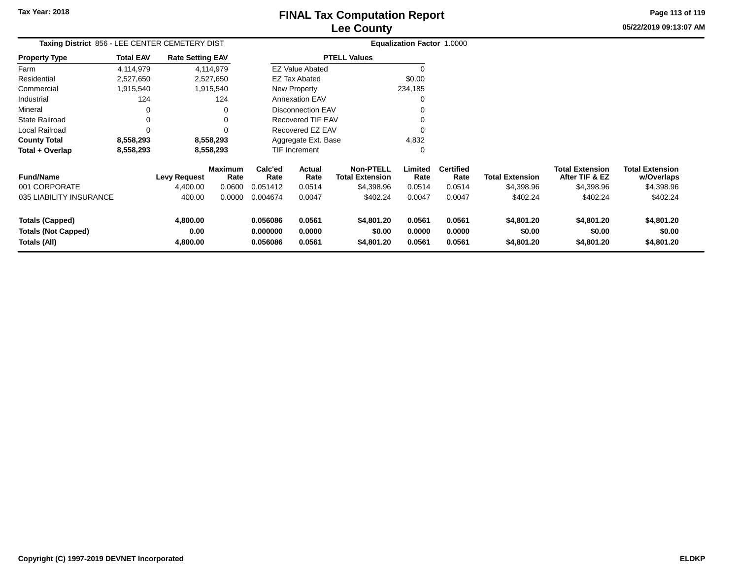**05/22/2019 09:13:07 AMPage 113 of 119**

| Taxing District 856 - LEE CENTER CEMETERY DIST |                         |                                 |                                                                                                                    |                  |                                                                                                 |                                                                                                                                                                                          |                          |                                      |                        |                                      |
|------------------------------------------------|-------------------------|---------------------------------|--------------------------------------------------------------------------------------------------------------------|------------------|-------------------------------------------------------------------------------------------------|------------------------------------------------------------------------------------------------------------------------------------------------------------------------------------------|--------------------------|--------------------------------------|------------------------|--------------------------------------|
| <b>Total EAV</b>                               |                         |                                 |                                                                                                                    |                  |                                                                                                 |                                                                                                                                                                                          |                          |                                      |                        |                                      |
| 4,114,979                                      |                         |                                 |                                                                                                                    |                  |                                                                                                 |                                                                                                                                                                                          |                          |                                      |                        |                                      |
| 2,527,650                                      |                         |                                 |                                                                                                                    |                  |                                                                                                 | \$0.00                                                                                                                                                                                   |                          |                                      |                        |                                      |
| 1,915,540                                      |                         |                                 |                                                                                                                    |                  |                                                                                                 | 234,185                                                                                                                                                                                  |                          |                                      |                        |                                      |
| 124                                            |                         | 124                             |                                                                                                                    |                  |                                                                                                 | 0                                                                                                                                                                                        |                          |                                      |                        |                                      |
| 0                                              |                         | 0                               |                                                                                                                    |                  |                                                                                                 |                                                                                                                                                                                          |                          |                                      |                        |                                      |
| $\Omega$                                       |                         |                                 |                                                                                                                    |                  |                                                                                                 |                                                                                                                                                                                          |                          |                                      |                        |                                      |
| $\Omega$                                       |                         |                                 |                                                                                                                    |                  |                                                                                                 |                                                                                                                                                                                          |                          |                                      |                        |                                      |
| 8,558,293                                      |                         |                                 |                                                                                                                    |                  |                                                                                                 | 4,832                                                                                                                                                                                    |                          |                                      |                        |                                      |
| 8,558,293                                      |                         |                                 |                                                                                                                    |                  |                                                                                                 | 0                                                                                                                                                                                        |                          |                                      |                        |                                      |
|                                                |                         |                                 | Calc'ed<br>Rate                                                                                                    | Actual<br>Rate   | <b>Non-PTELL</b>                                                                                | Limited<br>Rate                                                                                                                                                                          | <b>Certified</b><br>Rate | <b>Total Extension</b>               | <b>Total Extension</b> | <b>Total Extension</b><br>w/Overlaps |
|                                                | 4,400.00                | 0.0600                          | 0.051412                                                                                                           | 0.0514           | \$4,398.96                                                                                      | 0.0514                                                                                                                                                                                   | 0.0514                   | \$4,398.96                           | \$4,398.96             | \$4,398.96                           |
|                                                | 400.00                  | 0.0000                          | 0.004674                                                                                                           | 0.0047           | \$402.24                                                                                        | 0.0047                                                                                                                                                                                   | 0.0047                   | \$402.24                             | \$402.24               | \$402.24                             |
|                                                | 4,800.00<br>0.00        |                                 | 0.056086<br>0.000000                                                                                               | 0.0561<br>0.0000 | \$4,801.20<br>\$0.00                                                                            | 0.0561<br>0.0000                                                                                                                                                                         | 0.0561<br>0.0000         | \$4,801.20<br>\$0.00                 | \$4,801.20<br>\$0.00   | \$4,801.20<br>\$0.00<br>\$4,801.20   |
|                                                | 035 LIABILITY INSURANCE | <b>Levy Request</b><br>4,800.00 | <b>Rate Setting EAV</b><br>4,114,979<br>2,527,650<br>1,915,540<br>8,558,293<br>8,558,293<br><b>Maximum</b><br>Rate | 0.056086         | <b>EZ Tax Abated</b><br>New Property<br><b>Annexation EAV</b><br><b>TIF Increment</b><br>0.0561 | <b>PTELL Values</b><br><b>EZ Value Abated</b><br><b>Disconnection EAV</b><br><b>Recovered TIF EAV</b><br>Recovered EZ EAV<br>Aggregate Ext. Base<br><b>Total Extension</b><br>\$4,801.20 | 0.0561                   | Equalization Factor 1.0000<br>0.0561 | \$4,801.20             | After TIF & EZ<br>\$4,801.20         |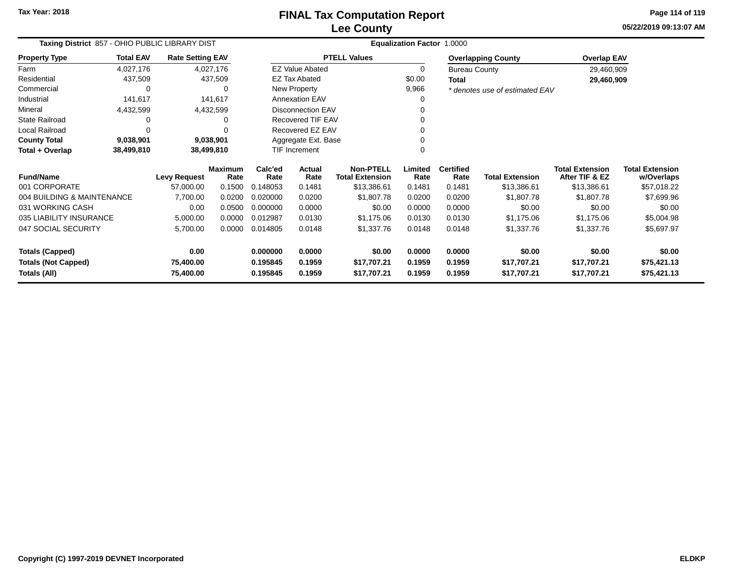**05/22/2019 09:13:07 AMPage 114 of 119**

| Taxing District 857 - OHIO PUBLIC LIBRARY DIST |                          |                         |                        |                      | Equalization Factor 1.0000 |                                            |                 |                          |                                |                                          |                                      |
|------------------------------------------------|--------------------------|-------------------------|------------------------|----------------------|----------------------------|--------------------------------------------|-----------------|--------------------------|--------------------------------|------------------------------------------|--------------------------------------|
| <b>Property Type</b>                           | <b>Total EAV</b>         | <b>Rate Setting EAV</b> |                        |                      |                            | <b>PTELL Values</b>                        |                 |                          | <b>Overlapping County</b>      | <b>Overlap EAV</b>                       |                                      |
| Farm                                           | 4,027,176                |                         | 4,027,176              |                      | <b>EZ Value Abated</b>     |                                            | 0               | <b>Bureau County</b>     |                                | 29,460,909                               |                                      |
| Residential                                    | 437,509                  |                         | 437,509                |                      | <b>EZ Tax Abated</b>       |                                            | \$0.00          | <b>Total</b>             |                                | 29,460,909                               |                                      |
| Commercial                                     | 0                        |                         | 0                      |                      | <b>New Property</b>        |                                            | 9,966           |                          | * denotes use of estimated EAV |                                          |                                      |
| Industrial                                     | 141,617                  |                         | 141,617                |                      | <b>Annexation EAV</b>      |                                            |                 |                          |                                |                                          |                                      |
| Mineral                                        | 4,432,599                |                         | 4,432,599              |                      | Disconnection EAV          |                                            |                 |                          |                                |                                          |                                      |
| State Railroad                                 |                          |                         | 0                      |                      | Recovered TIF EAV          |                                            |                 |                          |                                |                                          |                                      |
| Local Railroad                                 |                          |                         |                        |                      | Recovered EZ EAV           |                                            |                 |                          |                                |                                          |                                      |
| <b>County Total</b>                            | 9,038,901                |                         | 9,038,901              |                      | Aggregate Ext. Base        |                                            |                 |                          |                                |                                          |                                      |
| Total + Overlap                                | 38,499,810<br>38,499,810 |                         |                        | <b>TIF Increment</b> |                            |                                            |                 |                          |                                |                                          |                                      |
| <b>Fund/Name</b>                               |                          | <b>Levy Request</b>     | <b>Maximum</b><br>Rate | Calc'ed<br>Rate      | Actual<br>Rate             | <b>Non-PTELL</b><br><b>Total Extension</b> | Limited<br>Rate | <b>Certified</b><br>Rate | <b>Total Extension</b>         | <b>Total Extension</b><br>After TIF & EZ | <b>Total Extension</b><br>w/Overlaps |
| 001 CORPORATE                                  |                          | 57,000.00               | 0.1500                 | 0.148053             | 0.1481                     | \$13,386.61                                | 0.1481          | 0.1481                   | \$13,386.61                    | \$13,386.61                              | \$57,018.22                          |
| 004 BUILDING & MAINTENANCE                     |                          | 7,700.00                | 0.0200                 | 0.020000             | 0.0200                     | \$1,807.78                                 | 0.0200          | 0.0200                   | \$1,807.78                     | \$1,807.78                               | \$7,699.96                           |
| 031 WORKING CASH                               |                          | 0.00                    | 0.0500                 | 0.000000             | 0.0000                     | \$0.00                                     | 0.0000          | 0.0000                   | \$0.00                         | \$0.00                                   | \$0.00                               |
| 035 LIABILITY INSURANCE                        |                          | 5,000.00                | 0.0000                 | 0.012987             | 0.0130                     | \$1,175.06                                 | 0.0130          | 0.0130                   | \$1,175.06                     | \$1,175.06                               | \$5,004.98                           |
| 047 SOCIAL SECURITY                            |                          | 5,700.00                | 0.0000                 | 0.014805             | 0.0148                     | \$1,337.76                                 | 0.0148          | 0.0148                   | \$1,337.76                     | \$1,337.76                               | \$5,697.97                           |
| <b>Totals (Capped)</b>                         |                          | 0.00                    |                        | 0.000000             | 0.0000                     | \$0.00                                     | 0.0000          | 0.0000                   | \$0.00                         | \$0.00                                   | \$0.00                               |
| <b>Totals (Not Capped)</b>                     |                          | 75,400.00               |                        | 0.195845             | 0.1959                     | \$17,707.21                                | 0.1959          | 0.1959                   | \$17,707.21                    | \$17,707.21                              | \$75,421.13                          |
| Totals (All)                                   |                          | 75,400.00               |                        | 0.195845             | 0.1959                     | \$17,707.21                                | 0.1959          | 0.1959                   | \$17,707.21                    | \$17,707.21                              | \$75,421.13                          |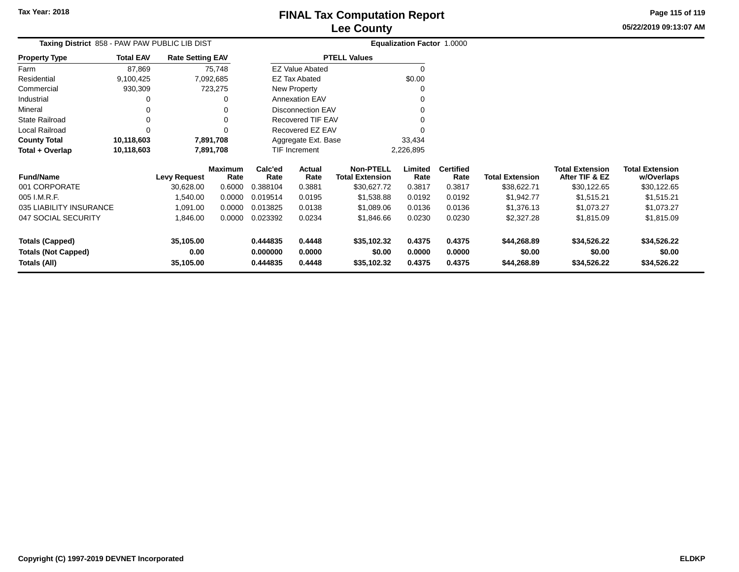**Totals (All)**

### **Lee CountyFINAL Tax Computation Report**

**0.444835 0.4448 \$35,102.32 0.4375 0.4375 \$44,268.89 \$34,526.22 \$34,526.22**

**05/22/2019 09:13:07 AMPage 115 of 119**

| Taxing District 858 - PAW PAW PUBLIC LIB DIST |                                             |                     |                        |                 |                          |                                            | <b>Equalization Factor 1.0000</b> |                          |                        |                                          |                                      |
|-----------------------------------------------|---------------------------------------------|---------------------|------------------------|-----------------|--------------------------|--------------------------------------------|-----------------------------------|--------------------------|------------------------|------------------------------------------|--------------------------------------|
| <b>Property Type</b>                          | <b>Total EAV</b><br><b>Rate Setting EAV</b> |                     |                        |                 |                          | <b>PTELL Values</b>                        |                                   |                          |                        |                                          |                                      |
| Farm                                          | 87,869                                      |                     | 75,748                 |                 | <b>EZ Value Abated</b>   |                                            | $\Omega$                          |                          |                        |                                          |                                      |
| Residential                                   | 9,100,425                                   |                     | 7,092,685              |                 | <b>EZ Tax Abated</b>     |                                            | \$0.00                            |                          |                        |                                          |                                      |
| Commercial                                    | 930,309                                     |                     | 723,275                |                 | <b>New Property</b>      |                                            |                                   |                          |                        |                                          |                                      |
| Industrial                                    |                                             |                     | 0                      |                 | <b>Annexation EAV</b>    |                                            |                                   |                          |                        |                                          |                                      |
| Mineral                                       |                                             |                     | 0                      |                 | <b>Disconnection EAV</b> |                                            |                                   |                          |                        |                                          |                                      |
| State Railroad                                |                                             |                     | 0                      |                 | Recovered TIF EAV        |                                            |                                   |                          |                        |                                          |                                      |
| Local Railroad                                | $\Omega$                                    |                     | $\Omega$               |                 | Recovered EZ EAV         |                                            |                                   |                          |                        |                                          |                                      |
| <b>County Total</b>                           | 10,118,603                                  |                     | 7,891,708              |                 | Aggregate Ext. Base      |                                            | 33,434                            |                          |                        |                                          |                                      |
| Total + Overlap                               | 10,118,603                                  |                     | 7,891,708              |                 | TIF Increment            |                                            | 2,226,895                         |                          |                        |                                          |                                      |
| <b>Fund/Name</b>                              |                                             | <b>Levy Request</b> | <b>Maximum</b><br>Rate | Calc'ed<br>Rate | Actual<br>Rate           | <b>Non-PTELL</b><br><b>Total Extension</b> | Limited<br>Rate                   | <b>Certified</b><br>Rate | <b>Total Extension</b> | <b>Total Extension</b><br>After TIF & EZ | <b>Total Extension</b><br>w/Overlaps |
| 001 CORPORATE                                 |                                             | 30,628.00           | 0.6000                 | 0.388104        | 0.3881                   | \$30,627.72                                | 0.3817                            | 0.3817                   | \$38,622.71            | \$30,122.65                              | \$30,122.65                          |
| 005 I.M.R.F.                                  |                                             | 1,540.00            | 0.0000                 | 0.019514        | 0.0195                   | \$1,538.88                                 | 0.0192                            | 0.0192                   | \$1,942.77             | \$1,515.21                               | \$1,515.21                           |
| 035 LIABILITY INSURANCE                       |                                             | 1,091.00            | 0.0000                 | 0.013825        | 0.0138                   | \$1,089.06                                 | 0.0136                            | 0.0136                   | \$1,376.13             | \$1,073.27                               | \$1,073.27                           |
| 047 SOCIAL SECURITY                           |                                             | 1,846.00            | 0.0000                 | 0.023392        | 0.0234                   | \$1,846.66                                 | 0.0230                            | 0.0230                   | \$2,327.28             | \$1,815.09                               | \$1,815.09                           |
| <b>Totals (Capped)</b>                        |                                             | 35,105.00           |                        | 0.444835        | 0.4448                   | \$35,102.32                                | 0.4375                            | 0.4375                   | \$44,268.89            | \$34,526.22                              | \$34,526.22                          |
| <b>Totals (Not Capped)</b>                    |                                             | 0.00                |                        | 0.000000        | 0.0000                   | \$0.00                                     | 0.0000                            | 0.0000                   | \$0.00                 | \$0.00                                   | \$0.00                               |

**35,105.00**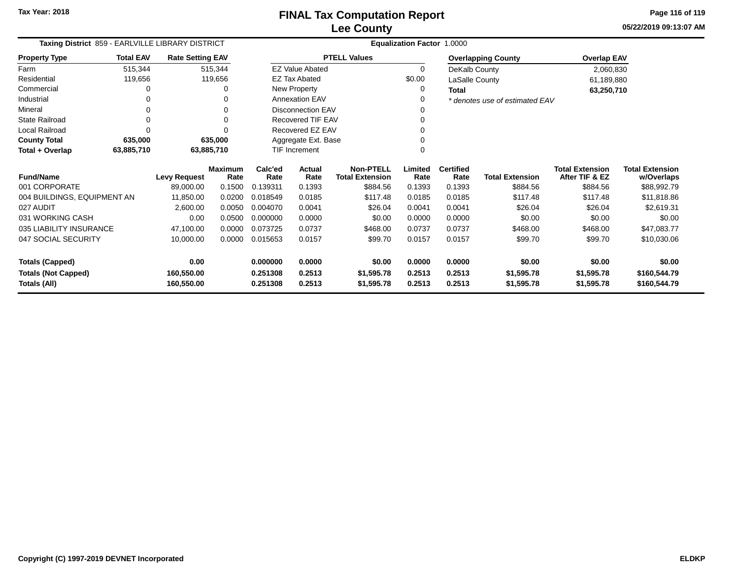**05/22/2019 09:13:07 AMPage 116 of 119**

| Taxing District 859 - EARLVILLE LIBRARY DISTRICT |                  |                         |                        | Equalization Factor 1.0000 |                        |                                            |                 |                          |                                |                                          |                                      |  |
|--------------------------------------------------|------------------|-------------------------|------------------------|----------------------------|------------------------|--------------------------------------------|-----------------|--------------------------|--------------------------------|------------------------------------------|--------------------------------------|--|
| <b>Property Type</b>                             | <b>Total EAV</b> | <b>Rate Setting EAV</b> |                        |                            |                        | <b>PTELL Values</b>                        |                 |                          | <b>Overlapping County</b>      | <b>Overlap EAV</b>                       |                                      |  |
| Farm                                             | 515,344          |                         | 515,344                |                            | <b>EZ Value Abated</b> |                                            | 0               | DeKalb County            |                                | 2,060,830                                |                                      |  |
| Residential                                      | 119,656          |                         | 119,656                |                            | <b>EZ Tax Abated</b>   |                                            | \$0.00          | LaSalle County           |                                | 61,189,880                               |                                      |  |
| Commercial                                       |                  |                         |                        |                            | New Property           |                                            | 0               | <b>Total</b>             |                                | 63,250,710                               |                                      |  |
| Industrial                                       |                  |                         |                        |                            | <b>Annexation EAV</b>  |                                            | 0               |                          | * denotes use of estimated EAV |                                          |                                      |  |
| Mineral                                          |                  |                         |                        | <b>Disconnection EAV</b>   |                        |                                            | 0               |                          |                                |                                          |                                      |  |
| <b>State Railroad</b>                            |                  |                         |                        | Recovered TIF EAV          |                        |                                            |                 |                          |                                |                                          |                                      |  |
| Local Railroad                                   |                  |                         |                        | Recovered EZ EAV           |                        |                                            |                 |                          |                                |                                          |                                      |  |
| <b>County Total</b>                              | 635,000          |                         | 635,000                |                            | Aggregate Ext. Base    |                                            |                 |                          |                                |                                          |                                      |  |
| Total + Overlap                                  | 63,885,710       | 63,885,710              |                        |                            | <b>TIF Increment</b>   |                                            | ∩               |                          |                                |                                          |                                      |  |
| <b>Fund/Name</b>                                 |                  | <b>Levy Request</b>     | <b>Maximum</b><br>Rate | Calc'ed<br>Rate            | <b>Actual</b><br>Rate  | <b>Non-PTELL</b><br><b>Total Extension</b> | Limited<br>Rate | <b>Certified</b><br>Rate | <b>Total Extension</b>         | <b>Total Extension</b><br>After TIF & EZ | <b>Total Extension</b><br>w/Overlaps |  |
| 001 CORPORATE                                    |                  | 89,000.00               | 0.1500                 | 0.139311                   | 0.1393                 | \$884.56                                   | 0.1393          | 0.1393                   | \$884.56                       | \$884.56                                 | \$88,992.79                          |  |
| 004 BUILDINGS, EQUIPMENT AN                      |                  | 11,850.00               | 0.0200                 | 0.018549                   | 0.0185                 | \$117.48                                   | 0.0185          | 0.0185                   | \$117.48                       | \$117.48                                 | \$11,818.86                          |  |
| 027 AUDIT                                        |                  | 2,600.00                | 0.0050                 | 0.004070                   | 0.0041                 | \$26.04                                    | 0.0041          | 0.0041                   | \$26.04                        | \$26.04                                  | \$2,619.31                           |  |
| 031 WORKING CASH                                 |                  | 0.00                    | 0.0500                 | 0.000000                   | 0.0000                 | \$0.00                                     | 0.0000          | 0.0000                   | \$0.00                         | \$0.00                                   | \$0.00                               |  |
| 035 LIABILITY INSURANCE                          |                  | 47,100.00               | 0.0000                 | 0.073725                   | 0.0737                 | \$468.00                                   | 0.0737          | 0.0737                   | \$468.00                       | \$468.00                                 | \$47,083.77                          |  |
| 047 SOCIAL SECURITY                              |                  | 10,000.00               | 0.0000                 | 0.015653                   | 0.0157                 | \$99.70                                    | 0.0157          | 0.0157                   | \$99.70                        | \$99.70                                  | \$10,030.06                          |  |
| <b>Totals (Capped)</b>                           |                  | 0.00                    |                        | 0.000000                   | 0.0000                 | \$0.00                                     | 0.0000          | 0.0000                   | \$0.00                         | \$0.00                                   | \$0.00                               |  |
| <b>Totals (Not Capped)</b>                       |                  | 160,550.00              |                        | 0.251308                   | 0.2513                 | \$1,595.78                                 | 0.2513          | 0.2513                   | \$1,595.78                     | \$1,595.78                               | \$160,544.79                         |  |
| Totals (All)<br>160,550.00                       |                  |                         | 0.251308               | 0.2513                     | \$1,595.78             | 0.2513                                     | 0.2513          | \$1,595.78               | \$1,595.78                     | \$160,544.79                             |                                      |  |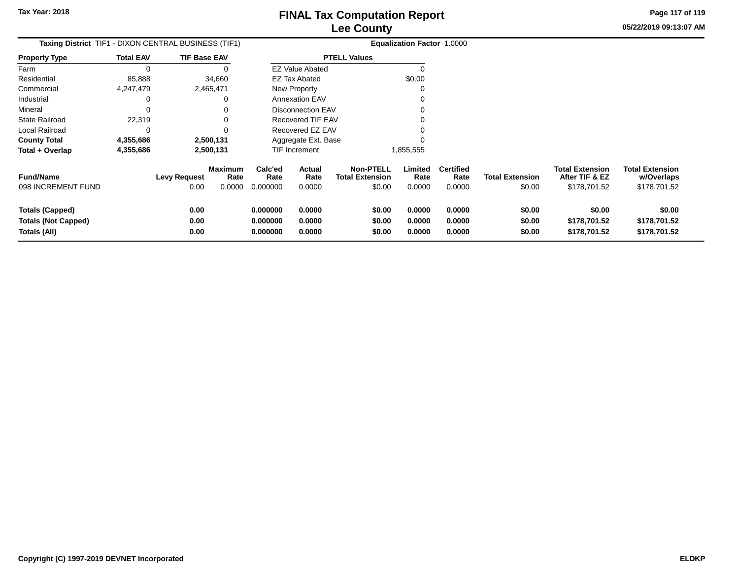**05/22/2019 09:13:07 AMPage 117 of 119**

| Taxing District TIF1 - DIXON CENTRAL BUSINESS (TIF1) |                  |                     |                 | Equalization Factor 1.0000 |                          |                                            |                 |                          |                        |                                          |                                      |
|------------------------------------------------------|------------------|---------------------|-----------------|----------------------------|--------------------------|--------------------------------------------|-----------------|--------------------------|------------------------|------------------------------------------|--------------------------------------|
| <b>Property Type</b>                                 | <b>Total EAV</b> | <b>TIF Base EAV</b> |                 |                            |                          | <b>PTELL Values</b>                        |                 |                          |                        |                                          |                                      |
| Farm                                                 |                  |                     |                 |                            | <b>EZ Value Abated</b>   |                                            | $\Omega$        |                          |                        |                                          |                                      |
| Residential                                          | 85,888           |                     | 34,660          |                            | EZ Tax Abated            |                                            | \$0.00          |                          |                        |                                          |                                      |
| Commercial                                           | 4,247,479        | 2,465,471           |                 |                            | <b>New Property</b>      |                                            | O               |                          |                        |                                          |                                      |
| Industrial                                           |                  |                     |                 |                            | <b>Annexation EAV</b>    |                                            |                 |                          |                        |                                          |                                      |
| Mineral                                              |                  |                     |                 |                            | <b>Disconnection EAV</b> |                                            |                 |                          |                        |                                          |                                      |
| <b>State Railroad</b>                                | 22,319           |                     |                 |                            | <b>Recovered TIF EAV</b> |                                            |                 |                          |                        |                                          |                                      |
| Local Railroad                                       |                  |                     |                 |                            | Recovered EZ EAV         |                                            |                 |                          |                        |                                          |                                      |
| <b>County Total</b>                                  | 4,355,686        | 2,500,131           |                 |                            | Aggregate Ext. Base      |                                            |                 |                          |                        |                                          |                                      |
| Total + Overlap                                      | 4,355,686        |                     | 2,500,131       |                            | TIF Increment            |                                            | 1,855,555       |                          |                        |                                          |                                      |
| <b>Fund/Name</b>                                     |                  | <b>Levy Request</b> | Maximum<br>Rate | Calc'ed<br>Rate            | Actual<br>Rate           | <b>Non-PTELL</b><br><b>Total Extension</b> | Limited<br>Rate | <b>Certified</b><br>Rate | <b>Total Extension</b> | <b>Total Extension</b><br>After TIF & EZ | <b>Total Extension</b><br>w/Overlaps |
| 098 INCREMENT FUND                                   |                  | 0.00                | 0.0000          | 0.000000                   | 0.0000                   | \$0.00                                     | 0.0000          | 0.0000                   | \$0.00                 | \$178,701.52                             | \$178,701.52                         |
| <b>Totals (Capped)</b>                               |                  | 0.00                |                 | 0.000000                   | 0.0000                   | \$0.00                                     | 0.0000          | 0.0000                   | \$0.00                 | \$0.00                                   | \$0.00                               |
| <b>Totals (Not Capped)</b>                           |                  | 0.00                |                 | 0.000000                   | 0.0000                   | \$0.00                                     | 0.0000          | 0.0000                   | \$0.00                 | \$178,701.52                             | \$178,701.52                         |
| Totals (All)                                         |                  | 0.00                |                 | 0.000000                   | 0.0000                   | \$0.00                                     | 0.0000          | 0.0000                   | \$0.00                 | \$178,701.52                             | \$178,701.52                         |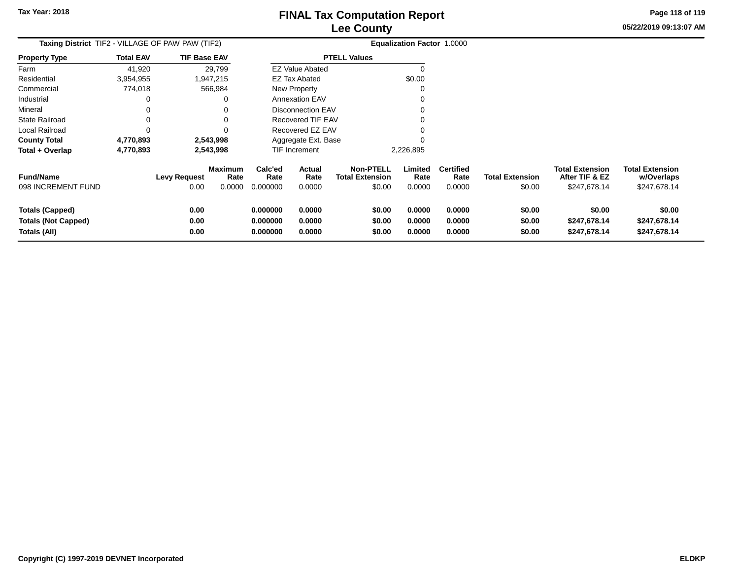**05/22/2019 09:13:07 AMPage 118 of 119**

| <b>FINAL TAX COMPUTATION REPORT</b> |  |
|-------------------------------------|--|
| <b>Lee County</b>                   |  |

| <b>Taxing District</b> TIF2 - VILLAGE OF PAW PAW (TIF2) |                  |                             |                                  |                             |                          |                                                      | <b>Equalization Factor 1.0000</b> |                                    |                                  |                                                          |                                                      |
|---------------------------------------------------------|------------------|-----------------------------|----------------------------------|-----------------------------|--------------------------|------------------------------------------------------|-----------------------------------|------------------------------------|----------------------------------|----------------------------------------------------------|------------------------------------------------------|
| <b>Property Type</b>                                    | <b>Total EAV</b> | <b>TIF Base EAV</b>         |                                  | <b>PTELL Values</b>         |                          |                                                      |                                   |                                    |                                  |                                                          |                                                      |
| Farm                                                    | 41,920           |                             | 29,799                           |                             | <b>EZ Value Abated</b>   |                                                      |                                   |                                    |                                  |                                                          |                                                      |
| Residential                                             | 3,954,955        |                             | 1,947,215                        |                             | <b>EZ Tax Abated</b>     |                                                      | \$0.00                            |                                    |                                  |                                                          |                                                      |
| Commercial                                              | 774,018          |                             | 566,984                          |                             | New Property             |                                                      |                                   |                                    |                                  |                                                          |                                                      |
| Industrial                                              | 0                |                             | 0                                |                             | <b>Annexation EAV</b>    |                                                      |                                   |                                    |                                  |                                                          |                                                      |
| Mineral                                                 |                  |                             | 0                                |                             | <b>Disconnection EAV</b> |                                                      |                                   |                                    |                                  |                                                          |                                                      |
| <b>State Railroad</b>                                   | 0                |                             | 0                                |                             | Recovered TIF EAV        |                                                      |                                   |                                    |                                  |                                                          |                                                      |
| Local Railroad                                          |                  |                             | 0                                |                             | Recovered EZ EAV         |                                                      |                                   |                                    |                                  |                                                          |                                                      |
| <b>County Total</b>                                     | 4,770,893        |                             | 2,543,998                        |                             | Aggregate Ext. Base      |                                                      |                                   |                                    |                                  |                                                          |                                                      |
| Total + Overlap                                         | 4,770,893        |                             | 2,543,998                        |                             | <b>TIF Increment</b>     |                                                      | 2,226,895                         |                                    |                                  |                                                          |                                                      |
| <b>Fund/Name</b><br>098 INCREMENT FUND                  |                  | <b>Levy Request</b><br>0.00 | <b>Maximum</b><br>Rate<br>0.0000 | Calc'ed<br>Rate<br>0.000000 | Actual<br>Rate<br>0.0000 | <b>Non-PTELL</b><br><b>Total Extension</b><br>\$0.00 | Limited<br>Rate<br>0.0000         | <b>Certified</b><br>Rate<br>0.0000 | <b>Total Extension</b><br>\$0.00 | <b>Total Extension</b><br>After TIF & EZ<br>\$247,678.14 | <b>Total Extension</b><br>w/Overlaps<br>\$247,678.14 |
|                                                         |                  |                             |                                  |                             |                          |                                                      |                                   |                                    |                                  |                                                          |                                                      |
| <b>Totals (Capped)</b>                                  |                  | 0.00                        |                                  | 0.000000                    | 0.0000                   | \$0.00                                               | 0.0000                            | 0.0000                             | \$0.00                           | \$0.00                                                   | \$0.00                                               |
| <b>Totals (Not Capped)</b>                              |                  | 0.00                        |                                  | 0.000000                    | 0.0000                   | \$0.00                                               | 0.0000                            | 0.0000                             | \$0.00                           | \$247,678.14                                             | \$247,678.14                                         |
| Totals (All)                                            |                  | 0.00                        |                                  | 0.000000                    | 0.0000                   | \$0.00                                               | 0.0000                            | 0.0000                             | \$0.00                           | \$247,678.14                                             | \$247,678.14                                         |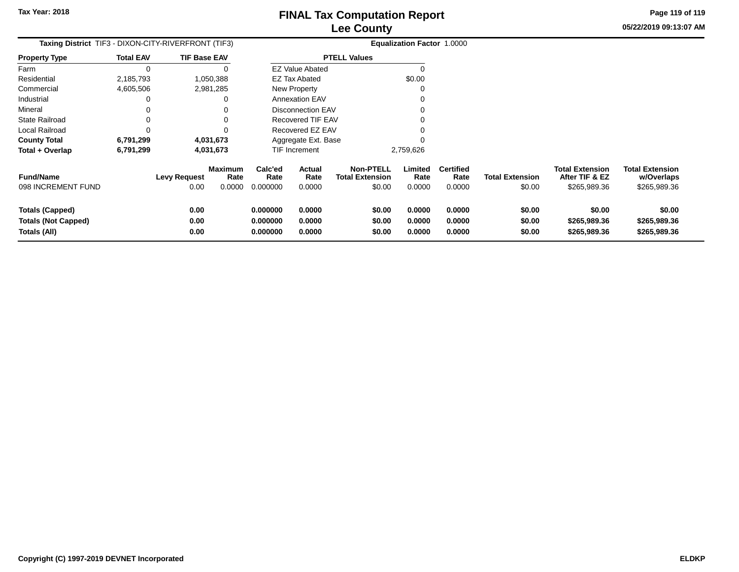**05/22/2019 09:13:07 AMPage 119 of 119**

| Taxing District_TIF3 - DIXON-CITY-RIVERFRONT (TIF3)                  |                  |                                                                 |                                  | <b>Equalization Factor 1.0000</b> |                                                      |                            |                                    |                                  |                                                          |                                                      |
|----------------------------------------------------------------------|------------------|-----------------------------------------------------------------|----------------------------------|-----------------------------------|------------------------------------------------------|----------------------------|------------------------------------|----------------------------------|----------------------------------------------------------|------------------------------------------------------|
| <b>Property Type</b>                                                 | <b>Total EAV</b> | <b>TIF Base EAV</b>                                             |                                  |                                   | <b>PTELL Values</b>                                  |                            |                                    |                                  |                                                          |                                                      |
| Farm                                                                 |                  |                                                                 |                                  | <b>EZ Value Abated</b>            |                                                      |                            |                                    |                                  |                                                          |                                                      |
| Residential                                                          | 2,185,793        | 1,050,388                                                       |                                  | <b>EZ Tax Abated</b>              |                                                      | \$0.00                     |                                    |                                  |                                                          |                                                      |
| Commercial                                                           | 4,605,506        | 2,981,285                                                       |                                  | New Property                      |                                                      |                            |                                    |                                  |                                                          |                                                      |
| Industrial                                                           |                  | 0                                                               |                                  | <b>Annexation EAV</b>             |                                                      |                            |                                    |                                  |                                                          |                                                      |
| Mineral                                                              |                  | 0                                                               |                                  | <b>Disconnection EAV</b>          |                                                      |                            |                                    |                                  |                                                          |                                                      |
| <b>State Railroad</b>                                                |                  | 0                                                               |                                  | Recovered TIF EAV                 |                                                      |                            |                                    |                                  |                                                          |                                                      |
| Local Railroad                                                       |                  | 0                                                               |                                  | Recovered EZ EAV                  |                                                      |                            |                                    |                                  |                                                          |                                                      |
| <b>County Total</b>                                                  | 6,791,299        | 4,031,673                                                       |                                  | Aggregate Ext. Base               |                                                      |                            |                                    |                                  |                                                          |                                                      |
| Total + Overlap                                                      | 6,791,299        | 4,031,673                                                       |                                  | TIF Increment                     |                                                      | 2,759,626                  |                                    |                                  |                                                          |                                                      |
| <b>Fund/Name</b><br>098 INCREMENT FUND                               |                  | <b>Maximum</b><br><b>Levy Request</b><br>Rate<br>0.00<br>0.0000 | Calc'ed<br>Rate<br>0.000000      | Actual<br>Rate<br>0.0000          | <b>Non-PTELL</b><br><b>Total Extension</b><br>\$0.00 | Limited<br>Rate<br>0.0000  | <b>Certified</b><br>Rate<br>0.0000 | <b>Total Extension</b><br>\$0.00 | <b>Total Extension</b><br>After TIF & EZ<br>\$265,989.36 | <b>Total Extension</b><br>w/Overlaps<br>\$265,989.36 |
| <b>Totals (Capped)</b><br><b>Totals (Not Capped)</b><br>Totals (All) |                  | 0.00<br>0.00<br>0.00                                            | 0.000000<br>0.000000<br>0.000000 | 0.0000<br>0.0000<br>0.0000        | \$0.00<br>\$0.00<br>\$0.00                           | 0.0000<br>0.0000<br>0.0000 | 0.0000<br>0.0000<br>0.0000         | \$0.00<br>\$0.00<br>\$0.00       | \$0.00<br>\$265,989.36<br>\$265,989.36                   | \$0.00<br>\$265,989.36<br>\$265,989.36               |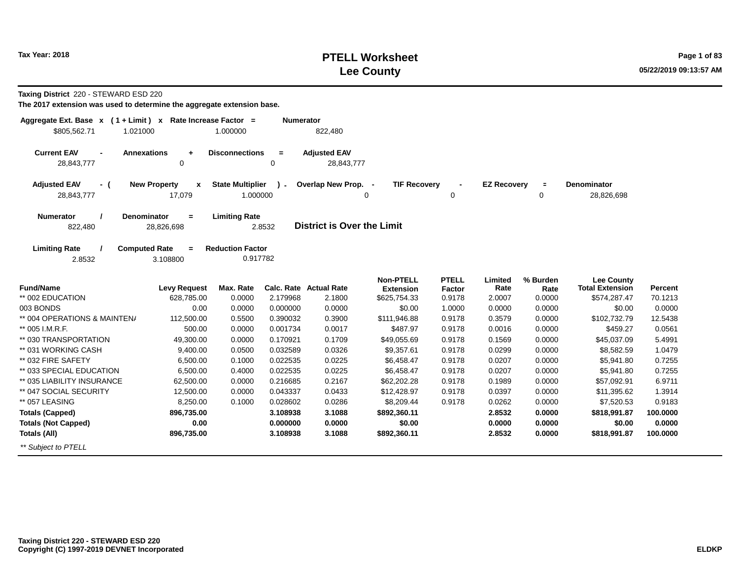## **PTELL Worksheet Tax Year: 2018 Page 1 of 83 Lee County**

**Taxing District** 220 - STEWARD ESD 220

| Aggregate Ext. Base $x$ (1 + Limit) x Rate Increase Factor =<br>\$805,562.71<br>1.021000 |                                                | 1.000000                            | <b>Numerator</b> | 822,480                           |                                      |                        |                    |                  |                                             |          |
|------------------------------------------------------------------------------------------|------------------------------------------------|-------------------------------------|------------------|-----------------------------------|--------------------------------------|------------------------|--------------------|------------------|---------------------------------------------|----------|
| <b>Current EAV</b><br>28,843,777                                                         | <b>Annexations</b><br>$\ddot{}$<br>$\mathbf 0$ | <b>Disconnections</b>               | $\equiv$<br>0    | <b>Adjusted EAV</b><br>28,843,777 |                                      |                        |                    |                  |                                             |          |
| <b>Adjusted EAV</b><br>- (<br>28,843,777                                                 | <b>New Property</b><br>x<br>17,079             | <b>State Multiplier</b><br>1.000000 | $\mathbf{r}$     | Overlap New Prop. -               | <b>TIF Recovery</b><br>0             | 0                      | <b>EZ Recovery</b> | $\equiv$<br>0    | <b>Denominator</b><br>28,826,698            |          |
| Numerator<br>822,480                                                                     | <b>Denominator</b><br>$\equiv$<br>28,826,698   | <b>Limiting Rate</b>                | 2.8532           | <b>District is Over the Limit</b> |                                      |                        |                    |                  |                                             |          |
| <b>Limiting Rate</b><br>2.8532                                                           | <b>Computed Rate</b><br>$\equiv$<br>3.108800   | <b>Reduction Factor</b><br>0.917782 |                  |                                   |                                      |                        |                    |                  |                                             |          |
| <b>Fund/Name</b>                                                                         | <b>Levy Request</b>                            | Max. Rate                           |                  | <b>Calc. Rate Actual Rate</b>     | <b>Non-PTELL</b><br><b>Extension</b> | <b>PTELL</b><br>Factor | Limited<br>Rate    | % Burden<br>Rate | <b>Lee County</b><br><b>Total Extension</b> | Percent  |
| ** 002 EDUCATION                                                                         | 628.785.00                                     | 0.0000                              | 2.179968         | 2.1800                            | \$625,754.33                         | 0.9178                 | 2.0007             | 0.0000           | \$574,287.47                                | 70.1213  |
| 003 BONDS                                                                                | 0.00                                           | 0.0000                              | 0.000000         | 0.0000                            | \$0.00                               | 1.0000                 | 0.0000             | 0.0000           | \$0.00                                      | 0.0000   |
| ** 004 OPERATIONS & MAINTEN/                                                             | 112,500.00                                     | 0.5500                              | 0.390032         | 0.3900                            | \$111,946.88                         | 0.9178                 | 0.3579             | 0.0000           | \$102,732.79                                | 12.5438  |
| ** 005 I.M.R.F.                                                                          | 500.00                                         | 0.0000                              | 0.001734         | 0.0017                            | \$487.97                             | 0.9178                 | 0.0016             | 0.0000           | \$459.27                                    | 0.0561   |
| ** 030 TRANSPORTATION                                                                    | 49,300.00                                      | 0.0000                              | 0.170921         | 0.1709                            | \$49,055.69                          | 0.9178                 | 0.1569             | 0.0000           | \$45,037.09                                 | 5.4991   |
| ** 031 WORKING CASH                                                                      | 9,400.00                                       | 0.0500                              | 0.032589         | 0.0326                            | \$9,357.61                           | 0.9178                 | 0.0299             | 0.0000           | \$8,582.59                                  | 1.0479   |
| ** 032 FIRE SAFETY                                                                       | 6,500.00                                       | 0.1000                              | 0.022535         | 0.0225                            | \$6.458.47                           | 0.9178                 | 0.0207             | 0.0000           | \$5,941.80                                  | 0.7255   |
| ** 033 SPECIAL EDUCATION                                                                 | 6,500.00                                       | 0.4000                              | 0.022535         | 0.0225                            | \$6,458.47                           | 0.9178                 | 0.0207             | 0.0000           | \$5,941.80                                  | 0.7255   |
| ** 035 LIABILITY INSURANCE                                                               | 62,500.00                                      | 0.0000                              | 0.216685         | 0.2167                            | \$62,202.28                          | 0.9178                 | 0.1989             | 0.0000           | \$57,092.91                                 | 6.9711   |
| ** 047 SOCIAL SECURITY                                                                   | 12,500.00                                      | 0.0000                              | 0.043337         | 0.0433                            | \$12,428.97                          | 0.9178                 | 0.0397             | 0.0000           | \$11,395.62                                 | 1.3914   |
| ** 057 LEASING                                                                           | 8,250.00                                       | 0.1000                              | 0.028602         | 0.0286                            | \$8,209.44                           | 0.9178                 | 0.0262             | 0.0000           | \$7,520.53                                  | 0.9183   |
| <b>Totals (Capped)</b>                                                                   | 896,735.00                                     |                                     | 3.108938         | 3.1088                            | \$892,360.11                         |                        | 2.8532             | 0.0000           | \$818,991.87                                | 100.0000 |
| <b>Totals (Not Capped)</b>                                                               | 0.00                                           |                                     | 0.000000         | 0.0000                            | \$0.00                               |                        | 0.0000             | 0.0000           | \$0.00                                      | 0.0000   |
| Totals (All)                                                                             | 896,735.00                                     |                                     | 3.108938         | 3.1088                            | \$892,360.11                         |                        | 2.8532             | 0.0000           | \$818,991.87                                | 100.0000 |
| ** Subject to PTELL                                                                      |                                                |                                     |                  |                                   |                                      |                        |                    |                  |                                             |          |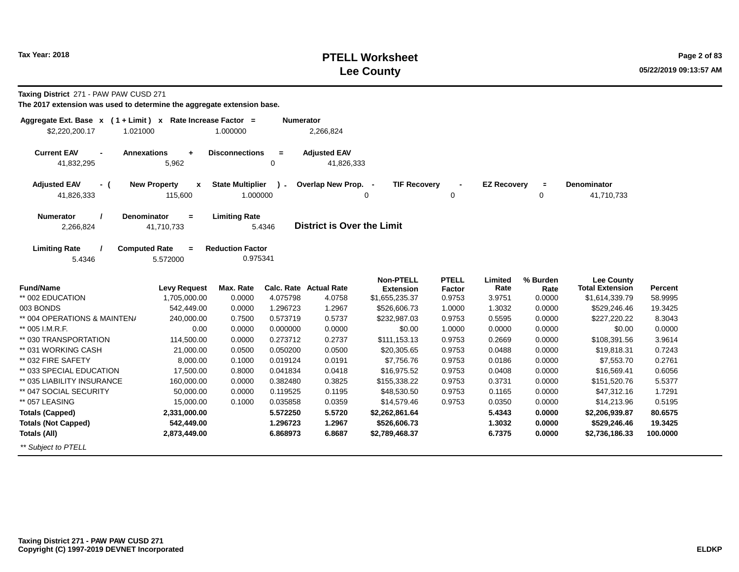## **PTELL Worksheet Tax Year: 2018 Page 2 of 83 Lee County**

**Taxing District** 271 - PAW PAW CUSD 271

| Aggregate Ext. Base $x$ (1 + Limit) x Rate Increase Factor =<br>\$2,220,200.17<br>1.021000 |                                                | 1.000000                            | <b>Numerator</b>     | 2,266,824                         |                                    |                  |                    |                |                                             |                |
|--------------------------------------------------------------------------------------------|------------------------------------------------|-------------------------------------|----------------------|-----------------------------------|------------------------------------|------------------|--------------------|----------------|---------------------------------------------|----------------|
| <b>Current EAV</b><br>$\blacksquare$<br>41,832,295                                         | <b>Annexations</b><br>$\ddot{}$<br>5,962       | <b>Disconnections</b>               | $\equiv$<br>$\Omega$ | <b>Adjusted EAV</b><br>41,826,333 |                                    |                  |                    |                |                                             |                |
| <b>Adjusted EAV</b><br>- (<br>41,826,333                                                   | <b>New Property</b><br>$\mathbf{x}$<br>115,600 | <b>State Multiplier</b><br>1.000000 | ν.                   | Overlap New Prop. -               | <b>TIF Recovery</b><br>0           | 0                | <b>EZ Recovery</b> | $\equiv$<br>0  | Denominator<br>41,710,733                   |                |
| <b>Numerator</b><br>2,266,824                                                              | Denominator<br>$\equiv$<br>41,710,733          | <b>Limiting Rate</b>                | 5.4346               | <b>District is Over the Limit</b> |                                    |                  |                    |                |                                             |                |
| <b>Limiting Rate</b><br>5.4346                                                             | <b>Computed Rate</b><br>$\equiv$<br>5.572000   | <b>Reduction Factor</b><br>0.975341 |                      |                                   |                                    |                  |                    |                |                                             |                |
| <b>Fund/Name</b>                                                                           | <b>Levy Request</b>                            | Max. Rate                           |                      | <b>Calc. Rate Actual Rate</b>     | <b>Non-PTELL</b>                   | <b>PTELL</b>     | Limited<br>Rate    | % Burden       | <b>Lee County</b><br><b>Total Extension</b> | <b>Percent</b> |
| ** 002 EDUCATION                                                                           | 1,705,000.00                                   | 0.0000                              | 4.075798             | 4.0758                            | <b>Extension</b><br>\$1,655,235.37 | Factor<br>0.9753 | 3.9751             | Rate<br>0.0000 | \$1,614,339.79                              | 58.9995        |
| 003 BONDS                                                                                  | 542,449.00                                     | 0.0000                              | 1.296723             | 1.2967                            | \$526,606.73                       | 1.0000           | 1.3032             | 0.0000         | \$529,246.46                                | 19.3425        |
| ** 004 OPERATIONS & MAINTEN/                                                               | 240,000.00                                     | 0.7500                              | 0.573719             | 0.5737                            | \$232,987.03                       | 0.9753           | 0.5595             | 0.0000         | \$227,220.22                                | 8.3043         |
| ** 005 I.M.R.F.                                                                            | 0.00                                           | 0.0000                              | 0.000000             | 0.0000                            | \$0.00                             | 1.0000           | 0.0000             | 0.0000         | \$0.00                                      | 0.0000         |
| ** 030 TRANSPORTATION                                                                      | 114,500.00                                     | 0.0000                              | 0.273712             | 0.2737                            | \$111,153.13                       | 0.9753           | 0.2669             | 0.0000         | \$108,391.56                                | 3.9614         |
| ** 031 WORKING CASH                                                                        | 21,000.00                                      | 0.0500                              | 0.050200             | 0.0500                            | \$20,305.65                        | 0.9753           | 0.0488             | 0.0000         | \$19,818.31                                 | 0.7243         |
| ** 032 FIRE SAFETY                                                                         | 8,000.00                                       | 0.1000                              | 0.019124             | 0.0191                            | \$7,756.76                         | 0.9753           | 0.0186             | 0.0000         | \$7,553.70                                  | 0.2761         |
| ** 033 SPECIAL EDUCATION                                                                   | 17,500.00                                      | 0.8000                              | 0.041834             | 0.0418                            | \$16,975.52                        | 0.9753           | 0.0408             | 0.0000         | \$16,569.41                                 | 0.6056         |
| ** 035 LIABILITY INSURANCE                                                                 | 160,000.00                                     | 0.0000                              | 0.382480             | 0.3825                            | \$155,338.22                       | 0.9753           | 0.3731             | 0.0000         | \$151,520.76                                | 5.5377         |
| ** 047 SOCIAL SECURITY                                                                     | 50,000.00                                      | 0.0000                              | 0.119525             | 0.1195                            | \$48,530.50                        | 0.9753           | 0.1165             | 0.0000         | \$47,312.16                                 | 1.7291         |
| ** 057 LEASING                                                                             | 15,000.00                                      | 0.1000                              | 0.035858             | 0.0359                            | \$14,579.46                        | 0.9753           | 0.0350             | 0.0000         | \$14,213.96                                 | 0.5195         |
| <b>Totals (Capped)</b>                                                                     | 2,331,000.00                                   |                                     | 5.572250             | 5.5720                            | \$2,262,861.64                     |                  | 5.4343             | 0.0000         | \$2,206,939.87                              | 80.6575        |
| <b>Totals (Not Capped)</b>                                                                 | 542,449.00                                     |                                     | 1.296723             | 1.2967                            | \$526,606.73                       |                  | 1.3032             | 0.0000         | \$529,246.46                                | 19.3425        |
| Totals (All)                                                                               | 2,873,449.00                                   |                                     | 6.868973             | 6.8687                            | \$2,789,468.37                     |                  | 6.7375             | 0.0000         | \$2,736,186.33                              | 100.0000       |
| ** Subject to PTELL                                                                        |                                                |                                     |                      |                                   |                                    |                  |                    |                |                                             |                |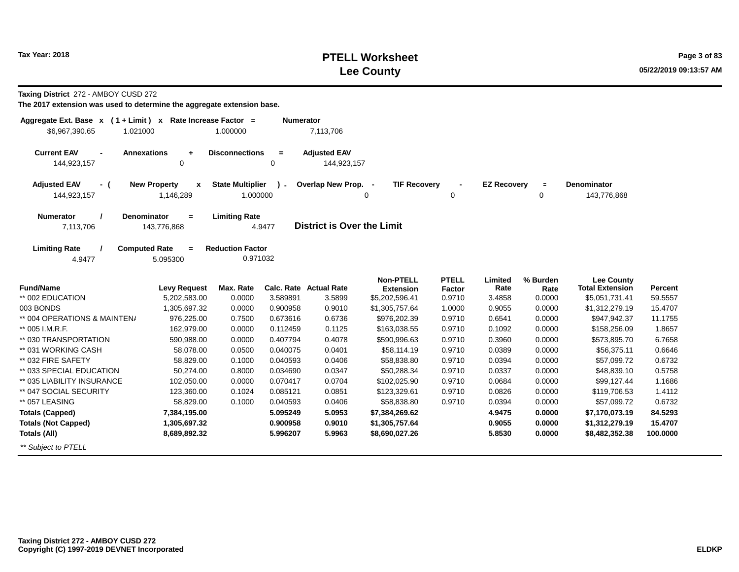## **PTELL Worksheet Tax Year: 2018 Page 3 of 83 Lee County**

**Taxing District** 272 - AMBOY CUSD 272

| Aggregate Ext. Base x (1+Limit) x Rate Increase Factor =<br>\$6,967,390.65<br>1.021000 |                                                | 1.000000                            | <b>Numerator</b>        | 7,113,706                          |                                    |                  |                    |                     |                                             |                |
|----------------------------------------------------------------------------------------|------------------------------------------------|-------------------------------------|-------------------------|------------------------------------|------------------------------------|------------------|--------------------|---------------------|---------------------------------------------|----------------|
| <b>Current EAV</b><br>$\blacksquare$<br>144,923,157                                    | <b>Annexations</b><br>$\ddot{}$<br>$\mathbf 0$ | <b>Disconnections</b>               | $\equiv$<br>$\mathbf 0$ | <b>Adjusted EAV</b><br>144,923,157 |                                    |                  |                    |                     |                                             |                |
| <b>Adjusted EAV</b><br>- (<br>144,923,157                                              | <b>New Property</b><br>x<br>1,146,289          | <b>State Multiplier</b><br>1.000000 | $\mathbf{r}$            | Overlap New Prop.                  | <b>TIF Recovery</b><br>0           | 0                | <b>EZ Recovery</b> | $\blacksquare$<br>0 | <b>Denominator</b><br>143,776,868           |                |
| <b>Numerator</b><br>7,113,706                                                          | <b>Denominator</b><br>$=$<br>143,776,868       | <b>Limiting Rate</b>                | 4.9477                  | <b>District is Over the Limit</b>  |                                    |                  |                    |                     |                                             |                |
| <b>Limiting Rate</b><br>4.9477                                                         | <b>Computed Rate</b><br>$=$<br>5.095300        | <b>Reduction Factor</b><br>0.971032 |                         |                                    |                                    |                  |                    |                     |                                             |                |
| <b>Fund/Name</b>                                                                       | <b>Levy Request</b>                            | Max. Rate                           |                         | <b>Calc. Rate Actual Rate</b>      | <b>Non-PTELL</b>                   | <b>PTELL</b>     | Limited<br>Rate    | % Burden            | <b>Lee County</b><br><b>Total Extension</b> | <b>Percent</b> |
| ** 002 EDUCATION                                                                       | 5,202,583.00                                   | 0.0000                              | 3.589891                | 3.5899                             | <b>Extension</b><br>\$5,202,596.41 | Factor<br>0.9710 | 3.4858             | Rate<br>0.0000      | \$5,051,731.41                              | 59.5557        |
| 003 BONDS                                                                              | 1,305,697.32                                   | 0.0000                              | 0.900958                | 0.9010                             | \$1,305,757.64                     | 1.0000           | 0.9055             | 0.0000              | \$1,312,279.19                              | 15.4707        |
| ** 004 OPERATIONS & MAINTEN/                                                           | 976,225.00                                     | 0.7500                              | 0.673616                | 0.6736                             | \$976,202.39                       | 0.9710           | 0.6541             | 0.0000              | \$947,942.37                                | 11.1755        |
| ** 005 I.M.R.F.                                                                        | 162,979.00                                     | 0.0000                              | 0.112459                | 0.1125                             | \$163,038.55                       | 0.9710           | 0.1092             | 0.0000              | \$158,256.09                                | 1.8657         |
| ** 030 TRANSPORTATION                                                                  | 590,988.00                                     | 0.0000                              | 0.407794                | 0.4078                             | \$590,996.63                       | 0.9710           | 0.3960             | 0.0000              | \$573,895.70                                | 6.7658         |
| ** 031 WORKING CASH                                                                    | 58,078.00                                      | 0.0500                              | 0.040075                | 0.0401                             | \$58,114.19                        | 0.9710           | 0.0389             | 0.0000              | \$56,375.11                                 | 0.6646         |
| ** 032 FIRE SAFETY                                                                     | 58,829.00                                      | 0.1000                              | 0.040593                | 0.0406                             | \$58,838.80                        | 0.9710           | 0.0394             | 0.0000              | \$57,099.72                                 | 0.6732         |
| ** 033 SPECIAL EDUCATION                                                               | 50,274.00                                      | 0.8000                              | 0.034690                | 0.0347                             | \$50,288.34                        | 0.9710           | 0.0337             | 0.0000              | \$48,839.10                                 | 0.5758         |
| ** 035 LIABILITY INSURANCE                                                             | 102,050.00                                     | 0.0000                              | 0.070417                | 0.0704                             | \$102,025.90                       | 0.9710           | 0.0684             | 0.0000              | \$99,127.44                                 | 1.1686         |
| ** 047 SOCIAL SECURITY                                                                 | 123,360.00                                     | 0.1024                              | 0.085121                | 0.0851                             | \$123,329.61                       | 0.9710           | 0.0826             | 0.0000              | \$119,706.53                                | 1.4112         |
| ** 057 LEASING                                                                         | 58,829.00                                      | 0.1000                              | 0.040593                | 0.0406                             | \$58,838.80                        | 0.9710           | 0.0394             | 0.0000              | \$57,099.72                                 | 0.6732         |
| <b>Totals (Capped)</b>                                                                 | 7,384,195.00                                   |                                     | 5.095249                | 5.0953                             | \$7,384,269.62                     |                  | 4.9475             | 0.0000              | \$7,170,073.19                              | 84.5293        |
| <b>Totals (Not Capped)</b>                                                             | 1,305,697.32                                   |                                     | 0.900958                | 0.9010                             | \$1,305,757.64                     |                  | 0.9055             | 0.0000              | \$1,312,279.19                              | 15.4707        |
| Totals (All)                                                                           | 8,689,892.32                                   |                                     | 5.996207                | 5.9963                             | \$8,690,027.26                     |                  | 5.8530             | 0.0000              | \$8,482,352.38                              | 100.0000       |
| ** Subject to PTELL                                                                    |                                                |                                     |                         |                                    |                                    |                  |                    |                     |                                             |                |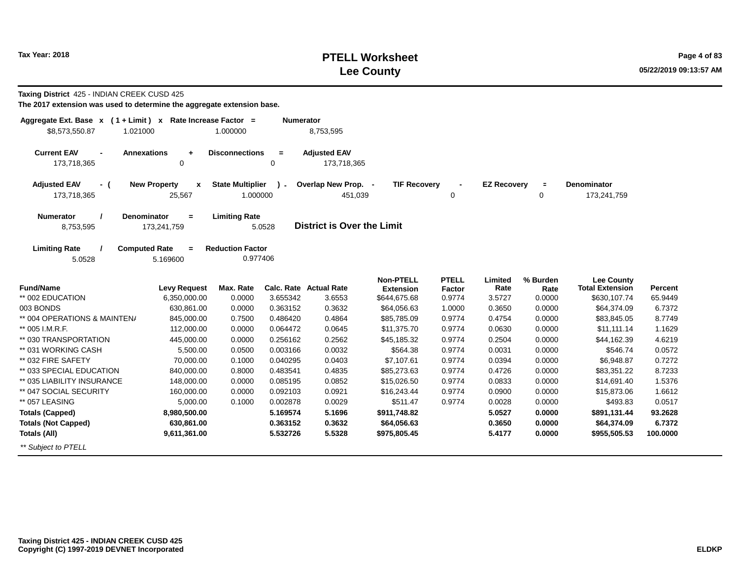## **PTELL Worksheet Tax Year: 2018 Page 4 of 83 Lee County**

**Taxing District** 425 - INDIAN CREEK CUSD 425

| Aggregate Ext. Base $x$ (1 + Limit) $x$ Rate Increase Factor =<br>\$8,573,550.87<br>1.021000 |                                            | 1.000000                | <b>Numerator</b> | 8,753,595                         |                     |              |                    |             |                        |          |
|----------------------------------------------------------------------------------------------|--------------------------------------------|-------------------------|------------------|-----------------------------------|---------------------|--------------|--------------------|-------------|------------------------|----------|
|                                                                                              |                                            |                         |                  |                                   |                     |              |                    |             |                        |          |
| <b>Current EAV</b><br>$\blacksquare$                                                         | <b>Annexations</b><br>$\ddot{\phantom{1}}$ | <b>Disconnections</b>   | $\equiv$         | <b>Adjusted EAV</b>               |                     |              |                    |             |                        |          |
| 173,718,365                                                                                  | $\mathbf 0$                                |                         | $\mathbf 0$      | 173,718,365                       |                     |              |                    |             |                        |          |
| <b>Adjusted EAV</b><br>- (                                                                   | <b>New Property</b><br>x                   | <b>State Multiplier</b> | $\mathcal{L}$    | Overlap New Prop. -               | <b>TIF Recovery</b> |              | <b>EZ Recovery</b> | $\equiv$    | <b>Denominator</b>     |          |
| 173,718,365                                                                                  | 25,567                                     | 1.000000                |                  | 451,039                           |                     | 0            |                    | $\mathbf 0$ | 173,241,759            |          |
| <b>Numerator</b>                                                                             | <b>Denominator</b><br>$=$                  | <b>Limiting Rate</b>    |                  |                                   |                     |              |                    |             |                        |          |
| 8,753,595                                                                                    | 173,241,759                                |                         | 5.0528           | <b>District is Over the Limit</b> |                     |              |                    |             |                        |          |
| <b>Limiting Rate</b>                                                                         | <b>Computed Rate</b><br>$=$                | <b>Reduction Factor</b> |                  |                                   |                     |              |                    |             |                        |          |
| 5.0528                                                                                       | 5.169600                                   | 0.977406                |                  |                                   |                     |              |                    |             |                        |          |
|                                                                                              |                                            |                         |                  |                                   | <b>Non-PTELL</b>    | <b>PTELL</b> | Limited            | % Burden    | <b>Lee County</b>      |          |
| <b>Fund/Name</b>                                                                             | <b>Levy Request</b>                        | Max. Rate               |                  | Calc. Rate Actual Rate            | <b>Extension</b>    | Factor       | Rate               | Rate        | <b>Total Extension</b> | Percent  |
| ** 002 EDUCATION                                                                             | 6,350,000.00                               | 0.0000                  | 3.655342         | 3.6553                            | \$644,675.68        | 0.9774       | 3.5727             | 0.0000      | \$630,107.74           | 65.9449  |
| 003 BONDS                                                                                    | 630,861.00                                 | 0.0000                  | 0.363152         | 0.3632                            | \$64,056.63         | 1.0000       | 0.3650             | 0.0000      | \$64,374.09            | 6.7372   |
| ** 004 OPERATIONS & MAINTEN/                                                                 | 845,000.00                                 | 0.7500                  | 0.486420         | 0.4864                            | \$85,785.09         | 0.9774       | 0.4754             | 0.0000      | \$83,845.05            | 8.7749   |
| ** 005 I.M.R.F.                                                                              | 112,000.00                                 | 0.0000                  | 0.064472         | 0.0645                            | \$11,375.70         | 0.9774       | 0.0630             | 0.0000      | \$11,111.14            | 1.1629   |
| ** 030 TRANSPORTATION                                                                        | 445,000.00                                 | 0.0000                  | 0.256162         | 0.2562                            | \$45,185.32         | 0.9774       | 0.2504             | 0.0000      | \$44,162.39            | 4.6219   |
| ** 031 WORKING CASH                                                                          | 5,500.00                                   | 0.0500                  | 0.003166         | 0.0032                            | \$564.38            | 0.9774       | 0.0031             | 0.0000      | \$546.74               | 0.0572   |
| ** 032 FIRE SAFETY                                                                           | 70,000.00                                  | 0.1000                  | 0.040295         | 0.0403                            | \$7,107.61          | 0.9774       | 0.0394             | 0.0000      | \$6,948.87             | 0.7272   |
| ** 033 SPECIAL EDUCATION                                                                     | 840,000.00                                 | 0.8000                  | 0.483541         | 0.4835                            | \$85,273.63         | 0.9774       | 0.4726             | 0.0000      | \$83,351.22            | 8.7233   |
| ** 035 LIABILITY INSURANCE                                                                   | 148,000.00                                 | 0.0000                  | 0.085195         | 0.0852                            | \$15,026.50         | 0.9774       | 0.0833             | 0.0000      | \$14,691.40            | 1.5376   |
| ** 047 SOCIAL SECURITY                                                                       | 160,000.00                                 | 0.0000                  | 0.092103         | 0.0921                            | \$16,243.44         | 0.9774       | 0.0900             | 0.0000      | \$15,873.06            | 1.6612   |
| ** 057 LEASING                                                                               | 5,000.00                                   | 0.1000                  | 0.002878         | 0.0029                            | \$511.47            | 0.9774       | 0.0028             | 0.0000      | \$493.83               | 0.0517   |
| <b>Totals (Capped)</b>                                                                       | 8,980,500.00                               |                         | 5.169574         | 5.1696                            | \$911,748.82        |              | 5.0527             | 0.0000      | \$891,131.44           | 93.2628  |
| <b>Totals (Not Capped)</b>                                                                   | 630,861.00                                 |                         | 0.363152         | 0.3632                            | \$64,056.63         |              | 0.3650             | 0.0000      | \$64,374.09            | 6.7372   |
| Totals (All)                                                                                 | 9,611,361.00                               |                         | 5.532726         | 5.5328                            | \$975,805.45        |              | 5.4177             | 0.0000      | \$955,505.53           | 100.0000 |
| ** Subject to PTELL                                                                          |                                            |                         |                  |                                   |                     |              |                    |             |                        |          |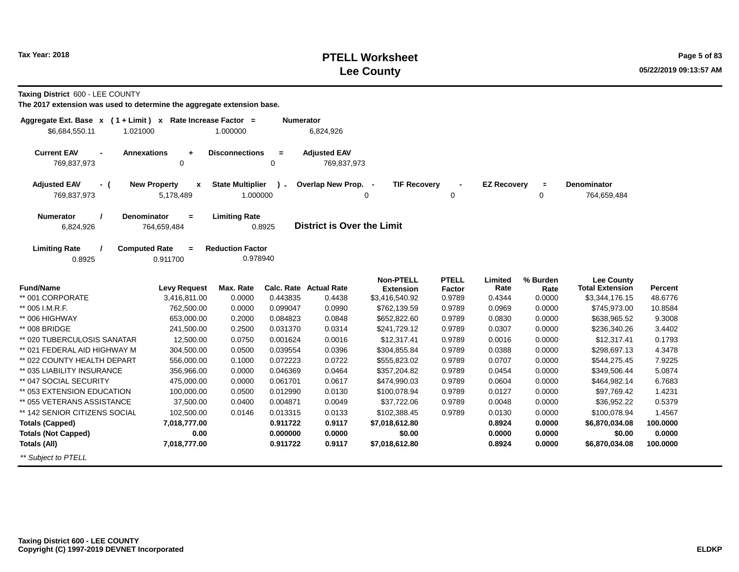## **PTELL Worksheet Tax Year: 2018 Page 5 of 83 Lee County**

**Taxing District** 600 - LEE COUNTY

| Aggregate Ext. Base x<br>$(1 + Limit) x$<br>\$6,684,550.11<br>1.021000 |                                     | Rate Increase Factor =<br>1.000000  | <b>Numerator</b> | 6,824,926                         |                                      |                        |                    |                  |                                             |          |
|------------------------------------------------------------------------|-------------------------------------|-------------------------------------|------------------|-----------------------------------|--------------------------------------|------------------------|--------------------|------------------|---------------------------------------------|----------|
|                                                                        |                                     |                                     |                  |                                   |                                      |                        |                    |                  |                                             |          |
| <b>Current EAV</b><br><b>Annexations</b><br>$\blacksquare$             | $\ddot{}$                           | <b>Disconnections</b>               | $\equiv$         | <b>Adjusted EAV</b>               |                                      |                        |                    |                  |                                             |          |
| 769,837,973                                                            | 0                                   |                                     | 0                | 769,837,973                       |                                      |                        |                    |                  |                                             |          |
| <b>Adjusted EAV</b><br>- (                                             | <b>New Property</b><br>$\mathbf{x}$ | <b>State Multiplier</b>             | $\mathbf{r}$     | Overlap New Prop. -               | <b>TIF Recovery</b>                  |                        | <b>EZ Recovery</b> | $\blacksquare$   | <b>Denominator</b>                          |          |
| 769,837,973                                                            | 5,178,489                           | 1.000000                            |                  |                                   | 0                                    | 0                      |                    | $\mathbf 0$      | 764,659,484                                 |          |
| <b>Numerator</b>                                                       | Denominator<br>$\equiv$             | <b>Limiting Rate</b>                |                  |                                   |                                      |                        |                    |                  |                                             |          |
| 6,824,926                                                              | 764,659,484                         |                                     | 0.8925           | <b>District is Over the Limit</b> |                                      |                        |                    |                  |                                             |          |
|                                                                        |                                     |                                     |                  |                                   |                                      |                        |                    |                  |                                             |          |
| <b>Limiting Rate</b><br><b>Computed Rate</b><br>0.8925                 | $\equiv$<br>0.911700                | <b>Reduction Factor</b><br>0.978940 |                  |                                   |                                      |                        |                    |                  |                                             |          |
|                                                                        |                                     |                                     |                  |                                   |                                      |                        |                    |                  |                                             |          |
| <b>Fund/Name</b>                                                       | <b>Levy Request</b>                 | Max. Rate                           |                  | Calc. Rate Actual Rate            | <b>Non-PTELL</b><br><b>Extension</b> | <b>PTELL</b><br>Factor | Limited<br>Rate    | % Burden<br>Rate | <b>Lee County</b><br><b>Total Extension</b> | Percent  |
| ** 001 CORPORATE                                                       | 3,416,811.00                        | 0.0000                              | 0.443835         | 0.4438                            | \$3,416,540.92                       | 0.9789                 | 0.4344             | 0.0000           | \$3,344,176.15                              | 48.6776  |
| ** 005 I.M.R.F.                                                        | 762,500.00                          | 0.0000                              | 0.099047         | 0.0990                            | \$762,139.59                         | 0.9789                 | 0.0969             | 0.0000           | \$745,973.00                                | 10.8584  |
| ** 006 HIGHWAY                                                         | 653,000.00                          | 0.2000                              | 0.084823         | 0.0848                            | \$652,822.60                         | 0.9789                 | 0.0830             | 0.0000           | \$638,965.52                                | 9.3008   |
| ** 008 BRIDGE                                                          | 241,500.00                          | 0.2500                              | 0.031370         | 0.0314                            | \$241,729.12                         | 0.9789                 | 0.0307             | 0.0000           | \$236,340.26                                | 3.4402   |
| ** 020 TUBERCULOSIS SANATAR                                            | 12,500.00                           | 0.0750                              | 0.001624         | 0.0016                            | \$12,317.41                          | 0.9789                 | 0.0016             | 0.0000           | \$12,317.41                                 | 0.1793   |
| ** 021 FEDERAL AID HIGHWAY M                                           | 304,500.00                          | 0.0500                              | 0.039554         | 0.0396                            | \$304,855.84                         | 0.9789                 | 0.0388             | 0.0000           | \$298,697.13                                | 4.3478   |
| ** 022 COUNTY HEALTH DEPART                                            | 556,000.00                          | 0.1000                              | 0.072223         | 0.0722                            | \$555,823.02                         | 0.9789                 | 0.0707             | 0.0000           | \$544,275.45                                | 7.9225   |
| ** 035 LIABILITY INSURANCE                                             | 356,966.00                          | 0.0000                              | 0.046369         | 0.0464                            | \$357,204.82                         | 0.9789                 | 0.0454             | 0.0000           | \$349,506.44                                | 5.0874   |
| ** 047 SOCIAL SECURITY                                                 | 475,000.00                          | 0.0000                              | 0.061701         | 0.0617                            | \$474,990.03                         | 0.9789                 | 0.0604             | 0.0000           | \$464,982.14                                | 6.7683   |
| ** 053 EXTENSION EDUCATION                                             | 100,000.00                          | 0.0500                              | 0.012990         | 0.0130                            | \$100,078.94                         | 0.9789                 | 0.0127             | 0.0000           | \$97,769.42                                 | 1.4231   |
| ** 055 VETERANS ASSISTANCE                                             | 37,500.00                           | 0.0400                              | 0.004871         | 0.0049                            | \$37,722.06                          | 0.9789                 | 0.0048             | 0.0000           | \$36,952.22                                 | 0.5379   |
| ** 142 SENIOR CITIZENS SOCIAL                                          | 102,500.00                          | 0.0146                              | 0.013315         | 0.0133                            | \$102,388.45                         | 0.9789                 | 0.0130             | 0.0000           | \$100,078.94                                | 1.4567   |
| <b>Totals (Capped)</b>                                                 | 7,018,777.00                        |                                     | 0.911722         | 0.9117                            | \$7,018,612.80                       |                        | 0.8924             | 0.0000           | \$6,870,034.08                              | 100.0000 |
| <b>Totals (Not Capped)</b>                                             | 0.00                                |                                     | 0.000000         | 0.0000                            | \$0.00                               |                        | 0.0000             | 0.0000           | \$0.00                                      | 0.0000   |
| Totals (All)                                                           | 7,018,777.00                        |                                     | 0.911722         | 0.9117                            | \$7,018,612.80                       |                        | 0.8924             | 0.0000           | \$6,870,034.08                              | 100.0000 |
| ** Subject to PTELL                                                    |                                     |                                     |                  |                                   |                                      |                        |                    |                  |                                             |          |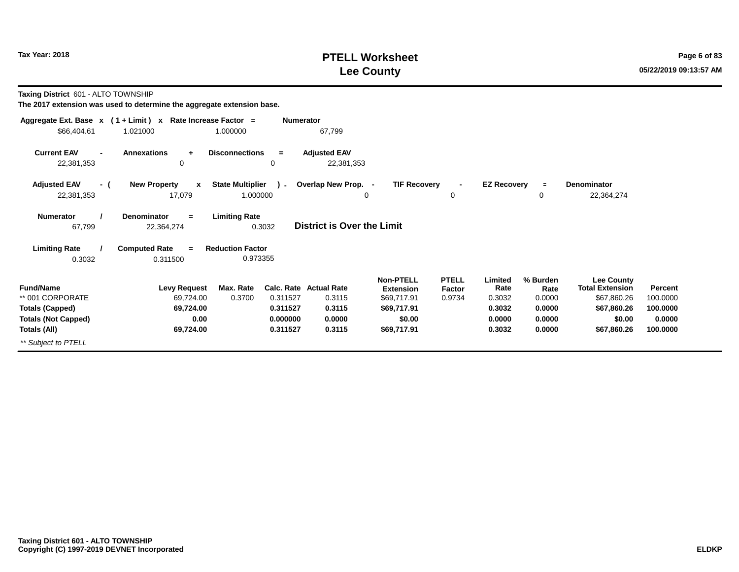#### **PTELL Worksheet Tax Year: 2018 Page 6 of 83 Lee County**

**Taxing District** 601 - ALTO TOWNSHIP

|                                                              | Aggregate Ext. Base $x$ (1 + Limit) x Rate Increase Factor = | <b>Numerator</b>                                    |                                         |                                                     |                                  |                           |                            |                                                            |                     |
|--------------------------------------------------------------|--------------------------------------------------------------|-----------------------------------------------------|-----------------------------------------|-----------------------------------------------------|----------------------------------|---------------------------|----------------------------|------------------------------------------------------------|---------------------|
| \$66,404.61                                                  | 1.021000                                                     | 1.000000                                            | 67,799                                  |                                                     |                                  |                           |                            |                                                            |                     |
| <b>Current EAV</b><br>$\overline{\phantom{a}}$<br>22,381,353 | <b>Annexations</b><br>$\ddot{\phantom{1}}$<br>0              | <b>Disconnections</b><br>$=$<br>$\mathbf 0$         | <b>Adjusted EAV</b><br>22,381,353       |                                                     |                                  |                           |                            |                                                            |                     |
| <b>Adjusted EAV</b><br>- (<br>22,381,353                     | <b>New Property</b><br>$\mathbf{x}$<br>17,079                | <b>State Multiplier</b><br>$\mathbf{r}$<br>1.000000 | Overlap New Prop. -<br>0                | <b>TIF Recovery</b>                                 | $\blacksquare$<br>0              | <b>EZ Recovery</b>        | $\equiv$<br>0              | Denominator<br>22,364,274                                  |                     |
| <b>Numerator</b><br>67,799                                   | Denominator<br>$=$<br>22,364,274                             | <b>Limiting Rate</b><br>0.3032                      | <b>District is Over the Limit</b>       |                                                     |                                  |                           |                            |                                                            |                     |
| <b>Limiting Rate</b><br>0.3032                               | <b>Computed Rate</b><br>$=$<br>0.311500                      | <b>Reduction Factor</b><br>0.973355                 |                                         |                                                     |                                  |                           |                            |                                                            |                     |
| <b>Fund/Name</b><br>** 001 CORPORATE                         | <b>Levy Request</b><br>69,724.00                             | Max. Rate<br>0.3700<br>0.311527                     | <b>Calc. Rate Actual Rate</b><br>0.3115 | <b>Non-PTELL</b><br><b>Extension</b><br>\$69,717.91 | <b>PTELL</b><br>Factor<br>0.9734 | Limited<br>Rate<br>0.3032 | % Burden<br>Rate<br>0.0000 | <b>Lee County</b><br><b>Total Extension</b><br>\$67,860.26 | Percent<br>100.0000 |
| <b>Totals (Capped)</b>                                       | 69,724.00                                                    | 0.311527                                            | 0.3115                                  | \$69,717.91                                         |                                  | 0.3032                    | 0.0000                     | \$67,860.26                                                | 100.0000            |
| <b>Totals (Not Capped)</b>                                   | 0.00                                                         | 0.000000                                            | 0.0000                                  | \$0.00                                              |                                  | 0.0000                    | 0.0000                     | \$0.00                                                     | 0.0000              |
| Totals (All)                                                 | 69,724.00                                                    | 0.311527                                            | 0.3115                                  | \$69,717.91                                         |                                  | 0.3032                    | 0.0000                     | \$67,860.26                                                | 100.0000            |
| ** Subject to PTELL                                          |                                                              |                                                     |                                         |                                                     |                                  |                           |                            |                                                            |                     |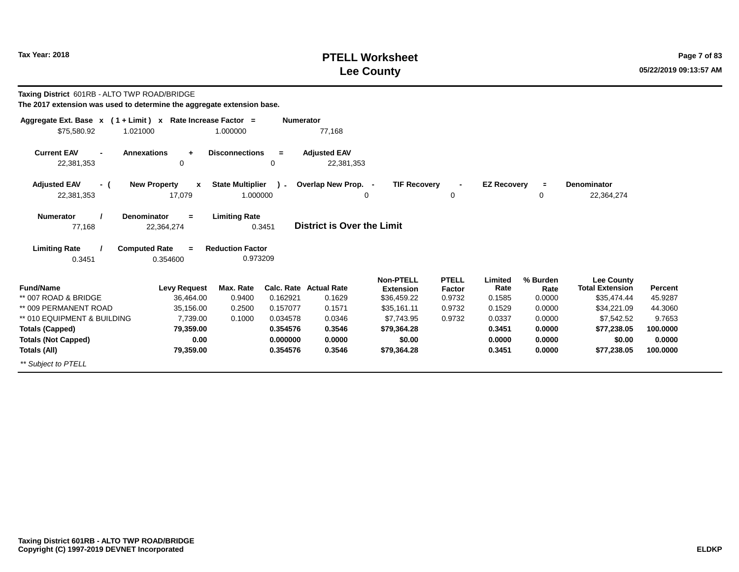## **PTELL Worksheet Tax Year: 2018 Page 7 of 83 Lee County**

**Taxing District** 601RB - ALTO TWP ROAD/BRIDGE

| Aggregate Ext. Base $x$ (1 + Limit) $x$ Rate Increase Factor = |                                     | <b>Numerator</b>                       |                                   |                     |                |                    |          |                        |          |
|----------------------------------------------------------------|-------------------------------------|----------------------------------------|-----------------------------------|---------------------|----------------|--------------------|----------|------------------------|----------|
| \$75,580.92<br>1.021000                                        |                                     | 1.000000                               | 77,168                            |                     |                |                    |          |                        |          |
| <b>Current EAV</b><br><b>Annexations</b><br>$\overline{a}$     | $\ddot{}$                           | <b>Disconnections</b><br>$=$           | <b>Adjusted EAV</b>               |                     |                |                    |          |                        |          |
| 22,381,353                                                     | 0                                   | 0                                      | 22,381,353                        |                     |                |                    |          |                        |          |
| <b>Adjusted EAV</b><br>- (                                     | <b>New Property</b><br>$\mathbf{x}$ | <b>State Multiplier</b><br>$\lambda$ - | Overlap New Prop. -               | <b>TIF Recovery</b> | $\blacksquare$ | <b>EZ Recovery</b> | $\equiv$ | Denominator            |          |
| 22,381,353                                                     | 17,079                              | 1.000000                               | 0                                 |                     | 0              |                    | 0        | 22,364,274             |          |
| <b>Denominator</b><br><b>Numerator</b>                         | $=$                                 | <b>Limiting Rate</b>                   |                                   |                     |                |                    |          |                        |          |
| 77,168                                                         | 22,364,274                          | 0.3451                                 | <b>District is Over the Limit</b> |                     |                |                    |          |                        |          |
| <b>Limiting Rate</b><br><b>Computed Rate</b>                   | $=$                                 | <b>Reduction Factor</b>                |                                   |                     |                |                    |          |                        |          |
| 0.3451                                                         | 0.354600                            | 0.973209                               |                                   |                     |                |                    |          |                        |          |
|                                                                |                                     |                                        |                                   | <b>Non-PTELL</b>    | <b>PTELL</b>   | Limited            | % Burden | Lee County             |          |
| <b>Fund/Name</b>                                               | <b>Levy Request</b>                 | Max. Rate                              | <b>Calc. Rate Actual Rate</b>     | <b>Extension</b>    | Factor         | Rate               | Rate     | <b>Total Extension</b> | Percent  |
| ** 007 ROAD & BRIDGE                                           | 36,464.00                           | 0.162921<br>0.9400                     | 0.1629                            | \$36,459.22         | 0.9732         | 0.1585             | 0.0000   | \$35,474.44            | 45.9287  |
| ** 009 PERMANENT ROAD                                          | 35,156.00                           | 0.2500<br>0.157077                     | 0.1571                            | \$35.161.11         | 0.9732         | 0.1529             | 0.0000   | \$34,221.09            | 44.3060  |
| ** 010 EQUIPMENT & BUILDING                                    | 7,739.00                            | 0.034578<br>0.1000                     | 0.0346                            | \$7,743.95          | 0.9732         | 0.0337             | 0.0000   | \$7,542.52             | 9.7653   |
| <b>Totals (Capped)</b>                                         | 79,359.00                           | 0.354576                               | 0.3546                            | \$79,364.28         |                | 0.3451             | 0.0000   | \$77,238.05            | 100.0000 |
| <b>Totals (Not Capped)</b>                                     | 0.00                                | 0.000000                               | 0.0000                            | \$0.00              |                | 0.0000             | 0.0000   | \$0.00                 | 0.0000   |
| Totals (All)                                                   | 79,359.00                           | 0.354576                               | 0.3546                            | \$79,364.28         |                | 0.3451             | 0.0000   | \$77,238.05            | 100.0000 |
| ** Subject to PTELL                                            |                                     |                                        |                                   |                     |                |                    |          |                        |          |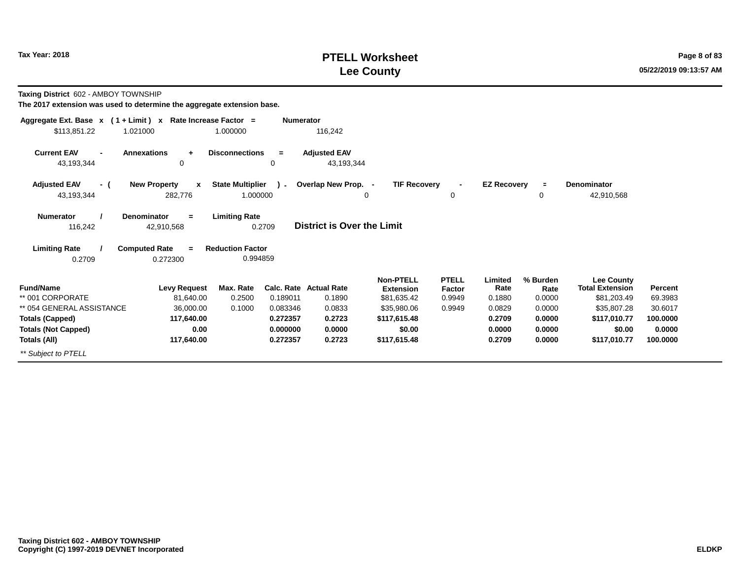## **PTELL Worksheet Tax Year: 2018 Page 8 of 83 Lee County**

**Taxing District** 602 - AMBOY TOWNSHIP

| Aggregate Ext. Base $x$ (1 + Limit) $x$ Rate Increase Factor = |                                 |                         | <b>Numerator</b> |                                   |                     |                |                    |          |                        |          |
|----------------------------------------------------------------|---------------------------------|-------------------------|------------------|-----------------------------------|---------------------|----------------|--------------------|----------|------------------------|----------|
| \$113,851.22<br>1.021000                                       |                                 | 1.000000                |                  | 116,242                           |                     |                |                    |          |                        |          |
| <b>Current EAV</b>                                             | <b>Annexations</b><br>$\ddot{}$ | <b>Disconnections</b>   | $\equiv$         | <b>Adjusted EAV</b>               |                     |                |                    |          |                        |          |
| 43,193,344                                                     | 0                               |                         | 0                | 43,193,344                        |                     |                |                    |          |                        |          |
| <b>Adjusted EAV</b><br>- (                                     | <b>New Property</b><br>x        | <b>State Multiplier</b> | ۔ ۱              | Overlap New Prop. -               | <b>TIF Recovery</b> | $\blacksquare$ | <b>EZ Recovery</b> | $\equiv$ | <b>Denominator</b>     |          |
| 43,193,344                                                     | 282,776                         | 1.000000                |                  |                                   | 0                   | 0              |                    | 0        | 42,910,568             |          |
| <b>Numerator</b>                                               | <b>Denominator</b><br>$=$       | <b>Limiting Rate</b>    |                  |                                   |                     |                |                    |          |                        |          |
| 116,242                                                        | 42,910,568                      |                         | 0.2709           | <b>District is Over the Limit</b> |                     |                |                    |          |                        |          |
| <b>Limiting Rate</b>                                           | <b>Computed Rate</b><br>$=$     | <b>Reduction Factor</b> |                  |                                   |                     |                |                    |          |                        |          |
| 0.2709                                                         | 0.272300                        | 0.994859                |                  |                                   |                     |                |                    |          |                        |          |
|                                                                |                                 |                         |                  |                                   | <b>Non-PTELL</b>    | <b>PTELL</b>   | Limited            | % Burden | <b>Lee County</b>      |          |
| <b>Fund/Name</b>                                               | <b>Levy Request</b>             | Max. Rate               |                  | Calc. Rate Actual Rate            | <b>Extension</b>    | Factor         | Rate               | Rate     | <b>Total Extension</b> | Percent  |
| ** 001 CORPORATE                                               | 81,640.00                       | 0.2500                  | 0.189011         | 0.1890                            | \$81,635.42         | 0.9949         | 0.1880             | 0.0000   | \$81,203.49            | 69.3983  |
| ** 054 GENERAL ASSISTANCE                                      | 36,000.00                       | 0.1000                  | 0.083346         | 0.0833                            | \$35,980.06         | 0.9949         | 0.0829             | 0.0000   | \$35,807.28            | 30.6017  |
| <b>Totals (Capped)</b>                                         | 117,640.00                      |                         | 0.272357         | 0.2723                            | \$117,615.48        |                | 0.2709             | 0.0000   | \$117,010.77           | 100.0000 |
| <b>Totals (Not Capped)</b>                                     | 0.00                            |                         | 0.000000         | 0.0000                            | \$0.00              |                | 0.0000             | 0.0000   | \$0.00                 | 0.0000   |
| Totals (All)                                                   | 117,640.00                      |                         | 0.272357         | 0.2723                            | \$117,615.48        |                | 0.2709             | 0.0000   | \$117,010.77           | 100.0000 |
| ** Subject to PTELL                                            |                                 |                         |                  |                                   |                     |                |                    |          |                        |          |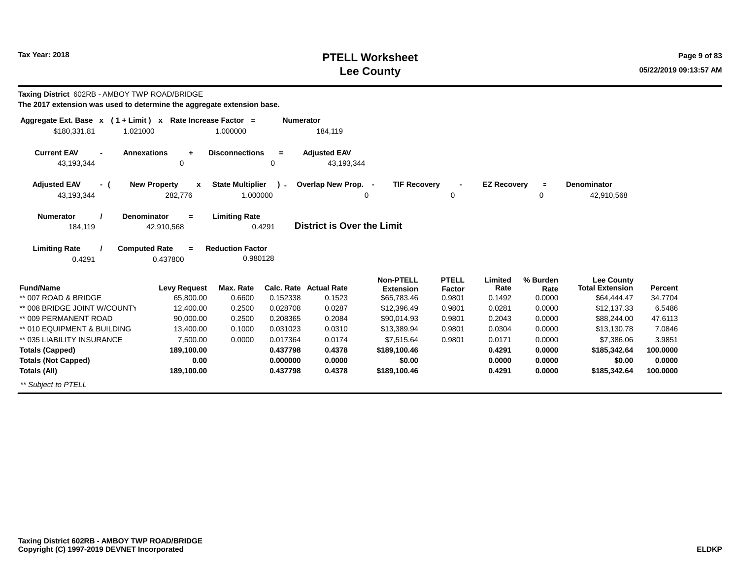## **PTELL Worksheet Tax Year: 2018 Page 9 of 83 Lee County**

**Taxing District** 602RB - AMBOY TWP ROAD/BRIDGE

| Aggregate Ext. Base $x$ (1 + Limit) $x$                                                                                                                                                                                                                                | Rate Increase Factor =                                         |                                          | <b>Numerator</b>                  |                        |                  |                    |                  |                        |                  |  |  |  |
|------------------------------------------------------------------------------------------------------------------------------------------------------------------------------------------------------------------------------------------------------------------------|----------------------------------------------------------------|------------------------------------------|-----------------------------------|------------------------|------------------|--------------------|------------------|------------------------|------------------|--|--|--|
| \$180,331.81<br>1.021000                                                                                                                                                                                                                                               | 1.000000                                                       |                                          | 184,119                           |                        |                  |                    |                  |                        |                  |  |  |  |
| <b>Current EAV</b><br><b>Annexations</b><br>$\blacksquare$<br>43,193,344                                                                                                                                                                                               | <b>Disconnections</b><br>$+$<br>0                              | $\equiv$<br>0                            | <b>Adjusted EAV</b><br>43,193,344 |                        |                  |                    |                  |                        |                  |  |  |  |
| <b>Adjusted EAV</b><br>- (                                                                                                                                                                                                                                             | <b>State Multiplier</b><br><b>New Property</b><br>$\mathbf{x}$ |                                          | Overlap New Prop. -               | <b>TIF Recovery</b>    |                  | <b>EZ Recovery</b> | $\equiv$         | <b>Denominator</b>     |                  |  |  |  |
| 43,193,344                                                                                                                                                                                                                                                             | 282,776                                                        | 1.000000                                 | 0                                 |                        | 0                |                    | 0                | 42,910,568             |                  |  |  |  |
| <b>Numerator</b><br><b>Denominator</b><br><b>Limiting Rate</b><br>$=$<br><b>District is Over the Limit</b><br>0.4291<br>184,119<br>42,910,568<br><b>Limiting Rate</b><br><b>Computed Rate</b><br><b>Reduction Factor</b><br>$\equiv$<br>0.980128<br>0.4291<br>0.437800 |                                                                |                                          |                                   |                        |                  |                    |                  |                        |                  |  |  |  |
|                                                                                                                                                                                                                                                                        |                                                                |                                          |                                   | <b>Non-PTELL</b>       | <b>PTELL</b>     | Limited            | % Burden         | <b>Lee County</b>      |                  |  |  |  |
| <b>Fund/Name</b>                                                                                                                                                                                                                                                       | Max. Rate<br><b>Levy Request</b>                               |                                          | <b>Calc. Rate Actual Rate</b>     | <b>Extension</b>       | Factor           | Rate               | Rate             | <b>Total Extension</b> | Percent          |  |  |  |
| ** 007 ROAD & BRIDGE                                                                                                                                                                                                                                                   | 65,800.00                                                      | 0.6600<br>0.152338                       | 0.1523                            | \$65,783.46            | 0.9801           | 0.1492             | 0.0000           | \$64,444.47            | 34.7704          |  |  |  |
| ** 008 BRIDGE JOINT W/COUNTY                                                                                                                                                                                                                                           | 12,400.00                                                      | 0.2500<br>0.028708                       | 0.0287                            | \$12,396.49            | 0.9801           | 0.0281             | 0.0000           | \$12,137.33            | 6.5486           |  |  |  |
| ** 009 PERMANENT ROAD                                                                                                                                                                                                                                                  | 90,000.00                                                      | 0.2500<br>0.208365                       | 0.2084                            | \$90,014.93            | 0.9801           | 0.2043             | 0.0000           | \$88,244.00            | 47.6113          |  |  |  |
| ** 010 EQUIPMENT & BUILDING<br>** 035 LIABILITY INSURANCE                                                                                                                                                                                                              | 13,400.00                                                      | 0.1000<br>0.031023<br>0.0000<br>0.017364 | 0.0310<br>0.0174                  | \$13,389.94            | 0.9801<br>0.9801 | 0.0304<br>0.0171   | 0.0000<br>0.0000 | \$13,130.78            | 7.0846<br>3.9851 |  |  |  |
|                                                                                                                                                                                                                                                                        | 7,500.00                                                       | 0.437798                                 | 0.4378                            | \$7,515.64             |                  | 0.4291             | 0.0000           | \$7,386.06             | 100.0000         |  |  |  |
| <b>Totals (Capped)</b><br><b>Totals (Not Capped)</b>                                                                                                                                                                                                                   | 189,100.00<br>0.00                                             | 0.000000                                 | 0.0000                            | \$189,100.46<br>\$0.00 |                  | 0.0000             | 0.0000           | \$185,342.64<br>\$0.00 | 0.0000           |  |  |  |
| Totals (All)                                                                                                                                                                                                                                                           | 189,100.00                                                     | 0.437798                                 | 0.4378                            | \$189,100.46           |                  | 0.4291             | 0.0000           | \$185,342.64           | 100.0000         |  |  |  |
| ** Subject to PTELL                                                                                                                                                                                                                                                    |                                                                |                                          |                                   |                        |                  |                    |                  |                        |                  |  |  |  |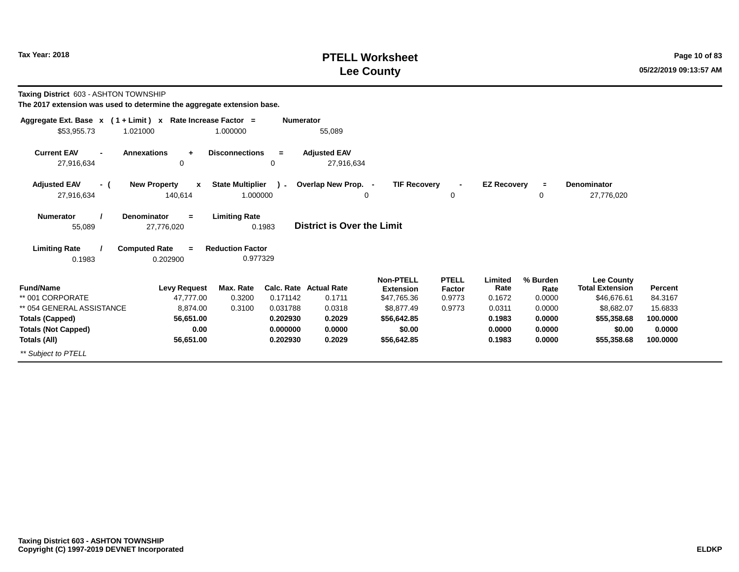## **PTELL Worksheet Tax Year: 2018 Page 10 of 83 Lee County**

**Taxing District** 603 - ASHTON TOWNSHIP

| Aggregate Ext. Base $x$ (1 + Limit) x Rate Increase Factor = |                                         |                                     | <b>Numerator</b> |                                   |                                      |                          |                    |                  |                                             |          |
|--------------------------------------------------------------|-----------------------------------------|-------------------------------------|------------------|-----------------------------------|--------------------------------------|--------------------------|--------------------|------------------|---------------------------------------------|----------|
| \$53,955.73                                                  | 1.021000                                | 1.000000                            |                  | 55,089                            |                                      |                          |                    |                  |                                             |          |
| <b>Current EAV</b><br>27,916,634                             | <b>Annexations</b><br>÷<br>0            | <b>Disconnections</b>               | $=$<br>0         | <b>Adjusted EAV</b><br>27,916,634 |                                      |                          |                    |                  |                                             |          |
| <b>Adjusted EAV</b><br>- (                                   | <b>New Property</b><br>$\mathbf{x}$     | <b>State Multiplier</b>             | $\mathcal{L}$    | Overlap New Prop. -               | <b>TIF Recovery</b>                  | $\overline{\phantom{a}}$ | <b>EZ Recovery</b> | $\equiv$         | <b>Denominator</b>                          |          |
| 27,916,634                                                   | 140,614                                 | 1.000000                            |                  |                                   | 0                                    | $\Omega$                 |                    | 0                | 27,776,020                                  |          |
| <b>Numerator</b><br>55,089                                   | <b>Denominator</b><br>$=$<br>27,776,020 | <b>Limiting Rate</b>                | 0.1983           | <b>District is Over the Limit</b> |                                      |                          |                    |                  |                                             |          |
| <b>Limiting Rate</b><br>0.1983                               | <b>Computed Rate</b><br>$=$<br>0.202900 | <b>Reduction Factor</b><br>0.977329 |                  |                                   |                                      |                          |                    |                  |                                             |          |
| <b>Fund/Name</b>                                             | <b>Levy Request</b>                     | Max. Rate                           |                  | <b>Calc. Rate Actual Rate</b>     | <b>Non-PTELL</b><br><b>Extension</b> | <b>PTELL</b><br>Factor   | Limited<br>Rate    | % Burden<br>Rate | <b>Lee County</b><br><b>Total Extension</b> | Percent  |
| ** 001 CORPORATE                                             | 47,777.00                               | 0.3200                              | 0.171142         | 0.1711                            | \$47,765.36                          | 0.9773                   | 0.1672             | 0.0000           | \$46,676.61                                 | 84.3167  |
| ** 054 GENERAL ASSISTANCE                                    | 8,874.00                                | 0.3100                              | 0.031788         | 0.0318                            | \$8,877.49                           | 0.9773                   | 0.0311             | 0.0000           | \$8,682.07                                  | 15.6833  |
| <b>Totals (Capped)</b>                                       | 56,651.00                               |                                     | 0.202930         | 0.2029                            | \$56,642.85                          |                          | 0.1983             | 0.0000           | \$55,358.68                                 | 100.0000 |
| <b>Totals (Not Capped)</b>                                   | 0.00                                    |                                     | 0.000000         | 0.0000                            | \$0.00                               |                          | 0.0000             | 0.0000           | \$0.00                                      | 0.0000   |
| Totals (All)                                                 | 56,651.00                               |                                     | 0.202930         | 0.2029                            | \$56,642.85                          |                          | 0.1983             | 0.0000           | \$55,358.68                                 | 100.0000 |
| ** Subject to PTELL                                          |                                         |                                     |                  |                                   |                                      |                          |                    |                  |                                             |          |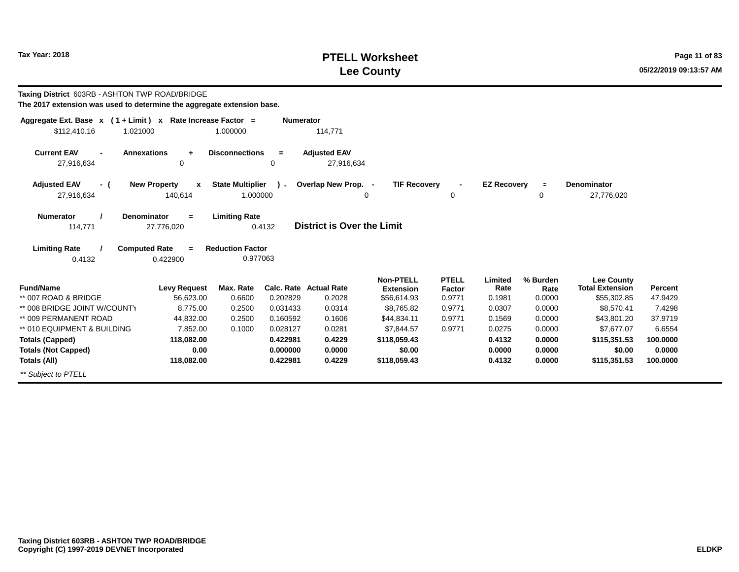## **PTELL Worksheet Tax Year: 2018 Page 11 of 83 Lee County**

| <b>Taxing District 603RB - ASHTON TWP ROAD/BRIDGE</b><br>The 2017 extension was used to determine the aggregate extension base. |                                              |                                     |                  |                                         |                                                     |                                  |                           |                            |                                                            |                           |
|---------------------------------------------------------------------------------------------------------------------------------|----------------------------------------------|-------------------------------------|------------------|-----------------------------------------|-----------------------------------------------------|----------------------------------|---------------------------|----------------------------|------------------------------------------------------------|---------------------------|
| Aggregate Ext. Base $x$ (1 + Limit) x Rate Increase Factor =<br>\$112,410.16<br>1.021000                                        |                                              | 1.000000                            | <b>Numerator</b> | 114,771                                 |                                                     |                                  |                           |                            |                                                            |                           |
|                                                                                                                                 |                                              |                                     |                  |                                         |                                                     |                                  |                           |                            |                                                            |                           |
| <b>Current EAV</b><br><b>Annexations</b><br>27,916,634                                                                          | $\ddot{}$<br>$\mathbf 0$                     | <b>Disconnections</b>               | $=$<br>$\Omega$  | <b>Adjusted EAV</b><br>27.916.634       |                                                     |                                  |                           |                            |                                                            |                           |
| <b>Adjusted EAV</b><br>- (<br>27,916,634                                                                                        | <b>New Property</b><br>x<br>140,614          | <b>State Multiplier</b><br>1.000000 | $\mathbf{r}$     | Overlap New Prop. -<br>$\Omega$         | <b>TIF Recovery</b>                                 | $\mathbf 0$                      | <b>EZ Recovery</b>        | $\blacksquare$<br>0        | <b>Denominator</b><br>27,776,020                           |                           |
| <b>Numerator</b><br>Denominator<br>114,771                                                                                      | $\equiv$<br>27,776,020                       | <b>Limiting Rate</b>                | 0.4132           | <b>District is Over the Limit</b>       |                                                     |                                  |                           |                            |                                                            |                           |
| <b>Limiting Rate</b><br>0.4132                                                                                                  | <b>Computed Rate</b><br>$\equiv$<br>0.422900 | <b>Reduction Factor</b><br>0.977063 |                  |                                         |                                                     |                                  |                           |                            |                                                            |                           |
| <b>Fund/Name</b><br>** 007 ROAD & BRIDGE                                                                                        | <b>Levy Request</b><br>56,623.00             | Max. Rate<br>0.6600                 | 0.202829         | <b>Calc. Rate Actual Rate</b><br>0.2028 | <b>Non-PTELL</b><br><b>Extension</b><br>\$56,614.93 | <b>PTELL</b><br>Factor<br>0.9771 | Limited<br>Rate<br>0.1981 | % Burden<br>Rate<br>0.0000 | <b>Lee County</b><br><b>Total Extension</b><br>\$55,302.85 | <b>Percent</b><br>47.9429 |
| ** 008 BRIDGE JOINT W/COUNTY                                                                                                    | 8.775.00                                     | 0.2500                              | 0.031433         | 0.0314                                  | \$8.765.82                                          | 0.9771                           | 0.0307                    | 0.0000                     | \$8.570.41                                                 | 7.4298                    |
| ** 009 PERMANENT ROAD                                                                                                           | 44,832.00                                    | 0.2500                              | 0.160592         | 0.1606                                  | \$44,834.11                                         | 0.9771                           | 0.1569                    | 0.0000                     | \$43,801.20                                                | 37.9719                   |
| ** 010 EQUIPMENT & BUILDING                                                                                                     | 7,852.00                                     | 0.1000                              | 0.028127         | 0.0281                                  | \$7,844.57                                          | 0.9771                           | 0.0275                    | 0.0000                     | \$7.677.07                                                 | 6.6554                    |
| <b>Totals (Capped)</b>                                                                                                          | 118,082.00                                   |                                     | 0.422981         | 0.4229                                  | \$118.059.43                                        |                                  | 0.4132                    | 0.0000                     | \$115,351.53                                               | 100.0000                  |
| <b>Totals (Not Capped)</b>                                                                                                      | 0.00                                         |                                     | 0.000000         | 0.0000                                  | \$0.00                                              |                                  | 0.0000                    | 0.0000                     | \$0.00                                                     | 0.0000                    |
| Totals (All)                                                                                                                    | 118,082.00                                   |                                     | 0.422981         | 0.4229                                  | \$118,059,43                                        |                                  | 0.4132                    | 0.0000                     | \$115,351.53                                               | 100.0000                  |
| ** Subject to PTELL                                                                                                             |                                              |                                     |                  |                                         |                                                     |                                  |                           |                            |                                                            |                           |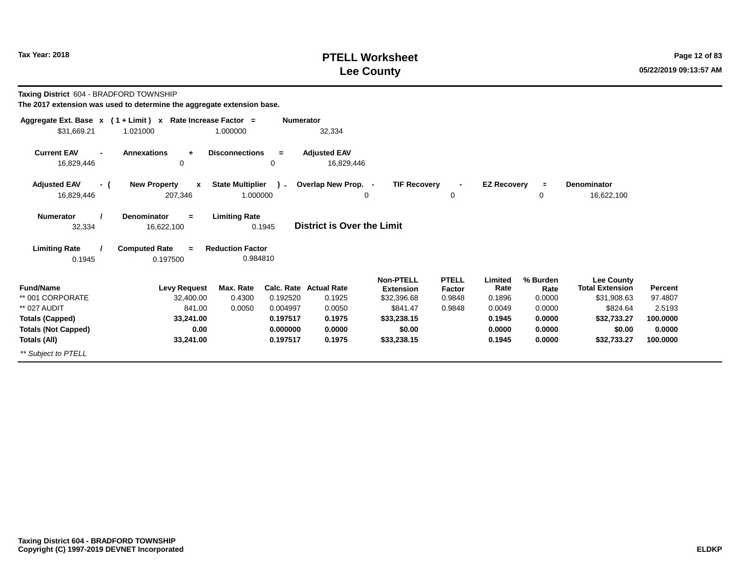## **PTELL Worksheet Tax Year: 2018 Page 12 of 83 Lee County**

**Taxing District** 604 - BRADFORD TOWNSHIP

| Aggregate Ext. Base $x$ (1 + Limit) $x$            | Rate Increase Factor =                |                         | <b>Numerator</b>     |                                   |                                      |                          |                    |                  |                                             |                   |
|----------------------------------------------------|---------------------------------------|-------------------------|----------------------|-----------------------------------|--------------------------------------|--------------------------|--------------------|------------------|---------------------------------------------|-------------------|
| \$31,669.21                                        | 1.021000                              | 1.000000                |                      | 32,334                            |                                      |                          |                    |                  |                                             |                   |
| <b>Current EAV</b><br>$\blacksquare$<br>16,829,446 | <b>Annexations</b><br>$\pm$<br>0      | <b>Disconnections</b>   | $=$<br>0             | <b>Adjusted EAV</b><br>16,829,446 |                                      |                          |                    |                  |                                             |                   |
| <b>Adjusted EAV</b><br>- (                         | <b>New Property</b><br>$\mathbf{x}$   | <b>State Multiplier</b> | $\mathcal{L}$        | Overlap New Prop. -               | <b>TIF Recovery</b>                  | $\overline{\phantom{a}}$ | <b>EZ Recovery</b> | $\equiv$         | <b>Denominator</b>                          |                   |
| 16,829,446                                         | 207,346                               | 1.000000                |                      |                                   | 0                                    | $\mathbf 0$              |                    | 0                | 16,622,100                                  |                   |
| <b>Numerator</b><br>32,334                         | Denominator<br>$\equiv$<br>16,622,100 | <b>Limiting Rate</b>    | 0.1945               | <b>District is Over the Limit</b> |                                      |                          |                    |                  |                                             |                   |
| <b>Limiting Rate</b>                               | <b>Computed Rate</b><br>$=$           | <b>Reduction Factor</b> |                      |                                   |                                      |                          |                    |                  |                                             |                   |
| 0.1945                                             | 0.197500                              | 0.984810                |                      |                                   |                                      |                          |                    |                  |                                             |                   |
| <b>Fund/Name</b>                                   | <b>Levy Request</b>                   | Max. Rate               |                      | Calc. Rate Actual Rate            | <b>Non-PTELL</b><br><b>Extension</b> | <b>PTELL</b><br>Factor   | Limited<br>Rate    | % Burden<br>Rate | <b>Lee County</b><br><b>Total Extension</b> | Percent           |
| ** 001 CORPORATE<br>** 027 AUDIT                   | 32,400.00<br>841.00                   | 0.4300<br>0.0050        | 0.192520<br>0.004997 | 0.1925<br>0.0050                  | \$32,396.68<br>\$841.47              | 0.9848<br>0.9848         | 0.1896<br>0.0049   | 0.0000<br>0.0000 | \$31,908.63<br>\$824.64                     | 97.4807<br>2.5193 |
| <b>Totals (Capped)</b>                             | 33,241.00                             |                         | 0.197517             | 0.1975                            | \$33,238.15                          |                          | 0.1945             | 0.0000           | \$32,733.27                                 | 100.0000          |
| <b>Totals (Not Capped)</b>                         | 0.00                                  |                         | 0.000000             | 0.0000                            | \$0.00                               |                          | 0.0000             | 0.0000           | \$0.00                                      | 0.0000            |
| Totals (All)                                       | 33,241.00                             |                         | 0.197517             | 0.1975                            | \$33,238.15                          |                          | 0.1945             | 0.0000           | \$32,733.27                                 | 100.0000          |
| ** Subject to PTELL                                |                                       |                         |                      |                                   |                                      |                          |                    |                  |                                             |                   |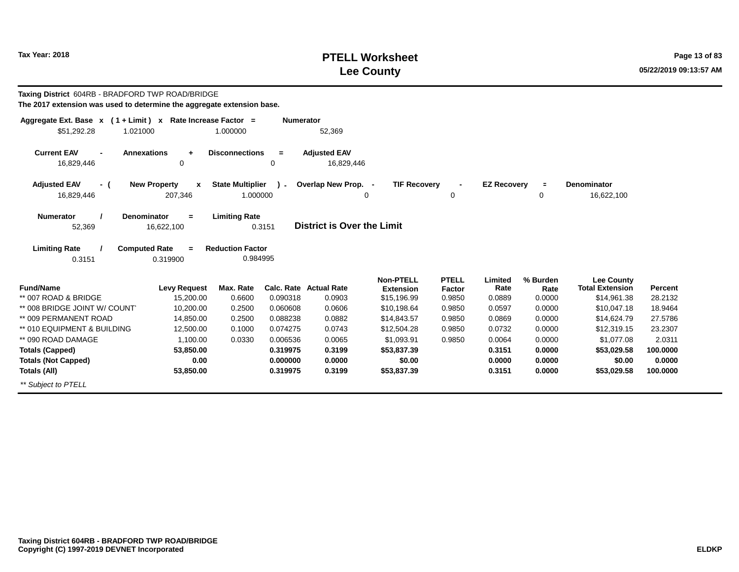#### **PTELL WorksheetTax Year: 2018 POSES 2018 POSES 2018 POSES 2018 POSES 2018 POSES 2018 PAGE 2018 Page 13 of 83 Lee County**

**100.0000 0.0000100.0000**

 **\$0.00\$53,029.58**

0.3151 **Taxing District** 604RB - BRADFORD TWP ROAD/BRIDGE **The 2017 extension was used to determine the aggregate extension base.Aggregate Ext. Base <sup>x</sup> <sup>x</sup> Rate Increase Factor <sup>=</sup>( 1 + Limit ) Numerator** 1.000000 52,369 **Annexations <sup>+</sup> Disconnections <sup>=</sup> Adjusted EAV**16,829,446 16,829,446 6 0 0 0 16,829,446 **( <sup>x</sup>New Property ) State Multiplier**\$51,292.28 1.02100016,829,446 207,346 1.000000 **Current EAV=**52,369 **District is Over the Limit Adjusted EAVNumerator / Denominator Limiting Rate**16,622,100**Limiting Rate / Computed Rate <sup>=</sup>**0.3151 0.319900 **Reduction Factor** 0.984995**Fund/Name Levy Request Max. Rate Calc. Rate Actual Rate Percent Non-PTELL Extension**\$15,196.99 **PTELL FactorFactor** Rate<br>0.9850 0.0889 0.0889 **Limited % Burden Rate Total Extension Lee County**\*\* 007 ROAD & BRIDGE 15,200.00 0.6600 0.090318 0.0903 \$15,196.99 0.9850 0.0889 0.0000 \$14,961.38 28.2132 \*\* 008 BRIDGE JOINT W/ COUNT 10,200.00 0.2500 0.060608 0.0606 \$10,198.64 0.9850 0.0597 0.0000 \$10,047.18 18.9464 \*\* 009 PERMANENT ROAD 14,850.00 0.2500 0.088238 0.0882 \$14,843.57 0.9850 0.0869 0.0000 \$14,624.79 27.5786 \*\* 010 EQUIPMENT & BUILDING 12,500.00 0.1000 0.074275 0.0743 \$12,504.28 0.9850 0.0732 0.0000 \$12,319.15 23.2307 \*\* 090 ROAD DAMAGE 1,100.00 0.0330 0.006536 0.0065 \$1,093.91 0.9850 0.0064 0.0000 \$1,077.08 2.0311 **Totals (Capped)53,850.000.319975 0.3199 \$53,029.58\$53,837.390.31510.0000 <sup>=</sup>TIF RecoveryE** Denominator<br>0 16.622 16,622,100 **- EZ Recovery**  $\Omega$  <sup>0</sup> **+-** $\Omega$ **Overlap New Prop.**

**0.0000**

 **\$0.00\$53,837.39**  **0.00000.3151**

 **0.00000.0000**

**0.3199**

**0.000000**

**0.319975**

\*\* Subject to PTELL

**Totals (Not Capped)**

**Totals (All)**

 **0.0053,850.00**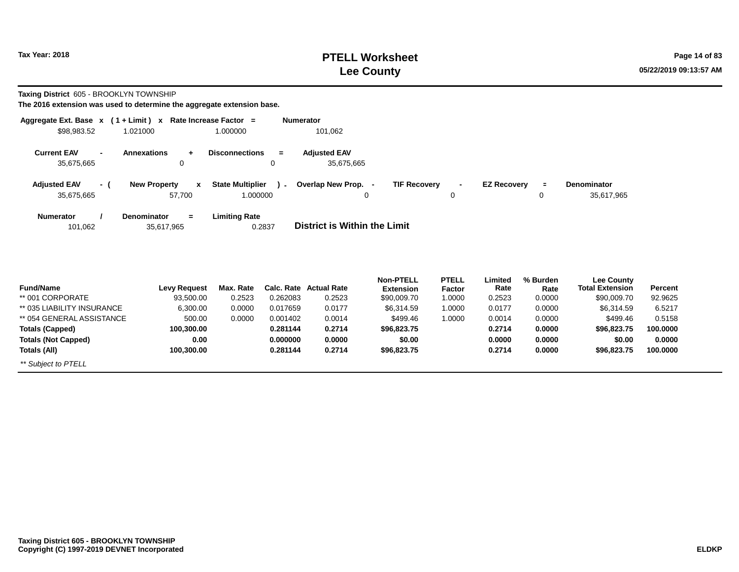## **PTELL Worksheet Tax Year: 2018 Page 14 of 83 Lee County**

**Taxing District** 605 - BROOKLYN TOWNSHIP

|                                  |                | Aggregate Ext. Base $x$ (1 + Limit) x Rate Increase Factor = |                                          | <b>Numerator</b>                         |        |                    |                |                    |
|----------------------------------|----------------|--------------------------------------------------------------|------------------------------------------|------------------------------------------|--------|--------------------|----------------|--------------------|
| \$98,983.52                      |                | 1.021000                                                     | 1.000000                                 | 101,062                                  |        |                    |                |                    |
| <b>Current EAV</b><br>35,675,665 | $\blacksquare$ | <b>Annexations</b><br>0                                      | <b>Disconnections</b><br>$=$<br>$\Omega$ | <b>Adjusted EAV</b><br>35,675,665        |        |                    |                |                    |
| <b>Adjusted EAV</b>              | $-$ (          | <b>New Property</b><br>$\mathbf{x}$                          | <b>State Multiplier</b><br>$\mathbf{I}$  | Overlap New Prop.<br><b>TIF Recovery</b> | $\sim$ | <b>EZ Recoverv</b> | $\blacksquare$ | <b>Denominator</b> |
| 35,675,665                       |                | 57,700                                                       | 1.000000                                 | 0                                        | 0      |                    | 0              | 35,617,965         |
| <b>Numerator</b><br>101,062      |                | <b>Denominator</b><br>$=$<br>35,617,965                      | <b>Limiting Rate</b><br>0.2837           | District is Within the Limit             |        |                    |                |                    |
|                                  |                |                                                              |                                          |                                          |        |                    |                |                    |

| <b>Fund/Name</b>           | Levy Request | Max. Rate |          | Calc. Rate Actual Rate | <b>Non-PTELL</b><br><b>Extension</b> | <b>PTELL</b><br>Factor | Limited<br>Rate | % Burden<br>Rate | <b>Lee County</b><br><b>Total Extension</b> | Percent  |
|----------------------------|--------------|-----------|----------|------------------------|--------------------------------------|------------------------|-----------------|------------------|---------------------------------------------|----------|
| ** 001 CORPORATE           | 93,500.00    | 0.2523    | 0.262083 | 0.2523                 | \$90,009.70                          | 1.0000                 | 0.2523          | 0.0000           | \$90,009.70                                 | 92.9625  |
| ** 035 LIABILITY INSURANCE | 6,300.00     | 0.0000    | 0.017659 | 0.0177                 | \$6,314.59                           | 1.0000                 | 0.0177          | 0.0000           | \$6,314.59                                  | 6.5217   |
| ** 054 GENERAL ASSISTANCE  | 500.00       | 0.0000    | 0.001402 | 0.0014                 | \$499.46                             | 1.0000                 | 0.0014          | 0.0000           | \$499.46                                    | 0.5158   |
| Totals (Capped)            | 100.300.00   |           | 0.281144 | 0.2714                 | \$96,823,75                          |                        | 0.2714          | 0.0000           | \$96,823.75                                 | 100.0000 |
| <b>Totals (Not Capped)</b> | 0.00         |           | 0.000000 | 0.0000                 | \$0.00                               |                        | 0.0000          | 0.0000           | \$0.00                                      | 0.0000   |
| Totals (All)               | 100,300.00   |           | 0.281144 | 0.2714                 | \$96,823.75                          |                        | 0.2714          | 0.0000           | \$96,823.75                                 | 100,0000 |
| ** Subject to PTELL        |              |           |          |                        |                                      |                        |                 |                  |                                             |          |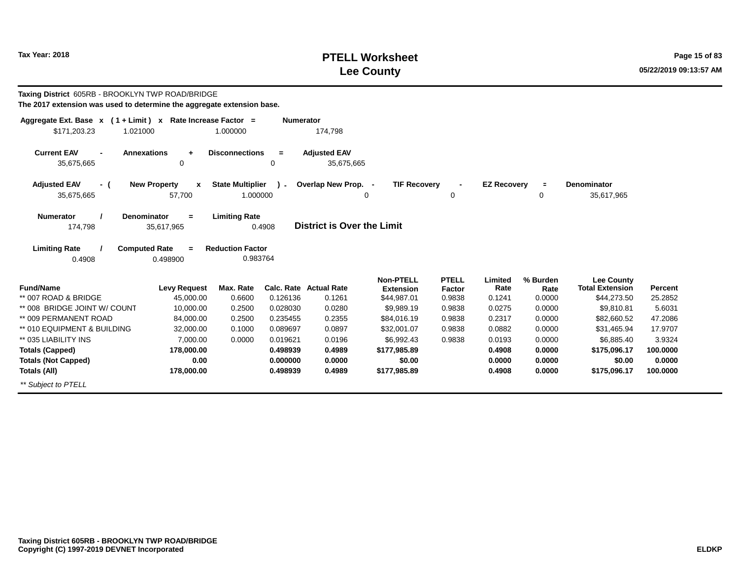## **PTELL Worksheet Tax Year: 2018 Page 15 of 83 Lee County**

**Lee County**

35,617,965

0.4908 **Taxing District** 605RB - BROOKLYN TWP ROAD/BRIDGE **The 2017 extension was used to determine the aggregate extension base.Aggregate Ext. Base <sup>x</sup> <sup>x</sup> Rate Increase Factor <sup>=</sup>( 1 + Limit ) Numerator** 1.000000 174,798 **- Annexations <sup>+</sup> Disconnections <sup>=</sup> Adjusted EAV**35,675,665 35,675,665 <sup>0</sup> <sup>0</sup> 35,675,665 **( <sup>x</sup>New Property ) State Multiplier**\$171,203.23 1.02100035,675,665 57,700 1.000000 **Current EAV=**174,798 **District is Over the Limit Adjusted EAVNumerator / Denominator Limiting Rate**35,617,965**Limiting Rate / Computed Rate <sup>=</sup>**0.4908 0.498900 **Reduction Factor** 0.983764**Fund/Name Levy Request Max. Rate Calc. Rate Actual Rate Percent Non-PTELL ExtensionPTELL Factor RateLimited % Burden Rate-Overlap New Prop. <sup>=</sup>TIF RecoveryE Denominator**<br>0 35.617 **- EZ Recovery**  $\Omega$  <sup>0</sup> **+-**0

| <b>Fund/Name</b>             | Levy Request | Max. Rate | Calc. Rate | <b>Actual Rate</b> | <b>Extension</b> | <b>Factor</b> | Rate   | Rate   | <b>Total Extension</b> | <b>Percent</b> |
|------------------------------|--------------|-----------|------------|--------------------|------------------|---------------|--------|--------|------------------------|----------------|
| ** 007 ROAD & BRIDGE         | 45,000.00    | 0.6600    | 0.126136   | 0.1261             | \$44,987.01      | 0.9838        | 0.1241 | 0.0000 | \$44,273.50            | 25.2852        |
| ** 008 BRIDGE JOINT W/ COUNT | 10,000.00    | 0.2500    | 0.028030   | 0.0280             | \$9,989.19       | 0.9838        | 0.0275 | 0.0000 | \$9.810.81             | 5.6031         |
| ** 009 PERMANENT ROAD        | 84,000.00    | 0.2500    | 0.235455   | 0.2355             | \$84,016.19      | 0.9838        | 0.2317 | 0.0000 | \$82,660.52            | 47.2086        |
| ** 010 EQUIPMENT & BUILDING  | 32,000.00    | 0.1000    | 0.089697   | 0.0897             | \$32,001.07      | 0.9838        | 0.0882 | 0.0000 | \$31.465.94            | 17.9707        |
| ** 035 LIABILITY INS         | 7,000.00     | 0.0000    | 0.019621   | 0.0196             | \$6,992.43       | 0.9838        | 0.0193 | 0.0000 | \$6,885.40             | 3.9324         |
| Totals (Capped)              | 178.000.00   |           | 0.498939   | 0.4989             | \$177,985.89     |               | 0.4908 | 0.0000 | \$175.096.17           | 100,0000       |
| <b>Totals (Not Capped)</b>   | 0.00         |           | 0.000000   | 0.0000             | \$0.00           |               | 0.0000 | 0.0000 | \$0.00                 | 0.0000         |
| Totals (All)                 | 178.000.00   |           | 0.498939   | 0.4989             | \$177,985.89     |               | 0.4908 | 0.0000 | \$175.096.17           | 100.0000       |
| ** Subject to PTELL          |              |           |            |                    |                  |               |        |        |                        |                |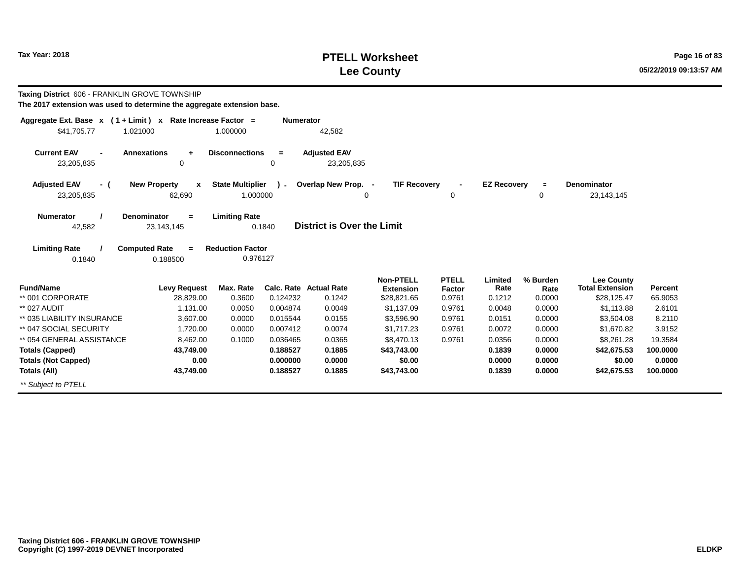## **PTELL Worksheet Tax Year: 2018 Page 16 of 83 Lee County**

**Taxing District** 606 - FRANKLIN GROVE TOWNSHIP

| Aggregate Ext. Base $x$ (1 + Limit) x Rate Increase Factor =                   |                                     |                              | <b>Numerator</b>                  |                                      |                        |                    |                  |                                             |                |  |  |
|--------------------------------------------------------------------------------|-------------------------------------|------------------------------|-----------------------------------|--------------------------------------|------------------------|--------------------|------------------|---------------------------------------------|----------------|--|--|
| \$41,705.77<br>1.021000                                                        |                                     | 1.000000                     | 42,582                            |                                      |                        |                    |                  |                                             |                |  |  |
| <b>Current EAV</b><br>$\blacksquare$                                           | <b>Annexations</b><br>$\ddot{}$     | <b>Disconnections</b><br>$=$ | <b>Adjusted EAV</b>               |                                      |                        |                    |                  |                                             |                |  |  |
| 23,205,835                                                                     | 0                                   | 0                            | 23,205,835                        |                                      |                        |                    |                  |                                             |                |  |  |
| <b>Adjusted EAV</b><br>- (                                                     | <b>New Property</b><br>$\mathbf{x}$ | <b>State Multiplier</b>      | Overlap New Prop. -               | <b>TIF Recovery</b>                  |                        | <b>EZ Recovery</b> | $\equiv$         | <b>Denominator</b>                          |                |  |  |
| 23,205,835                                                                     | 62,690                              | 1.000000                     | 0                                 |                                      | 0                      |                    | 0                | 23, 143, 145                                |                |  |  |
| <b>Numerator</b>                                                               | <b>Denominator</b><br>$=$           | <b>Limiting Rate</b>         |                                   |                                      |                        |                    |                  |                                             |                |  |  |
| 42,582                                                                         | 23,143,145                          | 0.1840                       | <b>District is Over the Limit</b> |                                      |                        |                    |                  |                                             |                |  |  |
| <b>Limiting Rate</b><br><b>Computed Rate</b><br><b>Reduction Factor</b><br>$=$ |                                     |                              |                                   |                                      |                        |                    |                  |                                             |                |  |  |
| 0.1840                                                                         | 0.188500                            | 0.976127                     |                                   |                                      |                        |                    |                  |                                             |                |  |  |
|                                                                                |                                     |                              |                                   |                                      |                        |                    |                  |                                             |                |  |  |
| <b>Fund/Name</b>                                                               | <b>Levy Request</b>                 | Max. Rate<br>Calc. Rate      | <b>Actual Rate</b>                | <b>Non-PTELL</b><br><b>Extension</b> | <b>PTELL</b><br>Factor | Limited<br>Rate    | % Burden<br>Rate | <b>Lee County</b><br><b>Total Extension</b> | <b>Percent</b> |  |  |
| ** 001 CORPORATE                                                               | 28,829.00                           | 0.124232<br>0.3600           | 0.1242                            | \$28,821.65                          | 0.9761                 | 0.1212             | 0.0000           | \$28,125.47                                 | 65.9053        |  |  |
| ** 027 AUDIT                                                                   | 1,131.00                            | 0.0050<br>0.004874           | 0.0049                            | \$1,137.09                           | 0.9761                 | 0.0048             | 0.0000           | \$1,113.88                                  | 2.6101         |  |  |
| ** 035 LIABILITY INSURANCE                                                     | 3,607.00                            | 0.0000<br>0.015544           | 0.0155                            | \$3,596.90                           | 0.9761                 | 0.0151             | 0.0000           | \$3,504.08                                  | 8.2110         |  |  |
| ** 047 SOCIAL SECURITY                                                         | 1,720.00                            | 0.0000<br>0.007412           | 0.0074                            | \$1,717.23                           | 0.9761                 | 0.0072             | 0.0000           | \$1,670.82                                  | 3.9152         |  |  |
| ** 054 GENERAL ASSISTANCE                                                      | 8,462.00                            | 0.1000<br>0.036465           | 0.0365                            | \$8,470.13                           | 0.9761                 | 0.0356             | 0.0000           | \$8,261.28                                  | 19.3584        |  |  |
| <b>Totals (Capped)</b>                                                         | 43,749.00                           | 0.188527                     | 0.1885                            | \$43,743.00                          |                        | 0.1839             | 0.0000           | \$42,675.53                                 | 100.0000       |  |  |
| <b>Totals (Not Capped)</b>                                                     | 0.00                                | 0.000000                     | 0.0000                            | \$0.00                               |                        | 0.0000             | 0.0000           | \$0.00                                      | 0.0000         |  |  |
| Totals (All)                                                                   | 43,749.00                           | 0.188527                     | 0.1885                            | \$43,743.00                          |                        | 0.1839             | 0.0000           | \$42,675.53                                 | 100.0000       |  |  |
| ** Subject to PTELL                                                            |                                     |                              |                                   |                                      |                        |                    |                  |                                             |                |  |  |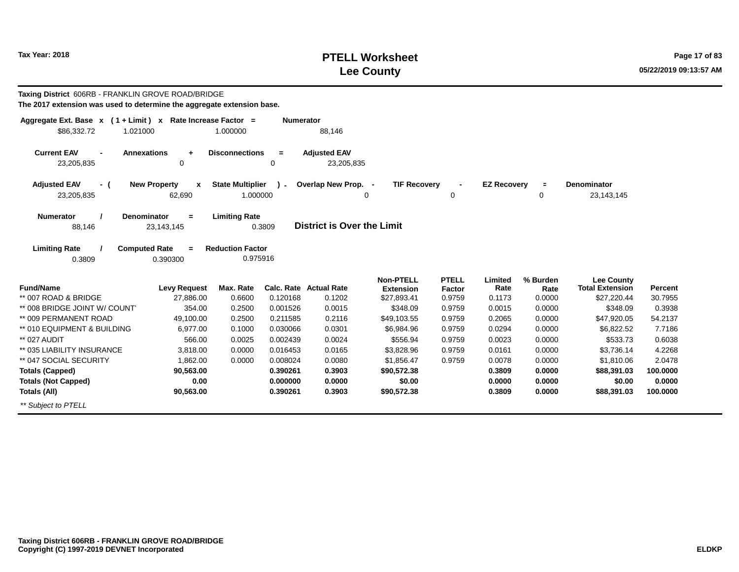## **PTELL Worksheet Tax Year: 2018 Page 17 of 83 Lee County**

**Taxing District** 606RB - FRANKLIN GROVE ROAD/BRIDGE**The 2017 extension was used to determine the aggregate extension base.**

| Aggregate Ext. Base $x$ (1 + Limit) x Rate Increase Factor =<br>\$86,332.72<br>1.021000                          |                                               | 1.000000                            | <b>Numerator</b> | 88,146                            |                                      |                               |                    |                  |                                             |          |  |
|------------------------------------------------------------------------------------------------------------------|-----------------------------------------------|-------------------------------------|------------------|-----------------------------------|--------------------------------------|-------------------------------|--------------------|------------------|---------------------------------------------|----------|--|
| <b>Current EAV</b><br><b>Annexations</b><br>23,205,835                                                           | $\ddot{}$<br>0                                | <b>Disconnections</b>               | $=$<br>0         | <b>Adjusted EAV</b><br>23,205,835 |                                      |                               |                    |                  |                                             |          |  |
| <b>Adjusted EAV</b><br>- (<br>23,205,835                                                                         | <b>New Property</b><br>$\mathbf{x}$<br>62,690 | <b>State Multiplier</b><br>1.000000 | $\mathbf{r}$     | Overlap New Prop. -               | <b>TIF Recovery</b><br>$\Omega$      | $\mathbf 0$                   | <b>EZ Recovery</b> | $\equiv$<br>0    | <b>Denominator</b><br>23,143,145            |          |  |
| <b>Numerator</b><br><b>Denominator</b><br>88,146                                                                 | $=$<br>23,143,145                             | <b>Limiting Rate</b>                | 0.3809           | District is Over the Limit        |                                      |                               |                    |                  |                                             |          |  |
| <b>Limiting Rate</b><br><b>Computed Rate</b><br><b>Reduction Factor</b><br>$=$<br>0.975916<br>0.3809<br>0.390300 |                                               |                                     |                  |                                   |                                      |                               |                    |                  |                                             |          |  |
| <b>Fund/Name</b>                                                                                                 | <b>Levy Request</b>                           | Max. Rate                           |                  | <b>Calc. Rate Actual Rate</b>     | <b>Non-PTELL</b><br><b>Extension</b> | <b>PTELL</b><br><b>Factor</b> | Limited<br>Rate    | % Burden<br>Rate | <b>Lee County</b><br><b>Total Extension</b> | Percent  |  |
| ** 007 ROAD & BRIDGE                                                                                             | 27,886.00                                     | 0.6600                              | 0.120168         | 0.1202                            | \$27,893.41                          | 0.9759                        | 0.1173             | 0.0000           | \$27,220.44                                 | 30.7955  |  |
| ** 008 BRIDGE JOINT W/ COUNT                                                                                     | 354.00                                        | 0.2500                              | 0.001526         | 0.0015                            | \$348.09                             | 0.9759                        | 0.0015             | 0.0000           | \$348.09                                    | 0.3938   |  |
| ** 009 PERMANENT ROAD                                                                                            | 49,100.00                                     | 0.2500                              | 0.211585         | 0.2116                            | \$49,103.55                          | 0.9759                        | 0.2065             | 0.0000           | \$47,920.05                                 | 54.2137  |  |
| ** 010 EQUIPMENT & BUILDING                                                                                      | 6,977.00                                      | 0.1000                              | 0.030066         | 0.0301                            | \$6,984.96                           | 0.9759                        | 0.0294             | 0.0000           | \$6,822.52                                  | 7.7186   |  |
| ** 027 AUDIT                                                                                                     | 566.00                                        | 0.0025                              | 0.002439         | 0.0024                            | \$556.94                             | 0.9759                        | 0.0023             | 0.0000           | \$533.73                                    | 0.6038   |  |
| ** 035 LIABILITY INSURANCE                                                                                       | 3,818.00                                      | 0.0000                              | 0.016453         | 0.0165                            | \$3,828.96                           | 0.9759                        | 0.0161             | 0.0000           | \$3,736.14                                  | 4.2268   |  |
| ** 047 SOCIAL SECURITY                                                                                           | 1,862.00                                      | 0.0000                              | 0.008024         | 0.0080                            | \$1,856.47                           | 0.9759                        | 0.0078             | 0.0000           | \$1,810.06                                  | 2.0478   |  |
| <b>Totals (Capped)</b>                                                                                           | 90,563.00                                     |                                     | 0.390261         | 0.3903                            | \$90,572.38                          |                               | 0.3809             | 0.0000           | \$88,391.03                                 | 100.0000 |  |
| <b>Totals (Not Capped)</b>                                                                                       | 0.00                                          |                                     | 0.000000         | 0.0000                            | \$0.00                               |                               | 0.0000             | 0.0000           | \$0.00                                      | 0.0000   |  |
| Totals (All)                                                                                                     | 90,563.00                                     |                                     | 0.390261         | 0.3903                            | \$90,572.38                          |                               | 0.3809             | 0.0000           | \$88,391.03                                 | 100.0000 |  |
| ** Subject to PTELL                                                                                              |                                               |                                     |                  |                                   |                                      |                               |                    |                  |                                             |          |  |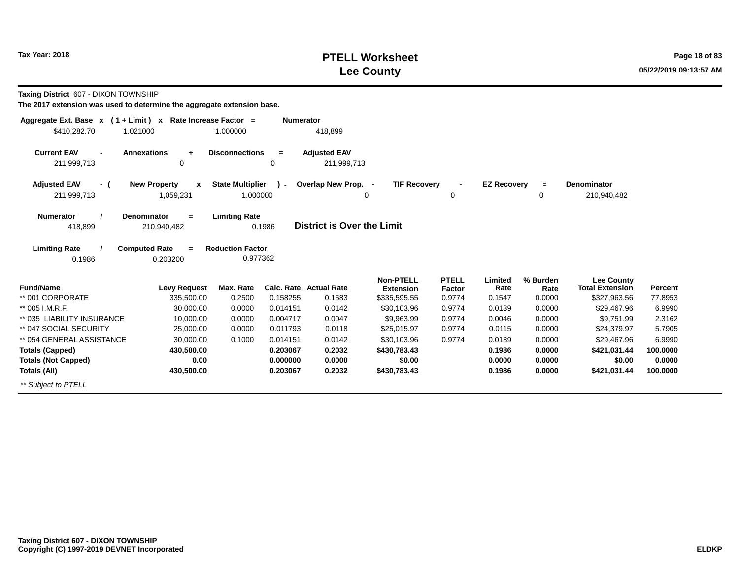## **PTELL Worksheet Tax Year: 2018 Page 18 of 83 Lee County**

**Taxing District** 607 - DIXON TOWNSHIP

| Aggregate Ext. Base $x$ (1 + Limit) $x$             | Rate Increase Factor =                       |                                     | <b>Numerator</b> |                                    |                                      |                        |                    |                  |                                             |          |
|-----------------------------------------------------|----------------------------------------------|-------------------------------------|------------------|------------------------------------|--------------------------------------|------------------------|--------------------|------------------|---------------------------------------------|----------|
| \$410,282.70<br>1.021000                            |                                              | 1.000000                            |                  | 418,899                            |                                      |                        |                    |                  |                                             |          |
| <b>Current EAV</b><br>$\blacksquare$<br>211,999,713 | <b>Annexations</b><br>$\ddot{}$<br>0         | <b>Disconnections</b>               | $\equiv$<br>0    | <b>Adjusted EAV</b><br>211,999,713 |                                      |                        |                    |                  |                                             |          |
| <b>Adjusted EAV</b><br>- (<br>211,999,713           | <b>New Property</b><br>x<br>1,059,231        | <b>State Multiplier</b><br>1.000000 | $\mathbf{1}$     | Overlap New Prop. -<br>0           | <b>TIF Recovery</b>                  | 0                      | <b>EZ Recovery</b> | $\equiv$<br>0    | <b>Denominator</b><br>210,940,482           |          |
| <b>Numerator</b><br>418,899                         | Denominator<br>$=$<br>210,940,482            | <b>Limiting Rate</b>                | 0.1986           | <b>District is Over the Limit</b>  |                                      |                        |                    |                  |                                             |          |
| <b>Limiting Rate</b><br>0.1986                      | <b>Computed Rate</b><br>$\equiv$<br>0.203200 | <b>Reduction Factor</b><br>0.977362 |                  |                                    |                                      |                        |                    |                  |                                             |          |
| <b>Fund/Name</b>                                    | <b>Levy Request</b>                          | Max. Rate                           |                  | <b>Calc. Rate Actual Rate</b>      | <b>Non-PTELL</b><br><b>Extension</b> | <b>PTELL</b><br>Factor | Limited<br>Rate    | % Burden<br>Rate | <b>Lee County</b><br><b>Total Extension</b> | Percent  |
| ** 001 CORPORATE                                    | 335,500.00                                   | 0.2500                              | 0.158255         | 0.1583                             | \$335,595.55                         | 0.9774                 | 0.1547             | 0.0000           | \$327,963.56                                | 77.8953  |
| ** 005 I.M.R.F.                                     | 30,000.00                                    | 0.0000                              | 0.014151         | 0.0142                             | \$30,103.96                          | 0.9774                 | 0.0139             | 0.0000           | \$29,467.96                                 | 6.9990   |
| ** 035 LIABILITY INSURANCE                          | 10,000.00                                    | 0.0000                              | 0.004717         | 0.0047                             | \$9,963.99                           | 0.9774                 | 0.0046             | 0.0000           | \$9,751.99                                  | 2.3162   |
| ** 047 SOCIAL SECURITY                              | 25,000.00                                    | 0.0000                              | 0.011793         | 0.0118                             | \$25,015.97                          | 0.9774                 | 0.0115             | 0.0000           | \$24,379.97                                 | 5.7905   |
| ** 054 GENERAL ASSISTANCE                           | 30,000.00                                    | 0.1000                              | 0.014151         | 0.0142                             | \$30,103.96                          | 0.9774                 | 0.0139             | 0.0000           | \$29,467.96                                 | 6.9990   |
| <b>Totals (Capped)</b>                              | 430,500.00                                   |                                     | 0.203067         | 0.2032                             | \$430,783.43                         |                        | 0.1986             | 0.0000           | \$421,031.44                                | 100.0000 |
| <b>Totals (Not Capped)</b>                          | 0.00                                         |                                     | 0.000000         | 0.0000                             | \$0.00                               |                        | 0.0000             | 0.0000           | \$0.00                                      | 0.0000   |
| Totals (All)                                        | 430,500.00                                   |                                     | 0.203067         | 0.2032                             | \$430,783.43                         |                        | 0.1986             | 0.0000           | \$421,031.44                                | 100.0000 |
| ** Subject to PTELL                                 |                                              |                                     |                  |                                    |                                      |                        |                    |                  |                                             |          |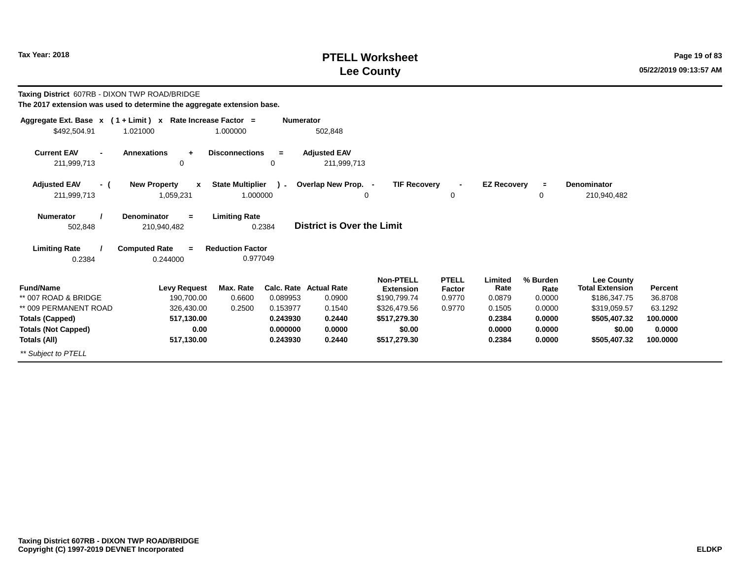## **PTELL Worksheet Tax Year: 2018 Page 19 of 83 Lee County**

| <b>Taxing District 607RB - DIXON TWP ROAD/BRIDGE</b><br>The 2017 extension was used to determine the aggregate extension base. |                                             |                                     |                      |                                    |                               |                        |                    |                  |                                             |          |
|--------------------------------------------------------------------------------------------------------------------------------|---------------------------------------------|-------------------------------------|----------------------|------------------------------------|-------------------------------|------------------------|--------------------|------------------|---------------------------------------------|----------|
| Aggregate Ext. Base $x$ (1 + Limit) x Rate Increase Factor =<br>\$492,504.91                                                   | 1.021000                                    | 1.000000                            | <b>Numerator</b>     | 502,848                            |                               |                        |                    |                  |                                             |          |
| <b>Current EAV</b><br>211,999,713                                                                                              | <b>Annexations</b><br>$\ddot{}$<br>$\Omega$ | <b>Disconnections</b>               | $\equiv$<br>$\Omega$ | <b>Adjusted EAV</b><br>211,999,713 |                               |                        |                    |                  |                                             |          |
| <b>Adjusted EAV</b><br>- (<br>211,999,713                                                                                      | <b>New Property</b><br>x<br>1,059,231       | <b>State Multiplier</b><br>1.000000 | $\sim$               | Overlap New Prop. -                | <b>TIF Recovery</b><br>0      | 0                      | <b>EZ Recovery</b> | $\equiv$<br>0    | Denominator<br>210,940,482                  |          |
| <b>Numerator</b><br>502,848                                                                                                    | Denominator<br>$=$<br>210,940,482           | <b>Limiting Rate</b>                | 0.2384               | District is Over the Limit         |                               |                        |                    |                  |                                             |          |
| <b>Limiting Rate</b>                                                                                                           | <b>Computed Rate</b><br>$\equiv$            | <b>Reduction Factor</b>             |                      |                                    |                               |                        |                    |                  |                                             |          |
| 0.2384                                                                                                                         | 0.244000                                    | 0.977049                            |                      |                                    |                               |                        |                    |                  |                                             |          |
| <b>Fund/Name</b>                                                                                                               | <b>Levy Request</b>                         | Max. Rate                           |                      | <b>Calc. Rate Actual Rate</b>      | Non-PTELL<br><b>Extension</b> | <b>PTELL</b><br>Factor | Limited<br>Rate    | % Burden<br>Rate | <b>Lee County</b><br><b>Total Extension</b> | Percent  |
| ** 007 ROAD & BRIDGE                                                                                                           | 190,700.00                                  | 0.6600                              | 0.089953             | 0.0900                             | \$190,799.74                  | 0.9770                 | 0.0879             | 0.0000           | \$186,347.75                                | 36.8708  |
| ** 009 PERMANENT ROAD                                                                                                          | 326,430.00                                  | 0.2500                              | 0.153977             | 0.1540                             | \$326,479.56                  | 0.9770                 | 0.1505             | 0.0000           | \$319,059.57                                | 63.1292  |
| <b>Totals (Capped)</b>                                                                                                         | 517,130.00                                  |                                     | 0.243930             | 0.2440                             | \$517,279.30                  |                        | 0.2384             | 0.0000           | \$505,407.32                                | 100.0000 |
| <b>Totals (Not Capped)</b>                                                                                                     | 0.00                                        |                                     | 0.000000             | 0.0000                             | \$0.00                        |                        | 0.0000             | 0.0000           | \$0.00                                      | 0.0000   |
| Totals (All)                                                                                                                   | 517,130.00                                  |                                     | 0.243930             | 0.2440                             | \$517,279.30                  |                        | 0.2384             | 0.0000           | \$505,407.32                                | 100.0000 |
| ** Subject to PTELL                                                                                                            |                                             |                                     |                      |                                    |                               |                        |                    |                  |                                             |          |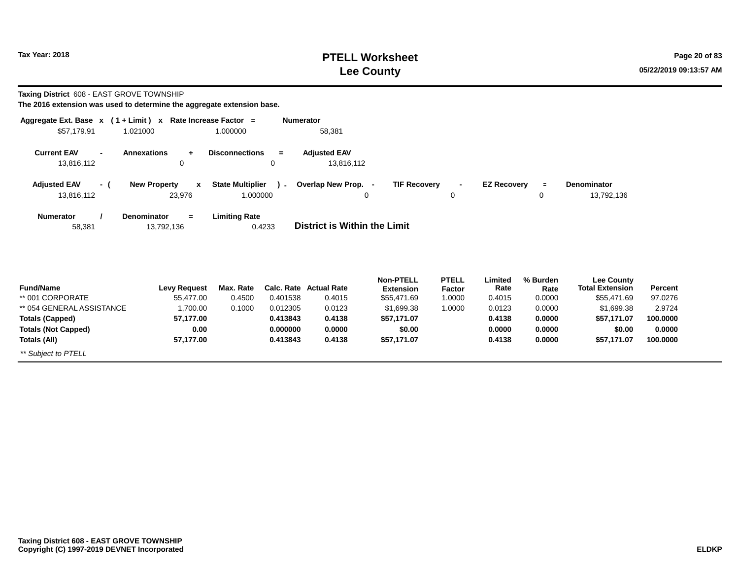**Totals (All)**

\*\* Subject to PTELL

## **PTELL Worksheet Tax Year:** 2018 **Page 20 of 83 Lee County**

**100.0000**

**\$57,171.07**

**Taxing District** 608 - EAST GROVE TOWNSHIP

**The 2016 extension was used to determine the aggregate extension base.**

**57,177.00**

| Aggregate Ext. Base $x$ (1 + Limit) $x$ |                                       | Rate Increase Factor =                 | <b>Numerator</b>                  |                                      |                               |                    |                  |                                             |          |
|-----------------------------------------|---------------------------------------|----------------------------------------|-----------------------------------|--------------------------------------|-------------------------------|--------------------|------------------|---------------------------------------------|----------|
| \$57,179.91                             | 1.021000                              | 1.000000                               | 58,381                            |                                      |                               |                    |                  |                                             |          |
| <b>Current EAV</b><br>13,816,112        | <b>Annexations</b><br>$\ddot{}$<br>0  | <b>Disconnections</b><br>$\equiv$<br>0 | <b>Adjusted EAV</b><br>13,816,112 |                                      |                               |                    |                  |                                             |          |
| <b>Adjusted EAV</b><br>- (              | <b>New Property</b><br>$\mathbf{x}$   | <b>State Multiplier</b><br>$\sim$      | Overlap New Prop. -               | <b>TIF Recovery</b>                  | $\blacksquare$                | <b>EZ Recovery</b> | $\equiv$         | Denominator                                 |          |
| 13,816,112                              | 23,976                                | 1.000000                               |                                   | 0                                    | 0                             |                    | 0                | 13,792,136                                  |          |
| <b>Numerator</b><br>58,381              | Denominator<br>$\equiv$<br>13,792,136 | <b>Limiting Rate</b><br>0.4233         | District is Within the Limit      |                                      |                               |                    |                  |                                             |          |
| <b>Fund/Name</b>                        | <b>Levy Request</b>                   | Max. Rate                              | <b>Calc. Rate Actual Rate</b>     | <b>Non-PTELL</b><br><b>Extension</b> | <b>PTELL</b><br><b>Factor</b> | Limited<br>Rate    | % Burden<br>Rate | <b>Lee County</b><br><b>Total Extension</b> | Percent  |
| ** 001 CORPORATE                        | 55,477.00                             | 0.4500<br>0.401538                     | 0.4015                            | \$55,471.69                          | 1.0000                        | 0.4015             | 0.0000           | \$55,471.69                                 | 97.0276  |
| ** 054 GENERAL ASSISTANCE               | 1,700.00                              | 0.1000<br>0.012305                     | 0.0123                            | \$1,699.38                           | 1.0000                        | 0.0123             | 0.0000           | \$1,699.38                                  | 2.9724   |
| <b>Totals (Capped)</b>                  | 57,177.00                             | 0.413843                               | 0.4138                            | \$57,171.07                          |                               | 0.4138             | 0.0000           | \$57,171.07                                 | 100.0000 |
| <b>Totals (Not Capped)</b>              | 0.00                                  | 0.000000                               | 0.0000                            | \$0.00                               |                               | 0.0000             | 0.0000           | \$0.00                                      | 0.0000   |

**0.4138**

**\$57,171.07**

**0.4138**

**0.0000**

**0.413843**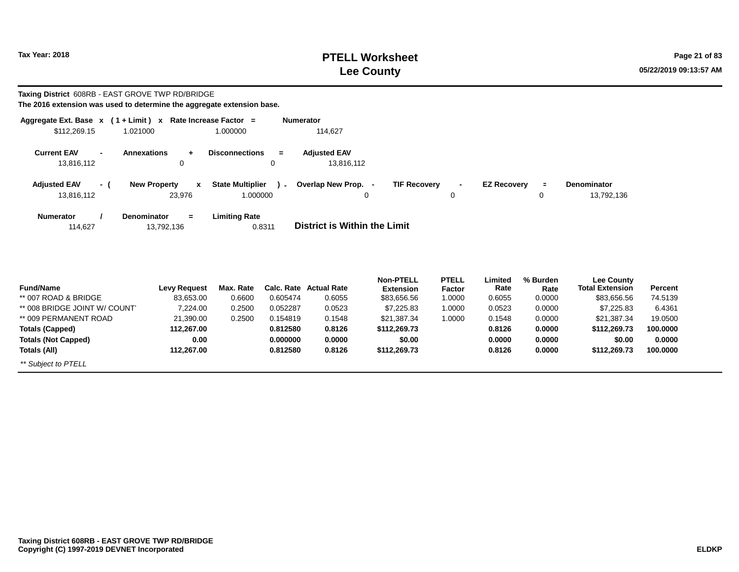## **PTELL Worksheet Tax Year: 2018 Page 21 of 83 Lee County**

# **Taxing District** 608RB - EAST GROVE TWP RD/BRIDGE

| \$112,269.15                                       | Aggregate Ext. Base $x$ (1 + Limit) x Rate Increase Factor =<br>1.021000 | 1.000000                          | <b>Numerator</b><br>114,627                                                                           |
|----------------------------------------------------|--------------------------------------------------------------------------|-----------------------------------|-------------------------------------------------------------------------------------------------------|
|                                                    |                                                                          |                                   |                                                                                                       |
| <b>Current EAV</b><br>$\blacksquare$<br>13,816,112 | <b>Annexations</b><br>$+$<br>0                                           | <b>Disconnections</b><br>$=$<br>0 | <b>Adjusted EAV</b><br>13,816,112                                                                     |
|                                                    |                                                                          |                                   |                                                                                                       |
| <b>Adjusted EAV</b><br>- (                         | <b>New Property</b><br>$\mathbf{x}$                                      | <b>State Multiplier</b><br>$\sim$ | Overlap New Prop. -<br><b>TIF Recovery</b><br><b>EZ Recovery</b><br>Denominator<br>$\equiv$<br>$\sim$ |
| 13,816,112                                         | 23,976                                                                   | 1.000000                          | 0<br>0<br>13,792,136<br>0                                                                             |
| Numerator                                          | <b>Denominator</b><br>$=$                                                | <b>Limiting Rate</b>              |                                                                                                       |
| 114,627                                            | 13,792,136                                                               | 0.8311                            | District is Within the Limit                                                                          |
|                                                    |                                                                          |                                   |                                                                                                       |
|                                                    |                                                                          |                                   |                                                                                                       |
|                                                    |                                                                          |                                   |                                                                                                       |

| <b>Fund/Name</b>             | Levy Request | Max. Rate |          | <b>Calc. Rate Actual Rate</b> | <b>Non-PTELL</b><br><b>Extension</b> | <b>PTELL</b><br>Factor | Limited<br>Rate | % Burden<br>Rate | <b>Lee County</b><br><b>Total Extension</b> | Percent  |
|------------------------------|--------------|-----------|----------|-------------------------------|--------------------------------------|------------------------|-----------------|------------------|---------------------------------------------|----------|
| ** 007 ROAD & BRIDGE         | 83,653.00    | 0.6600    | 0.605474 | 0.6055                        | \$83,656.56                          | 1.0000                 | 0.6055          | 0.0000           | \$83,656.56                                 | 74.5139  |
| ** 008 BRIDGE JOINT W/ COUNT | 7,224.00     | 0.2500    | 0.052287 | 0.0523                        | \$7,225.83                           | 1.0000                 | 0.0523          | 0.0000           | \$7,225.83                                  | 6.4361   |
| ** 009 PERMANENT ROAD        | 21,390.00    | 0.2500    | 0.154819 | 0.1548                        | \$21,387.34                          | 1.0000                 | 0.1548          | 0.0000           | \$21,387.34                                 | 19.0500  |
| Totals (Capped)              | 112.267.00   |           | 0.812580 | 0.8126                        | \$112,269.73                         |                        | 0.8126          | 0.0000           | \$112,269.73                                | 100.0000 |
| <b>Totals (Not Capped)</b>   | 0.00         |           | 0.000000 | 0.0000                        | \$0.00                               |                        | 0.0000          | 0.0000           | \$0.00                                      | 0.0000   |
| Totals (All)                 | 112.267.00   |           | 0.812580 | 0.8126                        | \$112,269.73                         |                        | 0.8126          | 0.0000           | \$112,269.73                                | 100.0000 |
| ** Subject to PTELL          |              |           |          |                               |                                      |                        |                 |                  |                                             |          |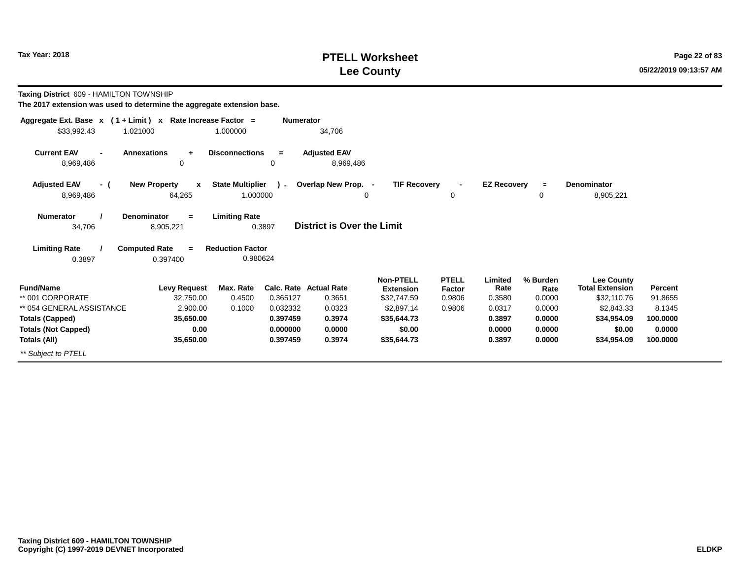## **PTELL Worksheet Tax Year: 2018 Page 22 of 83 Lee County**

**Taxing District** 609 - HAMILTON TOWNSHIP

| Aggregate Ext. Base $x$ (1 + Limit) $x$ | Rate Increase Factor =                        |                                     | <b>Numerator</b> |                                   |                                      |                        |                    |                  |                                             |          |
|-----------------------------------------|-----------------------------------------------|-------------------------------------|------------------|-----------------------------------|--------------------------------------|------------------------|--------------------|------------------|---------------------------------------------|----------|
| \$33,992.43                             | 1.021000                                      | 1.000000                            |                  | 34,706                            |                                      |                        |                    |                  |                                             |          |
| <b>Current EAV</b><br>8,969,486         | <b>Annexations</b><br>$\ddot{}$<br>0          | <b>Disconnections</b>               | $\equiv$<br>0    | <b>Adjusted EAV</b><br>8,969,486  |                                      |                        |                    |                  |                                             |          |
| <b>Adjusted EAV</b><br>- (<br>8,969,486 | <b>New Property</b><br>$\mathbf{x}$<br>64,265 | <b>State Multiplier</b><br>1.000000 | $\mathbf{r}$     | Overlap New Prop. -<br>0          | <b>TIF Recovery</b>                  | 0                      | <b>EZ Recovery</b> | $\equiv$<br>0    | <b>Denominator</b><br>8,905,221             |          |
| <b>Numerator</b><br>34,706              | <b>Denominator</b><br>$=$<br>8,905,221        | <b>Limiting Rate</b>                | 0.3897           | <b>District is Over the Limit</b> |                                      |                        |                    |                  |                                             |          |
| <b>Limiting Rate</b><br>0.3897          | <b>Computed Rate</b><br>$=$<br>0.397400       | <b>Reduction Factor</b><br>0.980624 |                  |                                   |                                      |                        |                    |                  |                                             |          |
| <b>Fund/Name</b>                        | <b>Levy Request</b>                           | Max. Rate                           |                  | Calc. Rate Actual Rate            | <b>Non-PTELL</b><br><b>Extension</b> | <b>PTELL</b><br>Factor | Limited<br>Rate    | % Burden<br>Rate | <b>Lee County</b><br><b>Total Extension</b> | Percent  |
| ** 001 CORPORATE                        | 32,750.00                                     | 0.4500                              | 0.365127         | 0.3651                            | \$32,747.59                          | 0.9806                 | 0.3580             | 0.0000           | \$32,110.76                                 | 91.8655  |
| ** 054 GENERAL ASSISTANCE               | 2,900.00                                      | 0.1000                              | 0.032332         | 0.0323                            | \$2,897.14                           | 0.9806                 | 0.0317             | 0.0000           | \$2,843.33                                  | 8.1345   |
| <b>Totals (Capped)</b>                  | 35,650.00                                     |                                     | 0.397459         | 0.3974                            | \$35,644.73                          |                        | 0.3897             | 0.0000           | \$34,954.09                                 | 100.0000 |
| <b>Totals (Not Capped)</b>              | 0.00                                          |                                     | 0.000000         | 0.0000                            | \$0.00                               |                        | 0.0000             | 0.0000           | \$0.00                                      | 0.0000   |
| Totals (All)                            | 35,650.00                                     |                                     | 0.397459         | 0.3974                            | \$35,644.73                          |                        | 0.3897             | 0.0000           | \$34,954.09                                 | 100.0000 |
| ** Subject to PTELL                     |                                               |                                     |                  |                                   |                                      |                        |                    |                  |                                             |          |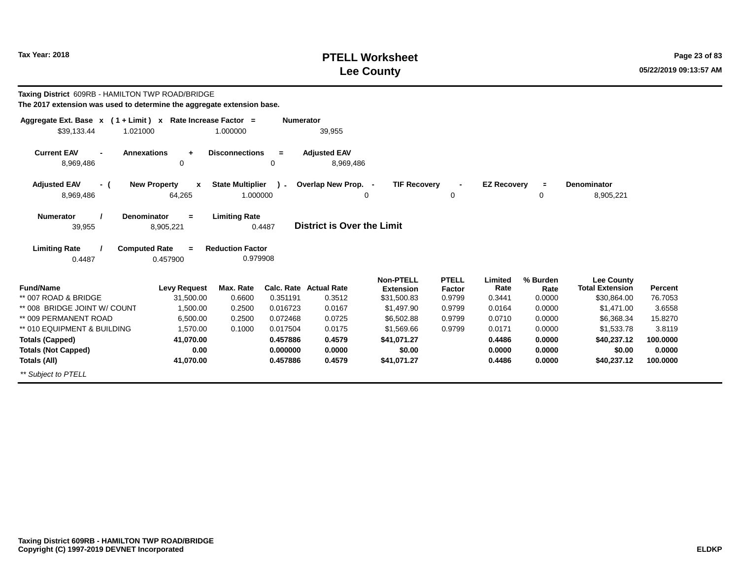## **PTELL Worksheet Tax Year:** 2018 **Page 23 of 83 Lee County**

| Taxing District 609RB - HAMILTON TWP ROAD/BRIDGE<br>The 2017 extension was used to determine the aggregate extension base. |                                                                                        |                                                             |                  |                                   |                                 |                  |                    |                |                                             |          |
|----------------------------------------------------------------------------------------------------------------------------|----------------------------------------------------------------------------------------|-------------------------------------------------------------|------------------|-----------------------------------|---------------------------------|------------------|--------------------|----------------|---------------------------------------------|----------|
| Aggregate Ext. Base $x$ (1 + Limit) $x$ Rate Increase Factor =<br>\$39,133.44<br>1.021000                                  |                                                                                        | 1.000000                                                    | <b>Numerator</b> | 39,955                            |                                 |                  |                    |                |                                             |          |
| <b>Current EAV</b><br>8,969,486                                                                                            | <b>Annexations</b><br>$\ddot{}$<br>0                                                   | <b>Disconnections</b>                                       | $=$<br>0         | <b>Adjusted EAV</b><br>8,969,486  |                                 |                  |                    |                |                                             |          |
| <b>Adjusted EAV</b><br>- (                                                                                                 | <b>New Property</b><br>$\boldsymbol{\mathsf{x}}$                                       | <b>State Multiplier</b>                                     | $\sim$           | Overlap New Prop. -               | <b>TIF Recovery</b>             |                  | <b>EZ Recovery</b> | $\equiv$       | Denominator                                 |          |
| 8,969,486                                                                                                                  | 64,265                                                                                 | 1.000000                                                    |                  | 0                                 |                                 | 0                |                    | 0              | 8,905,221                                   |          |
| <b>Numerator</b><br>39,955<br><b>Limiting Rate</b><br>0.4487                                                               | <b>Denominator</b><br>$=$<br>8,905,221<br><b>Computed Rate</b><br>$\equiv$<br>0.457900 | <b>Limiting Rate</b><br><b>Reduction Factor</b><br>0.979908 | 0.4487           | <b>District is Over the Limit</b> |                                 |                  |                    |                |                                             |          |
| <b>Fund/Name</b>                                                                                                           | <b>Levy Request</b>                                                                    | Max. Rate                                                   | Calc. Rate       | <b>Actual Rate</b>                | <b>Non-PTELL</b>                | <b>PTELL</b>     | Limited<br>Rate    | % Burden       | <b>Lee County</b><br><b>Total Extension</b> | Percent  |
| ** 007 ROAD & BRIDGE                                                                                                       | 31,500.00                                                                              | 0.6600                                                      | 0.351191         | 0.3512                            | <b>Extension</b><br>\$31,500.83 | Factor<br>0.9799 | 0.3441             | Rate<br>0.0000 | \$30,864.00                                 | 76.7053  |
| ** 008 BRIDGE JOINT W/ COUNT                                                                                               | 1.500.00                                                                               | 0.2500                                                      | 0.016723         | 0.0167                            | \$1,497.90                      | 0.9799           | 0.0164             | 0.0000         | \$1.471.00                                  | 3.6558   |
| ** 009 PERMANENT ROAD                                                                                                      | 6,500.00                                                                               | 0.2500                                                      | 0.072468         | 0.0725                            | \$6,502.88                      | 0.9799           | 0.0710             | 0.0000         | \$6,368.34                                  | 15.8270  |
| ** 010 EQUIPMENT & BUILDING                                                                                                | 1.570.00                                                                               | 0.1000                                                      | 0.017504         | 0.0175                            | \$1,569.66                      | 0.9799           | 0.0171             | 0.0000         | \$1,533.78                                  | 3.8119   |
| <b>Totals (Capped)</b>                                                                                                     | 41,070.00                                                                              |                                                             | 0.457886         | 0.4579                            | \$41,071.27                     |                  | 0.4486             | 0.0000         | \$40,237.12                                 | 100.0000 |
| <b>Totals (Not Capped)</b>                                                                                                 | 0.00                                                                                   |                                                             | 0.000000         | 0.0000                            | \$0.00                          |                  | 0.0000             | 0.0000         | \$0.00                                      | 0.0000   |
| Totals (All)                                                                                                               | 41,070.00                                                                              |                                                             | 0.457886         | 0.4579                            | \$41,071.27                     |                  | 0.4486             | 0.0000         | \$40,237.12                                 | 100.0000 |
| ** Subject to PTELL                                                                                                        |                                                                                        |                                                             |                  |                                   |                                 |                  |                    |                |                                             |          |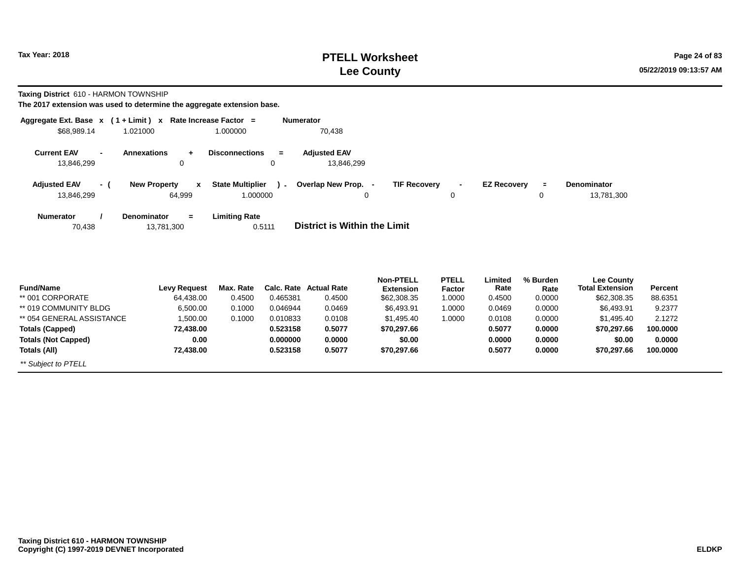## **PTELL Worksheet Tax Year: 2018 Page 24 of 83 Lee County**

**Taxing District** 610 - HARMON TOWNSHIP

|                                                              |     | Aggregate Ext. Base $x$ (1 + Limit) $x$ Rate Increase Factor = |                                                                 | <b>Numerator</b>                              |                     |                    |               |                                  |  |
|--------------------------------------------------------------|-----|----------------------------------------------------------------|-----------------------------------------------------------------|-----------------------------------------------|---------------------|--------------------|---------------|----------------------------------|--|
| \$68,989.14                                                  |     | 1.021000                                                       | 1.000000                                                        | 70,438                                        |                     |                    |               |                                  |  |
| <b>Current EAV</b><br>$\overline{\phantom{0}}$<br>13,846,299 |     | <b>Annexations</b><br>÷<br>0                                   | <b>Disconnections</b><br>$=$<br>0                               | <b>Adjusted EAV</b><br>13,846,299             |                     |                    |               |                                  |  |
| <b>Adjusted EAV</b><br>13,846,299                            | - 1 | <b>New Property</b><br>x<br>64,999                             | <b>State Multiplier</b><br>$\overline{\phantom{a}}$<br>1.000000 | Overlap New Prop.<br><b>TIF Recovery</b><br>0 | $\blacksquare$<br>0 | <b>EZ Recovery</b> | $\equiv$<br>0 | <b>Denominator</b><br>13,781,300 |  |
| <b>Numerator</b><br>70,438                                   |     | <b>Denominator</b><br>$=$<br>13,781,300                        | <b>Limiting Rate</b><br>0.5111                                  | District is Within the Limit                  |                     |                    |               |                                  |  |

| <b>Fund/Name</b>           |              | Max. Rate | <b>Calc. Rate</b> | Actual Rate | <b>Non-PTELL</b> | <b>PTELL</b>  | Limited | % Burden | <b>Lee County</b>      |          |
|----------------------------|--------------|-----------|-------------------|-------------|------------------|---------------|---------|----------|------------------------|----------|
|                            | Levy Request |           |                   |             | <b>Extension</b> | <b>Factor</b> | Rate    | Rate     | <b>Total Extension</b> | Percent  |
| ** 001 CORPORATE           | 64,438.00    | 0.4500    | 0.465381          | 0.4500      | \$62,308.35      | 1.0000        | 0.4500  | 0.0000   | \$62,308.35            | 88.6351  |
| ** 019 COMMUNITY BLDG      | 6,500.00     | 0.1000    | 0.046944          | 0.0469      | \$6.493.91       | 1.0000        | 0.0469  | 0.0000   | \$6,493.91             | 9.2377   |
| ** 054 GENERAL ASSISTANCE  | 1,500.00     | 0.1000    | 0.010833          | 0.0108      | \$1,495.40       | 1.0000        | 0.0108  | 0.0000   | \$1,495.40             | 2.1272   |
| Totals (Capped)            | 72.438.00    |           | 0.523158          | 0.5077      | \$70,297.66      |               | 0.5077  | 0.0000   | \$70.297.66            | 100.0000 |
| <b>Totals (Not Capped)</b> | 0.00         |           | 0.000000          | 0.0000      | \$0.00           |               | 0.0000  | 0.0000   | \$0.00                 | 0.0000   |
| Totals (All)               | 72.438.00    |           | 0.523158          | 0.5077      | \$70,297.66      |               | 0.5077  | 0.0000   | \$70.297.66            | 100.0000 |
| ** Subject to PTELL        |              |           |                   |             |                  |               |         |          |                        |          |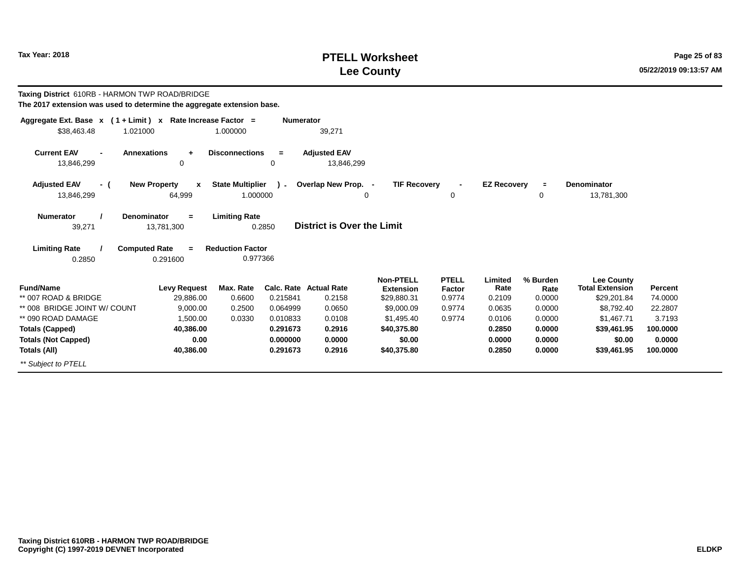## **PTELL Worksheet Tax Year: 2018 Page 25 of 83 Lee County**

**Taxing District** 610RB - HARMON TWP ROAD/BRIDGE

| The 2017 extension was used to determine the aggregate extension base. |  |  |  |
|------------------------------------------------------------------------|--|--|--|
|------------------------------------------------------------------------|--|--|--|

| Aggregate Ext. Base $x$ (1 + Limit) $x$                                  | Rate Increase Factor =                        |                                     | <b>Numerator</b> |                                   |                                 |                  |                    |                |                                       |                           |
|--------------------------------------------------------------------------|-----------------------------------------------|-------------------------------------|------------------|-----------------------------------|---------------------------------|------------------|--------------------|----------------|---------------------------------------|---------------------------|
| \$38,463.48<br>1.021000                                                  |                                               | 1.000000                            |                  | 39,271                            |                                 |                  |                    |                |                                       |                           |
| <b>Current EAV</b><br><b>Annexations</b><br>$\blacksquare$<br>13,846,299 | $\ddot{}$<br>0                                | <b>Disconnections</b><br>0          | $=$              | <b>Adjusted EAV</b><br>13,846,299 |                                 |                  |                    |                |                                       |                           |
| <b>Adjusted EAV</b><br>- (<br>13,846,299                                 | <b>New Property</b><br>$\mathbf{x}$<br>64,999 | <b>State Multiplier</b><br>1.000000 | $\lambda$        | Overlap New Prop. -               | <b>TIF Recovery</b><br>0        | 0                | <b>EZ Recovery</b> | $\equiv$<br>0  | <b>Denominator</b><br>13,781,300      |                           |
| <b>Numerator</b><br>Denominator<br>39,271                                | $=$<br>13,781,300                             | <b>Limiting Rate</b><br>0.2850      |                  | District is Over the Limit        |                                 |                  |                    |                |                                       |                           |
| <b>Limiting Rate</b><br><b>Computed Rate</b><br>0.2850                   | $=$<br>0.291600                               | <b>Reduction Factor</b><br>0.977366 |                  |                                   |                                 |                  |                    |                |                                       |                           |
|                                                                          |                                               |                                     |                  |                                   | <b>Non-PTELL</b>                | <b>PTELL</b>     | Limited            | % Burden       | <b>Lee County</b>                     |                           |
| <b>Fund/Name</b><br>** 007 ROAD & BRIDGE                                 | <b>Levy Request</b><br>29,886.00              | Max. Rate<br>0.6600                 | 0.215841         | Calc. Rate Actual Rate<br>0.2158  | <b>Extension</b><br>\$29,880.31 | Factor<br>0.9774 | Rate<br>0.2109     | Rate<br>0.0000 | <b>Total Extension</b><br>\$29,201.84 | <b>Percent</b><br>74.0000 |
| ** 008 BRIDGE JOINT W/ COUNT                                             | 9,000.00                                      | 0.2500                              | 0.064999         | 0.0650                            | \$9,000.09                      | 0.9774           | 0.0635             | 0.0000         | \$8,792.40                            | 22.2807                   |
| ** 090 ROAD DAMAGE                                                       | 1,500.00                                      | 0.0330                              | 0.010833         | 0.0108                            | \$1,495.40                      | 0.9774           | 0.0106             | 0.0000         | \$1,467.71                            | 3.7193                    |
| <b>Totals (Capped)</b>                                                   | 40,386.00                                     |                                     | 0.291673         | 0.2916                            | \$40,375.80                     |                  | 0.2850             | 0.0000         | \$39,461.95                           | 100.0000                  |
| <b>Totals (Not Capped)</b>                                               | 0.00                                          |                                     | 0.000000         | 0.0000                            | \$0.00                          |                  | 0.0000             | 0.0000         | \$0.00                                | 0.0000                    |
| Totals (All)                                                             | 40,386.00                                     |                                     | 0.291673         | 0.2916                            | \$40,375.80                     |                  | 0.2850             | 0.0000         | \$39,461.95                           | 100.0000                  |
| ** Subject to PTELL                                                      |                                               |                                     |                  |                                   |                                 |                  |                    |                |                                       |                           |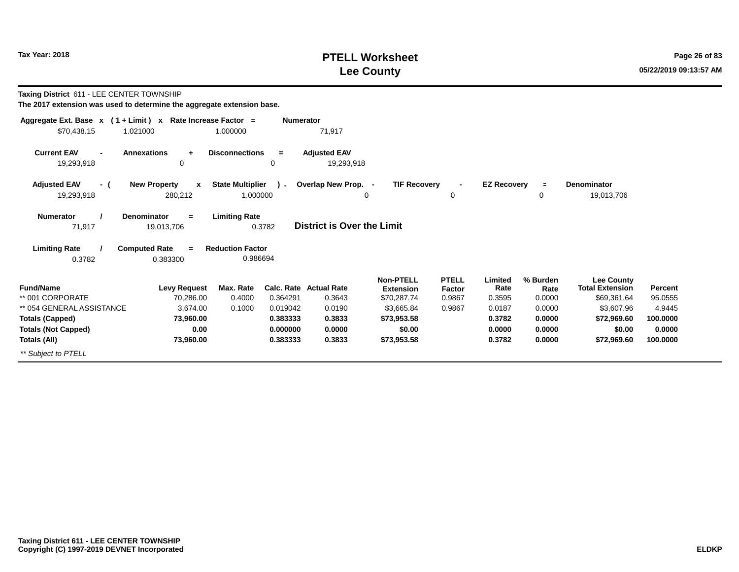# **PTELL Worksheet Tax Year: 2018 Page 26 of 83 Lee County**

**Taxing District** 611 - LEE CENTER TOWNSHIP

| Aggregate Ext. Base $x$ (1 + Limit) x Rate Increase Factor = |                                         |                                     | <b>Numerator</b> |                                   |                                      |                        |                    |                  |                                             |          |
|--------------------------------------------------------------|-----------------------------------------|-------------------------------------|------------------|-----------------------------------|--------------------------------------|------------------------|--------------------|------------------|---------------------------------------------|----------|
| \$70,438.15<br>1.021000                                      |                                         | 1.000000                            |                  | 71,917                            |                                      |                        |                    |                  |                                             |          |
| <b>Current EAV</b>                                           | <b>Annexations</b><br>÷.                | <b>Disconnections</b>               | $=$              | <b>Adjusted EAV</b>               |                                      |                        |                    |                  |                                             |          |
| 19,293,918                                                   | 0                                       |                                     | 0                | 19,293,918                        |                                      |                        |                    |                  |                                             |          |
| <b>Adjusted EAV</b><br>- (                                   | <b>New Property</b><br>$\mathbf{x}$     | <b>State Multiplier</b>             | $\sim$           | Overlap New Prop. -               | <b>TIF Recovery</b>                  |                        | <b>EZ Recovery</b> | $\equiv$         | Denominator                                 |          |
| 19,293,918                                                   | 280,212                                 | 1.000000                            |                  | 0                                 |                                      | 0                      |                    | 0                | 19,013,706                                  |          |
| <b>Numerator</b><br>71,917                                   | <b>Denominator</b><br>$=$<br>19,013,706 | <b>Limiting Rate</b>                | 0.3782           | <b>District is Over the Limit</b> |                                      |                        |                    |                  |                                             |          |
| <b>Limiting Rate</b><br>0.3782                               | <b>Computed Rate</b><br>$=$<br>0.383300 | <b>Reduction Factor</b><br>0.986694 |                  |                                   |                                      |                        |                    |                  |                                             |          |
| <b>Fund/Name</b>                                             | <b>Levy Request</b>                     | Max. Rate                           |                  | <b>Calc. Rate Actual Rate</b>     | <b>Non-PTELL</b><br><b>Extension</b> | <b>PTELL</b><br>Factor | Limited<br>Rate    | % Burden<br>Rate | <b>Lee County</b><br><b>Total Extension</b> | Percent  |
| ** 001 CORPORATE                                             | 70,286.00                               | 0.4000                              | 0.364291         | 0.3643                            | \$70,287.74                          | 0.9867                 | 0.3595             | 0.0000           | \$69,361.64                                 | 95.0555  |
| ** 054 GENERAL ASSISTANCE                                    | 3,674.00                                | 0.1000                              | 0.019042         | 0.0190                            | \$3,665.84                           | 0.9867                 | 0.0187             | 0.0000           | \$3,607.96                                  | 4.9445   |
| <b>Totals (Capped)</b>                                       | 73,960.00                               |                                     | 0.383333         | 0.3833                            | \$73,953.58                          |                        | 0.3782             | 0.0000           | \$72,969.60                                 | 100.0000 |
| <b>Totals (Not Capped)</b>                                   | 0.00                                    |                                     | 0.000000         | 0.0000                            | \$0.00                               |                        | 0.0000             | 0.0000           | \$0.00                                      | 0.0000   |
| Totals (All)                                                 | 73,960.00                               |                                     | 0.383333         | 0.3833                            | \$73,953.58                          |                        | 0.3782             | 0.0000           | \$72,969.60                                 | 100.0000 |
| ** Subject to PTELL                                          |                                         |                                     |                  |                                   |                                      |                        |                    |                  |                                             |          |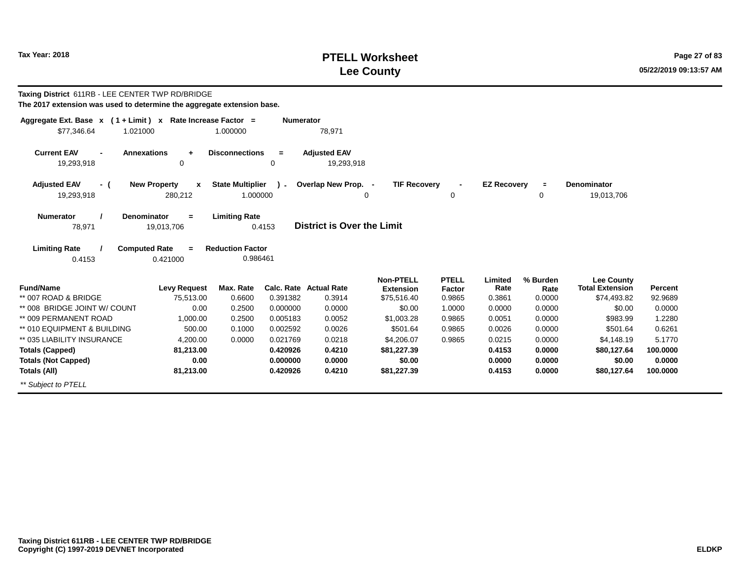\*\* Subject to PTELL

#### **PTELL WorksheetTax Year: 2018 POSES 27 of 83 POSES 27 of 83 POSES 27 of 83 POSES 27 of 83 Lee County**

**100.0000 0.0000100.0000**

0.4153 **Taxing District** 611RB - LEE CENTER TWP RD/BRIDGE **The 2017 extension was used to determine the aggregate extension base.Aggregate Ext. Base <sup>x</sup> <sup>x</sup> Rate Increase Factor <sup>=</sup>( 1 + Limit ) Numerator** 1.000000 78,971 **Annexations <sup>+</sup> Disconnections <sup>=</sup> Adjusted EAV**19,293,918 19,293,918 8 0 0 0 19,293,918 **( <sup>x</sup>New Property ) State Multiplier**\$77,346.64 1.02100019,293,918 280,212 1.000000 **Current EAV=**78,971 **District is Over the Limit Adjusted EAVNumerator / Denominator Limiting Rate**19,013,706**Limiting Rate / Computed Rate <sup>=</sup>**0.4153 0.421000 **Reduction Factor** 0.986461**Fund/Name Levy Request Max. Rate Calc. Rate Actual Rate Percent Non-PTELL Extension**\$75.516.40 **PTELL FactorFactor** Rate<br>0.9865 0.3861 0.3861 **Limited % Burden Rate Total Extension Lee County**\*\* 007 ROAD & BRIDGE 75,513.00 0.6600 0.391382 0.3914 \$75,516.40 0.9865 0.3861 0.0000 \$74,493.82 92.9689 \*\* 008 BRIDGE JOINT W/ COUNT 0.00 0.2500 0.000000 0.0000 \$0.00 1.0000 0.0000 0.0000 \$0.00 0.0000 \*\* 009 PERMANENT ROAD 1,000.00 0.2500 0.005183 0.0052 \$1,003.28 0.9865 0.0051 0.0000 \$983.99 1.2280 \*\* 010 EQUIPMENT & BUILDING 500.00 0.1000 0.002592 0.0026 \$501.64 0.9865 0.0026 0.0000 \$501.64 0.6261 \*\* 035 LIABILITY INSURANCE 4,200.00 0.0000 0.021769 0.0218 \$4,206.07 0.9865 0.0215 0.0000 \$4,148.19 5.1770 **Totals (Capped)Totals (Not Capped)Totals (All)81,213.00 0.00 81,213.000.420926 0.4210 0.000000 0.0000 0.420926 0.4210 \$80,127.64 \$0.00 \$80,127.64\$81,227.39 \$0.00 \$81,227.390.4153 0.0000 0.41530.0000 0.0000 0.0000 <sup>=</sup>TIF RecoveryE Denominator**<br>0 19.013 19,013,706 **- EZ Recovery**  $\Omega$  <sup>0</sup> **+-** $\Omega$ **Overlap New Prop.**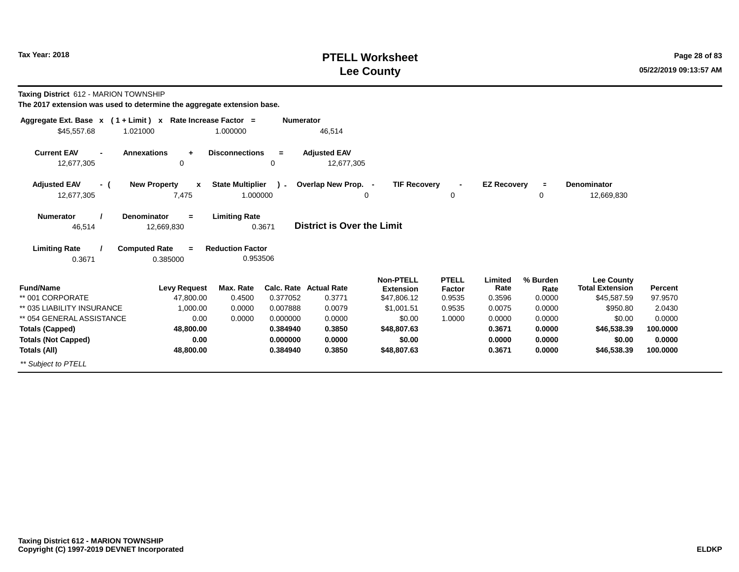# **PTELL Worksheet Tax Year: 2018 Page 28 of 83 Lee County**

**Taxing District** 612 - MARION TOWNSHIP

| Aggregate Ext. Base $x$ (1 + Limit) x Rate Increase Factor = |                          |                         | <b>Numerator</b> |                                   |                     |                |                    |          |                        |          |
|--------------------------------------------------------------|--------------------------|-------------------------|------------------|-----------------------------------|---------------------|----------------|--------------------|----------|------------------------|----------|
| \$45,557.68<br>1.021000                                      |                          | 1.000000                |                  | 46,514                            |                     |                |                    |          |                        |          |
| <b>Current EAV</b><br><b>Annexations</b><br>$\blacksquare$   | $\ddot{}$                | <b>Disconnections</b>   | $=$              | <b>Adjusted EAV</b>               |                     |                |                    |          |                        |          |
| 12,677,305                                                   | 0                        |                         | 0                | 12,677,305                        |                     |                |                    |          |                        |          |
| <b>Adjusted EAV</b><br>- (                                   | <b>New Property</b><br>x | <b>State Multiplier</b> | $\mathbf{r}$     | Overlap New Prop. -               | <b>TIF Recovery</b> | $\blacksquare$ | <b>EZ Recovery</b> | $\equiv$ | <b>Denominator</b>     |          |
| 12,677,305                                                   | 7,475                    | 1.000000                |                  |                                   | 0                   | 0              |                    | 0        | 12,669,830             |          |
| Denominator<br><b>Numerator</b>                              | $=$                      | <b>Limiting Rate</b>    |                  |                                   |                     |                |                    |          |                        |          |
| 46,514                                                       | 12,669,830               | 0.3671                  |                  | <b>District is Over the Limit</b> |                     |                |                    |          |                        |          |
| <b>Limiting Rate</b><br><b>Computed Rate</b>                 | $=$                      | <b>Reduction Factor</b> |                  |                                   |                     |                |                    |          |                        |          |
| 0.3671                                                       | 0.385000                 | 0.953506                |                  |                                   |                     |                |                    |          |                        |          |
|                                                              |                          |                         |                  |                                   | <b>Non-PTELL</b>    | <b>PTELL</b>   | Limited            | % Burden | <b>Lee County</b>      |          |
| <b>Fund/Name</b>                                             | <b>Levy Request</b>      | Max. Rate               |                  | <b>Calc. Rate Actual Rate</b>     | <b>Extension</b>    | Factor         | Rate               | Rate     | <b>Total Extension</b> | Percent  |
| ** 001 CORPORATE                                             | 47,800.00                | 0.4500                  | 0.377052         | 0.3771                            | \$47,806.12         | 0.9535         | 0.3596             | 0.0000   | \$45,587.59            | 97.9570  |
| ** 035 LIABILITY INSURANCE                                   | 1,000.00                 | 0.0000                  | 0.007888         | 0.0079                            | \$1,001.51          | 0.9535         | 0.0075             | 0.0000   | \$950.80               | 2.0430   |
| ** 054 GENERAL ASSISTANCE                                    | 0.00                     | 0.0000                  | 0.000000         | 0.0000                            | \$0.00              | 1.0000         | 0.0000             | 0.0000   | \$0.00                 | 0.0000   |
| <b>Totals (Capped)</b>                                       | 48,800.00                |                         | 0.384940         | 0.3850                            | \$48,807.63         |                | 0.3671             | 0.0000   | \$46,538.39            | 100.0000 |
| <b>Totals (Not Capped)</b>                                   | 0.00                     |                         | 0.000000         | 0.0000                            | \$0.00              |                | 0.0000             | 0.0000   | \$0.00                 | 0.0000   |
| Totals (All)                                                 | 48,800.00                |                         | 0.384940         | 0.3850                            | \$48,807.63         |                | 0.3671             | 0.0000   | \$46,538.39            | 100.0000 |
| ** Subject to PTELL                                          |                          |                         |                  |                                   |                     |                |                    |          |                        |          |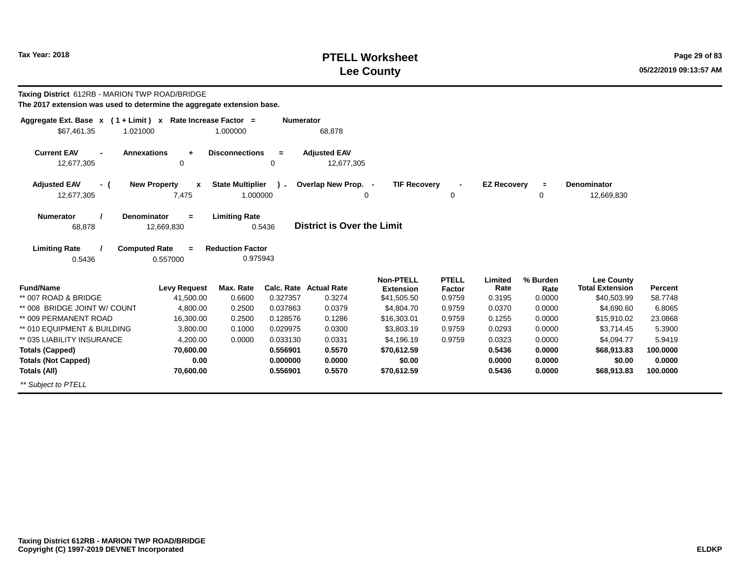12,677,305

# **PTELL Worksheet Tax Year:** 2018 **Page 29 of 83 Lee County**

0

**E** Denominator<br>0 12.669

**- EZ Recovery**

<sup>0</sup>

0

12,669,830

**Taxing District** 612RB - MARION TWP ROAD/BRIDGE **The 2017 extension was used to determine the aggregate extension base.Aggregate Ext. Base <sup>x</sup> <sup>x</sup> Rate Increase Factor <sup>=</sup>( 1 + Limit ) Numerator** 1.000000 68,878 **- Annexations <sup>+</sup> Disconnections <sup>=</sup> Adjusted EAV**12,677,305 12,677,305 <sup>0</sup> <sup>0</sup> 12,677,305 **( <sup>x</sup>New Property ) -State Multiplier +-Overlap New Prop.**1.021000 \$67,461.35 1.000000 **Current EAVAdjusted EAV<sup>=</sup>TIF Recovery**

0.5436 **=**68,878 **District is Over the Limit Numerator / Denominator Limiting Rate**12,669,830

7,475

**Limiting Rate / Computed Rate <sup>=</sup>**0.5436 0.557000 **Reduction Factor**0.975943

| <b>Fund/Name</b>             | Levy Request | Max. Rate | Calc. Rate | <b>Actual Rate</b> | <b>Non-PTELL</b><br><b>Extension</b> | <b>PTELL</b><br><b>Factor</b> | ∟imited<br>Rate | % Burden<br>Rate | <b>Lee County</b><br><b>Total Extension</b> | Percent  |
|------------------------------|--------------|-----------|------------|--------------------|--------------------------------------|-------------------------------|-----------------|------------------|---------------------------------------------|----------|
| ** 007 ROAD & BRIDGE         | 41.500.00    | 0.6600    | 0.327357   | 0.3274             | \$41,505.50                          | 0.9759                        | 0.3195          | 0.0000           | \$40,503.99                                 | 58.7748  |
| ** 008 BRIDGE JOINT W/ COUNT | 4,800.00     | 0.2500    | 0.037863   | 0.0379             | \$4,804.70                           | 0.9759                        | 0.0370          | 0.0000           | \$4,690.60                                  | 6.8065   |
| ** 009 PERMANENT ROAD        |              |           |            |                    |                                      |                               |                 |                  |                                             |          |
|                              | 16,300.00    | 0.2500    | 0.128576   | 0.1286             | \$16,303.01                          | 0.9759                        | 0.1255          | 0.0000           | \$15,910.02                                 | 23.0868  |
| ** 010 EQUIPMENT & BUILDING  | 3,800.00     | 0.1000    | 0.029975   | 0.0300             | \$3,803.19                           | 0.9759                        | 0.0293          | 0.0000           | \$3.714.45                                  | 5.3900   |
| ** 035 LIABILITY INSURANCE   | 4,200.00     | 0.0000    | 0.033130   | 0.0331             | \$4,196,19                           | 0.9759                        | 0.0323          | 0.0000           | \$4.094.77                                  | 5.9419   |
| <b>Totals (Capped)</b>       | 70,600.00    |           | 0.556901   | 0.5570             | \$70.612.59                          |                               | 0.5436          | 0.0000           | \$68,913.83                                 | 100.0000 |
| <b>Totals (Not Capped)</b>   | 0.00         |           | 0.000000   | 0.0000             | \$0.00                               |                               | 0.0000          | 0.0000           | \$0.00                                      | 0.0000   |
| Totals (All)                 | 70,600.00    |           | 0.556901   | 0.5570             | \$70,612.59                          |                               | 0.5436          | 0.0000           | \$68,913.83                                 | 100.0000 |
| ** Subject to PTELL          |              |           |            |                    |                                      |                               |                 |                  |                                             |          |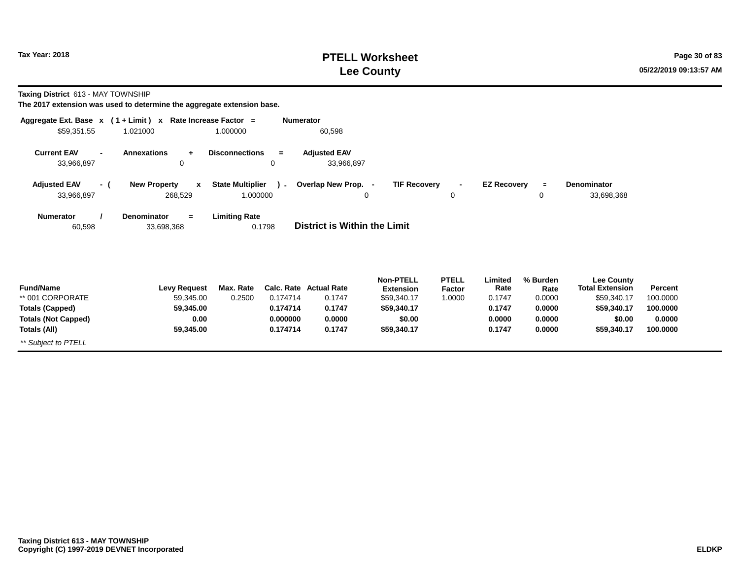# **PTELL Worksheet Tax Year: 2018 Page 30 of 83 Lee County**

**Taxing District** 613 - MAY TOWNSHIP

| Aggregate Ext. Base $x$ (1 + Limit) x Rate Increase Factor =<br>\$59,351.55<br>1.021000 | 1.000000                                                                  | <b>Numerator</b>   | 60,598                                  |                                                     |                                         |                           |                            |                                                            |                     |
|-----------------------------------------------------------------------------------------|---------------------------------------------------------------------------|--------------------|-----------------------------------------|-----------------------------------------------------|-----------------------------------------|---------------------------|----------------------------|------------------------------------------------------------|---------------------|
| <b>Current EAV</b><br>$\blacksquare$<br>33,966,897                                      | <b>Annexations</b><br><b>Disconnections</b><br>÷<br>0                     | $=$<br>0           | <b>Adjusted EAV</b><br>33,966,897       |                                                     |                                         |                           |                            |                                                            |                     |
| <b>Adjusted EAV</b><br>- (<br>33,966,897                                                | <b>State Multiplier</b><br><b>New Property</b><br>$\mathbf{x}$<br>268,529 | $\sim$<br>1.000000 | Overlap New Prop. -<br>0                | <b>TIF Recovery</b>                                 | $\blacksquare$<br>0                     | <b>EZ Recovery</b>        | $\equiv$<br>0              | Denominator<br>33,698,368                                  |                     |
| <b>Numerator</b><br>60,598                                                              | <b>Limiting Rate</b><br><b>Denominator</b><br>$=$<br>33,698,368           | 0.1798             | <b>District is Within the Limit</b>     |                                                     |                                         |                           |                            |                                                            |                     |
| <b>Fund/Name</b><br>** 001 CORPORATE                                                    | Max. Rate<br><b>Levy Request</b><br>59,345.00<br>0.2500                   | 0.174714           | <b>Calc. Rate Actual Rate</b><br>0.1747 | <b>Non-PTELL</b><br><b>Extension</b><br>\$59,340.17 | <b>PTELL</b><br><b>Factor</b><br>1.0000 | Limited<br>Rate<br>0.1747 | % Burden<br>Rate<br>0.0000 | <b>Lee County</b><br><b>Total Extension</b><br>\$59,340.17 | Percent<br>100.0000 |
| <b>Totals (Capped)</b>                                                                  | 59,345.00                                                                 | 0.174714           | 0.1747                                  | \$59,340.17                                         |                                         | 0.1747                    | 0.0000                     | \$59,340.17                                                | 100.0000            |
| <b>Totals (Not Capped)</b>                                                              | 0.00                                                                      | 0.000000           | 0.0000                                  | \$0.00                                              |                                         | 0.0000                    | 0.0000                     | \$0.00                                                     | 0.0000              |
| Totals (All)                                                                            | 59,345.00                                                                 | 0.174714           | 0.1747                                  | \$59,340.17                                         |                                         | 0.1747                    | 0.0000                     | \$59,340.17                                                | 100.0000            |
| ** Subject to PTELL                                                                     |                                                                           |                    |                                         |                                                     |                                         |                           |                            |                                                            |                     |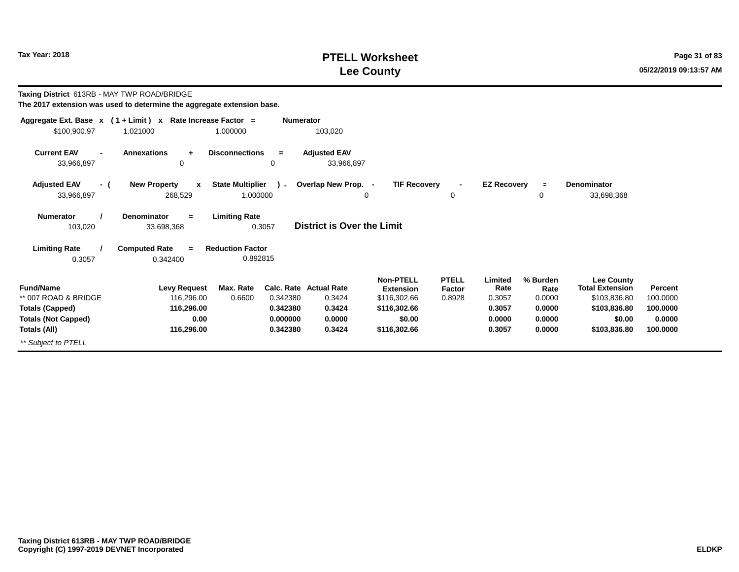# **PTELL Worksheet Tax Year: 2018 Page 31 of 83 PAGE 21 of 83 Lee County**

**Taxing District** 613RB - MAY TWP ROAD/BRIDGE

| Aggregate Ext. Base $x$ (1 + Limit) $x$            |                                                | Rate Increase Factor =<br><b>Numerator</b>    |                                   |                                                      |                                  |                           |                            |                                                             |                     |
|----------------------------------------------------|------------------------------------------------|-----------------------------------------------|-----------------------------------|------------------------------------------------------|----------------------------------|---------------------------|----------------------------|-------------------------------------------------------------|---------------------|
| \$100,900.97                                       | 1.021000                                       | 1.000000                                      | 103,020                           |                                                      |                                  |                           |                            |                                                             |                     |
| <b>Current EAV</b><br>$\blacksquare$<br>33,966,897 | <b>Annexations</b><br>$\ddot{}$<br>0           | <b>Disconnections</b><br>$=$<br>0             | <b>Adjusted EAV</b><br>33,966,897 |                                                      |                                  |                           |                            |                                                             |                     |
| <b>Adjusted EAV</b><br>- (<br>33,966,897           | <b>New Property</b><br>$\mathbf{x}$<br>268,529 | <b>State Multiplier</b><br>1.000000           | ) - Overlap New Prop. -<br>0      | <b>TIF Recovery</b>                                  | $\blacksquare$<br>0              | <b>EZ Recovery</b>        | $\blacksquare$<br>0        | <b>Denominator</b><br>33,698,368                            |                     |
| <b>Numerator</b><br>103,020                        | <b>Denominator</b><br>$\equiv$<br>33,698,368   | <b>Limiting Rate</b><br>0.3057                | <b>District is Over the Limit</b> |                                                      |                                  |                           |                            |                                                             |                     |
| <b>Limiting Rate</b><br>0.3057                     | <b>Computed Rate</b><br>$=$<br>0.342400        | <b>Reduction Factor</b><br>0.892815           |                                   |                                                      |                                  |                           |                            |                                                             |                     |
| <b>Fund/Name</b><br>** 007 ROAD & BRIDGE           | <b>Levy Request</b><br>116,296.00              | Max. Rate<br>Calc. Rate<br>0.6600<br>0.342380 | <b>Actual Rate</b><br>0.3424      | <b>Non-PTELL</b><br><b>Extension</b><br>\$116,302.66 | <b>PTELL</b><br>Factor<br>0.8928 | Limited<br>Rate<br>0.3057 | % Burden<br>Rate<br>0.0000 | <b>Lee County</b><br><b>Total Extension</b><br>\$103,836.80 | Percent<br>100.0000 |
| <b>Totals (Capped)</b>                             | 116,296.00                                     | 0.342380                                      | 0.3424                            | \$116,302.66                                         |                                  | 0.3057                    | 0.0000                     | \$103,836.80                                                | 100.0000            |
| <b>Totals (Not Capped)</b>                         | 0.00                                           | 0.000000                                      | 0.0000                            | \$0.00                                               |                                  | 0.0000                    | 0.0000                     | \$0.00                                                      | 0.0000              |
| Totals (All)                                       | 116,296.00                                     | 0.342380                                      | 0.3424                            | \$116,302.66                                         |                                  | 0.3057                    | 0.0000                     | \$103,836.80                                                | 100.0000            |
| ** Subject to PTELL                                |                                                |                                               |                                   |                                                      |                                  |                           |                            |                                                             |                     |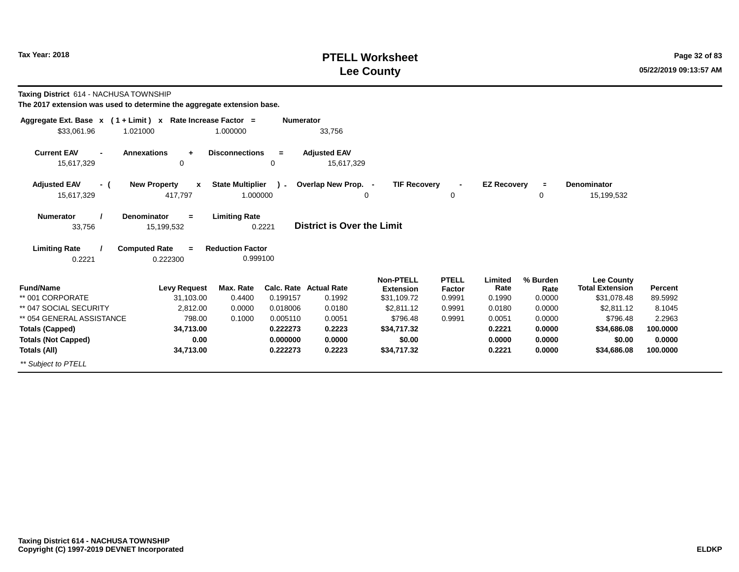# **PTELL Worksheet Tax Year: 2018 Page 32 of 83 PAGE 2018 PAGE 2018 Page 32 of 83 Lee County**

**Taxing District** 614 - NACHUSA TOWNSHIP

| Aggregate Ext. Base $x$ (1 + Limit) $x$            | Rate Increase Factor =                  | <b>Numerator</b>                                    |                                   |                                      |                        |                    |                  |                                             |          |
|----------------------------------------------------|-----------------------------------------|-----------------------------------------------------|-----------------------------------|--------------------------------------|------------------------|--------------------|------------------|---------------------------------------------|----------|
| \$33,061.96<br>1.021000                            |                                         | 1.000000                                            | 33,756                            |                                      |                        |                    |                  |                                             |          |
| <b>Current EAV</b><br>$\blacksquare$<br>15,617,329 | <b>Annexations</b><br>$\ddot{}$<br>0    | <b>Disconnections</b><br>$=$<br>0                   | <b>Adjusted EAV</b><br>15,617,329 |                                      |                        |                    |                  |                                             |          |
| <b>Adjusted EAV</b><br>- (<br>15,617,329           | <b>New Property</b><br>x<br>417,797     | <b>State Multiplier</b><br>$\mathbf{r}$<br>1.000000 | Overlap New Prop. -<br>0          | <b>TIF Recovery</b>                  | 0                      | <b>EZ Recovery</b> | $\equiv$<br>0    | Denominator<br>15,199,532                   |          |
| <b>Numerator</b><br>33,756                         | Denominator<br>$\equiv$<br>15,199,532   | <b>Limiting Rate</b><br>0.2221                      | <b>District is Over the Limit</b> |                                      |                        |                    |                  |                                             |          |
| <b>Limiting Rate</b><br>0.2221                     | <b>Computed Rate</b><br>$=$<br>0.222300 | <b>Reduction Factor</b><br>0.999100                 |                                   |                                      |                        |                    |                  |                                             |          |
| <b>Fund/Name</b>                                   | <b>Levy Request</b>                     | Max. Rate                                           | <b>Calc. Rate Actual Rate</b>     | <b>Non-PTELL</b><br><b>Extension</b> | <b>PTELL</b><br>Factor | Limited<br>Rate    | % Burden<br>Rate | <b>Lee County</b><br><b>Total Extension</b> | Percent  |
| ** 001 CORPORATE                                   | 31,103.00                               | 0.4400<br>0.199157                                  | 0.1992                            | \$31,109.72                          | 0.9991                 | 0.1990             | 0.0000           | \$31,078.48                                 | 89.5992  |
| ** 047 SOCIAL SECURITY                             | 2,812.00                                | 0.0000<br>0.018006                                  | 0.0180                            | \$2,811.12                           | 0.9991                 | 0.0180             | 0.0000           | \$2,811.12                                  | 8.1045   |
| ** 054 GENERAL ASSISTANCE                          | 798.00                                  | 0.1000<br>0.005110                                  | 0.0051                            | \$796.48                             | 0.9991                 | 0.0051             | 0.0000           | \$796.48                                    | 2.2963   |
| <b>Totals (Capped)</b>                             | 34,713.00                               | 0.222273                                            | 0.2223                            | \$34,717.32                          |                        | 0.2221             | 0.0000           | \$34,686.08                                 | 100.0000 |
| <b>Totals (Not Capped)</b>                         | 0.00                                    | 0.000000                                            | 0.0000                            | \$0.00                               |                        | 0.0000             | 0.0000           | \$0.00                                      | 0.0000   |
| Totals (All)                                       | 34,713.00                               | 0.222273                                            | 0.2223                            | \$34,717.32                          |                        | 0.2221             | 0.0000           | \$34,686.08                                 | 100.0000 |
| ** Subject to PTELL                                |                                         |                                                     |                                   |                                      |                        |                    |                  |                                             |          |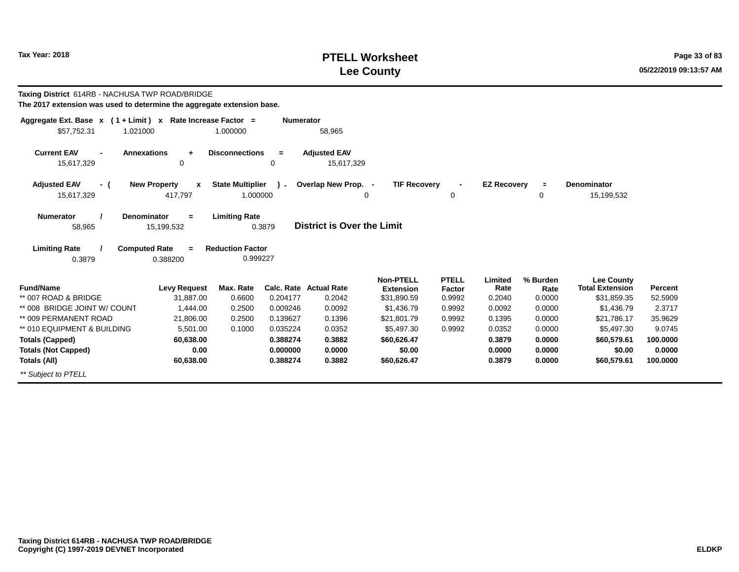# **PTELL Worksheet Tax Year:** 2018 **Page 33 of 83 Lee County**

| Taxing District 614RB - NACHUSA TWP ROAD/BRIDGE<br>The 2017 extension was used to determine the aggregate extension base. |                                               |                                     |                  |                                         |                                                     |                                         |                           |                            |                                                            |                    |
|---------------------------------------------------------------------------------------------------------------------------|-----------------------------------------------|-------------------------------------|------------------|-----------------------------------------|-----------------------------------------------------|-----------------------------------------|---------------------------|----------------------------|------------------------------------------------------------|--------------------|
| Aggregate Ext. Base x (1 + Limit) x Rate Increase Factor =<br>\$57,752.31<br>1.021000                                     |                                               | 1.000000                            | <b>Numerator</b> | 58,965                                  |                                                     |                                         |                           |                            |                                                            |                    |
| <b>Current EAV</b><br><b>Annexations</b><br>15,617,329                                                                    | ÷<br>0                                        | <b>Disconnections</b>               | $=$<br>0         | <b>Adjusted EAV</b><br>15,617,329       |                                                     |                                         |                           |                            |                                                            |                    |
| <b>Adjusted EAV</b><br>- (<br>15,617,329                                                                                  | <b>New Property</b><br>$\mathbf x$<br>417.797 | <b>State Multiplier</b><br>1.000000 | ι.               | Overlap New Prop. -                     | <b>TIF Recovery</b><br>0                            | $\mathbf 0$                             | <b>EZ Recovery</b>        | $\equiv$<br>0              | <b>Denominator</b><br>15,199,532                           |                    |
| <b>Numerator</b><br><b>Denominator</b><br>58,965                                                                          | $\equiv$<br>15,199,532                        | <b>Limiting Rate</b>                | 0.3879           | <b>District is Over the Limit</b>       |                                                     |                                         |                           |                            |                                                            |                    |
| <b>Limiting Rate</b><br><b>Computed Rate</b><br>0.3879                                                                    | $\equiv$<br>0.388200                          | <b>Reduction Factor</b><br>0.999227 |                  |                                         |                                                     |                                         |                           |                            |                                                            |                    |
| <b>Fund/Name</b><br>** 007 ROAD & BRIDGE                                                                                  | <b>Levy Request</b><br>31.887.00              | Max. Rate<br>0.6600                 | 0.204177         | <b>Calc. Rate Actual Rate</b><br>0.2042 | <b>Non-PTELL</b><br><b>Extension</b><br>\$31,890.59 | <b>PTELL</b><br><b>Factor</b><br>0.9992 | Limited<br>Rate<br>0.2040 | % Burden<br>Rate<br>0.0000 | <b>Lee County</b><br><b>Total Extension</b><br>\$31,859.35 | Percent<br>52.5909 |
| ** 008 BRIDGE JOINT W/ COUNT                                                                                              | 1,444.00                                      | 0.2500                              | 0.009246         | 0.0092                                  | \$1,436.79                                          | 0.9992                                  | 0.0092                    | 0.0000                     | \$1,436.79                                                 | 2.3717             |
| ** 009 PERMANENT ROAD                                                                                                     | 21,806.00                                     | 0.2500                              | 0.139627         | 0.1396                                  | \$21,801.79                                         | 0.9992                                  | 0.1395                    | 0.0000                     | \$21,786.17                                                | 35.9629            |
| ** 010 EQUIPMENT & BUILDING                                                                                               | 5,501.00                                      | 0.1000                              | 0.035224         | 0.0352                                  | \$5,497.30                                          | 0.9992                                  | 0.0352                    | 0.0000                     | \$5,497.30                                                 | 9.0745             |
| <b>Totals (Capped)</b>                                                                                                    | 60,638.00                                     |                                     | 0.388274         | 0.3882                                  | \$60,626.47                                         |                                         | 0.3879                    | 0.0000                     | \$60,579.61                                                | 100.0000           |
| <b>Totals (Not Capped)</b>                                                                                                | 0.00                                          |                                     | 0.000000         | 0.0000                                  | \$0.00                                              |                                         | 0.0000                    | 0.0000                     | \$0.00                                                     | 0.0000             |
| Totals (All)                                                                                                              | 60,638.00                                     |                                     | 0.388274         | 0.3882                                  | \$60,626.47                                         |                                         | 0.3879                    | 0.0000                     | \$60,579.61                                                | 100.0000           |
| ** Subject to PTELL                                                                                                       |                                               |                                     |                  |                                         |                                                     |                                         |                           |                            |                                                            |                    |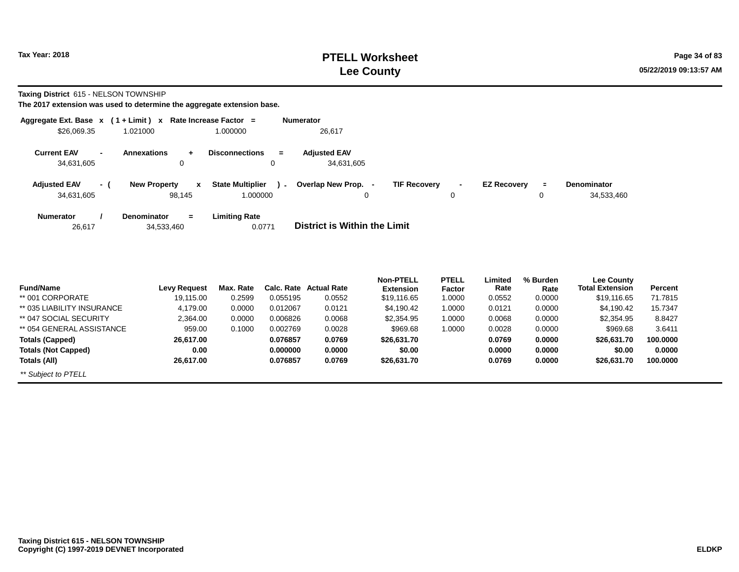# **PTELL Worksheet Tax Year: 2018 Page 34 of 83 Lee County**

**Taxing District** 615 - NELSON TOWNSHIP

| Aggregate Ext. Base $x$ (1 + Limit) $x$ |                          |                                         | Rate Increase Factor =                        | <b>Numerator</b>                                                                                                          |
|-----------------------------------------|--------------------------|-----------------------------------------|-----------------------------------------------|---------------------------------------------------------------------------------------------------------------------------|
| \$26,069.35                             |                          | 1.021000                                | 1.000000                                      | 26,617                                                                                                                    |
| <b>Current EAV</b><br>34,631,605        | $\overline{\phantom{a}}$ | Annexations<br>$\ddot{}$<br>0           | <b>Disconnections</b><br>$\equiv$<br>0        | <b>Adjusted EAV</b><br>34,631,605                                                                                         |
| <b>Adjusted EAV</b><br>34,631,605       | - 1                      | <b>New Property</b><br>x<br>98,145      | <b>State Multiplier</b><br>$\sim$<br>1.000000 | Overlap New Prop. -<br><b>TIF Recovery</b><br><b>EZ Recovery</b><br><b>Denominator</b><br>Ξ.<br>34,533,460<br>0<br>0<br>0 |
| <b>Numerator</b><br>26,617              |                          | <b>Denominator</b><br>$=$<br>34,533,460 | <b>Limiting Rate</b><br>0.0771                | District is Within the Limit                                                                                              |

| <b>Fund/Name</b>           | Levy Request | Max. Rate | Calc. Rate | <b>Actual Rate</b> | <b>Non-PTELL</b><br><b>Extension</b> | <b>PTELL</b><br>Factor | Limited<br>Rate | % Burden<br>Rate | Lee County<br><b>Total Extension</b> | Percent  |
|----------------------------|--------------|-----------|------------|--------------------|--------------------------------------|------------------------|-----------------|------------------|--------------------------------------|----------|
| ** 001 CORPORATE           | 19.115.00    | 0.2599    | 0.055195   | 0.0552             | \$19,116.65                          | 1.0000                 | 0.0552          | 0.0000           | \$19.116.65                          | 71.7815  |
| ** 035 LIABILITY INSURANCE | 4,179.00     | 0.0000    | 0.012067   | 0.0121             | \$4,190.42                           | 1.0000                 | 0.0121          | 0.0000           | \$4,190.42                           | 15.7347  |
| ** 047 SOCIAL SECURITY     | 2,364.00     | 0.0000    | 0.006826   | 0.0068             | \$2,354.95                           | 1.0000                 | 0.0068          | 0.0000           | \$2,354.95                           | 8.8427   |
| ** 054 GENERAL ASSISTANCE  | 959.00       | 0.1000    | 0.002769   | 0.0028             | \$969.68                             | 1.0000                 | 0.0028          | 0.0000           | \$969.68                             | 3.6411   |
| Totals (Capped)            | 26,617.00    |           | 0.076857   | 0.0769             | \$26,631.70                          |                        | 0.0769          | 0.0000           | \$26,631.70                          | 100.0000 |
| <b>Totals (Not Capped)</b> | 0.00         |           | 0.000000   | 0.0000             | \$0.00                               |                        | 0.0000          | 0.0000           | \$0.00                               | 0.0000   |
| Totals (All)               | 26,617.00    |           | 0.076857   | 0.0769             | \$26,631.70                          |                        | 0.0769          | 0.0000           | \$26,631.70                          | 100.0000 |
| ** Subject to PTELL        |              |           |            |                    |                                      |                        |                 |                  |                                      |          |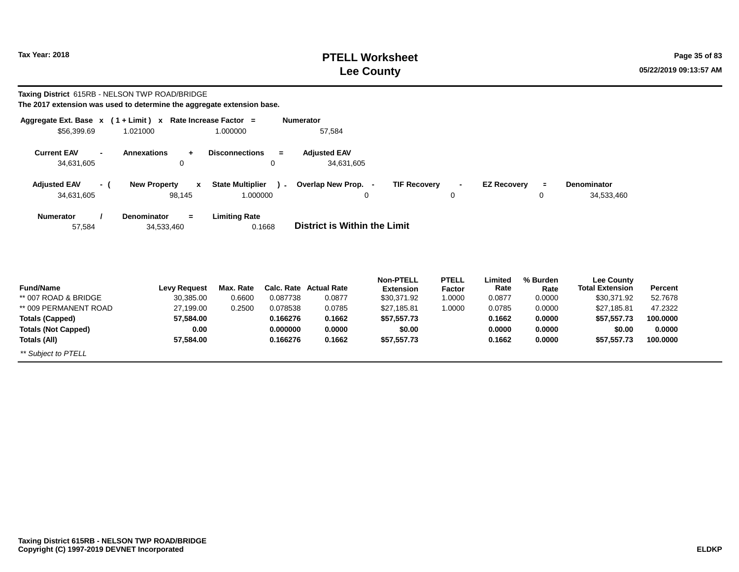# **PTELL Worksheet Tax Year: 2018 Page 35 of 83 Lee County**

**Taxing District** 615RB - NELSON TWP ROAD/BRIDGE

| The 2017 extension was used to determine the aggregate extension base. |  |
|------------------------------------------------------------------------|--|
|------------------------------------------------------------------------|--|

| Aggregate Ext. Base $x$ (1 + Limit) x Rate Increase Factor = |                                     |                         | <b>Numerator</b> |                                     |                     |                |                    |          |                        |          |
|--------------------------------------------------------------|-------------------------------------|-------------------------|------------------|-------------------------------------|---------------------|----------------|--------------------|----------|------------------------|----------|
| \$56,399.69                                                  | 1.021000                            | 1.000000                |                  | 57,584                              |                     |                |                    |          |                        |          |
| <b>Current EAV</b><br>$\blacksquare$                         | <b>Annexations</b><br>$\ddot{}$     | <b>Disconnections</b>   | $=$              | <b>Adjusted EAV</b>                 |                     |                |                    |          |                        |          |
| 34,631,605                                                   | 0                                   |                         | 0                | 34,631,605                          |                     |                |                    |          |                        |          |
| <b>Adjusted EAV</b><br>- (                                   | <b>New Property</b><br>$\mathbf{x}$ | <b>State Multiplier</b> | $\sim$           | Overlap New Prop. -                 | <b>TIF Recovery</b> | $\blacksquare$ | <b>EZ Recovery</b> | $\equiv$ | Denominator            |          |
| 34,631,605                                                   | 98,145                              | 1.000000                |                  |                                     | 0                   | 0              |                    | 0        | 34,533,460             |          |
| <b>Numerator</b>                                             | Denominator<br>$=$                  | <b>Limiting Rate</b>    |                  |                                     |                     |                |                    |          |                        |          |
| 57,584                                                       | 34,533,460                          |                         | 0.1668           | <b>District is Within the Limit</b> |                     |                |                    |          |                        |          |
|                                                              |                                     |                         |                  |                                     |                     |                |                    |          |                        |          |
|                                                              |                                     |                         |                  |                                     |                     |                |                    |          |                        |          |
|                                                              |                                     |                         |                  |                                     | <b>Non-PTELL</b>    | <b>PTELL</b>   | Limited            | % Burden | Lee County             |          |
| <b>Fund/Name</b>                                             | <b>Levy Request</b>                 | Max. Rate               |                  | Calc. Rate Actual Rate              | <b>Extension</b>    | Factor         | Rate               | Rate     | <b>Total Extension</b> | Percent  |
| ** 007 ROAD & BRIDGE                                         | 30,385.00                           | 0.6600                  | 0.087738         | 0.0877                              | \$30,371.92         | 1.0000         | 0.0877             | 0.0000   | \$30,371.92            | 52.7678  |
| ** 009 PERMANENT ROAD                                        | 27,199.00                           | 0.2500                  | 0.078538         | 0.0785                              | \$27,185.81         | 1.0000         | 0.0785             | 0.0000   | \$27,185.81            | 47.2322  |
| <b>Totals (Capped)</b>                                       | 57,584.00                           |                         | 0.166276         | 0.1662                              | \$57,557.73         |                | 0.1662             | 0.0000   | \$57,557.73            | 100.0000 |
| <b>Totals (Not Capped)</b>                                   | 0.00                                |                         | 0.000000         | 0.0000                              | \$0.00              |                | 0.0000             | 0.0000   | \$0.00                 | 0.0000   |
| Totals (All)                                                 | 57,584.00                           |                         | 0.166276         | 0.1662                              | \$57,557.73         |                | 0.1662             | 0.0000   | \$57,557.73            | 100.0000 |
| ** Subject to PTELL                                          |                                     |                         |                  |                                     |                     |                |                    |          |                        |          |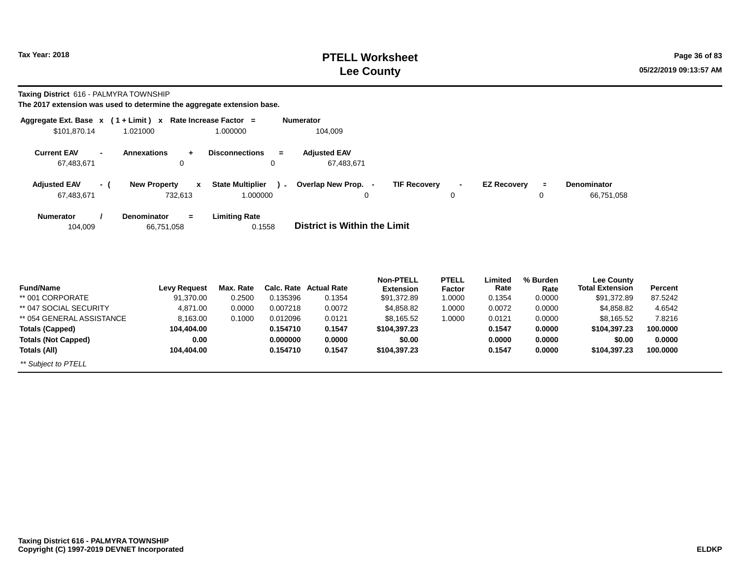# **PTELL Worksheet Tax Year: 2018 Page 36 of 83 Lee County**

**Taxing District** 616 - PALMYRA TOWNSHIP

|                                   |                          | Aggregate Ext. Base $x$ (1 + Limit) x Rate Increase Factor = |                                                  | <b>Numerator</b>                                                                                                                          |
|-----------------------------------|--------------------------|--------------------------------------------------------------|--------------------------------------------------|-------------------------------------------------------------------------------------------------------------------------------------------|
| \$101,870.14                      |                          | 1.021000                                                     | 1.000000                                         | 104,009                                                                                                                                   |
| <b>Current EAV</b><br>67,483,671  | $\overline{\phantom{a}}$ | <b>Annexations</b><br>$\mathbf 0$                            | <b>Disconnections</b><br>$\equiv$<br>0           | <b>Adjusted EAV</b><br>67,483,671                                                                                                         |
| <b>Adjusted EAV</b><br>67,483,671 | - (                      | <b>New Property</b><br>$\mathbf{x}$<br>732,613               | <b>State Multiplier</b><br>$\lambda$<br>1.000000 | <b>TIF Recovery</b><br>Overlap New Prop. -<br><b>EZ Recoverv</b><br><b>Denominator</b><br>$\equiv$<br>$\sim$<br>66,751,058<br>0<br>0<br>0 |
| <b>Numerator</b><br>104,009       |                          | <b>Denominator</b><br>$=$<br>66,751,058                      | <b>Limiting Rate</b><br>0.1558                   | District is Within the Limit                                                                                                              |
|                                   |                          |                                                              |                                                  |                                                                                                                                           |

| <b>Fund/Name</b>           | Levy Request | Max. Rate |          | Calc. Rate Actual Rate | <b>Non-PTELL</b><br><b>Extension</b> | <b>PTELL</b> | Limited<br>Rate | % Burden | <b>Lee County</b><br><b>Total Extension</b> | Percent  |  |
|----------------------------|--------------|-----------|----------|------------------------|--------------------------------------|--------------|-----------------|----------|---------------------------------------------|----------|--|
|                            |              |           |          |                        |                                      | Factor       |                 | Rate     |                                             |          |  |
| ** 001 CORPORATE           | 91,370.00    | 0.2500    | 0.135396 | 0.1354                 | \$91,372.89                          | 1.0000       | 0.1354          | 0.0000   | \$91,372.89                                 | 87.5242  |  |
| ** 047 SOCIAL SECURITY     | 4,871.00     | 0.0000    | 0.007218 | 0.0072                 | \$4,858.82                           | 1.0000       | 0.0072          | 0.0000   | \$4,858.82                                  | 4.6542   |  |
| ** 054 GENERAL ASSISTANCE  | 8.163.00     | 0.1000    | 0.012096 | 0.0121                 | \$8.165.52                           | 1.0000       | 0.0121          | 0.0000   | \$8.165.52                                  | 7.8216   |  |
| <b>Totals (Capped)</b>     | 104.404.00   |           | 0.154710 | 0.1547                 | \$104,397.23                         |              | 0.1547          | 0.0000   | \$104,397.23                                | 100.0000 |  |
| <b>Totals (Not Capped)</b> | 0.00         |           | 0.000000 | 0.0000                 | \$0.00                               |              | 0.0000          | 0.0000   | \$0.00                                      | 0.0000   |  |
| Totals (All)               | 104.404.00   |           | 0.154710 | 0.1547                 | \$104,397.23                         |              | 0.1547          | 0.0000   | \$104,397.23                                | 100.0000 |  |
| ** Subject to PTELL        |              |           |          |                        |                                      |              |                 |          |                                             |          |  |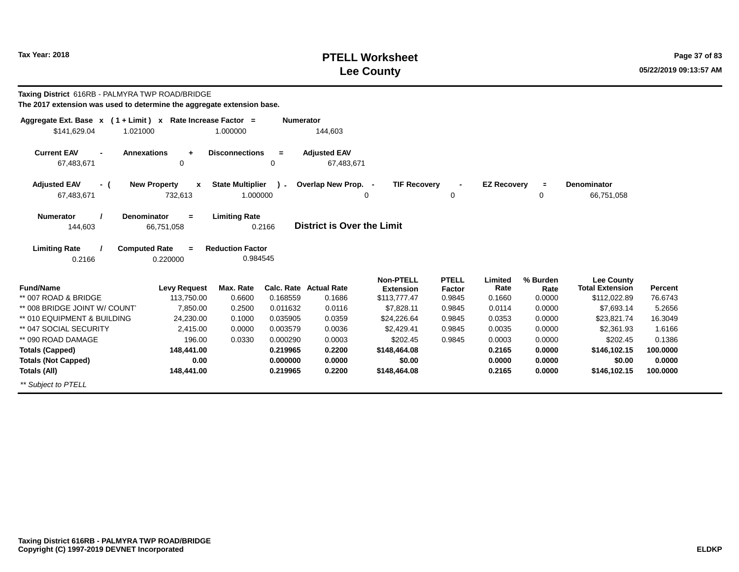# **PTELL Worksheet Tax Year: 2018 Page 37 of 83 Lee County**

| <b>Taxing District 616RB - PALMYRA TWP ROAD/BRIDGE</b><br>The 2017 extension was used to determine the aggregate extension base. |                                     |                                     |                  |                                         |                                                      |                                  |                           |                            |                                                             |                    |
|----------------------------------------------------------------------------------------------------------------------------------|-------------------------------------|-------------------------------------|------------------|-----------------------------------------|------------------------------------------------------|----------------------------------|---------------------------|----------------------------|-------------------------------------------------------------|--------------------|
| Aggregate Ext. Base $x$ (1 + Limit) x Rate Increase Factor =<br>\$141,629.04<br>1.021000                                         |                                     | 1.000000                            | <b>Numerator</b> | 144,603                                 |                                                      |                                  |                           |                            |                                                             |                    |
| <b>Current EAV</b><br><b>Annexations</b><br>67,483,671                                                                           | $\ddot{}$<br>0                      | <b>Disconnections</b>               | $=$<br>0         | <b>Adjusted EAV</b><br>67,483,671       |                                                      |                                  |                           |                            |                                                             |                    |
| <b>Adjusted EAV</b><br>- (<br>67,483,671                                                                                         | <b>New Property</b><br>x<br>732,613 | <b>State Multiplier</b><br>1.000000 | $\sim$           | Overlap New Prop. -                     | <b>TIF Recovery</b><br>0                             | 0                                | <b>EZ Recovery</b>        | $\equiv$<br>0              | <b>Denominator</b><br>66,751,058                            |                    |
| <b>Denominator</b><br><b>Numerator</b><br>144,603                                                                                | $\equiv$<br>66,751,058              | <b>Limiting Rate</b>                | 0.2166           | District is Over the Limit              |                                                      |                                  |                           |                            |                                                             |                    |
| <b>Computed Rate</b><br><b>Limiting Rate</b><br>0.2166                                                                           | $\equiv$<br>0.220000                | <b>Reduction Factor</b><br>0.984545 |                  |                                         |                                                      |                                  |                           |                            |                                                             |                    |
| <b>Fund/Name</b><br>** 007 ROAD & BRIDGE                                                                                         | <b>Levy Request</b><br>113,750.00   | Max. Rate<br>0.6600                 | 0.168559         | <b>Calc. Rate Actual Rate</b><br>0.1686 | <b>Non-PTELL</b><br><b>Extension</b><br>\$113,777.47 | <b>PTELL</b><br>Factor<br>0.9845 | Limited<br>Rate<br>0.1660 | % Burden<br>Rate<br>0.0000 | <b>Lee County</b><br><b>Total Extension</b><br>\$112,022.89 | Percent<br>76.6743 |
| ** 008 BRIDGE JOINT W/ COUNT                                                                                                     | 7.850.00                            | 0.2500                              | 0.011632         | 0.0116                                  | \$7,828.11                                           | 0.9845                           | 0.0114                    | 0.0000                     | \$7,693.14                                                  | 5.2656             |
| ** 010 EQUIPMENT & BUILDING                                                                                                      | 24,230.00                           | 0.1000                              | 0.035905         | 0.0359                                  | \$24,226.64                                          | 0.9845                           | 0.0353                    | 0.0000                     | \$23,821.74                                                 | 16.3049            |
| ** 047 SOCIAL SECURITY                                                                                                           | 2.415.00                            | 0.0000                              | 0.003579         | 0.0036                                  | \$2.429.41                                           | 0.9845                           | 0.0035                    | 0.0000                     | \$2,361.93                                                  | 1.6166             |
| ** 090 ROAD DAMAGE                                                                                                               | 196.00                              | 0.0330                              | 0.000290         | 0.0003                                  | \$202.45                                             | 0.9845                           | 0.0003                    | 0.0000                     | \$202.45                                                    | 0.1386             |
| <b>Totals (Capped)</b>                                                                                                           | 148,441.00                          |                                     | 0.219965         | 0.2200                                  | \$148,464.08                                         |                                  | 0.2165                    | 0.0000                     | \$146,102.15                                                | 100.0000           |
| <b>Totals (Not Capped)</b>                                                                                                       | 0.00                                |                                     | 0.000000         | 0.0000                                  | \$0.00                                               |                                  | 0.0000                    | 0.0000                     | \$0.00                                                      | 0.0000             |
| Totals (All)                                                                                                                     | 148,441.00                          |                                     | 0.219965         | 0.2200                                  | \$148,464.08                                         |                                  | 0.2165                    | 0.0000                     | \$146,102.15                                                | 100.0000           |
| ** Subject to PTELL                                                                                                              |                                     |                                     |                  |                                         |                                                      |                                  |                           |                            |                                                             |                    |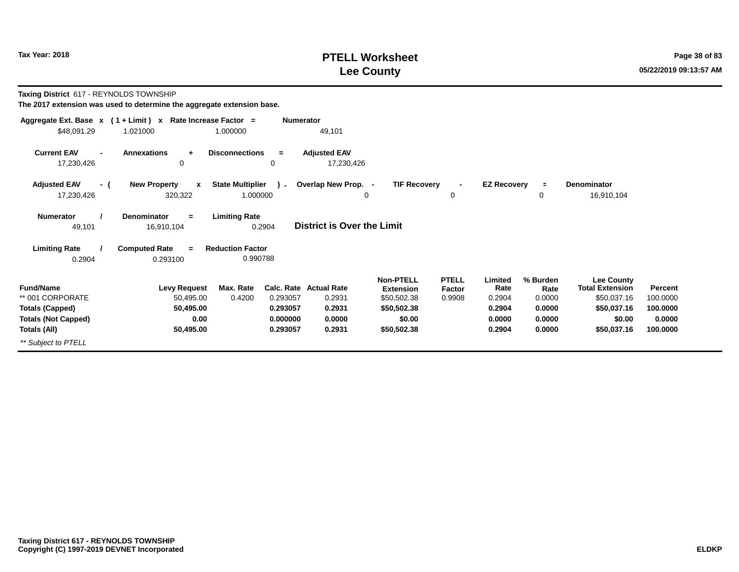# **PTELL Worksheet Tax Year: 2018 Page 38 of 83 PAGE 2018 Page 38 of 83 Lee County**

**Taxing District** 617 - REYNOLDS TOWNSHIP

| Aggregate Ext. Base $x$ (1 + Limit) $x$                                                                      |                                                                    | Rate Increase Factor =<br><b>Numerator</b>                          |                                                                |                                                                                             |                                  |                                                         |                                                          |                                                                                                    |                                                       |
|--------------------------------------------------------------------------------------------------------------|--------------------------------------------------------------------|---------------------------------------------------------------------|----------------------------------------------------------------|---------------------------------------------------------------------------------------------|----------------------------------|---------------------------------------------------------|----------------------------------------------------------|----------------------------------------------------------------------------------------------------|-------------------------------------------------------|
| \$48,091.29                                                                                                  | 1.021000                                                           | 1.000000                                                            | 49,101                                                         |                                                                                             |                                  |                                                         |                                                          |                                                                                                    |                                                       |
| <b>Current EAV</b><br>$\blacksquare$<br>17,230,426                                                           | <b>Annexations</b><br>$\ddot{}$<br>0                               | <b>Disconnections</b><br>$=$<br>0                                   | <b>Adjusted EAV</b><br>17,230,426                              |                                                                                             |                                  |                                                         |                                                          |                                                                                                    |                                                       |
| <b>Adjusted EAV</b><br>- (<br>17,230,426                                                                     | <b>New Property</b><br>$\mathbf{x}$<br>320,322                     | <b>State Multiplier</b><br>$\sim$<br>1.000000                       | Overlap New Prop. -<br>$\Omega$                                | <b>TIF Recovery</b>                                                                         | $\blacksquare$<br>0              | <b>EZ Recovery</b>                                      | $\equiv$<br>0                                            | <b>Denominator</b><br>16,910,104                                                                   |                                                       |
| <b>Numerator</b><br>49,101                                                                                   | <b>Denominator</b><br>$\equiv$<br>16,910,104                       | <b>Limiting Rate</b><br>0.2904                                      | <b>District is Over the Limit</b>                              |                                                                                             |                                  |                                                         |                                                          |                                                                                                    |                                                       |
| <b>Limiting Rate</b><br>0.2904                                                                               | <b>Computed Rate</b><br>$\equiv$<br>0.293100                       | <b>Reduction Factor</b><br>0.990788                                 |                                                                |                                                                                             |                                  |                                                         |                                                          |                                                                                                    |                                                       |
| <b>Fund/Name</b><br>** 001 CORPORATE<br><b>Totals (Capped)</b><br><b>Totals (Not Capped)</b><br>Totals (All) | <b>Levy Request</b><br>50,495.00<br>50,495.00<br>0.00<br>50,495.00 | Max. Rate<br>0.4200<br>0.293057<br>0.293057<br>0.000000<br>0.293057 | Calc. Rate Actual Rate<br>0.2931<br>0.2931<br>0.0000<br>0.2931 | <b>Non-PTELL</b><br><b>Extension</b><br>\$50,502.38<br>\$50,502.38<br>\$0.00<br>\$50,502.38 | <b>PTELL</b><br>Factor<br>0.9908 | Limited<br>Rate<br>0.2904<br>0.2904<br>0.0000<br>0.2904 | % Burden<br>Rate<br>0.0000<br>0.0000<br>0.0000<br>0.0000 | <b>Lee County</b><br><b>Total Extension</b><br>\$50,037.16<br>\$50,037.16<br>\$0.00<br>\$50,037.16 | Percent<br>100.0000<br>100.0000<br>0.0000<br>100.0000 |
| ** Subject to PTELL                                                                                          |                                                                    |                                                                     |                                                                |                                                                                             |                                  |                                                         |                                                          |                                                                                                    |                                                       |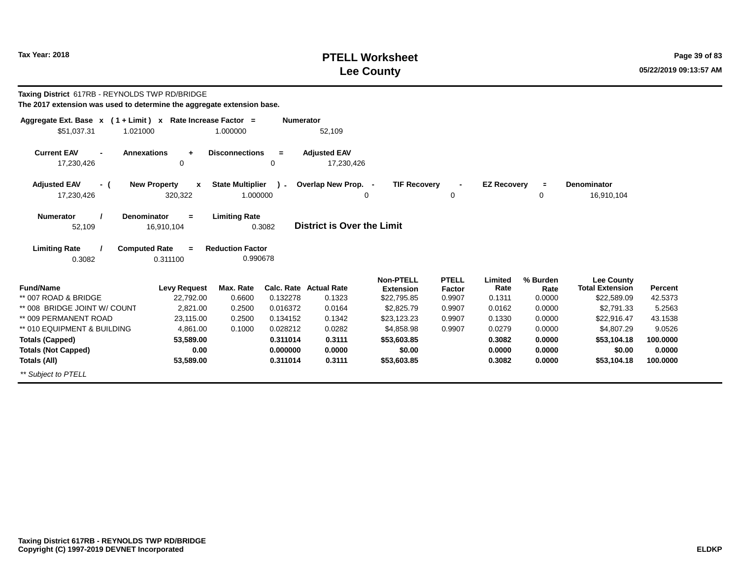# **PTELL Worksheet Tax Year: 2018 Page 39 of 83 Lee County**

| Taxing District 617RB - REYNOLDS TWP RD/BRIDGE<br>The 2017 extension was used to determine the aggregate extension base. |                                               |                                     |                  |                                         |                                                     |                                  |                           |                            |                                                            |                    |
|--------------------------------------------------------------------------------------------------------------------------|-----------------------------------------------|-------------------------------------|------------------|-----------------------------------------|-----------------------------------------------------|----------------------------------|---------------------------|----------------------------|------------------------------------------------------------|--------------------|
| Aggregate Ext. Base x (1 + Limit) x Rate Increase Factor =<br>\$51,037.31<br>1.021000                                    |                                               | 1.000000                            | <b>Numerator</b> | 52,109                                  |                                                     |                                  |                           |                            |                                                            |                    |
| <b>Current EAV</b><br><b>Annexations</b><br>17,230,426                                                                   | $\ddot{}$<br>0                                | <b>Disconnections</b>               | $=$<br>0         | <b>Adjusted EAV</b><br>17,230,426       |                                                     |                                  |                           |                            |                                                            |                    |
| <b>Adjusted EAV</b><br>- (<br>17,230,426                                                                                 | <b>New Property</b><br>$\mathbf x$<br>320,322 | <b>State Multiplier</b><br>1.000000 | $\mathcal{L}$    | Overlap New Prop. -                     | <b>TIF Recovery</b><br>0                            | $\Omega$                         | <b>EZ Recovery</b>        | $\equiv$<br>0              | Denominator<br>16,910,104                                  |                    |
| <b>Denominator</b><br><b>Numerator</b><br>52,109                                                                         | $=$<br>16,910,104                             | <b>Limiting Rate</b>                | 0.3082           | <b>District is Over the Limit</b>       |                                                     |                                  |                           |                            |                                                            |                    |
| <b>Limiting Rate</b><br><b>Computed Rate</b><br>0.3082                                                                   | $\equiv$<br>0.311100                          | <b>Reduction Factor</b><br>0.990678 |                  |                                         |                                                     |                                  |                           |                            |                                                            |                    |
| <b>Fund/Name</b><br>** 007 ROAD & BRIDGE                                                                                 | <b>Levy Request</b><br>22,792.00              | Max. Rate<br>0.6600                 | 0.132278         | <b>Calc. Rate Actual Rate</b><br>0.1323 | <b>Non-PTELL</b><br><b>Extension</b><br>\$22,795.85 | <b>PTELL</b><br>Factor<br>0.9907 | Limited<br>Rate<br>0.1311 | % Burden<br>Rate<br>0.0000 | <b>Lee County</b><br><b>Total Extension</b><br>\$22,589.09 | Percent<br>42.5373 |
| ** 008 BRIDGE JOINT W/ COUNT                                                                                             | 2.821.00                                      | 0.2500                              | 0.016372         | 0.0164                                  | \$2,825.79                                          | 0.9907                           | 0.0162                    | 0.0000                     | \$2,791.33                                                 | 5.2563             |
| ** 009 PERMANENT ROAD                                                                                                    | 23,115.00                                     | 0.2500                              | 0.134152         | 0.1342                                  | \$23,123.23                                         | 0.9907                           | 0.1330                    | 0.0000                     | \$22,916.47                                                | 43.1538            |
| ** 010 EQUIPMENT & BUILDING                                                                                              | 4.861.00                                      | 0.1000                              | 0.028212         | 0.0282                                  | \$4,858.98                                          | 0.9907                           | 0.0279                    | 0.0000                     | \$4.807.29                                                 | 9.0526             |
| <b>Totals (Capped)</b>                                                                                                   | 53,589.00                                     |                                     | 0.311014         | 0.3111                                  | \$53,603.85                                         |                                  | 0.3082                    | 0.0000                     | \$53,104.18                                                | 100.0000           |
| <b>Totals (Not Capped)</b>                                                                                               | 0.00                                          |                                     | 0.000000         | 0.0000                                  | \$0.00                                              |                                  | 0.0000                    | 0.0000                     | \$0.00                                                     | 0.0000             |
| Totals (All)                                                                                                             | 53,589.00                                     |                                     | 0.311014         | 0.3111                                  | \$53,603.85                                         |                                  | 0.3082                    | 0.0000                     | \$53,104.18                                                | 100.0000           |
| ** Subject to PTELL                                                                                                      |                                               |                                     |                  |                                         |                                                     |                                  |                           |                            |                                                            |                    |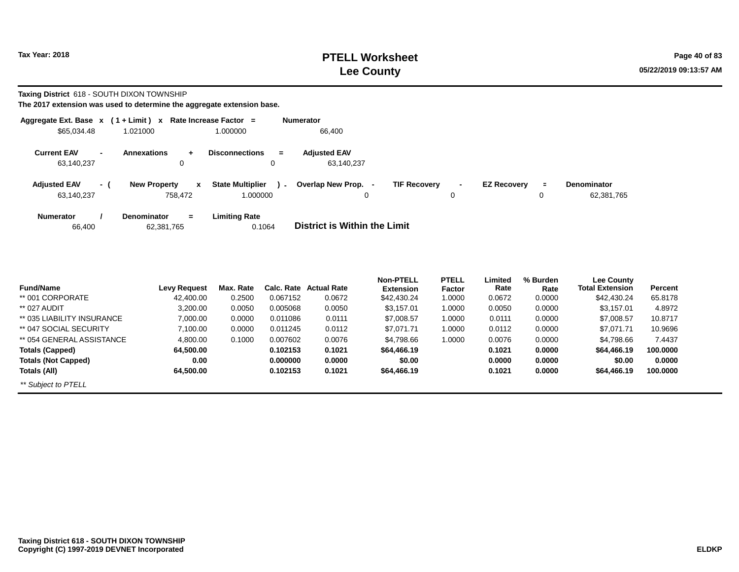# **PTELL Worksheet Tax Year: 2018 Page 40 of 83 Lee County**

**Taxing District** 618 - SOUTH DIXON TOWNSHIP

| Aggregate Ext. Base $x$ (1 + Limit) $x$ |     |                                                           | Rate Increase Factor =                        | <b>Numerator</b>                                                                                                     |
|-----------------------------------------|-----|-----------------------------------------------------------|-----------------------------------------------|----------------------------------------------------------------------------------------------------------------------|
| \$65,034.48                             |     | 1.021000                                                  | 1.000000                                      | 66,400                                                                                                               |
| <b>Current EAV</b><br>63,140,237        |     | <b>Annexations</b><br>$\ddot{\phantom{1}}$<br>$\mathbf 0$ | <b>Disconnections</b><br>$\equiv$<br>0        | <b>Adjusted EAV</b><br>63.140.237                                                                                    |
| <b>Adjusted EAV</b><br>63,140,237       | - ( | <b>New Property</b><br>$\mathbf x$<br>758,472             | <b>State Multiplier</b><br>$\sim$<br>1.000000 | Overlap New Prop. -<br><b>TIF Recovery</b><br><b>EZ Recovery</b><br><b>Denominator</b><br>Ξ.<br>62,381,765<br>0<br>0 |
| Numerator<br>66,400                     |     | <b>Denominator</b><br>$=$<br>62,381,765                   | <b>Limiting Rate</b><br>0.1064                | District is Within the Limit                                                                                         |

| <b>Fund/Name</b>           | Levy Request | Max. Rate | Calc. Rate | <b>Actual Rate</b> | <b>Non-PTELL</b> | <b>PTELL</b> | Limited<br>Rate | % Burden | Lee County<br><b>Total Extension</b> | Percent  |
|----------------------------|--------------|-----------|------------|--------------------|------------------|--------------|-----------------|----------|--------------------------------------|----------|
|                            |              |           |            |                    | <b>Extension</b> | Factor       |                 | Rate     |                                      |          |
| ** 001 CORPORATE           | 42,400.00    | 0.2500    | 0.067152   | 0.0672             | \$42,430.24      | 1.0000       | 0.0672          | 0.0000   | \$42,430.24                          | 65.8178  |
| ** 027 AUDIT               | 3,200.00     | 0.0050    | 0.005068   | 0.0050             | \$3,157.01       | 1.0000       | 0.0050          | 0.0000   | \$3,157.01                           | 4.8972   |
| ** 035 LIABILITY INSURANCE | 7,000.00     | 0.0000    | 0.011086   | 0.0111             | \$7,008.57       | 1.0000       | 0.0111          | 0.0000   | \$7,008.57                           | 10.8717  |
| ** 047 SOCIAL SECURITY     | 7,100.00     | 0.0000    | 0.011245   | 0.0112             | \$7.071.71       | 1.0000       | 0.0112          | 0.0000   | \$7.071.71                           | 10.9696  |
| ** 054 GENERAL ASSISTANCE  | 4,800.00     | 0.1000    | 0.007602   | 0.0076             | \$4,798.66       | 1.0000       | 0.0076          | 0.0000   | \$4.798.66                           | 7.4437   |
| Totals (Capped)            | 64,500.00    |           | 0.102153   | 0.1021             | \$64,466.19      |              | 0.1021          | 0.0000   | \$64,466.19                          | 100.0000 |
| <b>Totals (Not Capped)</b> | 0.00         |           | 0.000000   | 0.0000             | \$0.00           |              | 0.0000          | 0.0000   | \$0.00                               | 0.0000   |
| Totals (All)               | 64.500.00    |           | 0.102153   | 0.1021             | \$64,466.19      |              | 0.1021          | 0.0000   | \$64,466.19                          | 100.0000 |
| ** Subject to PTELL        |              |           |            |                    |                  |              |                 |          |                                      |          |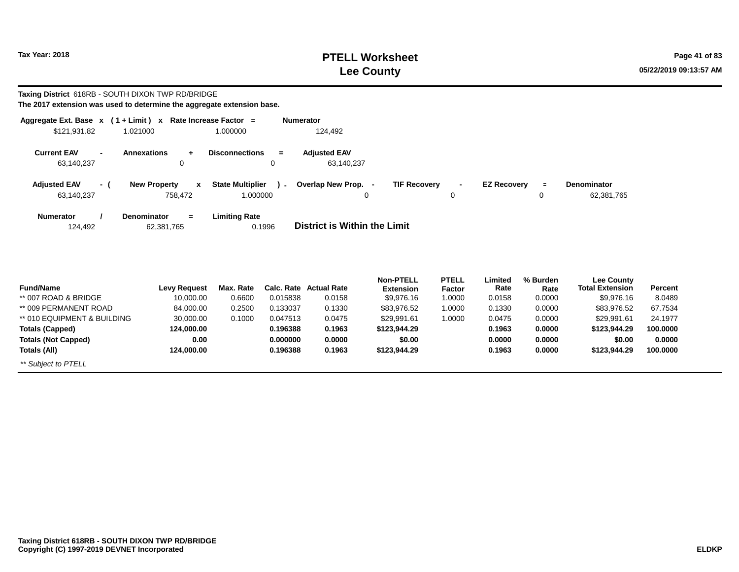# **PTELL Worksheet Tax Year: 2018 Page 41 of 83 Lee County**

**Taxing District** 618RB - SOUTH DIXON TWP RD/BRIDGE **The 2017 extension was used to determine the aggregate extension base.**

|  |  | The 2017 extension was used to determine the aggregate extension base. |  |
|--|--|------------------------------------------------------------------------|--|
|  |  |                                                                        |  |

| Aggregate Ext. Base $x$ (1 + Limit) $x$<br>\$121,931.82 |     | 1.021000                                       | Rate Increase Factor =<br>1.000000            | <b>Numerator</b><br>124,492         |                     |                               |                    |               |                                      |          |
|---------------------------------------------------------|-----|------------------------------------------------|-----------------------------------------------|-------------------------------------|---------------------|-------------------------------|--------------------|---------------|--------------------------------------|----------|
| <b>Current EAV</b><br>63,140,237                        |     | <b>Annexations</b><br>$+$<br>0                 | <b>Disconnections</b><br>$=$<br>0             | <b>Adjusted EAV</b><br>63,140,237   |                     |                               |                    |               |                                      |          |
| <b>Adjusted EAV</b><br>63,140,237                       | - ( | <b>New Property</b><br>$\mathbf{x}$<br>758,472 | <b>State Multiplier</b><br>1.000000           | ) - Overlap New Prop. -<br>0        | <b>TIF Recovery</b> | $\blacksquare$<br>$\mathbf 0$ | <b>EZ Recovery</b> | $\equiv$<br>0 | Denominator<br>62,381,765            |          |
| <b>Numerator</b><br>124,492                             |     | Denominator<br>$\equiv$<br>62,381,765          | <b>Limiting Rate</b><br>0.1996                | <b>District is Within the Limit</b> |                     |                               |                    |               |                                      |          |
| $F_{\text{total}}$ at $F_{\text{total}}$                |     |                                                | Louis Dominate May Date Cale Date Astrol Date |                                     | <b>Non-PTELL</b>    | <b>PTELL</b>                  | Limited<br>$P = 1$ | % Burden      | <b>Lee County</b><br>Tatal Futunalan | <b>D</b> |

| <b>Fund/Name</b>            | <b>Levy Request</b> | Max. Rate |          | Calc. Rate Actual Rate | NUILLET<br><b>Extension</b> | ┍╷╒┎┎<br>Factor | ышеч<br>Rate | 70 DUIUCII<br>Rate | Lee County<br><b>Total Extension</b> | Percent  |
|-----------------------------|---------------------|-----------|----------|------------------------|-----------------------------|-----------------|--------------|--------------------|--------------------------------------|----------|
| ** 007 ROAD & BRIDGE        | 10,000.00           | 0.6600    | 0.015838 | 0.0158                 | \$9,976.16                  | 1.0000          | 0.0158       | 0.0000             | \$9,976.16                           | 8.0489   |
| ** 009 PERMANENT ROAD       | 84,000.00           | 0.2500    | 0.133037 | 0.1330                 | \$83,976.52                 | 1.0000          | 0.1330       | 0.0000             | \$83,976.52                          | 67.7534  |
| ** 010 EQUIPMENT & BUILDING | 30,000.00           | 0.1000    | 0.047513 | 0.0475                 | \$29,991.61                 | 1.0000          | 0.0475       | 0.0000             | \$29,991.61                          | 24.1977  |
| Totals (Capped)             | 124,000.00          |           | 0.196388 | 0.1963                 | \$123,944.29                |                 | 0.1963       | 0.0000             | \$123,944.29                         | 100.0000 |
| <b>Totals (Not Capped)</b>  | 0.00                |           | 0.000000 | 0.0000                 | \$0.00                      |                 | 0.0000       | 0.0000             | \$0.00                               | 0.0000   |
| Totals (All)                | 124.000.00          |           | 0.196388 | 0.1963                 | \$123,944.29                |                 | 0.1963       | 0.0000             | \$123,944.29                         | 100.0000 |
| ** Subject to PTELL         |                     |           |          |                        |                             |                 |              |                    |                                      |          |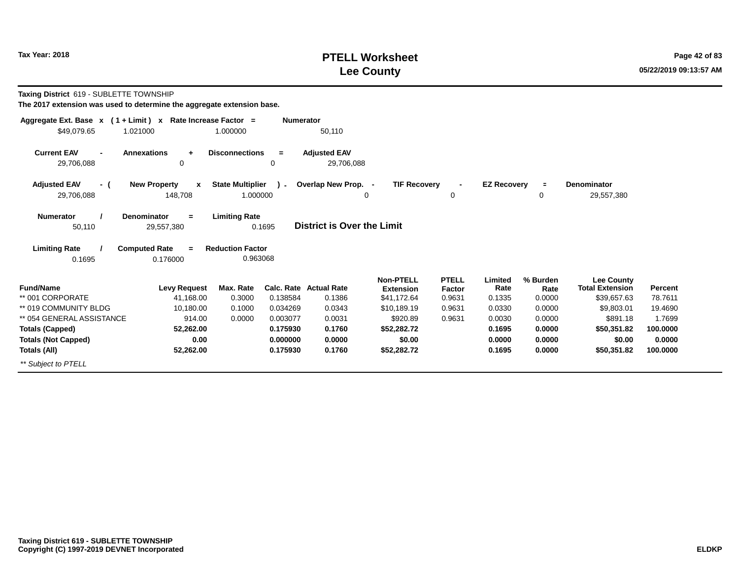# **PTELL Worksheet Tax Year: 2018 Page 42 of 83 Lee County**

**Taxing District** 619 - SUBLETTE TOWNSHIP

| Aggregate Ext. Base $x$ (1 + Limit) $x$                                            | Rate Increase Factor =                         | <b>Numerator</b>                                   |                                   |                                      |                        |                    |                  |                                      |          |
|------------------------------------------------------------------------------------|------------------------------------------------|----------------------------------------------------|-----------------------------------|--------------------------------------|------------------------|--------------------|------------------|--------------------------------------|----------|
| \$49,079.65<br>1.021000                                                            |                                                | 1.000000                                           | 50,110                            |                                      |                        |                    |                  |                                      |          |
| <b>Current EAV</b><br><b>Annexations</b><br>$\overline{\phantom{a}}$<br>29,706,088 | $\ddot{}$<br>0                                 | <b>Disconnections</b><br>$=$<br>0                  | <b>Adjusted EAV</b><br>29,706,088 |                                      |                        |                    |                  |                                      |          |
| <b>Adjusted EAV</b><br>- (<br>29,706,088                                           | <b>New Property</b><br>$\mathbf{x}$<br>148,708 | <b>State Multiplier</b><br>$\lambda$ -<br>1.000000 | Overlap New Prop. -<br>0          | <b>TIF Recovery</b>                  | $\blacksquare$<br>0    | <b>EZ Recovery</b> | $\equiv$<br>0    | <b>Denominator</b><br>29,557,380     |          |
| <b>Numerator</b><br><b>Denominator</b><br>50,110                                   | $=$<br>29,557,380                              | <b>Limiting Rate</b><br>0.1695                     | <b>District is Over the Limit</b> |                                      |                        |                    |                  |                                      |          |
| <b>Limiting Rate</b><br><b>Computed Rate</b><br>0.1695                             | $\equiv$<br>0.176000                           | <b>Reduction Factor</b><br>0.963068                |                                   |                                      |                        |                    |                  |                                      |          |
| <b>Fund/Name</b>                                                                   | <b>Levy Request</b>                            | Max. Rate                                          | Calc. Rate Actual Rate            | <b>Non-PTELL</b><br><b>Extension</b> | <b>PTELL</b><br>Factor | Limited<br>Rate    | % Burden<br>Rate | Lee County<br><b>Total Extension</b> | Percent  |
| ** 001 CORPORATE                                                                   | 41,168.00                                      | 0.3000<br>0.138584                                 | 0.1386                            | \$41,172.64                          | 0.9631                 | 0.1335             | 0.0000           | \$39,657.63                          | 78.7611  |
| ** 019 COMMUNITY BLDG                                                              | 10,180.00                                      | 0.1000<br>0.034269                                 | 0.0343                            | \$10,189.19                          | 0.9631                 | 0.0330             | 0.0000           | \$9,803.01                           | 19.4690  |
| ** 054 GENERAL ASSISTANCE                                                          | 914.00                                         | 0.0000<br>0.003077                                 | 0.0031                            | \$920.89                             | 0.9631                 | 0.0030             | 0.0000           | \$891.18                             | 1.7699   |
| <b>Totals (Capped)</b>                                                             | 52,262.00                                      | 0.175930                                           | 0.1760                            | \$52,282.72                          |                        | 0.1695             | 0.0000           | \$50.351.82                          | 100.0000 |
| <b>Totals (Not Capped)</b>                                                         | 0.00                                           | 0.000000                                           | 0.0000                            | \$0.00                               |                        | 0.0000             | 0.0000           | \$0.00                               | 0.0000   |
| Totals (All)                                                                       | 52,262.00                                      | 0.175930                                           | 0.1760                            | \$52,282.72                          |                        | 0.1695             | 0.0000           | \$50,351.82                          | 100.0000 |
| ** Subject to PTELL                                                                |                                                |                                                    |                                   |                                      |                        |                    |                  |                                      |          |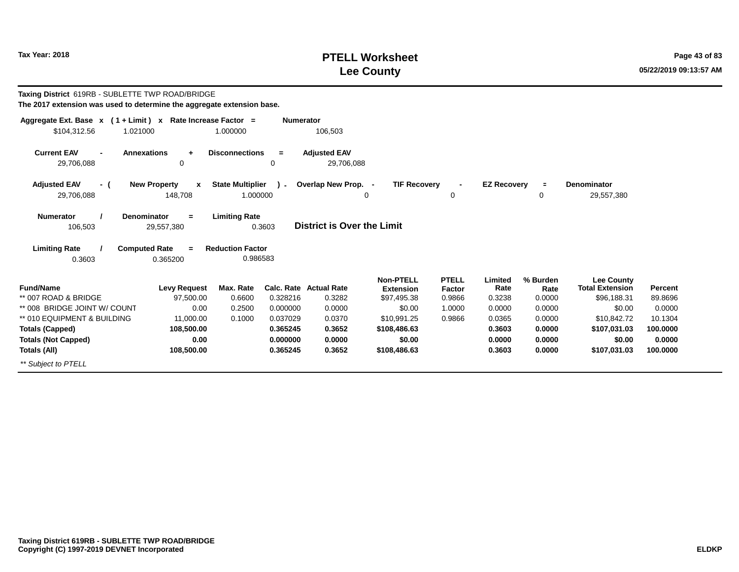# **PTELL Worksheet Tax Year: 2018 Page 43 of 83 Lee County**

| Taxing District 619RB - SUBLETTE TWP ROAD/BRIDGE<br>The 2017 extension was used to determine the aggregate extension base. |                                                                                         |                                                             |                  |                                   |                                      |                        |                    |                  |                                             |          |
|----------------------------------------------------------------------------------------------------------------------------|-----------------------------------------------------------------------------------------|-------------------------------------------------------------|------------------|-----------------------------------|--------------------------------------|------------------------|--------------------|------------------|---------------------------------------------|----------|
| Aggregate Ext. Base $x$ (1 + Limit) x Rate Increase Factor =<br>\$104,312.56<br>1.021000                                   |                                                                                         | 1.000000                                                    | <b>Numerator</b> | 106,503                           |                                      |                        |                    |                  |                                             |          |
| <b>Current EAV</b><br>$\blacksquare$<br>29,706,088                                                                         | <b>Annexations</b><br>$\ddot{}$<br>0                                                    | <b>Disconnections</b>                                       | $=$<br>$\Omega$  | <b>Adjusted EAV</b><br>29,706,088 |                                      |                        |                    |                  |                                             |          |
| <b>Adjusted EAV</b><br>- (                                                                                                 | <b>New Property</b><br>$\mathbf{x}$                                                     | <b>State Multiplier</b>                                     | $\mathbf{r}$     | Overlap New Prop. -               | <b>TIF Recovery</b>                  |                        | <b>EZ Recovery</b> | $\equiv$         | <b>Denominator</b>                          |          |
| 29,706,088                                                                                                                 | 148,708                                                                                 | 1.000000                                                    |                  |                                   | 0                                    | 0                      |                    | 0                | 29,557,380                                  |          |
| <b>Numerator</b><br>106,503<br><b>Limiting Rate</b><br>0.3603                                                              | <b>Denominator</b><br>$=$<br>29,557,380<br><b>Computed Rate</b><br>$\equiv$<br>0.365200 | <b>Limiting Rate</b><br><b>Reduction Factor</b><br>0.986583 | 0.3603           | <b>District is Over the Limit</b> |                                      |                        |                    |                  |                                             |          |
| <b>Fund/Name</b>                                                                                                           | <b>Levy Request</b>                                                                     | Max. Rate                                                   | Calc. Rate       | <b>Actual Rate</b>                | <b>Non-PTELL</b><br><b>Extension</b> | <b>PTELL</b><br>Factor | Limited<br>Rate    | % Burden<br>Rate | <b>Lee County</b><br><b>Total Extension</b> | Percent  |
| ** 007 ROAD & BRIDGE                                                                                                       | 97,500.00                                                                               | 0.6600                                                      | 0.328216         | 0.3282                            | \$97,495.38                          | 0.9866                 | 0.3238             | 0.0000           | \$96,188.31                                 | 89.8696  |
| ** 008 BRIDGE JOINT W/ COUNT                                                                                               | 0.00                                                                                    | 0.2500                                                      | 0.000000         | 0.0000                            | \$0.00                               | 1.0000                 | 0.0000             | 0.0000           | \$0.00                                      | 0.0000   |
| ** 010 EQUIPMENT & BUILDING                                                                                                | 11,000.00                                                                               | 0.1000                                                      | 0.037029         | 0.0370                            | \$10,991.25                          | 0.9866                 | 0.0365             | 0.0000           | \$10,842.72                                 | 10.1304  |
| <b>Totals (Capped)</b>                                                                                                     | 108,500.00                                                                              |                                                             | 0.365245         | 0.3652                            | \$108,486.63                         |                        | 0.3603             | 0.0000           | \$107,031.03                                | 100.0000 |
| <b>Totals (Not Capped)</b>                                                                                                 | 0.00                                                                                    |                                                             | 0.000000         | 0.0000                            | \$0.00                               |                        | 0.0000             | 0.0000           | \$0.00                                      | 0.0000   |
| Totals (All)                                                                                                               | 108,500.00                                                                              |                                                             | 0.365245         | 0.3652                            | \$108,486.63                         |                        | 0.3603             | 0.0000           | \$107,031.03                                | 100.0000 |
| ** Subject to PTELL                                                                                                        |                                                                                         |                                                             |                  |                                   |                                      |                        |                    |                  |                                             |          |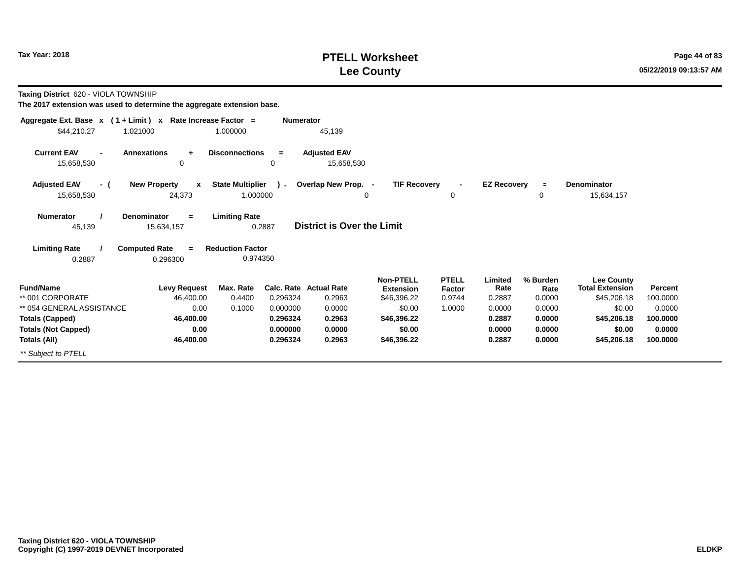# **PTELL Worksheet Tax Year: 2018 Page 44 of 83 Lee County**

**Taxing District** 620 - VIOLA TOWNSHIP

| Aggregate Ext. Base $x$ (1 + Limit) x Rate Increase Factor = |                                               |                                     | <b>Numerator</b> |                                   |                                      |                        |                    |                  |                                             |          |
|--------------------------------------------------------------|-----------------------------------------------|-------------------------------------|------------------|-----------------------------------|--------------------------------------|------------------------|--------------------|------------------|---------------------------------------------|----------|
| \$44,210.27                                                  | 1.021000                                      | 1.000000                            |                  | 45,139                            |                                      |                        |                    |                  |                                             |          |
| <b>Current EAV</b><br>15,658,530                             | <b>Annexations</b><br>$\ddot{}$<br>0          | <b>Disconnections</b>               | $=$<br>0         | <b>Adjusted EAV</b><br>15,658,530 |                                      |                        |                    |                  |                                             |          |
| <b>Adjusted EAV</b><br>- (<br>15,658,530                     | <b>New Property</b><br>$\mathbf{x}$<br>24,373 | <b>State Multiplier</b><br>1.000000 | $\lambda$ -      | Overlap New Prop. -<br>0          | <b>TIF Recovery</b>                  | 0                      | <b>EZ Recovery</b> | $\equiv$<br>0    | Denominator<br>15,634,157                   |          |
| <b>Numerator</b><br>45,139                                   | <b>Denominator</b><br>$=$<br>15,634,157       | <b>Limiting Rate</b>                | 0.2887           | <b>District is Over the Limit</b> |                                      |                        |                    |                  |                                             |          |
| <b>Limiting Rate</b><br>0.2887                               | <b>Computed Rate</b><br>$=$<br>0.296300       | <b>Reduction Factor</b><br>0.974350 |                  |                                   |                                      |                        |                    |                  |                                             |          |
| <b>Fund/Name</b>                                             | <b>Levy Request</b>                           | Max. Rate                           |                  | <b>Calc. Rate Actual Rate</b>     | <b>Non-PTELL</b><br><b>Extension</b> | <b>PTELL</b><br>Factor | Limited<br>Rate    | % Burden<br>Rate | <b>Lee County</b><br><b>Total Extension</b> | Percent  |
| ** 001 CORPORATE                                             | 46,400.00                                     | 0.4400                              | 0.296324         | 0.2963                            | \$46,396.22                          | 0.9744                 | 0.2887             | 0.0000           | \$45,206.18                                 | 100.0000 |
| ** 054 GENERAL ASSISTANCE                                    | 0.00                                          | 0.1000                              | 0.000000         | 0.0000                            | \$0.00                               | 1.0000                 | 0.0000             | 0.0000           | \$0.00                                      | 0.0000   |
| <b>Totals (Capped)</b>                                       | 46,400.00                                     |                                     | 0.296324         | 0.2963                            | \$46,396.22                          |                        | 0.2887             | 0.0000           | \$45,206.18                                 | 100.0000 |
| <b>Totals (Not Capped)</b>                                   | 0.00                                          |                                     | 0.000000         | 0.0000                            | \$0.00                               |                        | 0.0000             | 0.0000           | \$0.00                                      | 0.0000   |
| Totals (All)                                                 | 46,400.00                                     |                                     | 0.296324         | 0.2963                            | \$46,396.22                          |                        | 0.2887             | 0.0000           | \$45,206.18                                 | 100.0000 |
| ** Subject to PTELL                                          |                                               |                                     |                  |                                   |                                      |                        |                    |                  |                                             |          |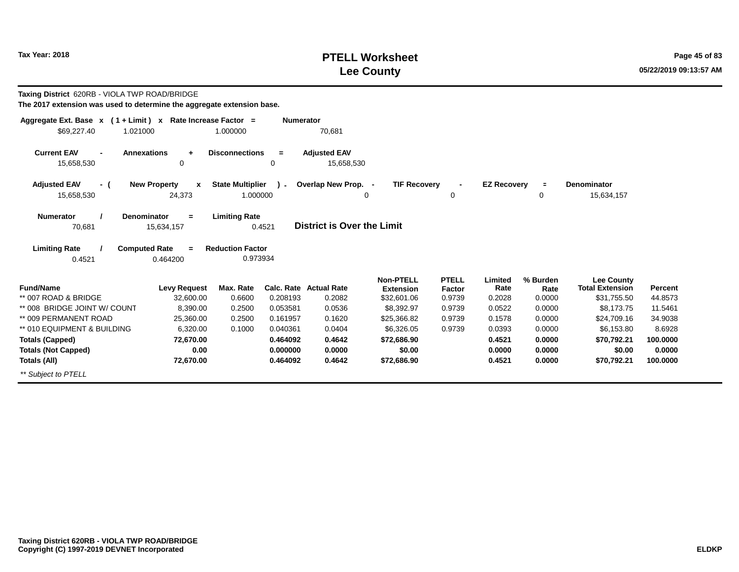\*\* Subject to PTELL

#### **PTELL WorksheetTax Year: 2018 POSES 2018 POSES 2018 POSES 2018 POSES 2018 POSES 2018 Page 45 of 83 Lee County**

**100.0000 0.0000100.0000**

0.4521 **Taxing District** 620RB - VIOLA TWP ROAD/BRIDGE **The 2017 extension was used to determine the aggregate extension base.Aggregate Ext. Base <sup>x</sup> <sup>x</sup> Rate Increase Factor <sup>=</sup>( 1 + Limit ) Numerator** 1.000000 70,681 **Annexations <sup>+</sup> Disconnections <sup>=</sup> Adjusted EAV**15,658,530 15,658,530 0 15,658,530 **( <sup>x</sup>New Property ) State Multiplier**\$69,227.40 1.02100015,658,530 24,373 1.000000 **Current EAV=**70,681 **District is Over the Limit Adjusted EAVNumerator / Denominator Limiting Rate**15,634,157**Limiting Rate / Computed Rate <sup>=</sup>**0.4521 0.464200 **Reduction Factor** 0.973934**Fund/Name Levy Request Max. Rate Calc. Rate Actual Rate Percent Non-PTELL Extension**\$32,601.06 **PTELL FactorFactor** Rate<br>0.9739 0.2028 0.2028 **Limited % Burden Rate Total Extension Lee County**\*\* 007 ROAD & BRIDGE 32,600.00 0.6600 0.208193 0.2082 \$32,601.06 0.9739 0.2028 0.0000 \$31,755.50 44.8573 \*\* 008 BRIDGE JOINT W/ COUNT 8,390.00 0.2500 0.053581 0.0536 \$8,392.97 0.9739 0.0522 0.0000 \$8,173.75 11.5461 \*\* 009 PERMANENT ROAD 25,360.00 0.2500 0.161957 0.1620 \$25,366.82 0.9739 0.1578 0.0000 \$24,709.16 34.9038 \*\* 010 EQUIPMENT & BUILDING 6,320.00 0.1000 0.040361 0.0404 \$6,326.05 0.9739 0.0393 0.0000 \$6,153.80 8.6928 **Totals (Capped)Totals (Not Capped)Totals (All)72,670.00 0.00 72,670.000.464092 0.4642 0.000000 0.0000 0.464092 0.4642 \$70,792.21 \$0.00 \$70,792.21\$72,686.90 \$0.00 \$72,686.900.4521 0.0000 0.45210.0000 0.0000 0.0000 <sup>=</sup>TIF RecoveryE Denominator**<br>0 15.634 15,634,157 **- EZ Recovery**  $\Omega$  <sup>0</sup> **+-** $\Omega$ **Overlap New Prop.**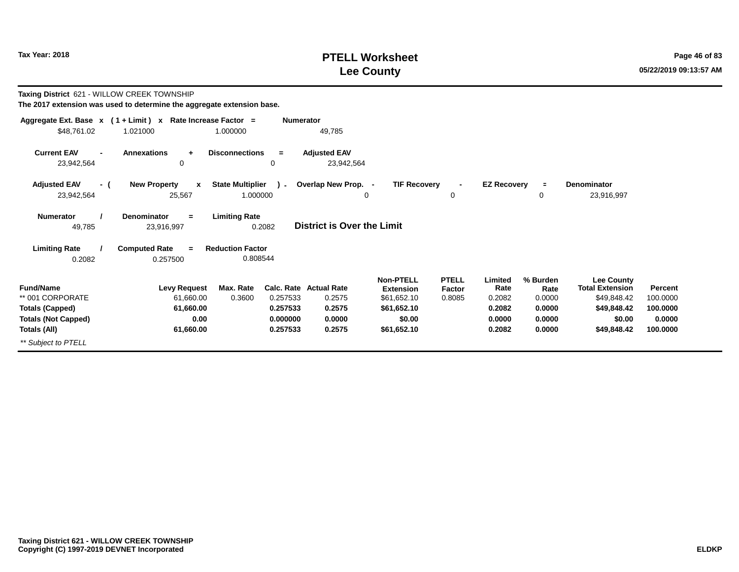# **PTELL Worksheet Tax Year: 2018 Page 46 of 83 Lee County**

**Taxing District** 621 - WILLOW CREEK TOWNSHIP

| Aggregate Ext. Base $x$ (1 + Limit) $x$            |                                                 | Rate Increase Factor =<br><b>Numerator</b>    |                                   |                                      |                               |                    |                  |                                      |          |
|----------------------------------------------------|-------------------------------------------------|-----------------------------------------------|-----------------------------------|--------------------------------------|-------------------------------|--------------------|------------------|--------------------------------------|----------|
| \$48,761.02                                        | 1.021000                                        | 1.000000                                      | 49,785                            |                                      |                               |                    |                  |                                      |          |
| <b>Current EAV</b><br>$\blacksquare$<br>23,942,564 | <b>Annexations</b><br>$\ddot{\phantom{1}}$<br>0 | <b>Disconnections</b><br>$=$<br>0             | <b>Adjusted EAV</b><br>23,942,564 |                                      |                               |                    |                  |                                      |          |
| <b>Adjusted EAV</b><br>- (<br>23,942,564           | <b>New Property</b><br>$\mathbf{x}$<br>25,567   | <b>State Multiplier</b><br>$\sim$<br>1.000000 | Overlap New Prop. -<br>0          | <b>TIF Recovery</b>                  | $\overline{\phantom{a}}$<br>0 | <b>EZ Recovery</b> | $\equiv$<br>0    | <b>Denominator</b><br>23,916,997     |          |
| <b>Numerator</b><br>49,785                         | Denominator<br>$=$<br>23,916,997                | <b>Limiting Rate</b><br>0.2082                | <b>District is Over the Limit</b> |                                      |                               |                    |                  |                                      |          |
| <b>Limiting Rate</b><br>0.2082                     | <b>Computed Rate</b><br>$\equiv$<br>0.257500    | <b>Reduction Factor</b><br>0.808544           |                                   |                                      |                               |                    |                  |                                      |          |
| <b>Fund/Name</b>                                   | <b>Levy Request</b>                             | Max. Rate                                     | <b>Calc. Rate Actual Rate</b>     | <b>Non-PTELL</b><br><b>Extension</b> | <b>PTELL</b><br>Factor        | Limited<br>Rate    | % Burden<br>Rate | Lee County<br><b>Total Extension</b> | Percent  |
| ** 001 CORPORATE                                   | 61,660.00                                       | 0.3600<br>0.257533                            | 0.2575                            | \$61,652.10                          | 0.8085                        | 0.2082             | 0.0000           | \$49,848.42                          | 100.0000 |
| <b>Totals (Capped)</b>                             | 61,660.00                                       | 0.257533                                      | 0.2575                            | \$61,652.10                          |                               | 0.2082             | 0.0000           | \$49,848.42                          | 100.0000 |
| <b>Totals (Not Capped)</b>                         | 0.00                                            | 0.000000                                      | 0.0000                            | \$0.00                               |                               | 0.0000             | 0.0000           | \$0.00                               | 0.0000   |
| Totals (All)                                       | 61,660.00                                       | 0.257533                                      | 0.2575                            | \$61,652.10                          |                               | 0.2082             | 0.0000           | \$49,848.42                          | 100.0000 |
| ** Subject to PTELL                                |                                                 |                                               |                                   |                                      |                               |                    |                  |                                      |          |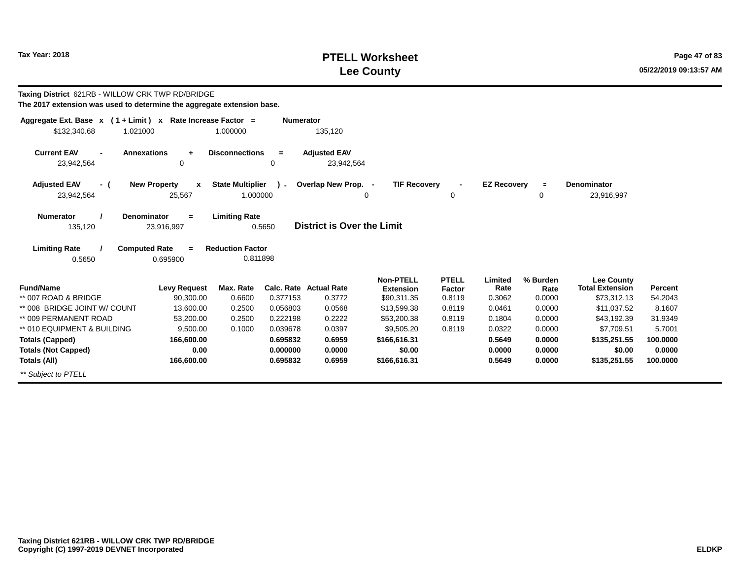# **PTELL Worksheet Tax Year: 2018 Page 47 of 83 Lee County**

| Taxing District 621RB - WILLOW CRK TWP RD/BRIDGE<br>The 2017 extension was used to determine the aggregate extension base. |                                              |                                     |                      |                                   |                                      |                        |                    |                  |                                             |                   |
|----------------------------------------------------------------------------------------------------------------------------|----------------------------------------------|-------------------------------------|----------------------|-----------------------------------|--------------------------------------|------------------------|--------------------|------------------|---------------------------------------------|-------------------|
| Aggregate Ext. Base $x$ (1 + Limit) x Rate Increase Factor =<br>\$132,340.68<br>1.021000                                   |                                              | 1.000000                            | <b>Numerator</b>     | 135,120                           |                                      |                        |                    |                  |                                             |                   |
| <b>Current EAV</b><br><b>Annexations</b><br>23,942,564                                                                     | ÷<br>$\mathbf 0$                             | <b>Disconnections</b>               | $=$<br>0             | <b>Adjusted EAV</b><br>23,942,564 |                                      |                        |                    |                  |                                             |                   |
| <b>Adjusted EAV</b><br>- (<br>23,942,564                                                                                   | <b>New Property</b><br>$\mathbf x$<br>25,567 | <b>State Multiplier</b><br>1.000000 | $\mathbf{r}$         | Overlap New Prop. -<br>0          | <b>TIF Recovery</b>                  | 0                      | <b>EZ Recovery</b> | $\equiv$<br>0    | Denominator<br>23,916,997                   |                   |
| <b>Numerator</b><br>Denominator<br>135,120                                                                                 | $\equiv$<br>23,916,997                       | <b>Limiting Rate</b>                | 0.5650               | <b>District is Over the Limit</b> |                                      |                        |                    |                  |                                             |                   |
| <b>Computed Rate</b><br><b>Limiting Rate</b><br>0.5650                                                                     | $\equiv$<br>0.695900                         | <b>Reduction Factor</b><br>0.811898 |                      |                                   |                                      |                        |                    |                  |                                             |                   |
| <b>Fund/Name</b>                                                                                                           | <b>Levy Request</b>                          | Max. Rate                           | Calc. Rate           | <b>Actual Rate</b>                | <b>Non-PTELL</b><br><b>Extension</b> | <b>PTELL</b><br>Factor | Limited<br>Rate    | % Burden<br>Rate | <b>Lee County</b><br><b>Total Extension</b> | Percent           |
| ** 007 ROAD & BRIDGE                                                                                                       | 90,300.00                                    | 0.6600                              | 0.377153             | 0.3772                            | \$90,311.35                          | 0.8119                 | 0.3062             | 0.0000           | \$73,312.13                                 | 54.2043           |
| ** 008 BRIDGE JOINT W/ COUNT<br>** 009 PERMANENT ROAD                                                                      | 13,600.00<br>53.200.00                       | 0.2500<br>0.2500                    | 0.056803<br>0.222198 | 0.0568<br>0.2222                  | \$13,599.38                          | 0.8119<br>0.8119       | 0.0461<br>0.1804   | 0.0000<br>0.0000 | \$11,037.52                                 | 8.1607            |
| ** 010 EQUIPMENT & BUILDING                                                                                                | 9.500.00                                     | 0.1000                              | 0.039678             | 0.0397                            | \$53,200.38<br>\$9.505.20            | 0.8119                 | 0.0322             | 0.0000           | \$43,192.39<br>\$7.709.51                   | 31.9349<br>5.7001 |
| <b>Totals (Capped)</b>                                                                                                     | 166,600.00                                   |                                     | 0.695832             | 0.6959                            | \$166,616.31                         |                        | 0.5649             | 0.0000           | \$135,251.55                                | 100.0000          |
| <b>Totals (Not Capped)</b>                                                                                                 | 0.00                                         |                                     | 0.000000             | 0.0000                            | \$0.00                               |                        | 0.0000             | 0.0000           | \$0.00                                      | 0.0000            |
| Totals (All)                                                                                                               | 166,600.00                                   |                                     | 0.695832             | 0.6959                            | \$166,616.31                         |                        | 0.5649             | 0.0000           | \$135,251.55                                | 100.0000          |
| ** Subject to PTELL                                                                                                        |                                              |                                     |                      |                                   |                                      |                        |                    |                  |                                             |                   |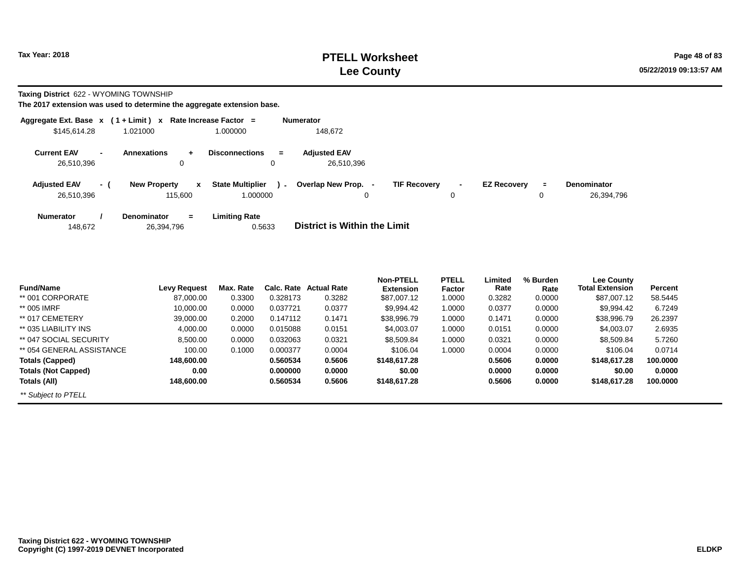**Taxing District** 622 - WYOMING TOWNSHIP

|                                   |                          | Aggregate Ext. Base $x$ (1 + Limit) x Rate Increase Factor = |                                               | <b>Numerator</b>                                                                                                                            |
|-----------------------------------|--------------------------|--------------------------------------------------------------|-----------------------------------------------|---------------------------------------------------------------------------------------------------------------------------------------------|
| \$145,614.28                      |                          | 1.021000                                                     | 1.000000                                      | 148.672                                                                                                                                     |
| <b>Current EAV</b><br>26,510,396  | $\overline{\phantom{0}}$ | <b>Annexations</b><br>$+$<br>0                               | <b>Disconnections</b><br>$\equiv$<br>0        | <b>Adjusted EAV</b><br>26,510,396                                                                                                           |
| <b>Adjusted EAV</b><br>26.510.396 | - (                      | <b>New Property</b><br>x<br>115,600                          | <b>State Multiplier</b><br>$\sim$<br>1.000000 | <b>TIF Recovery</b><br>Overlap New Prop. -<br><b>EZ Recovery</b><br><b>Denominator</b><br>÷.<br>$\blacksquare$<br>26,394,796<br>0<br>0<br>0 |
| <b>Numerator</b><br>148.672       |                          | <b>Denominator</b><br>$=$<br>26,394,796                      | <b>Limiting Rate</b><br>0.5633                | District is Within the Limit                                                                                                                |

|                            |                     |           |            |                    | <b>Non-PTELL</b> | <b>PTELL</b> | Limited | % Burden | <b>Lee County</b>      |          |
|----------------------------|---------------------|-----------|------------|--------------------|------------------|--------------|---------|----------|------------------------|----------|
| <b>Fund/Name</b>           | <b>Levy Request</b> | Max. Rate | Calc. Rate | <b>Actual Rate</b> | <b>Extension</b> | Factor       | Rate    | Rate     | <b>Total Extension</b> | Percent  |
| ** 001 CORPORATE           | 87,000.00           | 0.3300    | 0.328173   | 0.3282             | \$87,007.12      | 1.0000       | 0.3282  | 0.0000   | \$87,007.12            | 58.5445  |
| ** 005 IMRF                | 10,000.00           | 0.0000    | 0.037721   | 0.0377             | \$9.994.42       | 1.0000       | 0.0377  | 0.0000   | \$9,994.42             | 6.7249   |
| ** 017 CEMETERY            | 39,000.00           | 0.2000    | 0.147112   | 0.1471             | \$38,996.79      | 1.0000       | 0.1471  | 0.0000   | \$38,996.79            | 26.2397  |
| ** 035 LIABILITY INS       | 4.000.00            | 0.0000    | 0.015088   | 0.0151             | \$4,003.07       | 1.0000       | 0.0151  | 0.0000   | \$4,003.07             | 2.6935   |
| ** 047 SOCIAL SECURITY     | 8,500.00            | 0.0000    | 0.032063   | 0.0321             | \$8,509.84       | 1.0000       | 0.0321  | 0.0000   | \$8,509.84             | 5.7260   |
| ** 054 GENERAL ASSISTANCE  | 100.00              | 0.1000    | 0.000377   | 0.0004             | \$106.04         | 1.0000       | 0.0004  | 0.0000   | \$106.04               | 0.0714   |
| <b>Totals (Capped)</b>     | 148,600.00          |           | 0.560534   | 0.5606             | \$148,617.28     |              | 0.5606  | 0.0000   | \$148,617,28           | 100.0000 |
| <b>Totals (Not Capped)</b> | 0.00                |           | 0.000000   | 0.0000             | \$0.00           |              | 0.0000  | 0.0000   | \$0.00                 | 0.0000   |
| Totals (All)               | 148.600.00          |           | 0.560534   | 0.5606             | \$148,617.28     |              | 0.5606  | 0.0000   | \$148,617,28           | 100.0000 |
| ** Subject to PTELL        |                     |           |            |                    |                  |              |         |          |                        |          |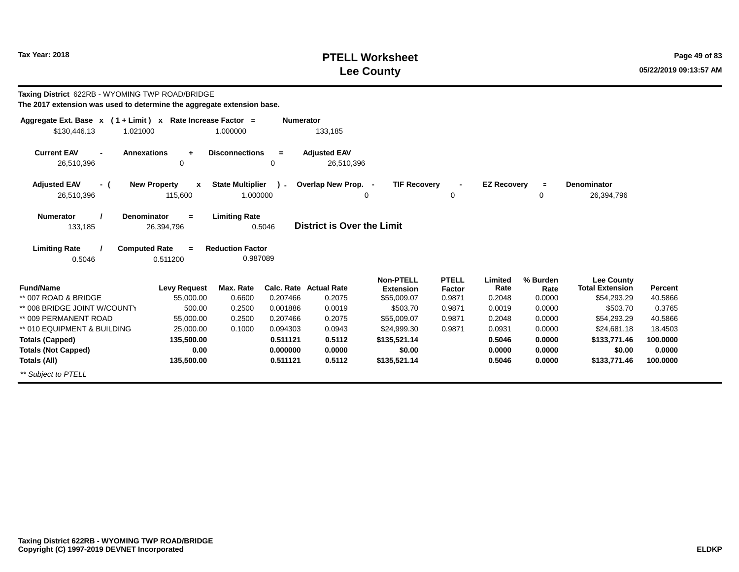# **PTELL Worksheet Tax Year: 2018 Page 49 of 83 Lee County**

| Taxing District 622RB - WYOMING TWP ROAD/BRIDGE<br>The 2017 extension was used to determine the aggregate extension base. |                                                |                                                             |                      |                                         |                         |                         |                    |                |                                       |                    |
|---------------------------------------------------------------------------------------------------------------------------|------------------------------------------------|-------------------------------------------------------------|----------------------|-----------------------------------------|-------------------------|-------------------------|--------------------|----------------|---------------------------------------|--------------------|
| Aggregate Ext. Base $x$ (1 + Limit) x Rate Increase Factor =<br>\$130,446.13<br>1.021000                                  |                                                | 1.000000                                                    | <b>Numerator</b>     | 133,185                                 |                         |                         |                    |                |                                       |                    |
| <b>Current EAV</b><br><b>Annexations</b><br>26,510,396                                                                    | $\ddot{}$<br>$\mathbf 0$                       | <b>Disconnections</b>                                       | $\equiv$<br>$\Omega$ | <b>Adjusted EAV</b><br>26,510,396       |                         |                         |                    |                |                                       |                    |
| <b>Adjusted EAV</b><br>- (                                                                                                | <b>New Property</b><br>$\boldsymbol{x}$        | <b>State Multiplier</b>                                     | $\mathcal{L}$        | Overlap New Prop. -                     | <b>TIF Recovery</b>     |                         | <b>EZ Recovery</b> | $\blacksquare$ | Denominator                           |                    |
| 26,510,396                                                                                                                | 115,600                                        | 1.000000                                                    |                      |                                         | 0                       | 0                       |                    | 0              | 26,394,796                            |                    |
| <b>Numerator</b><br><b>Denominator</b><br>133,185<br><b>Limiting Rate</b><br><b>Computed Rate</b><br>0.5046               | $\equiv$<br>26,394,796<br>$\equiv$<br>0.511200 | <b>Limiting Rate</b><br><b>Reduction Factor</b><br>0.987089 | 0.5046               | <b>District is Over the Limit</b>       |                         |                         |                    |                |                                       |                    |
|                                                                                                                           |                                                |                                                             |                      |                                         | <b>Non-PTELL</b>        | <b>PTELL</b>            | Limited            | % Burden       | <b>Lee County</b>                     |                    |
| <b>Fund/Name</b><br>** 007 ROAD & BRIDGE                                                                                  | <b>Levy Request</b><br>55,000.00               | Max. Rate<br>0.6600                                         | 0.207466             | <b>Calc. Rate Actual Rate</b><br>0.2075 | <b>Extension</b>        | <b>Factor</b><br>0.9871 | Rate<br>0.2048     | Rate<br>0.0000 | <b>Total Extension</b><br>\$54,293.29 | Percent<br>40.5866 |
| ** 008 BRIDGE JOINT W/COUNTY                                                                                              | 500.00                                         | 0.2500                                                      | 0.001886             | 0.0019                                  | \$55,009.07<br>\$503.70 | 0.9871                  | 0.0019             | 0.0000         | \$503.70                              | 0.3765             |
| ** 009 PERMANENT ROAD                                                                                                     | 55,000.00                                      | 0.2500                                                      | 0.207466             | 0.2075                                  | \$55,009.07             | 0.9871                  | 0.2048             | 0.0000         | \$54.293.29                           | 40.5866            |
| ** 010 EQUIPMENT & BUILDING                                                                                               | 25,000.00                                      | 0.1000                                                      | 0.094303             | 0.0943                                  | \$24.999.30             | 0.9871                  | 0.0931             | 0.0000         | \$24,681.18                           | 18.4503            |
| <b>Totals (Capped)</b>                                                                                                    | 135,500.00                                     |                                                             | 0.511121             | 0.5112                                  | \$135,521.14            |                         | 0.5046             | 0.0000         | \$133,771.46                          | 100.0000           |
| <b>Totals (Not Capped)</b>                                                                                                | 0.00                                           |                                                             | 0.000000             | 0.0000                                  | \$0.00                  |                         | 0.0000             | 0.0000         | \$0.00                                | 0.0000             |
| Totals (All)                                                                                                              | 135,500.00                                     |                                                             | 0.511121             | 0.5112                                  | \$135,521.14            |                         | 0.5046             | 0.0000         | \$133,771.46                          | 100.0000           |
| ** Subject to PTELL                                                                                                       |                                                |                                                             |                      |                                         |                         |                         |                    |                |                                       |                    |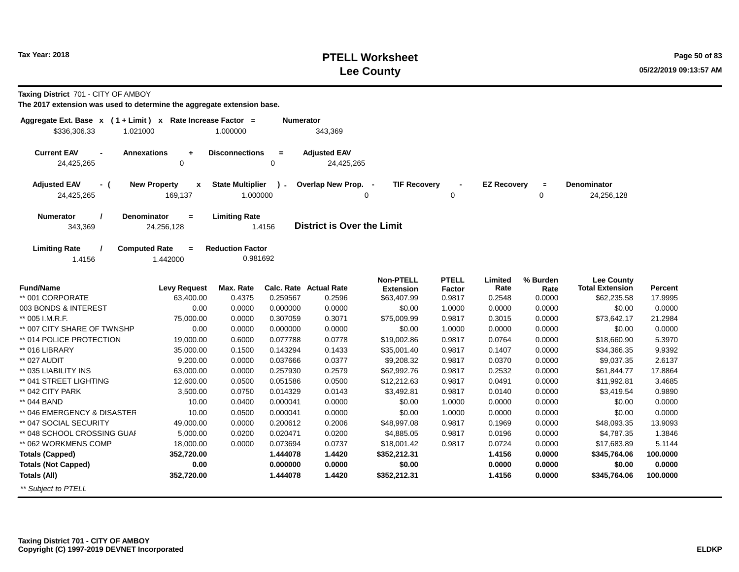# **PTELL Worksheet Tax Year: 2018 Page 50 of 83 Lee County**

**Taxing District** 701 - CITY OF AMBOY

| Aggregate Ext. Base $x$ (1 + Limit) x Rate Increase Factor =<br>\$336,306.33<br>1.021000 |                                                | 1.000000                            | Numerator     | 343,369                                 |                                                     |                                         |                           |                            |                                                            |                    |
|------------------------------------------------------------------------------------------|------------------------------------------------|-------------------------------------|---------------|-----------------------------------------|-----------------------------------------------------|-----------------------------------------|---------------------------|----------------------------|------------------------------------------------------------|--------------------|
| <b>Current EAV</b><br>$\blacksquare$<br>24,425,265                                       | <b>Annexations</b><br>$\ddot{}$<br>$\mathbf 0$ | <b>Disconnections</b>               | $\equiv$<br>0 | <b>Adjusted EAV</b><br>24,425,265       |                                                     |                                         |                           |                            |                                                            |                    |
| <b>Adjusted EAV</b><br>- (<br>24,425,265                                                 | <b>New Property</b><br>$\mathbf{x}$<br>169,137 | <b>State Multiplier</b><br>1.000000 | $\lambda$ -   | Overlap New Prop. -<br>0                | <b>TIF Recovery</b>                                 | 0                                       | <b>EZ Recovery</b>        | $\equiv$<br>0              | <b>Denominator</b><br>24,256,128                           |                    |
| <b>Numerator</b><br>343,369                                                              | Denominator<br>$=$<br>24,256,128               | <b>Limiting Rate</b>                | 1.4156        | <b>District is Over the Limit</b>       |                                                     |                                         |                           |                            |                                                            |                    |
| <b>Limiting Rate</b><br>1.4156                                                           | <b>Computed Rate</b><br>$\equiv$<br>1.442000   | <b>Reduction Factor</b><br>0.981692 |               |                                         |                                                     |                                         |                           |                            |                                                            |                    |
| <b>Fund/Name</b><br>** 001 CORPORATE                                                     | <b>Levy Request</b><br>63,400.00               | Max. Rate<br>0.4375                 | 0.259567      | <b>Calc. Rate Actual Rate</b><br>0.2596 | <b>Non-PTELL</b><br><b>Extension</b><br>\$63,407.99 | <b>PTELL</b><br><b>Factor</b><br>0.9817 | Limited<br>Rate<br>0.2548 | % Burden<br>Rate<br>0.0000 | <b>Lee County</b><br><b>Total Extension</b><br>\$62,235.58 | Percent<br>17.9995 |
| 003 BONDS & INTEREST                                                                     | 0.00                                           | 0.0000                              | 0.000000      | 0.0000                                  | \$0.00                                              | 1.0000                                  | 0.0000                    | 0.0000                     | \$0.00                                                     | 0.0000             |
| ** 005 I.M.R.F.                                                                          | 75,000.00                                      | 0.0000                              | 0.307059      | 0.3071                                  | \$75,009.99                                         | 0.9817                                  | 0.3015                    | 0.0000                     | \$73,642.17                                                | 21.2984            |
| ** 007 CITY SHARE OF TWNSHP                                                              | 0.00                                           | 0.0000                              | 0.000000      | 0.0000                                  | \$0.00                                              | 1.0000                                  | 0.0000                    | 0.0000                     | \$0.00                                                     | 0.0000             |
| ** 014 POLICE PROTECTION                                                                 | 19,000.00                                      | 0.6000                              | 0.077788      | 0.0778                                  | \$19,002.86                                         | 0.9817                                  | 0.0764                    | 0.0000                     | \$18,660.90                                                | 5.3970             |
| ** 016 LIBRARY                                                                           | 35,000.00                                      | 0.1500                              | 0.143294      | 0.1433                                  | \$35,001.40                                         | 0.9817                                  | 0.1407                    | 0.0000                     | \$34,366.35                                                | 9.9392             |
| ** 027 AUDIT                                                                             | 9,200.00                                       | 0.0000                              | 0.037666      | 0.0377                                  | \$9,208.32                                          | 0.9817                                  | 0.0370                    | 0.0000                     | \$9,037.35                                                 | 2.6137             |
| ** 035 LIABILITY INS                                                                     | 63,000.00                                      | 0.0000                              | 0.257930      | 0.2579                                  | \$62,992.76                                         | 0.9817                                  | 0.2532                    | 0.0000                     | \$61,844.77                                                | 17.8864            |
| ** 041 STREET LIGHTING                                                                   | 12,600.00                                      | 0.0500                              | 0.051586      | 0.0500                                  | \$12,212.63                                         | 0.9817                                  | 0.0491                    | 0.0000                     | \$11,992.81                                                | 3.4685             |
| ** 042 CITY PARK                                                                         | 3,500.00                                       | 0.0750                              | 0.014329      | 0.0143                                  | \$3,492.81                                          | 0.9817                                  | 0.0140                    | 0.0000                     | \$3,419.54                                                 | 0.9890             |
| ** 044 BAND                                                                              | 10.00                                          | 0.0400                              | 0.000041      | 0.0000                                  | \$0.00                                              | 1.0000                                  | 0.0000                    | 0.0000                     | \$0.00                                                     | 0.0000             |
| ** 046 EMERGENCY & DISASTER                                                              | 10.00                                          | 0.0500                              | 0.000041      | 0.0000                                  | \$0.00                                              | 1.0000                                  | 0.0000                    | 0.0000                     | \$0.00                                                     | 0.0000             |
| ** 047 SOCIAL SECURITY                                                                   | 49,000.00                                      | 0.0000                              | 0.200612      | 0.2006                                  | \$48,997.08                                         | 0.9817                                  | 0.1969                    | 0.0000                     | \$48,093.35                                                | 13.9093            |
| ** 048 SCHOOL CROSSING GUAI                                                              | 5,000.00                                       | 0.0200                              | 0.020471      | 0.0200                                  | \$4,885.05                                          | 0.9817                                  | 0.0196                    | 0.0000                     | \$4,787.35                                                 | 1.3846             |
| ** 062 WORKMENS COMP                                                                     | 18,000.00                                      | 0.0000                              | 0.073694      | 0.0737                                  | \$18,001.42                                         | 0.9817                                  | 0.0724                    | 0.0000                     | \$17,683.89                                                | 5.1144             |
| <b>Totals (Capped)</b>                                                                   | 352,720.00                                     |                                     | 1.444078      | 1.4420                                  | \$352,212.31                                        |                                         | 1.4156                    | 0.0000                     | \$345,764.06                                               | 100.0000           |
| <b>Totals (Not Capped)</b>                                                               | 0.00                                           |                                     | 0.000000      | 0.0000                                  | \$0.00                                              |                                         | 0.0000                    | 0.0000                     | \$0.00                                                     | 0.0000             |
| Totals (All)                                                                             | 352,720.00                                     |                                     | 1.444078      | 1.4420                                  | \$352,212.31                                        |                                         | 1.4156                    | 0.0000                     | \$345,764.06                                               | 100.0000           |
| ** Subject to PTELL                                                                      |                                                |                                     |               |                                         |                                                     |                                         |                           |                            |                                                            |                    |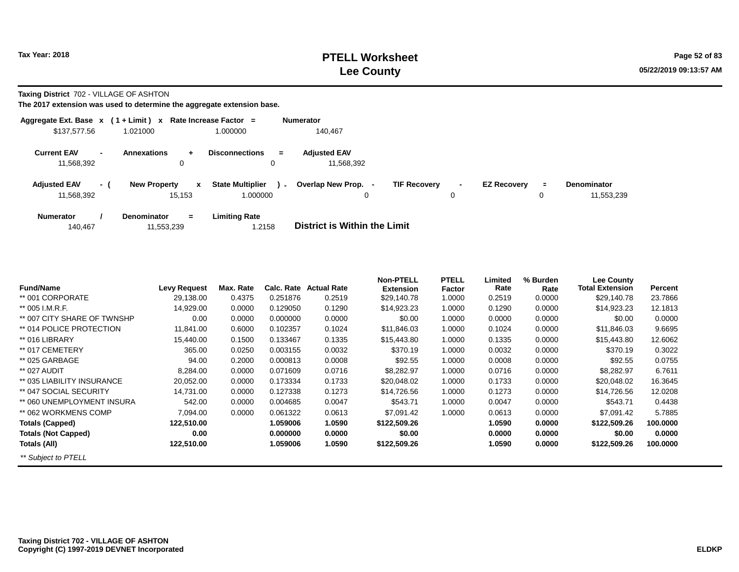**Taxing District** 702 - VILLAGE OF ASHTON

| Aggregate Ext. Base $x$ (1 + Limit) $x$ |                          |                                               | Rate Increase Factor =                        | <b>Numerator</b>                                                                                                      |            |
|-----------------------------------------|--------------------------|-----------------------------------------------|-----------------------------------------------|-----------------------------------------------------------------------------------------------------------------------|------------|
| \$137,577,56                            |                          | 1.021000                                      | 1.000000                                      | 140.467                                                                                                               |            |
| <b>Current EAV</b><br>11,568,392        | $\overline{\phantom{a}}$ | <b>Annexations</b><br>÷.<br>0                 | <b>Disconnections</b><br>$=$<br>0             | <b>Adjusted EAV</b><br>11.568.392                                                                                     |            |
| <b>Adjusted EAV</b><br>11,568,392       | - (                      | <b>New Property</b><br>$\mathbf{x}$<br>15.153 | <b>State Multiplier</b><br>$\sim$<br>1.000000 | Overlap New Prop.<br><b>TIF Recovery</b><br><b>EZ Recovery</b><br><b>Denominator</b><br>$\equiv$<br>۰.<br>0<br>0<br>0 | 11,553,239 |
| <b>Numerator</b><br>140,467             |                          | <b>Denominator</b><br>$\equiv$<br>11,553,239  | <b>Limiting Rate</b><br>.2158                 | <b>District is Within the Limit</b>                                                                                   |            |

| <b>Fund/Name</b>            | <b>Levy Request</b> | Max. Rate | Calc. Rate | <b>Actual Rate</b> | <b>Non-PTELL</b> | <b>PTELL</b> | Limited<br>Rate | % Burden | <b>Lee County</b><br><b>Total Extension</b> | Percent  |
|-----------------------------|---------------------|-----------|------------|--------------------|------------------|--------------|-----------------|----------|---------------------------------------------|----------|
|                             |                     |           |            |                    | <b>Extension</b> | Factor       |                 | Rate     |                                             |          |
| ** 001 CORPORATE            | 29,138.00           | 0.4375    | 0.251876   | 0.2519             | \$29,140.78      | 1.0000       | 0.2519          | 0.0000   | \$29,140.78                                 | 23.7866  |
| ** 005 I.M.R.F.             | 14,929.00           | 0.0000    | 0.129050   | 0.1290             | \$14,923.23      | 1.0000       | 0.1290          | 0.0000   | \$14,923.23                                 | 12.1813  |
| ** 007 CITY SHARE OF TWNSHP | 0.00                | 0.0000    | 0.000000   | 0.0000             | \$0.00           | 1.0000       | 0.0000          | 0.0000   | \$0.00                                      | 0.0000   |
| ** 014 POLICE PROTECTION    | 11,841.00           | 0.6000    | 0.102357   | 0.1024             | \$11,846.03      | 1.0000       | 0.1024          | 0.0000   | \$11,846.03                                 | 9.6695   |
| ** 016 LIBRARY              | 15,440.00           | 0.1500    | 0.133467   | 0.1335             | \$15,443.80      | 1.0000       | 0.1335          | 0.0000   | \$15,443.80                                 | 12.6062  |
| ** 017 CEMETERY             | 365.00              | 0.0250    | 0.003155   | 0.0032             | \$370.19         | 1.0000       | 0.0032          | 0.0000   | \$370.19                                    | 0.3022   |
| ** 025 GARBAGE              | 94.00               | 0.2000    | 0.000813   | 0.0008             | \$92.55          | 1.0000       | 0.0008          | 0.0000   | \$92.55                                     | 0.0755   |
| ** 027 AUDIT                | 8,284.00            | 0.0000    | 0.071609   | 0.0716             | \$8,282.97       | 1.0000       | 0.0716          | 0.0000   | \$8,282.97                                  | 6.7611   |
| ** 035 LIABILITY INSURANCE  | 20,052.00           | 0.0000    | 0.173334   | 0.1733             | \$20,048.02      | 1.0000       | 0.1733          | 0.0000   | \$20,048.02                                 | 16.3645  |
| ** 047 SOCIAL SECURITY      | 14,731.00           | 0.0000    | 0.127338   | 0.1273             | \$14,726.56      | 1.0000       | 0.1273          | 0.0000   | \$14,726.56                                 | 12.0208  |
| ** 060 UNEMPLOYMENT INSURA  | 542.00              | 0.0000    | 0.004685   | 0.0047             | \$543.71         | 1.0000       | 0.0047          | 0.0000   | \$543.71                                    | 0.4438   |
| ** 062 WORKMENS COMP        | 7,094.00            | 0.0000    | 0.061322   | 0.0613             | \$7,091.42       | 1.0000       | 0.0613          | 0.0000   | \$7,091.42                                  | 5.7885   |
| <b>Totals (Capped)</b>      | 122,510.00          |           | 1.059006   | 1.0590             | \$122,509.26     |              | 1.0590          | 0.0000   | \$122,509.26                                | 100.0000 |
| <b>Totals (Not Capped)</b>  | 0.00                |           | 0.000000   | 0.0000             | \$0.00           |              | 0.0000          | 0.0000   | \$0.00                                      | 0.0000   |
| Totals (All)                | 122,510.00          |           | 1.059006   | 1.0590             | \$122,509.26     |              | 1.0590          | 0.0000   | \$122,509.26                                | 100.0000 |
| ** Subject to PTELL         |                     |           |            |                    |                  |              |                 |          |                                             |          |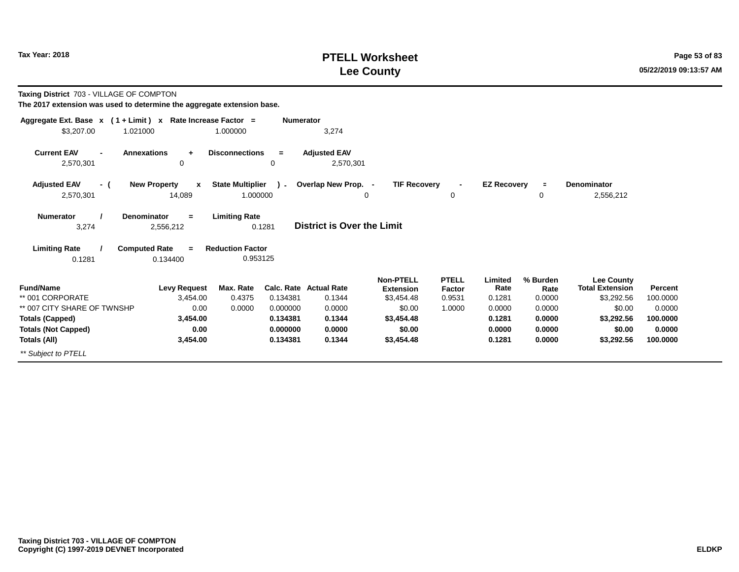# **PTELL Worksheet Tax Year: 2018 Page 53 of 83 Lee County**

**Taxing District** 703 - VILLAGE OF COMPTON

| Aggregate Ext. Base $x$ (1 + Limit) $x$                     | Rate Increase Factor =                                                            |                                                             | <b>Numerator</b> |                                   |                                |                  |                    |                |                                      |                     |
|-------------------------------------------------------------|-----------------------------------------------------------------------------------|-------------------------------------------------------------|------------------|-----------------------------------|--------------------------------|------------------|--------------------|----------------|--------------------------------------|---------------------|
| \$3,207.00<br>1.021000                                      |                                                                                   | 1.000000                                                    |                  | 3,274                             |                                |                  |                    |                |                                      |                     |
| <b>Current EAV</b><br>$\blacksquare$<br>2,570,301           | <b>Annexations</b><br>$\ddot{}$<br>0                                              | <b>Disconnections</b>                                       | $\equiv$<br>0    | <b>Adjusted EAV</b><br>2,570,301  |                                |                  |                    |                |                                      |                     |
| <b>Adjusted EAV</b><br>- (                                  | <b>New Property</b><br>$\mathbf{x}$                                               | <b>State Multiplier</b>                                     | $\lambda$ -      | Overlap New Prop. -               | <b>TIF Recovery</b>            | $\blacksquare$   | <b>EZ Recovery</b> |                | <b>Denominator</b>                   |                     |
| 2,570,301                                                   | 14,089                                                                            | 1.000000                                                    |                  |                                   | 0                              | $\Omega$         |                    | 0              | 2,556,212                            |                     |
| <b>Numerator</b><br>3,274<br><b>Limiting Rate</b><br>0.1281 | <b>Denominator</b><br>$=$<br>2,556,212<br><b>Computed Rate</b><br>$=$<br>0.134400 | <b>Limiting Rate</b><br><b>Reduction Factor</b><br>0.953125 | 0.1281           | <b>District is Over the Limit</b> |                                |                  |                    |                |                                      |                     |
|                                                             |                                                                                   |                                                             |                  |                                   | <b>Non-PTELL</b>               | <b>PTELL</b>     | Limited            | % Burden       | <b>Lee County</b>                    |                     |
| <b>Fund/Name</b><br>** 001 CORPORATE                        | <b>Levy Request</b><br>3,454.00                                                   | Max. Rate<br>0.4375                                         | 0.134381         | Calc. Rate Actual Rate<br>0.1344  | <b>Extension</b><br>\$3,454.48 | Factor<br>0.9531 | Rate<br>0.1281     | Rate<br>0.0000 | <b>Total Extension</b><br>\$3,292.56 | Percent<br>100.0000 |
| ** 007 CITY SHARE OF TWNSHP                                 | 0.00                                                                              | 0.0000                                                      | 0.000000         | 0.0000                            | \$0.00                         | 1.0000           | 0.0000             | 0.0000         | \$0.00                               | 0.0000              |
| <b>Totals (Capped)</b>                                      | 3,454.00                                                                          |                                                             | 0.134381         | 0.1344                            | \$3,454.48                     |                  | 0.1281             | 0.0000         | \$3,292.56                           | 100.0000            |
| <b>Totals (Not Capped)</b>                                  | 0.00                                                                              |                                                             | 0.000000         | 0.0000                            | \$0.00                         |                  | 0.0000             | 0.0000         | \$0.00                               | 0.0000              |
| Totals (All)                                                | 3,454.00                                                                          |                                                             | 0.134381         | 0.1344                            | \$3,454.48                     |                  | 0.1281             | 0.0000         | \$3,292.56                           | 100.0000            |
| ** Subject to PTELL                                         |                                                                                   |                                                             |                  |                                   |                                |                  |                    |                |                                      |                     |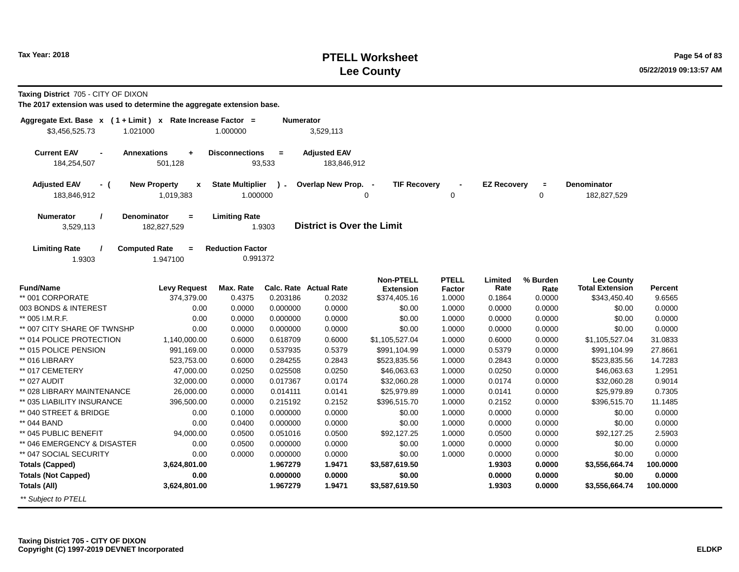# **PTELL Worksheet Tax Year: 2018 Page 54 of 83 Lee County**

**Taxing District** 705 - CITY OF DIXON

| Aggregate Ext. Base x (1 + Limit) x Rate Increase Factor =<br>\$3,456,525.73<br>1.021000 |                                              | 1.000000                            | <b>Numerator</b> | 3,529,113                         |                                      |                        |                    |                         |                                             |          |
|------------------------------------------------------------------------------------------|----------------------------------------------|-------------------------------------|------------------|-----------------------------------|--------------------------------------|------------------------|--------------------|-------------------------|---------------------------------------------|----------|
| <b>Current EAV</b>                                                                       | <b>Annexations</b><br>$\ddot{}$              | <b>Disconnections</b>               | $=$              | <b>Adjusted EAV</b>               |                                      |                        |                    |                         |                                             |          |
| 184,254,507                                                                              | 501,128                                      |                                     | 93,533           | 183,846,912                       |                                      |                        |                    |                         |                                             |          |
| <b>Adjusted EAV</b><br>- (<br>183,846,912                                                | <b>New Property</b><br>x<br>1,019,383        | <b>State Multiplier</b><br>1.000000 | $\mathcal{L}$    | Overlap New Prop. -               | <b>TIF Recovery</b><br>$\Omega$      | $\mathbf 0$            | <b>EZ Recovery</b> | $\equiv$<br>$\mathbf 0$ | <b>Denominator</b><br>182,827,529           |          |
| Denominator<br><b>Numerator</b><br>3,529,113                                             | $\equiv$<br>182,827,529                      | <b>Limiting Rate</b>                | 1.9303           | <b>District is Over the Limit</b> |                                      |                        |                    |                         |                                             |          |
| <b>Limiting Rate</b><br>1.9303                                                           | <b>Computed Rate</b><br>$\equiv$<br>1.947100 | <b>Reduction Factor</b><br>0.991372 |                  |                                   |                                      |                        |                    |                         |                                             |          |
| <b>Fund/Name</b>                                                                         | <b>Levy Request</b>                          | Max. Rate                           |                  | Calc. Rate Actual Rate            | <b>Non-PTELL</b><br><b>Extension</b> | <b>PTELL</b><br>Factor | Limited<br>Rate    | % Burden<br>Rate        | <b>Lee County</b><br><b>Total Extension</b> | Percent  |
| ** 001 CORPORATE                                                                         | 374,379.00                                   | 0.4375                              | 0.203186         | 0.2032                            | \$374,405.16                         | 1.0000                 | 0.1864             | 0.0000                  | \$343,450.40                                | 9.6565   |
| 003 BONDS & INTEREST                                                                     | 0.00                                         | 0.0000                              | 0.000000         | 0.0000                            | \$0.00                               | 1.0000                 | 0.0000             | 0.0000                  | \$0.00                                      | 0.0000   |
| ** 005 I.M.R.F.                                                                          | 0.00                                         | 0.0000                              | 0.000000         | 0.0000                            | \$0.00                               | 1.0000                 | 0.0000             | 0.0000                  | \$0.00                                      | 0.0000   |
| ** 007 CITY SHARE OF TWNSHP                                                              | 0.00                                         | 0.0000                              | 0.000000         | 0.0000                            | \$0.00                               | 1.0000                 | 0.0000             | 0.0000                  | \$0.00                                      | 0.0000   |
| ** 014 POLICE PROTECTION                                                                 | 1,140,000.00                                 | 0.6000                              | 0.618709         | 0.6000                            | \$1,105,527.04                       | 1.0000                 | 0.6000             | 0.0000                  | \$1,105,527.04                              | 31.0833  |
| ** 015 POLICE PENSION                                                                    | 991,169.00                                   | 0.0000                              | 0.537935         | 0.5379                            | \$991,104.99                         | 1.0000                 | 0.5379             | 0.0000                  | \$991,104.99                                | 27.8661  |
| ** 016 LIBRARY                                                                           | 523,753.00                                   | 0.6000                              | 0.284255         | 0.2843                            | \$523,835.56                         | 1.0000                 | 0.2843             | 0.0000                  | \$523,835.56                                | 14.7283  |
| ** 017 CEMETERY                                                                          | 47,000.00                                    | 0.0250                              | 0.025508         | 0.0250                            | \$46,063.63                          | 1.0000                 | 0.0250             | 0.0000                  | \$46,063.63                                 | 1.2951   |
| ** 027 AUDIT                                                                             | 32,000.00                                    | 0.0000                              | 0.017367         | 0.0174                            | \$32,060.28                          | 1.0000                 | 0.0174             | 0.0000                  | \$32,060.28                                 | 0.9014   |
| ** 028 LIBRARY MAINTENANCE                                                               | 26,000.00                                    | 0.0000                              | 0.014111         | 0.0141                            | \$25,979.89                          | 1.0000                 | 0.0141             | 0.0000                  | \$25,979.89                                 | 0.7305   |
| ** 035 LIABILITY INSURANCE                                                               | 396,500.00                                   | 0.0000                              | 0.215192         | 0.2152                            | \$396,515.70                         | 1.0000                 | 0.2152             | 0.0000                  | \$396,515.70                                | 11.1485  |
| ** 040 STREET & BRIDGE                                                                   | 0.00                                         | 0.1000                              | 0.000000         | 0.0000                            | \$0.00                               | 1.0000                 | 0.0000             | 0.0000                  | \$0.00                                      | 0.0000   |
| ** 044 BAND                                                                              | 0.00                                         | 0.0400                              | 0.000000         | 0.0000                            | \$0.00                               | 1.0000                 | 0.0000             | 0.0000                  | \$0.00                                      | 0.0000   |
| ** 045 PUBLIC BENEFIT                                                                    | 94,000.00                                    | 0.0500                              | 0.051016         | 0.0500                            | \$92,127.25                          | 1.0000                 | 0.0500             | 0.0000                  | \$92,127.25                                 | 2.5903   |
| ** 046 EMERGENCY & DISASTER                                                              | 0.00                                         | 0.0500                              | 0.000000         | 0.0000                            | \$0.00                               | 1.0000                 | 0.0000             | 0.0000                  | \$0.00                                      | 0.0000   |
| ** 047 SOCIAL SECURITY                                                                   | 0.00                                         | 0.0000                              | 0.000000         | 0.0000                            | \$0.00                               | 1.0000                 | 0.0000             | 0.0000                  | \$0.00                                      | 0.0000   |
| <b>Totals (Capped)</b>                                                                   | 3,624,801.00                                 |                                     | 1.967279         | 1.9471                            | \$3,587,619.50                       |                        | 1.9303             | 0.0000                  | \$3,556,664.74                              | 100.0000 |
| <b>Totals (Not Capped)</b>                                                               | 0.00                                         |                                     | 0.000000         | 0.0000                            | \$0.00                               |                        | 0.0000             | 0.0000                  | \$0.00                                      | 0.0000   |
| <b>Totals (All)</b>                                                                      | 3,624,801.00                                 |                                     | 1.967279         | 1.9471                            | \$3,587,619.50                       |                        | 1.9303             | 0.0000                  | \$3,556,664.74                              | 100.0000 |
| ** Subject to PTELL                                                                      |                                              |                                     |                  |                                   |                                      |                        |                    |                         |                                             |          |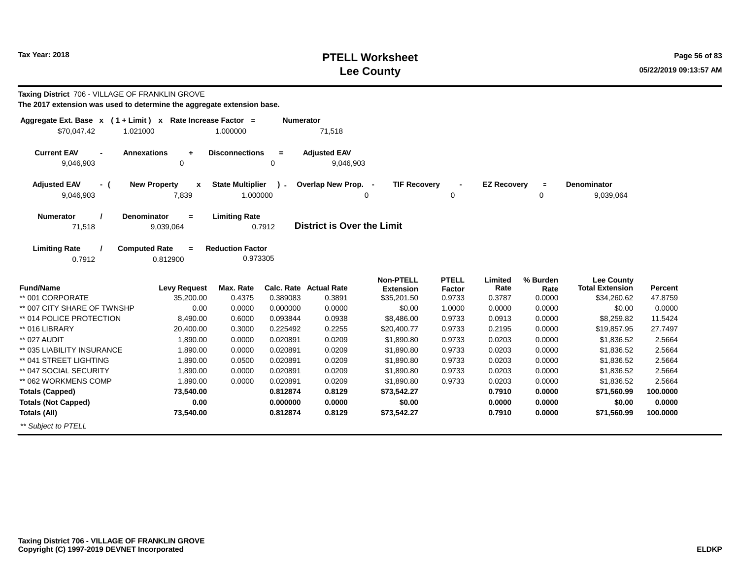# **PTELL Worksheet Tax Year: 2018 Page 56 of 83 Lee County**

| Taxing District 706 - VILLAGE OF FRANKLIN GROVE<br>The 2017 extension was used to determine the aggregate extension base. |                                                |                                     |                  |                                   |                                 |                  |                    |                     |                                             |                |
|---------------------------------------------------------------------------------------------------------------------------|------------------------------------------------|-------------------------------------|------------------|-----------------------------------|---------------------------------|------------------|--------------------|---------------------|---------------------------------------------|----------------|
| Aggregate Ext. Base $x$ (1 + Limit) x Rate Increase Factor =<br>\$70,047.42<br>1.021000                                   |                                                | 1.000000                            | <b>Numerator</b> | 71,518                            |                                 |                  |                    |                     |                                             |                |
| <b>Current EAV</b><br>9,046,903                                                                                           | <b>Annexations</b><br>$\ddot{}$<br>$\mathbf 0$ | <b>Disconnections</b>               | $=$<br>0         | <b>Adjusted EAV</b><br>9,046,903  |                                 |                  |                    |                     |                                             |                |
| <b>Adjusted EAV</b><br>- (<br>9,046,903                                                                                   | <b>New Property</b><br>X<br>7,839              | <b>State Multiplier</b><br>1.000000 | $\mathbf{r}$     | Overlap New Prop. -               | <b>TIF Recovery</b><br>0        | 0                | <b>EZ Recovery</b> | $\blacksquare$<br>0 | <b>Denominator</b><br>9,039,064             |                |
| <b>Numerator</b><br>71,518                                                                                                | <b>Denominator</b><br>$=$<br>9,039,064         | <b>Limiting Rate</b>                | 0.7912           | <b>District is Over the Limit</b> |                                 |                  |                    |                     |                                             |                |
| <b>Limiting Rate</b><br>0.7912                                                                                            | <b>Computed Rate</b><br>$=$<br>0.812900        | <b>Reduction Factor</b><br>0.973305 |                  |                                   |                                 |                  |                    |                     |                                             |                |
| <b>Fund/Name</b>                                                                                                          | <b>Levy Request</b>                            | Max. Rate                           |                  | <b>Calc. Rate Actual Rate</b>     | <b>Non-PTELL</b>                | <b>PTELL</b>     | Limited<br>Rate    | % Burden            | <b>Lee County</b><br><b>Total Extension</b> | <b>Percent</b> |
| ** 001 CORPORATE                                                                                                          | 35,200.00                                      | 0.4375                              | 0.389083         | 0.3891                            | <b>Extension</b><br>\$35,201.50 | Factor<br>0.9733 | 0.3787             | Rate<br>0.0000      | \$34,260.62                                 | 47.8759        |
| ** 007 CITY SHARE OF TWNSHP                                                                                               | 0.00                                           | 0.0000                              | 0.000000         | 0.0000                            | \$0.00                          | 1.0000           | 0.0000             | 0.0000              | \$0.00                                      | 0.0000         |
| ** 014 POLICE PROTECTION                                                                                                  | 8,490.00                                       | 0.6000                              | 0.093844         | 0.0938                            | \$8,486.00                      | 0.9733           | 0.0913             | 0.0000              | \$8,259.82                                  | 11.5424        |
| ** 016 LIBRARY                                                                                                            | 20,400.00                                      | 0.3000                              | 0.225492         | 0.2255                            | \$20,400.77                     | 0.9733           | 0.2195             | 0.0000              | \$19,857.95                                 | 27.7497        |
| ** 027 AUDIT                                                                                                              | 1,890.00                                       | 0.0000                              | 0.020891         | 0.0209                            | \$1,890.80                      | 0.9733           | 0.0203             | 0.0000              | \$1,836.52                                  | 2.5664         |
| ** 035 LIABILITY INSURANCE                                                                                                | 1,890.00                                       | 0.0000                              | 0.020891         | 0.0209                            | \$1,890.80                      | 0.9733           | 0.0203             | 0.0000              | \$1,836.52                                  | 2.5664         |
| ** 041 STREET LIGHTING                                                                                                    | 1,890.00                                       | 0.0500                              | 0.020891         | 0.0209                            | \$1,890.80                      | 0.9733           | 0.0203             | 0.0000              | \$1,836.52                                  | 2.5664         |
| ** 047 SOCIAL SECURITY                                                                                                    | 1.890.00                                       | 0.0000                              | 0.020891         | 0.0209                            | \$1,890.80                      | 0.9733           | 0.0203             | 0.0000              | \$1,836.52                                  | 2.5664         |
| ** 062 WORKMENS COMP                                                                                                      | 1,890.00                                       | 0.0000                              | 0.020891         | 0.0209                            | \$1,890.80                      | 0.9733           | 0.0203             | 0.0000              | \$1,836.52                                  | 2.5664         |
| <b>Totals (Capped)</b>                                                                                                    | 73,540.00                                      |                                     | 0.812874         | 0.8129                            | \$73,542.27                     |                  | 0.7910             | 0.0000              | \$71,560.99                                 | 100,0000       |
| <b>Totals (Not Capped)</b>                                                                                                | 0.00                                           |                                     | 0.000000         | 0.0000                            | \$0.00                          |                  | 0.0000             | 0.0000              | \$0.00                                      | 0.0000         |
| Totals (All)                                                                                                              | 73,540.00                                      |                                     | 0.812874         | 0.8129                            | \$73,542.27                     |                  | 0.7910             | 0.0000              | \$71,560.99                                 | 100.0000       |

\*\* Subject to PTELL

**Taxing District 706 - VILLAGE OF FRANKLIN GROVE Copyright (C) 1997-2019 DEVNET Incorporated**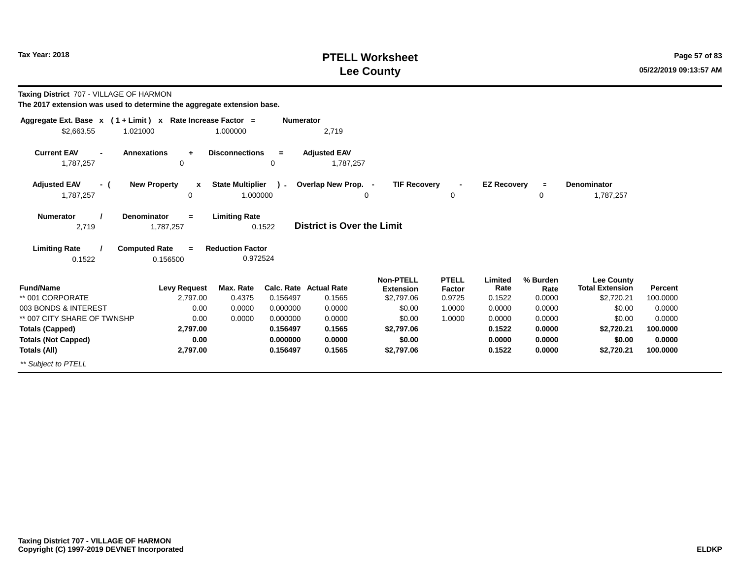## **PTELL Worksheet Tax Year: 2018 Page 57 of 83 Lee County**

**Taxing District** 707 - VILLAGE OF HARMON

| Aggregate Ext. Base $x$ (1 + Limit) x Rate Increase Factor =                                              |                                          |                                                             | <b>Numerator</b> |                                   |                                      |                        |                    |                  |                                             |          |
|-----------------------------------------------------------------------------------------------------------|------------------------------------------|-------------------------------------------------------------|------------------|-----------------------------------|--------------------------------------|------------------------|--------------------|------------------|---------------------------------------------|----------|
| \$2,663.55<br>1.021000                                                                                    |                                          | 1.000000                                                    |                  | 2,719                             |                                      |                        |                    |                  |                                             |          |
| <b>Current EAV</b><br><b>Annexations</b><br>$\blacksquare$<br>1,787,257                                   | $\ddot{}$<br>0                           | <b>Disconnections</b>                                       | $=$<br>0         | <b>Adjusted EAV</b><br>1,787,257  |                                      |                        |                    |                  |                                             |          |
| <b>Adjusted EAV</b><br>- (                                                                                | <b>New Property</b><br>$\mathbf{x}$      | <b>State Multiplier</b>                                     | $\lambda$ -      | Overlap New Prop. -               | <b>TIF Recovery</b>                  | $\blacksquare$         | <b>EZ Recovery</b> | $\equiv$         | <b>Denominator</b>                          |          |
| 1,787,257                                                                                                 | 0                                        | 1.000000                                                    |                  | 0                                 |                                      | 0                      |                    | 0                | 1,787,257                                   |          |
| <b>Denominator</b><br><b>Numerator</b><br>2,719<br><b>Limiting Rate</b><br><b>Computed Rate</b><br>0.1522 | $\equiv$<br>1,787,257<br>$=$<br>0.156500 | <b>Limiting Rate</b><br><b>Reduction Factor</b><br>0.972524 | 0.1522           | <b>District is Over the Limit</b> |                                      |                        |                    |                  |                                             |          |
| <b>Fund/Name</b>                                                                                          | <b>Levy Request</b>                      | Max. Rate                                                   |                  | Calc. Rate Actual Rate            | <b>Non-PTELL</b><br><b>Extension</b> | <b>PTELL</b><br>Factor | Limited<br>Rate    | % Burden<br>Rate | <b>Lee County</b><br><b>Total Extension</b> | Percent  |
| ** 001 CORPORATE                                                                                          | 2,797.00                                 | 0.4375                                                      | 0.156497         | 0.1565                            | \$2,797.06                           | 0.9725                 | 0.1522             | 0.0000           | \$2,720.21                                  | 100.0000 |
| 003 BONDS & INTEREST                                                                                      | 0.00                                     | 0.0000                                                      | 0.000000         | 0.0000                            | \$0.00                               | 1.0000                 | 0.0000             | 0.0000           | \$0.00                                      | 0.0000   |
| ** 007 CITY SHARE OF TWNSHP                                                                               | 0.00                                     | 0.0000                                                      | 0.000000         | 0.0000                            | \$0.00                               | 1.0000                 | 0.0000             | 0.0000           | \$0.00                                      | 0.0000   |
| <b>Totals (Capped)</b>                                                                                    | 2,797.00                                 |                                                             | 0.156497         | 0.1565                            | \$2,797.06                           |                        | 0.1522             | 0.0000           | \$2,720.21                                  | 100.0000 |
| <b>Totals (Not Capped)</b>                                                                                | 0.00                                     |                                                             | 0.000000         | 0.0000                            | \$0.00                               |                        | 0.0000             | 0.0000           | \$0.00                                      | 0.0000   |
| Totals (All)                                                                                              | 2,797.00                                 |                                                             | 0.156497         | 0.1565                            | \$2,797.06                           |                        | 0.1522             | 0.0000           | \$2,720.21                                  | 100.0000 |
| ** Subject to PTELL                                                                                       |                                          |                                                             |                  |                                   |                                      |                        |                    |                  |                                             |          |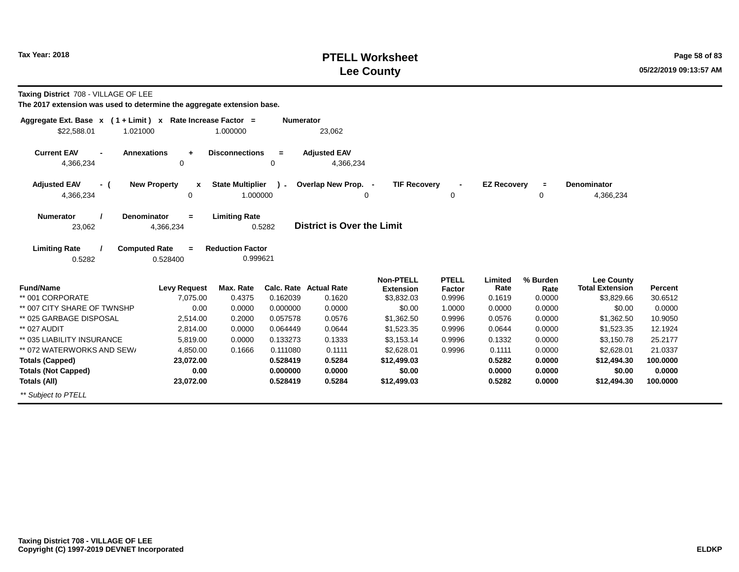## **PTELL Worksheet Tax Year: 2018 Page 58 of 83 Lee County**

**Taxing District** 708 - VILLAGE OF LEE

| Aggregate Ext. Base $x$ (1 + Limit) $x$                                 | Rate Increase Factor =              |                                     | <b>Numerator</b> |                                         |                                |                  |                    |                |                                      |                           |
|-------------------------------------------------------------------------|-------------------------------------|-------------------------------------|------------------|-----------------------------------------|--------------------------------|------------------|--------------------|----------------|--------------------------------------|---------------------------|
| \$22,588.01<br>1.021000                                                 |                                     | 1.000000                            |                  | 23,062                                  |                                |                  |                    |                |                                      |                           |
| <b>Current EAV</b><br><b>Annexations</b><br>$\blacksquare$<br>4,366,234 | $\ddot{}$<br>$\mathbf 0$            | <b>Disconnections</b>               | $\equiv$<br>0    | <b>Adjusted EAV</b><br>4,366,234        |                                |                  |                    |                |                                      |                           |
|                                                                         |                                     |                                     |                  |                                         |                                |                  |                    |                |                                      |                           |
| <b>Adjusted EAV</b><br>- (                                              | <b>New Property</b><br>$\mathbf{x}$ | <b>State Multiplier</b>             | $\sim$           | Overlap New Prop. -                     | <b>TIF Recovery</b>            | $\blacksquare$   | <b>EZ Recovery</b> |                | <b>Denominator</b>                   |                           |
| 4,366,234                                                               | 0                                   | 1.000000                            |                  |                                         | 0                              | 0                |                    | 0              | 4,366,234                            |                           |
| <b>Denominator</b><br><b>Numerator</b>                                  | $=$                                 | <b>Limiting Rate</b>                |                  |                                         |                                |                  |                    |                |                                      |                           |
| 23,062                                                                  | 4,366,234                           |                                     | 0.5282           | <b>District is Over the Limit</b>       |                                |                  |                    |                |                                      |                           |
|                                                                         |                                     |                                     |                  |                                         |                                |                  |                    |                |                                      |                           |
| <b>Limiting Rate</b><br><b>Computed Rate</b><br>0.5282                  | $=$<br>0.528400                     | <b>Reduction Factor</b><br>0.999621 |                  |                                         |                                |                  |                    |                |                                      |                           |
|                                                                         |                                     |                                     |                  |                                         |                                |                  |                    |                |                                      |                           |
|                                                                         |                                     |                                     |                  |                                         | <b>Non-PTELL</b>               | <b>PTELL</b>     | Limited            | % Burden       | <b>Lee County</b>                    |                           |
| <b>Fund/Name</b><br>** 001 CORPORATE                                    | <b>Levy Request</b><br>7.075.00     | Max. Rate<br>0.4375                 | 0.162039         | <b>Calc. Rate Actual Rate</b><br>0.1620 | <b>Extension</b><br>\$3,832.03 | Factor<br>0.9996 | Rate<br>0.1619     | Rate<br>0.0000 | <b>Total Extension</b><br>\$3,829.66 | <b>Percent</b><br>30.6512 |
| ** 007 CITY SHARE OF TWNSHP                                             | 0.00                                | 0.0000                              | 0.000000         | 0.0000                                  | \$0.00                         | 1.0000           | 0.0000             | 0.0000         | \$0.00                               | 0.0000                    |
| ** 025 GARBAGE DISPOSAL                                                 | 2,514.00                            | 0.2000                              | 0.057578         | 0.0576                                  | \$1,362.50                     | 0.9996           | 0.0576             | 0.0000         | \$1,362.50                           | 10.9050                   |
| ** 027 AUDIT                                                            | 2,814.00                            | 0.0000                              | 0.064449         | 0.0644                                  | \$1,523.35                     | 0.9996           | 0.0644             | 0.0000         | \$1,523.35                           | 12.1924                   |
| ** 035 LIABILITY INSURANCE                                              | 5,819.00                            | 0.0000                              | 0.133273         | 0.1333                                  | \$3,153.14                     | 0.9996           | 0.1332             | 0.0000         | \$3,150.78                           | 25.2177                   |
| ** 072 WATERWORKS AND SEW/                                              | 4,850.00                            | 0.1666                              | 0.111080         | 0.1111                                  | \$2,628.01                     | 0.9996           | 0.1111             | 0.0000         | \$2,628.01                           | 21.0337                   |
| <b>Totals (Capped)</b>                                                  | 23,072.00                           |                                     | 0.528419         | 0.5284                                  | \$12,499.03                    |                  | 0.5282             | 0.0000         | \$12,494.30                          | 100.0000                  |
| <b>Totals (Not Capped)</b>                                              | 0.00                                |                                     | 0.000000         | 0.0000                                  | \$0.00                         |                  | 0.0000             | 0.0000         | \$0.00                               | 0.0000                    |
| Totals (All)                                                            | 23,072.00                           |                                     | 0.528419         | 0.5284                                  | \$12,499.03                    |                  | 0.5282             | 0.0000         | \$12,494.30                          | 100.0000                  |
| ** Subject to PTELL                                                     |                                     |                                     |                  |                                         |                                |                  |                    |                |                                      |                           |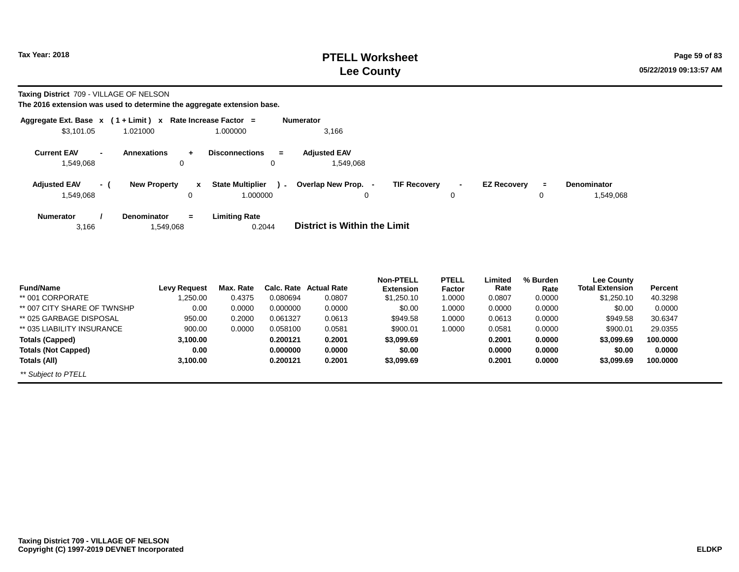**Taxing District** 709 - VILLAGE OF NELSON

| Aggregate Ext. Base $x$ (1 + Limit) $x$ |                                                | Rate Increase Factor = |                                               | <b>Numerator</b>                 |                     |                                                     |               |                                 |
|-----------------------------------------|------------------------------------------------|------------------------|-----------------------------------------------|----------------------------------|---------------------|-----------------------------------------------------|---------------|---------------------------------|
| \$3,101.05                              | 1.021000                                       |                        | 1.000000                                      | 3.166                            |                     |                                                     |               |                                 |
| <b>Current EAV</b><br>1.549.068         | <b>Annexations</b><br>$\overline{\phantom{a}}$ | $\ddot{}$<br>0         | <b>Disconnections</b><br>$\equiv$<br>0        | <b>Adiusted EAV</b><br>1.549.068 |                     |                                                     |               |                                 |
| <b>Adjusted EAV</b><br>1.549.068        | <b>New Property</b><br>- (                     | $\mathbf{x}$<br>0      | <b>State Multiplier</b><br>$\sim$<br>1.000000 | Overlap New Prop. -<br>0         | <b>TIF Recovery</b> | <b>EZ Recovery</b><br>$\overline{\phantom{a}}$<br>0 | $\equiv$<br>0 | <b>Denominator</b><br>1,549,068 |
| <b>Numerator</b><br>3,166               | <b>Denominator</b>                             | $=$<br>1,549,068       | <b>Limiting Rate</b><br>0.2044                | District is Within the Limit     |                     |                                                     |               |                                 |

| <b>Fund/Name</b>            | Levy Request | Max. Rate | Calc. Rate | <b>Actual Rate</b> | <b>Non-PTELL</b><br><b>Extension</b> | <b>PTELL</b><br>Factor | Limited<br>Rate | % Burden<br>Rate | Lee County<br><b>Total Extension</b> | Percent  |
|-----------------------------|--------------|-----------|------------|--------------------|--------------------------------------|------------------------|-----------------|------------------|--------------------------------------|----------|
| ** 001 CORPORATE            | 1,250.00     | 0.4375    | 0.080694   | 0.0807             | \$1,250.10                           | 1.0000                 | 0.0807          | 0.0000           | \$1,250.10                           | 40.3298  |
| ** 007 CITY SHARE OF TWNSHP | 0.00         | 0.0000    | 0.000000   | 0.0000             | \$0.00                               | 1.0000                 | 0.0000          | 0.0000           | \$0.00                               | 0.0000   |
| ** 025 GARBAGE DISPOSAL     | 950.00       | 0.2000    | 0.061327   | 0.0613             | \$949.58                             | 1.0000                 | 0.0613          | 0.0000           | \$949.58                             | 30.6347  |
| ** 035 LIABILITY INSURANCE  | 900.00       | 0.0000    | 0.058100   | 0.0581             | \$900.01                             | 1.0000                 | 0.0581          | 0.0000           | \$900.01                             | 29.0355  |
| Totals (Capped)             | 3,100.00     |           | 0.200121   | 0.2001             | \$3,099.69                           |                        | 0.2001          | 0.0000           | \$3,099.69                           | 100.0000 |
| <b>Totals (Not Capped)</b>  | 0.00         |           | 0.000000   | 0.0000             | \$0.00                               |                        | 0.0000          | 0.0000           | \$0.00                               | 0.0000   |
| Totals (All)                | 3.100.00     |           | 0.200121   | 0.2001             | \$3,099.69                           |                        | 0.2001          | 0.0000           | \$3,099.69                           | 100.0000 |
| ** Subject to PTELL         |              |           |            |                    |                                      |                        |                 |                  |                                      |          |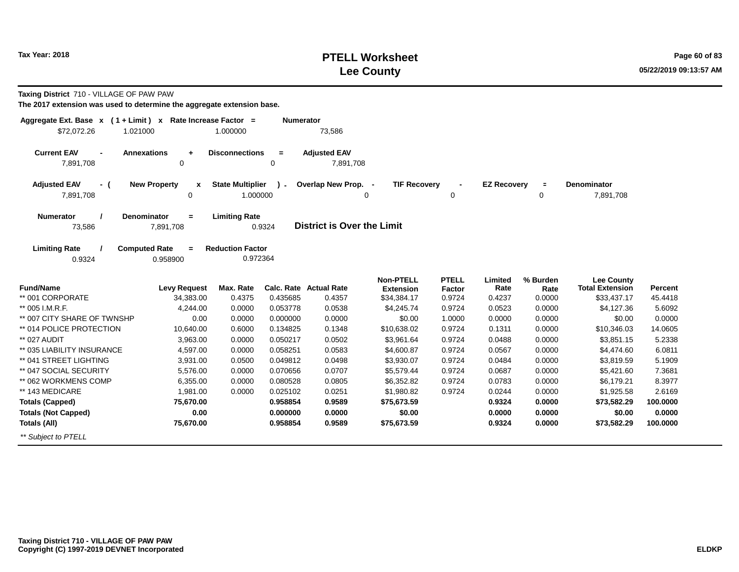## **PTELL Worksheet Tax Year:** 2018 **Page 60 of 83 Lee County**

**Taxing District** 710 - VILLAGE OF PAW PAW

| Aggregate Ext. Base x (1+Limit) x Rate Increase Factor =                                                                                    |                                         |                                     | <b>Numerator</b>        |                                  |                                      |                               |                    |                  |                                             |                |
|---------------------------------------------------------------------------------------------------------------------------------------------|-----------------------------------------|-------------------------------------|-------------------------|----------------------------------|--------------------------------------|-------------------------------|--------------------|------------------|---------------------------------------------|----------------|
| \$72,072.26<br>1.021000                                                                                                                     |                                         | 1.000000                            |                         | 73,586                           |                                      |                               |                    |                  |                                             |                |
| <b>Current EAV</b><br><b>Annexations</b><br>$\blacksquare$<br>7,891,708                                                                     | $\ddot{}$<br>$\mathbf 0$                | <b>Disconnections</b>               | $\equiv$<br>$\mathbf 0$ | <b>Adjusted EAV</b><br>7,891,708 |                                      |                               |                    |                  |                                             |                |
| <b>Adjusted EAV</b><br>- (                                                                                                                  | <b>New Property</b><br>$\mathbf{x}$     | <b>State Multiplier</b>             | $\lambda$ -             | Overlap New Prop. -              | <b>TIF Recovery</b>                  |                               | <b>EZ Recoverv</b> | $\equiv$         | <b>Denominator</b>                          |                |
| 7,891,708                                                                                                                                   | $\mathbf 0$                             | 1.000000                            |                         |                                  | $\Omega$                             | 0                             |                    | 0                | 7,891,708                                   |                |
| <b>Denominator</b><br><b>Limiting Rate</b><br><b>Numerator</b><br>$=$<br><b>District is Over the Limit</b><br>73,586<br>0.9324<br>7,891,708 |                                         |                                     |                         |                                  |                                      |                               |                    |                  |                                             |                |
| <b>Limiting Rate</b><br>0.9324                                                                                                              | <b>Computed Rate</b><br>$=$<br>0.958900 | <b>Reduction Factor</b><br>0.972364 |                         |                                  |                                      |                               |                    |                  |                                             |                |
| <b>Fund/Name</b>                                                                                                                            | <b>Levy Request</b>                     | Max. Rate                           |                         | Calc. Rate Actual Rate           | <b>Non-PTELL</b><br><b>Extension</b> | <b>PTELL</b><br><b>Factor</b> | Limited<br>Rate    | % Burden<br>Rate | <b>Lee County</b><br><b>Total Extension</b> | <b>Percent</b> |
| ** 001 CORPORATE                                                                                                                            | 34,383.00                               | 0.4375                              | 0.435685                | 0.4357                           | \$34,384.17                          | 0.9724                        | 0.4237             | 0.0000           | \$33,437.17                                 | 45.4418        |
| ** 005 I.M.R.F.                                                                                                                             | 4,244.00                                | 0.0000                              | 0.053778                | 0.0538                           | \$4,245.74                           | 0.9724                        | 0.0523             | 0.0000           | \$4,127.36                                  | 5.6092         |
| ** 007 CITY SHARE OF TWNSHP                                                                                                                 | 0.00                                    | 0.0000                              | 0.000000                | 0.0000                           | \$0.00                               | 1.0000                        | 0.0000             | 0.0000           | \$0.00                                      | 0.0000         |
| ** 014 POLICE PROTECTION                                                                                                                    | 10,640.00                               | 0.6000                              | 0.134825                | 0.1348                           | \$10.638.02                          | 0.9724                        | 0.1311             | 0.0000           | \$10,346.03                                 | 14.0605        |
| ** 027 AUDIT                                                                                                                                | 3,963.00                                | 0.0000                              | 0.050217                | 0.0502                           | \$3,961.64                           | 0.9724                        | 0.0488             | 0.0000           | \$3,851.15                                  | 5.2338         |
| ** 035 LIABILITY INSURANCE                                                                                                                  | 4,597.00                                | 0.0000                              | 0.058251                | 0.0583                           | \$4,600.87                           | 0.9724                        | 0.0567             | 0.0000           | \$4,474.60                                  | 6.0811         |
| ** 041 STREET LIGHTING                                                                                                                      | 3,931.00                                | 0.0500                              | 0.049812                | 0.0498                           | \$3,930.07                           | 0.9724                        | 0.0484             | 0.0000           | \$3,819.59                                  | 5.1909         |
| ** 047 SOCIAL SECURITY                                                                                                                      | 5,576.00                                | 0.0000                              | 0.070656                | 0.0707                           | \$5,579.44                           | 0.9724                        | 0.0687             | 0.0000           | \$5,421.60                                  | 7.3681         |
| ** 062 WORKMENS COMP                                                                                                                        | 6,355.00                                | 0.0000                              | 0.080528                | 0.0805                           | \$6,352.82                           | 0.9724                        | 0.0783             | 0.0000           | \$6,179.21                                  | 8.3977         |
| ** 143 MEDICARE                                                                                                                             | 1,981.00                                | 0.0000                              | 0.025102                | 0.0251                           | \$1,980.82                           | 0.9724                        | 0.0244             | 0.0000           | \$1,925.58                                  | 2.6169         |
| <b>Totals (Capped)</b>                                                                                                                      | 75,670.00                               |                                     | 0.958854                | 0.9589                           | \$75,673.59                          |                               | 0.9324             | 0.0000           | \$73,582.29                                 | 100.0000       |
| <b>Totals (Not Capped)</b>                                                                                                                  | 0.00                                    |                                     | 0.000000                | 0.0000                           | \$0.00                               |                               | 0.0000             | 0.0000           | \$0.00                                      | 0.0000         |
| <b>Totals (All)</b>                                                                                                                         | 75,670.00                               |                                     | 0.958854                | 0.9589                           | \$75,673.59                          |                               | 0.9324             | 0.0000           | \$73,582.29                                 | 100.0000       |
| ** Subject to PTELL                                                                                                                         |                                         |                                     |                         |                                  |                                      |                               |                    |                  |                                             |                |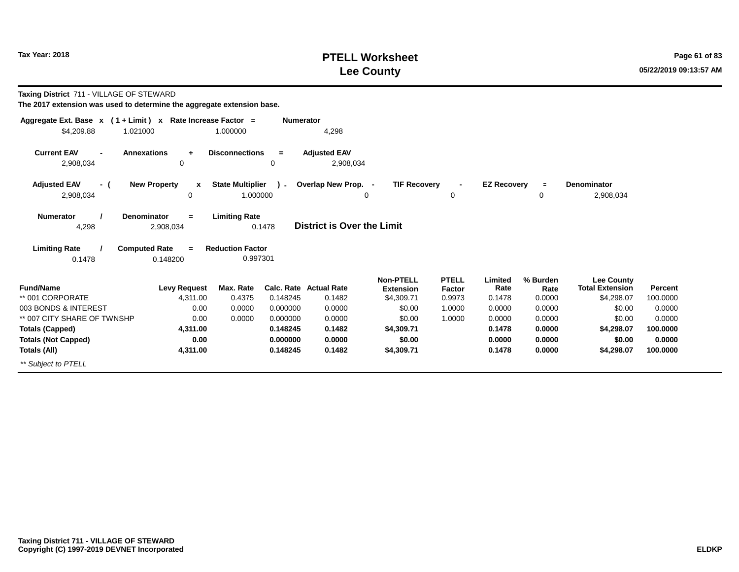# **PTELL Worksheet Tax Year: 2018 Page 61 of 83 Lee County**

**Taxing District** 711 - VILLAGE OF STEWARD

| Aggregate Ext. Base $x$ (1 + Limit) $x$                                                                                                    | Rate Increase Factor =        |                                     | <b>Numerator</b> |                                  |                                      |                        |                    |                     |                                      |                |
|--------------------------------------------------------------------------------------------------------------------------------------------|-------------------------------|-------------------------------------|------------------|----------------------------------|--------------------------------------|------------------------|--------------------|---------------------|--------------------------------------|----------------|
| 1.021000<br>\$4,209.88                                                                                                                     |                               | 1.000000                            |                  | 4,298                            |                                      |                        |                    |                     |                                      |                |
| <b>Current EAV</b><br><b>Annexations</b><br>$\overline{\phantom{0}}$<br>2,908,034                                                          | $\ddot{\phantom{1}}$<br>0     | <b>Disconnections</b>               | $\equiv$<br>0    | <b>Adjusted EAV</b><br>2,908,034 |                                      |                        |                    |                     |                                      |                |
| <b>Adjusted EAV</b><br>- (<br>2,908,034                                                                                                    | <b>New Property</b><br>x<br>0 | <b>State Multiplier</b><br>1.000000 | $\lambda$ -      | Overlap New Prop. -<br>0         | <b>TIF Recovery</b>                  | 0                      | <b>EZ Recovery</b> | $\blacksquare$<br>0 | <b>Denominator</b><br>2,908,034      |                |
| <b>Denominator</b><br><b>Limiting Rate</b><br><b>Numerator</b><br>$=$<br><b>District is Over the Limit</b><br>4,298<br>2,908,034<br>0.1478 |                               |                                     |                  |                                  |                                      |                        |                    |                     |                                      |                |
| <b>Limiting Rate</b><br><b>Computed Rate</b><br>0.1478                                                                                     | $=$<br>0.148200               | <b>Reduction Factor</b><br>0.997301 |                  |                                  |                                      |                        |                    |                     |                                      |                |
| <b>Fund/Name</b>                                                                                                                           | <b>Levy Request</b>           | Max. Rate                           |                  | Calc. Rate Actual Rate           | <b>Non-PTELL</b><br><b>Extension</b> | <b>PTELL</b><br>Factor | Limited<br>Rate    | % Burden<br>Rate    | Lee County<br><b>Total Extension</b> | <b>Percent</b> |
| ** 001 CORPORATE                                                                                                                           | 4,311.00                      | 0.4375                              | 0.148245         | 0.1482                           | \$4,309.71                           | 0.9973                 | 0.1478             | 0.0000              | \$4,298.07                           | 100.0000       |
| 003 BONDS & INTEREST                                                                                                                       | 0.00                          | 0.0000                              | 0.000000         | 0.0000                           | \$0.00                               | 1.0000                 | 0.0000             | 0.0000              | \$0.00                               | 0.0000         |
| ** 007 CITY SHARE OF TWNSHP                                                                                                                | 0.00                          | 0.0000                              | 0.000000         | 0.0000                           | \$0.00                               | 1.0000                 | 0.0000             | 0.0000              | \$0.00                               | 0.0000         |
| <b>Totals (Capped)</b>                                                                                                                     | 4,311.00                      |                                     | 0.148245         | 0.1482                           | \$4,309.71                           |                        | 0.1478             | 0.0000              | \$4,298.07                           | 100.0000       |
| <b>Totals (Not Capped)</b>                                                                                                                 | 0.00                          |                                     | 0.000000         | 0.0000                           | \$0.00                               |                        | 0.0000             | 0.0000              | \$0.00                               | 0.0000         |
| Totals (All)                                                                                                                               | 4,311.00                      |                                     | 0.148245         | 0.1482                           | \$4,309.71                           |                        | 0.1478             | 0.0000              | \$4,298.07                           | 100.0000       |
| ** Subject to PTELL                                                                                                                        |                               |                                     |                  |                                  |                                      |                        |                    |                     |                                      |                |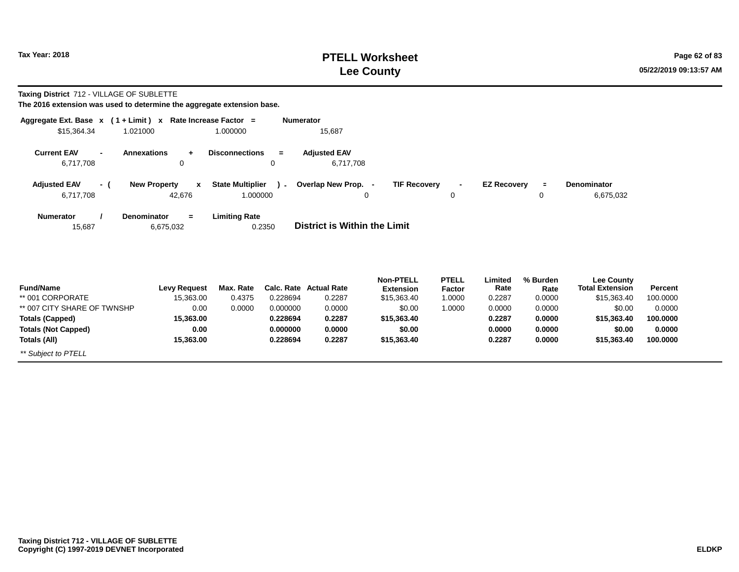\*\* Subject to PTELL

## **PTELL Worksheet Tax Year:** 2018 **Page 62 of 83 Lee County**

**Taxing District** 712 - VILLAGE OF SUBLETTE

| $(1 + Limit) x$<br>Aggregate Ext. Base x |                                               | Rate Increase Factor =              | <b>Numerator</b>  |                                     |                               |                        |                    |                  |                                             |          |
|------------------------------------------|-----------------------------------------------|-------------------------------------|-------------------|-------------------------------------|-------------------------------|------------------------|--------------------|------------------|---------------------------------------------|----------|
| \$15,364.34<br>1.021000                  |                                               | 1.000000                            |                   | 15,687                              |                               |                        |                    |                  |                                             |          |
| <b>Current EAV</b><br>6,717,708          | <b>Annexations</b><br>÷<br>0                  | <b>Disconnections</b>               | $\equiv$<br>0     | <b>Adjusted EAV</b><br>6,717,708    |                               |                        |                    |                  |                                             |          |
| <b>Adjusted EAV</b><br>- (<br>6,717,708  | <b>New Property</b><br>$\mathbf{x}$<br>42,676 | <b>State Multiplier</b><br>1.000000 | $\sim$            | Overlap New Prop. -<br>0            | <b>TIF Recovery</b>           | 0                      | <b>EZ Recovery</b> | $\equiv$<br>0    | Denominator<br>6,675,032                    |          |
| <b>Numerator</b><br>15,687               | Denominator<br>$=$<br>6,675,032               | <b>Limiting Rate</b>                | 0.2350            | <b>District is Within the Limit</b> |                               |                        |                    |                  |                                             |          |
| <b>Fund/Name</b>                         | <b>Levy Request</b>                           | Max. Rate                           | <b>Calc. Rate</b> | <b>Actual Rate</b>                  | Non-PTELL<br><b>Extension</b> | <b>PTELL</b><br>Factor | Limited<br>Rate    | % Burden<br>Rate | <b>Lee County</b><br><b>Total Extension</b> | Percent  |
| ** 001 CORPORATE                         | 15,363.00                                     | 0.4375                              | 0.228694          | 0.2287                              | \$15,363.40                   | 1.0000                 | 0.2287             | 0.0000           | \$15,363.40                                 | 100.0000 |
| ** 007 CITY SHARE OF TWNSHP              | 0.00                                          | 0.0000                              | 0.000000          | 0.0000                              | \$0.00                        | 1.0000                 | 0.0000             | 0.0000           | \$0.00                                      | 0.0000   |
| <b>Totals (Capped)</b>                   | 15,363.00                                     |                                     | 0.228694          | 0.2287                              | \$15,363.40                   |                        | 0.2287             | 0.0000           | \$15,363.40                                 | 100.0000 |
| <b>Totals (Not Capped)</b>               | 0.00                                          |                                     | 0.000000          | 0.0000                              | \$0.00                        |                        | 0.0000             | 0.0000           | \$0.00                                      | 0.0000   |
| Totals (All)                             | 15,363.00                                     |                                     | 0.228694          | 0.2287                              | \$15,363.40                   |                        | 0.2287             | 0.0000           | \$15,363.40                                 | 100.0000 |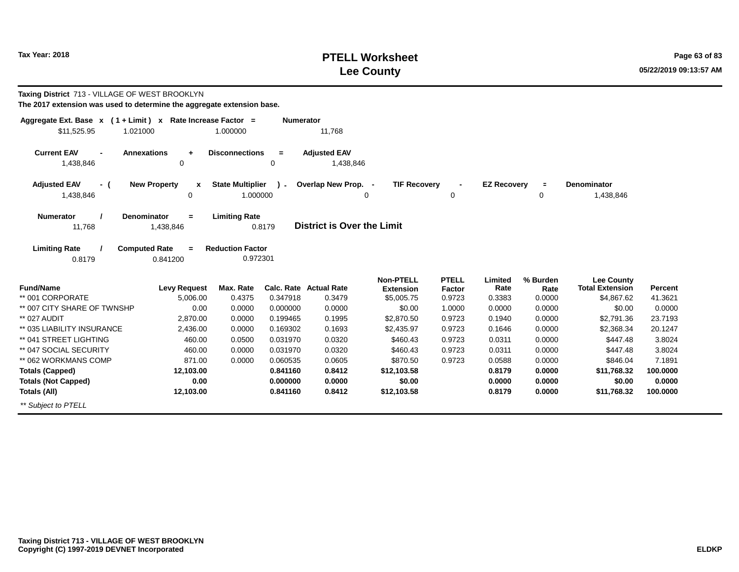## **PTELL Worksheet Tax Year:** 2018 **Page 63 of 83 Lee County**

| <b>Taxing District 713 - VILLAGE OF WEST BROOKLYN</b><br>The 2017 extension was used to determine the aggregate extension base. |                                              |                                     |                  |                                   |                                      |                        |                    |                  |                                             |                |
|---------------------------------------------------------------------------------------------------------------------------------|----------------------------------------------|-------------------------------------|------------------|-----------------------------------|--------------------------------------|------------------------|--------------------|------------------|---------------------------------------------|----------------|
| Aggregate Ext. Base $x$ (1 + Limit) x Rate Increase Factor =<br>\$11,525.95<br>1.021000                                         |                                              | 1.000000                            | <b>Numerator</b> | 11,768                            |                                      |                        |                    |                  |                                             |                |
| <b>Current EAV</b><br>1,438,846                                                                                                 | <b>Annexations</b><br>$\ddot{}$<br>0         | <b>Disconnections</b>               | $=$<br>0         | <b>Adjusted EAV</b><br>1,438,846  |                                      |                        |                    |                  |                                             |                |
| <b>Adjusted EAV</b><br>- (<br>1,438,846                                                                                         | <b>New Property</b><br>X<br>0                | <b>State Multiplier</b><br>1.000000 | $\sim$           | Overlap New Prop. -<br>$\Omega$   | <b>TIF Recovery</b>                  | 0                      | <b>EZ Recovery</b> | $\equiv$<br>0    | Denominator<br>1,438,846                    |                |
| <b>Numerator</b><br>11,768                                                                                                      | Denominator<br>$=$<br>1,438,846              | <b>Limiting Rate</b>                | 0.8179           | <b>District is Over the Limit</b> |                                      |                        |                    |                  |                                             |                |
| <b>Limiting Rate</b><br>0.8179                                                                                                  | <b>Computed Rate</b><br>$\equiv$<br>0.841200 | <b>Reduction Factor</b><br>0.972301 |                  |                                   |                                      |                        |                    |                  |                                             |                |
| <b>Fund/Name</b>                                                                                                                | <b>Levy Request</b>                          | Max. Rate                           |                  | <b>Calc. Rate Actual Rate</b>     | <b>Non-PTELL</b><br><b>Extension</b> | <b>PTELL</b><br>Factor | Limited<br>Rate    | % Burden<br>Rate | <b>Lee County</b><br><b>Total Extension</b> | <b>Percent</b> |
| ** 001 CORPORATE                                                                                                                | 5,006.00                                     | 0.4375                              | 0.347918         | 0.3479                            | \$5,005.75                           | 0.9723                 | 0.3383             | 0.0000           | \$4,867.62                                  | 41.3621        |
| ** 007 CITY SHARE OF TWNSHP                                                                                                     | 0.00                                         | 0.0000                              | 0.000000         | 0.0000                            | \$0.00                               | 1.0000                 | 0.0000             | 0.0000           | \$0.00                                      | 0.0000         |
| ** 027 AUDIT                                                                                                                    | 2,870.00                                     | 0.0000                              | 0.199465         | 0.1995                            | \$2,870.50                           | 0.9723                 | 0.1940             | 0.0000           | \$2,791.36                                  | 23.7193        |
| ** 035 LIABILITY INSURANCE                                                                                                      | 2,436.00                                     | 0.0000                              | 0.169302         | 0.1693                            | \$2,435.97                           | 0.9723                 | 0.1646             | 0.0000           | \$2,368.34                                  | 20.1247        |
| ** 041 STREET LIGHTING                                                                                                          | 460.00                                       | 0.0500                              | 0.031970         | 0.0320                            | \$460.43                             | 0.9723                 | 0.0311             | 0.0000           | \$447.48                                    | 3.8024         |
| ** 047 SOCIAL SECURITY                                                                                                          | 460.00                                       | 0.0000                              | 0.031970         | 0.0320                            | \$460.43                             | 0.9723                 | 0.0311             | 0.0000           | \$447.48                                    | 3.8024         |
| ** 062 WORKMANS COMP                                                                                                            | 871.00                                       | 0.0000                              | 0.060535         | 0.0605                            | \$870.50                             | 0.9723                 | 0.0588             | 0.0000           | \$846.04                                    | 7.1891         |
| <b>Totals (Capped)</b>                                                                                                          | 12,103.00                                    |                                     | 0.841160         | 0.8412                            | \$12,103.58                          |                        | 0.8179             | 0.0000           | \$11,768.32                                 | 100.0000       |
| <b>Totals (Not Capped)</b>                                                                                                      | 0.00                                         |                                     | 0.000000         | 0.0000                            | \$0.00                               |                        | 0.0000             | 0.0000           | \$0.00                                      | 0.0000         |
| Totals (All)                                                                                                                    | 12,103.00                                    |                                     | 0.841160         | 0.8412                            | \$12,103.58                          |                        | 0.8179             | 0.0000           | \$11,768.32                                 | 100.0000       |

\*\* Subject to PTELL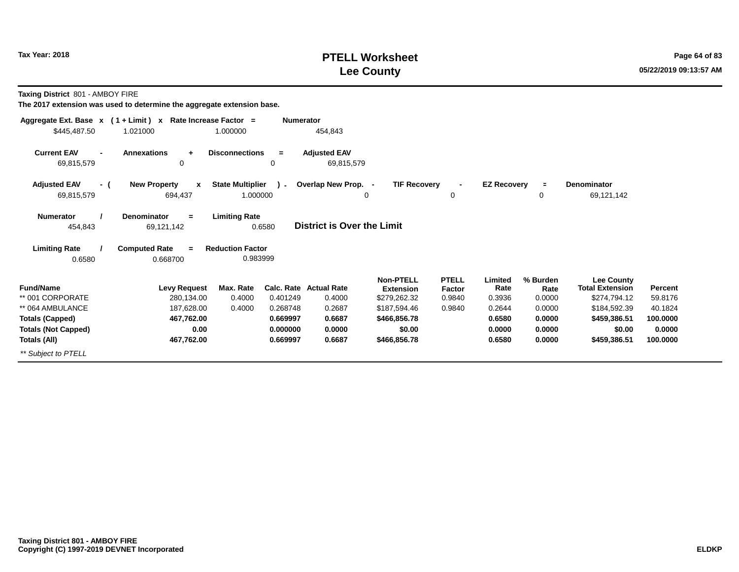# **PTELL Worksheet Tax Year: 2018 Page 64 of 83 Lee County**

**Taxing District** 801 - AMBOY FIRE

| Aggregate Ext. Base $x$ (1 + Limit) $x$  |                                                | Rate Increase Factor =              | <b>Numerator</b> |                                   |                                      |                        |                    |                      |                                             |          |
|------------------------------------------|------------------------------------------------|-------------------------------------|------------------|-----------------------------------|--------------------------------------|------------------------|--------------------|----------------------|---------------------------------------------|----------|
| \$445,487.50                             | 1.021000                                       | 1.000000                            |                  | 454,843                           |                                      |                        |                    |                      |                                             |          |
| <b>Current EAV</b><br>69,815,579         | <b>Annexations</b><br>÷<br>0                   | <b>Disconnections</b>               | $\equiv$<br>0    | <b>Adjusted EAV</b><br>69,815,579 |                                      |                        |                    |                      |                                             |          |
| <b>Adjusted EAV</b><br>- (<br>69,815,579 | <b>New Property</b><br>$\mathbf{x}$<br>694,437 | <b>State Multiplier</b><br>1.000000 | $\mathcal{L}$    | Overlap New Prop. -               | <b>TIF Recovery</b><br>0             | 0                      | <b>EZ Recovery</b> | $\equiv$<br>$\Omega$ | <b>Denominator</b><br>69,121,142            |          |
| <b>Numerator</b><br>454,843              | <b>Denominator</b><br>$\equiv$<br>69,121,142   | <b>Limiting Rate</b>                | 0.6580           | District is Over the Limit        |                                      |                        |                    |                      |                                             |          |
| <b>Limiting Rate</b><br>0.6580           | <b>Computed Rate</b><br>$=$<br>0.668700        | <b>Reduction Factor</b><br>0.983999 |                  |                                   |                                      |                        |                    |                      |                                             |          |
| <b>Fund/Name</b>                         | <b>Levy Request</b>                            | Max. Rate                           |                  | <b>Calc. Rate Actual Rate</b>     | <b>Non-PTELL</b><br><b>Extension</b> | <b>PTELL</b><br>Factor | Limited<br>Rate    | % Burden<br>Rate     | <b>Lee County</b><br><b>Total Extension</b> | Percent  |
| ** 001 CORPORATE                         | 280,134.00                                     | 0.4000                              | 0.401249         | 0.4000                            | \$279,262.32                         | 0.9840                 | 0.3936             | 0.0000               | \$274,794.12                                | 59.8176  |
| ** 064 AMBULANCE                         | 187,628.00                                     | 0.4000                              | 0.268748         | 0.2687                            | \$187,594.46                         | 0.9840                 | 0.2644             | 0.0000               | \$184,592.39                                | 40.1824  |
| <b>Totals (Capped)</b>                   | 467,762.00                                     |                                     | 0.669997         | 0.6687                            | \$466,856.78                         |                        | 0.6580             | 0.0000               | \$459,386.51                                | 100.0000 |
| <b>Totals (Not Capped)</b>               | 0.00                                           |                                     | 0.000000         | 0.0000                            | \$0.00                               |                        | 0.0000             | 0.0000               | \$0.00                                      | 0.0000   |
| Totals (All)                             | 467,762.00                                     |                                     | 0.669997         | 0.6687                            | \$466,856.78                         |                        | 0.6580             | 0.0000               | \$459,386.51                                | 100.0000 |
| ** Subject to PTELL                      |                                                |                                     |                  |                                   |                                      |                        |                    |                      |                                             |          |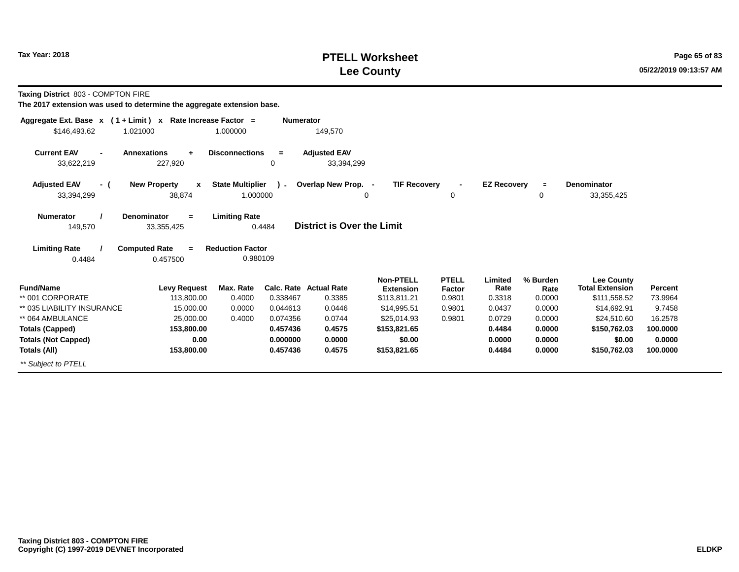# **PTELL Worksheet Tax Year: 2018 Page 65 of 83 Lee County**

**Taxing District** 803 - COMPTON FIRE

| Aggregate Ext. Base x (1 + Limit) x Rate Increase Factor =               |                                                               | <b>Numerator</b>         |                                   |                                      |                        |                    |                  |                                             |          |
|--------------------------------------------------------------------------|---------------------------------------------------------------|--------------------------|-----------------------------------|--------------------------------------|------------------------|--------------------|------------------|---------------------------------------------|----------|
| \$146,493.62<br>1.021000                                                 | 1.000000                                                      |                          | 149,570                           |                                      |                        |                    |                  |                                             |          |
| <b>Current EAV</b><br><b>Annexations</b><br>$\blacksquare$<br>33,622,219 | <b>Disconnections</b><br>÷<br>227,920                         | $=$<br>0                 | <b>Adjusted EAV</b><br>33,394,299 |                                      |                        |                    |                  |                                             |          |
| <b>Adjusted EAV</b><br>- (<br>33,394,299                                 | <b>New Property</b><br><b>State Multiplier</b><br>x<br>38,874 | $\mathbf{r}$<br>1.000000 | Overlap New Prop. -               | <b>TIF Recovery</b><br>0             | $\blacksquare$<br>0    | <b>EZ Recovery</b> | $\equiv$<br>0    | Denominator<br>33, 355, 425                 |          |
| Denominator<br><b>Numerator</b><br>149,570                               | <b>Limiting Rate</b><br>$=$<br>33,355,425                     | 0.4484                   | District is Over the Limit        |                                      |                        |                    |                  |                                             |          |
| <b>Computed Rate</b><br><b>Limiting Rate</b><br>0.4484                   | <b>Reduction Factor</b><br>$\equiv$<br>0.457500               | 0.980109                 |                                   |                                      |                        |                    |                  |                                             |          |
| <b>Fund/Name</b>                                                         | <b>Levy Request</b><br>Max. Rate                              |                          | <b>Calc. Rate Actual Rate</b>     | <b>Non-PTELL</b><br><b>Extension</b> | <b>PTELL</b><br>Factor | Limited<br>Rate    | % Burden<br>Rate | <b>Lee County</b><br><b>Total Extension</b> | Percent  |
| ** 001 CORPORATE                                                         | 113,800.00<br>0.4000                                          | 0.338467                 | 0.3385                            | \$113,811.21                         | 0.9801                 | 0.3318             | 0.0000           | \$111,558.52                                | 73.9964  |
| ** 035 LIABILITY INSURANCE                                               | 15,000.00<br>0.0000                                           | 0.044613                 | 0.0446                            | \$14,995.51                          | 0.9801                 | 0.0437             | 0.0000           | \$14,692.91                                 | 9.7458   |
| ** 064 AMBULANCE                                                         | 25,000.00<br>0.4000                                           | 0.074356                 | 0.0744                            | \$25.014.93                          | 0.9801                 | 0.0729             | 0.0000           | \$24,510.60                                 | 16.2578  |
| <b>Totals (Capped)</b>                                                   | 153,800.00                                                    | 0.457436                 | 0.4575                            | \$153,821.65                         |                        | 0.4484             | 0.0000           | \$150,762.03                                | 100.0000 |
| <b>Totals (Not Capped)</b>                                               | 0.00                                                          | 0.000000                 | 0.0000                            | \$0.00                               |                        | 0.0000             | 0.0000           | \$0.00                                      | 0.0000   |
| Totals (All)                                                             | 153,800.00                                                    | 0.457436                 | 0.4575                            | \$153,821.65                         |                        | 0.4484             | 0.0000           | \$150,762.03                                | 100.0000 |
| ** Subiect to PTELL                                                      |                                                               |                          |                                   |                                      |                        |                    |                  |                                             |          |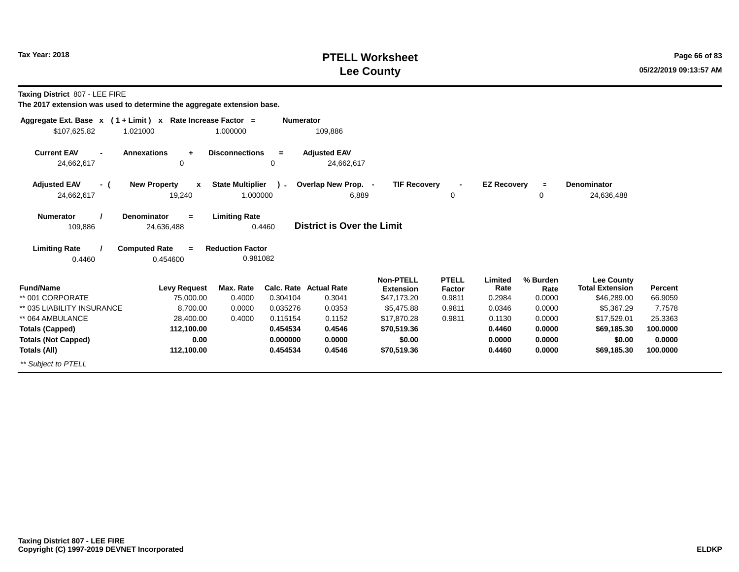## **PTELL Worksheet Tax Year: 2018 Page 66 of 83 Lee County**

**Taxing District** 807 - LEE FIRE

| Aggregate Ext. Base x (1 + Limit) x Rate Increase Factor =               |                                                               | <b>Numerator</b> |                                   |                                 |                     |                    |                |                                      |                |
|--------------------------------------------------------------------------|---------------------------------------------------------------|------------------|-----------------------------------|---------------------------------|---------------------|--------------------|----------------|--------------------------------------|----------------|
| \$107,625.82<br>1.021000                                                 | 1.000000                                                      |                  | 109,886                           |                                 |                     |                    |                |                                      |                |
| <b>Current EAV</b><br><b>Annexations</b><br>$\blacksquare$<br>24,662,617 | <b>Disconnections</b><br>$\ddot{}$<br>0                       | $=$<br>0         | <b>Adjusted EAV</b><br>24,662,617 |                                 |                     |                    |                |                                      |                |
| <b>Adjusted EAV</b><br><b>New Property</b><br>- (<br>24,662,617          | <b>State Multiplier</b><br>$\mathbf{x}$<br>1.000000<br>19,240 | $\mathbf{r}$     | Overlap New Prop. -<br>6,889      | <b>TIF Recovery</b>             | $\blacksquare$<br>0 | <b>EZ Recovery</b> | $\equiv$<br>0  | <b>Denominator</b><br>24,636,488     |                |
| <b>Denominator</b><br><b>Numerator</b><br>109,886<br>24,636,488          | <b>Limiting Rate</b><br>$=$                                   | 0.4460           | District is Over the Limit        |                                 |                     |                    |                |                                      |                |
| <b>Computed Rate</b><br><b>Limiting Rate</b><br>0.4460<br>0.454600       | <b>Reduction Factor</b><br>$\equiv$<br>0.981082               |                  |                                   |                                 |                     |                    |                |                                      |                |
| <b>Fund/Name</b>                                                         | Max. Rate                                                     |                  | <b>Calc. Rate Actual Rate</b>     | <b>Non-PTELL</b>                | <b>PTELL</b>        | Limited<br>Rate    | % Burden       | Lee County<br><b>Total Extension</b> | <b>Percent</b> |
| ** 001 CORPORATE                                                         | <b>Levy Request</b><br>75,000.00<br>0.4000                    | 0.304104         | 0.3041                            | <b>Extension</b><br>\$47,173.20 | Factor<br>0.9811    | 0.2984             | Rate<br>0.0000 | \$46,289.00                          | 66.9059        |
| ** 035 LIABILITY INSURANCE                                               | 8,700.00<br>0.0000                                            | 0.035276         | 0.0353                            | \$5,475.88                      | 0.9811              | 0.0346             | 0.0000         | \$5,367.29                           | 7.7578         |
| ** 064 AMBULANCE                                                         | 0.4000<br>28,400.00                                           | 0.115154         | 0.1152                            | \$17,870.28                     | 0.9811              | 0.1130             | 0.0000         | \$17,529.01                          | 25.3363        |
| <b>Totals (Capped)</b>                                                   | 112,100.00                                                    | 0.454534         | 0.4546                            | \$70,519.36                     |                     | 0.4460             | 0.0000         | \$69,185.30                          | 100.0000       |
| <b>Totals (Not Capped)</b>                                               | 0.00                                                          | 0.000000         | 0.0000                            | \$0.00                          |                     | 0.0000             | 0.0000         | \$0.00                               | 0.0000         |
| Totals (All)                                                             | 112,100.00                                                    | 0.454534         | 0.4546                            | \$70,519.36                     |                     | 0.4460             | 0.0000         | \$69,185.30                          | 100.0000       |
| ** Subject to PTELL                                                      |                                                               |                  |                                   |                                 |                     |                    |                |                                      |                |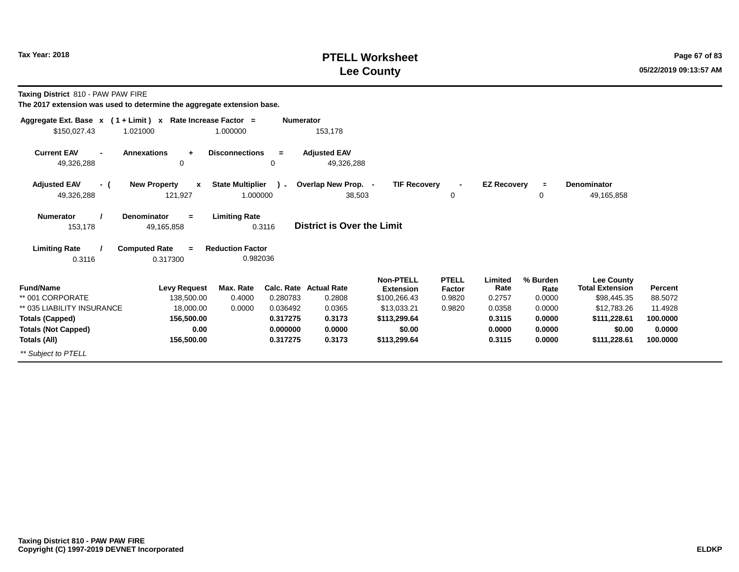# **PTELL Worksheet Tax Year: 2018 Page 67 of 83 Lee County**

**Taxing District** 810 - PAW PAW FIRE

| Aggregate Ext. Base $x$ (1 + Limit) $x$              | Rate Increase Factor =                          |                                     | <b>Numerator</b>     |                                   |                                      |                        |                    |                  |                                             |                     |
|------------------------------------------------------|-------------------------------------------------|-------------------------------------|----------------------|-----------------------------------|--------------------------------------|------------------------|--------------------|------------------|---------------------------------------------|---------------------|
| \$150,027.43                                         | 1.021000                                        | 1.000000                            |                      | 153,178                           |                                      |                        |                    |                  |                                             |                     |
| <b>Current EAV</b><br>49,326,288                     | <b>Annexations</b><br>$\ddot{\phantom{1}}$<br>0 | <b>Disconnections</b>               | $=$<br>0             | <b>Adjusted EAV</b><br>49,326,288 |                                      |                        |                    |                  |                                             |                     |
| <b>Adjusted EAV</b><br>- (<br>49,326,288             | <b>New Property</b><br>$\mathbf{x}$<br>121,927  | <b>State Multiplier</b><br>1.000000 | $\lambda$            | Overlap New Prop. -<br>38,503     | <b>TIF Recovery</b>                  | 0                      | <b>EZ Recovery</b> | $\equiv$<br>0    | <b>Denominator</b><br>49,165,858            |                     |
| <b>Numerator</b><br>153,178                          | <b>Denominator</b><br>$=$<br>49,165,858         | <b>Limiting Rate</b>                | 0.3116               | <b>District is Over the Limit</b> |                                      |                        |                    |                  |                                             |                     |
| <b>Limiting Rate</b><br>0.3116                       | <b>Computed Rate</b><br>$=$<br>0.317300         | <b>Reduction Factor</b><br>0.982036 |                      |                                   |                                      |                        |                    |                  |                                             |                     |
| <b>Fund/Name</b>                                     | <b>Levy Request</b>                             | Max. Rate                           |                      | <b>Calc. Rate Actual Rate</b>     | <b>Non-PTELL</b><br><b>Extension</b> | <b>PTELL</b><br>Factor | Limited<br>Rate    | % Burden<br>Rate | <b>Lee County</b><br><b>Total Extension</b> | Percent             |
| ** 001 CORPORATE                                     | 138,500.00                                      | 0.4000                              | 0.280783             | 0.2808                            | \$100,266.43                         | 0.9820                 | 0.2757             | 0.0000           | \$98,445.35                                 | 88.5072             |
| ** 035 LIABILITY INSURANCE<br><b>Totals (Capped)</b> | 18,000.00<br>156,500.00                         | 0.0000                              | 0.036492<br>0.317275 | 0.0365<br>0.3173                  | \$13,033.21<br>\$113,299.64          | 0.9820                 | 0.0358<br>0.3115   | 0.0000<br>0.0000 | \$12,783.26<br>\$111,228.61                 | 11.4928<br>100.0000 |
| <b>Totals (Not Capped)</b>                           | 0.00                                            |                                     | 0.000000             | 0.0000                            | \$0.00                               |                        | 0.0000             | 0.0000           | \$0.00                                      | 0.0000              |
| Totals (All)                                         | 156,500.00                                      |                                     | 0.317275             | 0.3173                            | \$113,299.64                         |                        | 0.3115             | 0.0000           | \$111,228.61                                | 100.0000            |
| ** Subject to PTELL                                  |                                                 |                                     |                      |                                   |                                      |                        |                    |                  |                                             |                     |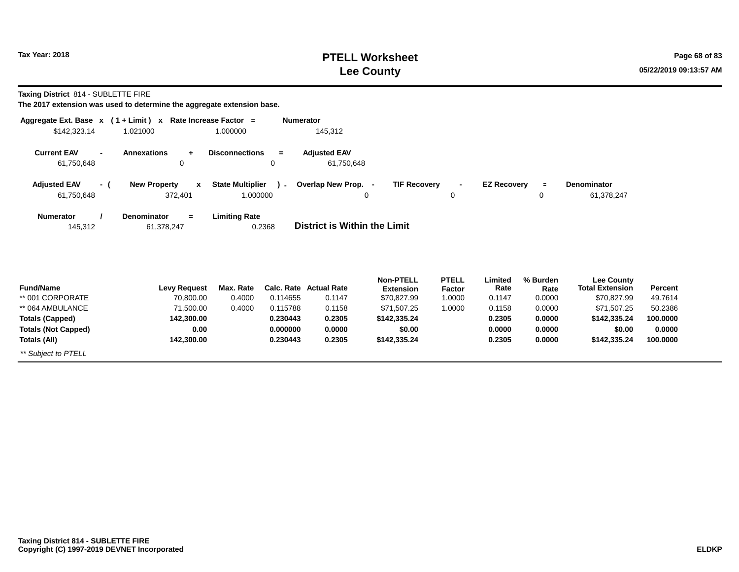# **PTELL Worksheet Tax Year: 2018 Page 68 of 83 Lee County**

**Taxing District** 814 - SUBLETTE FIRE

| Aggregate Ext. Base $x$ (1 + Limit) x Rate Increase Factor =<br>\$142,323.14 | 1.021000                                        | 1.000000                | <b>Numerator</b> | 145,312                           |                     |                |                    |          |                        |          |
|------------------------------------------------------------------------------|-------------------------------------------------|-------------------------|------------------|-----------------------------------|---------------------|----------------|--------------------|----------|------------------------|----------|
|                                                                              |                                                 |                         |                  |                                   |                     |                |                    |          |                        |          |
| <b>Current EAV</b><br>$\blacksquare$<br>61,750,648                           | <b>Annexations</b><br>$\ddot{\phantom{1}}$<br>0 | <b>Disconnections</b>   | $=$<br>0         | <b>Adjusted EAV</b><br>61,750,648 |                     |                |                    |          |                        |          |
|                                                                              |                                                 |                         |                  |                                   |                     |                |                    |          |                        |          |
| <b>Adjusted EAV</b><br>- (                                                   | <b>New Property</b><br>$\mathbf{x}$             | <b>State Multiplier</b> | $\mathbf{I}$     | Overlap New Prop. -               | <b>TIF Recovery</b> | $\blacksquare$ | <b>EZ Recovery</b> | $\equiv$ | <b>Denominator</b>     |          |
| 61,750,648                                                                   | 372,401                                         | 1.000000                |                  | 0                                 |                     | 0              |                    | 0        | 61,378,247             |          |
| <b>Numerator</b>                                                             | Denominator<br>$=$                              | <b>Limiting Rate</b>    |                  |                                   |                     |                |                    |          |                        |          |
| 145,312                                                                      | 61,378,247                                      |                         | 0.2368           | District is Within the Limit      |                     |                |                    |          |                        |          |
|                                                                              |                                                 |                         |                  |                                   |                     |                |                    |          |                        |          |
|                                                                              |                                                 |                         |                  |                                   |                     |                |                    |          |                        |          |
|                                                                              |                                                 |                         |                  |                                   |                     |                |                    |          |                        |          |
|                                                                              |                                                 |                         |                  |                                   | Non-PTELL           | <b>PTELL</b>   | Limited            | % Burden | <b>Lee County</b>      |          |
| <b>Fund/Name</b>                                                             | <b>Levy Request</b>                             | Max. Rate               |                  | Calc. Rate Actual Rate            | <b>Extension</b>    | Factor         | Rate               | Rate     | <b>Total Extension</b> | Percent  |
| ** 001 CORPORATE                                                             | 70,800.00                                       | 0.4000                  | 0.114655         | 0.1147                            | \$70,827.99         | 1.0000         | 0.1147             | 0.0000   | \$70,827.99            | 49.7614  |
| ** 064 AMBULANCE                                                             | 71,500.00                                       | 0.4000                  | 0.115788         | 0.1158                            | \$71,507.25         | 1.0000         | 0.1158             | 0.0000   | \$71,507.25            | 50.2386  |
| <b>Totals (Capped)</b>                                                       | 142,300.00                                      |                         | 0.230443         | 0.2305                            | \$142,335.24        |                | 0.2305             | 0.0000   | \$142,335.24           | 100.0000 |
| <b>Totals (Not Capped)</b>                                                   | 0.00                                            |                         | 0.000000         | 0.0000                            | \$0.00              |                | 0.0000             | 0.0000   | \$0.00                 | 0.0000   |
| Totals (All)                                                                 | 142,300.00                                      |                         | 0.230443         | 0.2305                            | \$142,335.24        |                | 0.2305             | 0.0000   | \$142,335.24           | 100.0000 |
| ** Subject to PTELL                                                          |                                                 |                         |                  |                                   |                     |                |                    |          |                        |          |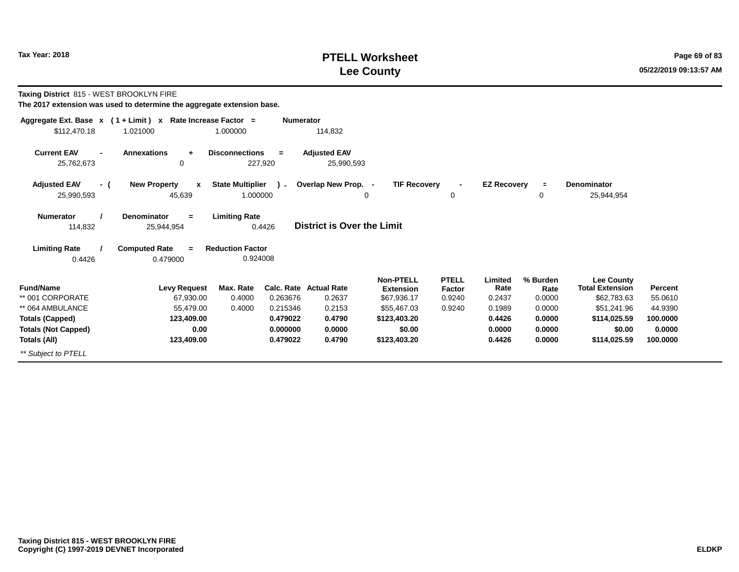# **PTELL Worksheet Tax Year:** 2018 **Lee County**

**Taxing District** 815 - WEST BROOKLYN FIRE

| Aggregate Ext. Base $x$ (1 + Limit) $x$            |                                      | Rate Increase Factor =           | <b>Numerator</b> |                                   |                                 |                  |                    |                |                                             |          |
|----------------------------------------------------|--------------------------------------|----------------------------------|------------------|-----------------------------------|---------------------------------|------------------|--------------------|----------------|---------------------------------------------|----------|
| \$112,470.18                                       | 1.021000                             | 1.000000                         |                  | 114,832                           |                                 |                  |                    |                |                                             |          |
| <b>Current EAV</b><br>$\blacksquare$<br>25,762,673 | <b>Annexations</b><br>$\ddot{}$<br>0 | <b>Disconnections</b><br>227,920 | $=$              | <b>Adjusted EAV</b>               |                                 |                  |                    |                |                                             |          |
|                                                    |                                      |                                  |                  | 25,990,593                        |                                 |                  |                    |                |                                             |          |
| <b>Adjusted EAV</b><br>- (                         | <b>New Property</b><br>x             | <b>State Multiplier</b>          | $\sim$           | Overlap New Prop. -               | <b>TIF Recovery</b>             |                  | <b>EZ Recovery</b> | $\equiv$       | <b>Denominator</b>                          |          |
| 25,990,593                                         | 45,639                               | 1.000000                         |                  |                                   | 0                               | 0                |                    | 0              | 25,944,954                                  |          |
| <b>Numerator</b>                                   | Denominator<br>$\equiv$              | <b>Limiting Rate</b>             |                  |                                   |                                 |                  |                    |                |                                             |          |
| 114,832                                            | 25,944,954                           | 0.4426                           |                  | <b>District is Over the Limit</b> |                                 |                  |                    |                |                                             |          |
| <b>Limiting Rate</b>                               | <b>Computed Rate</b><br>$=$          | <b>Reduction Factor</b>          |                  |                                   |                                 |                  |                    |                |                                             |          |
| 0.4426                                             | 0.479000                             | 0.924008                         |                  |                                   |                                 |                  |                    |                |                                             |          |
| <b>Fund/Name</b>                                   | <b>Levy Request</b>                  | Max. Rate                        |                  | <b>Calc. Rate Actual Rate</b>     | <b>Non-PTELL</b>                | <b>PTELL</b>     | Limited<br>Rate    | % Burden       | <b>Lee County</b><br><b>Total Extension</b> | Percent  |
| ** 001 CORPORATE                                   | 67,930.00                            | 0.4000                           | 0.263676         | 0.2637                            | <b>Extension</b><br>\$67,936.17 | Factor<br>0.9240 | 0.2437             | Rate<br>0.0000 | \$62,783.63                                 | 55.0610  |
| ** 064 AMBULANCE                                   | 55,479.00                            | 0.4000                           | 0.215346         | 0.2153                            | \$55,467.03                     | 0.9240           | 0.1989             | 0.0000         | \$51,241.96                                 | 44.9390  |
| <b>Totals (Capped)</b>                             | 123,409.00                           |                                  | 0.479022         | 0.4790                            | \$123,403.20                    |                  | 0.4426             | 0.0000         | \$114,025.59                                | 100.0000 |
| <b>Totals (Not Capped)</b>                         | 0.00                                 |                                  | 0.000000         | 0.0000                            | \$0.00                          |                  | 0.0000             | 0.0000         | \$0.00                                      | 0.0000   |
| Totals (All)                                       | 123,409.00                           |                                  | 0.479022         | 0.4790                            | \$123,403.20                    |                  | 0.4426             | 0.0000         | \$114,025.59                                | 100.0000 |
| ** Subject to PTELL                                |                                      |                                  |                  |                                   |                                 |                  |                    |                |                                             |          |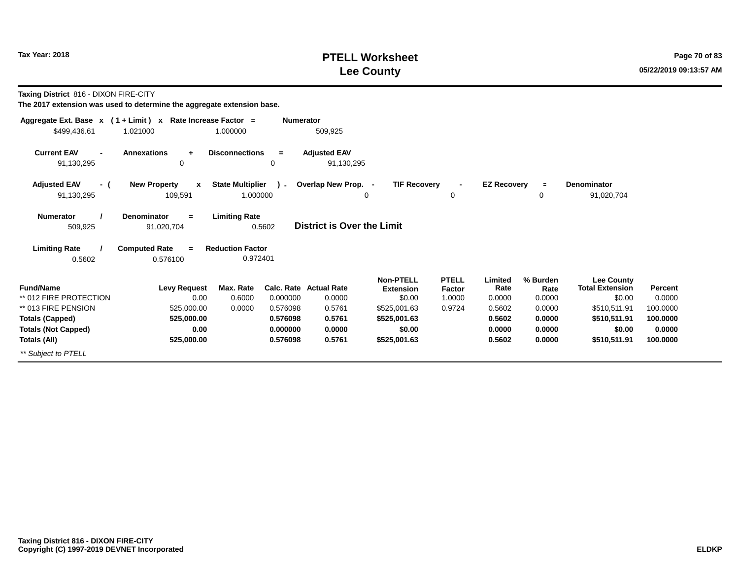# **PTELL Worksheet Tax Year: 2018 Page 70 of 83 Lee County**

**Taxing District** 816 - DIXON FIRE-CITY

| Aggregate Ext. Base $x$ (1 + Limit) x Rate Increase Factor = |                                                                             |                                                 | <b>Numerator</b> |                                   |                                                |                                  |                           |                            |                                                       |                   |
|--------------------------------------------------------------|-----------------------------------------------------------------------------|-------------------------------------------------|------------------|-----------------------------------|------------------------------------------------|----------------------------------|---------------------------|----------------------------|-------------------------------------------------------|-------------------|
| \$499,436.61                                                 | 1.021000                                                                    | 1.000000                                        |                  | 509,925                           |                                                |                                  |                           |                            |                                                       |                   |
| <b>Current EAV</b><br>$\blacksquare$<br>91,130,295           | <b>Annexations</b><br>$\ddot{}$<br>0                                        | <b>Disconnections</b>                           | $=$<br>0         | <b>Adjusted EAV</b><br>91,130,295 |                                                |                                  |                           |                            |                                                       |                   |
| <b>Adjusted EAV</b><br>- (                                   | <b>New Property</b><br>$\mathbf{x}$                                         | <b>State Multiplier</b>                         | $\sim$           | Overlap New Prop. -               | <b>TIF Recovery</b>                            | $\blacksquare$                   | <b>EZ Recovery</b>        |                            | <b>Denominator</b>                                    |                   |
| 91,130,295                                                   | 109,591                                                                     | 1.000000                                        |                  |                                   | 0                                              | 0                                |                           | 0                          | 91,020,704                                            |                   |
| <b>Numerator</b><br>509,925<br><b>Limiting Rate</b>          | <b>Denominator</b><br>$\equiv$<br>91,020,704<br><b>Computed Rate</b><br>$=$ | <b>Limiting Rate</b><br><b>Reduction Factor</b> | 0.5602           | District is Over the Limit        |                                                |                                  |                           |                            |                                                       |                   |
| 0.5602                                                       | 0.576100                                                                    | 0.972401                                        |                  |                                   |                                                |                                  |                           |                            |                                                       |                   |
| <b>Fund/Name</b><br>** 012 FIRE PROTECTION                   | <b>Levy Request</b><br>0.00                                                 | Max. Rate<br>0.6000                             | 0.000000         | Calc. Rate Actual Rate<br>0.0000  | <b>Non-PTELL</b><br><b>Extension</b><br>\$0.00 | <b>PTELL</b><br>Factor<br>1.0000 | Limited<br>Rate<br>0.0000 | % Burden<br>Rate<br>0.0000 | <b>Lee County</b><br><b>Total Extension</b><br>\$0.00 | Percent<br>0.0000 |
| ** 013 FIRE PENSION                                          | 525,000.00                                                                  | 0.0000                                          | 0.576098         | 0.5761                            | \$525,001.63                                   | 0.9724                           | 0.5602                    | 0.0000                     | \$510,511.91                                          | 100.0000          |
| <b>Totals (Capped)</b>                                       | 525,000.00                                                                  |                                                 | 0.576098         | 0.5761                            | \$525,001.63                                   |                                  | 0.5602                    | 0.0000                     | \$510,511.91                                          | 100.0000          |
| <b>Totals (Not Capped)</b>                                   | 0.00                                                                        |                                                 | 0.000000         | 0.0000                            | \$0.00                                         |                                  | 0.0000                    | 0.0000                     | \$0.00                                                | 0.0000            |
| Totals (All)                                                 | 525,000.00                                                                  |                                                 | 0.576098         | 0.5761                            | \$525,001.63                                   |                                  | 0.5602                    | 0.0000                     | \$510,511.91                                          | 100.0000          |
| ** Subject to PTELL                                          |                                                                             |                                                 |                  |                                   |                                                |                                  |                           |                            |                                                       |                   |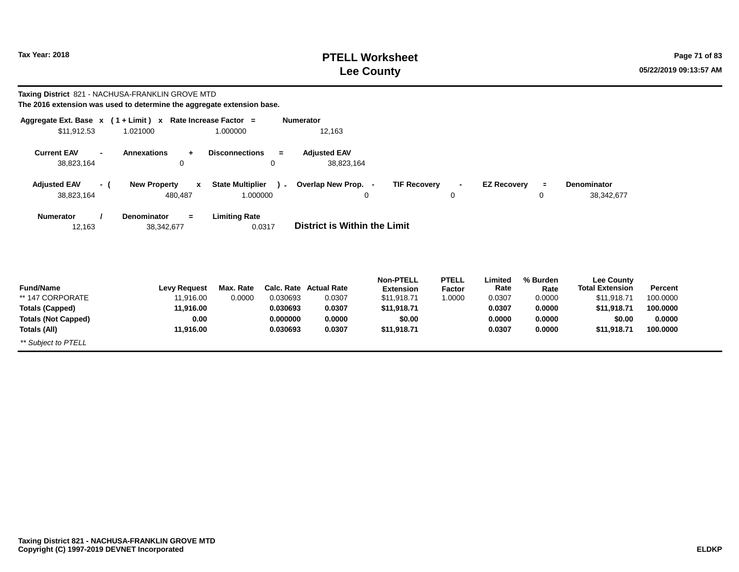# **PTELL Worksheet Tax Year: 2018 Page 71 of 83 Lee County**

|                                                      | Taxing District 821 - NACHUSA-FRANKLIN GROVE MTD<br>The 2016 extension was used to determine the aggregate extension base. |                                     |                      |                                   |                                      |                        |                    |                  |                                             |                    |
|------------------------------------------------------|----------------------------------------------------------------------------------------------------------------------------|-------------------------------------|----------------------|-----------------------------------|--------------------------------------|------------------------|--------------------|------------------|---------------------------------------------|--------------------|
|                                                      | Aggregate Ext. Base $x$ (1 + Limit) x Rate Increase Factor =                                                               |                                     | <b>Numerator</b>     |                                   |                                      |                        |                    |                  |                                             |                    |
| \$11,912.53                                          | 1.021000                                                                                                                   | 1.000000                            |                      | 12,163                            |                                      |                        |                    |                  |                                             |                    |
| <b>Current EAV</b><br>$\blacksquare$<br>38,823,164   | <b>Annexations</b><br>$+$<br>0                                                                                             | <b>Disconnections</b>               | $\equiv$<br>0        | <b>Adjusted EAV</b><br>38,823,164 |                                      |                        |                    |                  |                                             |                    |
| <b>Adjusted EAV</b><br>- (<br>38,823,164             | <b>New Property</b><br>$\mathbf{x}$<br>480,487                                                                             | <b>State Multiplier</b><br>1.000000 | $\lambda$            | Overlap New Prop. -               | <b>TIF Recovery</b><br>0             | $\sim$<br>0            | <b>EZ Recovery</b> | $\equiv$<br>0    | Denominator<br>38,342,677                   |                    |
| <b>Numerator</b><br>12,163                           | <b>Denominator</b><br>$=$<br>38,342,677                                                                                    | <b>Limiting Rate</b>                | 0.0317               | District is Within the Limit      |                                      |                        |                    |                  |                                             |                    |
| <b>Fund/Name</b>                                     | <b>Levy Request</b>                                                                                                        | Max. Rate                           |                      | <b>Calc. Rate Actual Rate</b>     | <b>Non-PTELL</b><br><b>Extension</b> | <b>PTELL</b><br>Factor | Limited<br>Rate    | % Burden<br>Rate | <b>Lee County</b><br><b>Total Extension</b> | Percent            |
| ** 147 CORPORATE                                     | 11,916.00                                                                                                                  | 0.0000                              | 0.030693             | 0.0307<br>0.0307                  | \$11,918.71                          | 1.0000                 | 0.0307             | 0.0000           | \$11,918.71                                 | 100.0000           |
| <b>Totals (Capped)</b><br><b>Totals (Not Capped)</b> | 11,916.00<br>0.00                                                                                                          |                                     | 0.030693<br>0.000000 | 0.0000                            | \$11,918.71<br>\$0.00                |                        | 0.0307<br>0.0000   | 0.0000<br>0.0000 | \$11,918.71<br>\$0.00                       | 100.0000<br>0.0000 |
| Totals (All)                                         | 11,916.00                                                                                                                  |                                     | 0.030693             | 0.0307                            | \$11,918.71                          |                        | 0.0307             | 0.0000           | \$11,918.71                                 | 100.0000           |
| ** Subject to PTELL                                  |                                                                                                                            |                                     |                      |                                   |                                      |                        |                    |                  |                                             |                    |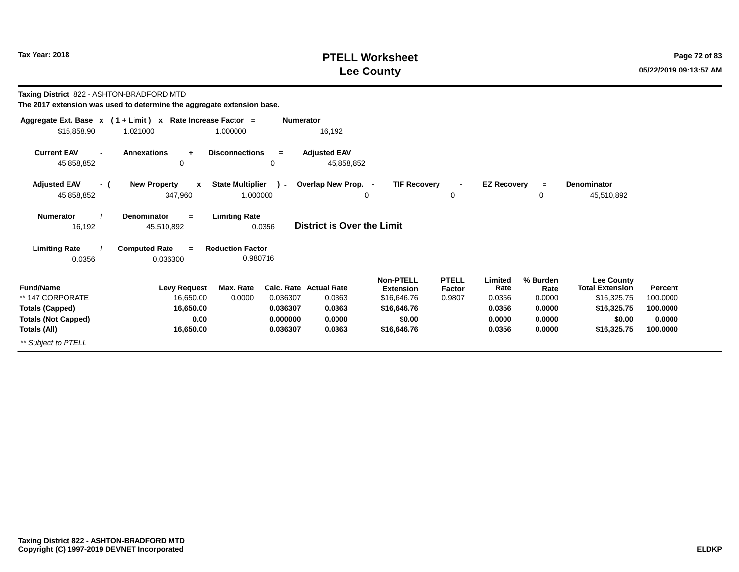# **PTELL Worksheet Tax Year: 2018 Page 72 of 83 Lee County**

**Taxing District** 822 - ASHTON-BRADFORD MTD

| Aggregate Ext. Base x                              | $(1 + Limit) x$                                           | Rate Increase Factor =                        | <b>Numerator</b>                  |                                                     |                                         |                           |                            |                                                            |                            |
|----------------------------------------------------|-----------------------------------------------------------|-----------------------------------------------|-----------------------------------|-----------------------------------------------------|-----------------------------------------|---------------------------|----------------------------|------------------------------------------------------------|----------------------------|
| \$15,858.90                                        | 1.021000                                                  | 1.000000                                      | 16,192                            |                                                     |                                         |                           |                            |                                                            |                            |
| <b>Current EAV</b><br>$\blacksquare$<br>45,858,852 | <b>Annexations</b><br>$\ddot{\phantom{1}}$<br>$\mathbf 0$ | <b>Disconnections</b><br>$\equiv$<br>0        | <b>Adjusted EAV</b><br>45,858,852 |                                                     |                                         |                           |                            |                                                            |                            |
| <b>Adjusted EAV</b><br>- (<br>45,858,852           | <b>New Property</b><br>$\mathbf{x}$<br>347,960            | <b>State Multiplier</b><br>1.000000           | ) - Overlap New Prop. -<br>0      | <b>TIF Recovery</b>                                 | $\overline{\phantom{a}}$<br>0           | <b>EZ Recovery</b>        | $\mathbf 0$                | Denominator<br>45,510,892                                  |                            |
| <b>Numerator</b><br>16,192                         | <b>Denominator</b><br>$=$<br>45,510,892                   | <b>Limiting Rate</b><br>0.0356                | <b>District is Over the Limit</b> |                                                     |                                         |                           |                            |                                                            |                            |
| <b>Limiting Rate</b><br>0.0356                     | <b>Computed Rate</b><br>$\equiv$<br>0.036300              | <b>Reduction Factor</b><br>0.980716           |                                   |                                                     |                                         |                           |                            |                                                            |                            |
| <b>Fund/Name</b><br>** 147 CORPORATE               | <b>Levy Request</b><br>16,650.00                          | Max. Rate<br>Calc. Rate<br>0.0000<br>0.036307 | <b>Actual Rate</b><br>0.0363      | <b>Non-PTELL</b><br><b>Extension</b><br>\$16,646.76 | <b>PTELL</b><br><b>Factor</b><br>0.9807 | Limited<br>Rate<br>0.0356 | % Burden<br>Rate<br>0.0000 | <b>Lee County</b><br><b>Total Extension</b><br>\$16,325.75 | <b>Percent</b><br>100.0000 |
| <b>Totals (Capped)</b>                             | 16,650.00                                                 | 0.036307                                      | 0.0363                            | \$16,646.76                                         |                                         | 0.0356                    | 0.0000                     | \$16,325.75                                                | 100.0000                   |
| <b>Totals (Not Capped)</b>                         | 0.00                                                      | 0.000000                                      | 0.0000                            | \$0.00                                              |                                         | 0.0000                    | 0.0000                     | \$0.00                                                     | 0.0000                     |
| Totals (All)                                       | 16,650.00                                                 | 0.036307                                      | 0.0363                            | \$16,646.76                                         |                                         | 0.0356                    | 0.0000                     | \$16,325.75                                                | 100.0000                   |
| ** Subject to PTELL                                |                                                           |                                               |                                   |                                                     |                                         |                           |                            |                                                            |                            |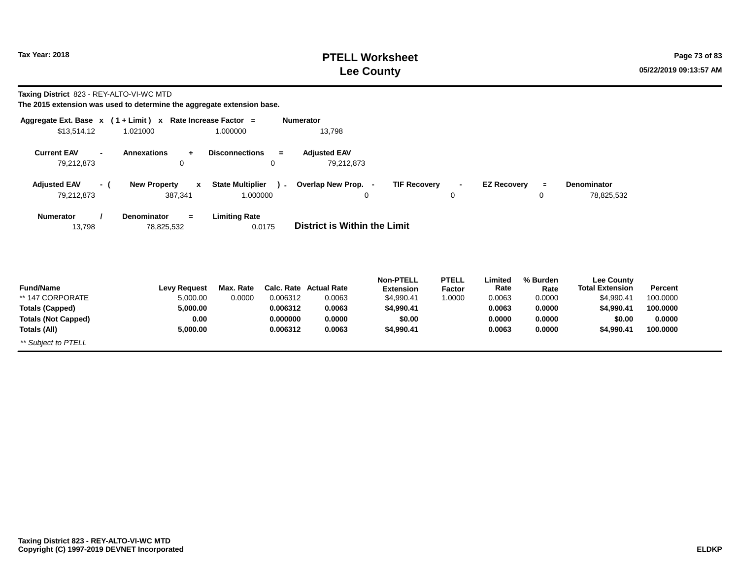# **PTELL Worksheet Tax Year: 2018 Page 73 of 83 Lee County**

**Taxing District** 823 - REY-ALTO-VI-WC MTD

| Aggregate Ext. Base x (1+Limit) x Rate Increase Factor = |                                     |                         | <b>Numerator</b> |                                     |                     |                |                    |          |                        |          |
|----------------------------------------------------------|-------------------------------------|-------------------------|------------------|-------------------------------------|---------------------|----------------|--------------------|----------|------------------------|----------|
| \$13,514.12                                              | 1.021000                            | 1.000000                |                  | 13,798                              |                     |                |                    |          |                        |          |
| <b>Current EAV</b><br>$\blacksquare$                     | <b>Annexations</b><br>$\ddot{}$     | <b>Disconnections</b>   | $=$              | <b>Adjusted EAV</b>                 |                     |                |                    |          |                        |          |
| 79,212,873                                               | 0                                   |                         | 0                | 79,212,873                          |                     |                |                    |          |                        |          |
| <b>Adjusted EAV</b><br>- (                               | <b>New Property</b><br>$\mathbf{x}$ | <b>State Multiplier</b> | $\mathcal{L}$    | Overlap New Prop. -                 | <b>TIF Recovery</b> | $\blacksquare$ | <b>EZ Recovery</b> | $\equiv$ | <b>Denominator</b>     |          |
| 79,212,873                                               | 387,341                             | 1.000000                |                  | 0                                   |                     | 0              |                    | 0        | 78,825,532             |          |
| <b>Numerator</b>                                         | <b>Denominator</b><br>$=$           | <b>Limiting Rate</b>    |                  |                                     |                     |                |                    |          |                        |          |
| 13,798                                                   | 78,825,532                          |                         | 0.0175           | <b>District is Within the Limit</b> |                     |                |                    |          |                        |          |
|                                                          |                                     |                         |                  |                                     |                     |                |                    |          |                        |          |
|                                                          |                                     |                         |                  |                                     |                     |                |                    |          |                        |          |
|                                                          |                                     |                         |                  |                                     | <b>Non-PTELL</b>    | <b>PTELL</b>   | Limited            | % Burden | <b>Lee County</b>      |          |
| <b>Fund/Name</b>                                         | <b>Levy Request</b>                 | Max. Rate               |                  | <b>Calc. Rate Actual Rate</b>       | <b>Extension</b>    | Factor         | Rate               | Rate     | <b>Total Extension</b> | Percent  |
| ** 147 CORPORATE                                         | 5,000.00                            | 0.0000                  | 0.006312         | 0.0063                              | \$4,990.41          | 1.0000         | 0.0063             | 0.0000   | \$4,990.41             | 100.0000 |
| <b>Totals (Capped)</b>                                   | 5,000.00                            |                         | 0.006312         | 0.0063                              | \$4,990.41          |                | 0.0063             | 0.0000   | \$4,990.41             | 100.0000 |
| <b>Totals (Not Capped)</b>                               | 0.00                                |                         | 0.000000         | 0.0000                              | \$0.00              |                | 0.0000             | 0.0000   | \$0.00                 | 0.0000   |
| Totals (All)                                             | 5,000.00                            |                         | 0.006312         | 0.0063                              | \$4,990.41          |                | 0.0063             | 0.0000   | \$4,990.41             | 100.0000 |
| ** Subject to PTELL                                      |                                     |                         |                  |                                     |                     |                |                    |          |                        |          |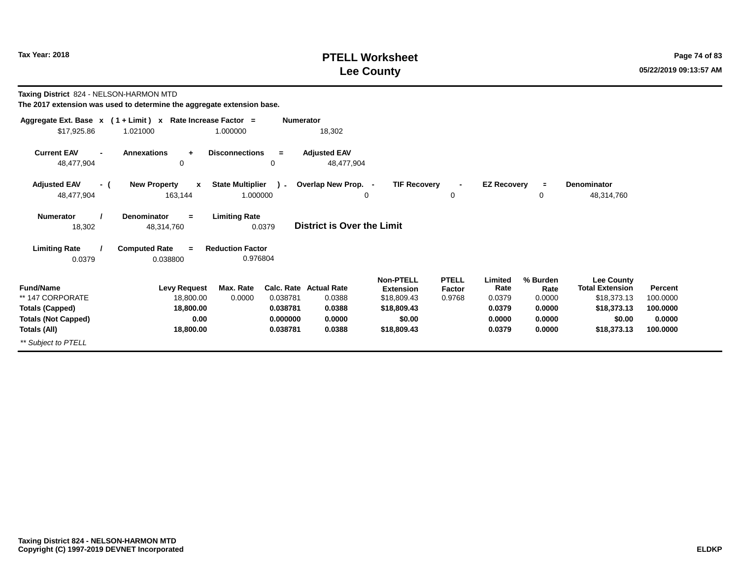# **PTELL Worksheet Tax Year: 2018 Page 74 of 83 Lee County**

**Taxing District** 824 - NELSON-HARMON MTD

|                                                    | Aggregate Ext. Base x (1 + Limit) x Rate Increase Factor = |                                                     | <b>Numerator</b>                  |                                      |                               |                    |                  |                                             |          |
|----------------------------------------------------|------------------------------------------------------------|-----------------------------------------------------|-----------------------------------|--------------------------------------|-------------------------------|--------------------|------------------|---------------------------------------------|----------|
| \$17,925.86                                        | 1.021000                                                   | 1.000000                                            | 18,302                            |                                      |                               |                    |                  |                                             |          |
| <b>Current EAV</b><br>$\blacksquare$<br>48,477,904 | <b>Annexations</b><br>$\ddot{\phantom{1}}$<br>0            | <b>Disconnections</b><br>$\equiv$<br>0              | <b>Adjusted EAV</b><br>48,477,904 |                                      |                               |                    |                  |                                             |          |
| <b>Adjusted EAV</b><br>- (<br>48,477,904           | <b>New Property</b><br>$\mathbf{x}$<br>163,144             | <b>State Multiplier</b><br>$\mathbf{1}$<br>1.000000 | Overlap New Prop. -<br>0          | <b>TIF Recovery</b>                  | 0                             | <b>EZ Recovery</b> | $\equiv$<br>0    | <b>Denominator</b><br>48,314,760            |          |
| <b>Numerator</b><br>18,302                         | <b>Denominator</b><br>$=$<br>48,314,760                    | <b>Limiting Rate</b><br>0.0379                      | District is Over the Limit        |                                      |                               |                    |                  |                                             |          |
| <b>Limiting Rate</b><br>0.0379                     | <b>Computed Rate</b><br>$=$<br>0.038800                    | <b>Reduction Factor</b><br>0.976804                 |                                   |                                      |                               |                    |                  |                                             |          |
| <b>Fund/Name</b>                                   | <b>Levy Request</b>                                        | Max. Rate                                           | Calc. Rate Actual Rate            | <b>Non-PTELL</b><br><b>Extension</b> | <b>PTELL</b><br><b>Factor</b> | Limited<br>Rate    | % Burden<br>Rate | <b>Lee County</b><br><b>Total Extension</b> | Percent  |
| ** 147 CORPORATE                                   | 18,800.00                                                  | 0.0000<br>0.038781                                  | 0.0388                            | \$18,809.43                          | 0.9768                        | 0.0379             | 0.0000           | \$18,373.13                                 | 100.0000 |
| <b>Totals (Capped)</b>                             | 18,800.00                                                  | 0.038781                                            | 0.0388                            | \$18,809.43                          |                               | 0.0379             | 0.0000           | \$18,373.13                                 | 100.0000 |
| <b>Totals (Not Capped)</b>                         | 0.00                                                       | 0.000000                                            | 0.0000                            | \$0.00                               |                               | 0.0000             | 0.0000           | \$0.00                                      | 0.0000   |
| Totals (All)                                       | 18,800.00                                                  | 0.038781                                            | 0.0388                            | \$18,809.43                          |                               | 0.0379             | 0.0000           | \$18,373.13                                 | 100.0000 |
| ** Subject to PTELL                                |                                                            |                                                     |                                   |                                      |                               |                    |                  |                                             |          |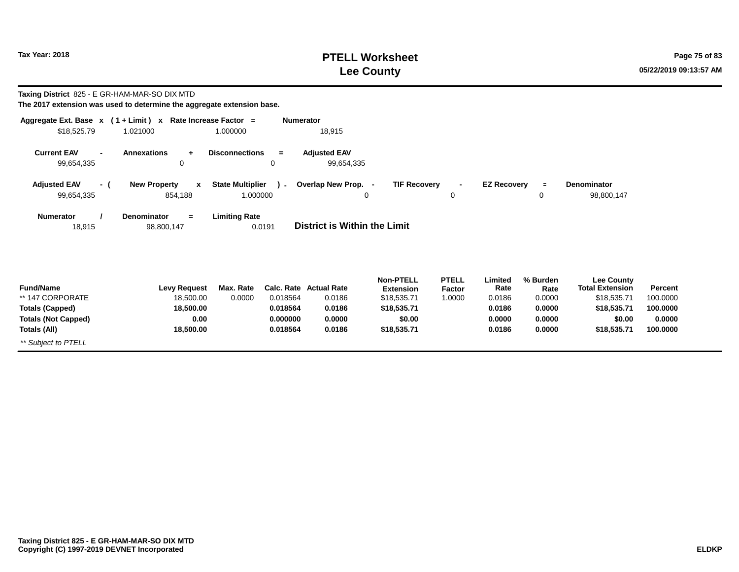# **PTELL Worksheet Tax Year: 2018 Page 75 of 83 Lee County**

| <b>Taxing District</b> 825 - E GR-HAM-MAR-SO DIX MTD<br>The 2017 extension was used to determine the aggregate extension base. |                                                |                                     |                                  |                                         |                                                     |                                  |                            |                            |                                                            |                                |
|--------------------------------------------------------------------------------------------------------------------------------|------------------------------------------------|-------------------------------------|----------------------------------|-----------------------------------------|-----------------------------------------------------|----------------------------------|----------------------------|----------------------------|------------------------------------------------------------|--------------------------------|
| Aggregate Ext. Base $x$ (1 + Limit) $x$ Rate Increase Factor =<br>\$18,525.79                                                  | 1.021000                                       | 1.000000                            | <b>Numerator</b>                 | 18,915                                  |                                                     |                                  |                            |                            |                                                            |                                |
| <b>Current EAV</b><br>$\blacksquare$<br>99,654,335                                                                             | <b>Annexations</b><br>$\ddot{}$<br>0           | <b>Disconnections</b>               | $\equiv$<br>$\mathbf 0$          | <b>Adjusted EAV</b><br>99,654,335       |                                                     |                                  |                            |                            |                                                            |                                |
| <b>Adjusted EAV</b><br>- (<br>99,654,335                                                                                       | <b>New Property</b><br>$\mathbf{x}$<br>854,188 | <b>State Multiplier</b><br>1.000000 | $\lambda$                        | Overlap New Prop. -<br>0                | <b>TIF Recovery</b>                                 | $\blacksquare$<br>0              | <b>EZ Recovery</b>         | $\equiv$<br>0              | Denominator<br>98,800,147                                  |                                |
| <b>Numerator</b><br>18,915                                                                                                     | Denominator<br>$=$<br>98,800,147               | <b>Limiting Rate</b><br>0.0191      |                                  | District is Within the Limit            |                                                     |                                  |                            |                            |                                                            |                                |
| <b>Fund/Name</b><br>** 147 CORPORATE                                                                                           | <b>Levy Request</b><br>18,500.00               | Max. Rate<br>0.0000                 | 0.018564                         | <b>Calc. Rate Actual Rate</b><br>0.0186 | <b>Non-PTELL</b><br><b>Extension</b><br>\$18,535.71 | <b>PTELL</b><br>Factor<br>1.0000 | Limited<br>Rate<br>0.0186  | % Burden<br>Rate<br>0.0000 | <b>Lee County</b><br><b>Total Extension</b><br>\$18,535.71 | Percent<br>100.0000            |
| <b>Totals (Capped)</b><br><b>Totals (Not Capped)</b><br>Totals (All)                                                           | 18,500.00<br>0.00<br>18,500.00                 |                                     | 0.018564<br>0.000000<br>0.018564 | 0.0186<br>0.0000<br>0.0186              | \$18,535.71<br>\$0.00<br>\$18,535.71                |                                  | 0.0186<br>0.0000<br>0.0186 | 0.0000<br>0.0000<br>0.0000 | \$18,535.71<br>\$0.00<br>\$18,535.71                       | 100.0000<br>0.0000<br>100.0000 |
| ** Subject to PTELL                                                                                                            |                                                |                                     |                                  |                                         |                                                     |                                  |                            |                            |                                                            |                                |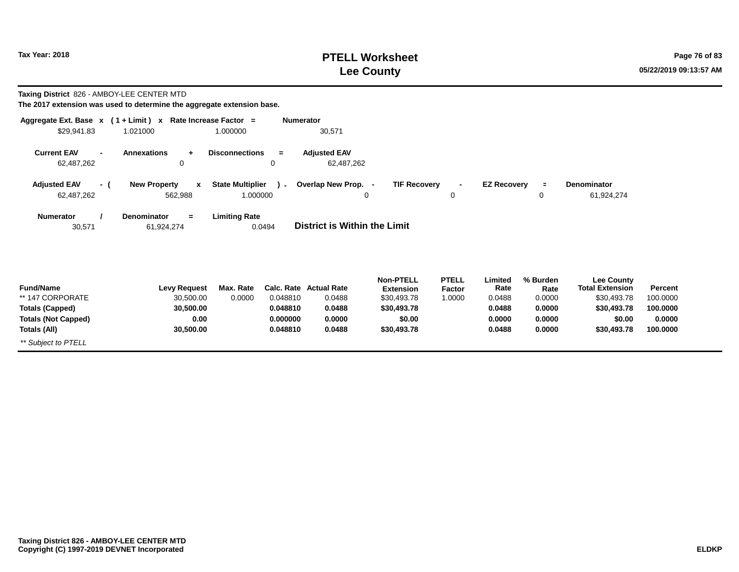# **PTELL Worksheet Tax Year: 2018 Page 76 of 83 Lee County**

| Taxing District 826 - AMBOY-LEE CENTER MTD |  |
|--------------------------------------------|--|
|--------------------------------------------|--|

| Aggregate Ext. Base $x$ (1 + Limit) x Rate Increase Factor =<br>\$29,941.83 | 1.021000                                       | 1.000000                            | <b>Numerator</b> | 30,571                              |                                      |                        |                    |                  |                                             |          |
|-----------------------------------------------------------------------------|------------------------------------------------|-------------------------------------|------------------|-------------------------------------|--------------------------------------|------------------------|--------------------|------------------|---------------------------------------------|----------|
| <b>Current EAV</b><br>$\overline{\phantom{a}}$<br>62,487,262                | <b>Annexations</b><br>$\ddot{}$<br>0           | <b>Disconnections</b>               | $\equiv$<br>0    | <b>Adjusted EAV</b><br>62,487,262   |                                      |                        |                    |                  |                                             |          |
| <b>Adjusted EAV</b><br>- (<br>62,487,262                                    | <b>New Property</b><br>$\mathbf{x}$<br>562,988 | <b>State Multiplier</b><br>1.000000 | $\mathbf{r}$     | Overlap New Prop. -<br>0            | <b>TIF Recovery</b>                  | $\blacksquare$<br>0    | <b>EZ Recovery</b> | $\equiv$<br>0    | <b>Denominator</b><br>61,924,274            |          |
| <b>Numerator</b><br>30,571                                                  | Denominator<br>$\equiv$<br>61,924,274          | <b>Limiting Rate</b>                | 0.0494           | <b>District is Within the Limit</b> |                                      |                        |                    |                  |                                             |          |
| <b>Fund/Name</b>                                                            | <b>Levy Request</b>                            | Max. Rate                           |                  | Calc. Rate Actual Rate              | <b>Non-PTELL</b><br><b>Extension</b> | <b>PTELL</b><br>Factor | Limited<br>Rate    | % Burden<br>Rate | <b>Lee County</b><br><b>Total Extension</b> | Percent  |
| ** 147 CORPORATE                                                            | 30,500.00                                      | 0.0000                              | 0.048810         | 0.0488                              | \$30,493.78                          | 1.0000                 | 0.0488             | 0.0000           | \$30,493.78                                 | 100.0000 |
| <b>Totals (Capped)</b>                                                      | 30,500.00                                      |                                     | 0.048810         | 0.0488                              | \$30,493.78                          |                        | 0.0488             | 0.0000           | \$30,493.78                                 | 100.0000 |
| <b>Totals (Not Capped)</b>                                                  | 0.00                                           |                                     | 0.000000         | 0.0000                              | \$0.00                               |                        | 0.0000             | 0.0000           | \$0.00                                      | 0.0000   |
| Totals (All)                                                                | 30,500.00                                      |                                     | 0.048810         | 0.0488                              | \$30,493.78                          |                        | 0.0488             | 0.0000           | \$30,493.78                                 | 100.0000 |
| ** Subject to PTELL                                                         |                                                |                                     |                  |                                     |                                      |                        |                    |                  |                                             |          |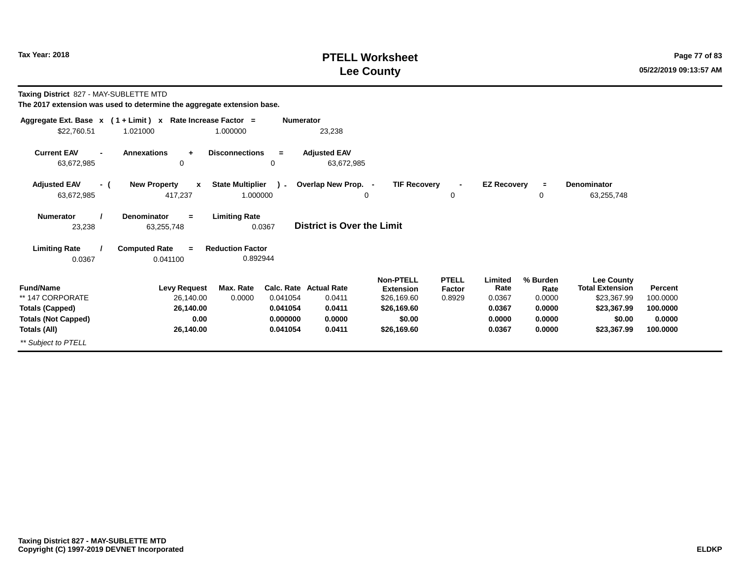## **PTELL Worksheet Tax Year: 2018 Page 77 of 83 Lee County**

**Taxing District** 827 - MAY-SUBLETTE MTD

|                                                    | Aggregate Ext. Base $x$ (1 + Limit) x Rate Increase Factor = | <b>Numerator</b>                              |                                   |                                      |                        |                    |                  |                                             |          |
|----------------------------------------------------|--------------------------------------------------------------|-----------------------------------------------|-----------------------------------|--------------------------------------|------------------------|--------------------|------------------|---------------------------------------------|----------|
| \$22,760.51                                        | 1.021000                                                     | 1.000000                                      | 23,238                            |                                      |                        |                    |                  |                                             |          |
| <b>Current EAV</b><br>$\blacksquare$<br>63,672,985 | <b>Annexations</b><br>$\ddot{}$<br>0                         | <b>Disconnections</b><br>$=$<br>0             | <b>Adjusted EAV</b><br>63,672,985 |                                      |                        |                    |                  |                                             |          |
| <b>Adjusted EAV</b><br>- (<br>63,672,985           | <b>New Property</b><br>$\mathbf{x}$<br>417,237               | <b>State Multiplier</b><br>$\sim$<br>1.000000 | Overlap New Prop. -               | <b>TIF Recovery</b>                  | 0                      | <b>EZ Recovery</b> | $\equiv$<br>0    | <b>Denominator</b><br>63,255,748            |          |
| <b>Numerator</b><br>23,238                         | <b>Denominator</b><br>$\equiv$<br>63,255,748                 | <b>Limiting Rate</b><br>0.0367                | <b>District is Over the Limit</b> |                                      |                        |                    |                  |                                             |          |
| <b>Limiting Rate</b><br>0.0367                     | <b>Computed Rate</b><br>$=$<br>0.041100                      | <b>Reduction Factor</b><br>0.892944           |                                   |                                      |                        |                    |                  |                                             |          |
| <b>Fund/Name</b>                                   | <b>Levy Request</b>                                          | Max. Rate                                     | Calc. Rate Actual Rate            | <b>Non-PTELL</b><br><b>Extension</b> | <b>PTELL</b><br>Factor | Limited<br>Rate    | % Burden<br>Rate | <b>Lee County</b><br><b>Total Extension</b> | Percent  |
| ** 147 CORPORATE                                   | 26,140.00                                                    | 0.0000<br>0.041054                            | 0.0411                            | \$26,169.60                          | 0.8929                 | 0.0367             | 0.0000           | \$23,367.99                                 | 100.0000 |
| <b>Totals (Capped)</b>                             | 26,140.00                                                    | 0.041054                                      | 0.0411                            | \$26,169.60                          |                        | 0.0367             | 0.0000           | \$23,367.99                                 | 100.0000 |
| <b>Totals (Not Capped)</b>                         | 0.00                                                         | 0.000000                                      | 0.0000                            | \$0.00                               |                        | 0.0000             | 0.0000           | \$0.00                                      | 0.0000   |
| Totals (All)                                       | 26,140.00                                                    | 0.041054                                      | 0.0411                            | \$26,169.60                          |                        | 0.0367             | 0.0000           | \$23,367.99                                 | 100.0000 |
| ** Subject to PTELL                                |                                                              |                                               |                                   |                                      |                        |                    |                  |                                             |          |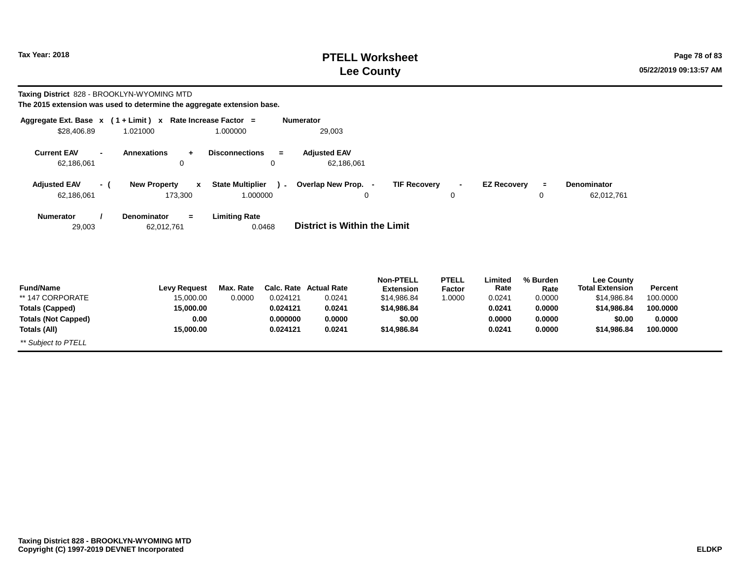# **PTELL Worksheet Tax Year: 2018 Page 78 of 83 Lee County**

**Taxing District** 828 - BROOKLYN-WYOMING MTD

| Aggregate Ext. Base $x$ (1 + Limit) x Rate Increase Factor =<br>\$28,406.89 | 1.021000                                       | 1.000000                            | <b>Numerator</b> | 29,003                              |                                      |                        |                    |                     |                                             |                |
|-----------------------------------------------------------------------------|------------------------------------------------|-------------------------------------|------------------|-------------------------------------|--------------------------------------|------------------------|--------------------|---------------------|---------------------------------------------|----------------|
| <b>Current EAV</b><br>$\blacksquare$<br>62,186,061                          | <b>Annexations</b><br>$+$<br>0                 | <b>Disconnections</b>               | $\equiv$<br>0    | <b>Adjusted EAV</b><br>62,186,061   |                                      |                        |                    |                     |                                             |                |
| <b>Adjusted EAV</b><br>- (<br>62,186,061                                    | <b>New Property</b><br>$\mathbf{x}$<br>173,300 | <b>State Multiplier</b><br>1.000000 | $\mathbf{r}$     | Overlap New Prop. -<br>0            | <b>TIF Recovery</b>                  | $\blacksquare$<br>0    | <b>EZ Recovery</b> | $\blacksquare$<br>0 | <b>Denominator</b><br>62,012,761            |                |
| <b>Numerator</b><br>29,003                                                  | Denominator<br>$=$<br>62,012,761               | <b>Limiting Rate</b>                | 0.0468           | <b>District is Within the Limit</b> |                                      |                        |                    |                     |                                             |                |
| <b>Fund/Name</b>                                                            | <b>Levy Request</b>                            | Max. Rate                           |                  | Calc. Rate Actual Rate              | <b>Non-PTELL</b><br><b>Extension</b> | <b>PTELL</b><br>Factor | Limited<br>Rate    | % Burden<br>Rate    | <b>Lee County</b><br><b>Total Extension</b> | <b>Percent</b> |
| ** 147 CORPORATE                                                            | 15,000.00                                      | 0.0000                              | 0.024121         | 0.0241                              | \$14,986.84                          | 1.0000                 | 0.0241             | 0.0000              | \$14,986.84                                 | 100.0000       |
| <b>Totals (Capped)</b>                                                      | 15,000.00                                      |                                     | 0.024121         | 0.0241                              | \$14,986.84                          |                        | 0.0241             | 0.0000              | \$14,986.84                                 | 100.0000       |
| <b>Totals (Not Capped)</b>                                                  | 0.00                                           |                                     | 0.000000         | 0.0000                              | \$0.00                               |                        | 0.0000             | 0.0000              | \$0.00                                      | 0.0000         |
| Totals (All)                                                                | 15,000.00                                      |                                     | 0.024121         | 0.0241                              | \$14,986.84                          |                        | 0.0241             | 0.0000              | \$14,986.84                                 | 100.0000       |
| ** Subject to PTELL                                                         |                                                |                                     |                  |                                     |                                      |                        |                    |                     |                                             |                |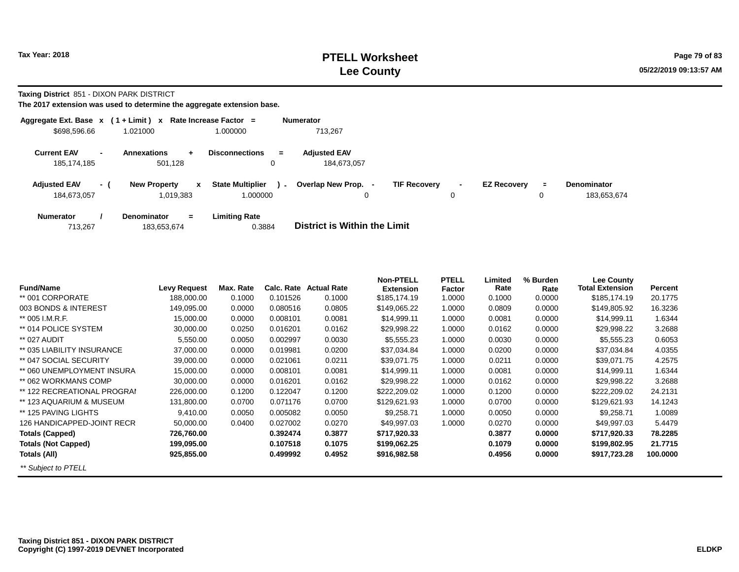**Taxing District** 851 - DIXON PARK DISTRICT

| Aggregate Ext. Base $x$ (1 + Limit) $x$ |                          |                                          | Rate Increase Factor =                        | <b>Numerator</b>                                                                                                                                       |
|-----------------------------------------|--------------------------|------------------------------------------|-----------------------------------------------|--------------------------------------------------------------------------------------------------------------------------------------------------------|
| \$698,596.66                            |                          | 1.021000                                 | 1.000000                                      | 713.267                                                                                                                                                |
| <b>Current EAV</b><br>185, 174, 185     | $\overline{\phantom{a}}$ | <b>Annexations</b><br>$+$<br>501.128     | <b>Disconnections</b><br>$\equiv$<br>0        | <b>Adiusted EAV</b><br>184.673.057                                                                                                                     |
| <b>Adjusted EAV</b><br>184,673,057      | - 1                      | <b>New Property</b><br>x<br>1,019,383    | <b>State Multiplier</b><br>$\sim$<br>1.000000 | Overlap New Prop.<br><b>TIF Recovery</b><br><b>EZ Recovery</b><br><b>Denominator</b><br>$\blacksquare$<br>$\blacksquare$<br>183,653,674<br>0<br>0<br>0 |
| <b>Numerator</b><br>713,267             |                          | <b>Denominator</b><br>$=$<br>183,653,674 | <b>Limiting Rate</b><br>0.3884                | District is Within the Limit                                                                                                                           |

| <b>Fund/Name</b>            | <b>Levy Request</b> | Max. Rate | Calc. Rate | <b>Actual Rate</b> | <b>Non-PTELL</b><br><b>Extension</b> | <b>PTELL</b><br>Factor | Limited<br>Rate | % Burden<br>Rate | <b>Lee County</b><br><b>Total Extension</b> | Percent  |
|-----------------------------|---------------------|-----------|------------|--------------------|--------------------------------------|------------------------|-----------------|------------------|---------------------------------------------|----------|
| ** 001 CORPORATE            | 188,000.00          | 0.1000    | 0.101526   | 0.1000             | \$185,174.19                         | 1.0000                 | 0.1000          | 0.0000           | \$185,174.19                                | 20.1775  |
| 003 BONDS & INTEREST        | 149,095.00          | 0.0000    | 0.080516   | 0.0805             | \$149,065.22                         | 1.0000                 | 0.0809          | 0.0000           | \$149,805.92                                | 16.3236  |
| ** 005 I.M.R.F.             | 15,000.00           | 0.0000    | 0.008101   | 0.0081             | \$14,999.11                          | 1.0000                 | 0.0081          | 0.0000           | \$14,999.11                                 | 1.6344   |
| ** 014 POLICE SYSTEM        | 30,000.00           | 0.0250    | 0.016201   | 0.0162             | \$29,998.22                          | 1.0000                 | 0.0162          | 0.0000           | \$29,998.22                                 | 3.2688   |
| ** 027 AUDIT                | 5,550.00            | 0.0050    | 0.002997   | 0.0030             | \$5,555.23                           | 1.0000                 | 0.0030          | 0.0000           | \$5,555.23                                  | 0.6053   |
| ** 035 LIABILITY INSURANCE  | 37,000.00           | 0.0000    | 0.019981   | 0.0200             | \$37,034.84                          | 1.0000                 | 0.0200          | 0.0000           | \$37,034.84                                 | 4.0355   |
| ** 047 SOCIAL SECURITY      | 39,000.00           | 0.0000    | 0.021061   | 0.0211             | \$39,071.75                          | 1.0000                 | 0.0211          | 0.0000           | \$39,071.75                                 | 4.2575   |
| ** 060 UNEMPLOYMENT INSURA  | 15,000.00           | 0.0000    | 0.008101   | 0.0081             | \$14,999.11                          | 1.0000                 | 0.0081          | 0.0000           | \$14,999.11                                 | 1.6344   |
| ** 062 WORKMANS COMP        | 30,000.00           | 0.0000    | 0.016201   | 0.0162             | \$29,998.22                          | 1.0000                 | 0.0162          | 0.0000           | \$29,998.22                                 | 3.2688   |
| ** 122 RECREATIONAL PROGRAI | 226,000.00          | 0.1200    | 0.122047   | 0.1200             | \$222,209.02                         | 1.0000                 | 0.1200          | 0.0000           | \$222,209.02                                | 24.2131  |
| ** 123 AQUARIUM & MUSEUM    | 131,800.00          | 0.0700    | 0.071176   | 0.0700             | \$129,621.93                         | 1.0000                 | 0.0700          | 0.0000           | \$129,621.93                                | 14.1243  |
| ** 125 PAVING LIGHTS        | 9,410.00            | 0.0050    | 0.005082   | 0.0050             | \$9,258.71                           | 1.0000                 | 0.0050          | 0.0000           | \$9,258.71                                  | 1.0089   |
| 126 HANDICAPPED-JOINT RECR  | 50,000.00           | 0.0400    | 0.027002   | 0.0270             | \$49,997.03                          | 1.0000                 | 0.0270          | 0.0000           | \$49,997.03                                 | 5.4479   |
| <b>Totals (Capped)</b>      | 726,760.00          |           | 0.392474   | 0.3877             | \$717,920.33                         |                        | 0.3877          | 0.0000           | \$717,920.33                                | 78.2285  |
| <b>Totals (Not Capped)</b>  | 199,095.00          |           | 0.107518   | 0.1075             | \$199,062.25                         |                        | 0.1079          | 0.0000           | \$199,802.95                                | 21.7715  |
| Totals (All)                | 925,855.00          |           | 0.499992   | 0.4952             | \$916,982.58                         |                        | 0.4956          | 0.0000           | \$917,723.28                                | 100.0000 |
| ** Subject to PTELL         |                     |           |            |                    |                                      |                        |                 |                  |                                             |          |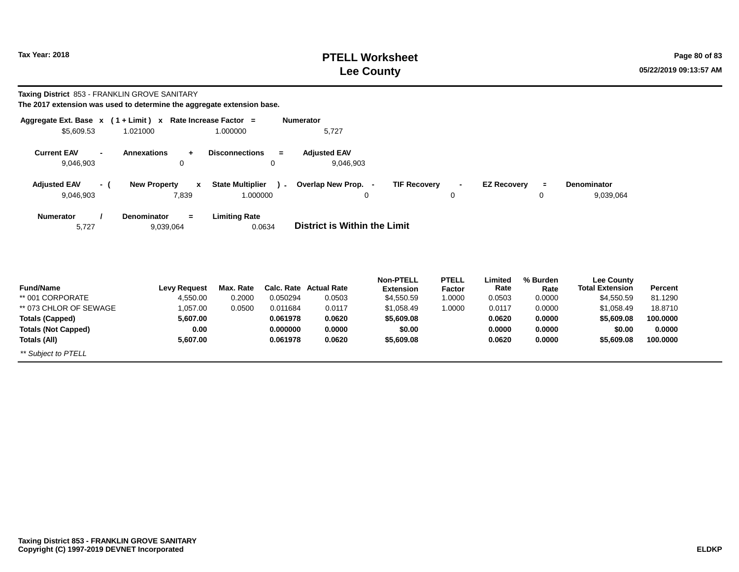# **PTELL Worksheet Tax Year: 2018 Page 80 of 83 Lee County**

**Taxing District** 853 - FRANKLIN GROVE SANITARY

| Aggregate Ext. Base $x$ (1 + Limit) x Rate Increase Factor = |                                     |                                   | <b>Numerator</b>                    |                                  |                                                |          |                        |                |
|--------------------------------------------------------------|-------------------------------------|-----------------------------------|-------------------------------------|----------------------------------|------------------------------------------------|----------|------------------------|----------------|
| \$5,609.53                                                   | 1.021000                            | 1.000000                          | 5,727                               |                                  |                                                |          |                        |                |
| <b>Current EAV</b>                                           | <b>Annexations</b>                  | <b>Disconnections</b><br>$=$      | <b>Adjusted EAV</b>                 |                                  |                                                |          |                        |                |
| 9,046,903                                                    | 0                                   | 0                                 | 9,046,903                           |                                  |                                                |          |                        |                |
| <b>Adjusted EAV</b><br>- (                                   | <b>New Property</b><br>$\mathbf{x}$ | <b>State Multiplier</b><br>$\sim$ | Overlap New Prop. -                 | <b>TIF Recovery</b>              | <b>EZ Recovery</b><br>$\overline{\phantom{0}}$ | $\equiv$ | Denominator            |                |
| 9,046,903                                                    | 7,839                               | 1.000000                          | 0                                   | 0                                |                                                | 0        | 9,039,064              |                |
| <b>Numerator</b>                                             | <b>Denominator</b><br>$=$           | <b>Limiting Rate</b>              |                                     |                                  |                                                |          |                        |                |
| 5,727                                                        | 9,039,064                           | 0.0634                            | <b>District is Within the Limit</b> |                                  |                                                |          |                        |                |
|                                                              |                                     |                                   |                                     |                                  |                                                |          |                        |                |
|                                                              |                                     |                                   |                                     | <b>Non-PTELL</b><br><b>PTELL</b> | Limited                                        | % Burden | <b>Lee County</b>      |                |
| <b>Fund/Name</b>                                             | <b>Levy Request</b>                 | Max. Rate                         | <b>Calc. Rate Actual Rate</b>       | <b>Extension</b><br>Factor       | Rate                                           | Rate     | <b>Total Extension</b> | <b>Percent</b> |
| ** 001 CORPORATE                                             | 4,550.00                            | 0.2000<br>0.050294                | 0.0503                              | \$4,550.59<br>1.0000             | 0.0503                                         | 0.0000   | \$4,550.59             | 81.1290        |
| ** 073 CHI OR OF SEWAGE                                      | 1 057 00                            | 0.0500<br>0.011684                | 0.0117                              | $$1$ 058 40<br>1.0000            | 0.0117                                         | n nnnn   | $$1$ 058 40            | 18.8710        |

| rung/wame                  | Levy Reguest | max. Rate | Gaic. Rate | Actual Rate | Extension  | Factor | rate   | Rate   | TOTAL EXTERSION | rercent  |
|----------------------------|--------------|-----------|------------|-------------|------------|--------|--------|--------|-----------------|----------|
| ** 001 CORPORATE           | 4.550.00     | 0.2000    | 0.050294   | 0.0503      | \$4,550.59 | 1.0000 | 0.0503 | 0.0000 | \$4.550.59      | 81.1290  |
| ** 073 CHLOR OF SEWAGE     | 0.057.00     | 0.0500    | 0.011684   | 0.0117      | \$1,058.49 | 1.0000 | 0.0117 | 0.0000 | \$1.058.49      | 18.8710  |
| Totals (Capped)            | 5.607.00     |           | 0.061978   | 0.0620      | \$5,609.08 |        | 0.0620 | 0.0000 | \$5,609.08      | 100.0000 |
| <b>Totals (Not Capped)</b> | 0.00         |           | 0.000000   | 0.0000      | \$0.00     |        | 0.0000 | 0.0000 | \$0.00          | 0.0000   |
| Totals (All)               | 5.607.00     |           | 0.061978   | 0.0620      | \$5,609.08 |        | 0.0620 | 0.0000 | \$5,609.08      | 100.0000 |
| ** Subject to PTELL        |              |           |            |             |            |        |        |        |                 |          |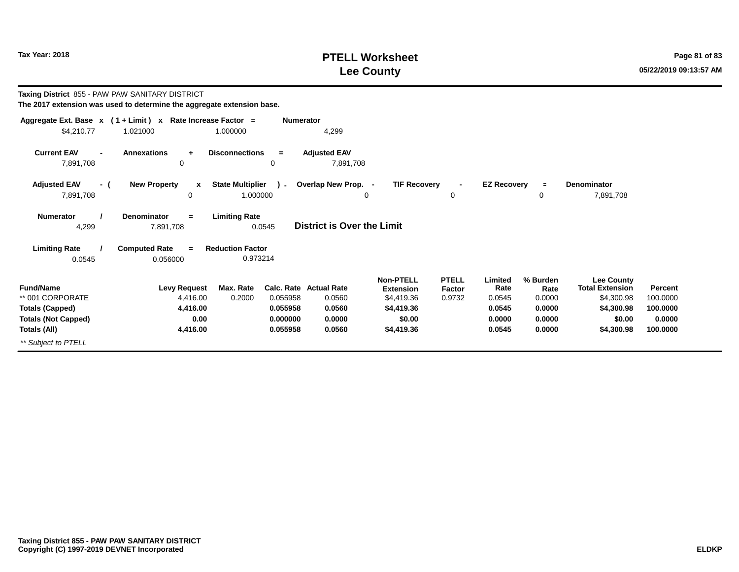# **PTELL Worksheet Tax Year: 2018 Page 81 of 83 PAGE 2018 Page 81 of 83 Lee County**

| Taxing District 855 - PAW PAW SANITARY DISTRICT | The 2017 extension was used to determine the aggregate extension base. |                                         |                                   |                     |              |                    |          |                        |          |
|-------------------------------------------------|------------------------------------------------------------------------|-----------------------------------------|-----------------------------------|---------------------|--------------|--------------------|----------|------------------------|----------|
|                                                 | Aggregate Ext. Base $x$ (1 + Limit) x Rate Increase Factor =           |                                         | <b>Numerator</b>                  |                     |              |                    |          |                        |          |
| \$4,210.77                                      | 1.021000                                                               | 1.000000                                | 4,299                             |                     |              |                    |          |                        |          |
| <b>Current EAV</b>                              | <b>Annexations</b><br>$\ddot{}$                                        | <b>Disconnections</b><br>$\equiv$       | <b>Adjusted EAV</b>               |                     |              |                    |          |                        |          |
| 7,891,708                                       | 0                                                                      | 0                                       | 7,891,708                         |                     |              |                    |          |                        |          |
| <b>Adjusted EAV</b><br>- (                      | <b>New Property</b><br>x                                               | <b>State Multiplier</b><br>$\mathbf{r}$ | Overlap New Prop. -               | <b>TIF Recovery</b> |              | <b>EZ Recovery</b> | $\equiv$ | <b>Denominator</b>     |          |
| 7,891,708                                       | 0                                                                      | 1.000000                                |                                   | 0                   | 0            |                    | 0        | 7,891,708              |          |
| <b>Numerator</b>                                | <b>Denominator</b><br>$=$                                              | <b>Limiting Rate</b>                    |                                   |                     |              |                    |          |                        |          |
| 4,299                                           | 7,891,708                                                              | 0.0545                                  | <b>District is Over the Limit</b> |                     |              |                    |          |                        |          |
| <b>Limiting Rate</b>                            | <b>Computed Rate</b><br>$\equiv$                                       | <b>Reduction Factor</b>                 |                                   |                     |              |                    |          |                        |          |
| 0.0545                                          | 0.056000                                                               | 0.973214                                |                                   |                     |              |                    |          |                        |          |
|                                                 |                                                                        |                                         |                                   | <b>Non-PTELL</b>    | <b>PTELL</b> | Limited            | % Burden | <b>Lee County</b>      |          |
| <b>Fund/Name</b>                                | <b>Levy Request</b>                                                    | Max. Rate                               | <b>Calc. Rate Actual Rate</b>     | <b>Extension</b>    | Factor       | Rate               | Rate     | <b>Total Extension</b> | Percent  |
| ** 001 CORPORATE                                | 4,416.00                                                               | 0.2000<br>0.055958                      | 0.0560                            | \$4,419.36          | 0.9732       | 0.0545             | 0.0000   | \$4,300.98             | 100.0000 |
| <b>Totals (Capped)</b>                          | 4,416.00                                                               | 0.055958                                | 0.0560                            | \$4,419.36          |              | 0.0545             | 0.0000   | \$4,300.98             | 100.0000 |
| <b>Totals (Not Capped)</b>                      | 0.00                                                                   | 0.000000                                | 0.0000                            | \$0.00              |              | 0.0000             | 0.0000   | \$0.00                 | 0.0000   |
| Totals (All)                                    | 4,416.00                                                               | 0.055958                                | 0.0560                            | \$4,419.36          |              | 0.0545             | 0.0000   | \$4,300.98             | 100.0000 |
| ** Subject to PTELL                             |                                                                        |                                         |                                   |                     |              |                    |          |                        |          |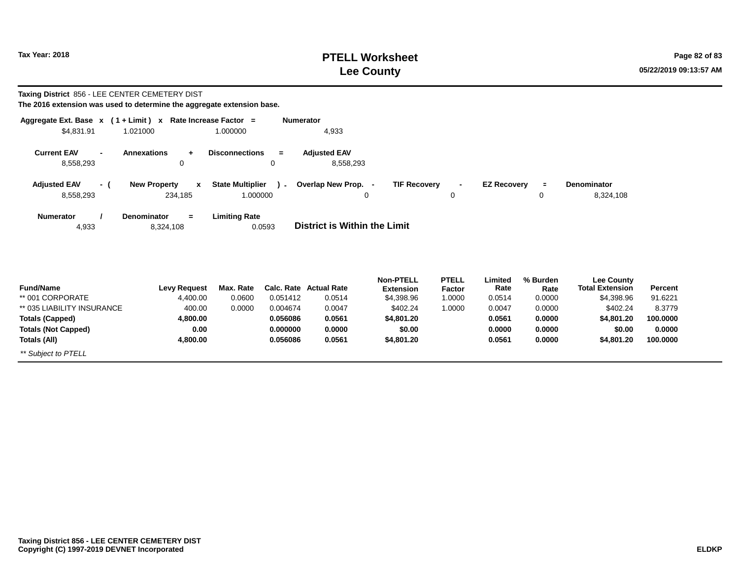**Totals (Not Capped)**

\*\* Subject to PTELL

**Totals (All)**

# **PTELL Worksheet Tax Year:** 2018 **Page 82 of 83 Lee County**

 **0.0000100.0000**

 **\$0.00\$4,801.20**

#### **Taxing District** 856 - LEE CENTER CEMETERY DIST

**The 2016 extension was used to determine the aggregate extension base.**

 **0.004,800.00**

| Aggregate Ext. Base $x$ (1 + Limit) $x$ |                                     | Rate Increase Factor =<br><b>Numerator</b> |                                     |                                      |                        |                    |                  |                                             |                |
|-----------------------------------------|-------------------------------------|--------------------------------------------|-------------------------------------|--------------------------------------|------------------------|--------------------|------------------|---------------------------------------------|----------------|
| \$4,831.91                              | 1.021000                            | 1.000000                                   | 4,933                               |                                      |                        |                    |                  |                                             |                |
| <b>Current EAV</b>                      | <b>Annexations</b><br>$\ddot{}$     | <b>Disconnections</b><br>$=$               | <b>Adjusted EAV</b>                 |                                      |                        |                    |                  |                                             |                |
| 8,558,293                               | 0                                   | 0                                          | 8,558,293                           |                                      |                        |                    |                  |                                             |                |
| <b>Adjusted EAV</b><br>- (              | <b>New Property</b><br>$\mathbf{x}$ | <b>State Multiplier</b><br>$\sim$          | Overlap New Prop. -                 | <b>TIF Recovery</b>                  | $\blacksquare$         | <b>EZ Recovery</b> | $\blacksquare$   | <b>Denominator</b>                          |                |
| 8,558,293                               | 234,185                             | 1.000000                                   | 0                                   |                                      | 0                      |                    | 0                | 8,324,108                                   |                |
| <b>Numerator</b>                        | <b>Denominator</b><br>$=$           | <b>Limiting Rate</b>                       |                                     |                                      |                        |                    |                  |                                             |                |
| 4,933                                   | 8,324,108                           | 0.0593                                     | <b>District is Within the Limit</b> |                                      |                        |                    |                  |                                             |                |
|                                         |                                     |                                            |                                     |                                      |                        |                    |                  |                                             |                |
|                                         |                                     |                                            |                                     |                                      |                        |                    |                  |                                             |                |
| <b>Fund/Name</b>                        | <b>Levy Request</b>                 | Max. Rate<br>Calc. Rate                    | <b>Actual Rate</b>                  | <b>Non-PTELL</b><br><b>Extension</b> | <b>PTELL</b><br>Factor | Limited<br>Rate    | % Burden<br>Rate | <b>Lee County</b><br><b>Total Extension</b> | <b>Percent</b> |
| ** 001 CORPORATE                        | 4,400.00                            | 0.0600<br>0.051412                         | 0.0514                              | \$4,398.96                           | 1.0000                 | 0.0514             | 0.0000           | \$4,398.96                                  | 91.6221        |
| ** 035 LIABILITY INSURANCE              | 400.00                              | 0.0000<br>0.004674                         | 0.0047                              | \$402.24                             | 1.0000                 | 0.0047             | 0.0000           | \$402.24                                    | 8.3779         |
| Totals (Capped)                         | 4,800.00                            | 0.056086                                   | 0.0561                              | \$4,801.20                           |                        | 0.0561             | 0.0000           | \$4,801.20                                  | 100.0000       |

**0.0000**

 **\$0.00\$4,801.20**  **0.00000.0561**

 **0.00000.0000**

**0.0561**

**0.000000**

**0.056086**